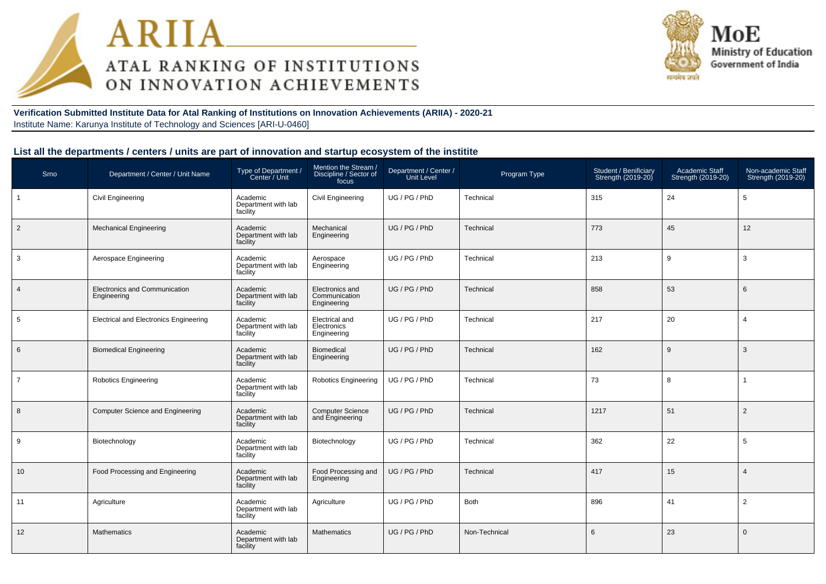



**Verification Submitted Institute Data for Atal Ranking of Institutions on Innovation Achievements (ARIIA) - 2020-21**Institute Name: Karunya Institute of Technology and Sciences [ARI-U-0460]

## **List all the departments / centers / units are part of innovation and startup ecosystem of the institite**

| Srno           | Department / Center / Unit Name               | Type of Department /<br>Center / Unit       | Mention the Stream /<br>Discipline / Sector of<br>focus | Department / Center /<br>Unit Level | Program Type  | Student / Benificiary<br>Strength (2019-20) | Academic Staff<br>Strength (2019-20) | Non-academic Staff<br>Strength (2019-20) |
|----------------|-----------------------------------------------|---------------------------------------------|---------------------------------------------------------|-------------------------------------|---------------|---------------------------------------------|--------------------------------------|------------------------------------------|
|                | <b>Civil Engineering</b>                      | Academic<br>Department with lab<br>facility | Civil Engineering                                       | UG / PG / PhD                       | Technical     | 315                                         | 24                                   | 5                                        |
| $\overline{2}$ | <b>Mechanical Engineering</b>                 | Academic<br>Department with lab<br>facility | Mechanical<br>Engineering                               | UG / PG / PhD                       | Technical     | 773                                         | 45                                   | 12                                       |
| 3              | Aerospace Engineering                         | Academic<br>Department with lab<br>facility | Aerospace<br>Engineering                                | UG / PG / PhD                       | Technical     | 213                                         | 9                                    | 3                                        |
| $\overline{4}$ | Electronics and Communication<br>Engineering  | Academic<br>Department with lab<br>facility | Electronics and<br>Communication<br>Engineering         | UG / PG / PhD                       | Technical     | 858                                         | 53                                   | 6                                        |
| 5              | <b>Electrical and Electronics Engineering</b> | Academic<br>Department with lab<br>facility | <b>Electrical and</b><br>Electronics<br>Engineering     | UG / PG / PhD                       | Technical     | 217                                         | 20                                   | $\overline{4}$                           |
| 6              | <b>Biomedical Engineering</b>                 | Academic<br>Department with lab<br>facility | <b>Biomedical</b><br>Engineering                        | UG / PG / PhD                       | Technical     | 162                                         | 9                                    | 3                                        |
| $\overline{7}$ | <b>Robotics Engineering</b>                   | Academic<br>Department with lab<br>facility | <b>Robotics Engineering</b>                             | UG / PG / PhD                       | Technical     | 73                                          | 8                                    | $\mathbf{1}$                             |
| 8              | <b>Computer Science and Engineering</b>       | Academic<br>Department with lab<br>facility | <b>Computer Science</b><br>and Engineering              | UG / PG / PhD                       | Technical     | 1217                                        | 51                                   | 2                                        |
| 9              | Biotechnology                                 | Academic<br>Department with lab<br>facility | Biotechnology                                           | UG / PG / PhD                       | Technical     | 362                                         | 22                                   | 5                                        |
| 10             | Food Processing and Engineering               | Academic<br>Department with lab<br>facility | Food Processing and<br>Engineering                      | UG / PG / PhD                       | Technical     | 417                                         | 15                                   | $\overline{4}$                           |
| 11             | Agriculture                                   | Academic<br>Department with lab<br>facility | Agriculture                                             | UG / PG / PhD                       | <b>Both</b>   | 896                                         | 41                                   | 2                                        |
| 12             | <b>Mathematics</b>                            | Academic<br>Department with lab<br>facility | <b>Mathematics</b>                                      | UG / PG / PhD                       | Non-Technical | 6                                           | 23                                   | $\Omega$                                 |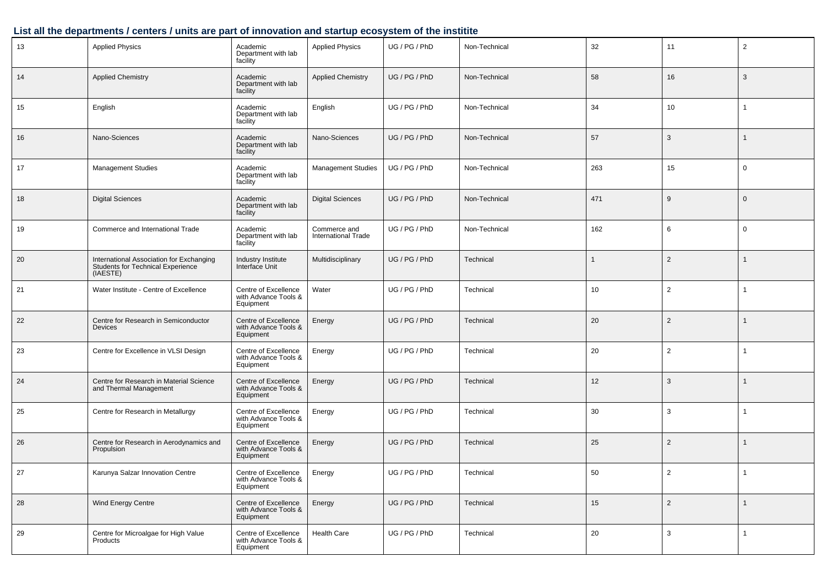# **List all the departments / centers / units are part of innovation and startup ecosystem of the institite**

| 13 | <b>Applied Physics</b>                                                                    | Academic<br>Department with lab<br>facility               | <b>Applied Physics</b>                     | UG / PG / PhD | Non-Technical | 32           | 11             | $\overline{2}$ |
|----|-------------------------------------------------------------------------------------------|-----------------------------------------------------------|--------------------------------------------|---------------|---------------|--------------|----------------|----------------|
| 14 | <b>Applied Chemistry</b>                                                                  | Academic<br>Department with lab<br>facility               | <b>Applied Chemistry</b>                   | UG / PG / PhD | Non-Technical | 58           | 16             | 3              |
| 15 | English                                                                                   | Academic<br>Department with lab<br>facility               | English                                    | UG / PG / PhD | Non-Technical | 34           | 10             | $\mathbf{1}$   |
| 16 | Nano-Sciences                                                                             | Academic<br>Department with lab<br>facility               | Nano-Sciences                              | UG / PG / PhD | Non-Technical | 57           | 3              | -1             |
| 17 | <b>Management Studies</b>                                                                 | Academic<br>Department with lab<br>facility               | <b>Management Studies</b>                  | UG / PG / PhD | Non-Technical | 263          | 15             | $\mathbf 0$    |
| 18 | <b>Digital Sciences</b>                                                                   | Academic<br>Department with lab<br>facility               | <b>Digital Sciences</b>                    | UG / PG / PhD | Non-Technical | 471          | 9              | $\mathbf 0$    |
| 19 | Commerce and International Trade                                                          | Academic<br>Department with lab<br>facility               | Commerce and<br><b>International Trade</b> | UG / PG / PhD | Non-Technical | 162          | 6              | $\mathbf 0$    |
| 20 | International Association for Exchanging<br>Students for Technical Experience<br>(IAESTE) | Industry Institute<br>Interface Unit                      | Multidisciplinary                          | UG / PG / PhD | Technical     | $\mathbf{1}$ | $\overline{2}$ | $\mathbf 1$    |
| 21 | Water Institute - Centre of Excellence                                                    | Centre of Excellence<br>with Advance Tools &<br>Equipment | Water                                      | UG / PG / PhD | Technical     | 10           | $\overline{2}$ |                |
| 22 | Centre for Research in Semiconductor<br><b>Devices</b>                                    | Centre of Excellence<br>with Advance Tools &<br>Equipment | Energy                                     | UG / PG / PhD | Technical     | 20           | $\overline{2}$ | $\mathbf{1}$   |
| 23 | Centre for Excellence in VLSI Design                                                      | Centre of Excellence<br>with Advance Tools &<br>Equipment | Energy                                     | UG / PG / PhD | Technical     | 20           | $\overline{2}$ |                |
| 24 | Centre for Research in Material Science<br>and Thermal Management                         | Centre of Excellence<br>with Advance Tools &<br>Equipment | Energy                                     | UG / PG / PhD | Technical     | 12           | 3              | 1              |
| 25 | Centre for Research in Metallurgy                                                         | Centre of Excellence<br>with Advance Tools &<br>Equipment | Energy                                     | UG / PG / PhD | Technical     | 30           | 3              | -1             |
| 26 | Centre for Research in Aerodynamics and<br>Propulsion                                     | Centre of Excellence<br>with Advance Tools &<br>Equipment | Energy                                     | UG / PG / PhD | Technical     | 25           | 2              | $\mathbf 1$    |
| 27 | Karunya Salzar Innovation Centre                                                          | Centre of Excellence<br>with Advance Tools &<br>Equipment | Energy                                     | UG / PG / PhD | Technical     | 50           | $\overline{2}$ |                |
| 28 | Wind Energy Centre                                                                        | Centre of Excellence<br>with Advance Tools &<br>Equipment | Energy                                     | UG / PG / PhD | Technical     | 15           | $\overline{c}$ | $\overline{1}$ |
| 29 | Centre for Microalgae for High Value<br>Products                                          | Centre of Excellence<br>with Advance Tools &<br>Equipment | Health Care                                | UG / PG / PhD | Technical     | 20           | 3              | $\mathbf{1}$   |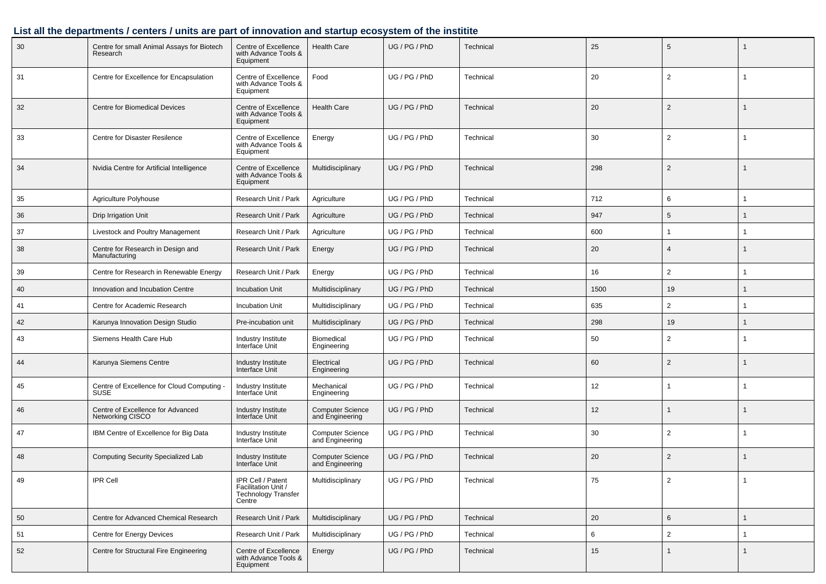# **List all the departments / centers / units are part of innovation and startup ecosystem of the institite**

| 30 | Centre for small Animal Assays for Biotech<br>Research    | Centre of Excellence<br>with Advance Tools &<br>Equipment                 | <b>Health Care</b>                         | UG / PG / PhD | Technical | 25   | 5              |                |
|----|-----------------------------------------------------------|---------------------------------------------------------------------------|--------------------------------------------|---------------|-----------|------|----------------|----------------|
| 31 | Centre for Excellence for Encapsulation                   | Centre of Excellence<br>with Advance Tools &<br>Equipment                 | Food                                       | UG / PG / PhD | Technical | 20   | $\overline{2}$ |                |
| 32 | <b>Centre for Biomedical Devices</b>                      | Centre of Excellence<br>with Advance Tools &<br>Equipment                 | <b>Health Care</b>                         | UG / PG / PhD | Technical | 20   | $\overline{2}$ | $\mathbf{1}$   |
| 33 | Centre for Disaster Resilence                             | Centre of Excellence<br>with Advance Tools &<br>Equipment                 | Energy                                     | UG / PG / PhD | Technical | 30   | 2              |                |
| 34 | Nvidia Centre for Artificial Intelligence                 | Centre of Excellence<br>with Advance Tools &<br>Equipment                 | Multidisciplinary                          | UG / PG / PhD | Technical | 298  | $\overline{2}$ | -1             |
| 35 | Agriculture Polyhouse                                     | Research Unit / Park                                                      | Agriculture                                | UG / PG / PhD | Technical | 712  | 6              | -1             |
| 36 | Drip Irrigation Unit                                      | Research Unit / Park                                                      | Agriculture                                | UG / PG / PhD | Technical | 947  | 5              | -1             |
| 37 | Livestock and Poultry Management                          | Research Unit / Park                                                      | Agriculture                                | UG / PG / PhD | Technical | 600  |                | $\overline{1}$ |
| 38 | Centre for Research in Design and<br>Manufacturing        | Research Unit / Park                                                      | Energy                                     | UG / PG / PhD | Technical | 20   | $\overline{4}$ | $\mathbf 1$    |
| 39 | Centre for Research in Renewable Energy                   | Research Unit / Park                                                      | Energy                                     | UG / PG / PhD | Technical | 16   | $\overline{2}$ |                |
| 40 | Innovation and Incubation Centre                          | <b>Incubation Unit</b>                                                    | Multidisciplinary                          | UG / PG / PhD | Technical | 1500 | 19             | $\mathbf{1}$   |
| 41 | Centre for Academic Research                              | Incubation Unit                                                           | Multidisciplinary                          | UG / PG / PhD | Technical | 635  | 2              |                |
| 42 | Karunya Innovation Design Studio                          | Pre-incubation unit                                                       | Multidisciplinary                          | UG / PG / PhD | Technical | 298  | 19             | $\mathbf{1}$   |
| 43 | Siemens Health Care Hub                                   | Industry Institute<br>Interface Unit                                      | <b>Biomedical</b><br>Engineering           | UG / PG / PhD | Technical | 50   | $\overline{2}$ |                |
| 44 | Karunya Siemens Centre                                    | Industry Institute<br>Interface Unit                                      | Electrical<br>Engineering                  | UG / PG / PhD | Technical | 60   | $\overline{2}$ |                |
| 45 | Centre of Excellence for Cloud Computing -<br><b>SUSE</b> | Industry Institute<br>Interface Unit                                      | Mechanical<br>Engineering                  | UG / PG / PhD | Technical | 12   |                |                |
| 46 | Centre of Excellence for Advanced<br>Networking CISCO     | Industry Institute<br>Interface Unit                                      | <b>Computer Science</b><br>and Engineering | UG / PG / PhD | Technical | 12   |                | 1              |
| 47 | IBM Centre of Excellence for Big Data                     | Industry Institute<br>Interface Unit                                      | <b>Computer Science</b><br>and Engineering | UG / PG / PhD | Technical | 30   | $\overline{2}$ |                |
| 48 | <b>Computing Security Specialized Lab</b>                 | Industry Institute<br>Interface Unit                                      | <b>Computer Science</b><br>and Engineering | UG / PG / PhD | Technical | 20   | $\overline{2}$ | -1             |
| 49 | IPR Cell                                                  | IPR Cell / Patent<br>Facilitation Unit /<br>Technology Transfer<br>Centre | Multidisciplinary                          | UG / PG / PhD | Technical | 75   | $\mathbf{z}$   |                |
| 50 | Centre for Advanced Chemical Research                     | Research Unit / Park                                                      | Multidisciplinary                          | UG / PG / PhD | Technical | 20   | 6              | $\mathbf{1}$   |
| 51 | Centre for Energy Devices                                 | Research Unit / Park                                                      | Multidisciplinary                          | UG / PG / PhD | Technical | 6    | $\overline{2}$ | $\mathbf{1}$   |
| 52 | Centre for Structural Fire Engineering                    | Centre of Excellence<br>with Advance Tools &<br>Equipment                 | Energy                                     | UG / PG / PhD | Technical | 15   |                | $\mathbf{1}$   |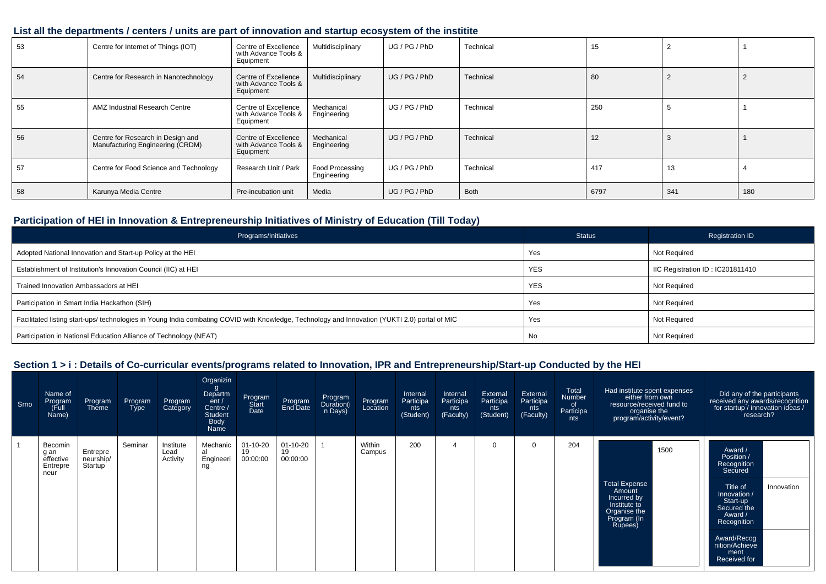## **List all the departments / centers / units are part of innovation and startup ecosystem of the institite**

| 53 | Centre for Internet of Things (IOT)                                   | Centre of Excellence<br>with Advance Tools &<br>Equipment | Multidisciplinary                     | UG / PG / PhD | Technical   | 15   |     |     |
|----|-----------------------------------------------------------------------|-----------------------------------------------------------|---------------------------------------|---------------|-------------|------|-----|-----|
| 54 | Centre for Research in Nanotechnology                                 | Centre of Excellence<br>with Advance Tools &<br>Equipment | Multidisciplinary                     | UG/PG/PhD     | Technical   | 80   |     |     |
| 55 | AMZ Industrial Research Centre                                        | Centre of Excellence<br>with Advance Tools &<br>Equipment | Mechanical<br>Engineering             | UG / PG / PhD | Technical   | 250  |     |     |
| 56 | Centre for Research in Design and<br>Manufacturing Engineering (CRDM) | Centre of Excellence<br>with Advance Tools &<br>Equipment | Mechanical<br>Engineering             | UG/PG/PhD     | Technical   | 12   |     |     |
| 57 | Centre for Food Science and Technology                                | Research Unit / Park                                      | <b>Food Processing</b><br>Engineering | UG / PG / PhD | Technical   | 417  | 13  |     |
| 58 | Karunya Media Centre                                                  | Pre-incubation unit                                       | Media                                 | UG / PG / PhD | <b>Both</b> | 6797 | 341 | 180 |

## **Participation of HEI in Innovation & Entrepreneurship Initiatives of Ministry of Education (Till Today)**

| Programs/Initiatives                                                                                                                           | <b>Status</b> | <b>Registration ID</b>           |
|------------------------------------------------------------------------------------------------------------------------------------------------|---------------|----------------------------------|
| Adopted National Innovation and Start-up Policy at the HEI                                                                                     | Yes           | Not Required                     |
| Establishment of Institution's Innovation Council (IIC) at HEI                                                                                 | <b>YES</b>    | IIC Registration ID: IC201811410 |
| Trained Innovation Ambassadors at HEI                                                                                                          | <b>YES</b>    | Not Required                     |
| Participation in Smart India Hackathon (SIH)                                                                                                   | Yes           | Not Required                     |
| Facilitated listing start-ups/ technologies in Young India combating COVID with Knowledge, Technology and Innovation (YUKTI 2.0) portal of MIC | Yes           | Not Required                     |
| Participation in National Education Alliance of Technology (NEAT)                                                                              | No            | Not Required                     |

| Srno | Name of<br>Program<br>(Full<br>Name)             | Program<br>Theme                              | Program<br><b>Type</b> | Program<br>Category           | Organizin<br>g<br>Departm<br>ent /<br>Centre /<br><b>Student</b><br><b>Body</b><br>Name | Program<br>Start<br>Date         | Program<br>End Date              | Program<br>Duration(i<br>n Days) | Program<br>Location | Internal<br>Participa<br>nts<br>(Student) | Internal<br>Participa<br>nts<br>(Faculty) | External<br>Participa<br>nts<br>(Student) | External<br>Participa<br>nts<br>(Faculty) | Total<br><b>Number</b><br>0f<br>Participa<br>nts | Had institute spent expenses<br>either from own<br>resource/received fund to<br>organise the<br>program/activity/event? | Did any of the participants<br>received any awards/recognition<br>for startup / innovation ideas /<br>research?                                                                                         |
|------|--------------------------------------------------|-----------------------------------------------|------------------------|-------------------------------|-----------------------------------------------------------------------------------------|----------------------------------|----------------------------------|----------------------------------|---------------------|-------------------------------------------|-------------------------------------------|-------------------------------------------|-------------------------------------------|--------------------------------------------------|-------------------------------------------------------------------------------------------------------------------------|---------------------------------------------------------------------------------------------------------------------------------------------------------------------------------------------------------|
|      | Becomin<br>g an<br>effective<br>Entrepre<br>neur | Entrepre<br>neurship/<br>Startup <sup>1</sup> | Seminar                | Institute<br>Lead<br>Activity | Mechanic<br>al<br>Engineeri<br>ng                                                       | $01 - 10 - 20$<br>19<br>00:00:00 | $01 - 10 - 20$<br>19<br>00:00:00 |                                  | Within<br>Campus    | 200                                       |                                           | $\Omega$                                  | $\Omega$                                  | 204                                              | 1500<br><b>Total Expense</b><br>Amount<br>Incurred by<br>Institute to<br>Organise the<br>Program (In<br>Rupees)         | Award /<br>Position /<br>Recognition<br>Secured<br>Title of<br>Innovation<br>Innovation /<br>Start-up<br>Secured the<br>Award /<br>Recognition<br>Award/Recog<br>nition/Achieve<br>ment<br>Received for |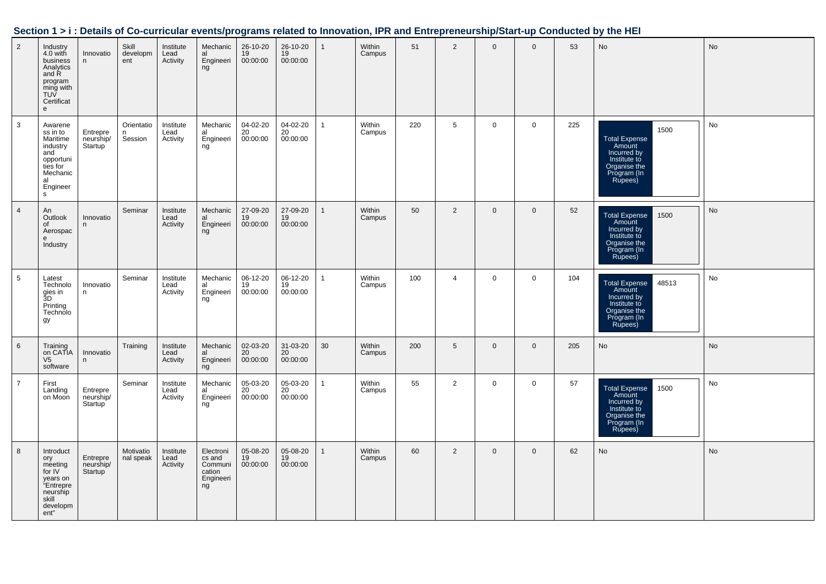|                 |                                                                                                                |                                               |                            |                               |                                                             |                            |                            |              |                  |     |                |                |                |     | Section 1 > i : Details of Co-curricular events/programs related to Innovation, IPR and Entrepreneurship/Start-up Conducted by the HEI |           |
|-----------------|----------------------------------------------------------------------------------------------------------------|-----------------------------------------------|----------------------------|-------------------------------|-------------------------------------------------------------|----------------------------|----------------------------|--------------|------------------|-----|----------------|----------------|----------------|-----|----------------------------------------------------------------------------------------------------------------------------------------|-----------|
| $\overline{2}$  | Industry<br>4.0 with<br>business<br>Analytics<br>and R<br>program<br>ming with<br>TUV<br>Certificat<br>e       | Innovatio<br>n                                | Skill<br>developm<br>ent   | Institute<br>Lead<br>Activity | Mechanic<br>al<br>Engineeri<br>ng                           | 26-10-20<br>19<br>00:00:00 | 26-10-20<br>19<br>00:00:00 | $\mathbf{1}$ | Within<br>Campus | 51  | $\overline{2}$ | $\overline{0}$ | $\Omega$       | 53  | No                                                                                                                                     | <b>No</b> |
| $\mathbf{3}$    | Awarene<br>ss in to<br>Maritime<br>industry<br>and<br>opportuni<br>ties for<br>Mechanic<br>al<br>Engineer<br>s | Entrepre<br>neurship/<br>Startup <sup>'</sup> | Orientatio<br>n<br>Session | Institute<br>Lead<br>Activity | Mechanic<br>al<br>Engineeri<br>ng                           | 04-02-20<br>20<br>00:00:00 | 04-02-20<br>20<br>00:00:00 | $\mathbf{1}$ | Within<br>Campus | 220 | 5              | $\mathsf{O}$   | $\mathbf 0$    | 225 | 1500<br><b>Total Expense</b><br>Amount<br>Incurred by<br>Institute to<br>Tristitute<br>Organise the<br>Program (In<br>Rupees)          | No        |
| $\overline{4}$  | An<br>Outlook<br>of<br>Aerospac<br>e<br>Industry                                                               | Innovatio<br>n                                | Seminar                    | Institute<br>Lead<br>Activity | Mechanic<br>al<br>Engineeri<br>ng                           | 27-09-20<br>19<br>00:00:00 | 27-09-20<br>19<br>00:00:00 | $\mathbf{1}$ | Within<br>Campus | 50  | $\overline{2}$ | $\mathbf 0$    | $\overline{0}$ | 52  | 1500<br>Total Expense<br>Amount<br>Incurred by<br>Institute to<br>Organise the<br>Praise the<br>Program (In<br>Rupees)                 | <b>No</b> |
| $5\phantom{.0}$ | Latest<br>Technolo<br>gies in<br>3D<br>Printing<br>Technolo<br>gy                                              | Innovatio<br>n                                | Seminar                    | Institute<br>Lead<br>Activity | Mechanic<br>al<br>Engineeri<br>ng                           | 06-12-20<br>19<br>00:00:00 | 06-12-20<br>19<br>00:00:00 | $\mathbf{1}$ | Within<br>Campus | 100 | $\overline{4}$ | $\mathsf{O}$   | $\mathbf 0$    | 104 | 48513<br><b>Total Expense</b><br>Amount<br>Incurred by<br>Institute to<br>Organise the<br>Program (In                                  | No        |
| $6\phantom{.}6$ | Training<br>on CATIA<br>V <sub>5</sub><br>software                                                             | Innovatio<br>n                                | Training                   | Institute<br>Lead<br>Activity | Mechanic<br>al<br>Engineeri<br>ng                           | 02-03-20<br>20<br>00:00:00 | 31-03-20<br>20<br>00:00:00 | 30           | Within<br>Campus | 200 | 5              | $\mathbf{0}$   | $\overline{0}$ | 205 | No                                                                                                                                     | <b>No</b> |
| $\overline{7}$  | First<br>Landing<br>on Moon                                                                                    | Entrepre<br>neurship/<br>Startup              | Seminar                    | Institute<br>Lead<br>Activity | Mechanic<br>al<br>Engineeri<br>ng                           | 05-03-20<br>20<br>00:00:00 | 05-03-20<br>20<br>00:00:00 | $\mathbf{1}$ | Within<br>Campus | 55  | $\overline{2}$ | $\mathsf{O}$   | $\mathbf 0$    | 57  | Total Expense<br>Amount<br>Incurred by<br>1500<br>Institute to<br>Organise the<br>Program (In<br>Rupees)                               | No        |
| 8               | Introduct<br>ory<br>meeting<br>for IV<br>years on<br>"Entrepre<br>neurship<br>skill<br>developm<br>ent"        | Entrepre<br>neurship/<br>Startup <sup>'</sup> | Motivatio<br>nal speak     | Institute<br>Lead<br>Activity | Electroni<br>cs and<br>Communi<br>cation<br>Engineeri<br>ng | 05-08-20<br>19<br>00:00:00 | 05-08-20<br>19<br>00:00:00 | $\mathbf{1}$ | Within<br>Campus | 60  | $\overline{2}$ | $\mathbf{0}$   | $\overline{0}$ | 62  | <b>No</b>                                                                                                                              | <b>No</b> |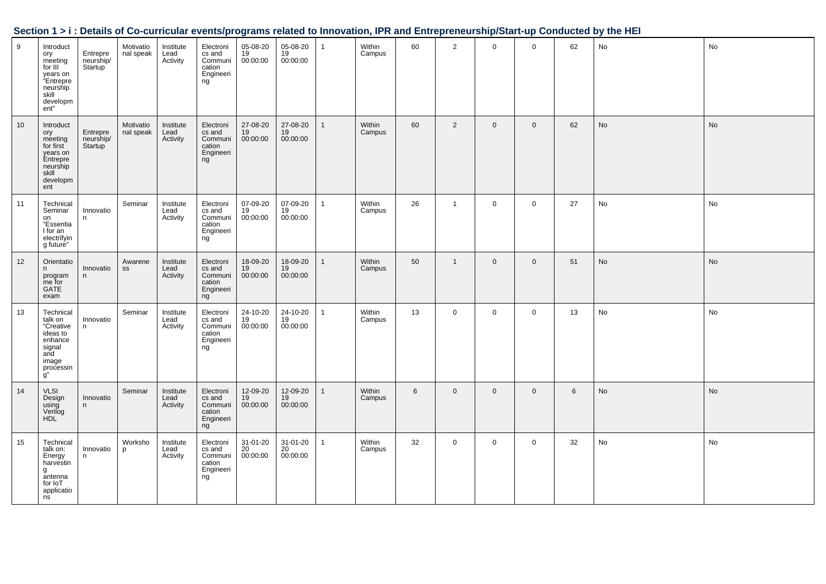| Section 1 > i : Details of Co-curricular events/programs related to Innovation, IPR and Entrepreneurship/Start-up Conducted by the HEI |  |
|----------------------------------------------------------------------------------------------------------------------------------------|--|
|                                                                                                                                        |  |

| 9  | Introduct<br>ory<br>meeting<br>for III<br>years on<br>"Entrepre<br>neurship<br>skill<br>developm<br>ent" | Entrepre<br>neurship/<br>Startup <sup>1</sup> | Motivatio<br>nal speak | Institute<br>Lead<br>Activity | Electroni<br>cs and<br>Communi<br>cation<br>Engineeri<br>ng | 05-08-20<br>19<br>00:00:00 | 05-08-20<br>19<br>00:00:00 | $\mathbf{1}$ | Within<br>Campus | 60 | $\overline{2}$ | $\mathbf 0$    | $\mathbf 0$  | 62 | No | No        |
|----|----------------------------------------------------------------------------------------------------------|-----------------------------------------------|------------------------|-------------------------------|-------------------------------------------------------------|----------------------------|----------------------------|--------------|------------------|----|----------------|----------------|--------------|----|----|-----------|
| 10 | Introduct<br>ory<br>meeting<br>for first<br>years on<br>Entrepre<br>neurship<br>skill<br>developm<br>ent | Entrepre<br>neurship/<br>Startup              | Motivatio<br>nal speak | Institute<br>Lead<br>Activity | Electroni<br>cs and<br>Communi<br>cation<br>Engineeri<br>ng | 27-08-20<br>19<br>00:00:00 | 27-08-20<br>19<br>00:00:00 | $\mathbf{1}$ | Within<br>Campus | 60 | $\overline{2}$ | $\overline{0}$ | $\mathbf 0$  | 62 | No | No        |
| 11 | Technical<br>Seminar<br>on<br>"Essentia<br>I for an<br>electrifyin<br>g future"                          | Innovatio<br>n.                               | Seminar                | Institute<br>Lead<br>Activity | Electroni<br>cs and<br>Communi<br>cation<br>Engineeri<br>ng | 07-09-20<br>19<br>00:00:00 | 07-09-20<br>19<br>00:00:00 | $\mathbf{1}$ | Within<br>Campus | 26 | $\mathbf{1}$   | $\mathbf 0$    | $\mathbf 0$  | 27 | No | No        |
| 12 | Orientatio<br>n<br>program<br>me for<br><b>GATE</b><br>exam                                              | Innovatio<br>n.                               | Awarene<br>SS          | Institute<br>Lead<br>Activity | Electroni<br>cs and<br>Communi<br>cation<br>Engineeri<br>ng | 18-09-20<br>19<br>00:00:00 | 18-09-20<br>19<br>00:00:00 | $\mathbf{1}$ | Within<br>Campus | 50 | $\overline{1}$ | $\mathbf{0}$   | $\mathbf 0$  | 51 | No | No        |
| 13 | Technical<br>talk on<br>"Creative<br>ideas to<br>enhance<br>signal<br>and<br>image<br>processin<br>g"    | Innovatio<br>n                                | Seminar                | Institute<br>Lead<br>Activity | Electroni<br>cs and<br>Communi<br>cation<br>Engineeri<br>ng | 24-10-20<br>19<br>00:00:00 | 24-10-20<br>19<br>00:00:00 | $\mathbf{1}$ | Within<br>Campus | 13 | $\mathbf 0$    | $\mathbf 0$    | $\mathbf 0$  | 13 | No | No        |
| 14 | <b>VLSI</b><br>Design<br>using<br>Verilog<br><b>HDL</b>                                                  | Innovatio<br>n                                | Seminar                | Institute<br>Lead<br>Activity | Electroni<br>cs and<br>Communi<br>cation<br>Engineeri<br>ng | 12-09-20<br>19<br>00:00:00 | 12-09-20<br>19<br>00:00:00 | 1            | Within<br>Campus | 6  | $\mathbf 0$    | $\mathbf 0$    | $\mathbf{0}$ | 6  | No | <b>No</b> |
| 15 | Technical<br>talk on:<br>Energy<br>harvestin<br>g<br>antenna<br>for IoT<br>applicatio<br>ns              | Innovatio<br>n                                | Worksho<br>p           | Institute<br>Lead<br>Activity | Electroni<br>cs and<br>Communi<br>cation<br>Engineeri<br>ng | 31-01-20<br>20<br>00:00:00 | 31-01-20<br>20<br>00:00:00 | $\mathbf{1}$ | Within<br>Campus | 32 | $\overline{0}$ | $\overline{0}$ | $\mathbf 0$  | 32 | No | No        |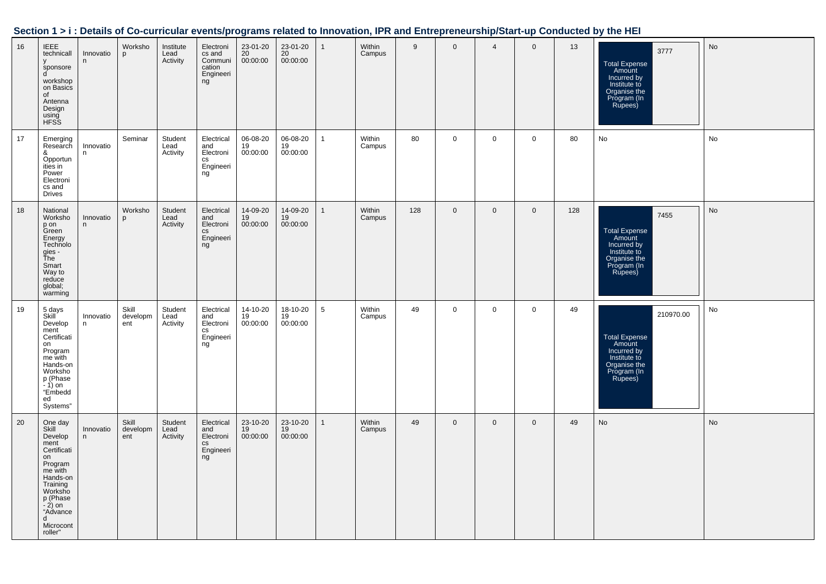| Section 1 > i : Details of Co-curricular events/programs related to Innovation, IPR and Entrepreneurship/Start-up Conducted by the HEI |  |  |  |
|----------------------------------------------------------------------------------------------------------------------------------------|--|--|--|
|                                                                                                                                        |  |  |  |

| 16 | <b>IEEE</b><br>technicall<br>sponsore<br>d<br>workshop<br>on Basics<br>of<br>Antenna<br>Design<br>using<br>HFSS                                                                     | Innovatio<br>n  | Worksho<br>p             | Institute<br>Lead<br>Activity | Electroni<br>cs and<br>Communi<br>cation<br>Engineeri<br>ng               | 23-01-20<br>20<br>00:00:00 | 23-01-20<br>20<br>00:00:00 | $\mathbf{1}$ | Within<br>Campus | 9   | $\mathbf 0$  | $\overline{4}$ | $\mathbf 0$    | 13  | 3777<br><b>Total Expense</b><br>Amount<br>Incurred by<br>Institute to<br>Organise the<br>Program (In<br>Rupees)      | No |
|----|-------------------------------------------------------------------------------------------------------------------------------------------------------------------------------------|-----------------|--------------------------|-------------------------------|---------------------------------------------------------------------------|----------------------------|----------------------------|--------------|------------------|-----|--------------|----------------|----------------|-----|----------------------------------------------------------------------------------------------------------------------|----|
| 17 | Emerging<br>Research<br>&<br>Opportun<br>ities in<br>Power<br>Electroni<br>cs and<br><b>Drives</b>                                                                                  | Innovatio<br>n  | Seminar                  | Student<br>Lead<br>Activity   | Electrical<br>and<br>Electroni<br>$\mathsf{CS}\xspace$<br>Engineeri<br>ng | 06-08-20<br>19<br>00:00:00 | 06-08-20<br>19<br>00:00:00 | $\mathbf{1}$ | Within<br>Campus | 80  | $\mathbf 0$  | $\overline{0}$ | $\mathbf 0$    | 80  | No                                                                                                                   | No |
| 18 | National<br>Worksho<br>p on<br>Green<br>Energy<br>Technolo<br>gies -<br>Ťhe<br>Smart<br>Way to<br>reduce<br>global;<br>warming                                                      | Innovatio<br>n  | Worksho<br>p             | Student<br>Lead<br>Activity   | Electrical<br>and<br>Electroni<br>cs<br>Engineeri<br>ng                   | 14-09-20<br>19<br>00:00:00 | 14-09-20<br>19<br>00:00:00 | $\mathbf{1}$ | Within<br>Campus | 128 | $\mathbf{0}$ | $\mathbf{0}$   | $\overline{0}$ | 128 | 7455<br><b>Total Expense</b><br>Amount<br>Incurred by<br>Institute to<br>Organise the<br>Program (In<br>Rupees)      | No |
| 19 | 5 days<br>Skill<br>Develop<br>ment<br>Certificati<br>on<br>Program<br>me with<br>Hands-on<br>Worksho<br>p (Phase<br>$-1$ ) on<br>"Embedd<br>ed<br>Systems"                          | Innovatio<br>n. | Skill<br>developm<br>ent | Student<br>Lead<br>Activity   | Electrical<br>and<br>Electroni<br>$\mathsf{CS}\xspace$<br>Engineeri<br>ng | 14-10-20<br>19<br>00:00:00 | 18-10-20<br>19<br>00:00:00 | 5            | Within<br>Campus | 49  | $\mathbf 0$  | $\mathbf 0$    | $\mathbf 0$    | 49  | 210970.00<br><b>Total Expense</b><br>Amount<br>Incurred by<br>Institute to<br>Organise the<br>Program (In<br>Rupees) | No |
| 20 | One day<br>Skill<br>Develop<br>ment<br>Certificati<br>on<br>Program<br>me with<br>Hands-on<br>Training<br>Worksho<br>p (Phase<br>$-2$ ) on<br>"Advance<br>d<br>Microcont<br>roller" | Innovatio<br>n  | Skill<br>developm<br>ent | Student<br>Lead<br>Activity   | Electrical<br>and<br>Electroni<br>$\mathtt{CS}$<br>Engineeri<br>ng        | 23-10-20<br>19<br>00:00:00 | 23-10-20<br>19<br>00:00:00 | $\mathbf{1}$ | Within<br>Campus | 49  | $\mathbf 0$  | $\mathbf 0$    | $\overline{0}$ | 49  | No                                                                                                                   | No |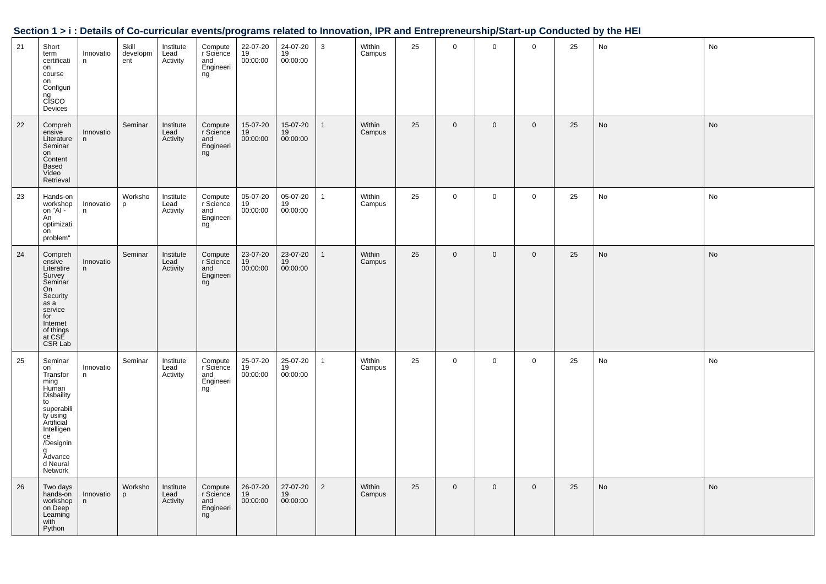| Section 1 > i : Details of Co-curricular events/programs related to Innovation, IPR and Entrepreneurship/Start-up Conducted by the HEI |  |
|----------------------------------------------------------------------------------------------------------------------------------------|--|
|                                                                                                                                        |  |

| 21 | Short<br>term<br>certificati<br>on<br>course<br>on<br>Configuri<br>ng<br>CISCO<br>Devices                                                                                             | Innovatio<br>n | Skill<br>developm<br>ent | Institute<br>Lead<br>Activity | Compute<br>r Science<br>and<br>Engineeri<br>ng | 22-07-20<br>19<br>00:00:00 | 24-07-20<br>19<br>00:00:00 | 3              | Within<br>Campus | 25 | 0           | $\mathbf 0$    | $\mathbf 0$ | 25 | No        | No |
|----|---------------------------------------------------------------------------------------------------------------------------------------------------------------------------------------|----------------|--------------------------|-------------------------------|------------------------------------------------|----------------------------|----------------------------|----------------|------------------|----|-------------|----------------|-------------|----|-----------|----|
| 22 | Compreh<br>ensive<br>Literature<br>Seminar<br>on<br>Content<br>Based<br>Video<br>Retrieval                                                                                            | Innovatio<br>n | Seminar                  | Institute<br>Lead<br>Activity | Compute<br>r Science<br>and<br>Engineeri<br>ng | 15-07-20<br>19<br>00:00:00 | 15-07-20<br>19<br>00:00:00 | $\mathbf{1}$   | Within<br>Campus | 25 | $\mathbf 0$ | $\mathbf 0$    | $\mathbf 0$ | 25 | <b>No</b> | No |
| 23 | Hands-on<br>workshop<br>on "Al -<br>An<br>optimizati<br>on<br>problem"                                                                                                                | Innovatio<br>n | Worksho<br>p             | Institute<br>Lead<br>Activity | Compute<br>r Science<br>and<br>Engineeri<br>ng | 05-07-20<br>19<br>00:00:00 | 05-07-20<br>19<br>00:00:00 | $\mathbf{1}$   | Within<br>Campus | 25 | $\mathbf 0$ | $\mathbf 0$    | $\mathsf 0$ | 25 | No        | No |
| 24 | Compreh<br>ensive<br>Literatire<br>Survey<br>Seminar<br>On<br>Security<br>as a<br>service<br>for<br>Internet<br>of things<br>at CSE<br>CSR Lab                                        | Innovatio<br>n | Seminar                  | Institute<br>Lead<br>Activity | Compute<br>r Science<br>and<br>Engineeri<br>ng | 23-07-20<br>19<br>00:00:00 | 23-07-20<br>19<br>00:00:00 | $\mathbf{1}$   | Within<br>Campus | 25 | $\mathbf 0$ | $\mathbf 0$    | $\mathsf 0$ | 25 | No        | No |
| 25 | Seminar<br>on<br>Transfor<br>ming<br>Human<br><b>Disbaility</b><br>to<br>superabili<br>ty using<br>Ártificial<br>Intelligen<br>ce<br>/Designin<br>g<br>Advance<br>d Neural<br>Network | Innovatio<br>n | Seminar                  | Institute<br>Lead<br>Activity | Compute<br>r Science<br>and<br>Engineeri<br>ng | 25-07-20<br>19<br>00:00:00 | 25-07-20<br>19<br>00:00:00 | $\mathbf{1}$   | Within<br>Campus | 25 | $\mathbf 0$ | $\mathbf 0$    | $\mathsf 0$ | 25 | No        | No |
| 26 | Two days<br>hands-on<br>workshop<br>on Deep<br>Learning<br>with<br>Python                                                                                                             | Innovatio<br>n | Worksho<br>p             | Institute<br>Lead<br>Activity | Compute<br>r Science<br>and<br>Engineeri<br>ng | 26-07-20<br>19<br>00:00:00 | 27-07-20<br>19<br>00:00:00 | $\overline{2}$ | Within<br>Campus | 25 | $\mathbf 0$ | $\overline{0}$ | $\mathbf 0$ | 25 | No        | No |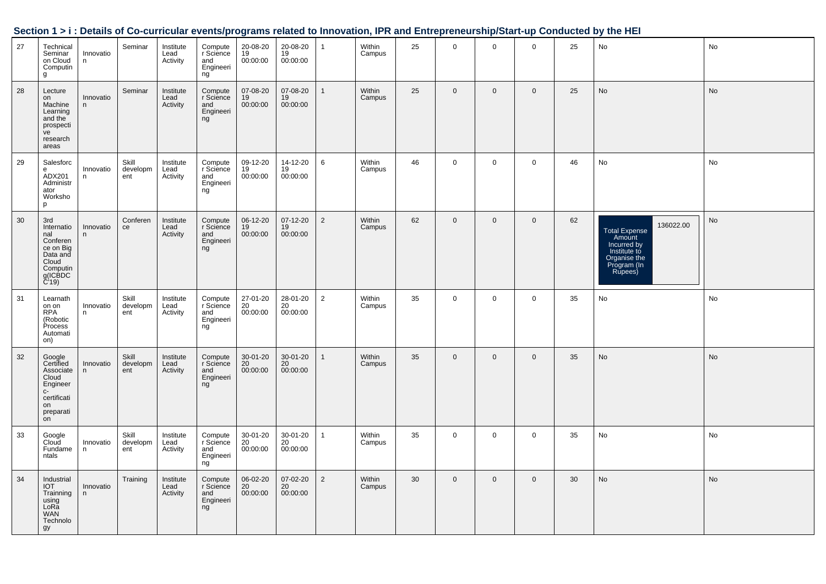|    |                                                                                                        |                 |                          |                               |                                                | ອະ                                   |                                         |                | ,                |    |              |              |                |    |                                                                                                                      |           |
|----|--------------------------------------------------------------------------------------------------------|-----------------|--------------------------|-------------------------------|------------------------------------------------|--------------------------------------|-----------------------------------------|----------------|------------------|----|--------------|--------------|----------------|----|----------------------------------------------------------------------------------------------------------------------|-----------|
| 27 | Technical<br>Seminar<br>on Cloud<br>Computin<br>g                                                      | Innovatio<br>n  | Seminar                  | Institute<br>Lead<br>Activity | Compute<br>r Science<br>and<br>Engineeri<br>ng | 20-08-20<br>19<br>00:00:00           | 20-08-20<br>19<br>00:00:00              | $\mathbf{1}$   | Within<br>Campus | 25 | $\mathbf 0$  | $\mathbf 0$  | $\mathbf 0$    | 25 | No                                                                                                                   | No        |
| 28 | Lecture<br>on<br>Machine<br>Learning<br>and the<br>prospecti<br>ve<br>research<br>areas                | Innovatio<br>n. | Seminar                  | Institute<br>Lead<br>Activity | Compute<br>r Science<br>and<br>Engineeri<br>ng | 07-08-20<br>19<br>00:00:00           | 07-08-20<br>19<br>00:00:00              | $\mathbf{1}$   | Within<br>Campus | 25 | $\mathbf 0$  | $\mathbf 0$  | $\overline{0}$ | 25 | No                                                                                                                   | No        |
| 29 | Salesforc<br>e<br>ADX201<br>Administr<br>ator<br>Worksho<br>p                                          | Innovatio<br>n  | Skill<br>developm<br>ent | Institute<br>Lead<br>Activity | Compute<br>r Science<br>and<br>Engineeri<br>ng | 09-12-20<br>$\frac{19}{19}$ 00:00:00 | 14-12-20<br>19<br>00:00:00              | 6              | Within<br>Campus | 46 | $\mathbf 0$  | $\mathbf 0$  | $\mathbf 0$    | 46 | No                                                                                                                   | No        |
| 30 | 3rd<br>Internatio<br>nal<br>Conferen<br>ce on Big<br>Data and<br>Cloud<br>Computin<br>g(ICBDC<br>C'19) | Innovatio<br>n  | Conferen<br>ce           | Institute<br>Lead<br>Activity | Compute<br>r Science<br>and<br>Engineeri<br>ng | 06-12-20<br>19<br>00:00:00           | 07-12-20<br>19<br>00:00:00              | 2              | Within<br>Campus | 62 | $\mathbf 0$  | $\mathbf 0$  | $\mathbf 0$    | 62 | 136022.00<br><b>Total Expense</b><br>Amount<br>Incurred by<br>Institute to<br>Organise the<br>Program (In<br>Rupees) | No        |
| 31 | Learnath<br>on on<br>RPA<br>(Robotic<br>Process<br>Automati<br>on)                                     | Innovatio<br>n  | Skill<br>developm<br>ent | Institute<br>Lead<br>Activity | Compute<br>r Science<br>and<br>Engineeri<br>ng | $27 - 01 - 20$<br>20<br>00:00:00     | 28-01-20<br>20<br>00:00:00              | $\overline{2}$ | Within<br>Campus | 35 | $\mathbf{0}$ | $\mathbf 0$  | $\overline{0}$ | 35 | No                                                                                                                   | No        |
| 32 | Google<br>Certified<br>Associate<br>Cloud<br>Engineer<br>C-<br>certificati<br>on<br>preparati<br>on    | Innovatio<br>n  | Skill<br>developm<br>ent | Institute<br>Lead<br>Activity | Compute<br>r Science<br>and<br>Engineeri<br>ng | 30-01-20<br>20<br>00:00:00           | 30-01-20<br>20 <sup>2</sup><br>00:00:00 | $\overline{1}$ | Within<br>Campus | 35 | $\mathbf 0$  | $\mathbf 0$  | $\overline{0}$ | 35 | No                                                                                                                   | <b>No</b> |
| 33 | Google<br>Cloud<br>Fundame<br>ntals                                                                    | Innovatio<br>n  | Skill<br>developm<br>ent | Institute<br>Lead<br>Activity | Compute<br>r Science<br>and<br>Engineeri<br>ng | 30-01-20<br>20<br>00:00:00           | 30-01-20<br>20<br>00:00:00              | $\overline{1}$ | Within<br>Campus | 35 | $\mathbf 0$  | $\mathbf 0$  | $\mathbf 0$    | 35 | No                                                                                                                   | No        |
| 34 | Industrial<br><b>IOT</b><br>Trainning<br>using<br>LoRă<br><b>WAN</b><br>Technolo<br>gy                 | Innovatio<br>n  | Training                 | Institute<br>Lead<br>Activity | Compute<br>r Science<br>and<br>Engineeri<br>ng | 06-02-20<br>20<br>00:00:00           | 07-02-20<br>20<br>00:00:00              | 2              | Within<br>Campus | 30 | $\mathbf 0$  | $\mathbf{0}$ | $\overline{0}$ | 30 | <b>No</b>                                                                                                            | No        |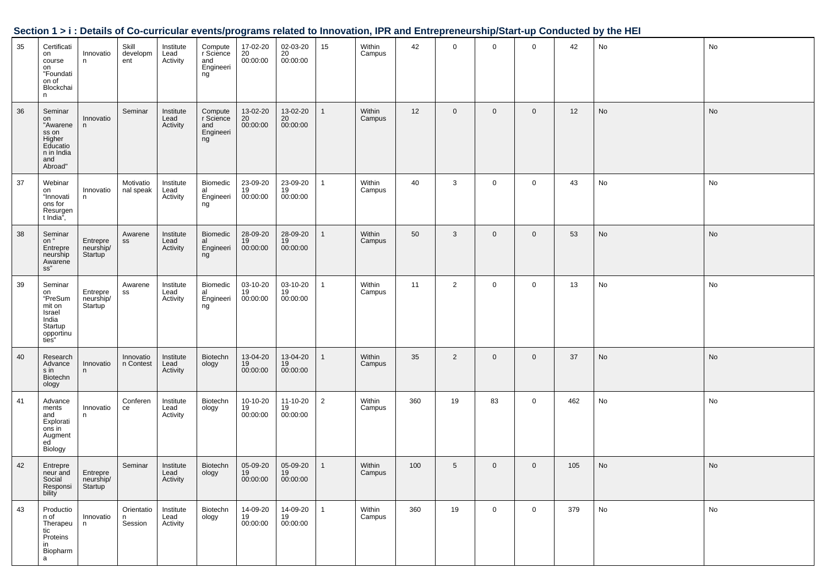| 35 | Certificati<br>on<br>course<br>on<br>"Foundati<br>on of<br>Blockchai<br>n                | Innovatio<br>n                   | Skill<br>developm<br>ent    | Institute<br>Lead<br>Activity | Compute<br>r Science<br>and<br>Engineeri<br>ng | 17-02-20<br>20<br>00:00:00     | 02-03-20<br>20<br>00:00:00 | 15             | Within<br>Campus | 42  | $\mathbf 0$     | $\mathbf{0}$ | $\mathbf 0$ | 42  | No                           | No |
|----|------------------------------------------------------------------------------------------|----------------------------------|-----------------------------|-------------------------------|------------------------------------------------|--------------------------------|----------------------------|----------------|------------------|-----|-----------------|--------------|-------------|-----|------------------------------|----|
| 36 | Seminar<br>on<br>"Awarene<br>ss on<br>Higher<br>Educatio<br>n in India<br>and<br>Abroad" | Innovatio<br>n                   | Seminar                     | Institute<br>Lead<br>Activity | Compute<br>r Science<br>and<br>Engineeri<br>ng | 13-02-20<br>20<br>00:00:00     | 13-02-20<br>20<br>00:00:00 | $\overline{1}$ | Within<br>Campus | 12  | $\mathbf 0$     | $\mathbf{0}$ | $\mathbf 0$ | 12  | $\operatorname{\mathsf{No}}$ | No |
| 37 | Webinar<br>on<br>"Innovati<br>ons for<br>Resurgen<br>t India",                           | Innovatio<br>n                   | Motivatio<br>nal speak      | Institute<br>Lead<br>Activity | Biomedic<br>Biomodio<br>al<br>Engineeri<br>ng  | $23-09-20$<br>$19$<br>00:00:00 | 23-09-20<br>19<br>00:00:00 | $\mathbf{1}$   | Within<br>Campus | 40  | 3               | $\mathbf 0$  | $\mathbf 0$ | 43  | No                           | No |
| 38 | Seminar<br>on "<br>Entrepre<br>neurship<br>Awarene<br>ss"                                | Entrepre<br>neurship/<br>Startup | Awarene<br>SS               | Institute<br>Lead<br>Activity | Biomedic<br>al<br>al<br>Engineeri<br>ng        | 28-09-20<br>19<br>00:00:00     | 28-09-20<br>19<br>00:00:00 | $\mathbf{1}$   | Within<br>Campus | 50  | $\mathbf{3}$    | $\mathbf 0$  | $\mathbf 0$ | 53  | No                           | No |
| 39 | Seminar<br>on<br>"PreSum<br>mit on<br>Israel<br>India<br>Startup<br>opportinu<br>ties"   | Entrepre<br>neurship/<br>Startup | Awarene<br>SS               | Institute<br>Lead<br>Activity | Biomedic<br>al<br>Engineeri<br>ng              | 03-10-20<br>19<br>00:00:00     | 03-10-20<br>19<br>00:00:00 | $\overline{1}$ | Within<br>Campus | 11  | $\overline{2}$  | $\mathbf{0}$ | $\mathbf 0$ | 13  | No                           | No |
| 40 | Research<br>Advance<br>s in<br>Biotechn<br>ology                                         | Innovatio<br>n                   | Innovatio<br>n Contest      | Institute<br>Lead<br>Activity | Biotechn<br>ology                              | 13-04-20<br>19<br>00:00:00     | 13-04-20<br>19<br>00:00:00 | $\overline{1}$ | Within<br>Campus | 35  | $\overline{2}$  | $\mathbf 0$  | $\mathbf 0$ | 37  | No                           | No |
| 41 | Advance<br>ments<br>and<br>Explorati<br>ons in<br>Augment<br>ed <sup>-</sup><br>Biology  | Innovatio<br>n                   | Conferen<br>ce              | Institute<br>Lead<br>Activity | Biotechn<br>ology                              | 10-10-20<br>19<br>00:00:00     | 11-10-20<br>19<br>00:00:00 | $\overline{2}$ | Within<br>Campus | 360 | 19              | 83           | $\mathbf 0$ | 462 | No                           | No |
| 42 | Entrepre<br>neur and   Entrepre<br>Social<br>Responsi<br>bility                          | neurship/<br>Startup             | Seminar                     | Institute<br>Lead<br>Activity | Biotechn<br>ology                              | 05-09-20<br>19<br>00:00:00     | 05-09-20<br>19<br>00:00:00 | $\mathbf{1}$   | Within<br>Campus | 100 | $5\phantom{.0}$ | $\mathbf 0$  | $\mathbf 0$ | 105 | No                           | No |
| 43 | Productio<br>n of<br>Therapeu<br>tic<br>Proteins<br>in<br>Biopharm<br>a                  | Innovatio<br>n                   | Orientatio<br>n.<br>Session | Institute<br>Lead<br>Activity | Biotechn<br>ology                              | 14-09-20<br>19<br>00:00:00     | 14-09-20<br>19<br>00:00:00 | $\mathbf{1}$   | Within<br>Campus | 360 | 19              | $\mathbf 0$  | $\mathbf 0$ | 379 | No                           | No |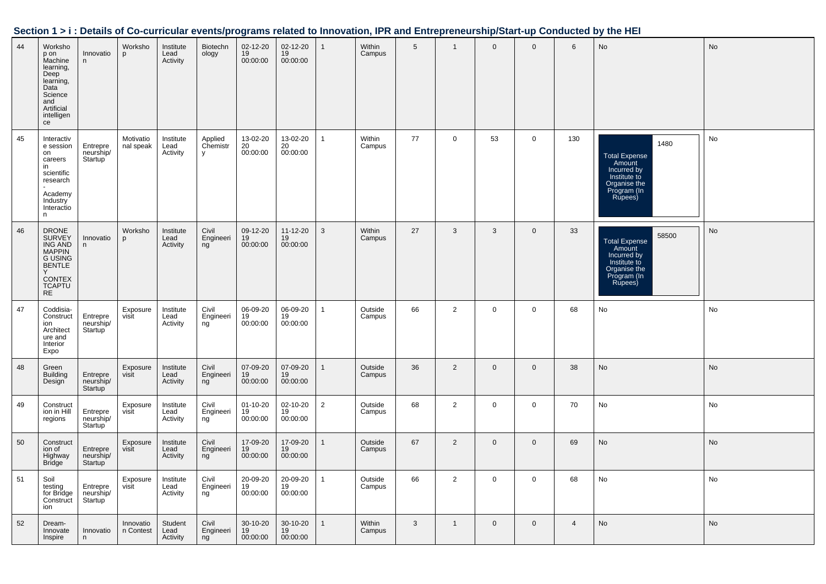| 44 | Worksho<br>p on<br>Machine<br>learning,<br>Deep<br>learning,<br>Data<br>Science<br>and<br>Artificial<br>intelligen<br>ce                    | Innovatio<br>n                                | Worksho<br>p           | Institute<br>Lead<br>Activity | Biotechn<br>ology        | 02-12-20<br>19<br>00:00:00       | 02-12-20<br>19<br>00:00:00       | $\mathbf{1}$ | Within<br>Campus  | $5\phantom{.0}$ | $\mathbf{1}$   | $\mathbf{0}$ | $\overline{0}$ | $6\phantom{1}$ | <b>No</b>                                                                                                        | No |
|----|---------------------------------------------------------------------------------------------------------------------------------------------|-----------------------------------------------|------------------------|-------------------------------|--------------------------|----------------------------------|----------------------------------|--------------|-------------------|-----------------|----------------|--------------|----------------|----------------|------------------------------------------------------------------------------------------------------------------|----|
| 45 | Interactiv<br>e session<br>on<br>careers<br>in<br>scientific<br>research<br>Academy<br>Industry<br>Interactio<br>n                          | Entrepre<br>neurship/<br>Startup              | Motivatio<br>nal speak | Institute<br>Lead<br>Activity | Applied<br>Chemistr<br>y | 13-02-20<br>20<br>00:00:00       | 13-02-20<br>20<br>00:00:00       | $\mathbf{1}$ | Within<br>Campus  | 77              | $\mathbf 0$    | 53           | $\mathbf 0$    | 130            | 1480<br><b>Total Expense</b><br>Amount<br>Incurred by<br>Institute to<br>Organise the<br>Program (In<br>Rupees)  | No |
| 46 | <b>DRONE</b><br><b>SURVEY</b><br>ING AND<br><b>MAPPIN</b><br><b>G USING</b><br><b>BENTLE</b><br><b>CONTEX</b><br><b>TCAPTU</b><br><b>RE</b> | Innovatio<br>n                                | Worksho<br>D           | Institute<br>Lead<br>Activity | Civil<br>Engineeri<br>ng | 09-12-20<br>19<br>00:00:00       | $11 - 12 - 20$<br>19<br>00:00:00 | 3            | Within<br>Campus  | 27              | $\mathbf{3}$   | 3            | $\Omega$       | 33             | 58500<br><b>Total Expense</b><br>Amount<br>Incurred by<br>Institute to<br>Organise the<br>Program (In<br>Rupees) | No |
| 47 | Coddisia-<br>Construct<br>ion<br>Architect<br>ure and<br>Interior<br>Expo                                                                   | Entrepre<br>neurship/<br>Startup <sup>1</sup> | Exposure<br>visit      | Institute<br>Lead<br>Activity | Civil<br>Engineeri<br>ng | 06-09-20<br>19<br>00:00:00       | 06-09-20<br>19<br>00:00:00       | $\mathbf{1}$ | Outside<br>Campus | 66              | $\overline{2}$ | $\mathbf 0$  | 0              | 68             | No                                                                                                               | No |
| 48 | Green<br><b>Building</b><br>Design                                                                                                          | Entrepre<br>neurship/<br>Startup              | Exposure<br>visit      | Institute<br>Lead<br>Activity | Civil<br>Engineeri<br>ng | 07-09-20<br>19<br>00:00:00       | 07-09-20<br>19<br>00:00:00       | $\mathbf{1}$ | Outside<br>Campus | 36              | 2              | $\mathbf 0$  | $\mathbf{0}$   | 38             | No                                                                                                               | No |
| 49 | Construct<br>ion in Hill<br>regions                                                                                                         | Entrepre<br>neurship/<br>Startup              | Exposure<br>visit      | Institute<br>Lead<br>Activity | Civil<br>Engineeri<br>ng | $01 - 10 - 20$<br>19<br>00:00:00 | 02-10-20<br>19<br>00:00:00       | 2            | Outside<br>Campus | 68              | 2              | $\mathbf 0$  | $\mathbf 0$    | 70             | No                                                                                                               | No |
| 50 | Construct<br>ion of<br>Highway<br><b>Bridge</b>                                                                                             | Entrepre<br>neurship/<br>Startup              | Exposure<br>visit      | Institute<br>Lead<br>Activity | Civil<br>Engineeri<br>ng | 17-09-20<br>19<br>00:00:00       | 17-09-20<br>19<br>00:00:00       | $\mathbf{1}$ | Outside<br>Campus | 67              | 2              | $\mathbf 0$  | $\mathbf{0}$   | 69             | <b>No</b>                                                                                                        | No |
| 51 | Soil<br>testing<br>for Bridge<br>Construct<br>ion                                                                                           | Entrepre<br>neurship/<br>Startup              | Exposure<br>visit      | Institute<br>Lead<br>Activity | Civil<br>Engineeri<br>ng | 20-09-20<br>19<br>00:00:00       | 20-09-20<br>19<br>00:00:00       | 1            | Outside<br>Campus | 66              | 2              | $\mathbf 0$  | 0              | 68             | No                                                                                                               | No |
| 52 | Dream-<br>Innovate<br>Inspire                                                                                                               | Innovatio<br>n                                | Innovatio<br>n Contest | Student<br>Lead<br>Activity   | Civil<br>Engineeri<br>ng | 30-10-20<br>19<br>00:00:00       | 30-10-20<br>19<br>00:00:00       | $\mathbf{1}$ | Within<br>Campus  | 3               | $\mathbf{1}$   | $\mathbf 0$  | $\mathbf 0$    | $\overline{4}$ | No                                                                                                               | No |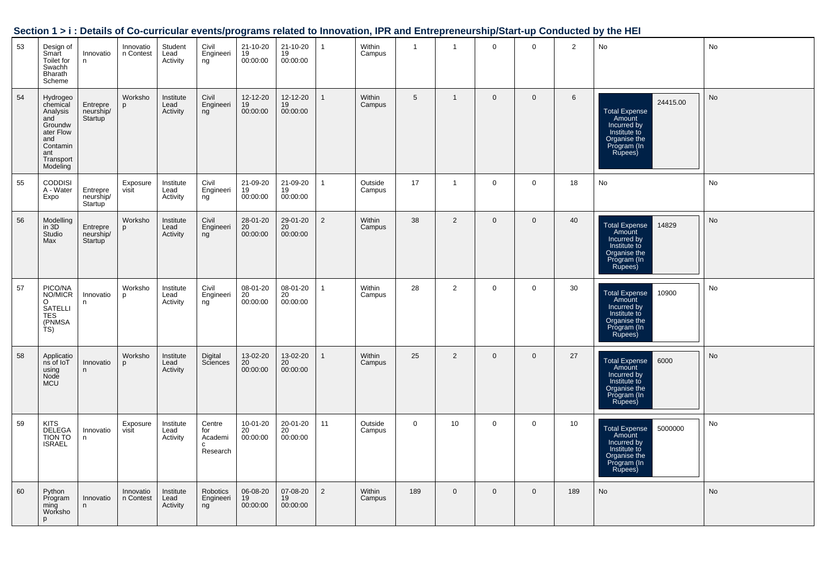| 53 | Design of<br>Smart<br>Toilet for<br>Swachh<br>Bharath<br>Scheme                                                                 | Innovatio<br>n                                | Innovatio<br>n Contest | Student<br>Lead<br>Activity   | Civil<br>Engineeri<br>ng                  | 21-10-20<br>19<br>00:00:00              | 21-10-20<br>19<br>00:00:00              | $\overline{1}$ | Within<br>Campus  | $\overline{1}$ | $\mathbf{1}$   | $\mathsf{O}$ | $\overline{0}$ | $\overline{2}$ | No                                                                                                                  | No |
|----|---------------------------------------------------------------------------------------------------------------------------------|-----------------------------------------------|------------------------|-------------------------------|-------------------------------------------|-----------------------------------------|-----------------------------------------|----------------|-------------------|----------------|----------------|--------------|----------------|----------------|---------------------------------------------------------------------------------------------------------------------|----|
| 54 | Hydrogeo<br>chemical<br>Criemical<br>Analysis<br>and<br>Groundw<br>ater Flow<br>and<br>Contamin<br>ant<br>Transport<br>Modeling | Entrepre<br>neurship/<br>Startup              | Worksho<br>p           | Institute<br>Lead<br>Activity | Civil<br>Engineeri<br>ng                  | 12-12-20<br>19<br>00:00:00              | 12-12-20<br>$19$<br>00:00:00            | $\mathbf{1}$   | Within<br>Campus  | 5              | $\mathbf{1}$   | $\mathbf 0$  | $\mathbf 0$    | 6              | 24415.00<br><b>Total Expense</b><br>Amount<br>Incurred by<br>Institute to<br>Organise the<br>Program (In<br>Rupees) | No |
| 55 | <b>CODDISI</b><br>A - Water<br>Expo                                                                                             | Entrepre<br>neurship/<br>Startup              | Exposure<br>visit      | Institute<br>Lead<br>Activity | Civil<br>Engineeri<br>ng                  | 21-09-20<br>19<br>00:00:00              | 21-09-20<br>$\frac{19}{19}$<br>00:00:00 | $\overline{1}$ | Outside<br>Campus | 17             | $\mathbf{1}$   | $\mathsf{O}$ | $\mathbf 0$    | 18             | No                                                                                                                  | No |
| 56 | Modelling<br>in 3D<br>Studio<br>Max                                                                                             | Entrepre<br>neurship/<br>Startup <sup>1</sup> | Worksho<br>p           | Institute<br>Lead<br>Activity | Civil<br>Engineeri<br>ng                  | 28-01-20<br>$20$<br>00:00:00            | 29-01-20<br>20<br>00:00:00              | $\overline{2}$ | Within<br>Campus  | 38             | $\overline{2}$ | $\mathbf 0$  | $\mathbf 0$    | 40             | Total Expense<br>Amount<br>Incurred by<br>Institute to<br>14829<br>Organise the<br>Program (In<br>Rupees)           | No |
| 57 | PICO/NA<br>NO/MICR<br>O<br>SATELLI<br>TES<br>(PNMSA<br>TS)                                                                      | Innovatio<br>n                                | Worksho<br>p           | Institute<br>Lead<br>Activity | Civil<br>Engineeri<br>ng                  | 08-01-20<br>20<br>00:00:00              | 08-01-20<br>$\frac{20}{20}$<br>00:00:00 | $\mathbf{1}$   | Within<br>Campus  | 28             | $\overline{2}$ | $\mathsf{O}$ | $\mathbf 0$    | 30             | Total Expense<br>Amount<br>Incurred by<br>Institute to<br>Organise the<br>Program (In<br>Rupees)<br>10900           | No |
| 58 | Applications of loT<br>using<br>Node<br>MCU                                                                                     | Innovatio<br>n                                | Worksho<br>p           | Institute<br>Lead<br>Activity | Digital<br>Sciences                       | 13-02-20<br>20<br>00:00:00              | 13-02-20<br>20<br>00:00:00              | $\mathbf{1}$   | Within<br>Campus  | 25             | $\overline{2}$ | $\mathbf 0$  | $\mathbf 0$    | 27             | 6000<br><b>Total Expense</b><br>Amount<br>Incurred by<br>Institute to<br>Organise the<br>Program (In<br>Rupees)     | No |
| 59 | KITS<br>DELEGA<br>TION TO<br>ISRAEL                                                                                             | Innovatio<br>n                                | Exposure<br>visit      | Institute<br>Lead<br>Activity | Centre<br>for<br>Academi<br>c<br>Research | 10-01-20<br>20 <sup>°</sup><br>00:00:00 | 20-01-20<br>20<br>00:00:00              | 11             | Outside<br>Campus | $\mathbf 0$    | 10             | $\mathsf{O}$ | $\mathbf 0$    | 10             | 5000000<br>Total Expense<br>Amount<br>Incurred by<br>Institute to<br>Organise the<br>Program (In<br>Rupees)         | No |
| 60 | Python<br>Program<br>ming<br>Worksho<br>p                                                                                       | Innovatio<br>n                                | Innovatio<br>n Contest | Institute<br>Lead<br>Activity | Robotics<br>Engineeri<br>ng               | 06-08-20<br>19<br>00:00:00              | 07-08-20<br>19<br>00:00:00              | 2              | Within<br>Campus  | 189            | $\mathbf 0$    | $\mathbf 0$  | $\mathbf 0$    | 189            | No                                                                                                                  | No |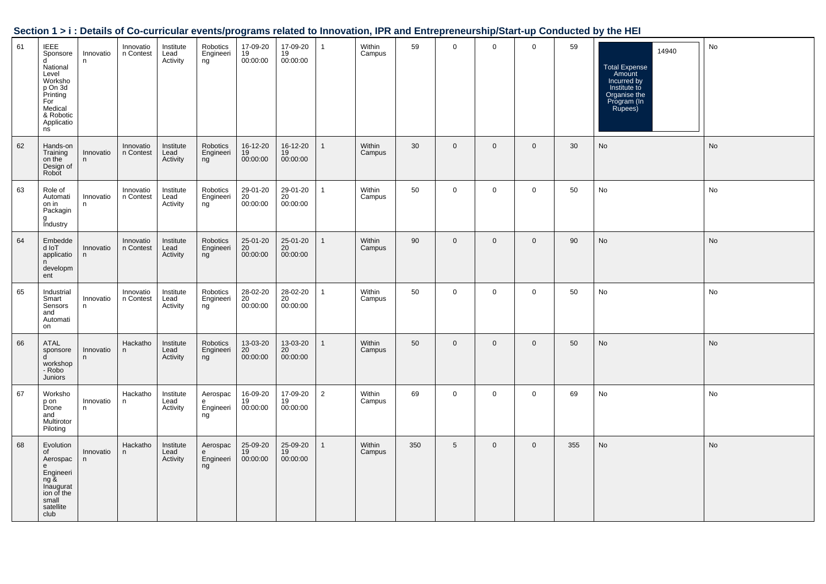| Section 1 > i : Details of Co-curricular events/programs related to Innovation, IPR and Entrepreneurship/Start-up Conducted by the HEI |  |  |
|----------------------------------------------------------------------------------------------------------------------------------------|--|--|
|                                                                                                                                        |  |  |

| 61 | <b>IEEE</b><br>Sponsore<br>d.<br>National<br>Level<br>Worksho<br>p On 3d<br>Printing<br>For<br>Medical<br>& Robotic<br>Applicatio<br>ns | Innovatio<br>n  | Innovatio<br>n Contest | Institute<br>Lead<br>Activity | Robotics<br>Engineeri<br>ng      | 17-09-20<br>$19$<br>00:00:00            | 17-09-20<br>19<br>00:00:00              | $\mathbf{1}$   | Within<br>Campus | 59  | 0           | $\mathbf 0$    | $\mathbf 0$  | 59  | 14940<br><b>Total Expense</b><br>Amount<br>Incurred by<br>Institute to<br>Organise the<br>Program (In<br>Rupees) | No        |
|----|-----------------------------------------------------------------------------------------------------------------------------------------|-----------------|------------------------|-------------------------------|----------------------------------|-----------------------------------------|-----------------------------------------|----------------|------------------|-----|-------------|----------------|--------------|-----|------------------------------------------------------------------------------------------------------------------|-----------|
| 62 | Hands-on<br>Training<br>on the<br>Design of<br>Robot                                                                                    | Innovatio<br>n  | Innovatio<br>n Contest | Institute<br>Lead<br>Activity | Robotics<br>Engineeri<br>ng      | 16-12-20<br>19<br>00:00:00              | 16-12-20<br>19<br>00:00:00              | $\mathbf{1}$   | Within<br>Campus | 30  | $\mathbf 0$ | $\overline{0}$ | $\mathbf{0}$ | 30  | No                                                                                                               | No        |
| 63 | Role of<br>Automati<br>on in<br>Packagin<br>a<br><b>Industry</b>                                                                        | Innovatio<br>n. | Innovatio<br>n Contest | Institute<br>Lead<br>Activity | Robotics<br>Engineeri<br>ng      | 29-01-20<br>20<br>00:00:00              | 29-01-20<br>20<br>00:00:00              | $\mathbf{1}$   | Within<br>Campus | 50  | $\mathbf 0$ | $\mathbf 0$    | $\mathbf 0$  | 50  | No                                                                                                               | No        |
| 64 | Embedde<br>Tol b<br>applicatio<br>n<br>developm<br>ent                                                                                  | Innovatio<br>n. | Innovatio<br>n Contest | Institute<br>Lead<br>Activity | Robotics<br>Engineeri<br>ng      | 25-01-20<br>20<br>00:00:00              | 25-01-20<br>20<br>00:00:00              | $\mathbf{1}$   | Within<br>Campus | 90  | $\mathbf 0$ | $\mathbf 0$    | $\mathbf{0}$ | 90  | No                                                                                                               | No        |
| 65 | Industrial<br>Smart<br>Sensors<br>and<br>Automati<br>on                                                                                 | Innovatio<br>n  | Innovatio<br>n Contest | Institute<br>Lead<br>Activity | Robotics<br>Engineeri<br>ng      | 28-02-20<br>$\overline{20}$<br>00:00:00 | 28-02-20<br>20 <sup>°</sup><br>00:00:00 | $\mathbf{1}$   | Within<br>Campus | 50  | $\mathbf 0$ | $\mathbf 0$    | $\mathsf 0$  | 50  | No                                                                                                               | No        |
| 66 | ATAL<br>sponsore<br><sub>d</sub><br>workshop<br>- Robo<br><b>Juniors</b>                                                                | Innovatio<br>n. | Hackatho<br>n          | Institute<br>Lead<br>Activity | Robotics<br>Engineeri<br>ng      | 13-03-20<br>20<br>00:00:00              | 13-03-20<br>20<br>00:00:00              | $\mathbf{1}$   | Within<br>Campus | 50  | $\mathbf 0$ | $\mathbf{0}$   | $\mathbf{0}$ | 50  | No                                                                                                               | <b>No</b> |
| 67 | Worksho<br>p on<br>Drone<br>and<br>Multirotor<br>Piloting                                                                               | Innovatio<br>n  | Hackatho<br>n          | Institute<br>Lead<br>Activity | Aerospac<br>e<br>Engineeri<br>ng | 16-09-20<br>19<br>00:00:00              | 17-09-20<br>19<br>00:00:00              | $\overline{2}$ | Within<br>Campus | 69  | $\mathbf 0$ | $\mathbf 0$    | $\mathbf 0$  | 69  | No                                                                                                               | No        |
| 68 | Evolution<br>of<br>Aerospac<br>e<br>Engineeri<br>ng &<br>Inaugurat<br>ion of the<br>small<br>satellite<br>club                          | Innovatio<br>n  | Hackatho<br>n.         | Institute<br>Lead<br>Activity | Aerospac<br>e<br>Engineeri<br>ng | 25-09-20<br>19<br>00:00:00              | 25-09-20<br>19<br>00:00:00              | $\mathbf{1}$   | Within<br>Campus | 350 | 5           | $\mathbf 0$    | $\mathbf{0}$ | 355 | No                                                                                                               | No        |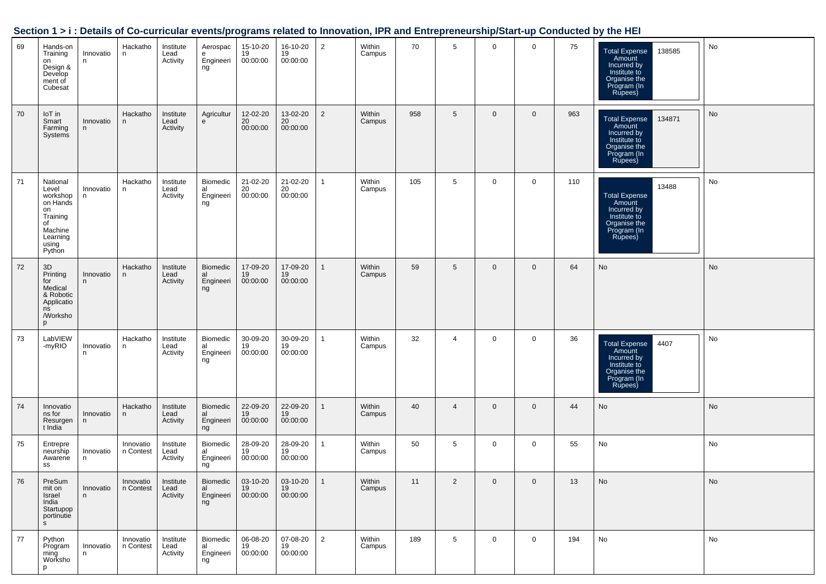|    |                                                                                                             |                 |                        |                               |                                          |                            |                            |                |                  |     |                 |             |                |     | $\cdots$ $\cdots$                                                                                                 |    |
|----|-------------------------------------------------------------------------------------------------------------|-----------------|------------------------|-------------------------------|------------------------------------------|----------------------------|----------------------------|----------------|------------------|-----|-----------------|-------------|----------------|-----|-------------------------------------------------------------------------------------------------------------------|----|
| 69 | Hands-on<br>Training<br>on<br>Design &<br>Develop<br>ment of<br>Cubesat                                     | Innovatio<br>n  | Hackatho<br>n          | Institute<br>Lead<br>Activity | Aerospac<br>e<br>Engineeri<br>ng         | 15-10-20<br>19<br>00:00:00 | 16-10-20<br>19<br>00:00:00 | $\overline{2}$ | Within<br>Campus | 70  | 5               | $\mathbf 0$ | $\mathbf 0$    | 75  | 138585<br><b>Total Expense</b><br>Amount<br>Incurred by<br>Institute to<br>Organise the<br>Program (In<br>Rupees) | No |
| 70 | IoT in<br>Smart<br>Farming<br>Systems                                                                       | Innovatio<br>n  | Hackatho<br>n.         | Institute<br>Lead<br>Activity | Agricultur<br>e                          | 12-02-20<br>20<br>00:00:00 | 13-02-20<br>20<br>00:00:00 | 2              | Within<br>Campus | 958 | $5\phantom{.0}$ | $\mathbf 0$ | $\mathbf 0$    | 963 | 134871<br><b>Total Expense</b><br>Amount<br>Incurred by<br>Institute to<br>Organise the<br>Program (In<br>Rupees) | No |
| 71 | National<br>Level<br>workshop<br>on Hands<br>on<br>Training<br>of<br>Machine<br>Learning<br>using<br>Python | Innovatio<br>n  | Hackatho<br>n          | Institute<br>Lead<br>Activity | Biomedic<br>al<br>Engineeri<br>ng        | 21-02-20<br>20<br>00:00:00 | 21-02-20<br>20<br>00:00:00 | $\overline{1}$ | Within<br>Campus | 105 | 5               | $\mathbf 0$ | $\mathbf{0}$   | 110 | 13488<br><b>Total Expense</b><br>Amount<br>Incurred by<br>Institute to<br>Organise the<br>Program (In<br>Rupees)  | No |
| 72 | 3D<br>Printing<br>for<br>Medical<br>& Robotic<br>Applicatio<br>ns<br>/Worksho<br>p                          | Innovatio<br>n  | Hackatho<br>n          | Institute<br>Lead<br>Activity | <b>Biomedic</b><br>al<br>Engineeri<br>ng | 17-09-20<br>19<br>00:00:00 | 17-09-20<br>19<br>00:00:00 | $\mathbf{1}$   | Within<br>Campus | 59  | $5\overline{)}$ | $\mathbf 0$ | $\mathbf 0$    | 64  | No                                                                                                                | No |
| 73 | LabVIEW<br>-myRIO                                                                                           | Innovatio<br>n. | Hackatho<br>n          | Institute<br>Lead<br>Activity | Biomedic<br>al<br>Engineeri<br>ng        | 30-09-20<br>19<br>00:00:00 | 30-09-20<br>19<br>00:00:00 | $\mathbf{1}$   | Within<br>Campus | 32  | 4               | $\mathbf 0$ | $\mathbf 0$    | 36  | 4407<br><b>Total Expense</b><br>Amount<br>Incurred by<br>Institute to<br>Organise the<br>Program (In<br>Rupees)   | No |
| 74 | Innovatio<br>ns for<br>Resurgen<br>t India                                                                  | Innovatio<br>n  | Hackatho<br>n          | Institute<br>Lead<br>Activity | Biomedic<br>al<br>Engineeri<br>ng        | 22-09-20<br>19<br>00:00:00 | 22-09-20<br>19<br>00:00:00 | $\mathbf{1}$   | Within<br>Campus | 40  | $\overline{4}$  | $\mathbf 0$ | $\mathbf 0$    | 44  | No                                                                                                                | No |
| 75 | Entrepre<br>neurship<br>Awarene<br>SS                                                                       | Innovatio<br>n  | Innovatio<br>n Contest | Institute<br>Lead<br>Activity | Biomedic<br>al<br>Engineeri<br>ng        | 28-09-20<br>19<br>00:00:00 | 28-09-20<br>19<br>00:00:00 | $\mathbf{1}$   | Within<br>Campus | 50  | $5\phantom{.0}$ | 0           | 0              | 55  | No                                                                                                                | No |
| 76 | PreSum<br>mit on<br>Israel<br>India<br>Startupop<br>portinutie<br>S                                         | Innovatio<br>n  | Innovatio<br>n Contest | Institute<br>Lead<br>Activity | Biomedic<br>al<br>Engineeri<br>ng        | 03-10-20<br>19<br>00:00:00 | 03-10-20<br>19<br>00:00:00 | $\mathbf{1}$   | Within<br>Campus | 11  | $\overline{2}$  | $\mathbf 0$ | $\overline{0}$ | 13  | No                                                                                                                | No |
| 77 | Python<br>Program<br>ming<br>Worksho<br>D                                                                   | Innovatio<br>n  | Innovatio<br>n Contest | Institute<br>Lead<br>Activity | Biomedic<br>al<br>Engineeri<br>ng        | 06-08-20<br>19<br>00:00:00 | 07-08-20<br>19<br>00:00:00 | $\overline{2}$ | Within<br>Campus | 189 | 5               | $\mathbf 0$ | $\mathbf 0$    | 194 | No                                                                                                                | No |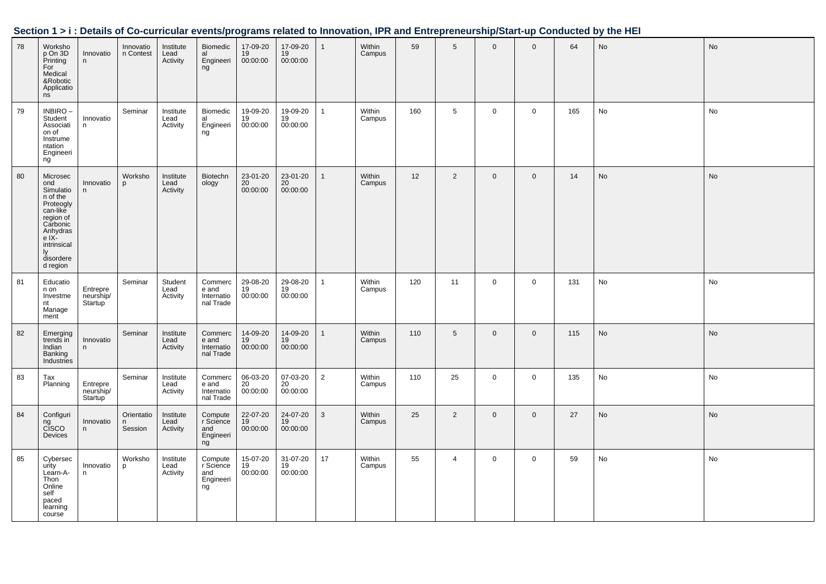|    |                                                                                                                                                               |                                  |                        |                               |                                                |                              |                            |                |                  |     |                |                |              |     | Section 1 > i : Details of Co-curricular events/programs related to Innovation, IPR and Entrepreneurship/Start-up Conducted by the HEI |           |
|----|---------------------------------------------------------------------------------------------------------------------------------------------------------------|----------------------------------|------------------------|-------------------------------|------------------------------------------------|------------------------------|----------------------------|----------------|------------------|-----|----------------|----------------|--------------|-----|----------------------------------------------------------------------------------------------------------------------------------------|-----------|
| 78 | Worksho<br>p On 3D<br>Printing<br>For<br>Medical<br>&Robotic<br>Applications                                                                                  | Innovatio<br>n                   | Innovatio<br>n Contest | Institute<br>Lead<br>Activity | Biomedic<br>al<br>Engineeri<br>ng              | 17-09-20<br>19<br>00:00:00   | 17-09-20<br>19<br>00:00:00 | $\mathbf{1}$   | Within<br>Campus | 59  | 5              | $\overline{0}$ | $\Omega$     | 64  | <b>No</b>                                                                                                                              | No        |
| 79 | INBIRO-<br>Student<br>Associati<br>on of<br>Instrume<br>ntation<br>Engineeri<br>ng                                                                            | Innovatio<br>n                   | Seminar                | Institute<br>Lead<br>Activity | Biomedic<br>al<br>Engineeri<br>ng              | 19-09-20<br>19<br>00:00:00   | 19-09-20<br>19<br>00:00:00 | $\mathbf{1}$   | Within<br>Campus | 160 | 5              | $\overline{0}$ | $\mathbf 0$  | 165 | No                                                                                                                                     | No        |
| 80 | Microsec<br>ond<br>Simulatio<br>n of the<br>Proteogly<br>can-like<br>region of<br>Carbonic<br>Anhydras<br>e IX-<br>intrinsical<br>ly<br>disordere<br>d region | Innovatio<br>n                   | Worksho<br>p           | Institute<br>Lead<br>Activity | Biotechn<br>ology                              | 23-01-20<br>20<br>00:00:00   | 23-01-20<br>20<br>00:00:00 | $\mathbf{1}$   | Within<br>Campus | 12  | $\overline{2}$ | $\mathbf{0}$   | $\mathbf 0$  | 14  | <b>No</b>                                                                                                                              | <b>No</b> |
| 81 | Educatio<br>n on<br>Investme<br>nt<br>Manage<br>ment                                                                                                          | Entrepre<br>neurship/<br>Startup | Seminar                | Student<br>Lead<br>Activity   | Commerc<br>e and<br>Internatio<br>nal Trade    | 29-08-20<br>19<br>00:00:00   | 29-08-20<br>19<br>00:00:00 | $\mathbf{1}$   | Within<br>Campus | 120 | 11             | $\mathbf 0$    | $\mathbf 0$  | 131 | No                                                                                                                                     | No        |
| 82 | Emerging<br>trends in<br>Indian<br>Banking<br>Industries                                                                                                      | Innovatio<br>n                   | Seminar                | Institute<br>Lead<br>Activity | Commerc<br>e and<br>Internatio<br>nal Trade    | 14-09-20<br>$19$<br>00:00:00 | 14-09-20<br>19<br>00:00:00 | $\mathbf{1}$   | Within<br>Campus | 110 | 5              | $\mathbf 0$    | $\mathbf{0}$ | 115 | <b>No</b>                                                                                                                              | <b>No</b> |
| 83 | Tax<br>Planning                                                                                                                                               | Entrepre<br>neurship/<br>Startup | Seminar                | Institute<br>Lead<br>Activity | Commerc<br>e and<br>Internatio<br>nal Trade    | 06-03-20<br>20<br>00:00:00   | 07-03-20<br>20<br>00:00:00 | $\overline{2}$ | Within<br>Campus | 110 | 25             | $\overline{0}$ | $\mathbf 0$  | 135 | No                                                                                                                                     | No        |
| 84 | Configuri<br>ng<br>CISCO<br>Devices                                                                                                                           | Innovatio<br>n                   | Orientatio<br>Session  | Institute<br>Lead<br>Activity | Compute<br>r Science<br>and<br>Engineeri<br>ng | 22-07-20<br>19<br>00:00:00   | 24-07-20<br>19<br>00:00:00 | 3              | Within<br>Campus | 25  | $\overline{2}$ | $\mathbf 0$    | $\mathbf{0}$ | 27  | No                                                                                                                                     | No        |
| 85 | Cybersec<br>urity<br>Learn-A-<br>Thon<br>Online<br>self<br>paced<br>learning<br>course                                                                        | Innovatio<br>n                   | Worksho<br>p           | Institute<br>Lead<br>Activity | Compute<br>r Science<br>and<br>Engineeri<br>ng | 15-07-20<br>19<br>00:00:00   | 31-07-20<br>19<br>00:00:00 | 17             | Within<br>Campus | 55  | $\overline{4}$ | $\mathbf 0$    | $\mathbf 0$  | 59  | No                                                                                                                                     | No        |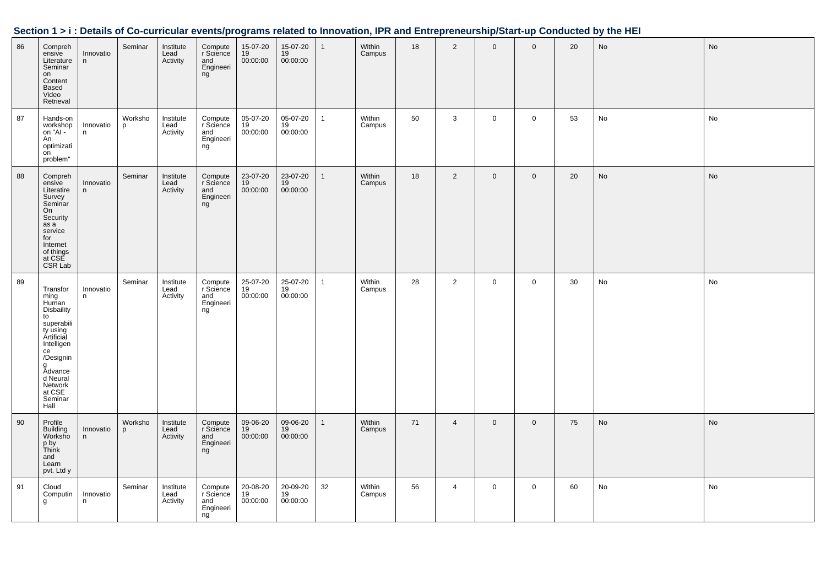| 86 | Compreh<br>ensive<br>Literature<br>Seminar<br>on<br>Content<br>Based<br>Video<br>Retrieval                                                                                                        | Innovatio<br>n | Seminar      | Institute<br>Lead<br>Activity | Compute<br>r Science<br>and<br>Engineeri<br>ng | 15-07-20<br>19<br>00:00:00 | 15-07-20<br>19<br>00:00:00 | $\overline{1}$ | Within<br>Campus | 18 | $\overline{2}$ | $\mathbf 0$ | $\mathbf 0$    | 20 | No | No |
|----|---------------------------------------------------------------------------------------------------------------------------------------------------------------------------------------------------|----------------|--------------|-------------------------------|------------------------------------------------|----------------------------|----------------------------|----------------|------------------|----|----------------|-------------|----------------|----|----|----|
| 87 | Hands-on<br>workshop<br>on "Al -<br>An<br>optimizati<br>on<br>problem"                                                                                                                            | Innovatio<br>n | Worksho<br>p | Institute<br>Lead<br>Activity | Compute<br>r Science<br>and<br>Engineeri<br>ng | 05-07-20<br>19<br>00:00:00 | 05-07-20<br>19<br>00:00:00 | $\overline{1}$ | Within<br>Campus | 50 | 3              | $\mathbf 0$ | $\overline{0}$ | 53 | No | No |
| 88 | Compreh<br>ensive<br>Literatire<br>Survey<br>Seminar<br>On<br>Security<br>as a<br>service<br>for<br>Internet<br>of things<br>at CSE<br>CSR Lab                                                    | Innovatio<br>n | Seminar      | Institute<br>Lead<br>Activity | Compute<br>r Science<br>and<br>Engineeri<br>ng | 23-07-20<br>19<br>00:00:00 | 23-07-20<br>19<br>00:00:00 | $\mathbf{1}$   | Within<br>Campus | 18 | $\overline{2}$ | $\mathbf 0$ | $\overline{0}$ | 20 | No | No |
| 89 | Transfor<br>ming<br>Human<br><b>Disbaility</b><br>to<br>superabili<br>ty using<br>Ártificial<br>Intelligen<br>ce<br>/Designin<br>g<br>Advance<br>d Neural<br>Network<br>at CSE<br>Seminar<br>Hall | Innovatio<br>n | Seminar      | Institute<br>Lead<br>Activity | Compute<br>r Science<br>and<br>Engineeri<br>ng | 25-07-20<br>19<br>00:00:00 | 25-07-20<br>19<br>00:00:00 | -1             | Within<br>Campus | 28 | 2              | $\mathbf 0$ | $\overline{0}$ | 30 | No | No |
| 90 | Profile<br><b>Building</b><br>Worksho<br>p by<br>Think<br>and<br>Learn<br>pvt. Ltd y                                                                                                              | Innovatio<br>n | Worksho<br>p | Institute<br>Lead<br>Activity | Compute<br>r Science<br>and<br>Engineeri<br>ng | 09-06-20<br>19<br>00:00:00 | 09-06-20<br>19<br>00:00:00 | $\overline{1}$ | Within<br>Campus | 71 | $\overline{4}$ | $\mathbf 0$ | $\overline{0}$ | 75 | No | No |
| 91 | Cloud<br>Computin<br>g                                                                                                                                                                            | Innovatio<br>n | Seminar      | Institute<br>Lead<br>Activity | Compute<br>r Science<br>and<br>Engineeri<br>ng | 20-08-20<br>19<br>00:00:00 | 20-09-20<br>19<br>00:00:00 | 32             | Within<br>Campus | 56 | $\overline{4}$ | $\mathsf 0$ | $\overline{0}$ | 60 | No | No |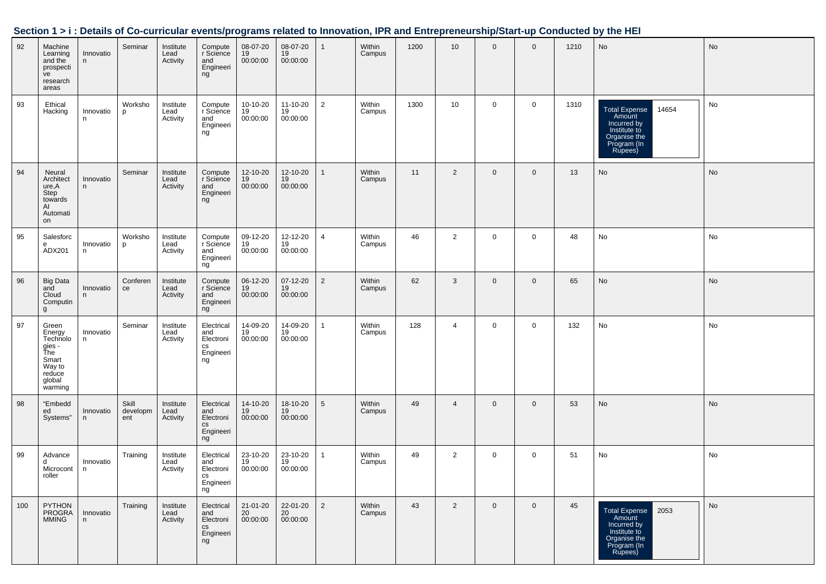|     | ,,,,,,,                                                                                        | potano         |                          |                               |                                                         |                            |                                      |                 |                  |      |                |                |                |      | or oo carnoolar cyclito/programs related to illiforation, if it and Entroprenearship otart ap conducted by the nET |    |
|-----|------------------------------------------------------------------------------------------------|----------------|--------------------------|-------------------------------|---------------------------------------------------------|----------------------------|--------------------------------------|-----------------|------------------|------|----------------|----------------|----------------|------|--------------------------------------------------------------------------------------------------------------------|----|
| 92  | Machine<br>Learning<br>and the<br>prospecti<br>ve<br>research<br>areas                         | Innovatio<br>n | Seminar                  | Institute<br>Lead<br>Activity | Compute<br>r Science<br>and<br>Engineeri<br>ng          | 08-07-20<br>19<br>00:00:00 | 08-07-20<br>19<br>00:00:00           | $\mathbf{1}$    | Within<br>Campus | 1200 | 10             | $\overline{0}$ | $\mathbf 0$    | 1210 | No                                                                                                                 | No |
| 93  | Ethical<br>Hacking                                                                             | Innovatio<br>n | Worksho<br>p             | Institute<br>Lead<br>Activity | Compute<br>r Science<br>and<br>Engineeri<br>ng          | 10-10-20<br>19<br>00:00:00 | 11-10-20<br>19<br>00:00:00           | $\overline{2}$  | Within<br>Campus | 1300 | 10             | 0              | $\mathbf 0$    | 1310 | 14654<br>Total Expense<br>Amount<br>Incurred by<br>Institute to<br>Organise the<br>Program (In<br>Rupees)          | No |
| 94  | Neural<br>Architect<br>ure,A<br>Step<br>towards<br>AI<br>Automati<br>on                        | Innovatio<br>n | Seminar                  | Institute<br>Lead<br>Activity | Compute<br>r Science<br>and<br>Engineeri<br>ng          | 12-10-20<br>19<br>00:00:00 | 12-10-20<br>19<br>00:00:00           | $\mathbf{1}$    | Within<br>Campus | 11   | $\overline{2}$ | $\overline{0}$ | $\mathbf 0$    | 13   | No                                                                                                                 | No |
| 95  | Salesforc<br>e<br>ADX201                                                                       | Innovatio<br>n | Worksho<br>p             | Institute<br>Lead<br>Activity | Compute<br>r Science<br>and<br>Engineeri<br>ng          | 09-12-20<br>19<br>00:00:00 | 12-12-20<br>19<br>00:00:00           | $\overline{4}$  | Within<br>Campus | 46   | $\overline{2}$ | $\mathbf 0$    | $\mathbf 0$    | 48   | No                                                                                                                 | No |
| 96  | Big Data<br>and<br>Cloud<br>Computin<br>g                                                      | Innovatio<br>n | Conferen<br>ce           | Institute<br>Lead<br>Activity | Compute<br>r Science<br>and<br>Engineeri<br>ng          | 06-12-20<br>19<br>00:00:00 | 07-12-20<br>$\frac{19}{19}$ 00:00:00 | $\overline{2}$  | Within<br>Campus | 62   | 3              | $\mathbf 0$    | $\mathbf 0$    | 65   | No                                                                                                                 | No |
| 97  | Green<br>Energy<br>Technolo<br>gies -<br>The<br>Smart<br>Way to<br>reduce<br>global<br>warming | Innovatio<br>n | Seminar                  | Institute<br>Lead<br>Activity | Electrical<br>and<br>Electroni<br>cs<br>Engineeri<br>ng | 14-09-20<br>19<br>00:00:00 | 14-09-20<br>19<br>00:00:00           | $\mathbf{1}$    | Within<br>Campus | 128  | $\overline{4}$ | $\mathbf 0$    | $\mathsf 0$    | 132  | No                                                                                                                 | No |
| 98  | "Embedd<br>ed<br>Systems"                                                                      | Innovatio<br>n | Skill<br>developm<br>ent | Institute<br>Lead<br>Activity | Electrical<br>and<br>Electroni<br>CS<br>Engineeri<br>ng | 14-10-20<br>19<br>00:00:00 | 18-10-20<br>19<br>00:00:00           | $5\overline{)}$ | Within<br>Campus | 49   | 4              | $\mathbf 0$    | $\mathbf 0$    | 53   | No                                                                                                                 | No |
| 99  | Advance<br>d<br>Microcont   n<br>roller                                                        | Innovatio      | Training                 | Institute<br>Lead<br>Activity | Electrical<br>and<br>Electroni<br>cs<br>Engineeri<br>ng | 23-10-20<br>19<br>00:00:00 | 23-10-20<br>19<br>00:00:00           | $\mathbf{1}$    | Within<br>Campus | 49   | $\overline{2}$ | $\mathbf 0$    | $\mathbf 0$    | 51   | No                                                                                                                 | No |
| 100 | PYTHON<br>PROGRA<br><b>MMING</b>                                                               | Innovatio<br>n | Training                 | Institute<br>Lead<br>Activity | Electrical<br>and<br>Electroni<br>cs<br>Engineeri<br>ng | 21-01-20<br>20<br>00:00:00 | 22-01-20<br>20<br>00:00:00           | $\overline{2}$  | Within<br>Campus | 43   | $\overline{2}$ | $\mathbf{0}$   | $\overline{0}$ | 45   | <b>Total Expense</b><br>2053<br>Amount<br>Incurred by<br>Institute to<br>Organise the<br>Program (In<br>Rupees)    | No |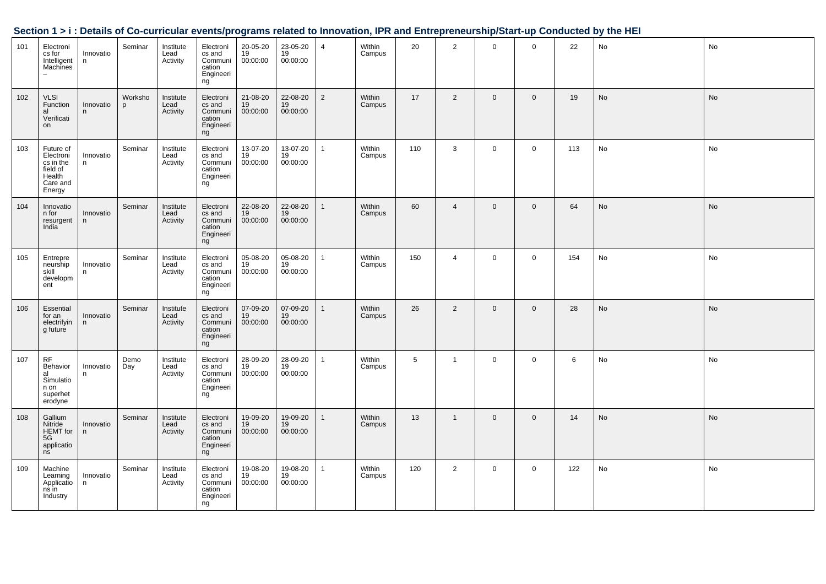|     |                                                                                 |                |                         |                               |                                                             |                                         |                            |                |                  |                 |                |                |             |     | occupii i z i . Detano or oo-cameanar eventojprogramo relatea to mnovation, ir it and Entreprenearonprotari-ap oonducted by the riEr |           |
|-----|---------------------------------------------------------------------------------|----------------|-------------------------|-------------------------------|-------------------------------------------------------------|-----------------------------------------|----------------------------|----------------|------------------|-----------------|----------------|----------------|-------------|-----|--------------------------------------------------------------------------------------------------------------------------------------|-----------|
| 101 | Electroni<br>cs for<br>Intelligent<br>Machines                                  | Innovatio<br>n | Seminar                 | Institute<br>Lead<br>Activity | Electroni<br>cs and<br>Communi<br>cation<br>Engineeri<br>ng | 20-05-20<br>19<br>00:00:00              | 23-05-20<br>19<br>00:00:00 | $\overline{4}$ | Within<br>Campus | 20              | $\overline{2}$ | $\mathbf 0$    | $\mathbf 0$ | 22  | No                                                                                                                                   | No        |
| 102 | <b>VLSI</b><br>Function<br>al<br>Verificati<br>on                               | Innovatio<br>n | Worksho<br><sub>p</sub> | Institute<br>Lead<br>Activity | Electroni<br>cs and<br>Communi<br>cation<br>Engineeri<br>ng | 21-08-20<br>19<br>00:00:00              | 22-08-20<br>19<br>00:00:00 | $\overline{2}$ | Within<br>Campus | 17              | 2              | $\overline{0}$ | $\mathbf 0$ | 19  | No                                                                                                                                   | No        |
| 103 | Future of<br>Electroni<br>cs in the<br>field of<br>Health<br>Care and<br>Energy | Innovatio<br>n | Seminar                 | Institute<br>Lead<br>Activity | Electroni<br>cs and<br>Communi<br>cation<br>Engineeri<br>ng | 13-07-20<br>19<br>00:00:00              | 13-07-20<br>19<br>00:00:00 | $\mathbf{1}$   | Within<br>Campus | 110             | 3              | $\mathbf 0$    | $\mathbf 0$ | 113 | No                                                                                                                                   | No        |
| 104 | Innovatio<br>n for<br>resurgent<br>India                                        | Innovatio<br>n | Seminar                 | Institute<br>Lead<br>Activity | Electroni<br>cs and<br>Communi<br>cation<br>Engineeri<br>ng | 22-08-20<br>19<br>00:00:00              | 22-08-20<br>19<br>00:00:00 | $\mathbf{1}$   | Within<br>Campus | 60              | $\overline{4}$ | $\mathbf 0$    | $\mathbf 0$ | 64  | No                                                                                                                                   | <b>No</b> |
| 105 | Entrepre<br>neurship<br>skill<br>developm<br>ent                                | Innovatio<br>n | Seminar                 | Institute<br>Lead<br>Activity | Electroni<br>cs and<br>Communi<br>cation<br>Engineeri<br>ng | 05-08-20<br>19<br>00:00:00              | 05-08-20<br>19<br>00:00:00 | $\mathbf{1}$   | Within<br>Campus | 150             | $\overline{4}$ | $\mathbf 0$    | $\mathbf 0$ | 154 | No                                                                                                                                   | No        |
| 106 | Essential<br>for an<br>electrifyin<br>g future                                  | Innovatio<br>n | Seminar                 | Institute<br>Lead<br>Activity | Electroni<br>cs and<br>Communi<br>cation<br>Engineeri<br>ng | 07-09-20<br>$\frac{19}{19}$<br>00:00:00 | 07-09-20<br>19<br>00:00:00 | $\mathbf{1}$   | Within<br>Campus | 26              | $\overline{2}$ | $\overline{0}$ | $\mathbf 0$ | 28  | <b>No</b>                                                                                                                            | <b>No</b> |
| 107 | <b>RF</b><br>Behavior<br>al<br>Simulatio<br>n on<br>superhet<br>erodyne         | Innovatio<br>n | Demo<br>Day             | Institute<br>Lead<br>Activity | Electroni<br>cs and<br>Communi<br>cation<br>Engineeri<br>ng | 28-09-20<br>19<br>00:00:00              | 28-09-20<br>19<br>00:00:00 | $\mathbf{1}$   | Within<br>Campus | $5\overline{5}$ | $\mathbf{1}$   | $\overline{0}$ | $\mathbf 0$ | 6   | No                                                                                                                                   | No        |
| 108 | Gallium<br>Nitride<br><b>HEMT</b> for<br>5G<br>applicatio<br>ns                 | Innovatio<br>n | Seminar                 | Institute<br>Lead<br>Activity | Electroni<br>cs and<br>Communi<br>cation<br>Engineeri<br>ng | 19-09-20<br>19<br>00:00:00              | 19-09-20<br>19<br>00:00:00 | $\mathbf{1}$   | Within<br>Campus | 13              | $\mathbf{1}$   | $\overline{0}$ | $\mathbf 0$ | 14  | <b>No</b>                                                                                                                            | <b>No</b> |
| 109 | Machine<br>Learning<br>Applicatio<br>ns in<br>Industry                          | Innovatio<br>n | Seminar                 | Institute<br>Lead<br>Activity | Electroni<br>cs and<br>Communi<br>cation<br>Engineeri<br>ng | 19-08-20<br>$19$<br>00:00:00            | 19-08-20<br>19<br>00:00:00 | $\mathbf{1}$   | Within<br>Campus | 120             | $\overline{2}$ | $\mathbf 0$    | $\mathbf 0$ | 122 | No                                                                                                                                   | No        |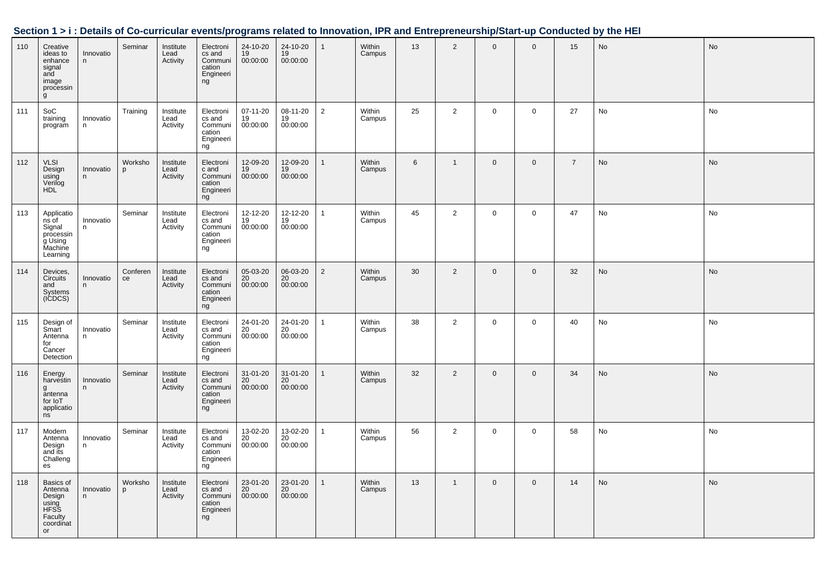|     | Section 1 > i : Details of Co-curricular events/programs related to Innovation, IPR and Entrepreneurship/Start-up Conducted by the HEI |                |                |                               |                                                                          |                            |                                         |                |                  |    |                |                |              |                |           |               |
|-----|----------------------------------------------------------------------------------------------------------------------------------------|----------------|----------------|-------------------------------|--------------------------------------------------------------------------|----------------------------|-----------------------------------------|----------------|------------------|----|----------------|----------------|--------------|----------------|-----------|---------------|
| 110 | Creative<br>ideas to<br>enhance<br>signal<br>and<br>image<br>processin<br>g                                                            | Innovatio<br>n | Seminar        | Institute<br>Lead<br>Activity | Electroni<br>cs and<br>Communi<br>cation<br>Engineeri<br>ng              | 24-10-20<br>19<br>00:00:00 | 24-10-20<br>$\frac{19}{19}$<br>00:00:00 |                | Within<br>Campus | 13 | $\overline{2}$ | $\overline{0}$ | $\Omega$     | 15             | <b>No</b> | <b>No</b>     |
| 111 | SoC<br>training<br>program                                                                                                             | Innovatio<br>n | Training       | Institute<br>Lead<br>Activity | Electroni<br>cs and<br>Communi<br>cation<br>Engineeri<br>ng              | 07-11-20<br>19<br>00:00:00 | 08-11-20<br>19<br>00:00:00              | $\overline{2}$ | Within<br>Campus | 25 | $\overline{2}$ | $\mathbf{0}$   | $\mathbf 0$  | 27             | No        | No            |
| 112 | <b>VLSI</b><br>Design<br>Using<br>Verilog<br>HDL                                                                                       | Innovatio<br>n | Worksho<br>p   | Institute<br>Lead<br>Activity | Electroni<br>c and<br>Communi<br>cation<br>Engineeri<br>ng               | 12-09-20<br>19<br>00:00:00 | 12-09-20<br>19<br>00:00:00              | $\mathbf{1}$   | Within<br>Campus | 6  | $\mathbf{1}$   | $\overline{0}$ | $\mathsf 0$  | $\overline{7}$ | No        | <b>No</b>     |
| 113 | Applicatio<br>ns of<br>Signal<br>processin<br>g Using<br>Machine<br>Learning                                                           | Innovatio<br>n | Seminar        | Institute<br>Lead<br>Activity | Electroni<br>cs and<br>Communi<br>cation<br>Engineeri<br>ng              | 12-12-20<br>19<br>00:00:00 | 12-12-20<br>19<br>00:00:00              | $\mathbf{1}$   | Within<br>Campus | 45 | $\overline{2}$ | $\overline{0}$ | $\mathsf 0$  | 47             | No        | No            |
| 114 | Devices,<br>Circuits<br>and<br>Systems<br>(ICDCS)                                                                                      | Innovatio<br>n | Conferen<br>ce | Institute<br>Lead<br>Activity | Electroni<br>cs and<br>Communi<br>cation<br>Engineeri<br>ng              | 05-03-20<br>20<br>00:00:00 | 06-03-20<br>20<br>00:00:00              | $\overline{2}$ | Within<br>Campus | 30 | $\overline{2}$ | $\mathbf 0$    | $\mathbf 0$  | 32             | No        | <b>No</b>     |
| 115 | Design of<br>Smart<br>Antenna<br>for<br>Cancer<br>Detection                                                                            | Innovatio<br>n | Seminar        | Institute<br>Lead<br>Activity | Electroni<br>cs and<br>Communi<br>cation<br>Engineeri<br>ng              | 24-01-20<br>20<br>00:00:00 | 24-01-20<br>20<br>00:00:00              | $\mathbf{1}$   | Within<br>Campus | 38 | $\overline{2}$ | $\mathbf 0$    | $\mathsf 0$  | 40             | No        | No            |
| 116 | Energy<br>harvestin<br>g<br>antenna<br>for IoT<br>applicatio<br>ns                                                                     | Innovatio<br>n | Seminar        | Institute<br>Lead<br>Activity | Electroni<br>cs and<br>Communi<br>cation<br>Engineeri<br>ng              | 31-01-20<br>20<br>00:00:00 | 31-01-20<br>20<br>00:00:00              | 1              | Within<br>Campus | 32 | 2              | $\mathbf{0}$   | $\mathbf{0}$ | 34             | <b>No</b> | $\mathsf{No}$ |
| 117 | Modern<br>Antenna<br>Design<br>and its<br>Challeng<br>es                                                                               | Innovatio<br>n | Seminar        | Institute<br>Lead<br>Activity | Electroni<br>cs and<br>Communi<br>cation<br>Engineeri<br>ng <sup>3</sup> | 13-02-20<br>20<br>00:00:00 | 13-02-20<br>20<br>00:00:00              | $\mathbf{1}$   | Within<br>Campus | 56 | $\overline{2}$ | $\mathbf 0$    | $\mathsf 0$  | 58             | No        | No            |
| 118 | Basics of<br>Antenna<br>Design<br>using<br>HFSS<br>Faculty<br>coordinat<br>or                                                          | Innovatio<br>n | Worksho<br>p   | Institute<br>Lead<br>Activity | Electroni<br>cs and<br>Communi<br>cation<br>Engineeri<br>ng              | 23-01-20<br>20<br>00:00:00 | 23-01-20<br>20<br>00:00:00              | 1              | Within<br>Campus | 13 | $\mathbf{1}$   | $\overline{0}$ | $\mathbf 0$  | 14             | <b>No</b> | <b>No</b>     |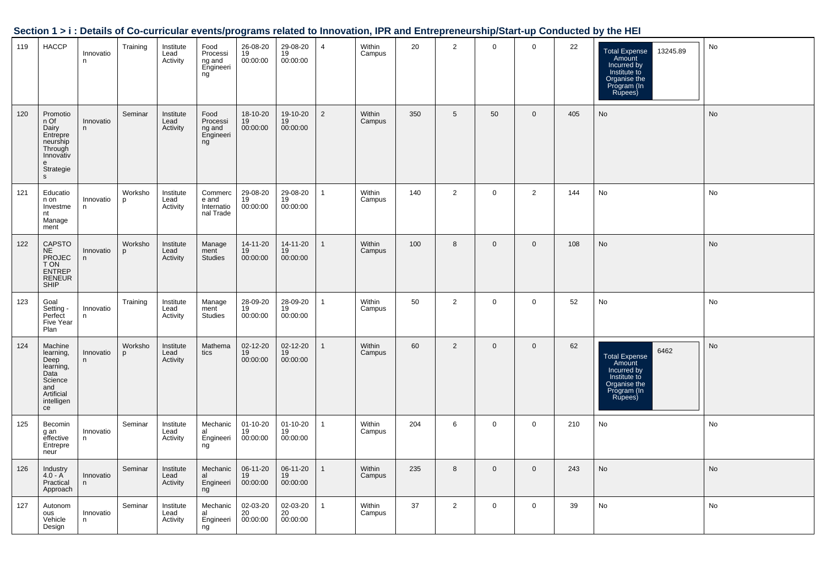|     |                                                                                                       |                |                         |                               |                                               |                            |                            |                |                  |     |                 |              |                |     | Occupii i 21. Detailo of Oo-curricular eventorprogramo related to imiovation, ir ix and Entreprenearship/otart-up Oonducted by the HET |           |
|-----|-------------------------------------------------------------------------------------------------------|----------------|-------------------------|-------------------------------|-----------------------------------------------|----------------------------|----------------------------|----------------|------------------|-----|-----------------|--------------|----------------|-----|----------------------------------------------------------------------------------------------------------------------------------------|-----------|
| 119 | <b>HACCP</b>                                                                                          | Innovatio<br>n | Training                | Institute<br>Lead<br>Activity | Food<br>Processi<br>ng and<br>Engineeri<br>ng | 26-08-20<br>19<br>00:00:00 | 29-08-20<br>19<br>00:00:00 | $\overline{4}$ | Within<br>Campus | 20  | $\overline{2}$  | $\mathbf 0$  | $\mathbf 0$    | 22  | 13245.89<br>Total Expense<br>Amount<br>Incurred by<br>Institute to<br>Organise the<br>Program (In<br>Rupees)                           | No        |
| 120 | Promotio<br>n Of<br>Dairy<br>Entrepre<br>neurship<br>Through<br>Innovativ<br>e<br>Strategie<br>s.     | Innovatio<br>n | Seminar                 | Institute<br>Lead<br>Activity | Food<br>Processi<br>ng and<br>Engineeri<br>ng | 18-10-20<br>19<br>00:00:00 | 19-10-20<br>19<br>00:00:00 | 2              | Within<br>Campus | 350 | $5\phantom{.0}$ | 50           | $\overline{0}$ | 405 | No                                                                                                                                     | No        |
| 121 | Educatio<br>n on<br>Investme<br>nt<br>Manage<br>ment                                                  | Innovatio<br>n | Worksho<br>D            | Institute<br>Lead<br>Activity | Commerc<br>e and<br>Internatio<br>nal Trade   | 29-08-20<br>19<br>00:00:00 | 29-08-20<br>19<br>00:00:00 | $\mathbf{1}$   | Within<br>Campus | 140 | 2               | $\mathbf 0$  | 2              | 144 | No                                                                                                                                     | No        |
| 122 | CAPSTO<br><b>NE</b><br>PROJEC<br>T ON<br>ENTREP<br>RENEUR<br>SHIP                                     | Innovatio<br>n | Worksho<br><sub>p</sub> | Institute<br>Lead<br>Activity | Manage<br>ment<br><b>Studies</b>              | 14-11-20<br>19<br>00:00:00 | 14-11-20<br>19<br>00:00:00 | $\mathbf{1}$   | Within<br>Campus | 100 | 8               | $\mathbf 0$  | $\overline{0}$ | 108 | No                                                                                                                                     | No        |
| 123 | Goal<br>Setting -<br>Perfect<br>Five Year<br>Plan                                                     | Innovatio<br>n | Training                | Institute<br>Lead<br>Activity | Manage<br>ment<br>Studies                     | 28-09-20<br>19<br>00:00:00 | 28-09-20<br>19<br>00:00:00 | $\mathbf{1}$   | Within<br>Campus | 50  | $\overline{2}$  | $\mathbf 0$  | $\overline{0}$ | 52  | No                                                                                                                                     | No        |
| 124 | Machine<br>learning,<br>Deep<br>learning,<br>Data<br>Science<br>and<br>Artificial<br>intelligen<br>ce | Innovatio<br>n | Worksho<br>p            | Institute<br>Lead<br>Activity | Mathema<br>tics                               | 02-12-20<br>19<br>00:00:00 | 02-12-20<br>19<br>00:00:00 | $\mathbf{1}$   | Within<br>Campus | 60  | 2               | $\mathbf{0}$ | $\mathbf{0}$   | 62  | 6462<br><b>Total Expense</b><br>Amount<br>Incurred by<br>Institute to<br>Organise the<br>Program (In<br>Rupees)                        | No        |
| 125 | Becomin<br>g an<br>effective<br>Entrepre<br>neur                                                      | Innovatio<br>n | Seminar                 | Institute<br>Lead<br>Activity | Mechanic<br>al<br>Engineeri<br>ng             | 01-10-20<br>19<br>00:00:00 | 01-10-20<br>19<br>00:00:00 | $\mathbf{1}$   | Within<br>Campus | 204 | 6               | $\mathbf 0$  | $\mathbf 0$    | 210 | No                                                                                                                                     | <b>No</b> |
| 126 | Industry<br>4.0 - A<br>Practical<br>Approach                                                          | Innovatio<br>n | Seminar                 | Institute<br>Lead<br>Activity | Mechanic<br>al<br>Engineeri<br>ng             | 06-11-20<br>19<br>00:00:00 | 06-11-20<br>19<br>00:00:00 | $\mathbf{1}$   | Within<br>Campus | 235 | 8               | $\mathbf 0$  | $\overline{0}$ | 243 | No                                                                                                                                     | No        |
| 127 | Autonom<br>ous<br>Vehicle<br>Design                                                                   | Innovatio<br>n | Seminar                 | Institute<br>Lead<br>Activity | Mechanic<br>al<br>Engineeri<br>ng             | 02-03-20<br>20<br>00:00:00 | 02-03-20<br>20<br>00:00:00 | $\mathbf{1}$   | Within<br>Campus | 37  | $\overline{2}$  | $\mathbf 0$  | $\mathbf 0$    | 39  | No                                                                                                                                     | No        |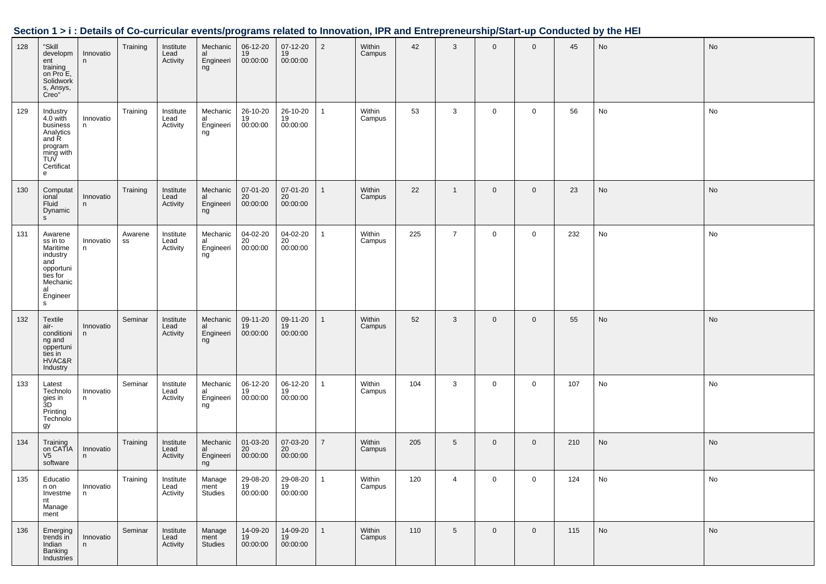|     |                                                                                                                |                |               |                               | .                                 |                                         |                                         |                |                  |     |                |              |                |     |    |    |
|-----|----------------------------------------------------------------------------------------------------------------|----------------|---------------|-------------------------------|-----------------------------------|-----------------------------------------|-----------------------------------------|----------------|------------------|-----|----------------|--------------|----------------|-----|----|----|
| 128 | "Skill<br>developm<br>ent<br>training<br>on Pro E,<br>Solidwork<br>s, Ansys,<br>Creo"                          | Innovatio<br>n | Training      | Institute<br>Lead<br>Activity | Mechanic<br>al<br>Engineeri<br>ng | 06-12-20<br>19<br>00:00:00              | 07-12-20<br>19<br>00:00:00              | $\overline{2}$ | Within<br>Campus | 42  | 3              | $\mathbf 0$  | $\mathbf 0$    | 45  | No | No |
| 129 | Industry<br>4.0 with<br>business<br>Analytics<br>and R<br>program<br>ming with<br>TUV<br>Certificat<br>e       | Innovatio<br>n | Training      | Institute<br>Lead<br>Activity | Mechanic<br>al<br>Engineeri<br>ng | 26-10-20<br>19<br>00:00:00              | 26-10-20<br>19<br>00:00:00              | $\mathbf{1}$   | Within<br>Campus | 53  | 3              | $\mathbf 0$  | $\mathbf 0$    | 56  | No | No |
| 130 | Computat<br>ional<br>Fluid<br>Dynamic<br>s                                                                     | Innovatio<br>n | Training      | Institute<br>Lead<br>Activity | Mechanic<br>al<br>Engineeri<br>ng | 07-01-20<br>20<br>00:00:00              | 07-01-20<br>20<br>00:00:00              | $\mathbf{1}$   | Within<br>Campus | 22  | $\mathbf{1}$   | $\mathbf{0}$ | $\mathbf 0$    | 23  | No | No |
| 131 | Awarene<br>ss in to<br>Maritime<br>industry<br>and<br>opportuni<br>ties for<br>Mechanic<br>al<br>Engineer<br>s | Innovatio<br>n | Awarene<br>SS | Institute<br>Lead<br>Activity | Mechanic<br>al<br>Engineeri<br>ng | 04-02-20<br>20 <sup>2</sup><br>00:00:00 | 04-02-20<br>$\overline{20}$<br>00:00:00 | $\mathbf{1}$   | Within<br>Campus | 225 | $\overline{7}$ | $\mathbf 0$  | $\mathbf 0$    | 232 | No | No |
| 132 | <b>Textile</b><br>air-<br>conditioni<br>ng and<br>oppertuni<br>ties in<br>HVAC&R<br>Industry                   | Innovatio<br>n | Seminar       | Institute<br>Lead<br>Activity | Mechanic<br>al<br>Engineeri<br>ng | 09-11-20<br>19<br>00:00:00              | 09-11-20<br>19<br>00:00:00              | $\mathbf{1}$   | Within<br>Campus | 52  | 3              | $\mathbf{0}$ | $\mathbf 0$    | 55  | No | No |
| 133 | Latest<br>Technolo<br>gies in<br>3D<br>Printing<br>Technolo<br>gy                                              | Innovatio<br>n | Seminar       | Institute<br>Lead<br>Activity | Mechanic<br>al<br>Engineeri<br>ng | 06-12-20<br>19<br>00:00:00              | 06-12-20<br>19<br>00:00:00              | $\mathbf{1}$   | Within<br>Campus | 104 | 3              | $\mathbf 0$  | $\mathbf 0$    | 107 | No | No |
| 134 | Training<br>on CATIA<br>V <sub>5</sub><br>software                                                             | Innovatio<br>n | Training      | Institute<br>Lead<br>Activity | Mechanic<br>al<br>Engineeri<br>ng | 01-03-20<br>20<br>00:00:00              | 07-03-20<br>20<br>00:00:00              | $\overline{7}$ | Within<br>Campus | 205 | 5              | $\mathbf 0$  | $\mathbf 0$    | 210 | No | No |
| 135 | Educatio<br>n on<br>Investme<br>nt<br>Manage<br>ment                                                           | Innovatio<br>n | Training      | Institute<br>Lead<br>Activity | Manage<br>ment<br>Studies         | 29-08-20<br>19<br>00:00:00              | 29-08-20<br>19<br>00:00:00              | $\mathbf{1}$   | Within<br>Campus | 120 | 4              | $\mathbf 0$  | $\mathbf 0$    | 124 | No | No |
| 136 | Emerging<br>trends in<br>Indian<br>Banking<br>Industries                                                       | Innovatio<br>n | Seminar       | Institute<br>Lead<br>Activity | Manage<br>ment<br><b>Studies</b>  | 14-09-20<br>19<br>00:00:00              | 14-09-20<br>19<br>00:00:00              | $\mathbf{1}$   | Within<br>Campus | 110 | 5              | $\mathbf 0$  | $\overline{0}$ | 115 | No | No |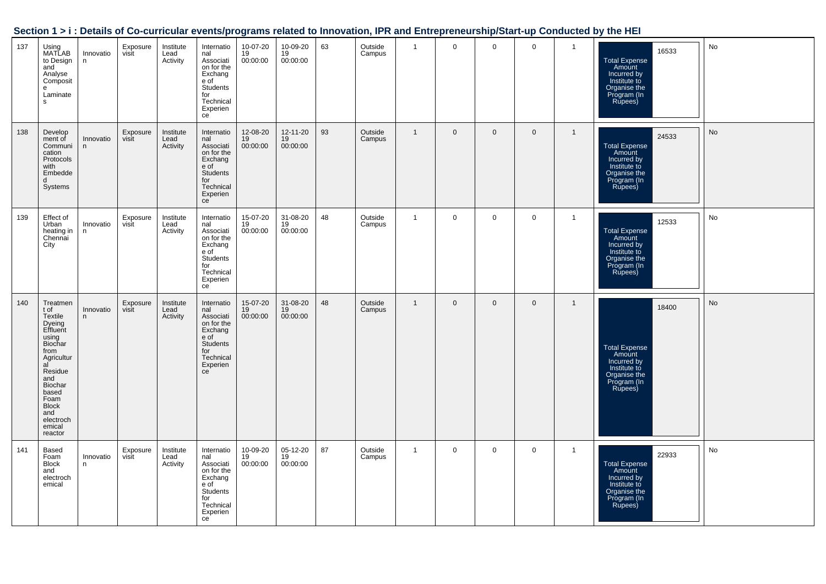| Section 1 > i : Details of Co-curricular events/programs related to Innovation, IPR and Entrepreneurship/Start-up Conducted by the HEI |  |  |
|----------------------------------------------------------------------------------------------------------------------------------------|--|--|
|                                                                                                                                        |  |  |

| 137 | Using<br>MATLAB<br>to Design<br>and<br>Analyse<br>Composit<br>е<br>Laminate<br>s                                                                                                                         | Innovatio<br>n | Exposure<br>visit | Institute<br>Lead<br>Activity | Internatio<br>nal<br>Associati<br>on for the<br>Exchang<br>e of<br>Students<br>for<br>Technical<br>Experien<br>ce | 10-07-20<br>19<br>00:00:00 | 10-09-20<br>19<br>00:00:00 | 63 | Outside<br>Campus | $\overline{1}$ | $\mathbf 0$ | $\mathbf 0$ | $\mathbf 0$ | $\mathbf{1}$ | 16533<br><b>Total Expense</b><br>Amount<br>Incurred by<br>Institute to<br>Organise the<br>Program (In<br>Rupees) | No |
|-----|----------------------------------------------------------------------------------------------------------------------------------------------------------------------------------------------------------|----------------|-------------------|-------------------------------|-------------------------------------------------------------------------------------------------------------------|----------------------------|----------------------------|----|-------------------|----------------|-------------|-------------|-------------|--------------|------------------------------------------------------------------------------------------------------------------|----|
| 138 | Develop<br>ment of<br>Communi<br>cation<br>Protocols<br>with<br>Embedde<br>d<br>Systems                                                                                                                  | Innovatio<br>n | Exposure<br>visit | Institute<br>Lead<br>Activity | Internatio<br>nal<br>Associati<br>on for the<br>Exchang<br>e of<br>Students<br>for<br>Technical<br>Experien<br>ce | 12-08-20<br>19<br>00:00:00 | 12-11-20<br>19<br>00:00:00 | 93 | Outside<br>Campus | $\overline{1}$ | $\mathbf 0$ | $\mathbf 0$ | $\mathbf 0$ | $\mathbf{1}$ | 24533<br><b>Total Expense</b><br>Amount<br>Incurred by<br>Institute to<br>Organise the<br>Program (In<br>Rupees) | No |
| 139 | Effect of<br>Urban<br>heating in<br>Chennai<br>City                                                                                                                                                      | Innovatio<br>n | Exposure<br>visit | Institute<br>Lead<br>Activity | Internatio<br>nal<br>Associati<br>on for the<br>Exchang<br>e of<br>Students<br>for<br>Technical<br>Experien<br>ce | 15-07-20<br>19<br>00:00:00 | 31-08-20<br>19<br>00:00:00 | 48 | Outside<br>Campus | $\overline{1}$ | $\mathbf 0$ | $\mathbf 0$ | $\mathbf 0$ | $\mathbf{1}$ | 12533<br>Total Expense<br>Amount<br>Incurred by<br>Institute to<br>Organise the<br>Program (In<br>Rupees)        | No |
| 140 | Treatmen<br>t of<br>Textile<br>Dyeing<br>Effluent<br>using<br>Biochar<br>from<br>Agricultur<br>al<br>Residue<br>and<br>Biochar<br>based<br>Foam<br><b>Block</b><br>and<br>electroch<br>emical<br>reactor | Innovatio<br>n | Exposure<br>visit | Institute<br>Lead<br>Activity | Internatio<br>nal<br>Associati<br>on for the<br>Exchang<br>e of<br>Students<br>for<br>Technical<br>Experien<br>ce | 15-07-20<br>19<br>00:00:00 | 31-08-20<br>19<br>00:00:00 | 48 | Outside<br>Campus | $\overline{1}$ | $\mathbf 0$ | $\mathbf 0$ | $\mathbf 0$ | $\mathbf{1}$ | 18400<br><b>Total Expense</b><br>Amount<br>Incurred by<br>Institute to<br>Organise the<br>Program (In<br>Rupees) | No |
| 141 | <b>Based</b><br>Foam<br><b>Block</b><br>and<br>electroch<br>emical                                                                                                                                       | Innovatio<br>n | Exposure<br>visit | Institute<br>Lead<br>Activity | Internatio<br>nal<br>Associati<br>on for the<br>Exchang<br>e of<br>Students<br>for<br>Technical<br>Experien<br>ce | 10-09-20<br>19<br>00:00:00 | 05-12-20<br>19<br>00:00:00 | 87 | Outside<br>Campus | $\mathbf{1}$   | $\mathbf 0$ | $\Omega$    | $\mathbf 0$ | $\mathbf{1}$ | 22933<br><b>Total Expense</b><br>Amount<br>Incurred by<br>Institute to<br>Organise the<br>Program (In<br>Rupees) | No |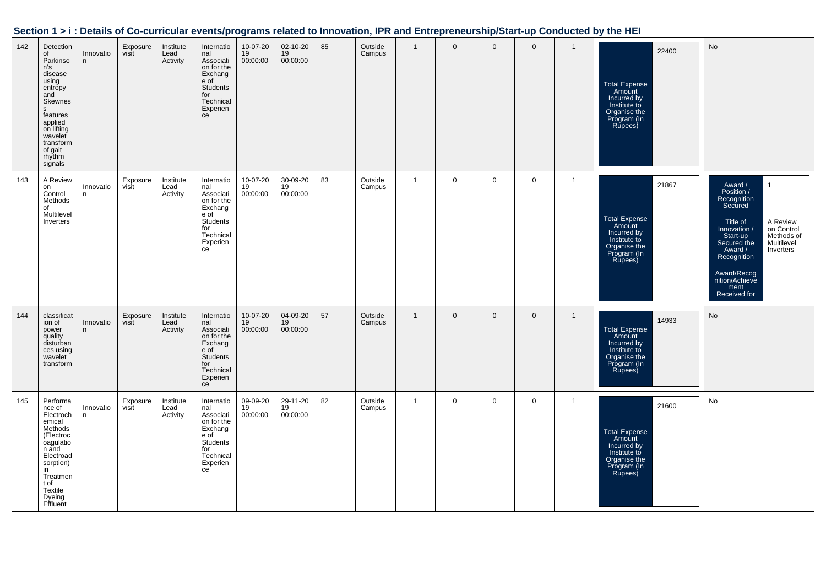|  |  | Section 1 > i : Details of Co-curricular events/programs related to Innovation, IPR and Entrepreneurship/Start-up Conducted by the HEI |
|--|--|----------------------------------------------------------------------------------------------------------------------------------------|
|  |  |                                                                                                                                        |

| 142 | Detection<br>of<br>Parkinso<br>n's<br>disease<br>using<br>entropy<br>and<br>Skewnes<br>$\mathbf{s}$<br>features<br>applied<br>on lifting<br>wavelet<br>transform<br>of gait<br>rhythm<br>signals | Innovatio<br>n | Exposure<br>visit | Institute<br>Lead<br>Activity | Internatio<br>nal<br>Associati<br>on for the<br>Exchang<br>e of<br>Students<br>for<br>Technical<br>Experien<br>ce | 10-07-20<br>19<br>00:00:00 | 02-10-20<br>19<br>00:00:00 | 85 | Outside<br>Campus | $\overline{1}$ | $\mathbf{0}$ | $\mathbf 0$ | $\mathbf 0$    | $\mathbf{1}$   | 22400<br><b>Total Expense</b><br>Amount<br>Incurred by<br>Institute to<br>Organise the<br>Program (In<br>Rupees) | No                                                                                                                                                                                                                                                                           |
|-----|--------------------------------------------------------------------------------------------------------------------------------------------------------------------------------------------------|----------------|-------------------|-------------------------------|-------------------------------------------------------------------------------------------------------------------|----------------------------|----------------------------|----|-------------------|----------------|--------------|-------------|----------------|----------------|------------------------------------------------------------------------------------------------------------------|------------------------------------------------------------------------------------------------------------------------------------------------------------------------------------------------------------------------------------------------------------------------------|
| 143 | A Review<br>on<br>Control<br>Methods<br>of<br>Multilevel<br>Inverters                                                                                                                            | Innovatio<br>n | Exposure<br>visit | Institute<br>Lead<br>Activity | Internatio<br>nal<br>Associati<br>on for the<br>Exchang<br>e of<br>Students<br>for<br>Technical<br>Experien<br>ce | 10-07-20<br>19<br>00:00:00 | 30-09-20<br>19<br>00:00:00 | 83 | Outside<br>Campus | $\overline{1}$ | $\mathbf 0$  | $\mathbf 0$ | $\overline{0}$ | $\overline{1}$ | 21867<br><b>Total Expense</b><br>Amount<br>Incurred by<br>Institute to<br>Organise the<br>Program (In<br>Rupees) | $\mathbf{1}$<br>Award /<br>Position /<br>Recognition<br>Secured<br>A Review<br>Title of<br>on Control<br>Innovation /<br>Methods of<br>Start-up<br>Secured the<br>Multilevel<br>Inverters<br>Award /<br>Recognition<br>Award/Recog<br>nition/Achieve<br>ment<br>Received for |
| 144 | classificat<br>ion of<br>power<br>quality<br>disturban<br>ces using<br>wavelet<br>transform                                                                                                      | Innovatio<br>n | Exposure<br>visit | Institute<br>Lead<br>Activity | Internatio<br>nal<br>Associati<br>on for the<br>Exchang<br>e of<br>Students<br>for<br>Technical<br>Experien<br>ce | 10-07-20<br>19<br>00:00:00 | 04-09-20<br>19<br>00:00:00 | 57 | Outside<br>Campus | $\overline{1}$ | $\mathbf 0$  | $\mathbf 0$ | $\mathbf 0$    | $\mathbf{1}$   | 14933<br><b>Total Expense</b><br>Amount<br>Incurred by<br>Institute to<br>Organise the<br>Program (In<br>Rupees) | No                                                                                                                                                                                                                                                                           |
| 145 | Performa<br>nce of<br>Electroch<br>emical<br>Methods<br>(Electroc<br>oagulatio<br>n and<br>Electroad<br>sorption)<br>in<br>Treatmen<br>t of<br>Textile<br>Dyeing<br>Effluent                     | Innovatio<br>n | Exposure<br>visit | Institute<br>Lead<br>Activity | Internatio<br>nal<br>Associati<br>on for the<br>Exchang<br>e of<br>Students<br>for<br>Technical<br>Experien<br>ce | 09-09-20<br>19<br>00:00:00 | 29-11-20<br>19<br>00:00:00 | 82 | Outside<br>Campus | $\overline{1}$ | $\mathbf 0$  | $\mathbf 0$ | $\mathbf 0$    | $\overline{1}$ | 21600<br><b>Total Expense</b><br>Amount<br>Incurred by<br>Institute to<br>Organise the<br>Program (In<br>Rupees) | No                                                                                                                                                                                                                                                                           |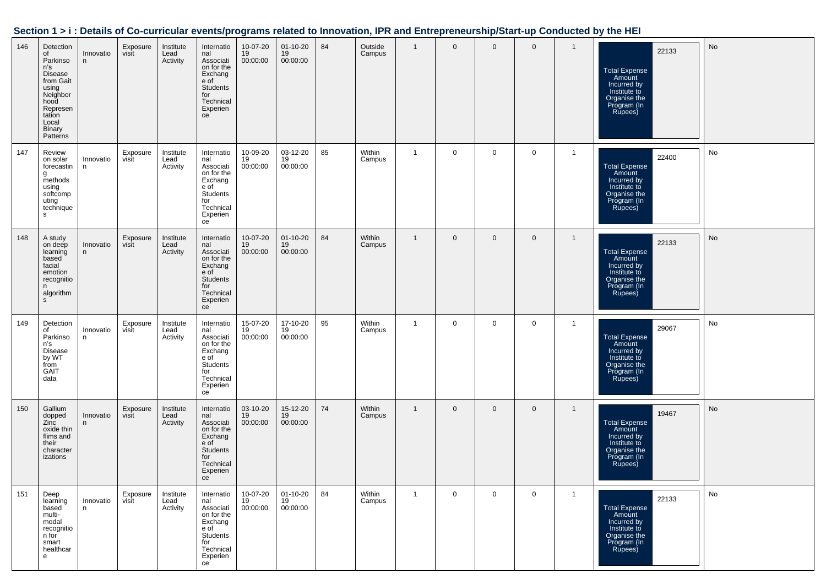| Section 1 > i : Details of Co-curricular events/programs related to Innovation, IPR and Entrepreneurship/Start-up Conducted by the HEI |  |  |
|----------------------------------------------------------------------------------------------------------------------------------------|--|--|
|                                                                                                                                        |  |  |

| 146 | Detection<br>of<br>Parkinso<br>n's<br>Disease<br>from Gait<br>using<br>Neighbor<br>hood<br>Represen<br>tation<br>Local<br><b>Binary</b><br>Patterns | Innovatio<br>n. | Exposure<br>visit | Institute<br>Lead<br>Activity | Internatio<br>nal<br>Associati<br>on for the<br>Exchang<br>e of<br><b>Students</b><br>for<br>Technical<br>Experien<br>ce | 10-07-20<br>19<br>00:00:00 | $01 - 10 - 20$<br>19<br>00:00:00 | 84 | Outside<br>Campus | $\overline{1}$ | $\mathbf 0$ | $\mathbf 0$ | $\mathbf 0$  | $\mathbf{1}$   | 22133<br><b>Total Expense</b><br>Amount<br>Incurred by<br>Institute to<br>Organise the<br>Program (In<br>Rupees) | No |
|-----|-----------------------------------------------------------------------------------------------------------------------------------------------------|-----------------|-------------------|-------------------------------|--------------------------------------------------------------------------------------------------------------------------|----------------------------|----------------------------------|----|-------------------|----------------|-------------|-------------|--------------|----------------|------------------------------------------------------------------------------------------------------------------|----|
| 147 | Review<br>on solar<br>forecastin<br>g<br>methods<br>using<br>softcomp<br>uting<br>technique<br>s                                                    | Innovatio<br>n  | Exposure<br>visit | Institute<br>Lead<br>Activity | Internatio<br>nal<br>Associati<br>on for the<br>Exchang<br>e of<br>Students<br>for<br>Technical<br>Experien<br>ce        | 10-09-20<br>19<br>00:00:00 | 03-12-20<br>19<br>00:00:00       | 85 | Within<br>Campus  | $\overline{1}$ | $\mathbf 0$ | $\mathbf 0$ | $\mathbf 0$  | $\overline{1}$ | 22400<br>Total Expense<br>Amount<br>Incurred by<br>Institute to<br>Organise the<br>Program (In<br>Rupees)        | No |
| 148 | A study<br>on deep<br>learning<br>based<br>facial<br>emotion<br>recognitio<br>n<br>algorithm<br>s                                                   | Innovatio<br>n  | Exposure<br>visit | Institute<br>Lead<br>Activity | Internatio<br>nal<br>Associati<br>on for the<br>Exchang<br>e of<br><b>Students</b><br>for<br>Technical<br>Experien<br>ce | 10-07-20<br>19<br>00:00:00 | $01 - 10 - 20$<br>19<br>00:00:00 | 84 | Within<br>Campus  | $\overline{1}$ | $\mathbf 0$ | $\mathbf 0$ | $\mathbf 0$  | $\mathbf{1}$   | 22133<br><b>Total Expense</b><br>Amount<br>Incurred by<br>Institute to<br>Organise the<br>Program (In<br>Rupees) | No |
| 149 | Detection<br>of<br>Parkinso<br>n's<br><b>Disease</b><br>by WT<br>from<br><b>GAIT</b><br>data                                                        | Innovatio<br>n  | Exposure<br>visit | Institute<br>Lead<br>Activity | Internatio<br>nal<br>Associati<br>on for the<br>Exchang<br>e of<br>Students<br>for<br>Technical<br>Experien<br>ce        | 15-07-20<br>19<br>00:00:00 | 17-10-20<br>19<br>00:00:00       | 95 | Within<br>Campus  | $\overline{1}$ | $\mathbf 0$ | $\mathbf 0$ | $\mathbf 0$  | $\overline{1}$ | 29067<br><b>Total Expense</b><br>Amount<br>Incurred by<br>Institute to<br>Organise the<br>Program (In<br>Rupees) | No |
| 150 | Gallium<br>dopped<br>Zinc<br>oxide thin<br>flims and<br>their<br>character<br>izations                                                              | Innovatio<br>n  | Exposure<br>visit | Institute<br>Lead<br>Activity | Internatio<br>nal<br>Associati<br>on for the<br>Exchang<br>e of<br>Students<br>for<br>Technical<br>Experien<br>ce        | 03-10-20<br>19<br>00:00:00 | 15-12-20<br>19<br>00:00:00       | 74 | Within<br>Campus  | $\overline{1}$ | $\mathbf 0$ | $\mathbf 0$ | $\mathbf{0}$ | $\overline{1}$ | 19467<br><b>Total Expense</b><br>Amount<br>Incurred by<br>Institute to<br>Organise the<br>Program (In<br>Rupees) | No |
| 151 | Deep<br>learning<br>based<br>multi-<br>modal<br>recognitio<br>n for<br>smart<br>healthcar<br>e                                                      | Innovatio<br>n. | Exposure<br>visit | Institute<br>Lead<br>Activity | Internatio<br>nal<br>Associati<br>on for the<br>Exchang<br>e of<br>Students<br>for<br>Technical<br>Experien<br>ce        | 10-07-20<br>19<br>00:00:00 | 01-10-20<br>19<br>00:00:00       | 84 | Within<br>Campus  | $\overline{1}$ | $\mathbf 0$ | $\mathbf 0$ | $\mathbf 0$  | $\overline{1}$ | 22133<br><b>Total Expense</b><br>Amount<br>Incurred by<br>Institute to<br>Organise the<br>Program (In<br>Rupees) | No |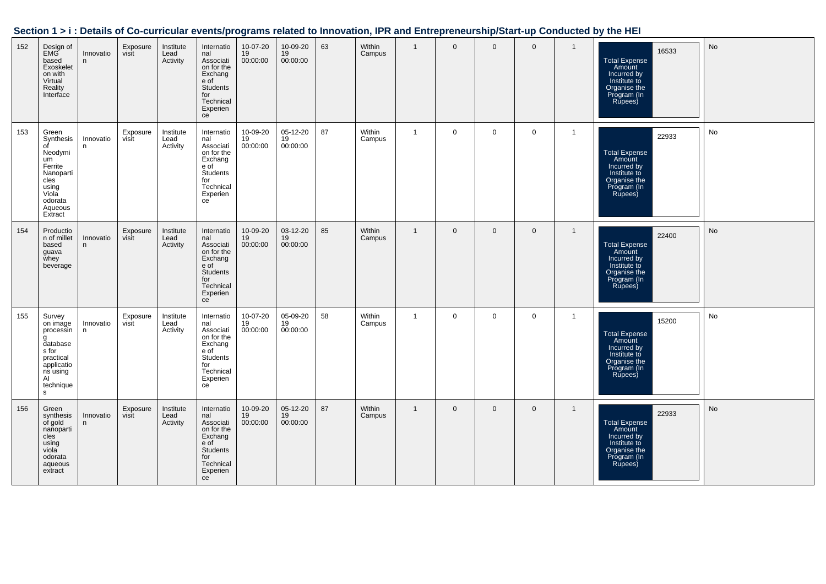| Section 1 > i : Details of Co-curricular events/programs related to Innovation, IPR and Entrepreneurship/Start-up Conducted by the HEI |  |
|----------------------------------------------------------------------------------------------------------------------------------------|--|
|                                                                                                                                        |  |

| 152 | Design of<br><b>EMG</b><br>based<br>Exoskelet<br>on with<br>Virtual<br>Reality<br>Interface                                  | Innovatio<br>n  | Exposure<br>visit | Institute<br>Lead<br>Activity | Internatio<br>nal<br>Associati<br>on for the<br>Exchang<br>e of<br><b>Students</b><br>for<br>Technical<br>Experien<br>ce | 10-07-20<br>19<br>00:00:00 | 10-09-20<br>19<br>00:00:00 | 63 | Within<br>Campus | $\overline{1}$ | $\mathbf{0}$   | $\mathbf 0$  | $\mathbf 0$ | $\mathbf{1}$   | 16533<br><b>Total Expense</b><br>Amount<br>Incurred by<br>Institute to<br>Organise the<br>Program (In<br>Rupees) | No |
|-----|------------------------------------------------------------------------------------------------------------------------------|-----------------|-------------------|-------------------------------|--------------------------------------------------------------------------------------------------------------------------|----------------------------|----------------------------|----|------------------|----------------|----------------|--------------|-------------|----------------|------------------------------------------------------------------------------------------------------------------|----|
| 153 | Green<br>Synthesis<br>οf<br>Neodymi<br>um<br>Ferrite<br>Nanoparti<br>cles<br>using<br>Viola<br>odorata<br>Aqueous<br>Extract | Innovatio<br>n  | Exposure<br>visit | Institute<br>Lead<br>Activity | Internatio<br>nal<br>Associati<br>on for the<br>Exchang<br>e of<br>Students<br>for<br>Technical<br>Experien<br>ce        | 10-09-20<br>19<br>00:00:00 | 05-12-20<br>19<br>00:00:00 | 87 | Within<br>Campus | $\overline{1}$ | $\mathbf 0$    | $\mathbf{0}$ | $\mathbf 0$ | $\mathbf{1}$   | 22933<br><b>Total Expense</b><br>Amount<br>Incurred by<br>Institute to<br>Organise the<br>Program (In<br>Rupees) | No |
| 154 | Productio<br>n of millet<br>based<br>guava<br>whey<br>beverage                                                               | Innovatio<br>n  | Exposure<br>visit | Institute<br>Lead<br>Activity | Internatio<br>nal<br>Associati<br>on for the<br>Exchang<br>e of<br>Students<br>for<br>Technical<br>Experien<br>ce        | 10-09-20<br>19<br>00:00:00 | 03-12-20<br>19<br>00:00:00 | 85 | Within<br>Campus | $\overline{1}$ | $\mathbf 0$    | $\mathbf 0$  | $\mathbf 0$ | $\mathbf{1}$   | 22400<br><b>Total Expense</b><br>Amount<br>Incurred by<br>Institute to<br>Organise the<br>Program (In<br>Rupees) | No |
| 155 | Survey<br>on image<br>processin<br>g<br>database<br>s for<br>practical<br>applicatio<br>ns using<br>AI<br>technique<br>s.    | Innovatio<br>n. | Exposure<br>visit | Institute<br>Lead<br>Activity | Internatio<br>nal<br>Associati<br>on for the<br>Exchang<br>e of<br>Students<br>for<br>Technical<br>Experien<br>ce        | 10-07-20<br>19<br>00:00:00 | 05-09-20<br>19<br>00:00:00 | 58 | Within<br>Campus | $\overline{1}$ | $\mathbf 0$    | $\mathbf 0$  | $\mathbf 0$ | $\overline{1}$ | 15200<br><b>Total Expense</b><br>Amount<br>Incurred by<br>Institute to<br>Organise the<br>Program (In<br>Rupees) | No |
| 156 | Green<br>synthesis<br>of gold<br>nanoparti<br>cles<br>using<br>viola<br>odorata<br>aqueous<br>extract                        | Innovatio<br>n. | Exposure<br>visit | Institute<br>Lead<br>Activity | Internatio<br>nal<br>Associati<br>on for the<br>Exchang<br>e of<br><b>Students</b><br>for<br>Technical<br>Experien<br>ce | 10-09-20<br>19<br>00:00:00 | 05-12-20<br>19<br>00:00:00 | 87 | Within<br>Campus | $\overline{1}$ | $\overline{0}$ | $\mathbf 0$  | $\mathbf 0$ | $\mathbf{1}$   | 22933<br><b>Total Expense</b><br>Amount<br>Incurred by<br>Institute to<br>Organise the<br>Program (In<br>Rupees) | No |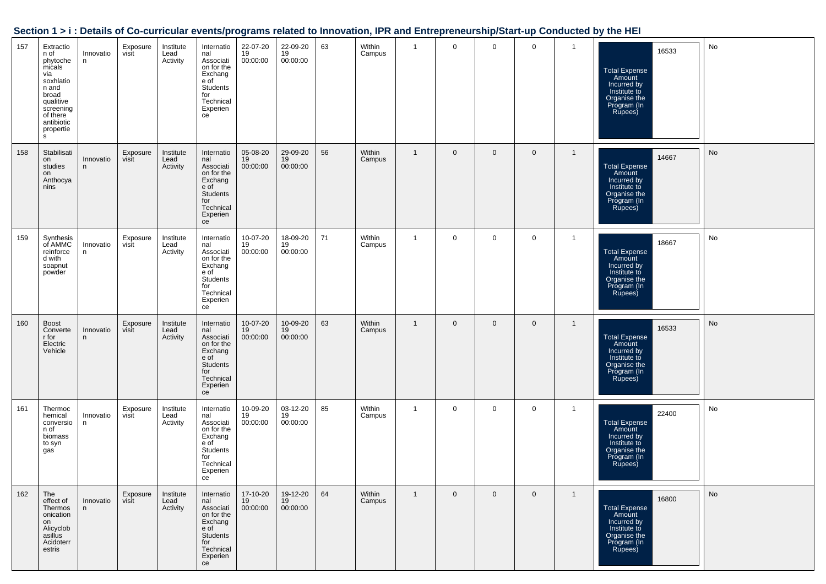| Section 1 > i : Details of Co-curricular events/programs related to Innovation, IPR and Entrepreneurship/Start-up Conducted by the HEI |  |  |
|----------------------------------------------------------------------------------------------------------------------------------------|--|--|
|                                                                                                                                        |  |  |

| 157 | Extractio<br>n of<br>phytoche<br>micals<br>via<br>soxhlatio<br>n and<br>broad<br>qualitive<br>screening<br>of there<br>antibiotic<br>propertie<br>s | Innovatio<br>n. | Exposure<br>visit | Institute<br>Lead<br>Activity | Internatio<br>nal<br>Associati<br>on for the<br>Exchang<br>e of<br>Students<br>for<br>Technical<br>Experien<br>ce        | 22-07-20<br>19<br>00:00:00 | 22-09-20<br>19<br>00:00:00 | 63 | Within<br>Campus | $\mathbf{1}$   | 0           | $\mathbf 0$    | $\mathbf 0$    | $\overline{1}$ | 16533<br><b>Total Expense</b><br>Amount<br>Incurred by<br>Institute to<br>Organise the<br>Program (In<br>Rupees) | No |
|-----|-----------------------------------------------------------------------------------------------------------------------------------------------------|-----------------|-------------------|-------------------------------|--------------------------------------------------------------------------------------------------------------------------|----------------------------|----------------------------|----|------------------|----------------|-------------|----------------|----------------|----------------|------------------------------------------------------------------------------------------------------------------|----|
| 158 | Stabilisati<br>on<br>studies<br>on<br>Anthocya<br>nins                                                                                              | Innovatio<br>n. | Exposure<br>visit | Institute<br>Lead<br>Activity | Internatio<br>nal<br>Associati<br>on for the<br>Exchang<br>e of<br><b>Students</b><br>for<br>Technical<br>Experien<br>ce | 05-08-20<br>19<br>00:00:00 | 29-09-20<br>19<br>00:00:00 | 56 | Within<br>Campus | $\overline{1}$ | $\mathbf 0$ | $\mathbf 0$    | $\mathbf 0$    | $\overline{1}$ | 14667<br>Total Expense<br>Amount<br>Incurred by<br>Institute to<br>Organise the<br>Program (In<br>Rupees)        | No |
| 159 | Synthesis<br>of AMMC<br>reinforce<br>d with<br>soapnut<br>powder                                                                                    | Innovatio<br>n. | Exposure<br>visit | Institute<br>Lead<br>Activity | Internatio<br>nal<br>Associati<br>on for the<br>Exchang<br>e of<br>Students<br>for<br>Technical<br>Experien<br>ce        | 10-07-20<br>19<br>00:00:00 | 18-09-20<br>19<br>00:00:00 | 71 | Within<br>Campus | $\mathbf{1}$   | $\mathbf 0$ | $\mathbf 0$    | $\mathbf 0$    | $\overline{1}$ | 18667<br>Total Expense<br>Amount<br>Incurred by<br>Institute to<br>Organise the<br>Program (In<br>Rupees)        | No |
| 160 | <b>Boost</b><br>Converte<br>r for<br>Electric<br>Vehicle                                                                                            | Innovatio<br>n  | Exposure<br>visit | Institute<br>Lead<br>Activity | Internatio<br>nal<br>Associati<br>on for the<br>Exchang<br>e of<br><b>Students</b><br>for<br>Technical<br>Experien<br>ce | 10-07-20<br>19<br>00:00:00 | 10-09-20<br>19<br>00:00:00 | 63 | Within<br>Campus | $\overline{1}$ | $\mathbf 0$ | $\mathbf 0$    | $\overline{0}$ | $\overline{1}$ | 16533<br><b>Total Expense</b><br>Amount<br>Incurred by<br>Institute to<br>Organise the<br>Program (In<br>Rupees) | No |
| 161 | Thermoc<br>hemical<br>conversio<br>n of<br>biomass<br>to syn<br>gas                                                                                 | Innovatio<br>n  | Exposure<br>visit | Institute<br>Lead<br>Activity | Internatio<br>nal<br>Associati<br>on for the<br>Exchang<br>e of<br>Students<br>for<br>Technical<br>Experien<br>ce        | 10-09-20<br>19<br>00:00:00 | 03-12-20<br>19<br>00:00:00 | 85 | Within<br>Campus | $\mathbf{1}$   | $\mathbf 0$ | 0              | $\mathbf 0$    | $\overline{1}$ | 22400<br><b>Total Expense</b><br>Amount<br>Incurred by<br>Institute to<br>Organise the<br>Program (In<br>Rupees) | No |
| 162 | The<br>effect of<br>Thermos<br>onication<br>on<br>Alicyclob<br>asillus<br>Acidoterr<br>estris                                                       | Innovatio<br>n  | Exposure<br>visit | Institute<br>Lead<br>Activity | Internatio<br>nal<br>Associati<br>on for the<br>Exchang<br>e of<br><b>Students</b><br>for<br>Technical<br>Experien<br>ce | 17-10-20<br>19<br>00:00:00 | 19-12-20<br>19<br>00:00:00 | 64 | Within<br>Campus | $\mathbf{1}$   | $\mathbf 0$ | $\overline{0}$ | $\mathbf 0$    | $\mathbf{1}$   | 16800<br><b>Total Expense</b><br>Amount<br>Incurred by<br>Institute to<br>Organise the<br>Program (In<br>Rupees) | No |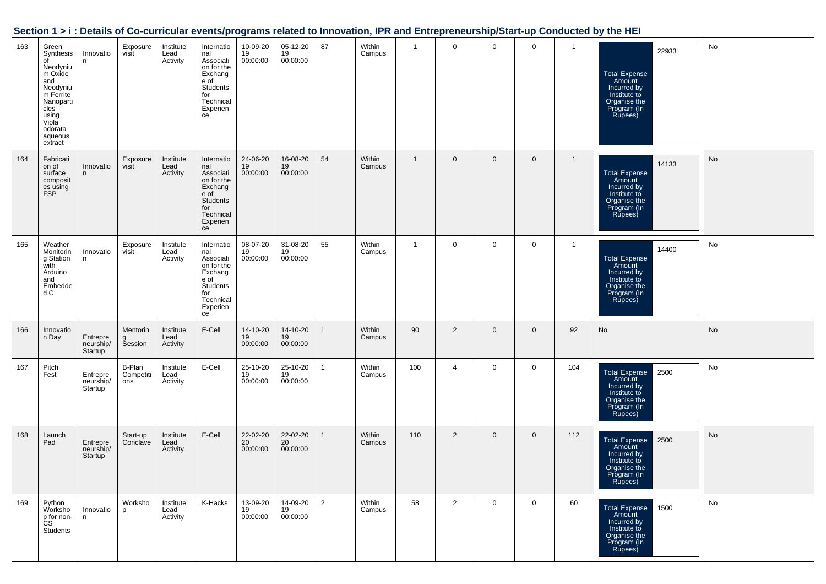|     |                                                                                                                                                         |                                  |                            |                               |                                                                                                                   |                            |                            |                |                  |                |                |                |             |              | on it all poland of so carrivalar cromoprograms rolated to importately in it and Entropreneumprotart up conducted by the men |           |
|-----|---------------------------------------------------------------------------------------------------------------------------------------------------------|----------------------------------|----------------------------|-------------------------------|-------------------------------------------------------------------------------------------------------------------|----------------------------|----------------------------|----------------|------------------|----------------|----------------|----------------|-------------|--------------|------------------------------------------------------------------------------------------------------------------------------|-----------|
| 163 | Green<br>Synthesis<br>of<br>Neodyniu<br>m Oxide<br>and<br>Neodyniu<br>m Ferrite<br>Nanoparti<br>cles<br>using<br>Viola<br>odorata<br>aqueous<br>extract | Innovatio<br>n                   | Exposure<br>visit          | Institute<br>Lead<br>Activity | Internatio<br>nal<br>Associati<br>on for the<br>Exchang<br>e of<br>Students<br>for<br>Technical<br>Experien<br>ce | 10-09-20<br>19<br>00:00:00 | 05-12-20<br>19<br>00:00:00 | 87             | Within<br>Campus | $\mathbf{1}$   | $\mathbf 0$    | $\mathbf 0$    | $\mathbf 0$ | $\mathbf{1}$ | 22933<br><b>Total Expense</b><br>Amount<br>Incurred by<br>Institute to<br>Organise the<br>Program (In<br>Rupees)             | No        |
| 164 | Fabricati<br>on of<br>surface<br>composit<br>es using<br>FSP                                                                                            | Innovatio<br>n                   | Exposure<br>visit          | Institute<br>Lead<br>Activity | Internatio<br>nal<br>Associati<br>on for the<br>Exchang<br>e of<br>Students<br>for<br>Technical<br>Experien<br>ce | 24-06-20<br>19<br>00:00:00 | 16-08-20<br>19<br>00:00:00 | 54             | Within<br>Campus | $\overline{1}$ | $\mathbf 0$    | $\overline{0}$ | $\mathbf 0$ | $\mathbf{1}$ | 14133<br>Total Expense<br>Amount<br>Incurred by<br>Institute to<br>Organise the<br>Program (In<br>Rupees)                    | No        |
| 165 | Weather<br>Monitorin<br>g Station<br>with<br>Arduino<br>and<br>Embedde<br>d C                                                                           | Innovatio<br>n                   | Exposure<br>visit          | Institute<br>Lead<br>Activity | Internatio<br>nal<br>Associati<br>on for the<br>Exchang<br>e of<br>Students<br>for<br>Technical<br>Experien<br>ce | 08-07-20<br>19<br>00:00:00 | 31-08-20<br>19<br>00:00:00 | 55             | Within<br>Campus | $\mathbf{1}$   | $\mathbf 0$    | $\mathbf 0$    | $\mathbf 0$ | $\mathbf{1}$ | 14400<br>Total Expense<br>Amount<br>Incurred by<br>Institute to<br>Organise the<br>Program (In<br>Rupees)                    | No        |
| 166 | Innovatio<br>n Day                                                                                                                                      | Entrepre<br>neurship/<br>Startup | Mentorin<br>g<br>Session   | Institute<br>Lead<br>Activity | E-Cell                                                                                                            | 14-10-20<br>19<br>00:00:00 | 14-10-20<br>19<br>00:00:00 | $\mathbf{1}$   | Within<br>Campus | 90             | $\overline{2}$ | $\overline{0}$ | $\mathbf 0$ | 92           | No                                                                                                                           | <b>No</b> |
| 167 | Pitch<br>Fest                                                                                                                                           | Entrepre<br>neurship/<br>Startup | B-Plan<br>Competiti<br>ons | Institute<br>Lead<br>Activity | E-Cell                                                                                                            | 25-10-20<br>19<br>00:00:00 | 25-10-20<br>19<br>00:00:00 | $\mathbf{1}$   | Within<br>Campus | 100            | 4              | 0              | $\mathbf 0$ | 104          | <b>Total Expense</b><br>2500<br>Amount<br>Incurred by<br>Institute to<br>Organise the<br>Program (In<br>Rupees)              | No        |
| 168 | Launch<br>Pad                                                                                                                                           | Entrepre<br>neurship/<br>Startup | Start-up<br>Conclave       | Institute<br>Lead<br>Activity | E-Cell                                                                                                            | 22-02-20<br>20<br>00:00:00 | 22-02-20<br>20<br>00:00:00 | $\mathbf{1}$   | Within<br>Campus | 110            | 2              | $\overline{0}$ | $\mathbf 0$ | 112          | Total Expense<br>Amount<br>Incurred by<br>2500<br>Institute to<br>Organise the<br>Program (in∶<br>Rupees)                    | No        |
| 169 | Python<br>Worksho<br>p for non-<br>cs<br>Students                                                                                                       | Innovatio<br>n                   | Worksho<br>p               | Institute<br>Lead<br>Activity | K-Hacks                                                                                                           | 13-09-20<br>19<br>00:00:00 | 14-09-20<br>19<br>00:00:00 | $\overline{2}$ | Within<br>Campus | 58             | $\overline{2}$ | 0              | $\mathbf 0$ | 60           | 1500<br><b>Total Expense</b><br>Amount<br>Incurred by<br>Institute to<br>Organise the<br>Program (In<br>Rupees)              | No        |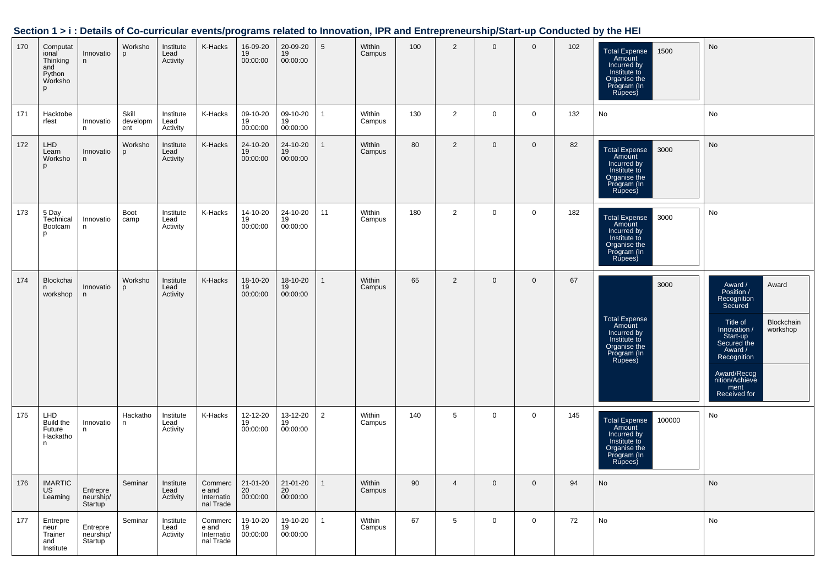| Section 1 > i : Details of Co-curricular events/programs related to Innovation, IPR and Entrepreneurship/Start-up Conducted by the HEI |  |  |
|----------------------------------------------------------------------------------------------------------------------------------------|--|--|
|                                                                                                                                        |  |  |

| 170 | Computat<br>ional<br>Thinking<br>and<br>Python<br>Worksho<br>D | Innovatio<br>n                   | Worksho<br>p             | Institute<br>Lead<br>Activity | K-Hacks                                     | 16-09-20<br>19<br>00:00:00 | 20-09-20<br>19<br>00:00:00 | 5              | Within<br>Campus | 100 | $\overline{2}$ | $\mathbf 0$ | $\mathbf 0$    | 102 | 1500<br><b>Total Expense</b><br>Amount<br>Incurred by<br>Institute to<br>Organise the<br>Program (In<br>Rupees)   | No                                                                                                                                                                                                                           |
|-----|----------------------------------------------------------------|----------------------------------|--------------------------|-------------------------------|---------------------------------------------|----------------------------|----------------------------|----------------|------------------|-----|----------------|-------------|----------------|-----|-------------------------------------------------------------------------------------------------------------------|------------------------------------------------------------------------------------------------------------------------------------------------------------------------------------------------------------------------------|
| 171 | Hacktobe<br>rfest                                              | Innovatio<br>n                   | Skill<br>developm<br>ent | Institute<br>Lead<br>Activity | K-Hacks                                     | 09-10-20<br>19<br>00:00:00 | 09-10-20<br>19<br>00:00:00 | $\mathbf{1}$   | Within<br>Campus | 130 | 2              | $\mathbf 0$ | $\mathbf 0$    | 132 | No                                                                                                                | No                                                                                                                                                                                                                           |
| 172 | <b>LHD</b><br>Learn<br>Worksho<br>p                            | Innovatio<br>n                   | Worksho<br>p             | Institute<br>Lead<br>Activity | K-Hacks                                     | 24-10-20<br>19<br>00:00:00 | 24-10-20<br>19<br>00:00:00 | $\mathbf{1}$   | Within<br>Campus | 80  | $\overline{2}$ | $\mathbf 0$ | $\mathbf 0$    | 82  | <b>Total Expense</b><br>3000<br>Amount<br>Incurred by<br>Institute to<br>Organise the<br>Program (In<br>Rupees)   | No                                                                                                                                                                                                                           |
| 173 | 5 Day<br>Technical<br>Bootcam<br>p                             | Innovatio<br>n                   | Boot<br>camp             | Institute<br>Lead<br>Activity | K-Hacks                                     | 14-10-20<br>19<br>00:00:00 | 24-10-20<br>19<br>00:00:00 | 11             | Within<br>Campus | 180 | $\overline{2}$ | 0           | 0              | 182 | <b>Total Expense</b><br>3000<br>Amount<br>Incurred by<br>Institute to<br>Organise the<br>Program (In<br>Rupees)   | No                                                                                                                                                                                                                           |
| 174 | Blockchai<br>n<br>workshop                                     | Innovatio<br>n                   | Worksho<br>p             | Institute<br>Lead<br>Activity | K-Hacks                                     | 18-10-20<br>19<br>00:00:00 | 18-10-20<br>19<br>00:00:00 | $\mathbf{1}$   | Within<br>Campus | 65  | $\overline{2}$ | $\mathbf 0$ | $\mathbf 0$    | 67  | 3000<br>Total Expense<br>Amount<br>Incurred by<br>Institute to<br>Organise the<br>Program (In<br>Rupees)          | Award<br>Award /<br>Position /<br>Recognition<br>Secured<br>Blockchain<br>Title of<br>workshop<br>Innovation /<br>Start-up<br>Secured the<br>Award /<br>Recognition<br>Award/Recog<br>nition/Achieve<br>ment<br>Received for |
| 175 | LHD<br>Build the<br>Future<br>Hackatho<br>n                    | Innovatio<br>n                   | Hackatho<br>n            | Institute<br>Lead<br>Activity | K-Hacks                                     | 12-12-20<br>19<br>00:00:00 | 13-12-20<br>19<br>00:00:00 | $\overline{2}$ | Within<br>Campus | 140 | 5              | 0           | 0              | 145 | 100000<br><b>Total Expense</b><br>Amount<br>Incurred by<br>Institute to<br>Organise the<br>Program (In<br>Rupees) | No                                                                                                                                                                                                                           |
| 176 | <b>IMARTIC</b><br>US<br>Learning                               | Entrepre<br>neurship/<br>Startup | Seminar                  | Institute<br>Lead<br>Activity | Commerc<br>e and<br>Internatio<br>nal Trade | 21-01-20<br>20<br>00:00:00 | 21-01-20<br>20<br>00:00:00 | $\mathbf{1}$   | Within<br>Campus | 90  | $\overline{4}$ | $\mathbf 0$ | $\overline{0}$ | 94  | No                                                                                                                | No                                                                                                                                                                                                                           |
| 177 | Entrepre<br>neur<br>Trainer<br>and<br>Institute                | Entrepre<br>neurship/<br>Startup | Seminar                  | Institute<br>Lead<br>Activity | Commerc<br>e and<br>Internatio<br>nal Trade | 19-10-20<br>19<br>00:00:00 | 19-10-20<br>19<br>00:00:00 | $\mathbf{1}$   | Within<br>Campus | 67  | 5              | $\mathbf 0$ | $\mathbf 0$    | 72  | No                                                                                                                | No                                                                                                                                                                                                                           |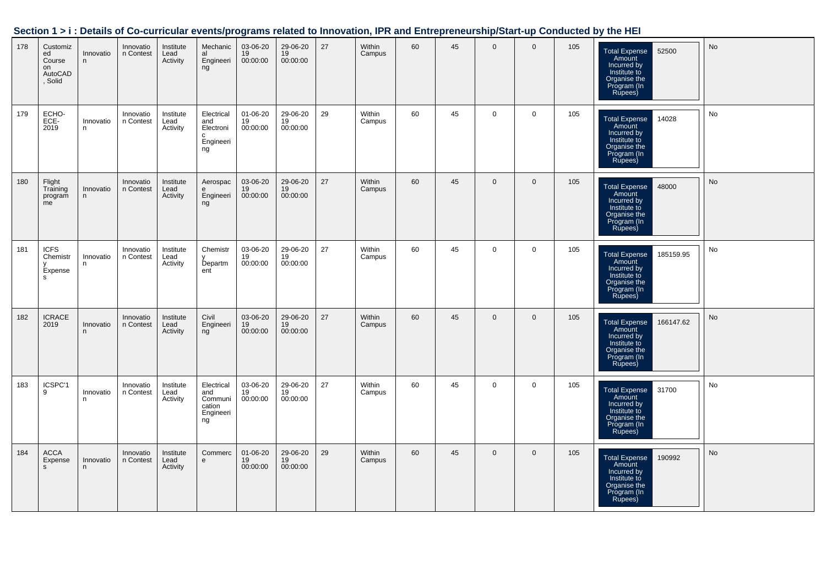|     |                                                      |                |                        |                               |                                                                   |                                  |                                         |    |                  |    |    |                |                |     | bechon 1 > 1 . Details of Go-curricular events/programs related to impovation, inn and Entrepreneurship/start-up Conducted by the HET |               |
|-----|------------------------------------------------------|----------------|------------------------|-------------------------------|-------------------------------------------------------------------|----------------------------------|-----------------------------------------|----|------------------|----|----|----------------|----------------|-----|---------------------------------------------------------------------------------------------------------------------------------------|---------------|
| 178 | Customiz<br>ed<br>Course<br>on<br>AutoCAD<br>, Solid | Innovatio<br>n | Innovatio<br>n Contest | Institute<br>Lead<br>Activity | Mechanic<br>al<br>Engineeri<br>ng                                 | 03-06-20<br>19<br>00:00:00       | 29-06-20<br>19<br>00:00:00              | 27 | Within<br>Campus | 60 | 45 | $\mathbf 0$    | $\Omega$       | 105 | 52500<br>Total Expense<br>Amount<br>Incurred by<br>Institute to<br>Organise the<br>Program (In<br>Rupees)                             | No            |
| 179 | ECHO-<br>ECE-<br>2019                                | Innovatio<br>n | Innovatio<br>n Contest | Institute<br>Lead<br>Activity | Electrical<br>and<br>Electroni<br>$\mathbf{C}$<br>Engineeri<br>ng | $01 - 06 - 20$<br>19<br>00:00:00 | 29-06-20<br>19<br>00:00:00              | 29 | Within<br>Campus | 60 | 45 | $\mathbf{0}$   | $\overline{0}$ | 105 | <b>Total Expense</b><br>14028<br>Amount<br>Incurred by<br>Institute to<br>Organise the<br>Program (In<br>Rupees)                      | No            |
| 180 | Flight<br>Training<br>program<br>me                  | Innovatio<br>n | Innovatio<br>n Contest | Institute<br>Lead<br>Activity | Aerospac<br>e<br>Engineeri<br>ng                                  | 03-06-20<br>19<br>00:00:00       | 29-06-20<br>19<br>00:00:00              | 27 | Within<br>Campus | 60 | 45 | $\overline{0}$ | $\mathbf{0}$   | 105 | Total Expense 48000<br>Amount<br>Incurred by<br>Institute to<br>Organise the<br>Program (In<br>Bungora II<br>Rupees)                  | No            |
| 181 | <b>ICFS</b><br>Chemistr<br>Expense<br>s              | Innovatio<br>n | Innovatio<br>n Contest | Institute<br>Lead<br>Activity | Chemistr<br>Departm<br>ent                                        | 03-06-20<br>19<br>00:00:00       | 29-06-20<br>$\overline{19}$<br>00:00:00 | 27 | Within<br>Campus | 60 | 45 | $\overline{0}$ | $\mathbf 0$    | 105 | Total Expense<br>Amount<br>Incurred by<br>Institute to<br>Organise the<br>185159.95<br>Program (In<br>Rupees)                         | No            |
| 182 | <b>ICRACE</b><br>2019                                | Innovatio<br>n | Innovatio<br>n Contest | Institute<br>Lead<br>Activity | Civil<br>Engineeri<br>$\frac{1}{n}$                               | 03-06-20<br>19<br>00:00:00       | 29-06-20<br>19<br>00:00:00              | 27 | Within<br>Campus | 60 | 45 | $\mathbf{0}$   | $\mathbf{0}$   | 105 | Total Expense<br>Amount<br>Incurred by<br>Institute to<br>Institute to<br>Organise the<br>Program (In<br>Rupees)                      | $\mathsf{No}$ |
| 183 | ICSPC'1<br>9                                         | Innovatio<br>n | Innovatio<br>n Contest | Institute<br>Lead<br>Activity | Electrical<br>and<br>Communi<br>cation<br>Engineeri<br>ng         | 03-06-20<br>19<br>00:00:00       | 29-06-20<br>19<br>00:00:00              | 27 | Within<br>Campus | 60 | 45 | $\mathbf 0$    | $\mathbf 0$    | 105 | Total Expense 31700<br>Amount<br>Incurred by<br>Institute to<br>Organise the<br>Program (In<br>Rupees)                                | No            |
| 184 | <b>ACCA</b><br>Expense<br>s.                         | Innovatio<br>n | Innovatio<br>n Contest | Institute<br>Lead<br>Activity | Commerc<br>e                                                      | 01-06-20<br>19<br>00:00:00       | 29-06-20<br>19<br>00:00:00              | 29 | Within<br>Campus | 60 | 45 | $\overline{0}$ | $\overline{0}$ | 105 | <b>Total Expense</b><br>190992<br>Amount<br>Incurred by<br>Institute to<br>Organise the<br>Program (In<br>Rupees)                     | No            |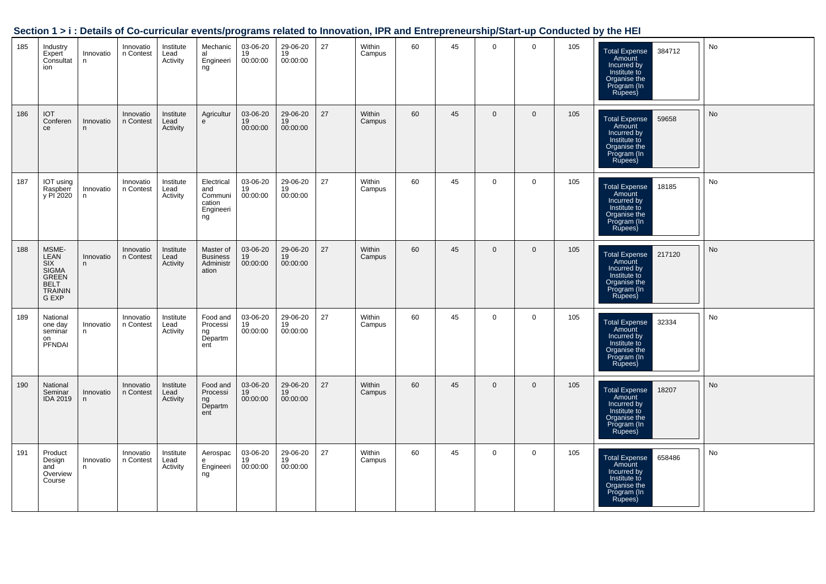|     |                                                                    |                 |                        |                               |                                                           |                            |                            |    |                  |    |    |              |                |     | bechon 1 > 1. Details of Go-curricular events/programs related to impovation, inn and Entrepreneurship/Start-up Conducted by the HET |    |
|-----|--------------------------------------------------------------------|-----------------|------------------------|-------------------------------|-----------------------------------------------------------|----------------------------|----------------------------|----|------------------|----|----|--------------|----------------|-----|--------------------------------------------------------------------------------------------------------------------------------------|----|
| 185 | Industry<br>Expert<br>Consultat<br>ion                             | Innovatio<br>n  | Innovatio<br>n Contest | Institute<br>Lead<br>Activity | Mechanic<br>al<br>Engineeri<br>ng                         | 03-06-20<br>19<br>00:00:00 | 29-06-20<br>19<br>00:00:00 | 27 | Within<br>Campus | 60 | 45 | $\mathbf{0}$ | $\overline{0}$ | 105 | 384712<br>Total Expense<br>Amount<br>Incurred by<br>Institute to<br>Organise the<br>Program (In<br>Pumors)<br>Rupees)                | No |
| 186 | <b>IOT</b><br>Conferen<br>ce                                       | Innovatio<br>n  | Innovatio<br>n Contest | Institute<br>Lead<br>Activity | Agricultur<br>e                                           | 03-06-20<br>19<br>00:00:00 | 29-06-20<br>19<br>00:00:00 | 27 | Within<br>Campus | 60 | 45 | $\mathbf{0}$ | $\overline{0}$ | 105 | Total Expense<br>Amount<br>Incurred by<br>Institute to<br>Organise the<br>Program (In<br>Rupees)<br>59658                            | No |
| 187 | IOT using<br>Raspberr<br>y PI 2020                                 | Innovatio<br>n  | Innovatio<br>n Contest | Institute<br>Lead<br>Activity | Electrical<br>and<br>Communi<br>cation<br>Engineeri<br>ng | 03-06-20<br>19<br>00:00:00 | 29-06-20<br>19<br>00:00:00 | 27 | Within<br>Campus | 60 | 45 | $\mathbf 0$  | $\mathbf 0$    | 105 | 18185<br>Total Expense<br>Amount<br>Incurred by<br>Institute to<br>Organise the<br>Program (In<br>Rupees)                            | No |
| 188 | MSME-<br>LEAN<br>SIX<br>SIGMA<br>GREEN<br>BELT<br>TRAININ<br>G EXP | Innovatio<br>n  | Innovatio<br>n Contest | Institute<br>Lead<br>Activity | Master of<br><b>Business</b><br>Administr<br>ation        | 03-06-20<br>19<br>00:00:00 | 29-06-20<br>19<br>00:00:00 | 27 | Within<br>Campus | 60 | 45 | $\mathbf{0}$ | $\mathbf{0}$   | 105 | Total Expense<br>Amount<br>Incurred by<br>Institute to<br>Organise the<br>Program (In<br>217120<br>Rupees)                           | No |
| 189 | National<br>one day<br>seminar<br>on<br>PFNDAI                     | Innovatio<br>n. | Innovatio<br>n Contest | Institute<br>Lead<br>Activity | Food and<br>Processi<br>ng<br>Departm<br>ent              | 03-06-20<br>19<br>00:00:00 | 29-06-20<br>19<br>00:00:00 | 27 | Within<br>Campus | 60 | 45 | $\mathbf 0$  | $\mathbf 0$    | 105 | Total Expense<br>Amount<br>Incurred by<br>Institute to<br>Organise the<br>Program (In<br>Rupees)<br>32334                            | No |
| 190 | National<br>Seminar<br><b>IDA 2019</b>                             | Innovatio<br>n  | Innovatio<br>n Contest | Institute<br>Lead<br>Activity | Food and<br>Processi<br>ng<br>Departm<br>ent              | 03-06-20<br>19<br>00:00:00 | 29-06-20<br>19<br>00:00:00 | 27 | Within<br>Campus | 60 | 45 | $\mathbf 0$  | $\mathbf{0}$   | 105 | Total Expense<br>Amount<br>Incurred by<br>18207<br>Institute to<br>Organise the<br>Program (In<br>Rupees)                            | No |
| 191 | Product<br>Design<br>and<br>Overview<br>Course                     | Innovatio<br>n  | Innovatio<br>n Contest | Institute<br>Lead<br>Activity | Aerospac<br>e<br>Engineeri<br>ng                          | 03-06-20<br>19<br>00:00:00 | 29-06-20<br>19<br>00:00:00 | 27 | Within<br>Campus | 60 | 45 | $\mathbf 0$  | $\overline{0}$ | 105 | Total Expense<br>Amount<br>Incurred by<br>Institute to<br>658486<br>Organise the<br>Program (In<br>Rupees)                           | No |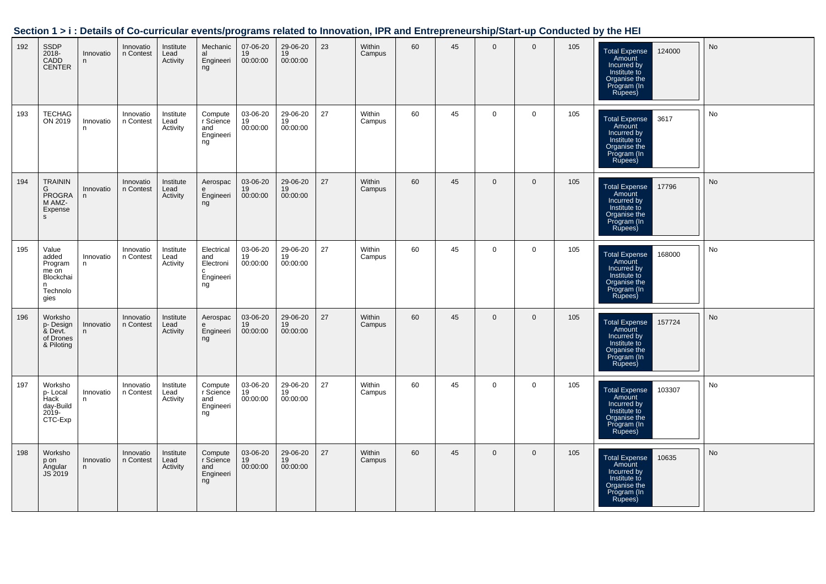|     |                                                                          |                |                        |                               |                                                        |                                         |                            |    |                  |    |    |                |              |     | Section 1 > i : Details of Co-curricular events/programs related to Innovation, IPR and Entrepreneurship/Start-up Conducted by the HEI |                              |
|-----|--------------------------------------------------------------------------|----------------|------------------------|-------------------------------|--------------------------------------------------------|-----------------------------------------|----------------------------|----|------------------|----|----|----------------|--------------|-----|----------------------------------------------------------------------------------------------------------------------------------------|------------------------------|
| 192 | SSDP<br>2018-<br>CADD<br>CENTER                                          | Innovatio<br>n | Innovatio<br>n Contest | Institute<br>Lead<br>Activity | Mechanic<br>nnoonanno<br>al<br>Engineeri<br>ng         | 07-06-20<br>$\frac{19}{19}$<br>00:00:00 | 29-06-20<br>19<br>00:00:00 | 23 | Within<br>Campus | 60 | 45 | $\Omega$       | $\Omega$     | 105 | Total Expense<br>Amount<br>Incurred by<br>Institute to<br>Organise the<br>Program (In<br>124000<br>Rupees)                             | $\operatorname{\mathsf{No}}$ |
| 193 | TECHAG<br>ON 2019                                                        | Innovatio<br>n | Innovatio<br>n Contest | Institute<br>Lead<br>Activity | Compute<br>r Science<br>and<br>Engineeri<br>ng         | 03-06-20<br>19<br>00:00:00              | 29-06-20<br>19<br>00:00:00 | 27 | Within<br>Campus | 60 | 45 | $\mathbf 0$    | $\mathbf 0$  | 105 | <b>Total Expense</b><br>3617<br>Amount<br>Incurred by<br>Institute to<br>Organise the<br>Program (In<br>Rupees)                        | No                           |
| 194 | <b>TRAININ</b><br>G<br>PROGRA<br>M AMZ-<br>Expense<br>s                  | Innovatio<br>n | Innovatio<br>n Contest | Institute<br>Lead<br>Activity | Aerospac<br>e<br>Engineeri<br>ng                       | 03-06-20<br>19<br>00:00:00              | 29-06-20<br>19<br>00:00:00 | 27 | Within<br>Campus | 60 | 45 | $\mathbf 0$    | $\mathbf 0$  | 105 | 17796<br>Total Expense<br>Amount<br>Incurred by<br>Institute to<br>Organise the<br>Program (In<br>Rupees)                              | $\operatorname{\mathsf{No}}$ |
| 195 | Value<br>added<br>Program<br>me on<br>Blockchai<br>n<br>Technolo<br>gies | Innovatio<br>n | Innovatio<br>n Contest | Institute<br>Lead<br>Activity | Electrical<br>and<br>Electroni<br>c<br>Engineeri<br>ng | 03-06-20<br>19<br>00:00:00              | 29-06-20<br>19<br>00:00:00 | 27 | Within<br>Campus | 60 | 45 | $\mathbf 0$    | $\mathbf 0$  | 105 | 168000<br>Total Expense<br>Amount<br>Incurred by<br>Institute to<br>Organise the<br>Program (In<br>Rupees)                             | No                           |
| 196 | Worksho<br>p- Design<br>& Devt.<br>of Drones<br>& Piloting               | Innovatio<br>n | Innovatio<br>n Contest | Institute<br>Lead<br>Activity | Aerospac<br>e<br>Engineeri<br>ng                       | 03-06-20<br>19<br>00:00:00              | 29-06-20<br>19<br>00:00:00 | 27 | Within<br>Campus | 60 | 45 | $\overline{0}$ | $\mathbf 0$  | 105 | <b>Total Expense</b><br>157724<br>Amount<br>Incurred by<br>Institute to<br>Organise the<br>Program (In<br><b>Rupees</b> )              | No                           |
| 197 | Worksho<br>p- Local<br>Hack<br>day-Build<br>2019-<br>CTC-Exp             | Innovatio<br>n | Innovatio<br>n Contest | Institute<br>Lead<br>Activity | Compute<br>r Science<br>and<br>Engineeri<br>ng         | 03-06-20<br>19<br>00:00:00              | 29-06-20<br>19<br>00:00:00 | 27 | Within<br>Campus | 60 | 45 | $\mathbf 0$    | $\mathbf 0$  | 105 | 103307<br>Total Expense<br>Amount<br>Incurred by<br>Institute to<br>Organise the<br>Program (In<br>Rupees)                             | No                           |
| 198 | Worksho<br>p on<br>Angular<br>JS 2019                                    | Innovatio<br>n | Innovatio<br>n Contest | Institute<br>Lead<br>Activity | Compute<br>r Science<br>and<br>Engineeri<br>ng         | 03-06-20<br>19<br>00:00:00              | 29-06-20<br>19<br>00:00:00 | 27 | Within<br>Campus | 60 | 45 | $\overline{0}$ | $\mathbf{0}$ | 105 | Total Expense<br>Amount<br>Incurred by<br>10635<br>Institute to<br>Organise the<br>Program (In<br>Rupees)                              | No                           |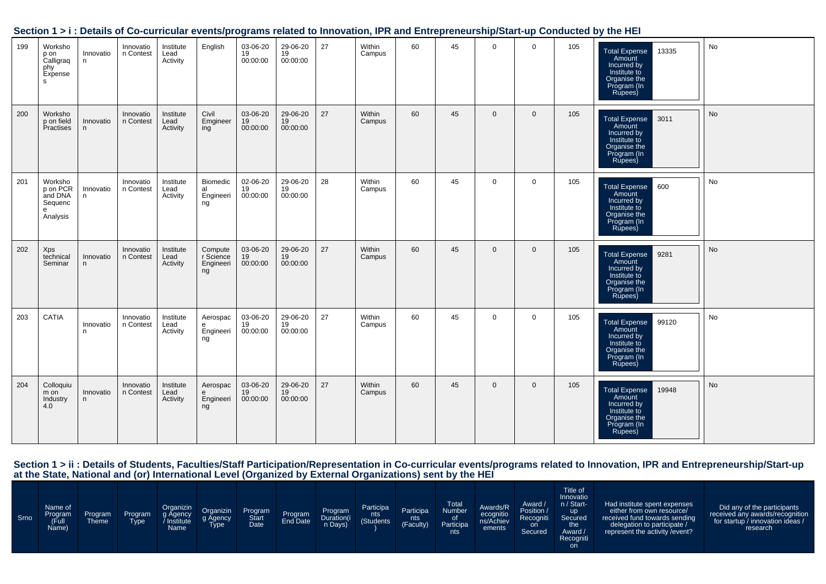| 199 | Worksho<br>p on<br>Calligraq<br>phy<br>Expense<br>s.       | Innovatio<br>n  | Innovatio<br>n Contest | Institute<br>Lead<br>Activity | English                                 | 03-06-20<br>19<br>00:00:00 | 29-06-20<br>19<br>00:00:00 | 27 | Within<br>Campus | 60 | 45 | $\mathbf{0}$ | $\mathbf 0$    | 105 | 13335<br>Total Expense<br>Amount<br>Incurred by<br>Institute to<br>Organise the<br>Program (In<br>Rupees)                   | No        |
|-----|------------------------------------------------------------|-----------------|------------------------|-------------------------------|-----------------------------------------|----------------------------|----------------------------|----|------------------|----|----|--------------|----------------|-----|-----------------------------------------------------------------------------------------------------------------------------|-----------|
| 200 | Worksho<br>p on field<br>Practises                         | Innovatio<br>n  | Innovatio<br>n Contest | Institute<br>Lead<br>Activity | Civil<br>Emgineer<br>ing                | 03-06-20<br>19<br>00:00:00 | 29-06-20<br>19<br>00:00:00 | 27 | Within<br>Campus | 60 | 45 | $\mathbf{0}$ | $\overline{0}$ | 105 | 13011<br><b>Total Expense</b><br>Amount<br>Incurred by<br>Institute to<br>Organise the<br>Program (In<br>Rupees)            | <b>No</b> |
| 201 | Worksho<br>p on PCR<br>and DNA<br>Sequenc<br>e<br>Analysis | Innovatio<br>n. | Innovatio<br>n Contest | Institute<br>Lead<br>Activity | Biomedic<br>al<br>Engineeri<br>ng       | 02-06-20<br>19<br>00:00:00 | 29-06-20<br>19<br>00:00:00 | 28 | Within<br>Campus | 60 | 45 | $\mathbf 0$  | $\mathbf 0$    | 105 | $\overline{600}$<br><b>Total Expense</b><br>Amount<br>Incurred by<br>Institute to<br>Organise the<br>Program (In<br>Rupees) | No        |
| 202 | Xps<br>technical<br>Seminar                                | Innovatio<br>n. | Innovatio<br>n Contest | Institute<br>Lead<br>Activity | Compute<br>r Science<br>Engineeri<br>ng | 03-06-20<br>19<br>00:00:00 | 29-06-20<br>19<br>00:00:00 | 27 | Within<br>Campus | 60 | 45 | $\mathbf{0}$ | $\overline{0}$ | 105 | <b>Total Expense</b><br>9281<br>Amount<br>Incurred by<br>Institute to<br>Organise the<br>Program (In<br>Rupees)             | <b>No</b> |
| 203 | CATIA                                                      | Innovatio<br>n. | Innovatio<br>n Contest | Institute<br>Lead<br>Activity | Aerospac<br>e<br>Engineeri<br>ng        | 03-06-20<br>19<br>00:00:00 | 29-06-20<br>19<br>00:00:00 | 27 | Within<br>Campus | 60 | 45 | $\mathbf 0$  | $\mathbf 0$    | 105 | Total Expense<br>99120<br>Amount<br>Incurred by<br>Institute to<br>Organise the<br>Program (In<br>Rupees)                   | No        |
| 204 | Colloquiu<br>m on<br>Industry<br>4.0                       | Innovatio<br>n  | Innovatio<br>n Contest | Institute<br>Lead<br>Activity | Aerospac<br>e<br>Engineeri<br>ng        | 03-06-20<br>19<br>00:00:00 | 29-06-20<br>19<br>00:00:00 | 27 | Within<br>Campus | 60 | 45 | $\mathbf{0}$ | $\mathbf 0$    | 105 | <b>Total Expense</b><br>19948<br>Amount<br>Incurred by<br>Institute to<br>Organise the<br>Program (In<br>Rupees)            | No        |

| Srno | Name of<br>Program<br>(Full<br>Name) | Program<br>Theme | Program<br>Type | Organizin<br>g Agency<br><b>Institute</b><br>Name | Organizin<br>g Agency<br>Type | Program<br><b>Start</b><br><b>Date</b> | Program<br>End Date | Program<br>Duration(i<br>n Days) | Participa<br>nts<br>(Students | Participa<br>nts<br>(Faculty) | Total<br><b>Number</b><br>0t<br>Participa<br>nts | Awards/R<br>ecognitio<br>ns/Achiev<br>ements | Award /<br>Position /<br>Recogniti<br>on<br>Secured | Title of<br>Innovatio<br>n / Start-<br><b>up</b><br>Secured<br>the<br>Award /<br>Recogniti<br><b>on</b> | Had institute spent expenses<br>either from own resource/<br>received fund towards sending<br>delegation to participate /<br>represent the activity / event? | Did any of the participants<br>received any awards/recognition<br>for startup / innovation ideas /<br>research |
|------|--------------------------------------|------------------|-----------------|---------------------------------------------------|-------------------------------|----------------------------------------|---------------------|----------------------------------|-------------------------------|-------------------------------|--------------------------------------------------|----------------------------------------------|-----------------------------------------------------|---------------------------------------------------------------------------------------------------------|--------------------------------------------------------------------------------------------------------------------------------------------------------------|----------------------------------------------------------------------------------------------------------------|
|------|--------------------------------------|------------------|-----------------|---------------------------------------------------|-------------------------------|----------------------------------------|---------------------|----------------------------------|-------------------------------|-------------------------------|--------------------------------------------------|----------------------------------------------|-----------------------------------------------------|---------------------------------------------------------------------------------------------------------|--------------------------------------------------------------------------------------------------------------------------------------------------------------|----------------------------------------------------------------------------------------------------------------|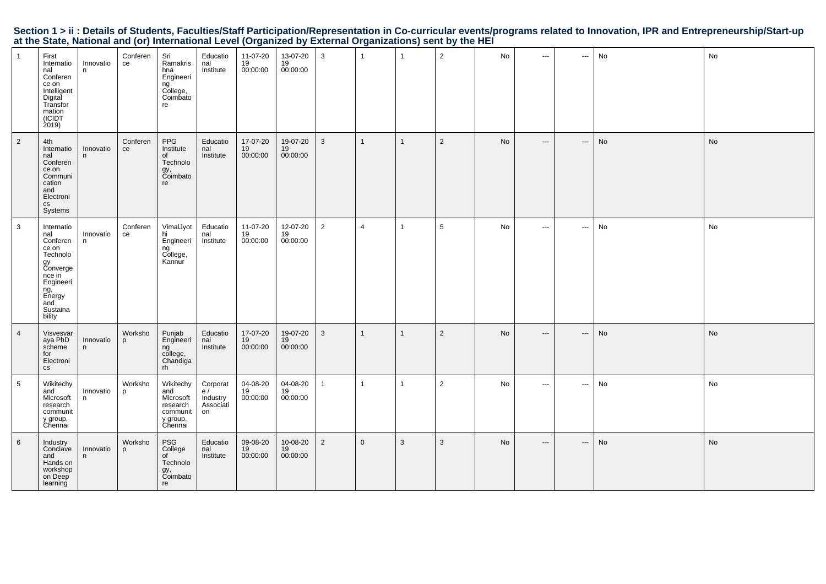| $\mathbf{1}$   | First<br>Internatio<br>nal<br>Conferen<br>ce on<br>Intelligent<br>Digital<br>Transfor<br>mation<br>(ICIDT<br>2019                         | Innovatio<br>n | Conferen<br>ce | Sri<br>Ramakris<br>hna<br>Engineeri<br>ng<br>College,<br>Coimbato<br>re      | Educatio<br>nal<br>Institute                  | 11-07-20<br>19<br>00:00:00 | 13-07-20<br>19<br>00:00:00 | 3              | $\mathbf{1}$   | $\overline{1}$ | $\overline{2}$ | No        | $\hspace{0.05cm} \ldots$ | $\hspace{0.05cm} \cdots$ | No | No |
|----------------|-------------------------------------------------------------------------------------------------------------------------------------------|----------------|----------------|------------------------------------------------------------------------------|-----------------------------------------------|----------------------------|----------------------------|----------------|----------------|----------------|----------------|-----------|--------------------------|--------------------------|----|----|
| $\overline{2}$ | 4th<br>Internatio<br>nal<br>Conferen<br>ce on<br>Communi<br>cation<br>and<br>Electroni<br>$\mathsf{CS}\phantom{0}$<br>Systems             | Innovatio<br>n | Conferen<br>ce | PPG<br>Institute<br>of<br>Technolo<br>gy,<br>Coimbato<br>re                  | Educatio<br>nal<br>Institute                  | 17-07-20<br>19<br>00:00:00 | 19-07-20<br>19<br>00:00:00 | 3              | $\mathbf{1}$   | $\overline{1}$ | $\overline{2}$ | <b>No</b> | $\hspace{0.05cm} \ldots$ | $\hspace{0.05cm} \ldots$ | No | No |
| $\mathbf{3}$   | Internatio<br>nal<br>Conferen<br>ce on<br>Technolo<br>gy<br>Converge<br>nce in<br>Engineeri<br>ng,<br>Energy<br>and<br>Sustaina<br>bility | Innovatio<br>n | Conferen<br>ce | VimalJyot<br>hi<br>Engineeri<br>ng<br>College,<br>Kannur                     | Educatio<br>nal<br>Institute                  | 11-07-20<br>19<br>00:00:00 | 12-07-20<br>19<br>00:00:00 | $\overline{2}$ | $\overline{4}$ | $\overline{1}$ | 5              | No        | $\sim$ $\sim$ $\sim$     | $\hspace{0.05cm} \cdots$ | No | No |
| $\overline{4}$ | Visvesvar<br>aya PhD<br>scheme<br>for<br>Electroni<br>$\mathsf{CS}\phantom{0}$                                                            | Innovatio<br>n | Worksho<br>p   | Punjab<br>Engineeri<br>ng<br>college,<br>Chandiga<br>rh                      | Educatio<br>nal<br>Institute                  | 17-07-20<br>19<br>00:00:00 | 19-07-20<br>19<br>00:00:00 | 3              | $\mathbf{1}$   | $\overline{1}$ | $\overline{2}$ | No        | $\hspace{0.05cm} \ldots$ | $\hspace{0.05cm} \cdots$ | No | No |
| 5              | Wikitechy<br>and<br>Microsoft<br>research<br>communit<br>y group,<br>Chennai                                                              | Innovatio<br>n | Worksho<br>p   | Wikitechy<br>and<br>Microsoft<br>research<br>communit<br>y group,<br>Chennai | Corporat<br>e/<br>Industry<br>Associati<br>on | 04-08-20<br>19<br>00:00:00 | 04-08-20<br>19<br>00:00:00 | $\mathbf{1}$   | $\mathbf{1}$   | $\overline{1}$ | $\overline{2}$ | No        | $\sim$ $\sim$ $\sim$     | $\sim$                   | No | No |
| 6              | Industry<br>Conclave<br>and<br>Hands on<br>workshop<br>on Deep<br>learning                                                                | Innovatio<br>n | Worksho<br>p   | PSG<br>College<br>of<br>Technolo<br>gy,<br>Coimbato<br>re                    | Educatio<br>nal<br>Institute                  | 09-08-20<br>19<br>00:00:00 | 10-08-20<br>19<br>00:00:00 | $\overline{2}$ | $\Omega$       | $\mathbf{3}$   | 3              | <b>No</b> | $\hspace{0.05cm} \ldots$ | $\hspace{0.05cm} \ldots$ | No | No |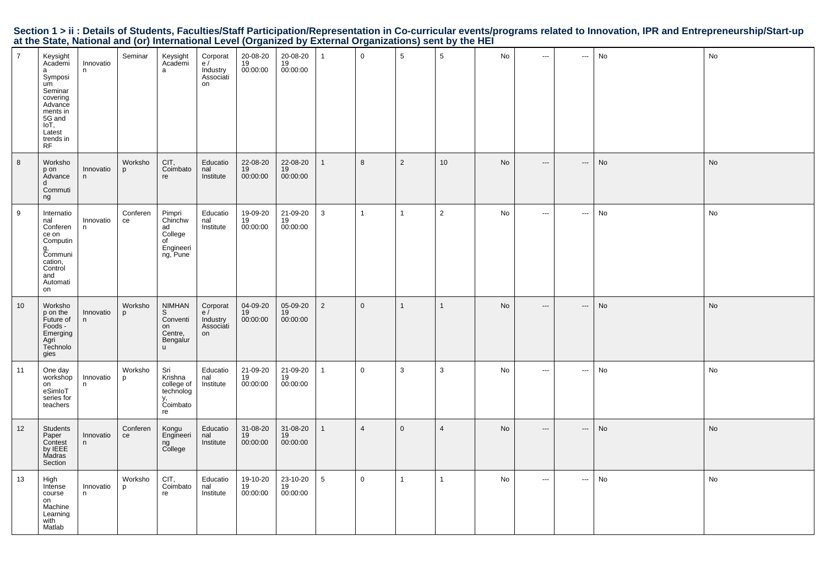|                                                                                                           |  |  | Section 1 > ii : Details of Students, Faculties/Staff Participation/Representation in Co-curricular events/programs related to Innovation, IPR and Entrepreneurship/Start-up |  |
|-----------------------------------------------------------------------------------------------------------|--|--|------------------------------------------------------------------------------------------------------------------------------------------------------------------------------|--|
| at the State, National and (or) International Level (Organized by External Organizations) sent by the HEI |  |  |                                                                                                                                                                              |  |

| $\overline{7}$ | Keysight<br>Academi<br>a<br>Symposi<br>um<br>Seminar<br>covering<br>Advance<br>ments in<br>5G and<br>loT,<br>Latest<br>trends in<br><b>RF</b> | Innovatio<br>n. | Seminar        | Keysight<br>Academi<br>a                                                | Corporat<br>e/<br>Industry<br>Associati<br>on | 20-08-20<br>19<br>00:00:00 | 20-08-20<br>19<br>00:00:00 | $\mathbf 1$    | $\mathbf 0$    | 5              | 5               | No        | $\sim$ $\sim$            | $\cdots$                 | No | No |
|----------------|-----------------------------------------------------------------------------------------------------------------------------------------------|-----------------|----------------|-------------------------------------------------------------------------|-----------------------------------------------|----------------------------|----------------------------|----------------|----------------|----------------|-----------------|-----------|--------------------------|--------------------------|----|----|
| 8              | Worksho<br>p on<br>Advance<br>d<br>Commuti<br>ng                                                                                              | Innovatio<br>n  | Worksho<br>p   | CIT,<br>Coimbato<br>re                                                  | Educatio<br>nal<br>Institute                  | 22-08-20<br>19<br>00:00:00 | 22-08-20<br>19<br>00:00:00 | $\mathbf{1}$   | 8              | 2              | 10 <sup>°</sup> | No        | $\hspace{0.05cm} \ldots$ | $\hspace{0.05cm} \cdots$ | No | No |
| 9              | Internatio<br>nal<br>Conferen<br>ce on<br>Computin<br>g,<br>Communi<br>cation,<br>Control<br>and<br>Automati<br>on                            | Innovatio<br>n  | Conferen<br>ce | Pimpri<br>Chinchw<br>ad<br>College<br>of<br>Engineeri<br>ng, Pune       | Educatio<br>nal<br>Institute                  | 19-09-20<br>19<br>00:00:00 | 21-09-20<br>19<br>00:00:00 | 3              | $\mathbf{1}$   | $\overline{1}$ | $\overline{2}$  | No        | $\sim$                   | $\hspace{0.05cm} \cdots$ | No | No |
| 10             | Worksho<br>p on the<br>Future of<br>Foods -<br>Emerging<br>Agri<br>Technolo<br>gies                                                           | Innovatio<br>n  | Worksho<br>p   | <b>NIMHAN</b><br>S<br>Conventi<br>on<br>Centre,<br>Bengalur<br><b>u</b> | Corporat<br>e/<br>Industry<br>Associati<br>on | 04-09-20<br>19<br>00:00:00 | 05-09-20<br>19<br>00:00:00 | $\overline{2}$ | $\overline{0}$ | $\mathbf{1}$   | $\mathbf{1}$    | <b>No</b> | $\hspace{0.05cm} \cdots$ | $\hspace{0.05cm} \ldots$ | No | No |
| 11             | One day<br>workshop<br>on<br>eSimloT<br>series for<br>teachers                                                                                | Innovatio<br>n  | Worksho<br>p   | Sri<br>Krishna<br>college of<br>technolog<br>y,<br>Coimbato<br>re       | Educatio<br>nal<br>Institute                  | 21-09-20<br>19<br>00:00:00 | 21-09-20<br>19<br>00:00:00 | $\mathbf{1}$   | $\mathbf 0$    | 3              | 3               | No        | $\sim$                   | $\hspace{0.05cm} \cdots$ | No | No |
| 12             | Students<br>Paper<br>Contest<br>by IEEE<br>Madras<br>Section                                                                                  | Innovatio<br>n  | Conferen<br>ce | Kongu<br>Engineeri<br>ng<br>College                                     | Educatio<br>nal<br>Institute                  | 31-08-20<br>19<br>00:00:00 | 31-08-20<br>19<br>00:00:00 | $\mathbf{1}$   | $\overline{4}$ | $\overline{0}$ | $\overline{4}$  | No        | $\hspace{0.05cm} \ldots$ | $\cdots$                 | No | No |
| 13             | High<br>Intense<br>course<br>on<br>Machine<br>Learning<br>with<br>Matlab                                                                      | Innovatio<br>n  | Worksho<br>p   | CIT,<br>Coimbato<br>re                                                  | Educatio<br>nal<br>Institute                  | 19-10-20<br>19<br>00:00:00 | 23-10-20<br>19<br>00:00:00 | 5              | $\mathbf 0$    | $\mathbf{1}$   | $\mathbf{1}$    | No        | $\sim$                   | $\sim$                   | No | No |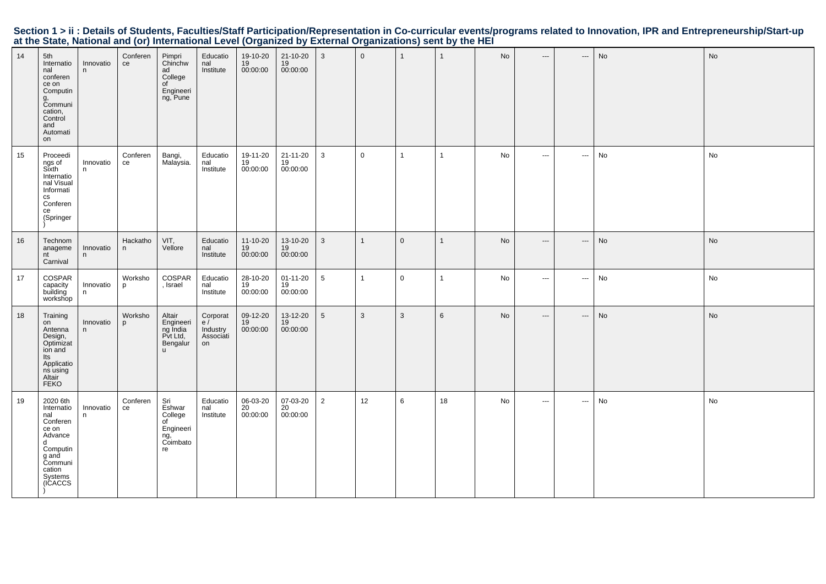| 14 | 5th<br>Internatio<br>nal<br>conferen<br>ce on<br>Computin<br>g,<br>Communi<br>cation,<br>Control<br>and<br>Automati<br>on          | Innovatio<br>n  | Conferen<br>ce | Pimpri<br>Chinchw<br>ad<br>College<br>of<br>Engineeri<br>ng, Pune       | Educatio<br>nal<br>Institute                  | 19-10-20<br>19<br>00:00:00 | 21-10-20<br>19<br>00:00:00       | 3               | $\overline{0}$ | $\mathbf{1}$ | $\mathbf{1}$ | No | $\hspace{0.05cm} \cdots$          | $\hspace{0.05cm} \ldots$                 | No | No |
|----|------------------------------------------------------------------------------------------------------------------------------------|-----------------|----------------|-------------------------------------------------------------------------|-----------------------------------------------|----------------------------|----------------------------------|-----------------|----------------|--------------|--------------|----|-----------------------------------|------------------------------------------|----|----|
| 15 | Proceedi<br>ngs of<br>Sixth<br>Internatio<br>nal Visual<br>Informati<br>$\mathsf{cs}$<br>Conferen<br>ce<br>(Springer               | Innovatio<br>n. | Conferen<br>ce | Bangi,<br>Malaysia.                                                     | Educatio<br>nal<br>Institute                  | 19-11-20<br>19<br>00:00:00 | 21-11-20<br>19<br>00:00:00       | $\mathbf{3}$    | $\mathbf 0$    | $\mathbf{1}$ | $\mathbf{1}$ | No | $\sim$ $\sim$                     | $\sim$                                   | No | No |
| 16 | Technom<br>anageme<br>nt<br>Carnival                                                                                               | Innovatio<br>n  | Hackatho<br>n  | VIT,<br>Vellore                                                         | Educatio<br>nal<br>Institute                  | 11-10-20<br>19<br>00:00:00 | 13-10-20<br>19<br>00:00:00       | 3               | $\mathbf{1}$   | $\mathbf 0$  | $\mathbf{1}$ | No | $\hspace{0.05cm} \dashrightarrow$ | $\hspace{0.05cm} \cdots$                 | No | No |
| 17 | COSPAR<br>capacity<br>building<br>workshop                                                                                         | Innovatio<br>n  | Worksho<br>p   | COSPAR<br>, Israel                                                      | Educatio<br>$\overline{nal}$<br>Institute     | 28-10-20<br>19<br>00:00:00 | $01 - 11 - 20$<br>19<br>00:00:00 | $5\phantom{.0}$ | $\mathbf{1}$   | $\mathbf 0$  | $\mathbf{1}$ | No | $\sim$ $\sim$                     | $\sim$                                   | No | No |
| 18 | Training<br>on<br>Antenna<br>Design,<br>Optimizat<br>ion and<br>Its<br>Applicatio<br>ns using<br>Altair<br><b>FEKO</b>             | Innovatio<br>n. | Worksho<br>p   | Altair<br>Engineeri<br>ng India<br>Pvt Ltd,<br>Bengalur<br>$\mathsf{u}$ | Corporat<br>e/<br>Industry<br>Associati<br>on | 09-12-20<br>19<br>00:00:00 | 13-12-20<br>19<br>00:00:00       | 5 <sup>5</sup>  | $\mathbf{3}$   | $\mathbf{3}$ | 6            | No | $\hspace{0.05cm} \ldots$          | $\hspace{0.05cm} \ldots \hspace{0.05cm}$ | No | No |
| 19 | 2020 6th<br>Internatio<br>nal<br>Conferen<br>ce on<br>Advance<br>d<br>Computin<br>g anḋ<br>Communi<br>cation<br>Systems<br>(ICACCS | Innovatio<br>n  | Conferen<br>ce | Sri<br>Eshwar<br>College<br>of<br>Engineeri<br>ng,<br>Coimbato<br>re    | Educatio<br>nal<br>Institute                  | 06-03-20<br>20<br>00:00:00 | 07-03-20<br>20<br>00:00:00       | 2               | 12             | 6            | 18           | No | $\sim$ $\sim$                     | $\sim$                                   | No | No |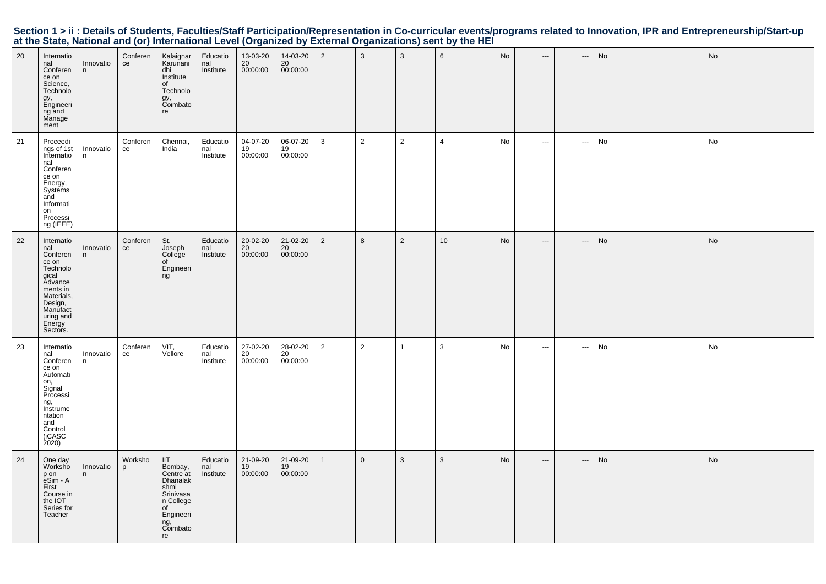| 20 | Internatio<br>nal<br>Conferen<br>ce on<br>Science,<br>Technolo<br>gy,<br>Engineeri<br>ng and<br>Manage<br>ment                                             | Innovatio<br>n | Conferen<br>ce | Kalaignar<br>Karunani<br>dhi<br>Institute<br>of<br>Technolo<br>gy,<br>Coimbato<br>re                                         | Educatio<br>nal<br>Institute | 13-03-20<br>20<br>00:00:00              | 14-03-20<br>20<br>00:00:00 | $\overline{2}$ | $\mathbf{3}$     | $\mathbf{3}$   | 6              | No | $\hspace{0.05cm} \ldots$ | $\hspace{0.05cm} \cdots$ | No        | No |
|----|------------------------------------------------------------------------------------------------------------------------------------------------------------|----------------|----------------|------------------------------------------------------------------------------------------------------------------------------|------------------------------|-----------------------------------------|----------------------------|----------------|------------------|----------------|----------------|----|--------------------------|--------------------------|-----------|----|
| 21 | Proceedi<br>ngs of 1st<br>Internatio<br>nal<br>Conferen<br>ce on<br>Energy,<br>Systems<br>and<br>Informati<br>on<br>Processi<br>ng (IEEE)                  | Innovatio<br>n | Conferen<br>ce | Chennai,<br>India                                                                                                            | Educatio<br>nal<br>Institute | 04-07-20<br>19<br>00:00:00              | 06-07-20<br>19<br>00:00:00 | $\mathbf{3}$   | $\overline{2}$   | $\overline{2}$ | $\overline{4}$ | No | $\hspace{0.05cm} \cdots$ | ---                      | No        | No |
| 22 | Internatio<br>nal<br>Conferen<br>ce on<br>Technolo<br>gical<br>Advance<br>ments in<br>Materials,<br>Design,<br>Manufact<br>uring and<br>Energy<br>Sectors. | Innovatio<br>n | Conferen<br>ce | St.<br>Joseph<br>College<br>of<br>Engineeri<br>ng                                                                            | Educatio<br>nal<br>Institute | 20-02-20<br>$\frac{20}{20}$<br>00:00:00 | 21-02-20<br>20<br>00:00:00 | $\overline{2}$ | $\boldsymbol{8}$ | 2              | 10             | No | $\hspace{0.05cm} \cdots$ | ---                      | <b>No</b> | No |
| 23 | Internatio<br>nal<br>Conferen<br>ce on<br>Automati<br>on,<br>Signal<br>Processi<br>ng,<br>Instrume<br>ntation<br>and<br>Control<br>(iCASC<br>2020)         | Innovatio<br>n | Conferen<br>ce | VIT,<br>Vellore                                                                                                              | Educatio<br>nal<br>Institute | $27 - 02 - 20$<br>20<br>00:00:00        | 28-02-20<br>20<br>00:00:00 | $\overline{2}$ | $\sqrt{2}$       | $\overline{1}$ | 3              | No | $\sim$                   | $\sim$                   | No        | No |
| 24 | One day<br>Worksho<br>p on<br>eSim - A<br>First<br>Course in<br>the IOT<br>Series for<br>Teacher                                                           | Innovatio<br>n | Worksho<br>p   | III<br>Bombay,<br>Centre at<br><b>Dhanalak</b><br>shmi<br>Srinivasa<br>n College<br>of<br>Engineeri<br>ng,<br>Coimbato<br>re | Educatio<br>nal<br>Institute | 21-09-20<br>19<br>00:00:00              | 21-09-20<br>19<br>00:00:00 | $\mathbf{1}$   | $\overline{0}$   | 3              | 3              | No | $\qquad \qquad -\qquad$  | $\hspace{0.05cm} \cdots$ | No        | No |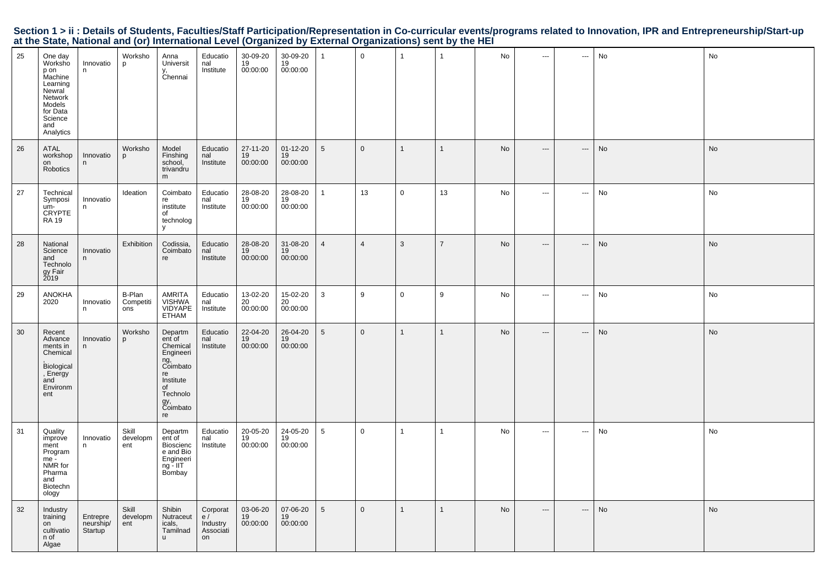|  | Section 1 > ii : Details of Students, Faculties/Staff Participation/Representation in Co-curricular events/programs related to Innovation, IPR and Entrepreneurship/Start-up |  |  |  |
|--|------------------------------------------------------------------------------------------------------------------------------------------------------------------------------|--|--|--|
|  | at the State, National and (or) International Level (Organized by External Organizations) sent by the HEI                                                                    |  |  |  |

| 25 | One day<br>Worksho<br>p on<br>Machine<br>Learning<br>Newral<br>Network<br>Models<br>for Data<br>Science<br>and<br>Analytics | Innovatio<br>n                   | Worksho<br>p               | Anna<br>Universit<br>y,<br>Chennai                                                                                          | Educatio<br>nal<br>Institute                  | 30-09-20<br>19<br>00:00:00 | 30-09-20<br>19<br>00:00:00       |                 | $\overline{0}$ | $\mathbf{1}$   | $\mathbf{1}$   | No | $\overline{\phantom{a}}$ | ---                      | No | No |
|----|-----------------------------------------------------------------------------------------------------------------------------|----------------------------------|----------------------------|-----------------------------------------------------------------------------------------------------------------------------|-----------------------------------------------|----------------------------|----------------------------------|-----------------|----------------|----------------|----------------|----|--------------------------|--------------------------|----|----|
| 26 | <b>ATAL</b><br>workshop<br>on<br>Robotics                                                                                   | Innovatio<br>n.                  | Worksho<br>p               | Model<br>Finshing<br>school,<br>trivandru<br>m                                                                              | Educatio<br>nal<br>Institute                  | 27-11-20<br>19<br>00:00:00 | $01 - 12 - 20$<br>19<br>00:00:00 | 5               | $\mathbf 0$    | $\overline{1}$ | $\mathbf{1}$   | No | $\hspace{0.05cm} \ldots$ | $\hspace{0.05cm} \cdots$ | No | No |
| 27 | Technical<br>Symposi<br>um-<br>CRYPTE<br><b>RA 19</b>                                                                       | Innovatio<br>n                   | Ideation                   | Coimbato<br>re<br>institute<br>of<br>technolog<br>y                                                                         | Educatio<br>nal<br>Institute                  | 28-08-20<br>19<br>00:00:00 | 28-08-20<br>19<br>00:00:00       | 1               | 13             | $\mathbf 0$    | 13             | No | $\hspace{0.05cm} \ldots$ | $\scriptstyle\cdots$     | No | No |
| 28 | National<br>Science<br>and<br>Technolo<br>gy Fair<br>2019                                                                   | Innovatio<br>n                   | Exhibition                 | Codissia,<br>Coimbato<br>re                                                                                                 | Educatio<br>nal<br>Institute                  | 28-08-20<br>19<br>00:00:00 | 31-08-20<br>19<br>00:00:00       | $\overline{4}$  | $\overline{4}$ | 3              | $\overline{7}$ | No | $\overline{\phantom{a}}$ | $\cdots$                 | No | No |
| 29 | <b>ANOKHA</b><br>2020                                                                                                       | Innovatio<br>n                   | B-Plan<br>Competiti<br>ons | AMRITA<br><b>VISHWA</b><br>VIDYAPE<br><b>ETHAM</b>                                                                          | Educatio<br>nal<br>Institute                  | 13-02-20<br>20<br>00:00:00 | 15-02-20<br>20<br>00:00:00       | 3               | 9              | $\mathbf 0$    | 9              | No | $\overline{\phantom{a}}$ | $\hspace{0.05cm} \cdots$ | No | No |
| 30 | Recent<br>Advance<br>ments in<br>Chemical<br>Biological<br>, Energy<br>and<br>Environm<br>ent                               | Innovatio<br>n                   | Worksho<br>D               | Departm<br>ent of<br>Chemical<br>Engineeri<br>ng,<br>Coimbato<br>re<br>Institute<br>of<br>Technolo<br>gy,<br>Coimbato<br>re | Educatio<br>nal<br>Institute                  | 22-04-20<br>19<br>00:00:00 | 26-04-20<br>19<br>00:00:00       | 5               | $\overline{0}$ | $\mathbf{1}$   | $\mathbf{1}$   | No | $\hspace{0.05cm} \ldots$ | ---                      | No | No |
| 31 | Quality<br>improve<br>ment<br>Program<br>me -<br>NMR for<br>Pharma<br>and<br>Biotechn<br>ology                              | Innovatio<br>n                   | Skill<br>developm<br>ent   | Departm<br>ent of<br>Bioscienc<br>e and Bio<br>Engineeri<br>ng - IIT<br>Bombay                                              | Educatio<br>nal<br>Institute                  | 20-05-20<br>19<br>00:00:00 | 24-05-20<br>19<br>00:00:00       | 5               | $\overline{0}$ | $\mathbf{1}$   | $\mathbf{1}$   | No | $\sim$ $\sim$            | $\sim$                   | No | No |
| 32 | Industry<br>training<br>on<br>cultivatio<br>n of<br>Algae                                                                   | Entrepre<br>neurship/<br>Startup | Skill<br>developm<br>ent   | Shibin<br>Nutraceut<br>icals,<br>Tamilnad<br><b>u</b>                                                                       | Corporat<br>e/<br>Industry<br>Associati<br>on | 03-06-20<br>19<br>00:00:00 | 07-06-20<br>19<br>00:00:00       | $5\overline{)}$ | $\mathbf{0}$   | $\overline{1}$ | $\mathbf{1}$   | No | $\hspace{0.05cm} \ldots$ | $\hspace{0.05cm} \cdots$ | No | No |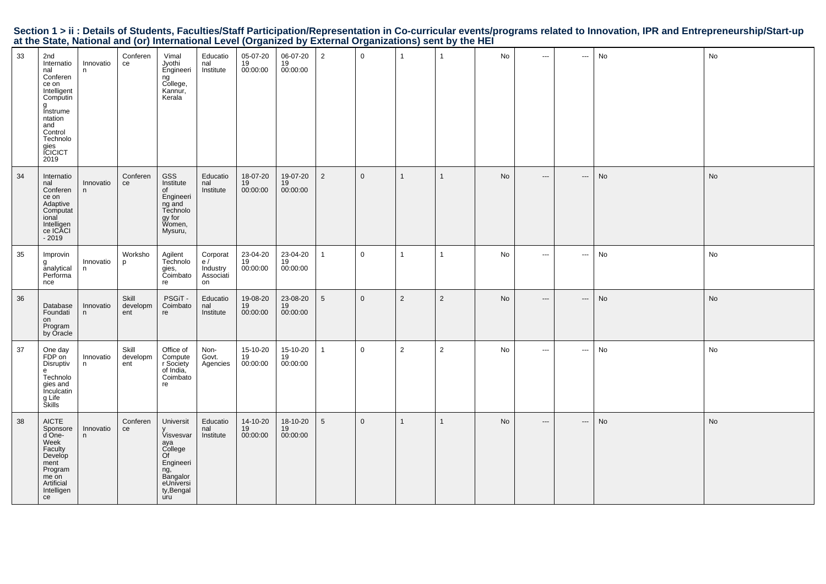|                                                                                                           |  |  | Section 1 > ii : Details of Students, Faculties/Staff Participation/Representation in Co-curricular events/programs related to Innovation, IPR and Entrepreneurship/Start-up |
|-----------------------------------------------------------------------------------------------------------|--|--|------------------------------------------------------------------------------------------------------------------------------------------------------------------------------|
| at the State, National and (or) International Level (Organized by External Organizations) sent by the HEI |  |  |                                                                                                                                                                              |

| 33 | 2nd<br>Internatio<br>nal<br>Conferen<br>ce on<br>Intelligent<br>Computin<br>g<br>Instrume<br>ntation<br>and<br>Control<br>Technolo<br>qies<br><b>CICICT</b><br>2019 | Innovatio<br>n. | Conferen<br>ce           | Vimal<br>Jyothi<br>Engineeri<br>ng<br>College,<br>Kannur,<br>Kerala                                              | Educatio<br>nal<br>Institute                  | 05-07-20<br>19<br>00:00:00 | 06-07-20<br>19<br>00:00:00 | $\overline{2}$  | $\overline{0}$ | $\mathbf{1}$   | $\mathbf{1}$   | No | $\sim$ $\sim$ $\sim$     | $\overline{\phantom{a}}$ | No | No        |
|----|---------------------------------------------------------------------------------------------------------------------------------------------------------------------|-----------------|--------------------------|------------------------------------------------------------------------------------------------------------------|-----------------------------------------------|----------------------------|----------------------------|-----------------|----------------|----------------|----------------|----|--------------------------|--------------------------|----|-----------|
| 34 | Internatio<br>nal<br>Conferen<br>ce on<br>Adaptive<br>Computat<br>ional<br>Intelligen<br>ce ICACI<br>$-2019$                                                        | Innovatio<br>n  | Conferen<br>ce           | GSS<br>Institute<br>of<br>Engineeri<br>$ng$ and<br>Technolo<br>gy for<br>Women,<br>Mysuru,                       | Educatio<br>nal<br>Institute                  | 18-07-20<br>19<br>00:00:00 | 19-07-20<br>19<br>00:00:00 | $\overline{2}$  | $\overline{0}$ | $\mathbf{1}$   | $\mathbf{1}$   | No | $\hspace{0.05cm} \cdots$ | $\hspace{0.05cm} \cdots$ | No | No        |
| 35 | Improvin<br>g<br>analytical<br>Performa<br>nce                                                                                                                      | Innovatio<br>n  | Worksho<br>D             | Agilent<br>Technolo<br>gies,<br>Coimbato<br>re                                                                   | Corporat<br>e/<br>Industry<br>Associati<br>on | 23-04-20<br>19<br>00:00:00 | 23-04-20<br>19<br>00:00:00 | $\mathbf{1}$    | $\overline{0}$ | $\mathbf{1}$   | $\mathbf{1}$   | No | $\sim$ $\sim$            | $\sim$                   | No | No        |
| 36 | Database<br>Foundati<br>on<br>Program<br>by Oracle                                                                                                                  | Innovatio<br>n  | Skill<br>developm<br>ent | PSGIT-<br>Coimbato<br>re                                                                                         | Educatio<br>nal<br>Institute                  | 19-08-20<br>19<br>00:00:00 | 23-08-20<br>19<br>00:00:00 | $5\overline{)}$ | $\mathbf 0$    | 2              | $\overline{2}$ | No | $\hspace{0.05cm} \ldots$ | ---                      | No | <b>No</b> |
| 37 | One day<br>FDP on<br>Disruptiv<br>e<br>Technolo<br>gies and<br><b>Inculcatin</b><br>g Life<br>Škills                                                                | Innovatio<br>n. | Skill<br>developm<br>ent | Office of<br>Compute<br>r Society<br>of India.<br>Coimbato<br>re                                                 | Non-<br>Govt.<br>Agencies                     | 15-10-20<br>19<br>00:00:00 | 15-10-20<br>19<br>00:00:00 | 1               | $\mathbf 0$    | $\overline{2}$ | $\overline{2}$ | No | $\cdots$                 | $\hspace{0.05cm} \ldots$ | No | No        |
| 38 | <b>AICTE</b><br>Sponsore<br>d One-<br>Week<br>Faculty<br>Develop<br>ment<br>Program<br>me on<br>Artificial<br>Intelligen<br>ce                                      | Innovatio<br>n  | Conferen<br>ce           | Universit<br>Visvesvar<br>aya<br>College<br>Of<br>Engineeri<br>ng,<br>Bangalor<br>eUniversi<br>ty, Bengal<br>uru | Educatio<br>nal<br>Institute                  | 14-10-20<br>19<br>00:00:00 | 18-10-20<br>19<br>00:00:00 | $5\overline{)}$ | $\overline{0}$ | $\mathbf{1}$   | $\mathbf{1}$   | No | $\hspace{0.05cm} \cdots$ | $\hspace{0.05cm} \ldots$ | No | <b>No</b> |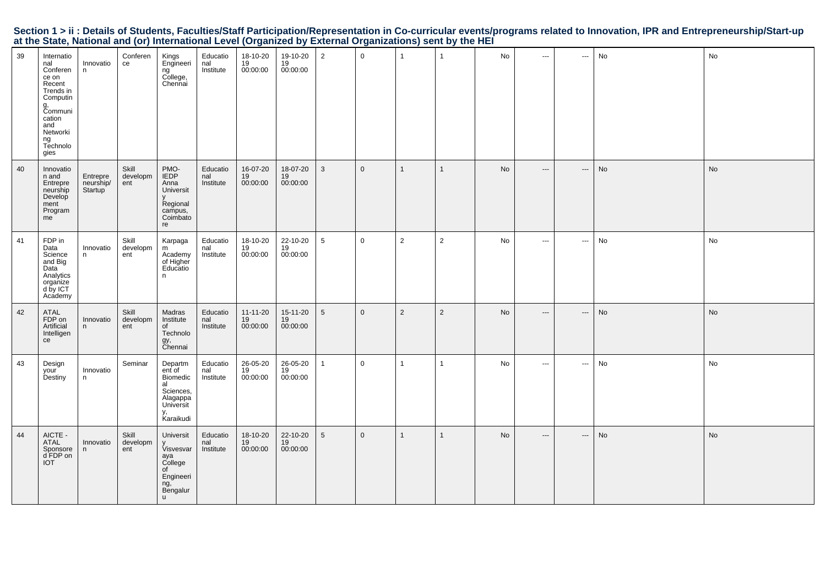|  | Section 1 > ii : Details of Students, Faculties/Staff Participation/Representation in Co-curricular events/programs related to Innovation, IPR and Entrepreneurship/Start-up |  |  |  |
|--|------------------------------------------------------------------------------------------------------------------------------------------------------------------------------|--|--|--|
|  | at the State, National and (or) International Level (Organized by External Organizations) sent by the HEI                                                                    |  |  |  |

| 39 | Internatio<br>nal<br>Conferen<br>ce on<br>Recent<br>Trends in<br>Computin<br>g,<br>Communi<br>cation<br>and<br>Networki<br>ng<br>Technolo<br>gies | Innovatio<br>n                   | Conferen<br>ce           | Kings<br>Engineeri<br>ngັ<br>College,<br>Chennai                                                         | Educatio<br>nal<br>Institute | 18-10-20<br>19<br>00:00:00       | 19-10-20<br>19<br>00:00:00              | $\overline{2}$  | $\overline{0}$ | $\overline{1}$ | $\overline{1}$ | No        | $\hspace{0.05cm} \ldots \hspace{0.05cm}$ | $\sim$                   | No | No        |
|----|---------------------------------------------------------------------------------------------------------------------------------------------------|----------------------------------|--------------------------|----------------------------------------------------------------------------------------------------------|------------------------------|----------------------------------|-----------------------------------------|-----------------|----------------|----------------|----------------|-----------|------------------------------------------|--------------------------|----|-----------|
| 40 | Innovatio<br>n and<br>Entrepre<br>neurship<br>Develop<br>ment<br>Program<br>me                                                                    | Entrepre<br>neurship/<br>Startup | Skill<br>developm<br>ent | PMO-<br>IEDP<br>Anna<br>Universit<br>Regional<br>campus,<br>Coimbato<br>re                               | Educatio<br>nal<br>Institute | 16-07-20<br>19<br>00:00:00       | 18-07-20<br>19<br>00:00:00              | 3               | $\overline{0}$ | $\mathbf{1}$   | $\mathbf{1}$   | <b>No</b> | $---$                                    | $\hspace{0.05cm} \ldots$ | No | No        |
| 41 | FDP in<br>Data<br>Science<br>and Big<br>Data<br>Analytics<br>organize<br>d by ICT<br>Academy                                                      | Innovatio<br>n.                  | Skill<br>developm<br>ent | Karpaga<br>m<br>Academy<br>of Higher<br>Educatio<br>n.                                                   | Educatio<br>nal<br>Institute | 18-10-20<br>19<br>00:00:00       | 22-10-20<br>$\overline{19}$<br>00:00:00 | $5\phantom{.0}$ | $\mathbf 0$    | $\overline{2}$ | $\overline{2}$ | No        | $\sim$                                   | $\hspace{0.05cm} \ldots$ | No | No        |
| 42 | ATAL<br>FDP on<br>Artificial<br>Intelligen<br>ce                                                                                                  | Innovatio<br>n.                  | Skill<br>developm<br>ent | Madras<br>Institute<br>of<br>Technolo<br>gy,<br>Chennai                                                  | Educatio<br>nal<br>Institute | $11 - 11 - 20$<br>19<br>00:00:00 | 15-11-20<br>19<br>00:00:00              | 5               | $\mathbf 0$    | $\overline{2}$ | $\overline{2}$ | <b>No</b> | $\hspace{0.05cm} \cdots$                 | $\hspace{0.05cm} \cdots$ | No | <b>No</b> |
| 43 | Design<br>your<br>Destiny                                                                                                                         | Innovatio<br>n.                  | Seminar                  | Departm<br>ent of<br>Biomedic<br>al<br>Sciences,<br>Alagappa<br>Universit<br>y,<br>Karaikudi             | Educatio<br>nal<br>Institute | 26-05-20<br>19<br>00:00:00       | 26-05-20<br>19<br>00:00:00              | $\mathbf{1}$    | $\mathbf 0$    | $\mathbf{1}$   | $\mathbf{1}$   | No        | $\overline{\phantom{a}}$                 | $\sim$ $\sim$            | No | No        |
| 44 | AICTE -<br>ATAL<br>Sponsore<br>d FDP on<br><b>IOT</b>                                                                                             | Innovatio<br>n                   | Skill<br>developm<br>ent | Universit<br>Visvesvar<br>aya<br>College<br>of<br>Engineeri<br>ng, <i>de</i><br>Bengalur<br>$\mathsf{u}$ | Educatio<br>nal<br>Institute | 18-10-20<br>19<br>00:00:00       | 22-10-20<br>$\overline{19}$<br>00:00:00 | 5               | $\mathbf 0$    | $\mathbf{1}$   | $\mathbf{1}$   | No        | $---$                                    | $\hspace{0.05cm} \cdots$ | No | No        |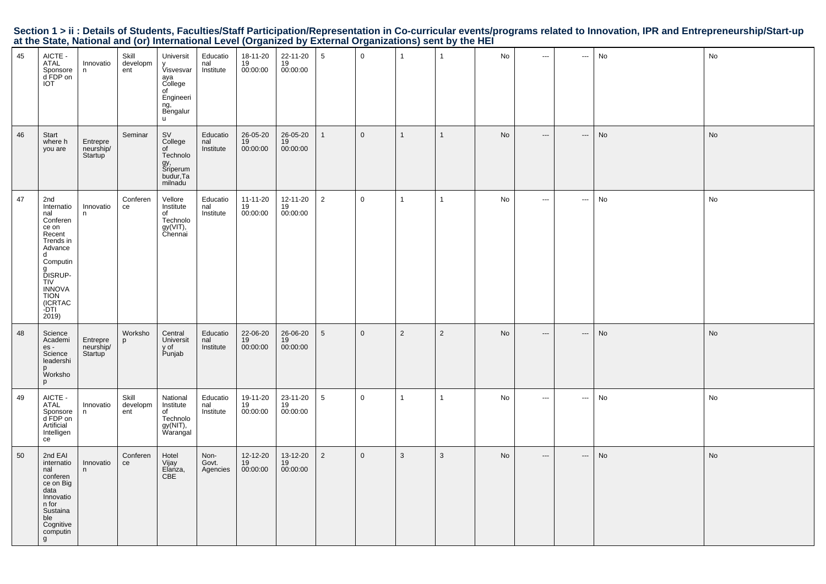|                                                                                                           |  |  | Section 1 > ii : Details of Students, Faculties/Staff Participation/Representation in Co-curricular events/programs related to Innovation, IPR and Entrepreneurship/Start-up |  |
|-----------------------------------------------------------------------------------------------------------|--|--|------------------------------------------------------------------------------------------------------------------------------------------------------------------------------|--|
| at the State, National and (or) International Level (Organized by External Organizations) sent by the HEI |  |  |                                                                                                                                                                              |  |

| 45 | AICTE -<br>ATAL<br>Sponsore<br>d FDP on<br>IOT                                                                                                                                             | Innovatio<br>n.                               | Skill<br>developm<br>ent | Universit<br>Visvesvar<br>aya<br>College<br>of<br>Engineeri<br>ng,<br>Bengalur<br>u. | Educatio<br>nal<br>Institute | 18-11-20<br>19<br>00:00:00       | 22-11-20<br>$\frac{19}{19}$ 00:00:00 | 5               | $\mathbf 0$    | $\mathbf{1}$   | $\overline{1}$ | No | $\cdots$                 | $\hspace{0.05cm} \ldots$ | No | No |
|----|--------------------------------------------------------------------------------------------------------------------------------------------------------------------------------------------|-----------------------------------------------|--------------------------|--------------------------------------------------------------------------------------|------------------------------|----------------------------------|--------------------------------------|-----------------|----------------|----------------|----------------|----|--------------------------|--------------------------|----|----|
| 46 | Start<br>where h<br>you are                                                                                                                                                                | Entrepre<br>neurship/<br>Startup <sup>'</sup> | Seminar                  | <b>SV</b><br>College<br>of<br>Technolo<br>gy,<br>Sriperum<br>budur, Ta<br>milnadu    | Educatio<br>nal<br>Institute | 26-05-20<br>19<br>00:00:00       | 26-05-20<br>19<br>00:00:00           | $\mathbf{1}$    | $\mathbf 0$    | $\overline{1}$ | $\mathbf{1}$   | No | $\hspace{0.05cm} \ldots$ | ---                      | No | No |
| 47 | 2nd<br>Internatio<br>nal<br>Conferen<br>ce on<br>Recent<br>Trends in<br>Advance<br>d<br>Computin<br>g<br>DISRUP-<br><b>TIV</b><br><b>INNOVA</b><br><b>TION</b><br>(ICRTAC<br>-DTI<br>2019) | Innovatio<br>n                                | Conferen<br>ce           | Vellore<br>Institute<br>of<br>Technolo<br>$gy(VIT)$ ,<br>Chennai                     | Educatio<br>nal<br>Institute | $11 - 11 - 20$<br>19<br>00:00:00 | 12-11-20<br>19<br>00:00:00           | $\overline{2}$  | $\overline{0}$ | $\mathbf{1}$   | $\mathbf{1}$   | No | $\sim$                   | $\sim$                   | No | No |
| 48 | Science<br>Academi<br>$es -$<br>Science<br>leadershi<br>p<br>Worksho<br>p                                                                                                                  | Entrepre<br>neurship/<br>Startup <sup>1</sup> | Worksho<br>p             | Central<br>Universit<br>y of<br>Punjab                                               | Educatio<br>nal<br>Institute | 22-06-20<br>19<br>00:00:00       | 26-06-20<br>19<br>00:00:00           | 5               | $\overline{0}$ | $\overline{2}$ | $\overline{2}$ | No | $---$                    | $\hspace{0.05cm} \cdots$ | No | No |
| 49 | AICTE -<br>ATAL<br>Sponsore<br>d FDP on<br>Artificial<br>Intelligen<br>ce                                                                                                                  | Innovatio<br>n                                | Skill<br>developm<br>ent | National<br>Institute<br>of<br>Technolo<br>$gy(NIT)$ ,<br>Warangal                   | Educatio<br>nal<br>Institute | 19-11-20<br>19<br>00:00:00       | 23-11-20<br>19<br>00:00:00           | $5\phantom{.0}$ | $\mathbf 0$    | $\overline{1}$ | $\mathbf{1}$   | No | $\cdots$                 | $\hspace{0.05cm} \ldots$ | No | No |
| 50 | 2nd EAI<br>internatio<br>nal<br>conferen<br>ce on Big<br>data<br>Innovatio<br>n for<br>Sustaina<br>ble<br>Cognitive<br>computin<br>g                                                       | Innovatio<br>n.                               | Conferen<br>ce           | Hotel<br>Vijay<br>Elanza,<br>CBE                                                     | Non-<br>Govt.<br>Agencies    | 12-12-20<br>19<br>00:00:00       | 13-12-20<br>19<br>00:00:00           | $\overline{2}$  | $\mathbf 0$    | $\mathbf{3}$   | 3              | No | $\hspace{0.05cm} \ldots$ | ---                      | No | No |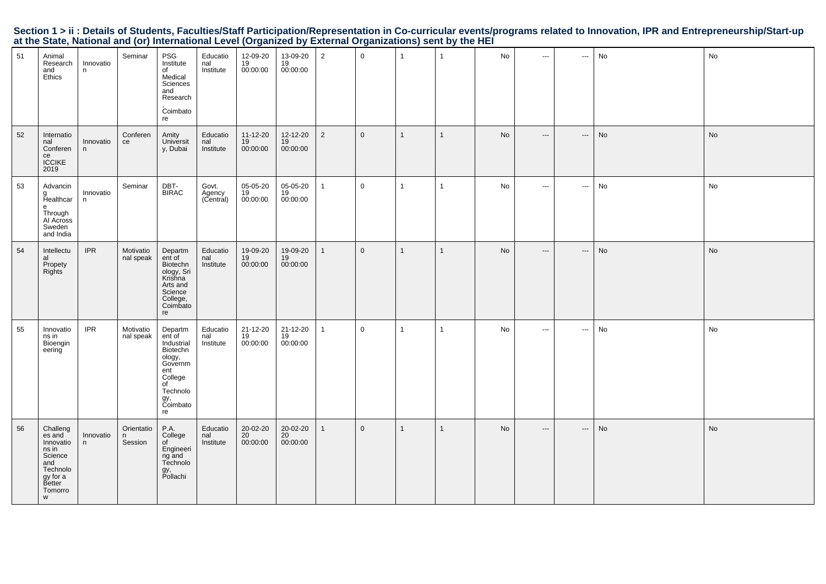| 51 | Animal<br>Research<br>and<br>Ethics                                                                          | Innovatio<br>n | Seminar                    | PSG<br>Institute<br>of<br>Medical<br>Sciences<br>and<br>Research<br>Coimbato<br>re                                            | Educatio<br>nal<br>Institute | 12-09-20<br>19<br>00:00:00 | 13-09-20<br>19<br>00:00:00 | $\overline{2}$ | $\mathbf 0$    | $\overline{1}$ | $\mathbf{1}$   | No        | $\sim$ $\sim$            | $\hspace{0.05cm} \cdots$ | No | No |
|----|--------------------------------------------------------------------------------------------------------------|----------------|----------------------------|-------------------------------------------------------------------------------------------------------------------------------|------------------------------|----------------------------|----------------------------|----------------|----------------|----------------|----------------|-----------|--------------------------|--------------------------|----|----|
| 52 | Internatio<br>nal<br>Conferen<br>ce<br><b>ICCIKE</b><br>2019                                                 | Innovatio<br>n | Conferen<br>ce             | Amity<br>Universit<br>y, Dubai                                                                                                | Educatio<br>nal<br>Institute | 11-12-20<br>19<br>00:00:00 | 12-12-20<br>19<br>00:00:00 | $\overline{2}$ | $\overline{0}$ | $\overline{1}$ | $\mathbf{1}$   | <b>No</b> | $\hspace{0.05cm} \ldots$ | $\hspace{0.05cm} \cdots$ | No | No |
| 53 | Advancin<br>g<br>Healthcar<br>$\mathbf{e}$<br>Through<br>Al Across<br>Sweden<br>and India                    | Innovatio<br>n | Seminar                    | DBT-<br><b>BIRAC</b>                                                                                                          | Govt.<br>Agency<br>(Central) | 05-05-20<br>19<br>00:00:00 | 05-05-20<br>19<br>00:00:00 | $\mathbf{1}$   | $\mathbf 0$    | $\mathbf{1}$   | $\mathbf{1}$   | No        | $\hspace{0.05cm} \ldots$ | $\hspace{0.05cm} \cdots$ | No | No |
| 54 | Intellectu<br>al<br>Propety<br><b>Rights</b>                                                                 | <b>IPR</b>     | Motivatio<br>nal speak     | Departm<br>ent of<br>Biotechn<br>ology, Sri<br>Krishna<br>Arts and<br>Science<br>College,<br>Coimbato<br>re                   | Educatio<br>nal<br>Institute | 19-09-20<br>19<br>00:00:00 | 19-09-20<br>19<br>00:00:00 | $\mathbf{1}$   | $\mathbf 0$    | $\mathbf{1}$   | $\mathbf{1}$   | No        | $\hspace{0.05cm} \cdots$ | $\hspace{0.05cm} \cdots$ | No | No |
| 55 | Innovatio<br>ns in<br>Bioengin<br>eering                                                                     | <b>IPR</b>     | Motivatio<br>nal speak     | Departm<br>ent of<br>Industrial<br>Biotechn<br>ology,<br>Governm<br>ent<br>College<br>of<br>Technolo<br>gy,<br>Coimbato<br>re | Educatio<br>nal<br>Institute | 21-12-20<br>19<br>00:00:00 | 21-12-20<br>19<br>00:00:00 | $\mathbf{1}$   | $\mathbf 0$    | $\overline{1}$ | $\overline{1}$ | No        | $\hspace{0.05cm} \ldots$ | ---                      | No | No |
| 56 | Challeng<br>es and<br>Innovatio<br>ns in<br>Science<br>and<br>Technolo<br>gy for a<br>Better<br>Tomorro<br>W | Innovatio<br>n | Orientatio<br>n<br>Session | P.A.<br>College<br>of<br>Engineeri<br>ng and<br>Technolo<br>gy,<br>Pollachi                                                   | Educatio<br>nal<br>Institute | 20-02-20<br>20<br>00:00:00 | 20-02-20<br>20<br>00:00:00 | $\mathbf{1}$   | $\overline{0}$ | $\overline{1}$ | $\mathbf{1}$   | <b>No</b> | $\hspace{0.05cm} \ldots$ | ---                      | No | No |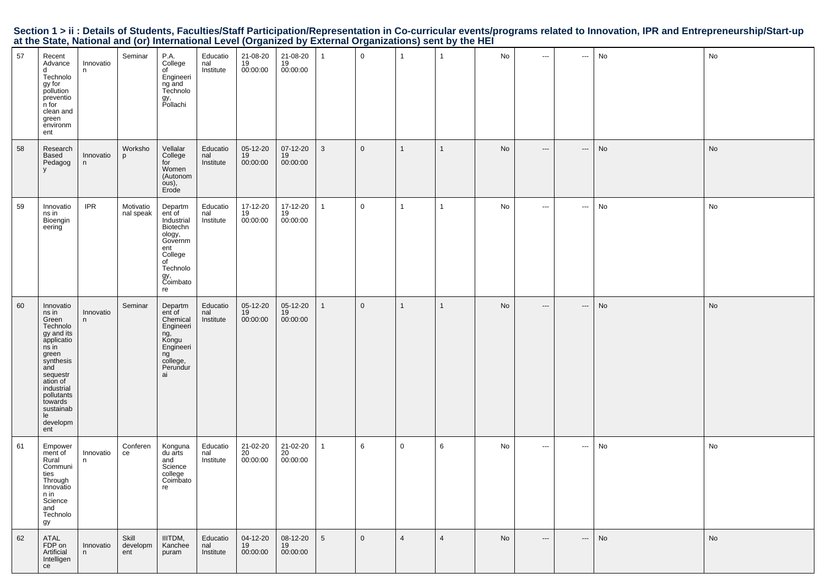|  | Section 1 > ii : Details of Students, Faculties/Staff Participation/Representation in Co-curricular events/programs related to Innovation, IPR and Entrepreneurship/Start-up |  |  |  |
|--|------------------------------------------------------------------------------------------------------------------------------------------------------------------------------|--|--|--|
|  | at the State, National and (or) International Level (Organized by External Organizations) sent by the HEI                                                                    |  |  |  |

| 57 | Recent<br>Advance<br>d<br>Technolo<br>gy for<br>pollution<br>preventio<br>n for<br>clean and<br>green<br>environm<br>ent                                                                                       | Innovatio<br>n  | Seminar                  | P.A.<br>College<br>of<br>Engineeri<br>ng and<br>Technolo<br>gy,<br>Pollachi                                                   | Educatio<br>nal<br>Institute | 21-08-20<br>19<br>00:00:00 | $21 - 08 - 20$<br>$19$<br>00:00:00 | -1              | $\mathbf 0$    | $\overline{1}$ | $\mathbf{1}$   | No | $\hspace{1.5cm} \textbf{---}$            | ---                      | No | No |
|----|----------------------------------------------------------------------------------------------------------------------------------------------------------------------------------------------------------------|-----------------|--------------------------|-------------------------------------------------------------------------------------------------------------------------------|------------------------------|----------------------------|------------------------------------|-----------------|----------------|----------------|----------------|----|------------------------------------------|--------------------------|----|----|
| 58 | Research<br>Based<br>Pedagog<br>y                                                                                                                                                                              | Innovatio<br>n  | Worksho<br>p             | Vellalar<br>College<br>for<br>Women<br>(Autonom<br>ous),<br>Erode                                                             | Educatio<br>nal<br>Institute | 05-12-20<br>19<br>00:00:00 | 07-12-20<br>19<br>00:00:00         | $\mathbf{3}$    | $\mathbf 0$    | $\mathbf{1}$   | $\mathbf{1}$   | No | $\hspace{0.05cm} \ldots \hspace{0.05cm}$ | $\hspace{0.05cm} \cdots$ | No | No |
| 59 | Innovatio<br>ns in<br>Bioengin<br>eering                                                                                                                                                                       | <b>IPR</b>      | Motivatio<br>nal speak   | Departm<br>ent of<br>Industrial<br>Biotechn<br>ology,<br>Governm<br>ent<br>College<br>of<br>Technolo<br>gy,<br>Coimbato<br>re | Educatio<br>nal<br>Institute | 17-12-20<br>19<br>00:00:00 | 17-12-20<br>19<br>00:00:00         | $\mathbf{1}$    | $\overline{0}$ | $\mathbf{1}$   | $\mathbf{1}$   | No | $\hspace{0.05cm} \ldots$                 | $\hspace{0.05cm} \ldots$ | No | No |
| 60 | Innovatio<br>ns in<br>Green<br>Technolo<br>gy and its<br>applicatio<br>ns in<br>green<br>synthesis<br>and<br>sequestr<br>ation of<br>industrial<br>pollutants<br>towards<br>sustainab<br>le<br>developm<br>ent | Innovatio<br>n  | Seminar                  | Departm<br>ent of<br>Chemical<br>Engineeri<br>ng,<br>Kongu<br>Engineeri<br>ng<br>college,<br>Perundur<br>ai                   | Educatio<br>nal<br>Institute | 05-12-20<br>19<br>00:00:00 | 05-12-20<br>19<br>00:00:00         | $\mathbf{1}$    | $\mathsf 0$    | $\mathbf{1}$   | $\mathbf{1}$   | No | $\hspace{0.05cm} \ldots \hspace{0.05cm}$ | $\hspace{0.05cm} \cdots$ | No | No |
| 61 | Empower<br>ment of<br>Rural<br>Communi<br>ties<br>Through<br>Innovatio<br>n in<br>Science<br>and<br>Technolo<br>gy                                                                                             | Innovatio<br>n. | Conferen<br>ce           | Konguna<br>du arts<br>and<br>Science<br>college<br>Coimbato<br>re                                                             | Educatio<br>nal<br>Institute | 21-02-20<br>20<br>00:00:00 | 21-02-20<br>20<br>00:00:00         | $\mathbf{1}$    | 6              | $\mathbf 0$    | 6              | No | $\hspace{0.05cm} \ldots$                 | $\scriptstyle\cdots$     | No | No |
| 62 | ATAL<br>FDP on<br>Artificial<br>Intelligen<br>ce                                                                                                                                                               | Innovatio<br>n  | Skill<br>developm<br>ent | IIITDM,<br>Kanchee<br>puram                                                                                                   | Educatio<br>nal<br>Institute | 04-12-20<br>19<br>00:00:00 | 08-12-20<br>19<br>00:00:00         | $5\overline{5}$ | $\overline{0}$ | $\overline{4}$ | $\overline{4}$ | No | $\hspace{0.05cm} \ldots \hspace{0.05cm}$ | ---                      | No | No |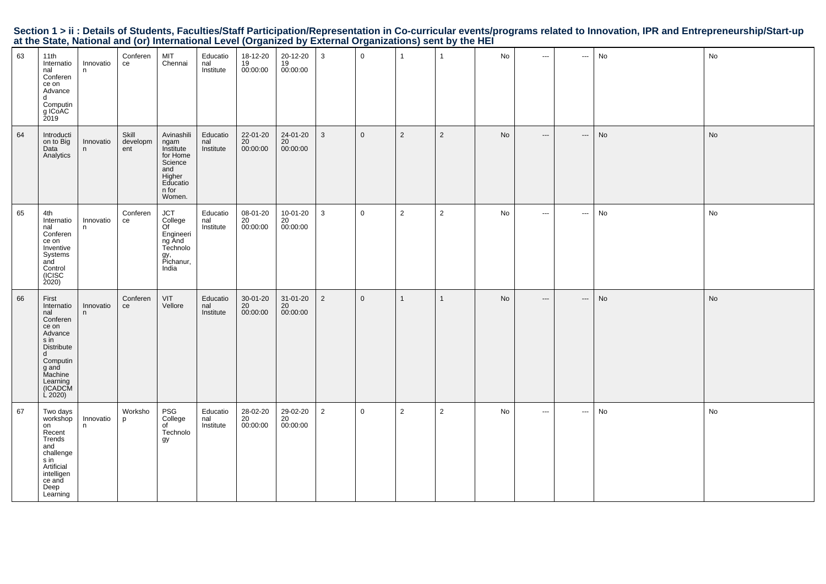|                                                                                                           |  |  | Section 1 > ii : Details of Students, Faculties/Staff Participation/Representation in Co-curricular events/programs related to Innovation, IPR and Entrepreneurship/Start-up |
|-----------------------------------------------------------------------------------------------------------|--|--|------------------------------------------------------------------------------------------------------------------------------------------------------------------------------|
| at the State, National and (or) International Level (Organized by External Organizations) sent by the HEI |  |  |                                                                                                                                                                              |

| 63 | 11th<br>Internatio<br>nal<br>Conferen<br>ce on<br>Advance<br>d<br>Computin<br>g ICoAC<br>2019                                                             | Innovatio<br>n. | Conferen<br>ce           | MIT<br>Chennai                                                                                         | Educatio<br>nal<br>Institute | 18-12-20<br>19<br>00:00:00              | $20-12-20$<br>$19$<br>00:00:00 | 3              | $\mathbf 0$    | $\overline{1}$ | $\mathbf{1}$   | No        | $\sim$ $\sim$            | $\hspace{0.05cm} \cdots$ | No | No |
|----|-----------------------------------------------------------------------------------------------------------------------------------------------------------|-----------------|--------------------------|--------------------------------------------------------------------------------------------------------|------------------------------|-----------------------------------------|--------------------------------|----------------|----------------|----------------|----------------|-----------|--------------------------|--------------------------|----|----|
| 64 | Introducti<br>on to Big<br>Data<br>Analytics                                                                                                              | Innovatio<br>n  | Skill<br>developm<br>ent | Avinashili<br>ngam<br>Institute<br>for Home<br>Science<br>and<br>Higher<br>Educatio<br>n for<br>Women. | Educatio<br>nal<br>Institute | 22-01-20<br>$\overline{20}$<br>00:00:00 | 24-01-20<br>20<br>00:00:00     | 3              | $\mathbf{0}$   | 2              | $\overline{2}$ | <b>No</b> | $\hspace{0.05cm} \ldots$ | $\hspace{0.05cm} \ldots$ | No | No |
| 65 | 4th<br>Internatio<br>nal<br>Conferen<br>ce on<br>Inventive<br>Systems<br>ańd<br>Control<br>(ICISC<br>2020                                                 | Innovatio<br>n  | Conferen<br>ce           | JCT<br>College<br>Of<br>Engineeri<br>ng And<br>Technolo<br>gy,<br>Pichanur,<br>India                   | Educatio<br>nal<br>Institute | 08-01-20<br>20<br>00:00:00              | 10-01-20<br>20<br>00:00:00     | 3              | $\mathbf 0$    | 2              | $\overline{2}$ | No        | $\sim$ $\sim$            | $\sim$                   | No | No |
| 66 | First<br>Internatio<br>nal<br>Conferen<br>ce on<br>Advance<br>s in<br>Distribute<br>d<br>Computin<br>g and<br>Machine<br>Learning<br>(ICADCM<br>$L$ 2020) | Innovatio<br>n  | Conferen<br>ce           | VIT<br>Vellore                                                                                         | Educatio<br>nal<br>Institute | $30 - 01 - 20$<br>20<br>00:00:00        | 31-01-20<br>20<br>00:00:00     | $\overline{2}$ | $\overline{0}$ | $\mathbf{1}$   | $\mathbf{1}$   | No        | $\hspace{0.05cm} \ldots$ | $\hspace{0.05cm} \cdots$ | No | No |
| 67 | Two days<br>workshop<br>on<br>Recent<br>Trends<br>and<br>challenge<br>s in<br>Artificial<br>intelligen<br>ce and<br>Deep<br>Learning                      | Innovatio<br>n  | Worksho<br>p             | PSG<br>College<br>of<br>Technolo<br>gy                                                                 | Educatio<br>nal<br>Institute | 28-02-20<br>20<br>00:00:00              | 29-02-20<br>20<br>00:00:00     | 2              | $\mathbf 0$    | 2              | $\overline{2}$ | No        | $\sim$ $\sim$            | $\sim$                   | No | No |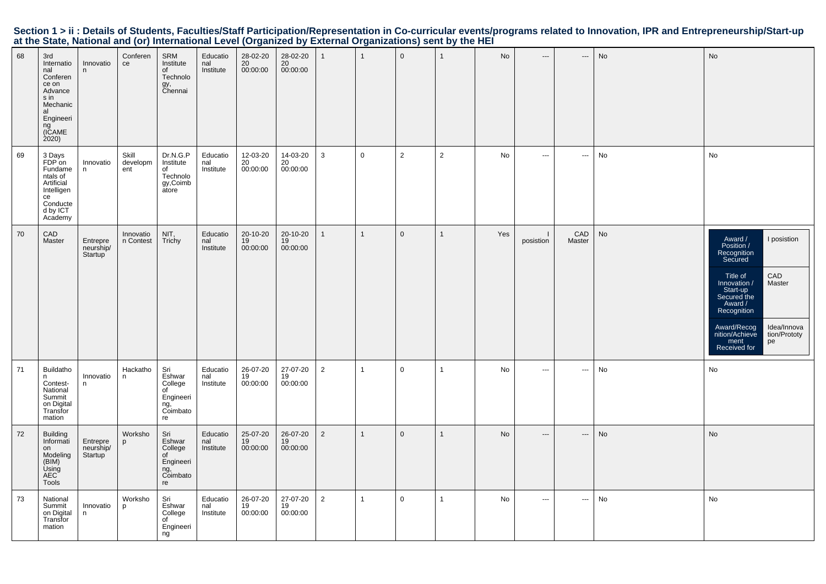| 68 | 3rd<br>Internatio<br>nal<br>Conferen<br>ce on<br>Advance<br>s in<br>Mechanic<br>al<br>Engineeri<br>ng<br>(ICAME<br>2020 | Innovatio<br>n                   | Conferen<br>ce           | SRM<br>Institute<br>of<br>Technolo<br>gy,<br>Chennai                 | Educatio<br>nal<br>Institute | 28-02-20<br>20<br>00:00:00 | 28-02-20<br>20<br>00:00:00 |                | $\mathbf{1}$   | $\mathsf 0$    | $\mathbf{1}$   | No  | $---$                    | ---           | No | No                                                                                                                                                                                                                                                             |
|----|-------------------------------------------------------------------------------------------------------------------------|----------------------------------|--------------------------|----------------------------------------------------------------------|------------------------------|----------------------------|----------------------------|----------------|----------------|----------------|----------------|-----|--------------------------|---------------|----|----------------------------------------------------------------------------------------------------------------------------------------------------------------------------------------------------------------------------------------------------------------|
| 69 | 3 Days<br>FDP on<br>Fundame<br>ntals of<br>Artificial<br>Intelligen<br>ce<br>Conducte<br>d by ICT<br>Academy            | Innovatio<br>n                   | Skill<br>developm<br>ent | Dr.N.G.P<br>Institute<br>of<br>Technolo<br>gy,Coimb<br>atore         | Educatio<br>nal<br>Institute | 12-03-20<br>20<br>00:00:00 | 14-03-20<br>20<br>00:00:00 | 3              | $\mathbf 0$    | $\overline{2}$ | $\overline{2}$ | No  | $\hspace{0.05cm} \ldots$ | ---           | No | No                                                                                                                                                                                                                                                             |
| 70 | CAD<br>Master                                                                                                           | Entrepre<br>neurship/<br>Startup | Innovatio<br>n Contest   | NIT,<br>Trichy                                                       | Educatio<br>nal<br>Institute | 20-10-20<br>19<br>00:00:00 | 20-10-20<br>19<br>00:00:00 |                | $\mathbf{1}$   | $\mathbf 0$    | $\mathbf{1}$   | Yes | posistion                | CAD<br>Master | No | Award /<br>I posistion<br>Position /<br>Recognition<br>Secured<br>CAD<br>Title of<br>Innovation /<br>Master<br>Start-up<br>Secured the<br>Award /<br>Recognition<br>Idea/Innova<br>Award/Recog<br>nition/Achieve<br>tion/Prototy<br>ment<br>Received for<br>pe |
| 71 | Buildatho<br>n<br>Contest-<br>National<br>Summit<br>on Digital<br>Transfor<br>mation                                    | Innovatio<br>n                   | Hackatho<br>n            | Sri<br>Eshwar<br>College<br>of<br>Engineeri<br>ng,<br>Coimbato<br>re | Educatio<br>nal<br>Institute | 26-07-20<br>19<br>00:00:00 | 27-07-20<br>19<br>00:00:00 | $\overline{2}$ | $\overline{1}$ | $\mathbf 0$    | $\mathbf{1}$   | No  | $\cdots$                 | $\sim$        | No | No                                                                                                                                                                                                                                                             |
| 72 | <b>Building</b><br>Informati<br>on<br>Modeling<br>(BIM)<br>Using<br>AEC <sup>-</sup><br>Tools                           | Entrepre<br>neurship/<br>Startup | Worksho<br>p             | Sri<br>Eshwar<br>College<br>of<br>Engineeri<br>ng,<br>Coimbato<br>re | Educatio<br>nal<br>Institute | 25-07-20<br>19<br>00:00:00 | 26-07-20<br>19<br>00:00:00 | $\overline{2}$ | $\mathbf{1}$   | $\mathbf{0}$   | $\mathbf{1}$   | No  | $\hspace{0.05cm} \ldots$ | ---           | No | No                                                                                                                                                                                                                                                             |
| 73 | National<br>Summit<br>on Digital<br>Transfor<br>mation                                                                  | Innovatio<br>n                   | Worksho<br>p             | Sri<br>Eshwar<br>College<br>of<br>Engineeri<br>ng                    | Educatio<br>nal<br>Institute | 26-07-20<br>19<br>00:00:00 | 27-07-20<br>19<br>00:00:00 | $\overline{2}$ | $\mathbf{1}$   | $\mathbf 0$    | $\mathbf{1}$   | No  | $\cdots$                 | ---           | No | No                                                                                                                                                                                                                                                             |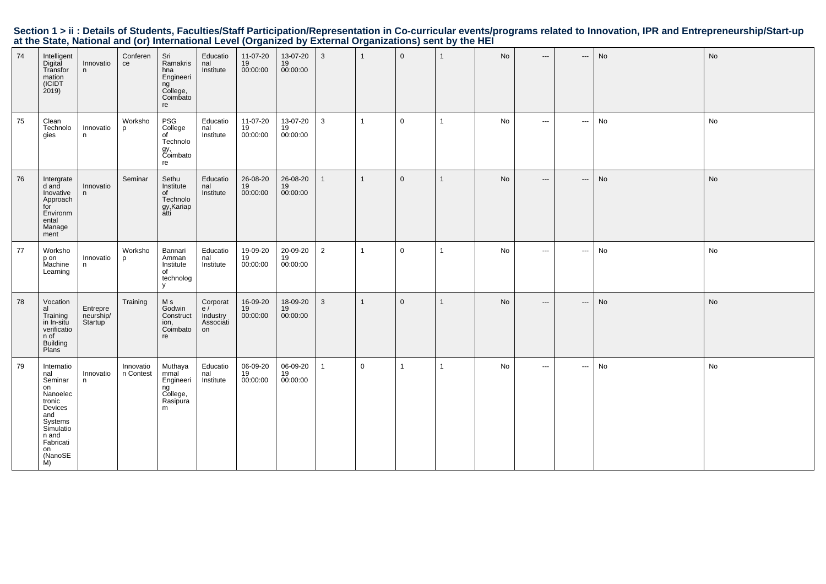| 74 | Intelligent<br>Digital<br>Transfor<br>mation<br>(ICIDT<br>2019                                                                                  | Innovatio<br>n                                | Conferen<br>ce         | Sri<br>Ramakris<br>hna<br>Engineeri<br>ng<br>College,<br>Coimbato<br>re | Educatio<br>nal<br>Institute                  | 11-07-20<br>19<br>00:00:00        | 13-07-20<br>19<br>00:00:00 | 3              | $\overline{1}$ | $\overline{0}$ | $\mathbf{1}$ | No        | $\hspace{0.05cm} \ldots$ | $\hspace{0.05cm} \ldots$ | No | No        |
|----|-------------------------------------------------------------------------------------------------------------------------------------------------|-----------------------------------------------|------------------------|-------------------------------------------------------------------------|-----------------------------------------------|-----------------------------------|----------------------------|----------------|----------------|----------------|--------------|-----------|--------------------------|--------------------------|----|-----------|
| 75 | Clean<br>Technolo<br>gies                                                                                                                       | Innovatio<br>n                                | Worksho<br>p           | PSG<br>College<br>of<br>Technolo<br>gy,<br>Coimbato<br>re               | Educatio<br>nal<br>Institute                  | 11-07-20<br>19<br>00:00:00        | 13-07-20<br>19<br>00:00:00 | 3              | $\overline{1}$ | $\mathbf 0$    | $\mathbf{1}$ | No        | $\sim$ $\sim$ $\sim$     | $\sim$                   | No | No        |
| 76 | Intergrate<br>d and<br>Inovative<br>Approach<br>for<br>Environm<br>ental<br>Manage<br>ment                                                      | Innovatio<br>n                                | Seminar                | Sethu<br>Institute<br>of<br>Technolo<br>gy, Kariap<br>atti              | Educatio<br>nal<br>Institute                  | 26-08-20<br>19<br>00:00:00        | 26-08-20<br>19<br>00:00:00 | $\mathbf{1}$   | $\overline{1}$ | $\mathbf 0$    | $\mathbf{1}$ | <b>No</b> | $\hspace{0.05cm} \ldots$ | $\hspace{0.05cm} \cdots$ | No | No        |
| 77 | Worksho<br>p on<br>Machine<br>Learning                                                                                                          | Innovatio<br>n.                               | Worksho<br>р           | Bannari<br>Amman<br>Institute<br>of<br>technolog<br>y                   | Educatio<br>nal<br>Institute                  | 19-09-20<br>19<br>00:00:00        | 20-09-20<br>19<br>00:00:00 | $\overline{2}$ | $\overline{1}$ | $\mathbf 0$    | $\mathbf{1}$ | <b>No</b> | $\sim$ $\sim$ $\sim$     | $\cdots$                 | No | No        |
| 78 | Vocation<br>al<br>Training<br>in In-situ<br>verificatio<br>n of<br><b>Building</b><br>Plans                                                     | Entrepre<br>neurship/<br>Startup <sup>'</sup> | Training               | M s<br>Godwin<br>Construct<br>ion,<br>Coimbato<br>re                    | Corporat<br>e/<br>Industry<br>Associati<br>on | 16-09-20<br>19<br>00:00:00        | 18-09-20<br>19<br>00:00:00 | 3              | $\overline{1}$ | $\mathbf 0$    | $\mathbf 1$  | No        | $\cdots$                 | $\hspace{0.05cm} \ldots$ | No | <b>No</b> |
| 79 | Internatio<br>nal<br>Seminar<br>on<br>Nanoelec<br>tronic<br>Devices<br>and<br>Systems<br>Símulatio<br>n and<br>Fabricati<br>on<br>(NanoSE<br>M) | Innovatio<br>n                                | Innovatio<br>n Contest | Muthaya<br>mmal<br>Engineeri<br>ng<br>College,<br>Rasipura<br>m         | Educatio<br>nal<br>Institute                  | 06-09-20<br>$\frac{19}{00:00:00}$ | 06-09-20<br>19<br>00:00:00 | $\mathbf{1}$   | $\mathbf 0$    | $\overline{1}$ | -1           | No        | $\sim$ $\sim$            | $\cdots$                 | No | No        |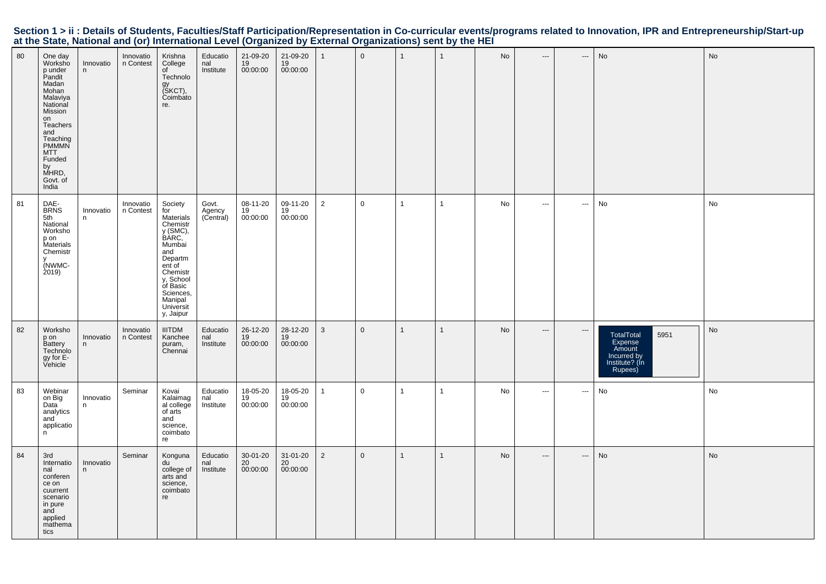|                                                                                                           |  |  | Section 1 > ii : Details of Students, Faculties/Staff Participation/Representation in Co-curricular events/programs related to Innovation, IPR and Entrepreneurship/Start-up |
|-----------------------------------------------------------------------------------------------------------|--|--|------------------------------------------------------------------------------------------------------------------------------------------------------------------------------|
| at the State, National and (or) International Level (Organized by External Organizations) sent by the HEI |  |  |                                                                                                                                                                              |

| 80 | One day<br>Worksho<br>p under<br>Pandit<br>Madan<br>Mohan<br>Malaviya<br>National<br>Mission<br>on<br>Teachers<br>and<br>Teaching<br><b>PMMMN</b><br><b>MTT</b><br>Funded<br>by<br>MHRD,<br>Govt. of<br>India | Innovatio<br>n  | Innovatio<br>n Contest | Krishna<br>College<br>of<br>Technolo<br>gy<br>(SKCT),<br>Coimbato<br>re.                                                                                                                  | Educatio<br>nal<br>Institute | 21-09-20<br>19<br>00:00:00 | 21-09-20<br>19<br>00:00:00 |                | $\overline{0}$ | $\overline{1}$          | $\mathbf{1}$ | No | $---$                         | ---                      | No                                                                                  | No |
|----|---------------------------------------------------------------------------------------------------------------------------------------------------------------------------------------------------------------|-----------------|------------------------|-------------------------------------------------------------------------------------------------------------------------------------------------------------------------------------------|------------------------------|----------------------------|----------------------------|----------------|----------------|-------------------------|--------------|----|-------------------------------|--------------------------|-------------------------------------------------------------------------------------|----|
| 81 | DAE-<br><b>BRNS</b><br>5th<br>National<br>Worksho<br>p on<br>Materials<br>Chemistr<br>(NWMC-<br>2019)                                                                                                         | Innovatio<br>n  | Innovatio<br>n Contest | Society<br>for<br>Materials<br>Chemistr<br>y (SMC),<br>BARC,<br>Mumbai<br>and<br>Departm<br>ent of<br>Chemistr<br>y, School<br>of Basic<br>Sciences,<br>Manipal<br>Universit<br>y, Jaipur | Govt.<br>Agency<br>(Central) | 08-11-20<br>19<br>00:00:00 | 09-11-20<br>19<br>00:00:00 | $\overline{2}$ | $\mathsf 0$    | $\mathbf{1}$            | $\mathbf{1}$ | No | $\hspace{0.05cm} \ldots$      | $\hspace{0.05cm} \cdots$ | No                                                                                  | No |
| 82 | Worksho<br>p on<br>Battery<br>Technolo<br>gy for E-<br>Vehicle                                                                                                                                                | Innovatio<br>n. | Innovatio<br>n Contest | <b>IIITDM</b><br>Kanchee<br>puram,<br>Chennai                                                                                                                                             | Educatio<br>nal<br>Institute | 26-12-20<br>19<br>00:00:00 | 28-12-20<br>19<br>00:00:00 | $\mathbf{3}$   | $\mathbf 0$    | $\overline{1}$          | $\mathbf{1}$ | No | $\hspace{1.5cm} \textbf{---}$ | $\hspace{0.05cm} \ldots$ | 5951<br>TotalTotal<br>Expense<br>Amount<br>Incurred by<br>Institute? (In<br>Rupees) | No |
| 83 | Webinar<br>on Big<br>Data<br>analytics<br>and<br>applicatio<br>n                                                                                                                                              | Innovatio<br>n  | Seminar                | Kovai<br>Kalaimag<br>al college<br>of arts<br>and<br>science,<br>coimbato<br>re                                                                                                           | Educatio<br>nal<br>Institute | 18-05-20<br>19<br>00:00:00 | 18-05-20<br>19<br>00:00:00 | 1              | $\overline{0}$ | $\mathbf{1}$            | $\mathbf{1}$ | No | $\sim$ $\sim$                 | $\hspace{0.05cm} \cdots$ | No                                                                                  | No |
| 84 | 3rd<br>Internatio<br>nal<br>conferen<br>ce on<br>cuurrent<br>scenario<br>in pure<br>and<br>applied<br>mathema<br>tics                                                                                         | Innovatio<br>n. | Seminar                | Konguna<br>du<br>college of<br>arts and<br>science,<br>coimbato<br>re                                                                                                                     | Educatio<br>nal<br>Institute | 30-01-20<br>20<br>00:00:00 | 31-01-20<br>20<br>00:00:00 | $\overline{2}$ | $\overline{0}$ | $\overline{\mathbf{1}}$ | $\mathbf{1}$ | No | $\hspace{0.05cm} \cdots$      | ---                      | No                                                                                  | No |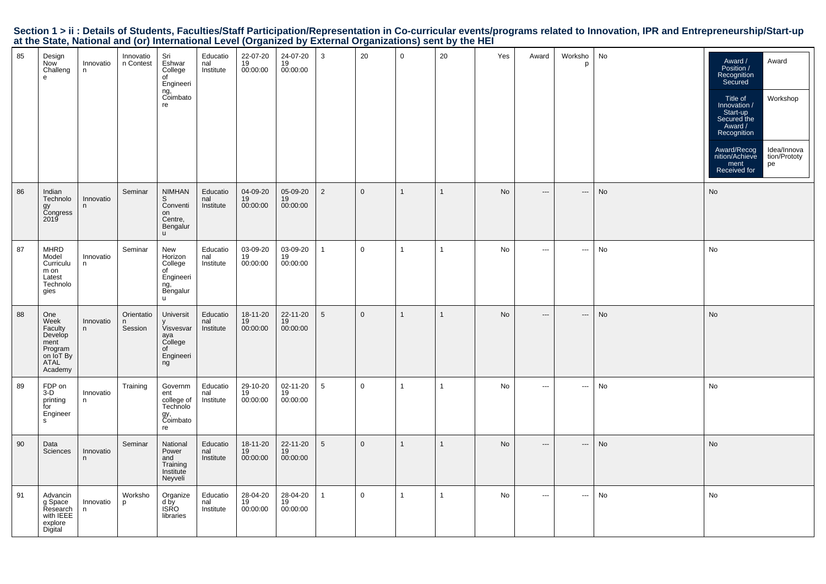|  |                                                                                                           |  |  | Section 1 > ii : Details of Students, Faculties/Staff Participation/Representation in Co-curricular events/programs related to Innovation, IPR and Entrepreneurship/Start-up |  |
|--|-----------------------------------------------------------------------------------------------------------|--|--|------------------------------------------------------------------------------------------------------------------------------------------------------------------------------|--|
|  | at the State, National and (or) International Level (Organized by External Organizations) sent by the HEI |  |  |                                                                                                                                                                              |  |

| 85 | Design<br>Now<br>Challeng<br>e                                                       | Innovatio<br>n. | Innovatio<br>n Contest     | Sri<br>Eshwar<br>College<br>of<br>Engineeri<br>ng,<br>Coimbato<br>re            | Educatio<br>nal<br>Institute | 22-07-20<br>19<br>00:00:00 | 24-07-20<br>19<br>00:00:00 | 3               | 20          | $\mathbf 0$  | 20           | Yes | Award                    | Worksho<br>p             | No | Award /<br>Award<br>Position /<br>Recognition<br>Secured<br>Workshop<br>Title of<br>Innovation /<br>Start-up<br>Secured the<br>Award /<br>Recognition<br>Idea/Innova<br>Award/Recog<br>nition/Achieve<br>tion/Prototy<br>ment<br>pe<br>Received for |
|----|--------------------------------------------------------------------------------------|-----------------|----------------------------|---------------------------------------------------------------------------------|------------------------------|----------------------------|----------------------------|-----------------|-------------|--------------|--------------|-----|--------------------------|--------------------------|----|-----------------------------------------------------------------------------------------------------------------------------------------------------------------------------------------------------------------------------------------------------|
| 86 | Indian<br>Technolo<br>gy<br>Congress<br>2019                                         | Innovatio<br>n  | Seminar                    | <b>NIMHAN</b><br>S<br>Conventi<br>on<br>Centre,<br>Bengalur<br><b>u</b>         | Educatio<br>nal<br>Institute | 04-09-20<br>19<br>00:00:00 | 05-09-20<br>19<br>00:00:00 | $\overline{2}$  | $\mathbf 0$ | $\mathbf{1}$ | $\mathbf{1}$ | No  | $\hspace{0.05cm} \ldots$ | $\hspace{0.05cm} \cdots$ | No | No                                                                                                                                                                                                                                                  |
| 87 | <b>MHRD</b><br>Model<br>Curriculu<br>m on<br>Latest<br>Technolo<br>gies              | Innovatio<br>n  | Seminar                    | New<br>Horizon<br>College<br>of<br>Engineeri<br>ng,<br>Bengalur<br>$\mathsf{u}$ | Educatio<br>nal<br>Institute | 03-09-20<br>19<br>00:00:00 | 03-09-20<br>19<br>00:00:00 | 1               | $\mathbf 0$ | $\mathbf{1}$ | $\mathbf{1}$ | No  | $\hspace{0.05cm} \cdots$ | $\hspace{0.05cm} \cdots$ | No | No                                                                                                                                                                                                                                                  |
| 88 | One<br>Week<br>Faculty<br>Develop<br>ment<br>Program<br>on IoT By<br>ATAL<br>Academy | Innovatio<br>n  | Orientatio<br>n<br>Session | Universit<br>Visvesvar<br>aya<br>College<br>of<br>Engineeri<br>ng               | Educatio<br>nal<br>Institute | 18-11-20<br>19<br>00:00:00 | 22-11-20<br>19<br>00:00:00 | 5               | $\mathbf 0$ | $\mathbf{1}$ | $\mathbf{1}$ | No  | $\overline{\phantom{a}}$ | ---                      | No | No                                                                                                                                                                                                                                                  |
| 89 | FDP on<br>$3-D$<br>printing<br>for<br>Engineer<br>s                                  | Innovatio<br>n  | Training                   | Governm<br>ent<br>college of<br>Technolo<br>gy,<br>Coimbato<br>re               | Educatio<br>nal<br>Institute | 29-10-20<br>19<br>00:00:00 | 02-11-20<br>19<br>00:00:00 | $5\overline{)}$ | $\mathbf 0$ | $\mathbf{1}$ | $\mathbf{1}$ | No  | $\scriptstyle\cdots$     | $\hspace{0.05cm} \cdots$ | No | No                                                                                                                                                                                                                                                  |
| 90 | Data<br>Sciences                                                                     | Innovatio<br>n  | Seminar                    | National<br>Power<br>and<br>Training<br>Institute<br>Neyveli                    | Educatio<br>nal<br>Institute | 18-11-20<br>19<br>00:00:00 | 22-11-20<br>19<br>00:00:00 | 5               | $\mathbf 0$ | $\mathbf{1}$ | $\mathbf{1}$ | No  | $\hspace{0.05cm} \ldots$ | $\hspace{0.05cm} \ldots$ | No | No                                                                                                                                                                                                                                                  |
| 91 | Advancin<br>g Space<br>Research<br>with IEEE<br>explore<br>Digital                   | Innovatio<br>n. | Worksho<br>p               | Organize<br>d by<br><b>ISRO</b><br>libraries                                    | Educatio<br>nal<br>Institute | 28-04-20<br>19<br>00:00:00 | 28-04-20<br>19<br>00:00:00 | $\mathbf{1}$    | $\mathbf 0$ | $\mathbf{1}$ | $\mathbf{1}$ | No  | $\sim$ $\sim$            | $\hspace{0.05cm} \cdots$ | No | No                                                                                                                                                                                                                                                  |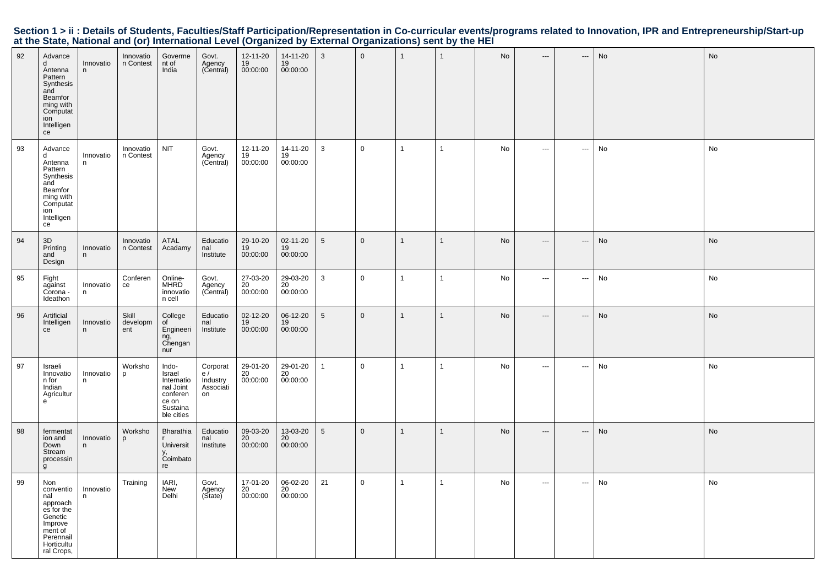| 92 | Advance<br>d<br>Antenna<br>Pattern<br>Synthesis<br>and<br>Beamfor<br>ming with<br>Computat<br>ion<br>Intelligen<br>ce       | Innovatio<br>n | Innovatio<br>n Contest   | Goverme<br>nt of<br>India                                                                 | Govt.<br>Agency<br>(Central)                  | 12-11-20<br>19<br>00:00:00 | 14-11-20<br>19<br>00:00:00 | $\mathbf{3}$    | $\mathbf 0$  | $\mathbf{1}$ | $\mathbf{1}$ | No | ---                      | ---                        | No | No        |
|----|-----------------------------------------------------------------------------------------------------------------------------|----------------|--------------------------|-------------------------------------------------------------------------------------------|-----------------------------------------------|----------------------------|----------------------------|-----------------|--------------|--------------|--------------|----|--------------------------|----------------------------|----|-----------|
| 93 | Advance<br>d<br>Antenna<br>Pattern<br>Synthesis<br>and<br>Beamfor<br>ming with<br>Computat<br>ion<br>Intelligen<br>ce       | Innovatio<br>n | Innovatio<br>n Contest   | NIT                                                                                       | Govt.<br>Agency<br>(Central)                  | 12-11-20<br>19<br>00:00:00 | 14-11-20<br>19<br>00:00:00 | 3               | $\mathbf 0$  | $\mathbf{1}$ | $\mathbf{1}$ | No | $\hspace{0.05cm} \ldots$ | ---                        | No | No        |
| 94 | 3D<br>Printing<br>and<br>Design                                                                                             | Innovatio<br>n | Innovatio<br>n Contest   | ATAL<br>Acadamy                                                                           | Educatio<br>nal<br>Institute                  | 29-10-20<br>19<br>00:00:00 | 02-11-20<br>19<br>00:00:00 | $5\phantom{.0}$ | $\mathbf 0$  | $\mathbf{1}$ | $\mathbf{1}$ | No | $\overline{\phantom{a}}$ | ---                        | No | No        |
| 95 | Fight<br>against<br>Corona -<br>Ideathon                                                                                    | Innovatio<br>n | Conferen<br>ce           | Online-<br><b>MHRD</b><br>innovatio<br>n cell                                             | Govt.<br>Agency<br>(Central)                  | 27-03-20<br>20<br>00:00:00 | 29-03-20<br>20<br>00:00:00 | 3               | $\mathsf 0$  | $\mathbf{1}$ | 1            | No | $\hspace{0.05cm}\ldots$  | $\hspace{0.05cm} \cdots$   | No | No        |
| 96 | Artificial<br>Intelligen<br>ce                                                                                              | Innovatio<br>n | Skill<br>developm<br>ent | College<br>of<br>Engineeri<br>ng,<br>Chengan<br>nur                                       | Educatio<br>nal<br>Institute                  | 02-12-20<br>19<br>00:00:00 | 06-12-20<br>19<br>00:00:00 | $5\overline{5}$ | $\mathbf{0}$ | $\mathbf{1}$ | $\mathbf{1}$ | No | $\hspace{0.05cm} \cdots$ | ---                        | No | <b>No</b> |
| 97 | Israeli<br>Innovatio<br>n for<br>Indian<br>Agricultur<br>$\epsilon$                                                         | Innovatio<br>n | Worksho<br>p             | Indo-<br>Israel<br>Internatio<br>nal Joint<br>conferen<br>ce on<br>Sustaina<br>ble cities | Corporat<br>e/<br>Industry<br>Associati<br>on | 29-01-20<br>20<br>00:00:00 | 29-01-20<br>20<br>00:00:00 | $\mathbf{1}$    | $\mathsf 0$  | $\mathbf{1}$ | $\mathbf{1}$ | No | $\hspace{0.05cm}\ldots$  | $\hspace{0.05cm} \cdots$   | No | No        |
| 98 | fermentat<br>ion and<br>Down<br>Stream<br>processin<br>g                                                                    | Innovatio<br>n | Worksho<br>p             | Bharathia<br>Universit<br>y,<br>Coimbato<br>re                                            | Educatio<br>nal<br>Institute                  | 09-03-20<br>20<br>00:00:00 | 13-03-20<br>20<br>00:00:00 | $5\overline{5}$ | $\mathbf{0}$ | $\mathbf{1}$ | $\mathbf{1}$ | No | $\hspace{0.05cm} \ldots$ | $\qquad \qquad - \qquad -$ | No | <b>No</b> |
| 99 | Non<br>conventio<br>nal<br>approach<br>es for the<br>Genetic<br>Improve<br>ment of<br>Perennail<br>Horticultu<br>ral Crops, | Innovatio<br>n | Training                 | IARI,<br><b>New</b><br>Delhi                                                              | Govt.<br>Agency<br>(State)                    | 17-01-20<br>20<br>00:00:00 | 06-02-20<br>20<br>00:00:00 | 21              | $\mathsf 0$  | $\mathbf{1}$ | $\mathbf{1}$ | No | $\hspace{0.05cm} \ldots$ | $\cdots$                   | No | No        |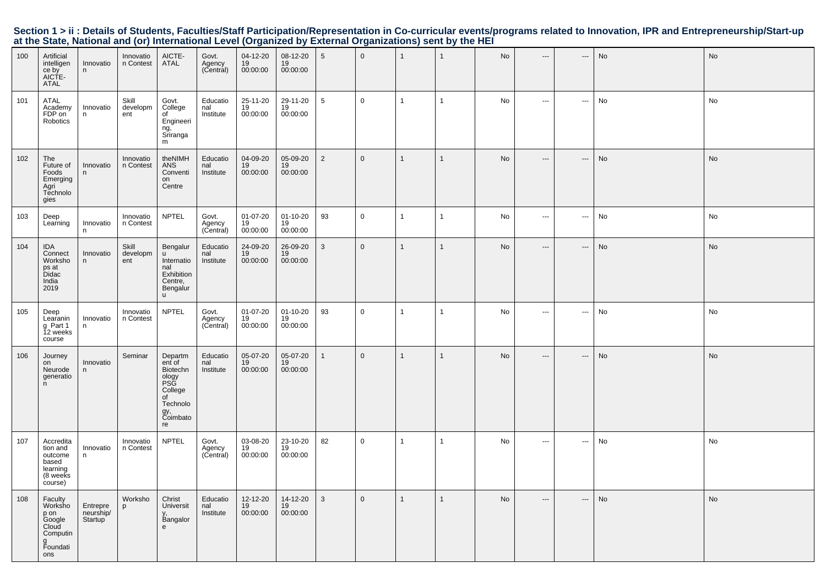| 100 | Artificial<br>intelligen<br>ce by<br>AICTE-<br>ATAL                               | Innovatio<br>n                   | Innovatio<br>n Contest   | AICTE-<br><b>ATAL</b>                                                                               | Govt.<br>Agency<br>(Central) | 04-12-20<br>19<br>00:00:00       | 08-12-20<br>19<br>00:00:00       | 5              | $\overline{0}$ | $\overline{1}$ | $\overline{1}$ | No | $\overline{\phantom{a}}$ | ---                      | No | No |
|-----|-----------------------------------------------------------------------------------|----------------------------------|--------------------------|-----------------------------------------------------------------------------------------------------|------------------------------|----------------------------------|----------------------------------|----------------|----------------|----------------|----------------|----|--------------------------|--------------------------|----|----|
| 101 | ATAL<br>Academy<br>FDP on<br>Robotics                                             | Innovatio<br>n                   | Skill<br>developm<br>ent | Govt.<br>College<br>of<br>Engineeri<br>ng,<br>Sriranga<br>m                                         | Educatio<br>nal<br>Institute | 25-11-20<br>19<br>00:00:00       | 29-11-20<br>19<br>00:00:00       | 5              | $\mathbf 0$    | $\mathbf{1}$   | $\mathbf{1}$   | No | $\sim$                   | $\hspace{0.05cm} \ldots$ | No | No |
| 102 | The<br>Future of<br>Foods<br>Emerging<br>Agri<br>Technolo<br>gies                 | Innovatio<br>n                   | Innovatio<br>n Contest   | theNIMH<br><b>ANS</b><br>Conventi<br>on<br>Centre                                                   | Educatio<br>nal<br>Institute | 04-09-20<br>19<br>00:00:00       | 05-09-20<br>19<br>00:00:00       | $\overline{2}$ | $\mathbf 0$    | $\mathbf{1}$   | -1             | No | $---$                    | $\hspace{0.05cm} \cdots$ | No | No |
| 103 | Deep<br>Learning                                                                  | Innovatio<br>n                   | Innovatio<br>n Contest   | <b>NPTEL</b>                                                                                        | Govt.<br>Agency<br>(Central) | $01 - 07 - 20$<br>19<br>00:00:00 | $01 - 10 - 20$<br>19<br>00:00:00 | 93             | $\mathbf 0$    | $\mathbf{1}$   | -1             | No | $\cdots$                 | $\hspace{0.05cm} \ldots$ | No | No |
| 104 | <b>IDA</b><br>Connect<br>Worksho<br>ps at<br><b>Didac</b><br>India<br>2019        | Innovatio<br>n                   | Skill<br>developm<br>ent | Bengalur<br>$\mathbf{H}$<br>Internatio<br>nal<br>Exhibition<br>Centre,<br>Bengalur<br><b>u</b>      | Educatio<br>nal<br>Institute | 24-09-20<br>19<br>00:00:00       | 26-09-20<br>19<br>00:00:00       | 3              | $\overline{0}$ | $\overline{1}$ | -1             | No | $\hspace{0.05cm} \ldots$ | $\hspace{0.05cm} \cdots$ | No | No |
| 105 | Deep<br>Learanin<br>g Part 1<br>12 weeks<br>course                                | Innovatio<br>n                   | Innovatio<br>n Contest   | <b>NPTEL</b>                                                                                        | Govt.<br>Agency<br>(Central) | 01-07-20<br>19<br>00:00:00       | $01 - 10 - 20$<br>19<br>00:00:00 | 93             | $\mathbf 0$    | $\mathbf{1}$   | $\mathbf{1}$   | No | $\sim$ $\sim$ $\sim$     | $\hspace{0.05cm} \ldots$ | No | No |
| 106 | Journey<br>on<br>Neurode<br>generatio<br>n.                                       | Innovatio<br>n.                  | Seminar                  | Departm<br>ent of<br>Biotechn<br>ology<br>PSG<br>College<br>of<br>Technolo<br>gy,<br>Coimbato<br>re | Educatio<br>nal<br>Institute | 05-07-20<br>19<br>00:00:00       | 05-07-20<br>19<br>00:00:00       | $\mathbf{1}$   | $\overline{0}$ | $\overline{1}$ | -1             | No | $\hspace{0.05cm} \ldots$ | $\qquad \qquad -\qquad$  | No | No |
| 107 | Accredita<br>tion and<br>outcome<br>based<br>learning<br>(8 weeks<br>course)      | Innovatio<br>n                   | Innovatio<br>n Contest   | <b>NPTEL</b>                                                                                        | Govt.<br>Agency<br>(Central) | 03-08-20<br>19<br>00:00:00       | 23-10-20<br>19<br>00:00:00       | 82             | $\mathbf 0$    | $\mathbf{1}$   | $\mathbf{1}$   | No | $\sim$ $\sim$            | $\sim$ $\sim$            | No | No |
| 108 | Faculty<br>Worksho<br>p on<br>Google<br>Cloud<br>Computin<br>g<br>Foundati<br>ons | Entrepre<br>neurship/<br>Startup | Worksho<br>p             | Christ<br>Universit<br>Bangalor<br>e                                                                | Educatio<br>nal<br>Institute | 12-12-20<br>19<br>00:00:00       | 14-12-20<br>19<br>00:00:00       | 3              | $\overline{0}$ | $\overline{1}$ | $\mathbf{1}$   | No | $---$                    | $---$                    | No | No |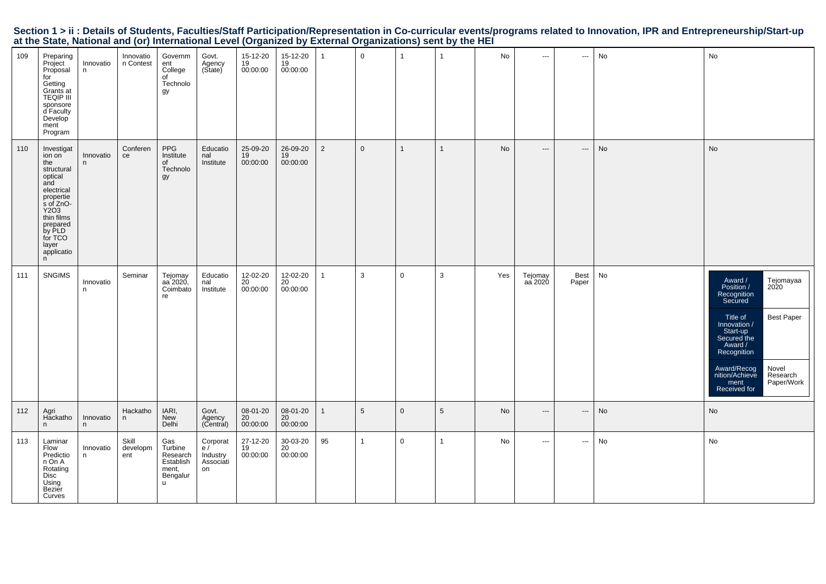|                                                                                                           |  |  | Section 1 > ii : Details of Students, Faculties/Staff Participation/Representation in Co-curricular events/programs related to Innovation, IPR and Entrepreneurship/Start-up |  |
|-----------------------------------------------------------------------------------------------------------|--|--|------------------------------------------------------------------------------------------------------------------------------------------------------------------------------|--|
| at the State, National and (or) International Level (Organized by External Organizations) sent by the HEI |  |  |                                                                                                                                                                              |  |

| 109 | Preparing<br>Project<br>Proposal<br>for<br>Getting<br>Grants at<br>TEQIP III<br>sponsore<br>d Faculty<br>Develop<br>ment<br>Program                                                    | Innovatio<br>n. | Innovatio<br>n Contest   | Governm<br>ent<br>College<br>of<br>Technolo<br>gy                  | Govt.<br>Agency<br>(State)                    | 15-12-20<br>19<br>00:00:00 | 15-12-20<br>19<br>00:00:00 | $\mathbf{1}$   | $\mathbf 0$     | $\mathbf{1}$ | $\mathbf{1}$   | No  | $\sim$                   | $\hspace{0.05cm} \cdots$ | No | No                                                                                                                                                                                                                                                                     |
|-----|----------------------------------------------------------------------------------------------------------------------------------------------------------------------------------------|-----------------|--------------------------|--------------------------------------------------------------------|-----------------------------------------------|----------------------------|----------------------------|----------------|-----------------|--------------|----------------|-----|--------------------------|--------------------------|----|------------------------------------------------------------------------------------------------------------------------------------------------------------------------------------------------------------------------------------------------------------------------|
| 110 | Investigat<br>ion on<br>the<br>structural<br>optical<br>and<br>electrical<br>propertie<br>s of ZnO-<br>Y2O3<br>thin films<br>prepared<br>by PLD<br>for TCO<br>layer<br>applicatio<br>n | Innovatio<br>n. | Conferen<br>ce           | PPG<br>Institute<br>of<br>Technolo<br>gy                           | Educatio<br>nal<br>Institute                  | 25-09-20<br>19<br>00:00:00 | 26-09-20<br>19<br>00:00:00 | $\overline{2}$ | $\overline{0}$  | $\mathbf{1}$ | $\mathbf{1}$   | No  | $\hspace{0.05cm} \ldots$ | $\hspace{0.05cm} \ldots$ | No | No                                                                                                                                                                                                                                                                     |
| 111 | SNGIMS                                                                                                                                                                                 | Innovatio<br>n  | Seminar                  | Tejomay<br>aa 2020,<br>Coimbato<br>re                              | Educatio<br>nal<br>Institute                  | 12-02-20<br>20<br>00:00:00 | 12-02-20<br>20<br>00:00:00 | $\mathbf{1}$   | $\mathbf{3}$    | $\mathbf 0$  | $\mathbf{3}$   | Yes | Tejomay<br>aa 2020       | Best<br>Paper            | No | Award /<br>Tejomayaa<br>2020<br>Position /<br>Recognition<br>Secured<br><b>Best Paper</b><br>Title of<br>Innovation /<br>Start-up<br>Secured the<br>Award /<br>Recognition<br>Award/Recog<br>Novel<br>Research<br>nition/Achieve<br>Paper/Work<br>ment<br>Received for |
| 112 | Agri<br>Hackatho<br>n                                                                                                                                                                  | Innovatio<br>n  | Hackatho<br>n            | IARI,<br><b>New</b><br>Delhi                                       | Govt.<br>Agency<br>(Central)                  | 08-01-20<br>20<br>00:00:00 | 08-01-20<br>20<br>00:00:00 | $\mathbf{1}$   | $5\phantom{.0}$ | $\mathbf 0$  | $\sqrt{5}$     | No  | $\qquad \qquad -\qquad$  | $\hspace{0.05cm} \cdots$ | No | No                                                                                                                                                                                                                                                                     |
| 113 | Laminar<br>Flow<br>Predictio<br>n On A<br>Rotating<br>Disc<br>Using<br>Bezier<br>Curves                                                                                                | Innovatio<br>n  | Skill<br>developm<br>ent | Gas<br>Turbine<br>Research<br>Establish<br>ment,<br>Bengalur<br>u. | Corporat<br>e/<br>Industry<br>Associati<br>on | 27-12-20<br>19<br>00:00:00 | 30-03-20<br>20<br>00:00:00 | 95             | $\mathbf{1}$    | $\mathbf 0$  | $\overline{1}$ | No  | $\overline{a}$           | $\hspace{0.05cm} \cdots$ | No | No                                                                                                                                                                                                                                                                     |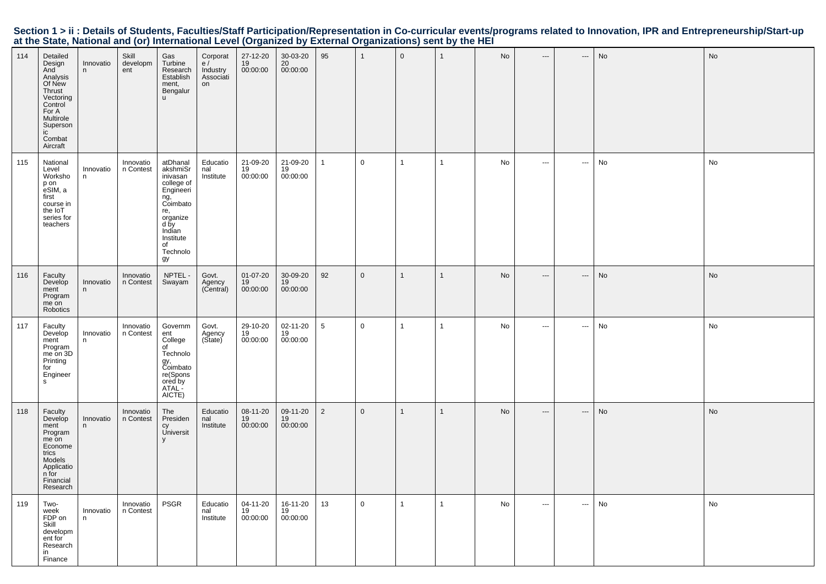|                                                                                                           |  |  | Section 1 > ii : Details of Students, Faculties/Staff Participation/Representation in Co-curricular events/programs related to Innovation, IPR and Entrepreneurship/Start-up |
|-----------------------------------------------------------------------------------------------------------|--|--|------------------------------------------------------------------------------------------------------------------------------------------------------------------------------|
| at the State, National and (or) International Level (Organized by External Organizations) sent by the HEI |  |  |                                                                                                                                                                              |

| 114 | Detailed<br>Design<br>And<br>Analysis<br>Of New<br>Thrust<br>Vectoring<br>Control<br>For A<br>Multirole<br>Superson<br>ic<br>Combat<br>Aircraft | Innovatio<br>n | Skill<br>developm<br>ent | Gas<br>Turbine<br>Research<br>Establish<br>ment,<br>Bengalur<br><b>u</b>                                                                                 | Corporat<br>e/<br>Industry<br>Associati<br>on | 27-12-20<br>19<br>00:00:00 | 30-03-20<br>20<br>00:00:00 | 95             | $\overline{1}$ | $\mathbf 0$  | $\mathbf{1}$ | No | $---$                                    | ---      | No | No |
|-----|-------------------------------------------------------------------------------------------------------------------------------------------------|----------------|--------------------------|----------------------------------------------------------------------------------------------------------------------------------------------------------|-----------------------------------------------|----------------------------|----------------------------|----------------|----------------|--------------|--------------|----|------------------------------------------|----------|----|----|
| 115 | National<br>Level<br>Worksho<br>p on<br>eSIM, a<br>first<br>course in<br>the IoT<br>series for<br>teachers                                      | Innovatio<br>n | Innovatio<br>n Contest   | atDhanal<br>akshmiSr<br>inivasan<br>college of<br>Engineeri<br>ng,<br>Coimbato<br>re,<br>organize<br>d by<br>Indian<br>Institute<br>of<br>Technolo<br>gу | Educatio<br>nal<br>Institute                  | 21-09-20<br>19<br>00:00:00 | 21-09-20<br>19<br>00:00:00 | $\mathbf{1}$   | $\mathbf 0$    | $\mathbf{1}$ | $\mathbf{1}$ | No | $\hspace{0.05cm} \ldots$                 | $\cdots$ | No | No |
| 116 | Faculty<br>Develop<br>ment<br>Program<br>me on<br>Robotics                                                                                      | Innovatio<br>n | Innovatio<br>n Contest   | NPTEL-<br>Swayam                                                                                                                                         | Govt.<br>Agency<br>(Central)                  | 01-07-20<br>19<br>00:00:00 | 30-09-20<br>19<br>00:00:00 | 92             | $\mathsf 0$    | $\mathbf{1}$ | $\mathbf{1}$ | No | $\hspace{0.05cm} \ldots$                 | ---      | No | No |
| 117 | Faculty<br>Develop<br>ment<br>Program<br>me on 3D<br>Printing<br>for<br>Engineer<br>$\mathsf{s}$                                                | Innovatio<br>n | Innovatio<br>n Contest   | Governm<br>ent<br>College<br>of<br>Technolo<br>gy,<br>Coimbato<br>re(Spons<br>ored by<br>ATAL-<br>AICTE)                                                 | Govt.<br>Agency<br>(Sitate)                   | 29-10-20<br>19<br>00:00:00 | 02-11-20<br>19<br>00:00:00 | 5              | $\overline{0}$ | $\mathbf{1}$ | $\mathbf{1}$ | No | $\qquad \qquad - -$                      | ---      | No | No |
| 118 | Faculty<br>Develop<br>ment<br>Program<br>me on<br>Econome<br>trics<br>Models<br>Applicatio<br>n for<br>Financial<br>Research                    | Innovatio<br>n | Innovatio<br>n Contest   | The<br>Presiden<br>сy<br>Universit<br>$\mathsf{v}$                                                                                                       | Educatio<br>nal<br>Institute                  | 08-11-20<br>19<br>00:00:00 | 09-11-20<br>19<br>00:00:00 | $\overline{2}$ | $\mathsf 0$    | $\mathbf{1}$ | $\mathbf{1}$ | No | $\hspace{0.05cm} \ldots \hspace{0.05cm}$ | ---      | No | No |
| 119 | Two-<br>week<br>FDP on<br>Skill<br>developm<br>ent for<br>Research<br>in<br>Finance                                                             | Innovatio<br>n | Innovatio<br>n Contest   | <b>PSGR</b>                                                                                                                                              | Educatio<br>nal<br>Institute                  | 04-11-20<br>19<br>00:00:00 | 16-11-20<br>19<br>00:00:00 | 13             | $\overline{0}$ |              | 1            | No | $\cdots$                                 | $\cdots$ | No | No |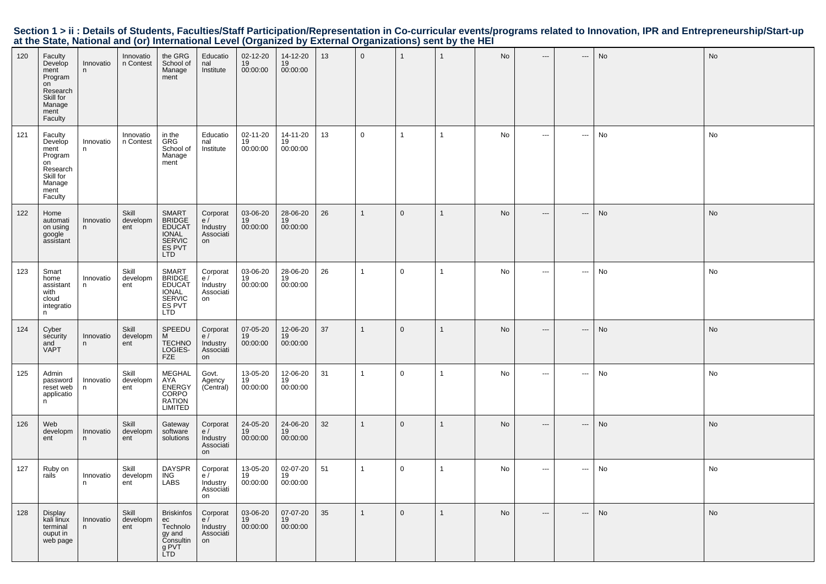| 120 | Faculty<br>Develop<br>ment<br>Program<br>on<br>Research<br>Skill for<br>Manage<br>ment<br>Faculty | Innovatio<br>n  | Innovatio<br>n Contest   | the GRG<br>School of<br>Manage<br>ment                                                    | Educatio<br>nal<br>Institute                   | 02-12-20<br>19<br>00:00:00 | 14-12-20<br>19<br>00:00:00 | 13 | $\mathbf 0$  | $\mathbf{1}$   | $\mathbf{1}$ | No        | $---$                    | $\qquad \qquad -$          | No        | No        |
|-----|---------------------------------------------------------------------------------------------------|-----------------|--------------------------|-------------------------------------------------------------------------------------------|------------------------------------------------|----------------------------|----------------------------|----|--------------|----------------|--------------|-----------|--------------------------|----------------------------|-----------|-----------|
| 121 | Faculty<br>Develop<br>ment<br>Program<br>on<br>Research<br>Skill for<br>Manage<br>ment<br>Faculty | Innovatio<br>n  | Innovatio<br>n Contest   | in the<br><b>GRG</b><br>School of<br>Manage<br>ment                                       | Educatio<br>nal<br>Institute                   | 02-11-20<br>19<br>00:00:00 | 14-11-20<br>19<br>00:00:00 | 13 | $\mathbf 0$  | $\mathbf{1}$   | $\mathbf{1}$ | No        | $\scriptstyle\cdots$     | $\hspace{0.05cm} \cdots$   | No        | No        |
| 122 | Home<br>automati<br>on using<br>google<br>assistant                                               | Innovatio<br>n. | Skill<br>developm<br>ent | SMART<br>BRIDGE<br>EDUCAT<br>IONAL<br><b>SERVIC</b><br>ES PVT<br>LTD                      | Corporat<br>e/<br>Industry<br>Associati<br>on  | 03-06-20<br>19<br>00:00:00 | 28-06-20<br>19<br>00:00:00 | 26 | $\mathbf{1}$ | $\overline{0}$ | $\mathbf{1}$ | <b>No</b> | $\overline{\phantom{a}}$ | $\qquad \qquad - \qquad -$ | No        | <b>No</b> |
| 123 | Smart<br>home<br>assistant<br>with<br>cloud<br>integratio<br>n                                    | Innovatio<br>n  | Skill<br>developm<br>ent | <b>SMART</b><br><b>BRIDGE</b><br><b>EDUCAT</b><br><b>IONAL</b><br>SERVIC<br>ES PVT<br>LTD | Corporat<br>e/<br>Industry<br>Associati<br>on  | 03-06-20<br>19<br>00:00:00 | 28-06-20<br>19<br>00:00:00 | 26 | $\mathbf{1}$ | $\mathbf 0$    | $\mathbf{1}$ | No        | $\sim$ $\sim$            | ---                        | No        | No        |
| 124 | Cyber<br>security<br>and<br><b>VAPT</b>                                                           | Innovatio<br>n  | Skill<br>developm<br>ent | SPEEDU<br>M<br><b>TECHNO</b><br>LOGIES-<br><b>FZE</b>                                     | Corporat<br>e /<br>Industry<br>Associati<br>on | 07-05-20<br>19<br>00:00:00 | 12-06-20<br>19<br>00:00:00 | 37 | $\mathbf{1}$ | $\mathbf{0}$   | $\mathbf{1}$ | No        | $\overline{\phantom{a}}$ | $\qquad \qquad - \qquad -$ | No        | <b>No</b> |
| 125 | Admin<br>password<br>reset web<br>applicatio<br>n.                                                | Innovatio<br>n  | Skill<br>developm<br>ent | MEGHAL<br>AYA<br><b>ENERGY</b><br>CORPO<br><b>RATION</b><br>LIMITED                       | Govt.<br>Agency<br>(Central)                   | 13-05-20<br>19<br>00:00:00 | 12-06-20<br>19<br>00:00:00 | 31 | $\mathbf{1}$ | $\mathbf 0$    | $\mathbf{1}$ | No        | $\overline{\phantom{a}}$ | ---                        | No        | No        |
| 126 | Web<br>developm<br>ent                                                                            | Innovatio<br>n  | Skill<br>developm<br>ent | Gateway<br>software<br>solutions                                                          | Corporat<br>e/<br>Industry<br>Associati<br>on  | 24-05-20<br>19<br>00:00:00 | 24-06-20<br>19<br>00:00:00 | 32 | $\mathbf{1}$ | $\mathbf{0}$   | $\mathbf{1}$ | <b>No</b> | $---$                    | $\qquad \qquad -$          | <b>No</b> | No        |
| 127 | Ruby on<br>rails                                                                                  | Innovatio<br>n  | Skill<br>developm<br>ent | DAYSPR<br>ING<br><b>LABS</b>                                                              | Corporat<br>e/<br>Industry<br>Associati<br>on  | 13-05-20<br>19<br>00:00:00 | 02-07-20<br>19<br>00:00:00 | 51 | $\mathbf{1}$ | $\mathbf 0$    | $\mathbf{1}$ | No        | $\sim$ $\sim$            | ---                        | No        | No        |
| 128 | Display<br>kali linux<br>terminal<br>ouput in<br>web page                                         | Innovatio<br>n  | Skill<br>developm<br>ent | <b>Briskinfos</b><br>ec<br>Technolo<br>gy and<br>Consultin<br>g PVT<br>LTD                | Corporat<br>e/<br>Industry<br>Associati<br>on  | 03-06-20<br>19<br>00:00:00 | 07-07-20<br>19<br>00:00:00 | 35 | $\mathbf{1}$ | $\mathbf 0$    | $\mathbf{1}$ | No        | $\overline{\phantom{a}}$ | ---                        | No        | <b>No</b> |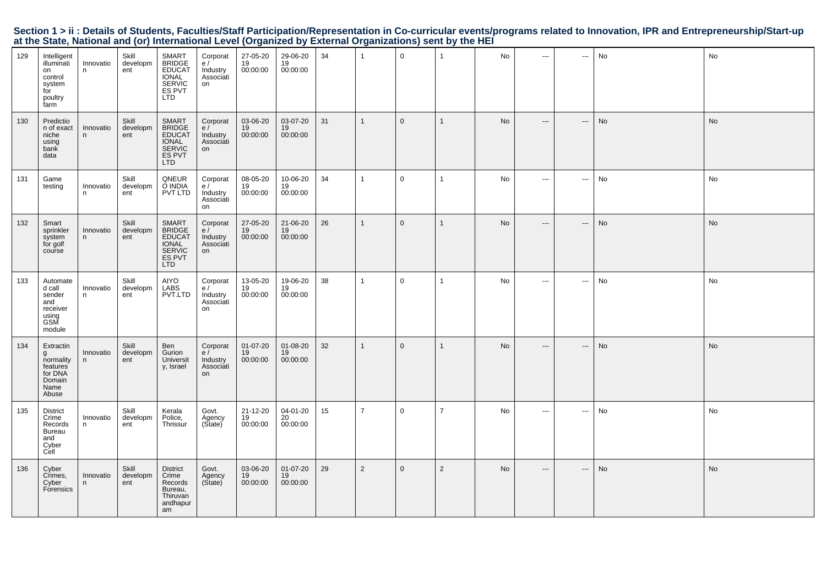|  | Section 1 > ii : Details of Students, Faculties/Staff Participation/Representation in Co-curricular events/programs related to Innovation, IPR and Entrepreneurship/Start-up |  |  |  |
|--|------------------------------------------------------------------------------------------------------------------------------------------------------------------------------|--|--|--|
|  | at the State, National and (or) International Level (Organized by External Organizations) sent by the HEI                                                                    |  |  |  |

| 129 | Intelligent<br>illuminati<br>on<br>control<br>system<br>for<br>poultry<br>farm | Innovatio<br>n  | Skill<br>developm<br>ent | <b>SMART</b><br>BRIDGE<br>EDUCAT<br><b>IONAL</b><br>SERVIC<br>ES PVT<br><b>LTD</b> | Corporat<br>e/<br>Industry<br>Associati<br>on | 27-05-20<br>19<br>00:00:00 | 29-06-20<br>19<br>00:00:00 | 34 | $\overline{1}$ | $\mathbf 0$  | $\mathbf{1}$   | No        | $\cdots$                 | $\hspace{0.05cm} \cdots$ | No        | No        |
|-----|--------------------------------------------------------------------------------|-----------------|--------------------------|------------------------------------------------------------------------------------|-----------------------------------------------|----------------------------|----------------------------|----|----------------|--------------|----------------|-----------|--------------------------|--------------------------|-----------|-----------|
| 130 | Predictio<br>n of exact<br>niche<br>using<br>bank<br>data                      | Innovatio<br>n  | Skill<br>developm<br>ent | <b>SMART</b><br>BRIDGE<br>EDUCAT<br><b>IONAL</b><br><b>SERVIC</b><br>ES PVT<br>LTD | Corporat<br>e/<br>Industry<br>Associati<br>on | 03-06-20<br>19<br>00:00:00 | 03-07-20<br>19<br>00:00:00 | 31 | $\overline{1}$ | $\mathbf{0}$ | $\mathbf{1}$   | <b>No</b> | $\hspace{0.05cm} \ldots$ | ---                      | <b>No</b> | <b>No</b> |
| 131 | Game<br>testing                                                                | Innovatio<br>n. | Skill<br>developm<br>ent | QNEUR<br>O INDIA<br>PVT LTD                                                        | Corporat<br>e/<br>Industry<br>Associati<br>on | 08-05-20<br>19<br>00:00:00 | 10-06-20<br>19<br>00:00:00 | 34 | $\overline{1}$ | $\mathbf 0$  | $\mathbf{1}$   | No        | $\hspace{0.05cm} \ldots$ | $\sim$                   | No        | No        |
| 132 | Smart<br>sprinkler<br>system<br>for golf<br>course                             | Innovatio<br>n  | Skill<br>developm<br>ent | SMART<br>BRIDGE<br><b>EDUCAT</b><br><b>IONAL</b><br><b>SERVIC</b><br>ES PVT<br>LTD | Corporat<br>e/<br>Industry<br>Associati<br>on | 27-05-20<br>19<br>00:00:00 | 21-06-20<br>19<br>00:00:00 | 26 | $\mathbf{1}$   | $\mathbf{0}$ | $\mathbf{1}$   | <b>No</b> | $---$                    | $\hspace{0.05cm} \ldots$ | No        | No        |
| 133 | Automate<br>d call<br>sender<br>and<br>receiver<br>using<br>GSM<br>module      | Innovatio<br>n  | Skill<br>developm<br>ent | AIYO<br>LABS<br>PVT.LTD                                                            | Corporat<br>e/<br>Industry<br>Associati<br>on | 13-05-20<br>19<br>00:00:00 | 19-06-20<br>19<br>00:00:00 | 38 | $\overline{1}$ | $\mathbf 0$  | $\mathbf{1}$   | No        | $\cdots$                 | $\sim$                   | No        | No        |
| 134 | Extractin<br>g<br>normality<br>features<br>for DNA<br>Domain<br>Name<br>Abuse  | Innovatio<br>n. | Skill<br>developm<br>ent | Ben<br>Gurion<br>Universit<br>y, Israel                                            | Corporat<br>e/<br>Industry<br>Associati<br>on | 01-07-20<br>19<br>00:00:00 | 01-08-20<br>19<br>00:00:00 | 32 | $\overline{1}$ | $\mathbf 0$  | $\mathbf{1}$   | No        | $---$                    | ---                      | No        | No        |
| 135 | <b>District</b><br>Crime<br>Records<br><b>Bureau</b><br>and<br>Cyber<br>Cell   | Innovatio<br>n  | Skill<br>developm<br>ent | Kerala<br>Police,<br>Thrissur                                                      | Govt.<br>Agency<br>(Sitate)                   | 21-12-20<br>19<br>00:00:00 | 04-01-20<br>20<br>00:00:00 | 15 | $\overline{7}$ | $\mathbf 0$  | $\overline{7}$ | No        | $\sim$ $\sim$            | $\hspace{0.05cm} \ldots$ | No        | No        |
| 136 | Cyber<br>Crimes,<br>Cyber<br>Forensics                                         | Innovatio<br>n  | Skill<br>developm<br>ent | <b>District</b><br>Crime<br>Records<br>Bureau,<br>Thiruvan<br>andhapur<br>am       | Govt.<br>Agency<br>(Sitate)                   | 03-06-20<br>19<br>00:00:00 | 01-07-20<br>19<br>00:00:00 | 29 | 2              | $\mathbf{0}$ | 2              | No        | $\hspace{0.05cm} \ldots$ | ---                      | No        | No        |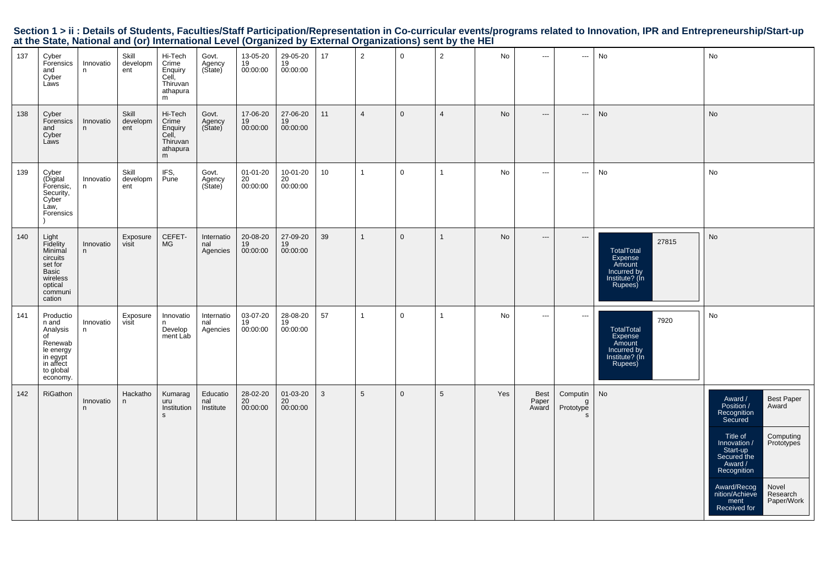|     |                                                                                                                |                |                          |                                                                   |                               | at the State, National and (or) international Level (Organized by External Organizations) sent by the HET |                                      |              |                |              |                 |           |                               |                                            |                                                                                      |                                                                                                                                                                                                                                                                                |
|-----|----------------------------------------------------------------------------------------------------------------|----------------|--------------------------|-------------------------------------------------------------------|-------------------------------|-----------------------------------------------------------------------------------------------------------|--------------------------------------|--------------|----------------|--------------|-----------------|-----------|-------------------------------|--------------------------------------------|--------------------------------------------------------------------------------------|--------------------------------------------------------------------------------------------------------------------------------------------------------------------------------------------------------------------------------------------------------------------------------|
| 137 | Cyber<br>Forensics<br>and<br>Cyber<br>Laws                                                                     | Innovatio<br>n | Skill<br>developm<br>ent | Hi-Tech<br>Crime<br>Enquiry<br>Cell,<br>Thiruvan<br>athapura<br>m | Govt.<br>Agency<br>(State)    | 13-05-20<br>19<br>00:00:00                                                                                | 29-05-20<br>$\frac{19}{19}$ 00:00:00 | 17           | $\overline{2}$ | $\Omega$     | $\overline{2}$  | No        | $\overline{\phantom{a}}$      | $\hspace{0.05cm} \ldots$                   | No                                                                                   | No                                                                                                                                                                                                                                                                             |
| 138 | Cyber<br>Forensics<br>and<br>Cyber<br>Laws                                                                     | Innovatio<br>n | Skill<br>developm<br>ent | Hi-Tech<br>Crime<br>Enquiry<br>Cell,<br>Thiruvan<br>athapura<br>m | Govt.<br>Agency<br>(State)    | 17-06-20<br>19<br>00:00:00                                                                                | 27-06-20<br>19<br>00:00:00           | 11           | $\overline{4}$ | $\mathbf{0}$ | $\overline{4}$  | <b>No</b> | $\cdots$                      | $\hspace{0.05cm} \ldots$                   | No                                                                                   | No                                                                                                                                                                                                                                                                             |
| 139 | Cyber<br>(Digital<br>Forensic,<br>Security,<br>Cyber<br>Law,<br>Forensics                                      | Innovatio<br>n | Skill<br>developm<br>ent | IFS,<br>Pune                                                      | Govt.<br>Agency<br>(State)    | 01-01-20<br>20<br>00:00:00                                                                                | 10-01-20<br>20<br>00:00:00           | 10           | $\mathbf{1}$   | $\mathbf 0$  | $\mathbf{1}$    | No        | $\sim$                        | $\hspace{0.05cm} \cdots$                   | No                                                                                   | No                                                                                                                                                                                                                                                                             |
| 140 | Light<br>Fidelity<br>Minimal<br>circuits<br>set for<br>Basic<br>wireless<br>optical<br>communi<br>cation       | Innovatio<br>n | Exposure<br>visit        | CEFET-<br>MG                                                      | Internatio<br>nal<br>Agencies | 20-08-20<br>19<br>00:00:00                                                                                | 27-09-20<br>19<br>00:00:00           | 39           | $\mathbf{1}$   | $\Omega$     | $\mathbf{1}$    | <b>No</b> | $\hspace{0.05cm} \cdots$      | $\hspace{0.05cm} \cdots$                   | 27815<br>TotalTotal<br>Expense<br>Amount<br>Incurred by<br>Institute? (In<br>Rupees) | No                                                                                                                                                                                                                                                                             |
| 141 | Productio<br>n and<br>Analysis<br>of<br>Renewab<br>le energy<br>in egypt<br>in affect<br>to global<br>economy. | Innovatio<br>n | Exposure<br>visit        | Innovatio<br>Develop<br>ment Lab                                  | Internatio<br>nal<br>Agencies | 03-07-20<br>19<br>00:00:00                                                                                | 28-08-20<br>19<br>00:00:00           | 57           | $\mathbf{1}$   | $\mathbf 0$  | $\overline{1}$  | No        | $\overline{\phantom{a}}$      | $\hspace{0.05cm} \cdots$                   | 7920<br>TotalTotal<br>Expense<br>Amount<br>Incurred by<br>Institute? (In<br>Rupees)  | No                                                                                                                                                                                                                                                                             |
| 142 | RiGathon                                                                                                       | Innovatio<br>n | Hackatho<br>$\mathsf{n}$ | Kumarag<br>uru<br>Institution<br>$\mathbf{s}$                     | Educatio<br>nal<br>Institute  | 28-02-20<br>20<br>00:00:00                                                                                | 01-03-20<br>20<br>00:00:00           | $\mathbf{3}$ | 5              | $\mathbf 0$  | $5\phantom{.0}$ | Yes       | <b>Best</b><br>Paper<br>Award | Computin<br>g<br>Prototype<br><sub>S</sub> | $\operatorname{\mathsf{No}}$                                                         | Award /<br>Position /<br>Recognition<br>Secured<br>Best Paper<br>Award<br>Title of<br>Innovation /<br>Start-up<br>Secured the<br>Award /<br>Computing<br>Prototypes<br>Recognition<br>Novel<br>Award/Recog<br>nition/Achieve<br>Research<br>ment<br>Received for<br>Paper/Work |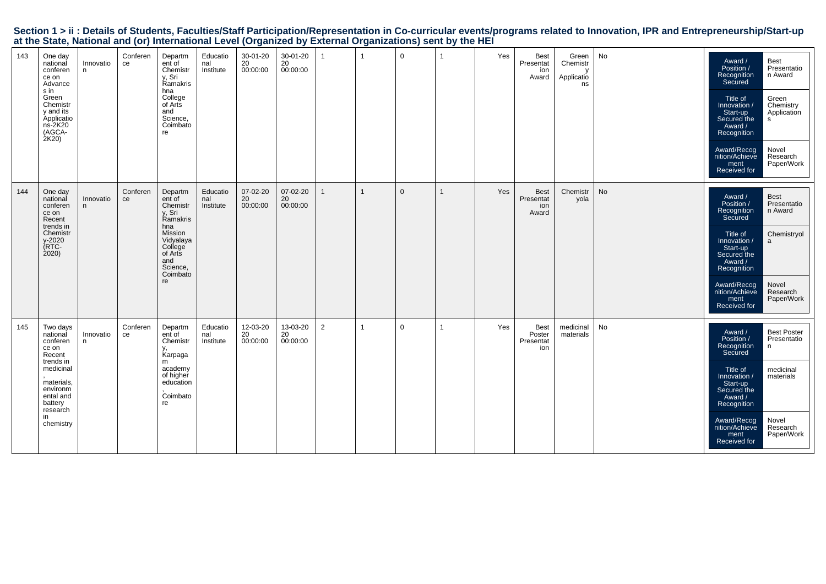|                                                                                                           |  | Section 1 > ii : Details of Students, Faculties/Staff Participation/Representation in Co-curricular events/programs related to Innovation, IPR and Entrepreneurship/Start-up |
|-----------------------------------------------------------------------------------------------------------|--|------------------------------------------------------------------------------------------------------------------------------------------------------------------------------|
| at the State, National and (or) International Level (Organized by External Organizations) sent by the HEI |  |                                                                                                                                                                              |

| 143 | One day<br>national<br>conferen<br>ce on<br>Advance<br>s in<br>Green<br>Chemistr<br>y and its<br>Applicatio<br>$ns-2K20$<br>(AGCA-<br>2K20                     | Innovatio<br>n | Conferen<br>ce | Departm<br>ent of<br>Chemistr<br>v. Sri<br>Ramakris<br>hna<br>College<br>of Arts<br>and<br>Science,<br>Coimbato<br>re                         | Educatio<br>nal<br>Institute | 30-01-20<br>20<br>00:00:00 | 30-01-20<br>20<br>00:00:00 |                | $\mathbf 0$  | $\overline{1}$ | Yes | <b>Best</b><br>Presentat<br>ion<br>Award | Green<br>Chemistr<br>Applicatio<br>ns | No            | Award /<br>Position /<br>Recognition<br>Secured<br>Title of<br>Innovation /<br>Start-up<br>Secured the<br>Award /<br>Recognition<br>Award/Recog<br>nition/Achieve<br>ment<br>Received for | <b>Best</b><br>Presentatio<br>n Award<br>Green<br>Chemistry<br>Application<br>s.<br>Novel<br>Research<br>Paper/Work |
|-----|----------------------------------------------------------------------------------------------------------------------------------------------------------------|----------------|----------------|-----------------------------------------------------------------------------------------------------------------------------------------------|------------------------------|----------------------------|----------------------------|----------------|--------------|----------------|-----|------------------------------------------|---------------------------------------|---------------|-------------------------------------------------------------------------------------------------------------------------------------------------------------------------------------------|---------------------------------------------------------------------------------------------------------------------|
| 144 | One day<br>national<br>conferen<br>ce on<br>Recent<br>trends in<br>Chemistr<br>y-2020<br>(RTC-<br>2020                                                         | Innovatio<br>n | Conferen<br>ce | Departm<br>ent of<br>Chemistr<br>v. Sri<br>Ramakris<br>hna<br>Mission<br>Vidyalaya<br>College<br>of Arts<br>and<br>Science,<br>Coimbato<br>re | Educatio<br>nal<br>Institute | 07-02-20<br>20<br>00:00:00 | 07-02-20<br>20<br>00:00:00 |                | $\mathbf{0}$ | $\mathbf{1}$   | Yes | <b>Best</b><br>Presentat<br>ion<br>Award | Chemistr<br>yola                      | $\mathsf{No}$ | Award /<br>Position /<br>Recognition<br>Secured<br>Title of<br>Innovation /<br>Start-up<br>Secured the<br>Award /<br>Recognition<br>Award/Recog<br>nition/Achieve<br>ment<br>Received for | Best<br>Presentatio<br>n Award<br>Chemistryol<br>a<br>Novel<br>Research<br>Paper/Work                               |
| 145 | Two days<br>national<br>conferen<br>ce on<br>Recent<br>trends in<br>medicinal<br>materials,<br>environm<br>ental and<br>battery<br>research<br>in<br>chemistry | Innovatio<br>n | Conferen<br>ce | Departm<br>ent of<br>Chemistr<br>Karpaga<br>m<br>academy<br>of higher<br>education<br>Coimbato<br>re                                          | Educatio<br>nal<br>Institute | 12-03-20<br>20<br>00:00:00 | 13-03-20<br>20<br>00:00:00 | $\overline{2}$ | $\mathbf 0$  | 1              | Yes | Best<br>Poster<br>Presentat<br>ion       | medicinal<br>materials                | No            | Award /<br>Position /<br>Recognition<br>Secured<br>Title of<br>Innovation /<br>Start-up<br>Secured the<br>Award /<br>Recognition<br>Award/Recog<br>nition/Achieve<br>ment<br>Received for | <b>Best Poster</b><br>Presentatio<br>n<br>medicinal<br>materials<br>Novel<br>Research<br>Paper/Work                 |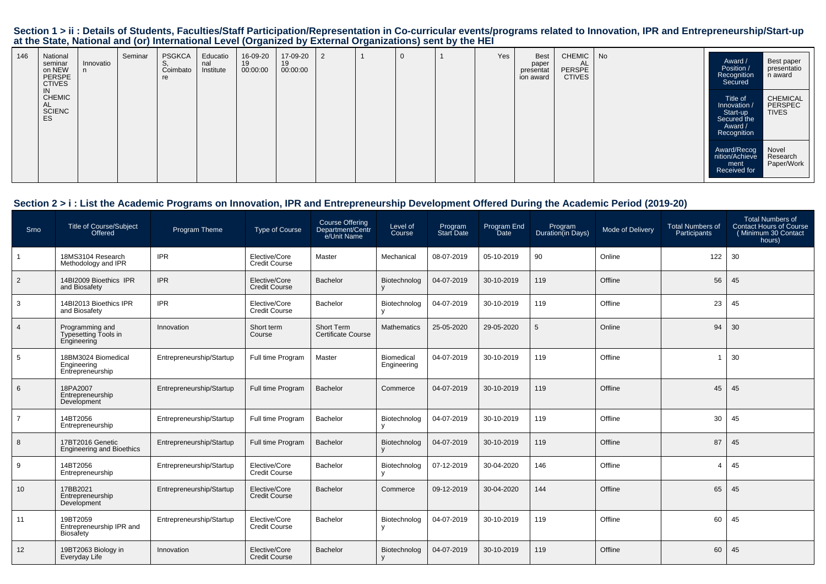| 146 | National<br>seminar<br>on NEW<br>PERSPE<br><b>CTIVES</b> | Innovatio | Seminar | <b>PSGKCA</b><br>Coimbato<br>re | Educatio<br>nal<br>Institute | 16-09-20<br>19<br>00:00:00 | 17-09-20<br>19<br>00:00:00 | 2 | U | Yes | <b>Best</b><br>paper<br>presentat<br>ion award | <b>CHEMIC</b><br>AL<br>PERSPE<br><b>CTIVES</b> | No | Award /<br>Position /<br>Recognition<br>Secured                               | Best paper<br>presentatio<br>n award |
|-----|----------------------------------------------------------|-----------|---------|---------------------------------|------------------------------|----------------------------|----------------------------|---|---|-----|------------------------------------------------|------------------------------------------------|----|-------------------------------------------------------------------------------|--------------------------------------|
|     | IN<br><b>CHEMIC</b><br>AL<br>SCIENC<br>ES                |           |         |                                 |                              |                            |                            |   |   |     |                                                |                                                |    | Title of<br>Innovation /<br>Start-up<br>Secured the<br>Award /<br>Recognition | CHEMICAL<br>PERSPEC<br><b>TIVES</b>  |
|     |                                                          |           |         |                                 |                              |                            |                            |   |   |     |                                                |                                                |    | Award/Recog<br>nition/Achieve<br>ment<br>Received for                         | Novel<br>Research<br>Paper/Work      |

## **Section 2 > i : List the Academic Programs on Innovation, IPR and Entrepreneurship Development Offered During the Academic Period (2019-20)**

| Srno           | <b>Title of Course/Subject</b><br>Offered              | Program Theme            | Type of Course                        | Course Offering<br>Department/Centr<br>e/Unit Name | Level of<br>Course           | Program<br><b>Start Date</b> | Program End<br><b>Date</b> | Program<br>Duration(in Days) | <b>Mode of Delivery</b> | <b>Total Numbers of</b><br>Participants | <b>Total Numbers of</b><br><b>Contact Hours of Course</b><br>(Minimum 30 Contact<br>hours) |
|----------------|--------------------------------------------------------|--------------------------|---------------------------------------|----------------------------------------------------|------------------------------|------------------------------|----------------------------|------------------------------|-------------------------|-----------------------------------------|--------------------------------------------------------------------------------------------|
|                | 18MS3104 Research<br>Methodology and IPR               | <b>IPR</b>               | Elective/Core<br><b>Credit Course</b> | Master                                             | Mechanical                   | 08-07-2019                   | 05-10-2019                 | 90                           | Online                  | 122                                     | 30                                                                                         |
| $\overline{2}$ | 14BI2009 Bioethics IPR<br>and Biosafety                | <b>IPR</b>               | Elective/Core<br><b>Credit Course</b> | Bachelor                                           | Biotechnolog<br>v            | 04-07-2019                   | 30-10-2019                 | 119                          | Offline                 | 56                                      | 45                                                                                         |
| 3              | 14BI2013 Bioethics IPR<br>and Biosafety                | <b>IPR</b>               | Elective/Core<br><b>Credit Course</b> | Bachelor                                           | Biotechnolog                 | 04-07-2019                   | 30-10-2019                 | 119                          | Offline                 | 23                                      | 45                                                                                         |
| $\overline{4}$ | Programming and<br>Typesetting Tools in<br>Engineering | Innovation               | Short term<br>Course                  | Short Term<br><b>Certificate Course</b>            | Mathematics                  | 25-05-2020                   | 29-05-2020                 | 5                            | Online                  | 94                                      | 30                                                                                         |
| 5              | 18BM3024 Biomedical<br>Engineering<br>Entrepreneurship | Entrepreneurship/Startup | Full time Program                     | Master                                             | Biomedical<br>Engineering    | 04-07-2019                   | 30-10-2019                 | 119                          | Offline                 |                                         | 30                                                                                         |
| 6              | 18PA2007<br>Entrepreneurship<br>Development            | Entrepreneurship/Startup | Full time Program                     | <b>Bachelor</b>                                    | Commerce                     | 04-07-2019                   | 30-10-2019                 | 119                          | Offline                 | 45                                      | 45                                                                                         |
| $\overline{7}$ | 14BT2056<br>Entrepreneurship                           | Entrepreneurship/Startup | Full time Program                     | <b>Bachelor</b>                                    | Biotechnolog                 | 04-07-2019                   | 30-10-2019                 | 119                          | Offline                 | 30                                      | 45                                                                                         |
| 8              | 17BT2016 Genetic<br><b>Engineering and Bioethics</b>   | Entrepreneurship/Startup | Full time Program                     | Bachelor                                           | Biotechnolog                 | 04-07-2019                   | 30-10-2019                 | 119                          | Offline                 | 87                                      | 45                                                                                         |
| 9              | 14BT2056<br>Entrepreneurship                           | Entrepreneurship/Startup | Elective/Core<br><b>Credit Course</b> | Bachelor                                           | Biotechnolog                 | 07-12-2019                   | 30-04-2020                 | 146                          | Offline                 | $\overline{4}$                          | 45                                                                                         |
| 10             | 17BB2021<br>Entrepreneurship<br>Development            | Entrepreneurship/Startup | Elective/Core<br><b>Credit Course</b> | Bachelor                                           | Commerce                     | 09-12-2019                   | 30-04-2020                 | 144                          | Offline                 | 65                                      | 45                                                                                         |
| 11             | 19BT2059<br>Entrepreneurship IPR and<br>Biosafety      | Entrepreneurship/Startup | Elective/Core<br><b>Credit Course</b> | <b>Bachelor</b>                                    | Biotechnolog<br>$\mathsf{v}$ | 04-07-2019                   | 30-10-2019                 | 119                          | Offline                 | 60                                      | 45                                                                                         |
| 12             | 19BT2063 Biology in<br>Everyday Life                   | Innovation               | Elective/Core<br><b>Credit Course</b> | <b>Bachelor</b>                                    | Biotechnolog                 | 04-07-2019                   | 30-10-2019                 | 119                          | Offline                 | 60                                      | 45                                                                                         |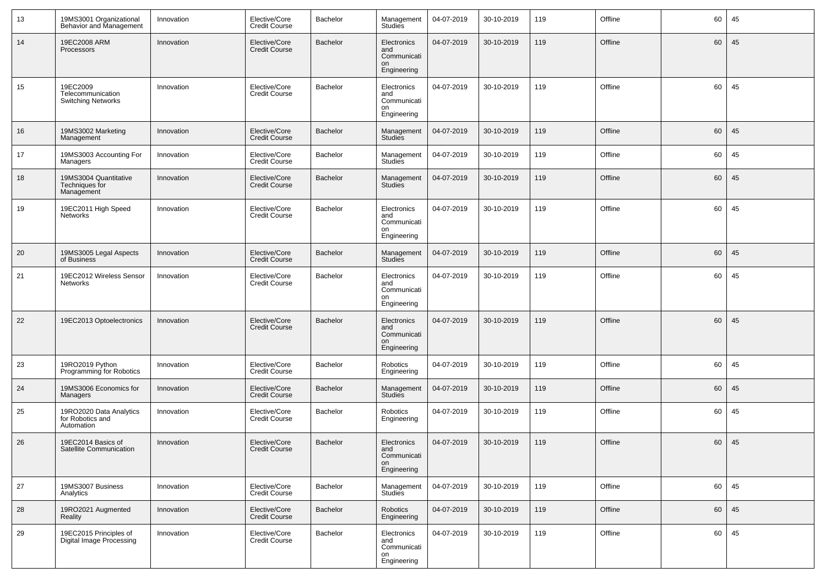| 13 | 19MS3001 Organizational<br>Behavior and Management         | Innovation | Elective/Core<br><b>Credit Course</b> | Bachelor | Management<br>Studies                                  | 04-07-2019 | 30-10-2019 | 119 | Offline | 60 | 45 |
|----|------------------------------------------------------------|------------|---------------------------------------|----------|--------------------------------------------------------|------------|------------|-----|---------|----|----|
| 14 | 19EC2008 ARM<br>Processors                                 | Innovation | Elective/Core<br><b>Credit Course</b> | Bachelor | Electronics<br>and<br>Communicati<br>on<br>Engineering | 04-07-2019 | 30-10-2019 | 119 | Offline | 60 | 45 |
| 15 | 19EC2009<br>Telecommunication<br><b>Switching Networks</b> | Innovation | Elective/Core<br><b>Credit Course</b> | Bachelor | Electronics<br>and<br>Communicati<br>on<br>Engineering | 04-07-2019 | 30-10-2019 | 119 | Offline | 60 | 45 |
| 16 | 19MS3002 Marketing<br>Management                           | Innovation | Elective/Core<br><b>Credit Course</b> | Bachelor | Management<br><b>Studies</b>                           | 04-07-2019 | 30-10-2019 | 119 | Offline | 60 | 45 |
| 17 | 19MS3003 Accounting For<br>Managers                        | Innovation | Elective/Core<br><b>Credit Course</b> | Bachelor | Management<br><b>Studies</b>                           | 04-07-2019 | 30-10-2019 | 119 | Offline | 60 | 45 |
| 18 | 19MS3004 Quantitative<br>Techniques for<br>Management      | Innovation | Elective/Core<br><b>Credit Course</b> | Bachelor | Management<br><b>Studies</b>                           | 04-07-2019 | 30-10-2019 | 119 | Offline | 60 | 45 |
| 19 | 19EC2011 High Speed<br><b>Networks</b>                     | Innovation | Elective/Core<br><b>Credit Course</b> | Bachelor | Electronics<br>and<br>Communicati<br>on<br>Engineering | 04-07-2019 | 30-10-2019 | 119 | Offline | 60 | 45 |
| 20 | 19MS3005 Legal Aspects<br>of Business                      | Innovation | Elective/Core<br><b>Credit Course</b> | Bachelor | Management<br><b>Studies</b>                           | 04-07-2019 | 30-10-2019 | 119 | Offline | 60 | 45 |
| 21 | 19EC2012 Wireless Sensor<br><b>Networks</b>                | Innovation | Elective/Core<br><b>Credit Course</b> | Bachelor | Electronics<br>and<br>Communicati<br>on<br>Engineering | 04-07-2019 | 30-10-2019 | 119 | Offline | 60 | 45 |
| 22 | 19EC2013 Optoelectronics                                   | Innovation | Elective/Core<br><b>Credit Course</b> | Bachelor | Electronics<br>and<br>Communicati<br>on<br>Engineering | 04-07-2019 | 30-10-2019 | 119 | Offline | 60 | 45 |
| 23 | 19RO2019 Python<br>Programming for Robotics                | Innovation | Elective/Core<br><b>Credit Course</b> | Bachelor | Robotics<br>Engineering                                | 04-07-2019 | 30-10-2019 | 119 | Offline | 60 | 45 |
| 24 | 19MS3006 Economics for<br>Managers                         | Innovation | Elective/Core<br><b>Credit Course</b> | Bachelor | Management<br><b>Studies</b>                           | 04-07-2019 | 30-10-2019 | 119 | Offline | 60 | 45 |
| 25 | 19RO2020 Data Analytics<br>for Robotics and<br>Automation  | Innovation | Elective/Core<br><b>Credit Course</b> | Bachelor | Robotics<br>Engineering                                | 04-07-2019 | 30-10-2019 | 119 | Offline | 60 | 45 |
| 26 | 19EC2014 Basics of<br>Satellite Communication              | Innovation | Elective/Core<br><b>Credit Course</b> | Bachelor | Electronics<br>and<br>Communicati<br>on<br>Engineering | 04-07-2019 | 30-10-2019 | 119 | Offline | 60 | 45 |
| 27 | 19MS3007 Business<br>Analytics                             | Innovation | Elective/Core<br><b>Credit Course</b> | Bachelor | Management<br><b>Studies</b>                           | 04-07-2019 | 30-10-2019 | 119 | Offline | 60 | 45 |
| 28 | 19RO2021 Augmented<br>Reality                              | Innovation | Elective/Core<br><b>Credit Course</b> | Bachelor | Robotics<br>Engineering                                | 04-07-2019 | 30-10-2019 | 119 | Offline | 60 | 45 |
| 29 | 19EC2015 Principles of<br>Digital Image Processing         | Innovation | Elective/Core<br><b>Credit Course</b> | Bachelor | Electronics<br>and<br>Communicati<br>on<br>Engineering | 04-07-2019 | 30-10-2019 | 119 | Offline | 60 | 45 |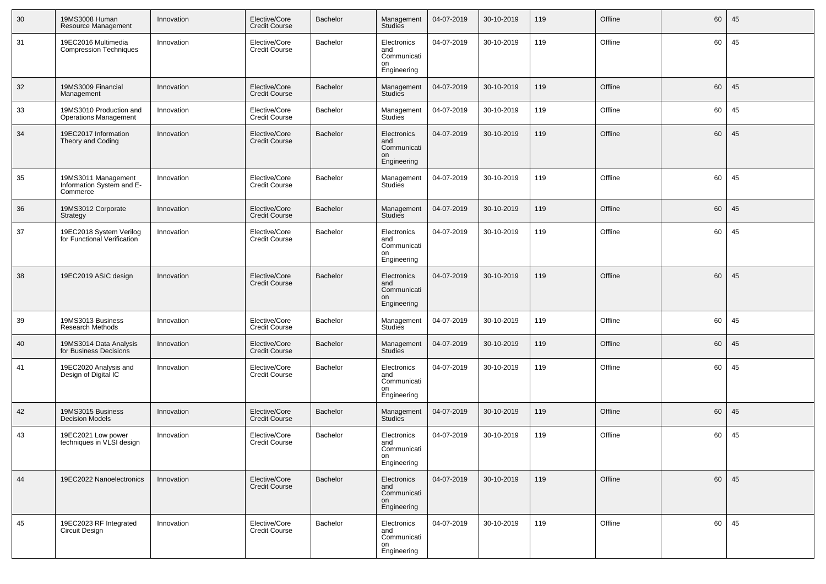| 30 | 19MS3008 Human<br>Resource Management                        | Innovation | Elective/Core<br><b>Credit Course</b> | Bachelor        | Management<br>Studies                                  | 04-07-2019 | 30-10-2019 | 119 | Offline | 60 | 45 |
|----|--------------------------------------------------------------|------------|---------------------------------------|-----------------|--------------------------------------------------------|------------|------------|-----|---------|----|----|
| 31 | 19EC2016 Multimedia<br><b>Compression Techniques</b>         | Innovation | Elective/Core<br><b>Credit Course</b> | Bachelor        | Electronics<br>and<br>Communicati<br>on<br>Engineering | 04-07-2019 | 30-10-2019 | 119 | Offline | 60 | 45 |
| 32 | 19MS3009 Financial<br>Management                             | Innovation | Elective/Core<br><b>Credit Course</b> | <b>Bachelor</b> | Management<br><b>Studies</b>                           | 04-07-2019 | 30-10-2019 | 119 | Offline | 60 | 45 |
| 33 | 19MS3010 Production and<br><b>Operations Management</b>      | Innovation | Elective/Core<br><b>Credit Course</b> | Bachelor        | Management<br><b>Studies</b>                           | 04-07-2019 | 30-10-2019 | 119 | Offline | 60 | 45 |
| 34 | 19EC2017 Information<br>Theory and Coding                    | Innovation | Elective/Core<br><b>Credit Course</b> | <b>Bachelor</b> | Electronics<br>and<br>Communicati<br>on<br>Engineering | 04-07-2019 | 30-10-2019 | 119 | Offline | 60 | 45 |
| 35 | 19MS3011 Management<br>Information System and E-<br>Commerce | Innovation | Elective/Core<br><b>Credit Course</b> | Bachelor        | Management<br><b>Studies</b>                           | 04-07-2019 | 30-10-2019 | 119 | Offline | 60 | 45 |
| 36 | 19MS3012 Corporate<br>Strategy                               | Innovation | Elective/Core<br><b>Credit Course</b> | <b>Bachelor</b> | Management<br><b>Studies</b>                           | 04-07-2019 | 30-10-2019 | 119 | Offline | 60 | 45 |
| 37 | 19EC2018 System Verilog<br>for Functional Verification       | Innovation | Elective/Core<br><b>Credit Course</b> | Bachelor        | Electronics<br>and<br>Communicati<br>on<br>Engineering | 04-07-2019 | 30-10-2019 | 119 | Offline | 60 | 45 |
| 38 | 19EC2019 ASIC design                                         | Innovation | Elective/Core<br><b>Credit Course</b> | <b>Bachelor</b> | Electronics<br>and<br>Communicati<br>on<br>Engineering | 04-07-2019 | 30-10-2019 | 119 | Offline | 60 | 45 |
| 39 | 19MS3013 Business<br>Research Methods                        | Innovation | Elective/Core<br><b>Credit Course</b> | Bachelor        | Management<br>Studies                                  | 04-07-2019 | 30-10-2019 | 119 | Offline | 60 | 45 |
| 40 | 19MS3014 Data Analysis<br>for Business Decisions             | Innovation | Elective/Core<br><b>Credit Course</b> | <b>Bachelor</b> | Management<br><b>Studies</b>                           | 04-07-2019 | 30-10-2019 | 119 | Offline | 60 | 45 |
| 41 | 19EC2020 Analysis and<br>Design of Digital IC                | Innovation | Elective/Core<br><b>Credit Course</b> | Bachelor        | Electronics<br>and<br>Communicati<br>on<br>Engineering | 04-07-2019 | 30-10-2019 | 119 | Offline | 60 | 45 |
| 42 | 19MS3015 Business<br><b>Decision Models</b>                  | Innovation | Elective/Core<br><b>Credit Course</b> | <b>Bachelor</b> | Management<br><b>Studies</b>                           | 04-07-2019 | 30-10-2019 | 119 | Offline | 60 | 45 |
| 43 | 19EC2021 Low power<br>techniques in VLSI design              | Innovation | Elective/Core<br><b>Credit Course</b> | Bachelor        | Electronics<br>and<br>Communicati<br>on<br>Engineering | 04-07-2019 | 30-10-2019 | 119 | Offline | 60 | 45 |
| 44 | 19EC2022 Nanoelectronics                                     | Innovation | Elective/Core<br><b>Credit Course</b> | <b>Bachelor</b> | Electronics<br>and<br>Communicati<br>on<br>Engineering | 04-07-2019 | 30-10-2019 | 119 | Offline | 60 | 45 |
| 45 | 19EC2023 RF Integrated<br>Circuit Design                     | Innovation | Elective/Core<br><b>Credit Course</b> | Bachelor        | Electronics<br>and<br>Communicati<br>on<br>Engineering | 04-07-2019 | 30-10-2019 | 119 | Offline | 60 | 45 |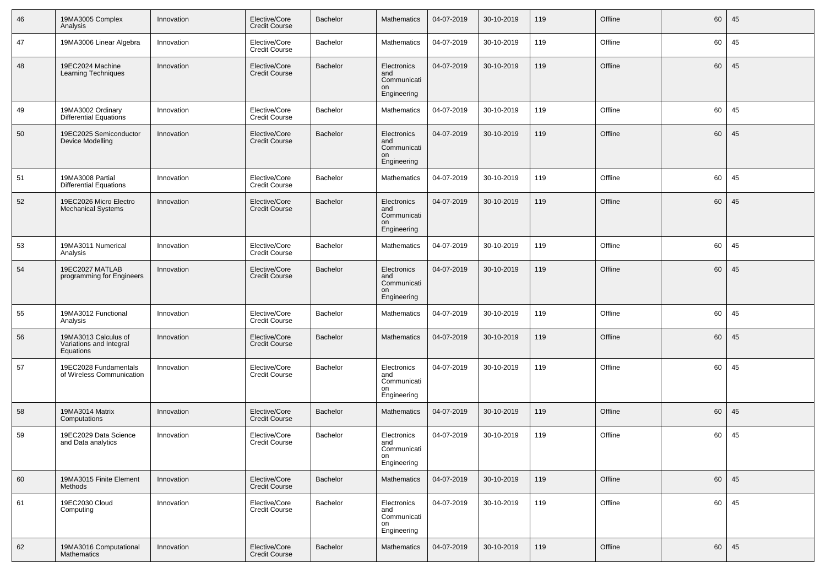| 46 | 19MA3005 Complex<br>Analysis                                 | Innovation | Elective/Core<br><b>Credit Course</b> | Bachelor        | <b>Mathematics</b>                                     | 04-07-2019 | 30-10-2019 | 119 | Offline | 60 | 45 |
|----|--------------------------------------------------------------|------------|---------------------------------------|-----------------|--------------------------------------------------------|------------|------------|-----|---------|----|----|
| 47 | 19MA3006 Linear Algebra                                      | Innovation | Elective/Core<br><b>Credit Course</b> | Bachelor        | Mathematics                                            | 04-07-2019 | 30-10-2019 | 119 | Offline | 60 | 45 |
| 48 | 19EC2024 Machine<br><b>Learning Techniques</b>               | Innovation | Elective/Core<br><b>Credit Course</b> | Bachelor        | Electronics<br>and<br>Communicati<br>on<br>Engineering | 04-07-2019 | 30-10-2019 | 119 | Offline | 60 | 45 |
| 49 | 19MA3002 Ordinary<br>Differential Equations                  | Innovation | Elective/Core<br><b>Credit Course</b> | <b>Bachelor</b> | Mathematics                                            | 04-07-2019 | 30-10-2019 | 119 | Offline | 60 | 45 |
| 50 | 19EC2025 Semiconductor<br>Device Modelling                   | Innovation | Elective/Core<br><b>Credit Course</b> | Bachelor        | Electronics<br>and<br>Communicati<br>on<br>Engineering | 04-07-2019 | 30-10-2019 | 119 | Offline | 60 | 45 |
| 51 | 19MA3008 Partial<br><b>Differential Equations</b>            | Innovation | Elective/Core<br><b>Credit Course</b> | Bachelor        | <b>Mathematics</b>                                     | 04-07-2019 | 30-10-2019 | 119 | Offline | 60 | 45 |
| 52 | 19EC2026 Micro Electro<br><b>Mechanical Systems</b>          | Innovation | Elective/Core<br><b>Credit Course</b> | Bachelor        | Electronics<br>and<br>Communicati<br>on<br>Engineering | 04-07-2019 | 30-10-2019 | 119 | Offline | 60 | 45 |
| 53 | 19MA3011 Numerical<br>Analysis                               | Innovation | Elective/Core<br><b>Credit Course</b> | <b>Bachelor</b> | Mathematics                                            | 04-07-2019 | 30-10-2019 | 119 | Offline | 60 | 45 |
| 54 | 19EC2027 MATLAB<br>programming for Engineers                 | Innovation | Elective/Core<br><b>Credit Course</b> | Bachelor        | Electronics<br>and<br>Communicati<br>on<br>Engineering | 04-07-2019 | 30-10-2019 | 119 | Offline | 60 | 45 |
| 55 | 19MA3012 Functional<br>Analysis                              | Innovation | Elective/Core<br><b>Credit Course</b> | Bachelor        | <b>Mathematics</b>                                     | 04-07-2019 | 30-10-2019 | 119 | Offline | 60 | 45 |
| 56 | 19MA3013 Calculus of<br>Variations and Integral<br>Equations | Innovation | Elective/Core<br><b>Credit Course</b> | <b>Bachelor</b> | Mathematics                                            | 04-07-2019 | 30-10-2019 | 119 | Offline | 60 | 45 |
| 57 | 19EC2028 Fundamentals<br>of Wireless Communication           | Innovation | Elective/Core<br><b>Credit Course</b> | Bachelor        | Electronics<br>and<br>Communicati<br>on<br>Engineering | 04-07-2019 | 30-10-2019 | 119 | Offline | 60 | 45 |
| 58 | 19MA3014 Matrix<br>Computations                              | Innovation | Elective/Core<br>Credit Course        | <b>Bachelor</b> | <b>Mathematics</b>                                     | 04-07-2019 | 30-10-2019 | 119 | Offline | 60 | 45 |
| 59 | 19EC2029 Data Science<br>and Data analytics                  | Innovation | Elective/Core<br><b>Credit Course</b> | Bachelor        | Electronics<br>and<br>Communicati<br>on<br>Engineering | 04-07-2019 | 30-10-2019 | 119 | Offline | 60 | 45 |
| 60 | 19MA3015 Finite Element<br>Methods                           | Innovation | Elective/Core<br><b>Credit Course</b> | <b>Bachelor</b> | Mathematics                                            | 04-07-2019 | 30-10-2019 | 119 | Offline | 60 | 45 |
| 61 | 19EC2030 Cloud<br>Computing                                  | Innovation | Elective/Core<br><b>Credit Course</b> | Bachelor        | Electronics<br>and<br>Communicati<br>on<br>Engineering | 04-07-2019 | 30-10-2019 | 119 | Offline | 60 | 45 |
| 62 | 19MA3016 Computational<br><b>Mathematics</b>                 | Innovation | Elective/Core<br><b>Credit Course</b> | Bachelor        | <b>Mathematics</b>                                     | 04-07-2019 | 30-10-2019 | 119 | Offline | 60 | 45 |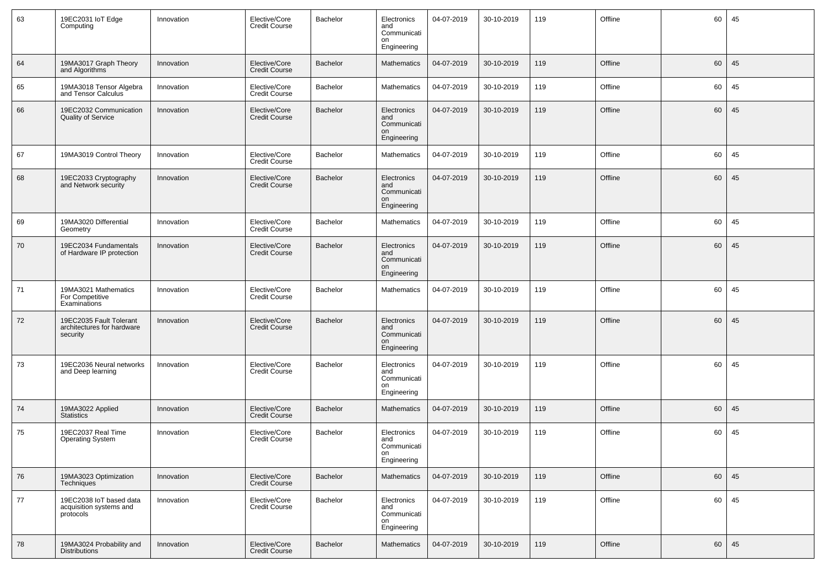| 63 | 19EC2031 loT Edge<br>Computing                                    | Innovation | Elective/Core<br>Credit Course        | Bachelor | Electronics<br>and<br>Communicati<br>on<br>Engineering | 04-07-2019 | 30-10-2019 | 119 | Offline | 60 | 45 |
|----|-------------------------------------------------------------------|------------|---------------------------------------|----------|--------------------------------------------------------|------------|------------|-----|---------|----|----|
| 64 | 19MA3017 Graph Theory<br>and Algorithms                           | Innovation | Elective/Core<br><b>Credit Course</b> | Bachelor | <b>Mathematics</b>                                     | 04-07-2019 | 30-10-2019 | 119 | Offline | 60 | 45 |
| 65 | 19MA3018 Tensor Algebra<br>and Tensor Calculus                    | Innovation | Elective/Core<br><b>Credit Course</b> | Bachelor | Mathematics                                            | 04-07-2019 | 30-10-2019 | 119 | Offline | 60 | 45 |
| 66 | 19EC2032 Communication<br><b>Quality of Service</b>               | Innovation | Elective/Core<br><b>Credit Course</b> | Bachelor | Electronics<br>and<br>Communicati<br>on<br>Engineering | 04-07-2019 | 30-10-2019 | 119 | Offline | 60 | 45 |
| 67 | 19MA3019 Control Theory                                           | Innovation | Elective/Core<br><b>Credit Course</b> | Bachelor | <b>Mathematics</b>                                     | 04-07-2019 | 30-10-2019 | 119 | Offline | 60 | 45 |
| 68 | 19EC2033 Cryptography<br>and Network security                     | Innovation | Elective/Core<br><b>Credit Course</b> | Bachelor | Electronics<br>and<br>Communicati<br>on<br>Engineering | 04-07-2019 | 30-10-2019 | 119 | Offline | 60 | 45 |
| 69 | 19MA3020 Differential<br>Geometry                                 | Innovation | Elective/Core<br><b>Credit Course</b> | Bachelor | Mathematics                                            | 04-07-2019 | 30-10-2019 | 119 | Offline | 60 | 45 |
| 70 | 19EC2034 Fundamentals<br>of Hardware IP protection                | Innovation | Elective/Core<br><b>Credit Course</b> | Bachelor | Electronics<br>and<br>Communicati<br>on<br>Engineering | 04-07-2019 | 30-10-2019 | 119 | Offline | 60 | 45 |
| 71 | 19MA3021 Mathematics<br>For Competitive<br>Examinations           | Innovation | Elective/Core<br><b>Credit Course</b> | Bachelor | Mathematics                                            | 04-07-2019 | 30-10-2019 | 119 | Offline | 60 | 45 |
| 72 | 19EC2035 Fault Tolerant<br>architectures for hardware<br>security | Innovation | Elective/Core<br><b>Credit Course</b> | Bachelor | Electronics<br>and<br>Communicati<br>on<br>Engineering | 04-07-2019 | 30-10-2019 | 119 | Offline | 60 | 45 |
| 73 | 19EC2036 Neural networks<br>and Deep learning                     | Innovation | Elective/Core<br><b>Credit Course</b> | Bachelor | Electronics<br>and<br>Communicati<br>on<br>Engineering | 04-07-2019 | 30-10-2019 | 119 | Offline | 60 | 45 |
| 74 | 19MA3022 Applied<br><b>Statistics</b>                             | Innovation | Elective/Core<br><b>Credit Course</b> | Bachelor | <b>Mathematics</b>                                     | 04-07-2019 | 30-10-2019 | 119 | Offline | 60 | 45 |
| 75 | 19EC2037 Real Time<br><b>Operating System</b>                     | Innovation | Elective/Core<br><b>Credit Course</b> | Bachelor | Electronics<br>and<br>Communicati<br>on<br>Engineering | 04-07-2019 | 30-10-2019 | 119 | Offline | 60 | 45 |
| 76 | 19MA3023 Optimization<br><b>Techniques</b>                        | Innovation | Elective/Core<br><b>Credit Course</b> | Bachelor | <b>Mathematics</b>                                     | 04-07-2019 | 30-10-2019 | 119 | Offline | 60 | 45 |
| 77 | 19EC2038 loT based data<br>acquisition systems and<br>protocols   | Innovation | Elective/Core<br><b>Credit Course</b> | Bachelor | Electronics<br>and<br>Communicati<br>on<br>Engineering | 04-07-2019 | 30-10-2019 | 119 | Offline | 60 | 45 |
| 78 | 19MA3024 Probability and<br><b>Distributions</b>                  | Innovation | Elective/Core<br><b>Credit Course</b> | Bachelor | Mathematics                                            | 04-07-2019 | 30-10-2019 | 119 | Offline | 60 | 45 |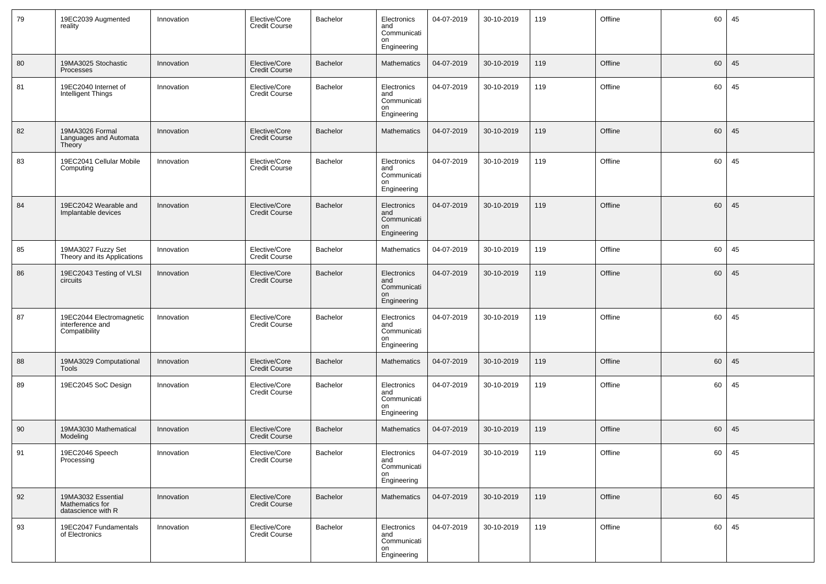| 79         | 19EC2039 Augmented<br>reality                                 | Innovation | Elective/Core<br>Credit Course        | Bachelor        | Electronics<br>and<br>Communicati<br>on<br>Engineering | 04-07-2019 | 30-10-2019   | 119 | Offline | 60 | 45    |
|------------|---------------------------------------------------------------|------------|---------------------------------------|-----------------|--------------------------------------------------------|------------|--------------|-----|---------|----|-------|
| 80         | 19MA3025 Stochastic<br>Processes                              | Innovation | Elective/Core<br>Credit Course        | <b>Bachelor</b> | <b>Mathematics</b>                                     | 04-07-2019 | 30-10-2019   | 119 | Offline | 60 | 45    |
| 81         | 19EC2040 Internet of<br>Intelligent Things                    | Innovation | Elective/Core<br><b>Credit Course</b> | Bachelor        | Electronics<br>and<br>Communicati<br>on<br>Engineering | 04-07-2019 | 30-10-2019   | 119 | Offline | 60 | 45    |
| 82         | 19MA3026 Formal<br>Languages and Automata<br>Theory           | Innovation | Elective/Core<br>Credit Course        | <b>Bachelor</b> | <b>Mathematics</b>                                     | 04-07-2019 | 30-10-2019   | 119 | Offline | 60 | 45    |
| 83         | 19EC2041 Cellular Mobile<br>Computing                         | Innovation | Elective/Core<br><b>Credit Course</b> | Bachelor        | Electronics<br>and<br>Communicati<br>on<br>Engineering | 04-07-2019 | 30-10-2019   | 119 | Offline | 60 | 45    |
| 84         | 19EC2042 Wearable and<br>Implantable devices                  | Innovation | Elective/Core<br><b>Credit Course</b> | Bachelor        | Electronics<br>and<br>Communicati<br>on<br>Engineering | 04-07-2019 | 30-10-2019   | 119 | Offline | 60 | 45    |
| 85         | 19MA3027 Fuzzy Set<br>Theory and its Applications             | Innovation | Elective/Core<br><b>Credit Course</b> | Bachelor        | Mathematics                                            | 04-07-2019 | 30-10-2019   | 119 | Offline | 60 | 45    |
| 86         | 19EC2043 Testing of VLSI<br>circuits                          | Innovation | Elective/Core<br><b>Credit Course</b> | <b>Bachelor</b> | Electronics<br>and<br>Communicati<br>on<br>Engineering | 04-07-2019 | 30-10-2019   | 119 | Offline | 60 | 45    |
| 87         | 19EC2044 Electromagnetic<br>interference and<br>Compatibility | Innovation | Elective/Core<br><b>Credit Course</b> | Bachelor        | Electronics<br>and<br>Communicati<br>on<br>Engineering | 04-07-2019 | 30-10-2019   | 119 | Offline | 60 | 45    |
| 88         | 19MA3029 Computational<br>Tools                               | Innovation | Elective/Core<br><b>Credit Course</b> | <b>Bachelor</b> | <b>Mathematics</b>                                     | 04-07-2019 | 30-10-2019   | 119 | Offline | 60 | 45    |
| 89         | 19EC2045 SoC Design                                           | Innovation | Elective/Core<br><b>Credit Course</b> | Bachelor        | Electronics<br>and<br>Communicati<br>on<br>Engineering | 04-07-2019 | 30-10-2019   | 119 | Offline | 60 | 45    |
| 90         | 19MA3030 Mathematical<br>Modeling                             | Innovation | Elective/Core<br><b>Credit Course</b> | <b>Bachelor</b> | Mathematics                                            | 04-07-2019 | 30-10-2019   | 119 | Offline | 60 | 45    |
| $\vert$ 91 | 19EC2046 Speech<br>Processing                                 | Innovation | Elective/Core<br><b>Credit Course</b> | Bachelor        | Electronics<br>and<br>Communicati<br>on<br>Engineering | 04-07-2019 | $30-10-2019$ | 119 | Offline |    | 60 45 |
| 92         | 19MA3032 Essential<br>Mathematics for<br>datascience with R   | Innovation | Elective/Core<br><b>Credit Course</b> | Bachelor        | Mathematics                                            | 04-07-2019 | 30-10-2019   | 119 | Offline | 60 | 45    |
| 93         | 19EC2047 Fundamentals<br>of Electronics                       | Innovation | Elective/Core<br><b>Credit Course</b> | Bachelor        | Electronics<br>and<br>Communicati<br>on<br>Engineering | 04-07-2019 | 30-10-2019   | 119 | Offline | 60 | 45    |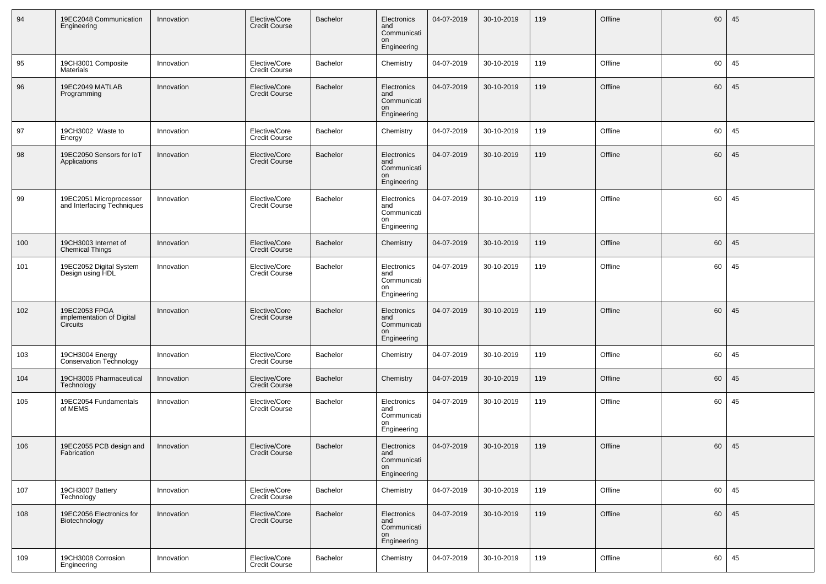| 94  | 19EC2048 Communication<br>Engineering                  | Innovation | Elective/Core<br><b>Credit Course</b> | Bachelor | Electronics<br>and<br>Communicati<br>on<br>Engineering | 04-07-2019 | 30-10-2019 | 119 | Offline | 60 | 45 |
|-----|--------------------------------------------------------|------------|---------------------------------------|----------|--------------------------------------------------------|------------|------------|-----|---------|----|----|
| 95  | 19CH3001 Composite<br><b>Materials</b>                 | Innovation | Elective/Core<br><b>Credit Course</b> | Bachelor | Chemistry                                              | 04-07-2019 | 30-10-2019 | 119 | Offline | 60 | 45 |
| 96  | 19EC2049 MATLAB<br>Programming                         | Innovation | Elective/Core<br><b>Credit Course</b> | Bachelor | Electronics<br>and<br>Communicati<br>on<br>Engineering | 04-07-2019 | 30-10-2019 | 119 | Offline | 60 | 45 |
| 97  | 19CH3002 Waste to<br>Energy                            | Innovation | Elective/Core<br><b>Credit Course</b> | Bachelor | Chemistry                                              | 04-07-2019 | 30-10-2019 | 119 | Offline | 60 | 45 |
| 98  | 19EC2050 Sensors for loT<br>Applications               | Innovation | Elective/Core<br><b>Credit Course</b> | Bachelor | Electronics<br>and<br>Communicati<br>on<br>Engineering | 04-07-2019 | 30-10-2019 | 119 | Offline | 60 | 45 |
| 99  | 19EC2051 Microprocessor<br>and Interfacing Techniques  | Innovation | Elective/Core<br><b>Credit Course</b> | Bachelor | Electronics<br>and<br>Communicati<br>on<br>Engineering | 04-07-2019 | 30-10-2019 | 119 | Offline | 60 | 45 |
| 100 | 19CH3003 Internet of<br><b>Chemical Things</b>         | Innovation | Elective/Core<br>Credit Course        | Bachelor | Chemistry                                              | 04-07-2019 | 30-10-2019 | 119 | Offline | 60 | 45 |
| 101 | 19EC2052 Digital System<br>Design using HDL            | Innovation | Elective/Core<br><b>Credit Course</b> | Bachelor | Electronics<br>and<br>Communicati<br>on<br>Engineering | 04-07-2019 | 30-10-2019 | 119 | Offline | 60 | 45 |
| 102 | 19EC2053 FPGA<br>implementation of Digital<br>Circuits | Innovation | Elective/Core<br><b>Credit Course</b> | Bachelor | Electronics<br>and<br>Communicati<br>on<br>Engineering | 04-07-2019 | 30-10-2019 | 119 | Offline | 60 | 45 |
| 103 | 19CH3004 Energy<br><b>Conservation Technology</b>      | Innovation | Elective/Core<br><b>Credit Course</b> | Bachelor | Chemistry                                              | 04-07-2019 | 30-10-2019 | 119 | Offline | 60 | 45 |
| 104 | 19CH3006 Pharmaceutical<br>Technology                  | Innovation | Elective/Core<br><b>Credit Course</b> | Bachelor | Chemistry                                              | 04-07-2019 | 30-10-2019 | 119 | Offline | 60 | 45 |
| 105 | 19EC2054 Fundamentals<br>of MEMS                       | Innovation | Elective/Core<br><b>Credit Course</b> | Bachelor | Electronics<br>and<br>Communicati<br>on<br>Engineering | 04-07-2019 | 30-10-2019 | 119 | Offline | 60 | 45 |
| 106 | 19EC2055 PCB design and<br>Fabrication                 | Innovation | Elective/Core<br><b>Credit Course</b> | Bachelor | Electronics<br>and<br>Communicati<br>on<br>Engineering | 04-07-2019 | 30-10-2019 | 119 | Offline | 60 | 45 |
| 107 | 19CH3007 Battery<br>Technology                         | Innovation | Elective/Core<br><b>Credit Course</b> | Bachelor | Chemistry                                              | 04-07-2019 | 30-10-2019 | 119 | Offline | 60 | 45 |
| 108 | 19EC2056 Electronics for<br>Biotechnology              | Innovation | Elective/Core<br><b>Credit Course</b> | Bachelor | Electronics<br>and<br>Communicati<br>on<br>Engineering | 04-07-2019 | 30-10-2019 | 119 | Offline | 60 | 45 |
| 109 | 19CH3008 Corrosion<br>Engineering                      | Innovation | Elective/Core<br><b>Credit Course</b> | Bachelor | Chemistry                                              | 04-07-2019 | 30-10-2019 | 119 | Offline | 60 | 45 |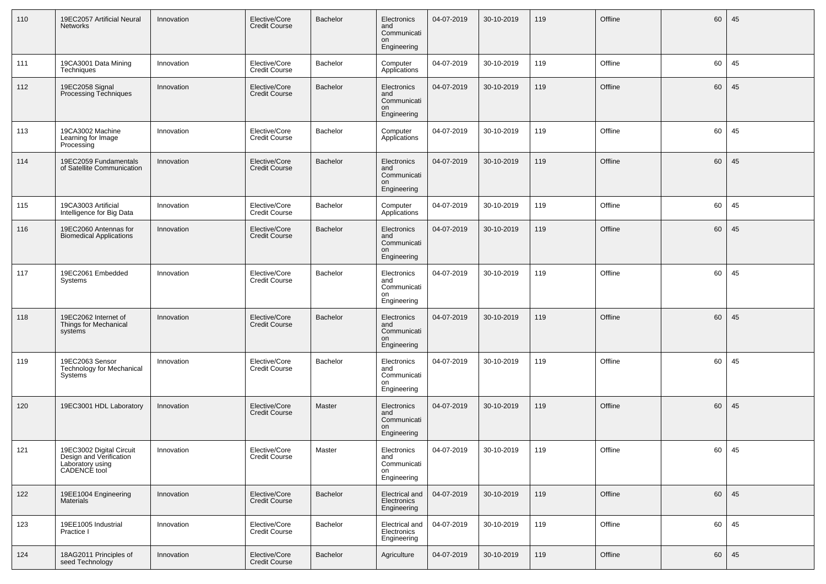| 110 | 19EC2057 Artificial Neural<br>Networks                                                  | Innovation | Elective/Core<br><b>Credit Course</b> | Bachelor | Electronics<br>and<br>Communicati<br>on<br>Engineering | 04-07-2019 | 30-10-2019 | 119 | Offline | 60 | 45 |
|-----|-----------------------------------------------------------------------------------------|------------|---------------------------------------|----------|--------------------------------------------------------|------------|------------|-----|---------|----|----|
| 111 | 19CA3001 Data Mining<br>Techniques                                                      | Innovation | Elective/Core<br><b>Credit Course</b> | Bachelor | Computer<br>Applications                               | 04-07-2019 | 30-10-2019 | 119 | Offline | 60 | 45 |
| 112 | 19EC2058 Signal<br>Processing Techniques                                                | Innovation | Elective/Core<br><b>Credit Course</b> | Bachelor | Electronics<br>and<br>Communicati<br>on<br>Engineering | 04-07-2019 | 30-10-2019 | 119 | Offline | 60 | 45 |
| 113 | 19CA3002 Machine<br>Learning for Image<br>Processing                                    | Innovation | Elective/Core<br><b>Credit Course</b> | Bachelor | Computer<br>Applications                               | 04-07-2019 | 30-10-2019 | 119 | Offline | 60 | 45 |
| 114 | 19EC2059 Fundamentals<br>of Satellite Communication                                     | Innovation | Elective/Core<br><b>Credit Course</b> | Bachelor | Electronics<br>and<br>Communicati<br>on<br>Engineering | 04-07-2019 | 30-10-2019 | 119 | Offline | 60 | 45 |
| 115 | 19CA3003 Artificial<br>Intelligence for Big Data                                        | Innovation | Elective/Core<br><b>Credit Course</b> | Bachelor | Computer<br>Applications                               | 04-07-2019 | 30-10-2019 | 119 | Offline | 60 | 45 |
| 116 | 19EC2060 Antennas for<br><b>Biomedical Applications</b>                                 | Innovation | Elective/Core<br><b>Credit Course</b> | Bachelor | Electronics<br>and<br>Communicati<br>on<br>Engineering | 04-07-2019 | 30-10-2019 | 119 | Offline | 60 | 45 |
| 117 | 19EC2061 Embedded<br>Systems                                                            | Innovation | Elective/Core<br><b>Credit Course</b> | Bachelor | Electronics<br>and<br>Communicati<br>on<br>Engineering | 04-07-2019 | 30-10-2019 | 119 | Offline | 60 | 45 |
| 118 | 19EC2062 Internet of<br>Things for Mechanical<br>systems                                | Innovation | Elective/Core<br>Credit Course        | Bachelor | Electronics<br>and<br>Communicati<br>on<br>Engineering | 04-07-2019 | 30-10-2019 | 119 | Offline | 60 | 45 |
| 119 | 19EC2063 Sensor<br>Technology for Mechanical<br>Systems                                 | Innovation | Elective/Core<br><b>Credit Course</b> | Bachelor | Electronics<br>and<br>Communicati<br>on<br>Engineering | 04-07-2019 | 30-10-2019 | 119 | Offline | 60 | 45 |
| 120 | 19EC3001 HDL Laboratory                                                                 | Innovation | Elective/Core<br>Credit Course        | Master   | Electronics<br>and<br>Communicati<br>on<br>Engineering | 04-07-2019 | 30-10-2019 | 119 | Offline | 60 | 45 |
| 121 | 19EC3002 Digital Circuit<br>Design and Verification<br>Laboratory using<br>CADENCE tool | Innovation | Elective/Core<br><b>Credit Course</b> | Master   | Electronics<br>and<br>Communicati<br>on<br>Engineering | 04-07-2019 | 30-10-2019 | 119 | Offline | 60 | 45 |
| 122 | 19EE1004 Engineering<br><b>Materials</b>                                                | Innovation | Elective/Core<br><b>Credit Course</b> | Bachelor | Electrical and<br>Electronics<br>Engineering           | 04-07-2019 | 30-10-2019 | 119 | Offline | 60 | 45 |
| 123 | 19EE1005 Industrial<br>Practice I                                                       | Innovation | Elective/Core<br><b>Credit Course</b> | Bachelor | Electrical and<br>Electronics<br>Engineering           | 04-07-2019 | 30-10-2019 | 119 | Offline | 60 | 45 |
| 124 | 18AG2011 Principles of<br>seed Technology                                               | Innovation | Elective/Core<br><b>Credit Course</b> | Bachelor | Agriculture                                            | 04-07-2019 | 30-10-2019 | 119 | Offline | 60 | 45 |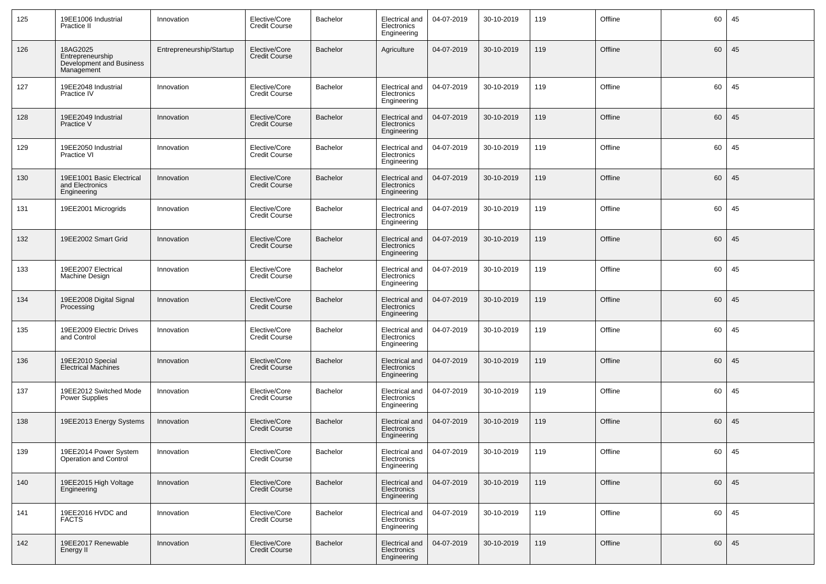| 125           | 19EE1006 Industrial<br>Practice II                                     | Innovation               | Elective/Core<br><b>Credit Course</b> | Bachelor | Electrical and<br>Electronics<br>Engineering        | 04-07-2019 | 30-10-2019 | 119 | Offline | 60 | 45 |
|---------------|------------------------------------------------------------------------|--------------------------|---------------------------------------|----------|-----------------------------------------------------|------------|------------|-----|---------|----|----|
| 126           | 18AG2025<br>Entrepreneurship<br>Development and Business<br>Management | Entrepreneurship/Startup | Elective/Core<br><b>Credit Course</b> | Bachelor | Agriculture                                         | 04-07-2019 | 30-10-2019 | 119 | Offline | 60 | 45 |
| 127           | 19EE2048 Industrial<br>Practice IV                                     | Innovation               | Elective/Core<br><b>Credit Course</b> | Bachelor | Electrical and<br>Electronics<br>Engineering        | 04-07-2019 | 30-10-2019 | 119 | Offline | 60 | 45 |
| 128           | 19EE2049 Industrial<br>Practice V                                      | Innovation               | Elective/Core<br><b>Credit Course</b> | Bachelor | Electrical and<br>Electronics<br>Engineering        | 04-07-2019 | 30-10-2019 | 119 | Offline | 60 | 45 |
| 129           | 19EE2050 Industrial<br>Practice VI                                     | Innovation               | Elective/Core<br><b>Credit Course</b> | Bachelor | Electrical and<br>Electronics<br>Engineering        | 04-07-2019 | 30-10-2019 | 119 | Offline | 60 | 45 |
| 130           | 19EE1001 Basic Electrical<br>and Electronics<br>Engineering            | Innovation               | Elective/Core<br><b>Credit Course</b> | Bachelor | <b>Electrical and</b><br>Electronics<br>Engineering | 04-07-2019 | 30-10-2019 | 119 | Offline | 60 | 45 |
| 131           | 19EE2001 Microgrids                                                    | Innovation               | Elective/Core<br><b>Credit Course</b> | Bachelor | Electrical and<br>Electronics<br>Engineering        | 04-07-2019 | 30-10-2019 | 119 | Offline | 60 | 45 |
| 132           | 19EE2002 Smart Grid                                                    | Innovation               | Elective/Core<br><b>Credit Course</b> | Bachelor | Electrical and<br>Electronics<br>Engineering        | 04-07-2019 | 30-10-2019 | 119 | Offline | 60 | 45 |
| 133           | 19EE2007 Electrical<br>Machine Design                                  | Innovation               | Elective/Core<br><b>Credit Course</b> | Bachelor | Electrical and<br>Electronics<br>Engineering        | 04-07-2019 | 30-10-2019 | 119 | Offline | 60 | 45 |
| 134           | 19EE2008 Digital Signal<br>Processing                                  | Innovation               | Elective/Core<br><b>Credit Course</b> | Bachelor | Electrical and<br>Electronics<br>Engineering        | 04-07-2019 | 30-10-2019 | 119 | Offline | 60 | 45 |
| 135           | 19EE2009 Electric Drives<br>and Control                                | Innovation               | Elective/Core<br><b>Credit Course</b> | Bachelor | Electrical and<br>Electronics<br>Engineering        | 04-07-2019 | 30-10-2019 | 119 | Offline | 60 | 45 |
| 136           | 19EE2010 Special<br><b>Electrical Machines</b>                         | Innovation               | Elective/Core<br><b>Credit Course</b> | Bachelor | Electrical and<br>Electronics<br>Engineering        | 04-07-2019 | 30-10-2019 | 119 | Offline | 60 | 45 |
| 137           | 19EE2012 Switched Mode<br>Power Supplies                               | Innovation               | Elective/Core<br><b>Credit Course</b> | Bachelor | Electrical and<br>Electronics<br>Engineering        | 04-07-2019 | 30-10-2019 | 119 | Offline | 60 | 45 |
| 138           | 19EE2013 Energy Systems                                                | Innovation               | Elective/Core<br><b>Credit Course</b> | Bachelor | Electrical and<br>Electronics<br>Engineering        | 04-07-2019 | 30-10-2019 | 119 | Offline | 60 | 45 |
| $ 139\rangle$ | 19EE2014 Power System<br>Operation and Control                         | Innovation               | Elective/Core<br><b>Credit Course</b> | Bachelor | Electrical and<br>Electronics<br>Engineering        | 04-07-2019 | 30-10-2019 | 119 | Offline | 60 | 45 |
| 140           | 19EE2015 High Voltage<br>Engineering                                   | Innovation               | Elective/Core<br><b>Credit Course</b> | Bachelor | Electrical and<br>Electronics<br>Engineering        | 04-07-2019 | 30-10-2019 | 119 | Offline | 60 | 45 |
| 141           | 19EE2016 HVDC and<br><b>FACTS</b>                                      | Innovation               | Elective/Core<br><b>Credit Course</b> | Bachelor | Electrical and<br>Electronics<br>Engineering        | 04-07-2019 | 30-10-2019 | 119 | Offline | 60 | 45 |
| 142           | 19EE2017 Renewable<br>Energy II                                        | Innovation               | Elective/Core<br><b>Credit Course</b> | Bachelor | Electrical and<br>Electronics<br>Engineering        | 04-07-2019 | 30-10-2019 | 119 | Offline | 60 | 45 |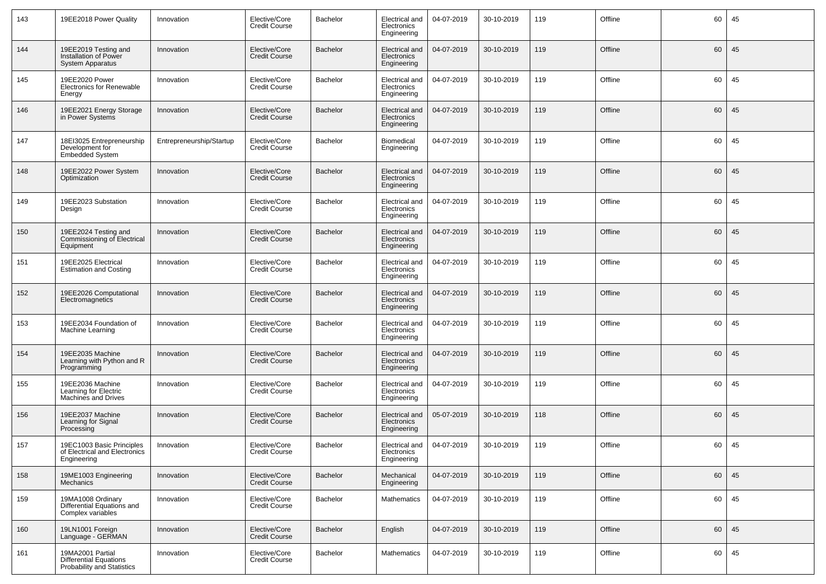| 143 | 19EE2018 Power Quality                                                    | Innovation               | Elective/Core<br>Credit Course        | Bachelor        | Electrical and<br>Electronics<br>Engineering | 04-07-2019 | 30-10-2019 | 119 | Offline | 60 | 45 |
|-----|---------------------------------------------------------------------------|--------------------------|---------------------------------------|-----------------|----------------------------------------------|------------|------------|-----|---------|----|----|
| 144 | 19EE2019 Testing and<br>Installation of Power<br><b>System Apparatus</b>  | Innovation               | Elective/Core<br>Credit Course        | Bachelor        | Electrical and<br>Electronics<br>Engineering | 04-07-2019 | 30-10-2019 | 119 | Offline | 60 | 45 |
| 145 | 19EE2020 Power<br><b>Electronics for Renewable</b><br>Energy              | Innovation               | Elective/Core<br><b>Credit Course</b> | Bachelor        | Electrical and<br>Electronics<br>Engineering | 04-07-2019 | 30-10-2019 | 119 | Offline | 60 | 45 |
| 146 | 19EE2021 Energy Storage<br>in Power Systems                               | Innovation               | Elective/Core<br>Credit Course        | Bachelor        | Electrical and<br>Electronics<br>Engineering | 04-07-2019 | 30-10-2019 | 119 | Offline | 60 | 45 |
| 147 | 18EI3025 Entrepreneurship<br>Development for<br><b>Embedded System</b>    | Entrepreneurship/Startup | Elective/Core<br><b>Credit Course</b> | Bachelor        | Biomedical<br>Engineering                    | 04-07-2019 | 30-10-2019 | 119 | Offline | 60 | 45 |
| 148 | 19EE2022 Power System<br>Optimization                                     | Innovation               | Elective/Core<br><b>Credit Course</b> | Bachelor        | Electrical and<br>Electronics<br>Engineering | 04-07-2019 | 30-10-2019 | 119 | Offline | 60 | 45 |
| 149 | 19EE2023 Substation<br>Design                                             | Innovation               | Elective/Core<br>Credit Course        | Bachelor        | Electrical and<br>Electronics<br>Engineering | 04-07-2019 | 30-10-2019 | 119 | Offline | 60 | 45 |
| 150 | 19EE2024 Testing and<br>Commissioning of Electrical<br>Equipment          | Innovation               | Elective/Core<br><b>Credit Course</b> | <b>Bachelor</b> | Electrical and<br>Electronics<br>Engineering | 04-07-2019 | 30-10-2019 | 119 | Offline | 60 | 45 |
| 151 | 19EE2025 Electrical<br><b>Estimation and Costing</b>                      | Innovation               | Elective/Core<br><b>Credit Course</b> | Bachelor        | Electrical and<br>Electronics<br>Engineering | 04-07-2019 | 30-10-2019 | 119 | Offline | 60 | 45 |
| 152 | 19EE2026 Computational<br>Electromagnetics                                | Innovation               | Elective/Core<br>Credit Course        | Bachelor        | Electrical and<br>Electronics<br>Engineering | 04-07-2019 | 30-10-2019 | 119 | Offline | 60 | 45 |
| 153 | 19EE2034 Foundation of<br>Machine Learning                                | Innovation               | Elective/Core<br><b>Credit Course</b> | Bachelor        | Electrical and<br>Electronics<br>Engineering | 04-07-2019 | 30-10-2019 | 119 | Offline | 60 | 45 |
| 154 | 19EE2035 Machine<br>Learning with Python and R<br>Programming             | Innovation               | Elective/Core<br><b>Credit Course</b> | Bachelor        | Electrical and<br>Electronics<br>Engineering | 04-07-2019 | 30-10-2019 | 119 | Offline | 60 | 45 |
| 155 | 19EE2036 Machine<br>Learning for Electric<br>Machines and Drives          | Innovation               | Elective/Core<br><b>Credit Course</b> | Bachelor        | Electrical and<br>Electronics<br>Engineering | 04-07-2019 | 30-10-2019 | 119 | Offline | 60 | 45 |
| 156 | 19EE2037 Machine<br>Learning for Signal<br>Processing                     | Innovation               | Elective/Core<br>Credit Course        | Bachelor        | Electrical and<br>Electronics<br>Engineering | 05-07-2019 | 30-10-2019 | 118 | Offline | 60 | 45 |
| 157 | 19EC1003 Basic Principles<br>of Electrical and Electronics<br>Engineering | Innovation               | Elective/Core<br>Credit Course        | Bachelor        | Electrical and<br>Electronics<br>Engineering | 04-07-2019 | 30-10-2019 | 119 | Offline | 60 | 45 |
| 158 | 19ME1003 Engineering<br>Mechanics                                         | Innovation               | Elective/Core<br><b>Credit Course</b> | Bachelor        | Mechanical<br>Engineering                    | 04-07-2019 | 30-10-2019 | 119 | Offline | 60 | 45 |
| 159 | 19MA1008 Ordinary<br>Differential Equations and<br>Complex variables      | Innovation               | Elective/Core<br>Credit Course        | Bachelor        | Mathematics                                  | 04-07-2019 | 30-10-2019 | 119 | Offline | 60 | 45 |
| 160 | 19LN1001 Foreign<br>Language - GERMAN                                     | Innovation               | Elective/Core<br>Credit Course        | Bachelor        | English                                      | 04-07-2019 | 30-10-2019 | 119 | Offline | 60 | 45 |
| 161 | 19MA2001 Partial<br>Differential Equations<br>Probability and Statistics  | Innovation               | Elective/Core<br>Credit Course        | Bachelor        | <b>Mathematics</b>                           | 04-07-2019 | 30-10-2019 | 119 | Offline | 60 | 45 |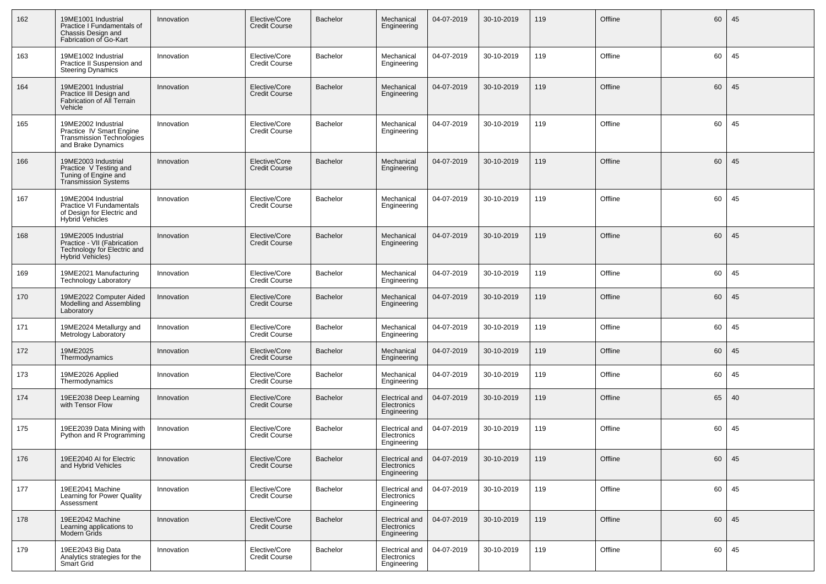| 162 | 19ME1001 Industrial<br>Practice I Fundamentals of<br>Chassis Design and<br>Fabrication of Go-Kart            | Innovation | Elective/Core<br><b>Credit Course</b> | Bachelor        | Mechanical<br>Engineering                    | 04-07-2019 | 30-10-2019 | 119 | Offline | 60 | 45 |
|-----|--------------------------------------------------------------------------------------------------------------|------------|---------------------------------------|-----------------|----------------------------------------------|------------|------------|-----|---------|----|----|
| 163 | 19ME1002 Industrial<br>Practice II Suspension and<br><b>Steering Dynamics</b>                                | Innovation | Elective/Core<br><b>Credit Course</b> | Bachelor        | Mechanical<br>Engineering                    | 04-07-2019 | 30-10-2019 | 119 | Offline | 60 | 45 |
| 164 | 19ME2001 Industrial<br>Practice III Design and<br>Fabrication of All Terrain<br>Vehicle                      | Innovation | Elective/Core<br><b>Credit Course</b> | Bachelor        | Mechanical<br>Engineering                    | 04-07-2019 | 30-10-2019 | 119 | Offline | 60 | 45 |
| 165 | 19ME2002 Industrial<br>Practice IV Smart Engine<br>Transmission Technologies<br>and Brake Dynamics           | Innovation | Elective/Core<br><b>Credit Course</b> | Bachelor        | Mechanical<br>Engineering                    | 04-07-2019 | 30-10-2019 | 119 | Offline | 60 | 45 |
| 166 | 19ME2003 Industrial<br>Practice V Testing and<br>Tuning of Engine and<br><b>Transmission Systems</b>         | Innovation | Elective/Core<br><b>Credit Course</b> | Bachelor        | Mechanical<br>Engineering                    | 04-07-2019 | 30-10-2019 | 119 | Offline | 60 | 45 |
| 167 | 19ME2004 Industrial<br>Practice VI Fundamentals<br>of Design for Electric and<br>Hybrid Vehicles             | Innovation | Elective/Core<br><b>Credit Course</b> | Bachelor        | Mechanical<br>Engineering                    | 04-07-2019 | 30-10-2019 | 119 | Offline | 60 | 45 |
| 168 | 19ME2005 Industrial<br>Practice - VII (Fabrication<br>Technology for Electric and<br><b>Hybrid Vehicles)</b> | Innovation | Elective/Core<br><b>Credit Course</b> | <b>Bachelor</b> | Mechanical<br>Engineering                    | 04-07-2019 | 30-10-2019 | 119 | Offline | 60 | 45 |
| 169 | 19ME2021 Manufacturing<br>Technology Laboratory                                                              | Innovation | Elective/Core<br><b>Credit Course</b> | Bachelor        | Mechanical<br>Engineering                    | 04-07-2019 | 30-10-2019 | 119 | Offline | 60 | 45 |
| 170 | 19ME2022 Computer Aided<br>Modelling and Assembling<br>Laboratory                                            | Innovation | Elective/Core<br><b>Credit Course</b> | Bachelor        | Mechanical<br>Engineering                    | 04-07-2019 | 30-10-2019 | 119 | Offline | 60 | 45 |
| 171 | 19ME2024 Metallurgy and<br>Metrology Laboratory                                                              | Innovation | Elective/Core<br><b>Credit Course</b> | Bachelor        | Mechanical<br>Engineering                    | 04-07-2019 | 30-10-2019 | 119 | Offline | 60 | 45 |
| 172 | 19ME2025<br>Thermodynamics                                                                                   | Innovation | Elective/Core<br><b>Credit Course</b> | Bachelor        | Mechanical<br>Engineering                    | 04-07-2019 | 30-10-2019 | 119 | Offline | 60 | 45 |
| 173 | 19ME2026 Applied<br>Thermodynamics                                                                           | Innovation | Elective/Core<br><b>Credit Course</b> | Bachelor        | Mechanical<br>Engineering                    | 04-07-2019 | 30-10-2019 | 119 | Offline | 60 | 45 |
| 174 | 19EE2038 Deep Learning<br>with Tensor Flow                                                                   | Innovation | Elective/Core<br><b>Credit Course</b> | <b>Bachelor</b> | Electrical and<br>Electronics<br>Engineering | 04-07-2019 | 30-10-2019 | 119 | Offline | 65 | 40 |
| 175 | 19EE2039 Data Mining with<br>Python and R Programming                                                        | Innovation | Elective/Core<br><b>Credit Course</b> | Bachelor        | Electrical and<br>Electronics<br>Engineering | 04-07-2019 | 30-10-2019 | 119 | Offline | 60 | 45 |
| 176 | 19EE2040 AI for Electric<br>and Hybrid Vehicles                                                              | Innovation | Elective/Core<br><b>Credit Course</b> | Bachelor        | Electrical and<br>Electronics<br>Engineering | 04-07-2019 | 30-10-2019 | 119 | Offline | 60 | 45 |
| 177 | 19EE2041 Machine<br>Learning for Power Quality<br>Assessment                                                 | Innovation | Elective/Core<br><b>Credit Course</b> | Bachelor        | Electrical and<br>Electronics<br>Engineering | 04-07-2019 | 30-10-2019 | 119 | Offline | 60 | 45 |
| 178 | 19EE2042 Machine<br>Learning applications to<br>Modern Grids                                                 | Innovation | Elective/Core<br><b>Credit Course</b> | Bachelor        | Electrical and<br>Electronics<br>Engineering | 04-07-2019 | 30-10-2019 | 119 | Offline | 60 | 45 |
| 179 | 19EE2043 Big Data<br>Analytics strategies for the<br>Smart Grid                                              | Innovation | Elective/Core<br><b>Credit Course</b> | Bachelor        | Electrical and<br>Electronics<br>Engineering | 04-07-2019 | 30-10-2019 | 119 | Offline | 60 | 45 |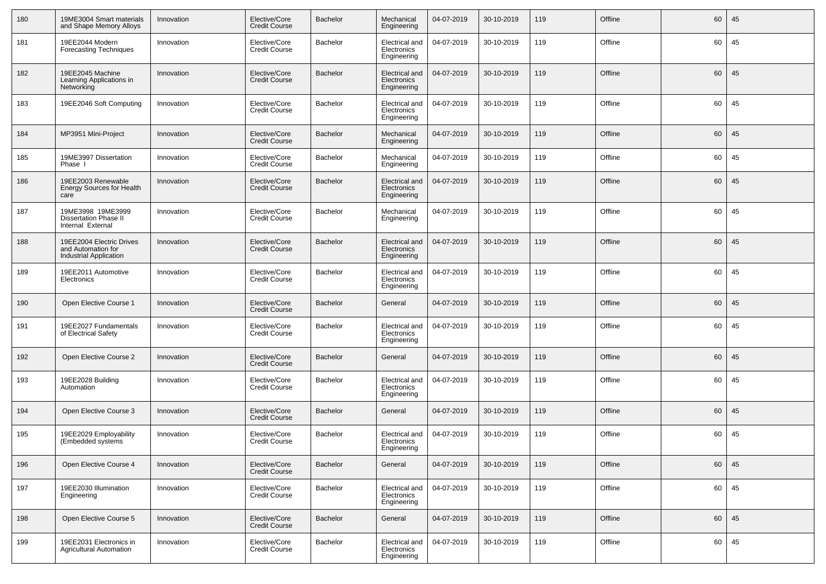| 180 | 19ME3004 Smart materials<br>and Shape Memory Alloys                             | Innovation | Elective/Core<br><b>Credit Course</b> | Bachelor        | Mechanical<br>Engineering                           | 04-07-2019 | 30-10-2019 | 119 | Offline | 60 | 45 |
|-----|---------------------------------------------------------------------------------|------------|---------------------------------------|-----------------|-----------------------------------------------------|------------|------------|-----|---------|----|----|
| 181 | 19EE2044 Modern<br>Forecasting Techniques                                       | Innovation | Elective/Core<br><b>Credit Course</b> | Bachelor        | Electrical and<br>Electronics<br>Engineering        | 04-07-2019 | 30-10-2019 | 119 | Offline | 60 | 45 |
| 182 | 19EE2045 Machine<br>Learning Applications in<br>Networking                      | Innovation | Elective/Core<br><b>Credit Course</b> | Bachelor        | Electrical and<br>Electronics<br>Engineering        | 04-07-2019 | 30-10-2019 | 119 | Offline | 60 | 45 |
| 183 | 19EE2046 Soft Computing                                                         | Innovation | Elective/Core<br><b>Credit Course</b> | Bachelor        | Electrical and<br>Electronics<br>Engineering        | 04-07-2019 | 30-10-2019 | 119 | Offline | 60 | 45 |
| 184 | MP3951 Mini-Project                                                             | Innovation | Elective/Core<br><b>Credit Course</b> | <b>Bachelor</b> | Mechanical<br>Engineering                           | 04-07-2019 | 30-10-2019 | 119 | Offline | 60 | 45 |
| 185 | 19ME3997 Dissertation<br>Phase I                                                | Innovation | Elective/Core<br><b>Credit Course</b> | Bachelor        | Mechanical<br>Engineering                           | 04-07-2019 | 30-10-2019 | 119 | Offline | 60 | 45 |
| 186 | 19EE2003 Renewable<br><b>Energy Sources for Health</b><br>care                  | Innovation | Elective/Core<br><b>Credit Course</b> | Bachelor        | <b>Electrical and</b><br>Electronics<br>Engineering | 04-07-2019 | 30-10-2019 | 119 | Offline | 60 | 45 |
| 187 | 19ME3998 19ME3999<br><b>Dissertation Phase II</b><br>Internal External          | Innovation | Elective/Core<br><b>Credit Course</b> | Bachelor        | Mechanical<br>Engineering                           | 04-07-2019 | 30-10-2019 | 119 | Offline | 60 | 45 |
| 188 | 19EE2004 Electric Drives<br>and Automation for<br><b>Industrial Application</b> | Innovation | Elective/Core<br><b>Credit Course</b> | <b>Bachelor</b> | Electrical and<br>Electronics<br>Engineering        | 04-07-2019 | 30-10-2019 | 119 | Offline | 60 | 45 |
| 189 | 19EE2011 Automotive<br>Electronics                                              | Innovation | Elective/Core<br><b>Credit Course</b> | Bachelor        | Electrical and<br>Electronics<br>Engineering        | 04-07-2019 | 30-10-2019 | 119 | Offline | 60 | 45 |
| 190 | Open Elective Course 1                                                          | Innovation | Elective/Core<br><b>Credit Course</b> | <b>Bachelor</b> | General                                             | 04-07-2019 | 30-10-2019 | 119 | Offline | 60 | 45 |
| 191 | 19EE2027 Fundamentals<br>of Electrical Safety                                   | Innovation | Elective/Core<br><b>Credit Course</b> | Bachelor        | Electrical and<br>Electronics<br>Engineering        | 04-07-2019 | 30-10-2019 | 119 | Offline | 60 | 45 |
| 192 | Open Elective Course 2                                                          | Innovation | Elective/Core<br><b>Credit Course</b> | <b>Bachelor</b> | General                                             | 04-07-2019 | 30-10-2019 | 119 | Offline | 60 | 45 |
| 193 | 19EE2028 Building<br>Automation                                                 | Innovation | Elective/Core<br><b>Credit Course</b> | Bachelor        | Electrical and<br>Electronics<br>Engineering        | 04-07-2019 | 30-10-2019 | 119 | Offline | 60 | 45 |
| 194 | Open Elective Course 3                                                          | Innovation | Elective/Core<br><b>Credit Course</b> | <b>Bachelor</b> | General                                             | 04-07-2019 | 30-10-2019 | 119 | Offline | 60 | 45 |
| 195 | 19EE2029 Employability<br>(Embedded systems)                                    | Innovation | Elective/Core<br><b>Credit Course</b> | Bachelor        | Electrical and<br>Electronics<br>Engineering        | 04-07-2019 | 30-10-2019 | 119 | Offline | 60 | 45 |
| 196 | Open Elective Course 4                                                          | Innovation | Elective/Core<br><b>Credit Course</b> | Bachelor        | General                                             | 04-07-2019 | 30-10-2019 | 119 | Offline | 60 | 45 |
| 197 | 19EE2030 Illumination<br>Engineering                                            | Innovation | Elective/Core<br><b>Credit Course</b> | Bachelor        | Electrical and<br>Electronics<br>Engineering        | 04-07-2019 | 30-10-2019 | 119 | Offline | 60 | 45 |
| 198 | Open Elective Course 5                                                          | Innovation | Elective/Core<br><b>Credit Course</b> | <b>Bachelor</b> | General                                             | 04-07-2019 | 30-10-2019 | 119 | Offline | 60 | 45 |
| 199 | 19EE2031 Electronics in<br><b>Agricultural Automation</b>                       | Innovation | Elective/Core<br><b>Credit Course</b> | Bachelor        | Electrical and<br>Electronics<br>Engineering        | 04-07-2019 | 30-10-2019 | 119 | Offline | 60 | 45 |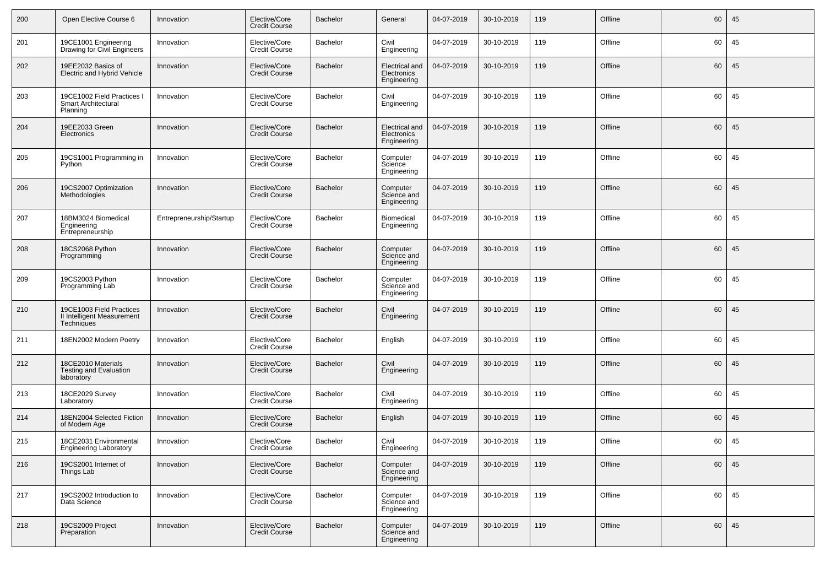| 200 | Open Elective Course 6                                               | Innovation               | Elective/Core<br>Credit Course        | <b>Bachelor</b> | General                                             | 04-07-2019 | 30-10-2019 | 119 | Offline | 60 | 45 |
|-----|----------------------------------------------------------------------|--------------------------|---------------------------------------|-----------------|-----------------------------------------------------|------------|------------|-----|---------|----|----|
| 201 | 19CE1001 Engineering<br>Drawing for Civil Engineers                  | Innovation               | Elective/Core<br>Credit Course        | Bachelor        | Civil<br>Engineering                                | 04-07-2019 | 30-10-2019 | 119 | Offline | 60 | 45 |
| 202 | 19EE2032 Basics of<br>Electric and Hybrid Vehicle                    | Innovation               | Elective/Core<br>Credit Course        | <b>Bachelor</b> | Electrical and<br>Electronics<br>Engineering        | 04-07-2019 | 30-10-2019 | 119 | Offline | 60 | 45 |
| 203 | 19CE1002 Field Practices I<br>Smart Architectural<br>Planning        | Innovation               | Elective/Core<br><b>Credit Course</b> | Bachelor        | Civil<br>Engineering                                | 04-07-2019 | 30-10-2019 | 119 | Offline | 60 | 45 |
| 204 | 19EE2033 Green<br>Electronics                                        | Innovation               | Elective/Core<br><b>Credit Course</b> | <b>Bachelor</b> | <b>Electrical</b> and<br>Electronics<br>Engineering | 04-07-2019 | 30-10-2019 | 119 | Offline | 60 | 45 |
| 205 | 19CS1001 Programming in<br>Python                                    | Innovation               | Elective/Core<br><b>Credit Course</b> | Bachelor        | Computer<br>Science<br>Engineering                  | 04-07-2019 | 30-10-2019 | 119 | Offline | 60 | 45 |
| 206 | 19CS2007 Optimization<br>Methodologies                               | Innovation               | Elective/Core<br><b>Credit Course</b> | <b>Bachelor</b> | Computer<br>Science and<br>Engineering              | 04-07-2019 | 30-10-2019 | 119 | Offline | 60 | 45 |
| 207 | 18BM3024 Biomedical<br>Engineering<br>Entrepreneurship               | Entrepreneurship/Startup | Elective/Core<br><b>Credit Course</b> | Bachelor        | Biomedical<br>Engineering                           | 04-07-2019 | 30-10-2019 | 119 | Offline | 60 | 45 |
| 208 | 18CS2068 Python<br>Programming                                       | Innovation               | Elective/Core<br><b>Credit Course</b> | <b>Bachelor</b> | Computer<br>Science and<br>Engineering              | 04-07-2019 | 30-10-2019 | 119 | Offline | 60 | 45 |
| 209 | 19CS2003 Python<br>Programming Lab                                   | Innovation               | Elective/Core<br><b>Credit Course</b> | Bachelor        | Computer<br>Science and<br>Engineering              | 04-07-2019 | 30-10-2019 | 119 | Offline | 60 | 45 |
| 210 | 19CE1003 Field Practices<br>II Intelligent Measurement<br>Techniques | Innovation               | Elective/Core<br><b>Credit Course</b> | <b>Bachelor</b> | Civil<br>Engineering                                | 04-07-2019 | 30-10-2019 | 119 | Offline | 60 | 45 |
| 211 | 18EN2002 Modern Poetry                                               | Innovation               | Elective/Core<br><b>Credit Course</b> | Bachelor        | English                                             | 04-07-2019 | 30-10-2019 | 119 | Offline | 60 | 45 |
| 212 | 18CE2010 Materials<br>Testing and Evaluation<br>laboratory           | Innovation               | Elective/Core<br><b>Credit Course</b> | <b>Bachelor</b> | Civil<br>Engineering                                | 04-07-2019 | 30-10-2019 | 119 | Offline | 60 | 45 |
| 213 | 18CE2029 Survey<br>Laboratory                                        | Innovation               | Elective/Core<br><b>Credit Course</b> | Bachelor        | Civil<br>Engineering                                | 04-07-2019 | 30-10-2019 | 119 | Offline | 60 | 45 |
| 214 | 18EN2004 Selected Fiction<br>of Modern Age                           | Innovation               | Elective/Core<br><b>Credit Course</b> | <b>Bachelor</b> | English                                             | 04-07-2019 | 30-10-2019 | 119 | Offline | 60 | 45 |
| 215 | 18CE2031 Environmental<br><b>Engineering Laboratory</b>              | Innovation               | Elective/Core<br><b>Credit Course</b> | Bachelor        | Civil<br>Engineering                                | 04-07-2019 | 30-10-2019 | 119 | Offline | 60 | 45 |
| 216 | 19CS2001 Internet of<br>Things Lab                                   | Innovation               | Elective/Core<br><b>Credit Course</b> | Bachelor        | Computer<br>Science and<br>Engineering              | 04-07-2019 | 30-10-2019 | 119 | Offline | 60 | 45 |
| 217 | 19CS2002 Introduction to<br>Data Science                             | Innovation               | Elective/Core<br><b>Credit Course</b> | Bachelor        | Computer<br>Science and<br>Engineering              | 04-07-2019 | 30-10-2019 | 119 | Offline | 60 | 45 |
| 218 | 19CS2009 Project<br>Preparation                                      | Innovation               | Elective/Core<br><b>Credit Course</b> | Bachelor        | Computer<br>Science and<br>Engineering              | 04-07-2019 | 30-10-2019 | 119 | Offline | 60 | 45 |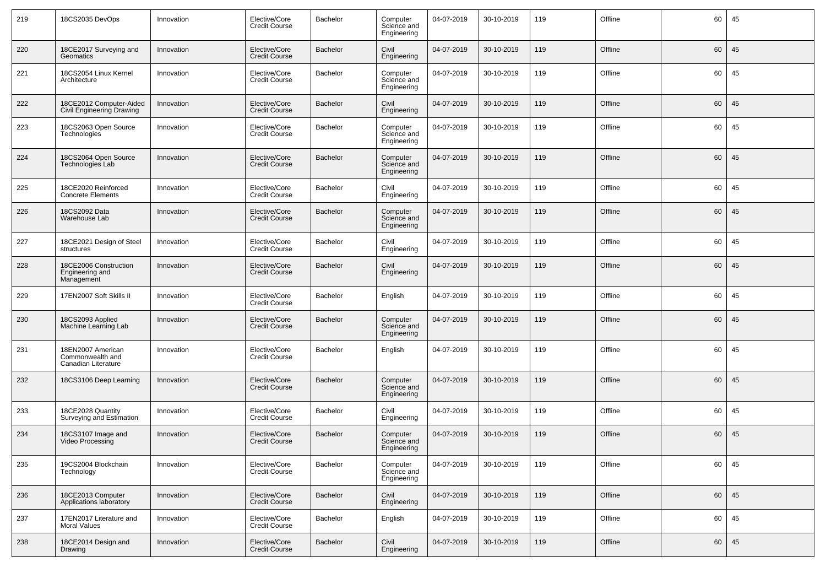| 219 | 18CS2035 DevOps                                              | Innovation | Elective/Core<br>Credit Course        | Bachelor        | Computer<br>Science and<br>Engineering | 04-07-2019 | 30-10-2019 | 119 | Offline | 60 | 45 |
|-----|--------------------------------------------------------------|------------|---------------------------------------|-----------------|----------------------------------------|------------|------------|-----|---------|----|----|
| 220 | 18CE2017 Surveying and<br>Geomatics                          | Innovation | Elective/Core<br><b>Credit Course</b> | <b>Bachelor</b> | Civil<br>Engineering                   | 04-07-2019 | 30-10-2019 | 119 | Offline | 60 | 45 |
| 221 | 18CS2054 Linux Kernel<br>Architecture                        | Innovation | Elective/Core<br>Credit Course        | Bachelor        | Computer<br>Science and<br>Engineering | 04-07-2019 | 30-10-2019 | 119 | Offline | 60 | 45 |
| 222 | 18CE2012 Computer-Aided<br>Civil Engineering Drawing         | Innovation | Elective/Core<br><b>Credit Course</b> | <b>Bachelor</b> | Civil<br>Engineering                   | 04-07-2019 | 30-10-2019 | 119 | Offline | 60 | 45 |
| 223 | 18CS2063 Open Source<br>Technologies                         | Innovation | Elective/Core<br><b>Credit Course</b> | Bachelor        | Computer<br>Science and<br>Engineering | 04-07-2019 | 30-10-2019 | 119 | Offline | 60 | 45 |
| 224 | 18CS2064 Open Source<br>Technologies Lab                     | Innovation | Elective/Core<br>Credit Course        | <b>Bachelor</b> | Computer<br>Science and<br>Engineering | 04-07-2019 | 30-10-2019 | 119 | Offline | 60 | 45 |
| 225 | 18CE2020 Reinforced<br><b>Concrete Elements</b>              | Innovation | Elective/Core<br>Credit Course        | Bachelor        | Civil<br>Engineering                   | 04-07-2019 | 30-10-2019 | 119 | Offline | 60 | 45 |
| 226 | 18CS2092 Data<br>Warehouse Lab                               | Innovation | Elective/Core<br>Credit Course        | <b>Bachelor</b> | Computer<br>Science and<br>Engineering | 04-07-2019 | 30-10-2019 | 119 | Offline | 60 | 45 |
| 227 | 18CE2021 Design of Steel<br>structures                       | Innovation | Elective/Core<br><b>Credit Course</b> | Bachelor        | Civil<br>Engineering                   | 04-07-2019 | 30-10-2019 | 119 | Offline | 60 | 45 |
| 228 | 18CE2006 Construction<br>Engineering and<br>Management       | Innovation | Elective/Core<br><b>Credit Course</b> | <b>Bachelor</b> | Civil<br>Engineering                   | 04-07-2019 | 30-10-2019 | 119 | Offline | 60 | 45 |
| 229 | 17EN2007 Soft Skills II                                      | Innovation | Elective/Core<br><b>Credit Course</b> | Bachelor        | English                                | 04-07-2019 | 30-10-2019 | 119 | Offline | 60 | 45 |
| 230 | 18CS2093 Applied<br>Machine Learning Lab                     | Innovation | Elective/Core<br><b>Credit Course</b> | <b>Bachelor</b> | Computer<br>Science and<br>Engineering | 04-07-2019 | 30-10-2019 | 119 | Offline | 60 | 45 |
| 231 | 18EN2007 American<br>Commonwealth and<br>Canadian Literature | Innovation | Elective/Core<br>Credit Course        | Bachelor        | English                                | 04-07-2019 | 30-10-2019 | 119 | Offline | 60 | 45 |
| 232 | 18CS3106 Deep Learning                                       | Innovation | Elective/Core<br><b>Credit Course</b> | <b>Bachelor</b> | Computer<br>Science and<br>Engineering | 04-07-2019 | 30-10-2019 | 119 | Offline | 60 | 45 |
| 233 | 18CE2028 Quantity<br>Surveying and Estimation                | Innovation | Elective/Core<br><b>Credit Course</b> | Bachelor        | Civil<br>Engineering                   | 04-07-2019 | 30-10-2019 | 119 | Offline | 60 | 45 |
| 234 | 18CS3107 Image and<br><b>Video Processing</b>                | Innovation | Elective/Core<br><b>Credit Course</b> | Bachelor        | Computer<br>Science and<br>Engineering | 04-07-2019 | 30-10-2019 | 119 | Offline | 60 | 45 |
| 235 | 19CS2004 Blockchain<br>Technology                            | Innovation | Elective/Core<br><b>Credit Course</b> | Bachelor        | Computer<br>Science and<br>Engineering | 04-07-2019 | 30-10-2019 | 119 | Offline | 60 | 45 |
| 236 | 18CE2013 Computer<br>Applications laboratory                 | Innovation | Elective/Core<br><b>Credit Course</b> | Bachelor        | Civil<br>Engineering                   | 04-07-2019 | 30-10-2019 | 119 | Offline | 60 | 45 |
| 237 | 17EN2017 Literature and<br><b>Moral Values</b>               | Innovation | Elective/Core<br><b>Credit Course</b> | Bachelor        | English                                | 04-07-2019 | 30-10-2019 | 119 | Offline | 60 | 45 |
| 238 | 18CE2014 Design and<br>Drawing                               | Innovation | Elective/Core<br><b>Credit Course</b> | Bachelor        | Civil<br>Engineering                   | 04-07-2019 | 30-10-2019 | 119 | Offline | 60 | 45 |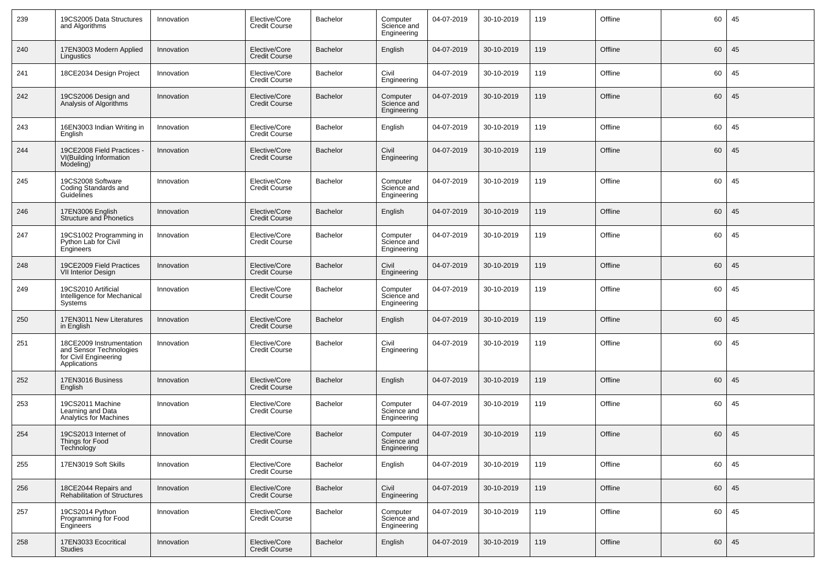| 239 | 19CS2005 Data Structures<br>and Algorithms                                                   | Innovation | Elective/Core<br><b>Credit Course</b> | Bachelor        | Computer<br>Science and<br>Engineering | 04-07-2019 | 30-10-2019 | 119 | Offline | 60 | 45 |
|-----|----------------------------------------------------------------------------------------------|------------|---------------------------------------|-----------------|----------------------------------------|------------|------------|-----|---------|----|----|
| 240 | 17EN3003 Modern Applied<br>Lingustics                                                        | Innovation | Elective/Core<br><b>Credit Course</b> | <b>Bachelor</b> | English                                | 04-07-2019 | 30-10-2019 | 119 | Offline | 60 | 45 |
| 241 | 18CE2034 Design Project                                                                      | Innovation | Elective/Core<br><b>Credit Course</b> | Bachelor        | Civil<br>Engineering                   | 04-07-2019 | 30-10-2019 | 119 | Offline | 60 | 45 |
| 242 | 19CS2006 Design and<br>Analysis of Algorithms                                                | Innovation | Elective/Core<br><b>Credit Course</b> | <b>Bachelor</b> | Computer<br>Science and<br>Engineering | 04-07-2019 | 30-10-2019 | 119 | Offline | 60 | 45 |
| 243 | 16EN3003 Indian Writing in<br>English                                                        | Innovation | Elective/Core<br><b>Credit Course</b> | Bachelor        | English                                | 04-07-2019 | 30-10-2019 | 119 | Offline | 60 | 45 |
| 244 | 19CE2008 Field Practices -<br>VI(Building Information<br>Modeling)                           | Innovation | Elective/Core<br><b>Credit Course</b> | <b>Bachelor</b> | Civil<br>Engineering                   | 04-07-2019 | 30-10-2019 | 119 | Offline | 60 | 45 |
| 245 | 19CS2008 Software<br>Coding Standards and<br>Guidelines                                      | Innovation | Elective/Core<br><b>Credit Course</b> | Bachelor        | Computer<br>Science and<br>Engineering | 04-07-2019 | 30-10-2019 | 119 | Offline | 60 | 45 |
| 246 | 17EN3006 English<br>Structure and Phonetics                                                  | Innovation | Elective/Core<br><b>Credit Course</b> | <b>Bachelor</b> | English                                | 04-07-2019 | 30-10-2019 | 119 | Offline | 60 | 45 |
| 247 | 19CS1002 Programming in<br>Python Lab for Civil<br>Engineers                                 | Innovation | Elective/Core<br><b>Credit Course</b> | Bachelor        | Computer<br>Science and<br>Engineering | 04-07-2019 | 30-10-2019 | 119 | Offline | 60 | 45 |
| 248 | 19CE2009 Field Practices<br><b>VII Interior Design</b>                                       | Innovation | Elective/Core<br><b>Credit Course</b> | <b>Bachelor</b> | Civil<br>Engineering                   | 04-07-2019 | 30-10-2019 | 119 | Offline | 60 | 45 |
| 249 | 19CS2010 Artificial<br>Intelligence for Mechanical<br>Systems                                | Innovation | Elective/Core<br><b>Credit Course</b> | Bachelor        | Computer<br>Science and<br>Engineering | 04-07-2019 | 30-10-2019 | 119 | Offline | 60 | 45 |
| 250 | 17EN3011 New Literatures<br>in English                                                       | Innovation | Elective/Core<br><b>Credit Course</b> | <b>Bachelor</b> | English                                | 04-07-2019 | 30-10-2019 | 119 | Offline | 60 | 45 |
| 251 | 18CE2009 Instrumentation<br>and Sensor Technologies<br>for Civil Engineering<br>Applications | Innovation | Elective/Core<br><b>Credit Course</b> | Bachelor        | Civil<br>Engineering                   | 04-07-2019 | 30-10-2019 | 119 | Offline | 60 | 45 |
| 252 | 17EN3016 Business<br>English                                                                 | Innovation | Elective/Core<br><b>Credit Course</b> | <b>Bachelor</b> | English                                | 04-07-2019 | 30-10-2019 | 119 | Offline | 60 | 45 |
| 253 | 19CS2011 Machine<br>Learning and Data<br>Analytics for Machines                              | Innovation | Elective/Core<br><b>Credit Course</b> | Bachelor        | Computer<br>Science and<br>Engineering | 04-07-2019 | 30-10-2019 | 119 | Offline | 60 | 45 |
| 254 | 19CS2013 Internet of<br>Things for Food<br>Technology                                        | Innovation | Elective/Core<br><b>Credit Course</b> | <b>Bachelor</b> | Computer<br>Science and<br>Engineering | 04-07-2019 | 30-10-2019 | 119 | Offline | 60 | 45 |
| 255 | 17EN3019 Soft Skills                                                                         | Innovation | Elective/Core<br><b>Credit Course</b> | Bachelor        | English                                | 04-07-2019 | 30-10-2019 | 119 | Offline | 60 | 45 |
| 256 | 18CE2044 Repairs and<br><b>Rehabilitation of Structures</b>                                  | Innovation | Elective/Core<br><b>Credit Course</b> | Bachelor        | Civil<br>Engineering                   | 04-07-2019 | 30-10-2019 | 119 | Offline | 60 | 45 |
| 257 | 19CS2014 Python<br>Programming for Food<br>Engineers                                         | Innovation | Elective/Core<br><b>Credit Course</b> | Bachelor        | Computer<br>Science and<br>Engineering | 04-07-2019 | 30-10-2019 | 119 | Offline | 60 | 45 |
| 258 | 17EN3033 Ecocritical<br>Studies                                                              | Innovation | Elective/Core<br><b>Credit Course</b> | Bachelor        | English                                | 04-07-2019 | 30-10-2019 | 119 | Offline | 60 | 45 |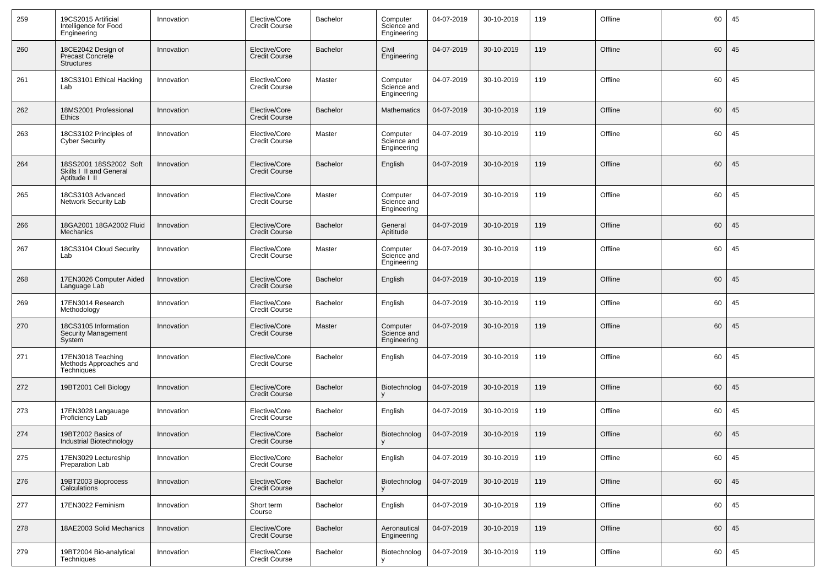| 259 | 19CS2015 Artificial<br>Intelligence for Food<br>Engineering        | Innovation | Elective/Core<br><b>Credit Course</b> | Bachelor        | Computer<br>Science and<br>Engineering | 04-07-2019 | 30-10-2019 | 119 | Offline | 60 | 45 |
|-----|--------------------------------------------------------------------|------------|---------------------------------------|-----------------|----------------------------------------|------------|------------|-----|---------|----|----|
| 260 | 18CE2042 Design of<br>Precast Concrete<br><b>Structures</b>        | Innovation | Elective/Core<br><b>Credit Course</b> | Bachelor        | Civil<br>Engineering                   | 04-07-2019 | 30-10-2019 | 119 | Offline | 60 | 45 |
| 261 | 18CS3101 Ethical Hacking<br>Lab                                    | Innovation | Elective/Core<br><b>Credit Course</b> | Master          | Computer<br>Science and<br>Engineering | 04-07-2019 | 30-10-2019 | 119 | Offline | 60 | 45 |
| 262 | 18MS2001 Professional<br>Ethics                                    | Innovation | Elective/Core<br><b>Credit Course</b> | Bachelor        | Mathematics                            | 04-07-2019 | 30-10-2019 | 119 | Offline | 60 | 45 |
| 263 | 18CS3102 Principles of<br><b>Cyber Security</b>                    | Innovation | Elective/Core<br><b>Credit Course</b> | Master          | Computer<br>Science and<br>Engineering | 04-07-2019 | 30-10-2019 | 119 | Offline | 60 | 45 |
| 264 | 18SS2001 18SS2002 Soft<br>Skills I II and General<br>Aptitude I II | Innovation | Elective/Core<br>Credit Course        | <b>Bachelor</b> | English                                | 04-07-2019 | 30-10-2019 | 119 | Offline | 60 | 45 |
| 265 | 18CS3103 Advanced<br>Network Security Lab                          | Innovation | Elective/Core<br><b>Credit Course</b> | Master          | Computer<br>Science and<br>Engineering | 04-07-2019 | 30-10-2019 | 119 | Offline | 60 | 45 |
| 266 | 18GA2001 18GA2002 Fluid<br><b>Mechanics</b>                        | Innovation | Elective/Core<br><b>Credit Course</b> | Bachelor        | General<br>Apititude                   | 04-07-2019 | 30-10-2019 | 119 | Offline | 60 | 45 |
| 267 | 18CS3104 Cloud Security<br>Lab                                     | Innovation | Elective/Core<br><b>Credit Course</b> | Master          | Computer<br>Science and<br>Engineering | 04-07-2019 | 30-10-2019 | 119 | Offline | 60 | 45 |
| 268 | 17EN3026 Computer Aided<br>Language Lab                            | Innovation | Elective/Core<br><b>Credit Course</b> | Bachelor        | English                                | 04-07-2019 | 30-10-2019 | 119 | Offline | 60 | 45 |
| 269 | 17EN3014 Research<br>Methodology                                   | Innovation | Elective/Core<br><b>Credit Course</b> | Bachelor        | English                                | 04-07-2019 | 30-10-2019 | 119 | Offline | 60 | 45 |
| 270 | 18CS3105 Information<br>Security Management<br>System              | Innovation | Elective/Core<br>Credit Course        | Master          | Computer<br>Science and<br>Engineering | 04-07-2019 | 30-10-2019 | 119 | Offline | 60 | 45 |
| 271 | 17EN3018 Teaching<br>Methods Approaches and<br><b>Techniques</b>   | Innovation | Elective/Core<br><b>Credit Course</b> | Bachelor        | English                                | 04-07-2019 | 30-10-2019 | 119 | Offline | 60 | 45 |
| 272 | 19BT2001 Cell Biology                                              | Innovation | Elective/Core<br><b>Credit Course</b> | Bachelor        | Biotechnolog                           | 04-07-2019 | 30-10-2019 | 119 | Offline | 60 | 45 |
| 273 | 17EN3028 Langauage<br>Proficiency Lab                              | Innovation | Elective/Core<br><b>Credit Course</b> | Bachelor        | English                                | 04-07-2019 | 30-10-2019 | 119 | Offline | 60 | 45 |
| 274 | 19BT2002 Basics of<br>Industrial Biotechnology                     | Innovation | Elective/Core<br><b>Credit Course</b> | Bachelor        | Biotechnolog                           | 04-07-2019 | 30-10-2019 | 119 | Offline | 60 | 45 |
| 275 | 17EN3029 Lectureship<br>Preparation Lab                            | Innovation | Elective/Core<br><b>Credit Course</b> | Bachelor        | English                                | 04-07-2019 | 30-10-2019 | 119 | Offline | 60 | 45 |
| 276 | 19BT2003 Bioprocess<br>Calculations                                | Innovation | Elective/Core<br><b>Credit Course</b> | Bachelor        | Biotechnolog                           | 04-07-2019 | 30-10-2019 | 119 | Offline | 60 | 45 |
| 277 | 17EN3022 Feminism                                                  | Innovation | Short term<br>Course                  | Bachelor        | English                                | 04-07-2019 | 30-10-2019 | 119 | Offline | 60 | 45 |
| 278 | 18AE2003 Solid Mechanics                                           | Innovation | Elective/Core<br><b>Credit Course</b> | Bachelor        | Aeronautical<br>Engineering            | 04-07-2019 | 30-10-2019 | 119 | Offline | 60 | 45 |
| 279 | 19BT2004 Bio-analytical<br>Techniques                              | Innovation | Elective/Core<br><b>Credit Course</b> | Bachelor        | Biotechnolog<br>v                      | 04-07-2019 | 30-10-2019 | 119 | Offline | 60 | 45 |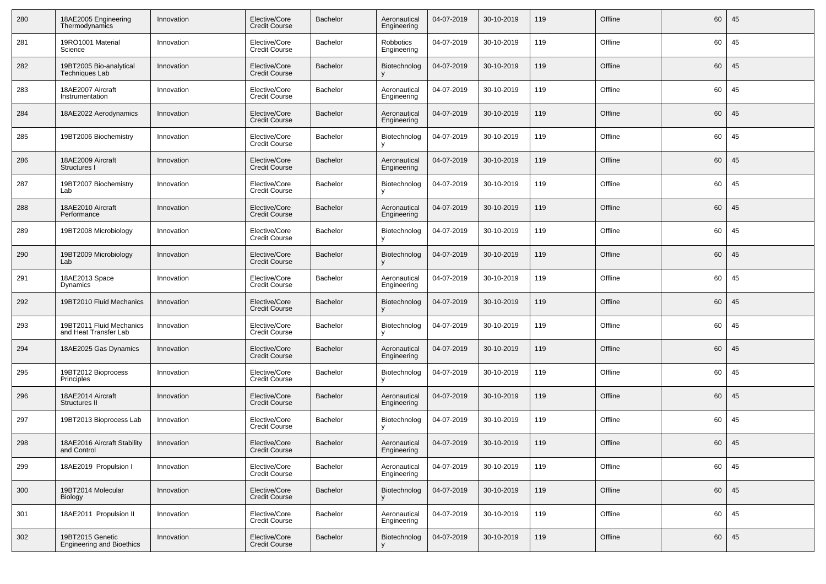| 280 | 18AE2005 Engineering<br>Thermodynamics               | Innovation | Elective/Core<br><b>Credit Course</b> | <b>Bachelor</b> | Aeronautical<br>Engineering | 04-07-2019 | 30-10-2019 | 119 | Offline | 60 | 45 |
|-----|------------------------------------------------------|------------|---------------------------------------|-----------------|-----------------------------|------------|------------|-----|---------|----|----|
| 281 | 19RO1001 Material<br>Science                         | Innovation | Elective/Core<br><b>Credit Course</b> | Bachelor        | Robbotics<br>Engineering    | 04-07-2019 | 30-10-2019 | 119 | Offline | 60 | 45 |
| 282 | 19BT2005 Bio-analytical<br>Techniques Lab            | Innovation | Elective/Core<br><b>Credit Course</b> | Bachelor        | Biotechnolog                | 04-07-2019 | 30-10-2019 | 119 | Offline | 60 | 45 |
| 283 | 18AE2007 Aircraft<br>Instrumentation                 | Innovation | Elective/Core<br><b>Credit Course</b> | Bachelor        | Aeronautical<br>Engineering | 04-07-2019 | 30-10-2019 | 119 | Offline | 60 | 45 |
| 284 | 18AE2022 Aerodynamics                                | Innovation | Elective/Core<br><b>Credit Course</b> | <b>Bachelor</b> | Aeronautical<br>Engineering | 04-07-2019 | 30-10-2019 | 119 | Offline | 60 | 45 |
| 285 | 19BT2006 Biochemistry                                | Innovation | Elective/Core<br><b>Credit Course</b> | Bachelor        | Biotechnolog                | 04-07-2019 | 30-10-2019 | 119 | Offline | 60 | 45 |
| 286 | 18AE2009 Aircraft<br>Structures I                    | Innovation | Elective/Core<br><b>Credit Course</b> | Bachelor        | Aeronautical<br>Engineering | 04-07-2019 | 30-10-2019 | 119 | Offline | 60 | 45 |
| 287 | 19BT2007 Biochemistry<br>Lab                         | Innovation | Elective/Core<br><b>Credit Course</b> | Bachelor        | Biotechnolog                | 04-07-2019 | 30-10-2019 | 119 | Offline | 60 | 45 |
| 288 | 18AE2010 Aircraft<br>Performance                     | Innovation | Elective/Core<br><b>Credit Course</b> | Bachelor        | Aeronautical<br>Engineering | 04-07-2019 | 30-10-2019 | 119 | Offline | 60 | 45 |
| 289 | 19BT2008 Microbiology                                | Innovation | Elective/Core<br><b>Credit Course</b> | Bachelor        | Biotechnolog                | 04-07-2019 | 30-10-2019 | 119 | Offline | 60 | 45 |
| 290 | 19BT2009 Microbiology<br>Lab                         | Innovation | Elective/Core<br><b>Credit Course</b> | <b>Bachelor</b> | Biotechnolog                | 04-07-2019 | 30-10-2019 | 119 | Offline | 60 | 45 |
| 291 | 18AE2013 Space<br>Dynamics                           | Innovation | Elective/Core<br><b>Credit Course</b> | Bachelor        | Aeronautical<br>Engineering | 04-07-2019 | 30-10-2019 | 119 | Offline | 60 | 45 |
| 292 | 19BT2010 Fluid Mechanics                             | Innovation | Elective/Core<br><b>Credit Course</b> | <b>Bachelor</b> | Biotechnolog                | 04-07-2019 | 30-10-2019 | 119 | Offline | 60 | 45 |
| 293 | 19BT2011 Fluid Mechanics<br>and Heat Transfer Lab    | Innovation | Elective/Core<br><b>Credit Course</b> | Bachelor        | Biotechnolog                | 04-07-2019 | 30-10-2019 | 119 | Offline | 60 | 45 |
| 294 | 18AE2025 Gas Dynamics                                | Innovation | Elective/Core<br><b>Credit Course</b> | <b>Bachelor</b> | Aeronautical<br>Engineering | 04-07-2019 | 30-10-2019 | 119 | Offline | 60 | 45 |
| 295 | 19BT2012 Bioprocess<br>Principles                    | Innovation | Elective/Core<br><b>Credit Course</b> | Bachelor        | Biotechnolog                | 04-07-2019 | 30-10-2019 | 119 | Offline | 60 | 45 |
| 296 | 18AE2014 Aircraft<br>Structures II                   | Innovation | Elective/Core<br><b>Credit Course</b> | <b>Bachelor</b> | Aeronautical<br>Engineering | 04-07-2019 | 30-10-2019 | 119 | Offline | 60 | 45 |
| 297 | 19BT2013 Bioprocess Lab                              | Innovation | Elective/Core<br><b>Credit Course</b> | Bachelor        | Biotechnolog                | 04-07-2019 | 30-10-2019 | 119 | Offline | 60 | 45 |
| 298 | 18AE2016 Aircraft Stability<br>and Control           | Innovation | Elective/Core<br><b>Credit Course</b> | <b>Bachelor</b> | Aeronautical<br>Engineering | 04-07-2019 | 30-10-2019 | 119 | Offline | 60 | 45 |
| 299 | 18AE2019 Propulsion I                                | Innovation | Elective/Core<br>Credit Course        | Bachelor        | Aeronautical<br>Engineering | 04-07-2019 | 30-10-2019 | 119 | Offline | 60 | 45 |
| 300 | 19BT2014 Molecular<br>Biology                        | Innovation | Elective/Core<br><b>Credit Course</b> | <b>Bachelor</b> | Biotechnolog<br>v           | 04-07-2019 | 30-10-2019 | 119 | Offline | 60 | 45 |
| 301 | 18AE2011 Propulsion II                               | Innovation | Elective/Core<br><b>Credit Course</b> | Bachelor        | Aeronautical<br>Engineering | 04-07-2019 | 30-10-2019 | 119 | Offline | 60 | 45 |
| 302 | 19BT2015 Genetic<br><b>Engineering and Bioethics</b> | Innovation | Elective/Core<br><b>Credit Course</b> | <b>Bachelor</b> | Biotechnolog<br>V           | 04-07-2019 | 30-10-2019 | 119 | Offline | 60 | 45 |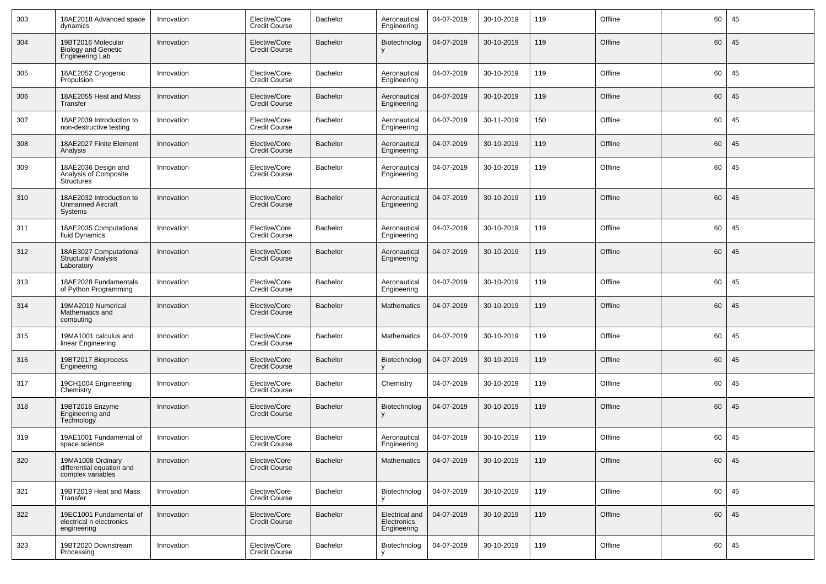| 303 | 18AE2018 Advanced space<br>dynamics                                 | Innovation | Elective/Core<br><b>Credit Course</b> | Bachelor        | Aeronautical<br>Engineering                  | 04-07-2019 | 30-10-2019 | 119 | Offline | 60 | 45 |
|-----|---------------------------------------------------------------------|------------|---------------------------------------|-----------------|----------------------------------------------|------------|------------|-----|---------|----|----|
| 304 | 19BT2016 Molecular<br><b>Biology and Genetic</b><br>Engineering Lab | Innovation | Elective/Core<br><b>Credit Course</b> | <b>Bachelor</b> | Biotechnolog                                 | 04-07-2019 | 30-10-2019 | 119 | Offline | 60 | 45 |
| 305 | 18AE2052 Cryogenic<br>Propulsion                                    | Innovation | Elective/Core<br><b>Credit Course</b> | Bachelor        | Aeronautical<br>Engineering                  | 04-07-2019 | 30-10-2019 | 119 | Offline | 60 | 45 |
| 306 | 18AE2055 Heat and Mass<br>Transfer                                  | Innovation | Elective/Core<br><b>Credit Course</b> | Bachelor        | Aeronautical<br>Engineering                  | 04-07-2019 | 30-10-2019 | 119 | Offline | 60 | 45 |
| 307 | 18AE2039 Introduction to<br>non-destructive testing                 | Innovation | Elective/Core<br><b>Credit Course</b> | Bachelor        | Aeronautical<br>Engineering                  | 04-07-2019 | 30-11-2019 | 150 | Offline | 60 | 45 |
| 308 | 18AE2027 Finite Element<br>Analysis                                 | Innovation | Elective/Core<br><b>Credit Course</b> | Bachelor        | Aeronautical<br>Engineering                  | 04-07-2019 | 30-10-2019 | 119 | Offline | 60 | 45 |
| 309 | 18AE2036 Design and<br>Analysis of Composite<br><b>Structures</b>   | Innovation | Elective/Core<br><b>Credit Course</b> | Bachelor        | Aeronautical<br>Engineering                  | 04-07-2019 | 30-10-2019 | 119 | Offline | 60 | 45 |
| 310 | 18AE2032 Introduction to<br><b>Unmanned Aircraft</b><br>Systems     | Innovation | Elective/Core<br><b>Credit Course</b> | <b>Bachelor</b> | Aeronautical<br>Engineering                  | 04-07-2019 | 30-10-2019 | 119 | Offline | 60 | 45 |
| 311 | 18AE2035 Computational<br>fluid Dynamics                            | Innovation | Elective/Core<br><b>Credit Course</b> | Bachelor        | Aeronautical<br>Engineering                  | 04-07-2019 | 30-10-2019 | 119 | Offline | 60 | 45 |
| 312 | 18AE3027 Computational<br><b>Structural Analysis</b><br>Laboratory  | Innovation | Elective/Core<br><b>Credit Course</b> | <b>Bachelor</b> | Aeronautical<br>Engineering                  | 04-07-2019 | 30-10-2019 | 119 | Offline | 60 | 45 |
| 313 | 18AE2028 Fundamentals<br>of Python Programming                      | Innovation | Elective/Core<br><b>Credit Course</b> | Bachelor        | Aeronautical<br>Engineering                  | 04-07-2019 | 30-10-2019 | 119 | Offline | 60 | 45 |
| 314 | 19MA2010 Numerical<br>Mathematics and<br>computing                  | Innovation | Elective/Core<br><b>Credit Course</b> | Bachelor        | Mathematics                                  | 04-07-2019 | 30-10-2019 | 119 | Offline | 60 | 45 |
| 315 | 19MA1001 calculus and<br>linear Engineering                         | Innovation | Elective/Core<br><b>Credit Course</b> | Bachelor        | <b>Mathematics</b>                           | 04-07-2019 | 30-10-2019 | 119 | Offline | 60 | 45 |
| 316 | 19BT2017 Bioprocess<br>Engineering                                  | Innovation | Elective/Core<br><b>Credit Course</b> | <b>Bachelor</b> | Biotechnolog                                 | 04-07-2019 | 30-10-2019 | 119 | Offline | 60 | 45 |
| 317 | 19CH1004 Engineering<br>Chemistry                                   | Innovation | Elective/Core<br><b>Credit Course</b> | Bachelor        | Chemistry                                    | 04-07-2019 | 30-10-2019 | 119 | Offline | 60 | 45 |
| 318 | 19BT2018 Enzyme<br>Engineering and<br>Technology                    | Innovation | Elective/Core<br><b>Credit Course</b> | <b>Bachelor</b> | Biotechnolog                                 | 04-07-2019 | 30-10-2019 | 119 | Offline | 60 | 45 |
| 319 | 19AE1001 Fundamental of<br>space science                            | Innovation | Elective/Core<br><b>Credit Course</b> | Bachelor        | Aeronautical<br>Engineering                  | 04-07-2019 | 30-10-2019 | 119 | Offline | 60 | 45 |
| 320 | 19MA1008 Ordinary<br>differential equation and<br>complex variables | Innovation | Elective/Core<br><b>Credit Course</b> | Bachelor        | <b>Mathematics</b>                           | 04-07-2019 | 30-10-2019 | 119 | Offline | 60 | 45 |
| 321 | 19BT2019 Heat and Mass<br>Transfer                                  | Innovation | Elective/Core<br><b>Credit Course</b> | Bachelor        | Biotechnolog                                 | 04-07-2019 | 30-10-2019 | 119 | Offline | 60 | 45 |
| 322 | 19EC1001 Fundamental of<br>electrical n electronics<br>engineering  | Innovation | Elective/Core<br><b>Credit Course</b> | Bachelor        | Electrical and<br>Electronics<br>Engineering | 04-07-2019 | 30-10-2019 | 119 | Offline | 60 | 45 |
| 323 | 19BT2020 Downstream<br>Processing                                   | Innovation | Elective/Core<br><b>Credit Course</b> | Bachelor        | Biotechnolog                                 | 04-07-2019 | 30-10-2019 | 119 | Offline | 60 | 45 |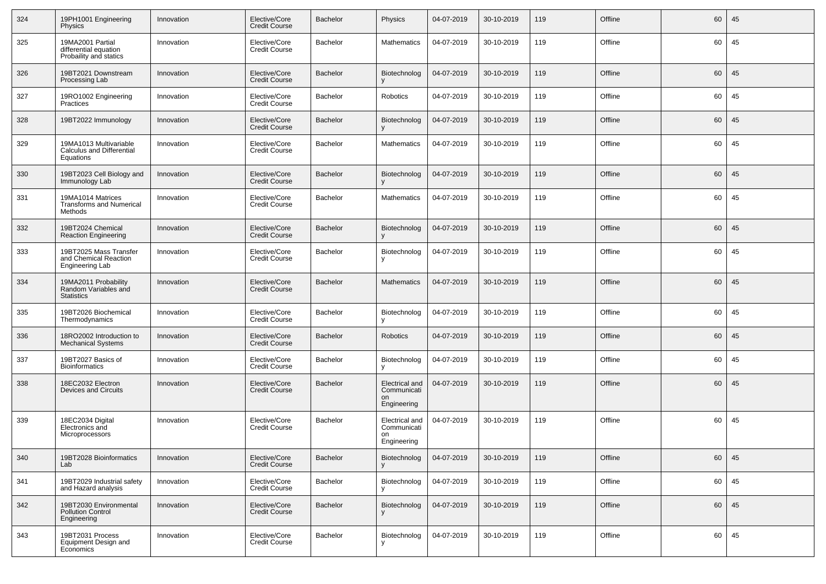| 324 | 19PH1001 Engineering<br>Physics                                     | Innovation | Elective/Core<br><b>Credit Course</b> | Bachelor        | Physics                                            | 04-07-2019 | 30-10-2019 | 119 | Offline | 60 | 45 |
|-----|---------------------------------------------------------------------|------------|---------------------------------------|-----------------|----------------------------------------------------|------------|------------|-----|---------|----|----|
| 325 | 19MA2001 Partial<br>differential equation<br>Probaility and statics | Innovation | Elective/Core<br><b>Credit Course</b> | Bachelor        | <b>Mathematics</b>                                 | 04-07-2019 | 30-10-2019 | 119 | Offline | 60 | 45 |
| 326 | 19BT2021 Downstream<br>Processing Lab                               | Innovation | Elective/Core<br><b>Credit Course</b> | Bachelor        | Biotechnolog                                       | 04-07-2019 | 30-10-2019 | 119 | Offline | 60 | 45 |
| 327 | 19RO1002 Engineering<br>Practices                                   | Innovation | Elective/Core<br><b>Credit Course</b> | Bachelor        | Robotics                                           | 04-07-2019 | 30-10-2019 | 119 | Offline | 60 | 45 |
| 328 | 19BT2022 Immunology                                                 | Innovation | Elective/Core<br><b>Credit Course</b> | Bachelor        | Biotechnolog                                       | 04-07-2019 | 30-10-2019 | 119 | Offline | 60 | 45 |
| 329 | 19MA1013 Multivariable<br>Calculus and Differential<br>Equations    | Innovation | Elective/Core<br><b>Credit Course</b> | Bachelor        | <b>Mathematics</b>                                 | 04-07-2019 | 30-10-2019 | 119 | Offline | 60 | 45 |
| 330 | 19BT2023 Cell Biology and<br>Immunology Lab                         | Innovation | Elective/Core<br><b>Credit Course</b> | <b>Bachelor</b> | Biotechnolog                                       | 04-07-2019 | 30-10-2019 | 119 | Offline | 60 | 45 |
| 331 | 19MA1014 Matrices<br><b>Transforms and Numerical</b><br>Methods     | Innovation | Elective/Core<br><b>Credit Course</b> | Bachelor        | <b>Mathematics</b>                                 | 04-07-2019 | 30-10-2019 | 119 | Offline | 60 | 45 |
| 332 | 19BT2024 Chemical<br><b>Reaction Engineering</b>                    | Innovation | Elective/Core<br><b>Credit Course</b> | <b>Bachelor</b> | Biotechnolog                                       | 04-07-2019 | 30-10-2019 | 119 | Offline | 60 | 45 |
| 333 | 19BT2025 Mass Transfer<br>and Chemical Reaction<br>Engineering Lab  | Innovation | Elective/Core<br><b>Credit Course</b> | Bachelor        | Biotechnolog                                       | 04-07-2019 | 30-10-2019 | 119 | Offline | 60 | 45 |
| 334 | 19MA2011 Probability<br>Random Variables and<br><b>Statistics</b>   | Innovation | Elective/Core<br><b>Credit Course</b> | Bachelor        | <b>Mathematics</b>                                 | 04-07-2019 | 30-10-2019 | 119 | Offline | 60 | 45 |
| 335 | 19BT2026 Biochemical<br>Thermodynamics                              | Innovation | Elective/Core<br><b>Credit Course</b> | Bachelor        | Biotechnolog<br>v                                  | 04-07-2019 | 30-10-2019 | 119 | Offline | 60 | 45 |
| 336 | 18RO2002 Introduction to<br><b>Mechanical Systems</b>               | Innovation | Elective/Core<br><b>Credit Course</b> | Bachelor        | <b>Robotics</b>                                    | 04-07-2019 | 30-10-2019 | 119 | Offline | 60 | 45 |
| 337 | 19BT2027 Basics of<br><b>Bioinformatics</b>                         | Innovation | Elective/Core<br><b>Credit Course</b> | Bachelor        | Biotechnolog<br>V                                  | 04-07-2019 | 30-10-2019 | 119 | Offline | 60 | 45 |
| 338 | 18EC2032 Electron<br><b>Devices and Circuits</b>                    | Innovation | Elective/Core<br><b>Credit Course</b> | Bachelor        | Electrical and<br>Communicati<br>on<br>Engineering | 04-07-2019 | 30-10-2019 | 119 | Offline | 60 | 45 |
| 339 | 18EC2034 Digital<br>Electronics and<br>Microprocessors              | Innovation | Elective/Core<br><b>Credit Course</b> | Bachelor        | Electrical and<br>Communicati<br>on<br>Engineering | 04-07-2019 | 30-10-2019 | 119 | Offline | 60 | 45 |
| 340 | 19BT2028 Bioinformatics<br>Lab                                      | Innovation | Elective/Core<br><b>Credit Course</b> | Bachelor        | Biotechnolog<br>v                                  | 04-07-2019 | 30-10-2019 | 119 | Offline | 60 | 45 |
| 341 | 19BT2029 Industrial safety<br>and Hazard analysis                   | Innovation | Elective/Core<br><b>Credit Course</b> | Bachelor        | Biotechnolog<br>v                                  | 04-07-2019 | 30-10-2019 | 119 | Offline | 60 | 45 |
| 342 | 19BT2030 Environmental<br><b>Pollution Control</b><br>Engineering   | Innovation | Elective/Core<br><b>Credit Course</b> | <b>Bachelor</b> | Biotechnolog                                       | 04-07-2019 | 30-10-2019 | 119 | Offline | 60 | 45 |
| 343 | 19BT2031 Process<br>Equipment Design and<br>Economics               | Innovation | Elective/Core<br><b>Credit Course</b> | Bachelor        | Biotechnolog                                       | 04-07-2019 | 30-10-2019 | 119 | Offline | 60 | 45 |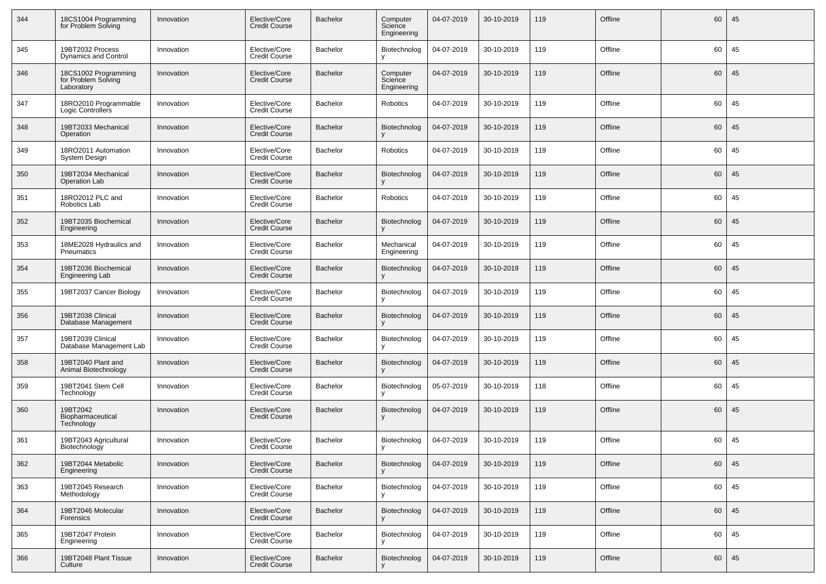| 344 | 18CS1004 Programming<br>for Problem Solving               | Innovation | Elective/Core<br><b>Credit Course</b> | Bachelor        | Computer<br>Science<br>Engineering | 04-07-2019 | 30-10-2019 | 119 | Offline | 60 | 45 |
|-----|-----------------------------------------------------------|------------|---------------------------------------|-----------------|------------------------------------|------------|------------|-----|---------|----|----|
| 345 | 19BT2032 Process<br>Dynamics and Control                  | Innovation | Elective/Core<br><b>Credit Course</b> | Bachelor        | Biotechnolog                       | 04-07-2019 | 30-10-2019 | 119 | Offline | 60 | 45 |
| 346 | 18CS1002 Programming<br>for Problem Solving<br>Laboratory | Innovation | Elective/Core<br><b>Credit Course</b> | <b>Bachelor</b> | Computer<br>Science<br>Engineering | 04-07-2019 | 30-10-2019 | 119 | Offline | 60 | 45 |
| 347 | 18RO2010 Programmable<br>Logic Controllers                | Innovation | Elective/Core<br><b>Credit Course</b> | Bachelor        | Robotics                           | 04-07-2019 | 30-10-2019 | 119 | Offline | 60 | 45 |
| 348 | 19BT2033 Mechanical<br>Operation                          | Innovation | Elective/Core<br><b>Credit Course</b> | <b>Bachelor</b> | Biotechnolog                       | 04-07-2019 | 30-10-2019 | 119 | Offline | 60 | 45 |
| 349 | 18RO2011 Automation<br><b>System Design</b>               | Innovation | Elective/Core<br><b>Credit Course</b> | Bachelor        | Robotics                           | 04-07-2019 | 30-10-2019 | 119 | Offline | 60 | 45 |
| 350 | 19BT2034 Mechanical<br><b>Operation Lab</b>               | Innovation | Elective/Core<br><b>Credit Course</b> | <b>Bachelor</b> | Biotechnolog                       | 04-07-2019 | 30-10-2019 | 119 | Offline | 60 | 45 |
| 351 | 18RO2012 PLC and<br>Robotics Lab                          | Innovation | Elective/Core<br><b>Credit Course</b> | Bachelor        | Robotics                           | 04-07-2019 | 30-10-2019 | 119 | Offline | 60 | 45 |
| 352 | 19BT2035 Biochemical<br>Engineering                       | Innovation | Elective/Core<br><b>Credit Course</b> | <b>Bachelor</b> | Biotechnolog                       | 04-07-2019 | 30-10-2019 | 119 | Offline | 60 | 45 |
| 353 | 18ME2028 Hydraulics and<br>Pneumatics                     | Innovation | Elective/Core<br><b>Credit Course</b> | Bachelor        | Mechanical<br>Engineering          | 04-07-2019 | 30-10-2019 | 119 | Offline | 60 | 45 |
| 354 | 19BT2036 Biochemical<br>Engineering Lab                   | Innovation | Elective/Core<br><b>Credit Course</b> | <b>Bachelor</b> | Biotechnolog                       | 04-07-2019 | 30-10-2019 | 119 | Offline | 60 | 45 |
| 355 | 19BT2037 Cancer Biology                                   | Innovation | Elective/Core<br><b>Credit Course</b> | Bachelor        | Biotechnolog                       | 04-07-2019 | 30-10-2019 | 119 | Offline | 60 | 45 |
| 356 | 19BT2038 Clinical<br>Database Management                  | Innovation | Elective/Core<br><b>Credit Course</b> | <b>Bachelor</b> | Biotechnolog                       | 04-07-2019 | 30-10-2019 | 119 | Offline | 60 | 45 |
| 357 | 19BT2039 Clinical<br>Database Management Lab              | Innovation | Elective/Core<br><b>Credit Course</b> | Bachelor        | Biotechnolog                       | 04-07-2019 | 30-10-2019 | 119 | Offline | 60 | 45 |
| 358 | 19BT2040 Plant and<br>Animal Biotechnology                | Innovation | Elective/Core<br><b>Credit Course</b> | <b>Bachelor</b> | Biotechnolog                       | 04-07-2019 | 30-10-2019 | 119 | Offline | 60 | 45 |
| 359 | 19BT2041 Stem Cell<br>Technology                          | Innovation | Elective/Core<br><b>Credit Course</b> | Bachelor        | Biotechnolog                       | 05-07-2019 | 30-10-2019 | 118 | Offline | 60 | 45 |
| 360 | 19BT2042<br>Biopharmaceutical<br>Technology               | Innovation | Elective/Core<br><b>Credit Course</b> | <b>Bachelor</b> | Biotechnolog                       | 04-07-2019 | 30-10-2019 | 119 | Offline | 60 | 45 |
| 361 | 19BT2043 Agricultural<br>Biotechnology                    | Innovation | Elective/Core<br><b>Credit Course</b> | Bachelor        | Biotechnolog                       | 04-07-2019 | 30-10-2019 | 119 | Offline | 60 | 45 |
| 362 | 19BT2044 Metabolic<br>Engineering                         | Innovation | Elective/Core<br><b>Credit Course</b> | Bachelor        | Biotechnolog                       | 04-07-2019 | 30-10-2019 | 119 | Offline | 60 | 45 |
| 363 | 19BT2045 Research<br>Methodology                          | Innovation | Elective/Core<br><b>Credit Course</b> | Bachelor        | Biotechnolog                       | 04-07-2019 | 30-10-2019 | 119 | Offline | 60 | 45 |
| 364 | 19BT2046 Molecular<br>Forensics                           | Innovation | Elective/Core<br><b>Credit Course</b> | Bachelor        | Biotechnolog                       | 04-07-2019 | 30-10-2019 | 119 | Offline | 60 | 45 |
| 365 | 19BT2047 Protein<br>Engineering                           | Innovation | Elective/Core<br><b>Credit Course</b> | Bachelor        | Biotechnolog                       | 04-07-2019 | 30-10-2019 | 119 | Offline | 60 | 45 |
| 366 | 19BT2048 Plant Tissue<br>Culture                          | Innovation | Elective/Core<br><b>Credit Course</b> | Bachelor        | Biotechnolog                       | 04-07-2019 | 30-10-2019 | 119 | Offline | 60 | 45 |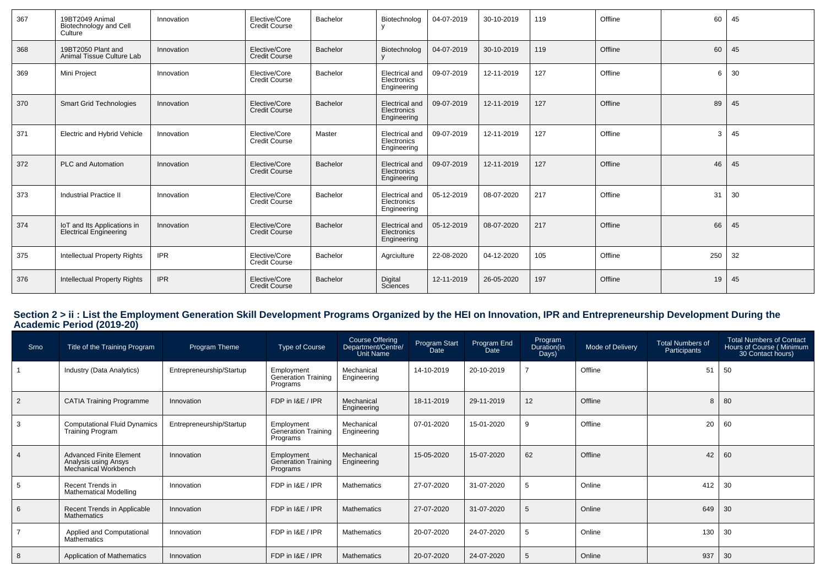| 367 | 19BT2049 Animal<br>Biotechnology and Cell<br>Culture  | Innovation | Elective/Core<br><b>Credit Course</b> | Bachelor | Biotechnolog                                        | 04-07-2019 | 30-10-2019 | 119 | Offline | 60  | 45 |
|-----|-------------------------------------------------------|------------|---------------------------------------|----------|-----------------------------------------------------|------------|------------|-----|---------|-----|----|
| 368 | 19BT2050 Plant and<br>Animal Tissue Culture Lab       | Innovation | Elective/Core<br><b>Credit Course</b> | Bachelor | Biotechnolog                                        | 04-07-2019 | 30-10-2019 | 119 | Offline | 60  | 45 |
| 369 | Mini Project                                          | Innovation | Elective/Core<br><b>Credit Course</b> | Bachelor | Electrical and<br>Electronics<br>Engineering        | 09-07-2019 | 12-11-2019 | 127 | Offline | 6   | 30 |
| 370 | <b>Smart Grid Technologies</b>                        | Innovation | Elective/Core<br><b>Credit Course</b> | Bachelor | <b>Electrical and</b><br>Electronics<br>Engineering | 09-07-2019 | 12-11-2019 | 127 | Offline | 89  | 45 |
| 371 | Electric and Hybrid Vehicle                           | Innovation | Elective/Core<br><b>Credit Course</b> | Master   | Electrical and<br>Electronics<br>Engineering        | 09-07-2019 | 12-11-2019 | 127 | Offline | 3   | 45 |
| 372 | PLC and Automation                                    | Innovation | Elective/Core<br><b>Credit Course</b> | Bachelor | <b>Electrical and</b><br>Electronics<br>Engineering | 09-07-2019 | 12-11-2019 | 127 | Offline | 46  | 45 |
| 373 | Industrial Practice II                                | Innovation | Elective/Core<br><b>Credit Course</b> | Bachelor | Electrical and<br>Electronics<br>Engineering        | 05-12-2019 | 08-07-2020 | 217 | Offline | 31  | 30 |
| 374 | IoT and Its Applications in<br>Electrical Engineering | Innovation | Elective/Core<br><b>Credit Course</b> | Bachelor | Electrical and<br>Electronics<br>Engineering        | 05-12-2019 | 08-07-2020 | 217 | Offline | 66  | 45 |
| 375 | <b>Intellectual Property Rights</b>                   | <b>IPR</b> | Elective/Core<br><b>Credit Course</b> | Bachelor | Agrciulture                                         | 22-08-2020 | 04-12-2020 | 105 | Offline | 250 | 32 |
| 376 | <b>Intellectual Property Rights</b>                   | <b>IPR</b> | Elective/Core<br><b>Credit Course</b> | Bachelor | Digital<br>Sciences                                 | 12-11-2019 | 26-05-2020 | 197 | Offline | 19  | 45 |

## **Section 2 > ii : List the Employment Generation Skill Development Programs Organized by the HEI on Innovation, IPR and Entrepreneurship Development During the Academic Period (2019-20)**

| Srno | Title of the Training Program                                                  | Program Theme            | Type of Course                                       | Course Offering<br>/Department/Centre<br>Unit Name | Program Start<br>Date | Program End<br>Date | Program<br>Duration(in<br>Days) | Mode of Delivery | <b>Total Numbers of</b><br>Participants | <b>Total Numbers of Contact</b><br>Hours of Course (Minimum<br>30 Contact hours) |
|------|--------------------------------------------------------------------------------|--------------------------|------------------------------------------------------|----------------------------------------------------|-----------------------|---------------------|---------------------------------|------------------|-----------------------------------------|----------------------------------------------------------------------------------|
|      | Industry (Data Analytics)                                                      | Entrepreneurship/Startup | Employment<br>Generation Training<br>Programs        | Mechanical<br>Engineering                          | 14-10-2019            | 20-10-2019          |                                 | Offline          | 51                                      | 50                                                                               |
| 2    | <b>CATIA Training Programme</b>                                                | Innovation               | FDP in I&E / IPR                                     | Mechanical<br>Engineering                          | 18-11-2019            | 29-11-2019          | 12                              | Offline          | 8                                       | 80                                                                               |
| 3    | <b>Computational Fluid Dynamics</b><br><b>Training Program</b>                 | Entrepreneurship/Startup | Employment<br>Generation Training<br>Programs        | Mechanical<br>Engineering                          | 07-01-2020            | 15-01-2020          | 9                               | Offline          | 20                                      | 60                                                                               |
| 4    | <b>Advanced Finite Element</b><br>Analysis using Ansys<br>Mechanical Workbench | Innovation               | Employment<br><b>Generation Training</b><br>Programs | Mechanical<br>Engineering                          | 15-05-2020            | 15-07-2020          | 62                              | Offline          | 42                                      | 60                                                                               |
| 5    | Recent Trends in<br><b>Mathematical Modelling</b>                              | Innovation               | FDP in I&E / IPR                                     | Mathematics                                        | 27-07-2020            | 31-07-2020          | -5                              | Online           | 412                                     | 30                                                                               |
| 6    | Recent Trends in Applicable<br><b>Mathematics</b>                              | Innovation               | FDP in I&E / IPR                                     | <b>Mathematics</b>                                 | 27-07-2020            | 31-07-2020          | 5                               | Online           | 649                                     | 30                                                                               |
|      | Applied and Computational<br>Mathematics                                       | Innovation               | FDP in I&E / IPR                                     | <b>Mathematics</b>                                 | 20-07-2020            | 24-07-2020          | -5                              | Online           | 130                                     | 30                                                                               |
| 8    | Application of Mathematics                                                     | Innovation               | FDP in I&E / IPR                                     | <b>Mathematics</b>                                 | 20-07-2020            | 24-07-2020          | 5                               | Online           | 937                                     | 30                                                                               |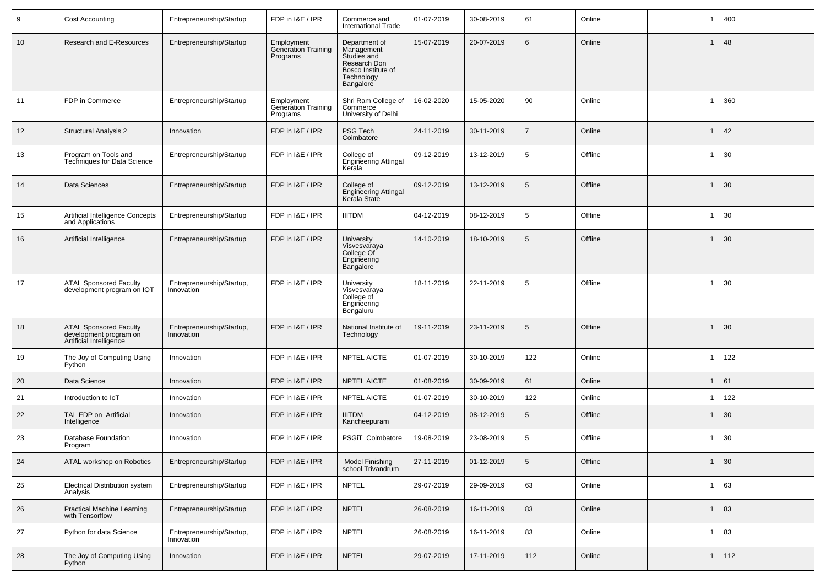| 9               | <b>Cost Accounting</b>                                                             | Entrepreneurship/Startup                | FDP in I&E / IPR                                     | Commerce and<br><b>International Trade</b>                                                                  | 01-07-2019 | 30-08-2019 | 61              | Online  | -1             | 400 |
|-----------------|------------------------------------------------------------------------------------|-----------------------------------------|------------------------------------------------------|-------------------------------------------------------------------------------------------------------------|------------|------------|-----------------|---------|----------------|-----|
| 10 <sup>°</sup> | Research and E-Resources                                                           | Entrepreneurship/Startup                | Employment<br>Generation Training<br>Programs        | Department of<br>Management<br>Studies and<br>Research Don<br>Bosco Institute of<br>Technology<br>Bangalore | 15-07-2019 | 20-07-2019 | 6               | Online  |                | 48  |
| 11              | FDP in Commerce                                                                    | Entrepreneurship/Startup                | Employment<br><b>Generation Training</b><br>Programs | Shri Ram College of<br>Commerce<br>University of Delhi                                                      | 16-02-2020 | 15-05-2020 | 90              | Online  | -1             | 360 |
| 12              | <b>Structural Analysis 2</b>                                                       | Innovation                              | FDP in I&E / IPR                                     | PSG Tech<br>Coimbatore                                                                                      | 24-11-2019 | 30-11-2019 |                 | Online  |                | 42  |
| 13              | Program on Tools and<br><b>Techniques for Data Science</b>                         | Entrepreneurship/Startup                | FDP in I&E / IPR                                     | College of<br><b>Engineering Attingal</b><br>Kerala                                                         | 09-12-2019 | 13-12-2019 | 5               | Offline |                | 30  |
| 14              | Data Sciences                                                                      | Entrepreneurship/Startup                | FDP in I&E / IPR                                     | College of<br><b>Engineering Attingal</b><br>Kerala State                                                   | 09-12-2019 | 13-12-2019 | 5               | Offline | -1             | 30  |
| 15              | Artificial Intelligence Concepts<br>and Applications                               | Entrepreneurship/Startup                | FDP in I&E / IPR                                     | <b>IIITDM</b>                                                                                               | 04-12-2019 | 08-12-2019 | 5               | Offline | -1             | 30  |
| 16              | Artificial Intelligence                                                            | Entrepreneurship/Startup                | FDP in I&E / IPR                                     | University<br>Visvesvaraya<br>College Of<br>Engineering<br>Bangalore                                        | 14-10-2019 | 18-10-2019 | 5               | Offline | $\overline{1}$ | 30  |
| 17              | <b>ATAL Sponsored Faculty</b><br>development program on IOT                        | Entrepreneurship/Startup,<br>Innovation | FDP in I&E / IPR                                     | University<br>Visvesvaraya<br>College of<br>Engineering<br>Bengaluru                                        | 18-11-2019 | 22-11-2019 | 5               | Offline | -1             | 30  |
| 18              | <b>ATAL Sponsored Faculty</b><br>development program on<br>Artificial Intelligence | Entrepreneurship/Startup,<br>Innovation | FDP in I&E / IPR                                     | National Institute of<br>Technology                                                                         | 19-11-2019 | 23-11-2019 | 5               | Offline | $\mathbf{1}$   | 30  |
| 19              | The Joy of Computing Using<br>Python                                               | Innovation                              | FDP in I&E / IPR                                     | <b>NPTEL AICTE</b>                                                                                          | 01-07-2019 | 30-10-2019 | 122             | Online  | -1             | 122 |
| 20              | Data Science                                                                       | Innovation                              | FDP in I&E / IPR                                     | <b>NPTEL AICTE</b>                                                                                          | 01-08-2019 | 30-09-2019 | 61              | Online  | -1             | 61  |
| 21              | Introduction to IoT                                                                | Innovation                              | FDP in I&E / IPR                                     | NPTEL AICTE                                                                                                 | 01-07-2019 | 30-10-2019 | 122             | Online  |                | 122 |
| 22              | TAL FDP on Artificial<br>Intelligence                                              | Innovation                              | FDP in I&E / IPR                                     | <b>IIITDM</b><br>Kancheepuram                                                                               | 04-12-2019 | 08-12-2019 | 5               | Offline | -1             | 30  |
| 23              | Database Foundation<br>Program                                                     | Innovation                              | FDP in I&E / IPR                                     | PSGiT Coimbatore                                                                                            | 19-08-2019 | 23-08-2019 | 5               | Offline | -1             | 30  |
| 24              | ATAL workshop on Robotics                                                          | Entrepreneurship/Startup                | FDP in I&E / IPR                                     | <b>Model Finishing</b><br>school Trivandrum                                                                 | 27-11-2019 | 01-12-2019 | $5\phantom{.0}$ | Offline | -1             | 30  |
| 25              | <b>Electrical Distribution system</b><br>Analysis                                  | Entrepreneurship/Startup                | FDP in I&E / IPR                                     | <b>NPTEL</b>                                                                                                | 29-07-2019 | 29-09-2019 | 63              | Online  | -1             | 63  |
| 26              | <b>Practical Machine Learning</b><br>with Tensorflow                               | Entrepreneurship/Startup                | FDP in I&E / IPR                                     | <b>NPTEL</b>                                                                                                | 26-08-2019 | 16-11-2019 | 83              | Online  | $\mathbf 1$    | 83  |
| 27              | Python for data Science                                                            | Entrepreneurship/Startup,<br>Innovation | FDP in I&E / IPR                                     | <b>NPTEL</b>                                                                                                | 26-08-2019 | 16-11-2019 | 83              | Online  | -1             | 83  |
| 28              | The Joy of Computing Using<br>Python                                               | Innovation                              | FDP in I&E / IPR                                     | <b>NPTEL</b>                                                                                                | 29-07-2019 | 17-11-2019 | 112             | Online  | $\mathbf 1$    | 112 |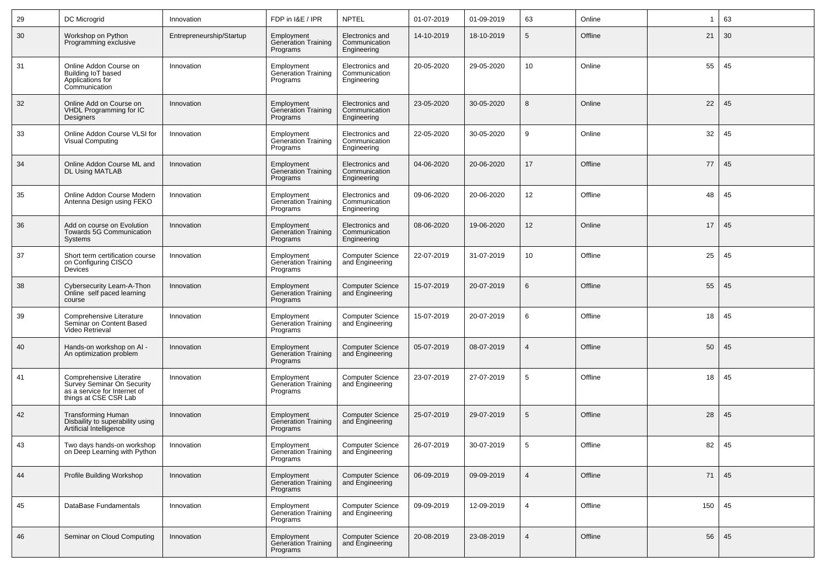| 29 | DC Microgrid                                                                                                    | Innovation               | FDP in I&E / IPR                                     | <b>NPTEL</b>                                    | 01-07-2019 | 01-09-2019 | 63             | Online  | 1   | 63 |
|----|-----------------------------------------------------------------------------------------------------------------|--------------------------|------------------------------------------------------|-------------------------------------------------|------------|------------|----------------|---------|-----|----|
| 30 | Workshop on Python<br>Programming exclusive                                                                     | Entrepreneurship/Startup | Employment<br><b>Generation Training</b><br>Programs | Electronics and<br>Communication<br>Engineering | 14-10-2019 | 18-10-2019 | 5              | Offline | 21  | 30 |
| 31 | Online Addon Course on<br>Building IoT based<br>Applications for<br>Communication                               | Innovation               | Employment<br>Generation Training<br>Programs        | Electronics and<br>Communication<br>Engineering | 20-05-2020 | 29-05-2020 | 10             | Online  | 55  | 45 |
| 32 | Online Add on Course on<br><b>VHDL Programming for IC</b><br>Designers                                          | Innovation               | Employment<br><b>Generation Training</b><br>Programs | Electronics and<br>Communication<br>Engineering | 23-05-2020 | 30-05-2020 | 8              | Online  | 22  | 45 |
| 33 | Online Addon Course VLSI for<br><b>Visual Computing</b>                                                         | Innovation               | Employment<br>Generation Training<br>Programs        | Electronics and<br>Communication<br>Engineering | 22-05-2020 | 30-05-2020 | 9              | Online  | 32  | 45 |
| 34 | Online Addon Course ML and<br>DL Using MATLAB                                                                   | Innovation               | Employment<br><b>Generation Training</b><br>Programs | Electronics and<br>Communication<br>Engineering | 04-06-2020 | 20-06-2020 | 17             | Offline | 77  | 45 |
| 35 | Online Addon Course Modern<br>Antenna Design using FEKO                                                         | Innovation               | Employment<br>Generation Training<br>Programs        | Electronics and<br>Communication<br>Engineering | 09-06-2020 | 20-06-2020 | 12             | Offline | 48  | 45 |
| 36 | Add on course on Evolution<br>Towards 5G Communication<br>Systems                                               | Innovation               | Employment<br>Generation Training<br>Programs        | Electronics and<br>Communication<br>Engineering | 08-06-2020 | 19-06-2020 | 12             | Online  | 17  | 45 |
| 37 | Short term certification course<br>on Configuring CISCO<br>Devices                                              | Innovation               | Employment<br>Generation Training<br>Programs        | <b>Computer Science</b><br>and Engineering      | 22-07-2019 | 31-07-2019 | 10             | Offline | 25  | 45 |
| 38 | Cybersecurity Learn-A-Thon<br>Online self paced learning<br>course                                              | Innovation               | Employment<br><b>Generation Training</b><br>Programs | <b>Computer Science</b><br>and Engineering      | 15-07-2019 | 20-07-2019 | 6              | Offline | 55  | 45 |
| 39 | Comprehensive Literature<br>Seminar on Content Based<br>Video Retrieval                                         | Innovation               | Employment<br>Generation Training<br>Programs        | <b>Computer Science</b><br>and Engineering      | 15-07-2019 | 20-07-2019 | 6              | Offline | 18  | 45 |
| 40 | Hands-on workshop on AI -<br>An optimization problem                                                            | Innovation               | Employment<br>Generation Training<br>Programs        | <b>Computer Science</b><br>and Engineering      | 05-07-2019 | 08-07-2019 | $\overline{4}$ | Offline | 50  | 45 |
| 41 | Comprehensive Literatire<br>Survey Seminar On Security<br>as a service for Internet of<br>things at CSE CSR Lab | Innovation               | Employment<br>Generation Training<br>Programs        | <b>Computer Science</b><br>and Engineering      | 23-07-2019 | 27-07-2019 | 5              | Offline | 18  | 45 |
| 42 | <b>Transforming Human</b><br>Disbaility to superability using<br>Artificial Intelligence                        | Innovation               | Employment<br>Generation Training<br>Programs        | <b>Computer Science</b><br>and Engineering      | 25-07-2019 | 29-07-2019 | 5              | Offline | 28  | 45 |
| 43 | Two days hands-on workshop<br>on Deep Learning with Python                                                      | Innovation               | Employment<br>Generation Training<br>Programs        | <b>Computer Science</b><br>and Engineering      | 26-07-2019 | 30-07-2019 | 5              | Offline | 82  | 45 |
| 44 | Profile Building Workshop                                                                                       | Innovation               | Employment<br><b>Generation Training</b><br>Programs | <b>Computer Science</b><br>and Engineering      | 06-09-2019 | 09-09-2019 | $\overline{4}$ | Offline | 71  | 45 |
| 45 | DataBase Fundamentals                                                                                           | Innovation               | Employment<br>Generation Training<br>Programs        | <b>Computer Science</b><br>and Engineering      | 09-09-2019 | 12-09-2019 | $\overline{4}$ | Offline | 150 | 45 |
| 46 | Seminar on Cloud Computing                                                                                      | Innovation               | Employment<br>Generation Training<br>Programs        | <b>Computer Science</b><br>and Engineering      | 20-08-2019 | 23-08-2019 | $\overline{4}$ | Offline | 56  | 45 |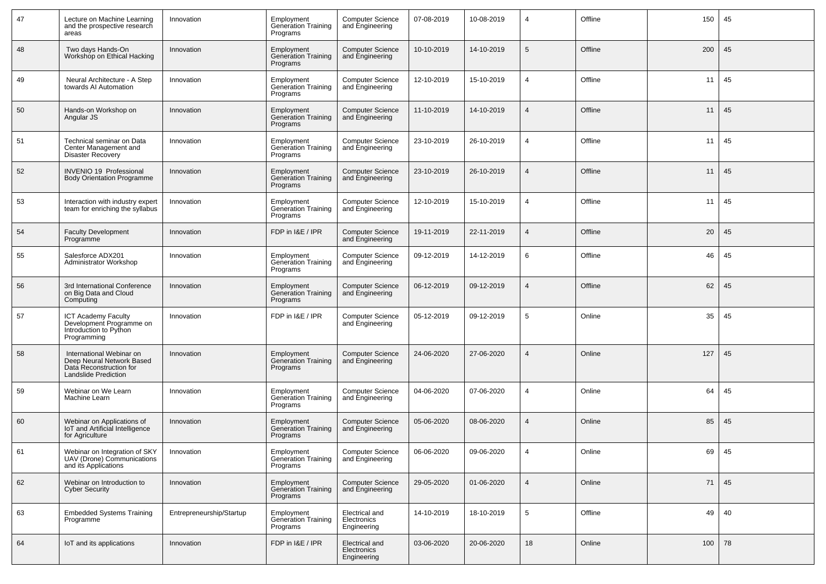| 47 | Lecture on Machine Learning<br>and the prospective research<br>areas                                            | Innovation               | Employment<br>Generation Training<br>Programs        | <b>Computer Science</b><br>and Engineering   | 07-08-2019 | 10-08-2019 | 4              | Offline | 150 | 45    |
|----|-----------------------------------------------------------------------------------------------------------------|--------------------------|------------------------------------------------------|----------------------------------------------|------------|------------|----------------|---------|-----|-------|
| 48 | Two days Hands-On<br>Workshop on Ethical Hacking                                                                | Innovation               | Employment<br><b>Generation Training</b><br>Programs | <b>Computer Science</b><br>and Engineering   | 10-10-2019 | 14-10-2019 | 5              | Offline | 200 | 45    |
| 49 | Neural Architecture - A Step<br>towards AI Automation                                                           | Innovation               | Employment<br>Generation Training<br>Programs        | <b>Computer Science</b><br>and Engineering   | 12-10-2019 | 15-10-2019 | $\overline{4}$ | Offline | 11  | 45    |
| 50 | Hands-on Workshop on<br>Angular JS                                                                              | Innovation               | Employment<br>Generation Training<br>Programs        | <b>Computer Science</b><br>and Engineering   | 11-10-2019 | 14-10-2019 | $\overline{4}$ | Offline | 11  | 45    |
| 51 | Technical seminar on Data<br>Center Management and<br><b>Disaster Recovery</b>                                  | Innovation               | Employment<br>Generation Training<br>Programs        | <b>Computer Science</b><br>and Engineering   | 23-10-2019 | 26-10-2019 | $\overline{4}$ | Offline | 11  | 45    |
| 52 | <b>INVENIO 19 Professional</b><br><b>Body Orientation Programme</b>                                             | Innovation               | Employment<br><b>Generation Training</b><br>Programs | <b>Computer Science</b><br>and Engineering   | 23-10-2019 | 26-10-2019 |                | Offline | 11  | 45    |
| 53 | Interaction with industry expert<br>team for enriching the syllabus                                             | Innovation               | Employment<br>Generation Training<br>Programs        | <b>Computer Science</b><br>and Engineering   | 12-10-2019 | 15-10-2019 | 4              | Offline | 11  | 45    |
| 54 | <b>Faculty Development</b><br>Programme                                                                         | Innovation               | FDP in I&E / IPR                                     | <b>Computer Science</b><br>and Engineering   | 19-11-2019 | 22-11-2019 | $\overline{4}$ | Offline | 20  | 45    |
| 55 | Salesforce ADX201<br>Administrator Workshop                                                                     | Innovation               | Employment<br><b>Generation Training</b><br>Programs | <b>Computer Science</b><br>and Engineering   | 09-12-2019 | 14-12-2019 | 6              | Offline | 46  | 45    |
| 56 | 3rd International Conference<br>on Big Data and Cloud<br>Computing                                              | Innovation               | Employment<br>Generation Training<br>Programs        | <b>Computer Science</b><br>and Engineering   | 06-12-2019 | 09-12-2019 | $\overline{4}$ | Offline | 62  | 45    |
| 57 | <b>ICT Academy Faculty</b><br>Development Programme on<br>Introduction to Python<br>Programming                 | Innovation               | FDP in I&E / IPR                                     | <b>Computer Science</b><br>and Engineering   | 05-12-2019 | 09-12-2019 | 5              | Online  | 35  | 45    |
| 58 | International Webinar on<br>Deep Neural Network Based<br>Data Reconstruction for<br><b>Landslide Prediction</b> | Innovation               | Employment<br>Generation Training<br>Programs        | <b>Computer Science</b><br>and Engineering   | 24-06-2020 | 27-06-2020 |                | Online  | 127 | 45    |
| 59 | Webinar on We Learn<br>Machine Learn                                                                            | Innovation               | Employment<br>Generation Training<br>Programs        | <b>Computer Science</b><br>and Engineering   | 04-06-2020 | 07-06-2020 | $\overline{4}$ | Online  | 64  | 45    |
| 60 | Webinar on Applications of<br>IoT and Artificial Intelligence<br>for Agriculture                                | Innovation               | Employment<br>Generation Training<br>Programs        | <b>Computer Science</b><br>and Engineering   | 05-06-2020 | 08-06-2020 |                | Online  | 85  | 45    |
| 61 | Webinar on Integration of SKY<br>UAV (Drone) Communications<br>and its Applications                             | Innovation               | Employment<br>Generation Training<br>Programs        | Computer Science<br>and Engineering          | 06-06-2020 | 09-06-2020 |                | Online  |     | 69 45 |
| 62 | Webinar on Introduction to<br><b>Cyber Security</b>                                                             | Innovation               | <b>Employment</b><br>Generation Training<br>Programs | <b>Computer Science</b><br>and Engineering   | 29-05-2020 | 01-06-2020 | $\overline{4}$ | Online  | 71  | 45    |
| 63 | <b>Embedded Systems Training</b><br>Programme                                                                   | Entrepreneurship/Startup | Employment<br>Generation Training<br>Programs        | Electrical and<br>Electronics<br>Engineering | 14-10-2019 | 18-10-2019 | 5              | Offline | 49  | 40    |
| 64 | IoT and its applications                                                                                        | Innovation               | FDP in I&E / IPR                                     | Electrical and<br>Electronics<br>Engineering | 03-06-2020 | 20-06-2020 | 18             | Online  | 100 | 78    |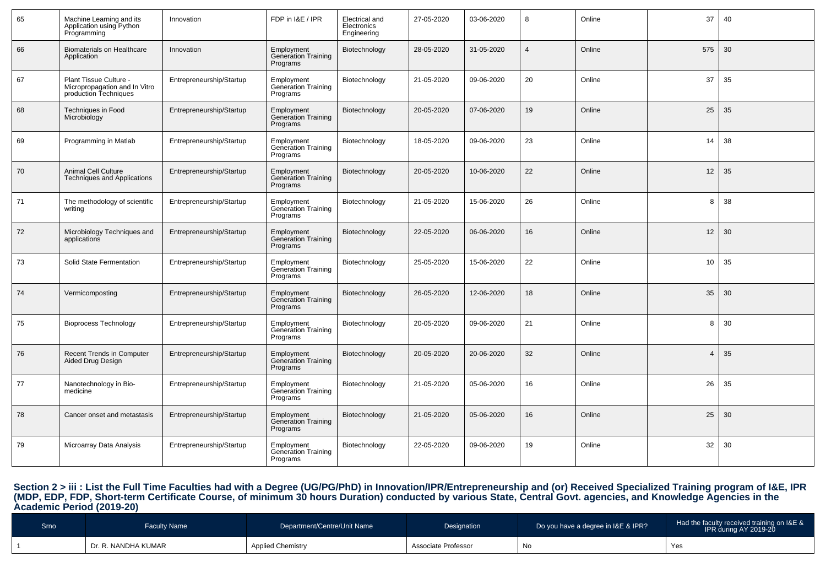| 65 | Machine Learning and its<br>Application using Python<br>Programming              | Innovation               | FDP in I&E / IPR                                     | Electrical and<br>Electronics<br>Engineering | 27-05-2020 | 03-06-2020 | 8              | Online | 37             | 40 |
|----|----------------------------------------------------------------------------------|--------------------------|------------------------------------------------------|----------------------------------------------|------------|------------|----------------|--------|----------------|----|
| 66 | <b>Biomaterials on Healthcare</b><br>Application                                 | Innovation               | Employment<br><b>Generation Training</b><br>Programs | Biotechnology                                | 28-05-2020 | 31-05-2020 | $\overline{4}$ | Online | 575            | 30 |
| 67 | Plant Tissue Culture -<br>Micropropagation and In Vitro<br>production Techniques | Entrepreneurship/Startup | Employment<br><b>Generation Training</b><br>Programs | Biotechnology                                | 21-05-2020 | 09-06-2020 | 20             | Online | 37             | 35 |
| 68 | <b>Techniques in Food</b><br>Microbiology                                        | Entrepreneurship/Startup | Employment<br><b>Generation Training</b><br>Programs | Biotechnology                                | 20-05-2020 | 07-06-2020 | 19             | Online | 25             | 35 |
| 69 | Programming in Matlab                                                            | Entrepreneurship/Startup | Employment<br><b>Generation Training</b><br>Programs | Biotechnology                                | 18-05-2020 | 09-06-2020 | 23             | Online | 14             | 38 |
| 70 | <b>Animal Cell Culture</b><br><b>Techniques and Applications</b>                 | Entrepreneurship/Startup | Employment<br><b>Generation Training</b><br>Programs | Biotechnology                                | 20-05-2020 | 10-06-2020 | 22             | Online | 12             | 35 |
| 71 | The methodology of scientific<br>writing                                         | Entrepreneurship/Startup | Employment<br>Generation Training<br>Programs        | Biotechnology                                | 21-05-2020 | 15-06-2020 | 26             | Online | 8              | 38 |
| 72 | Microbiology Techniques and<br>applications                                      | Entrepreneurship/Startup | Employment<br><b>Generation Training</b><br>Programs | Biotechnology                                | 22-05-2020 | 06-06-2020 | 16             | Online | 12             | 30 |
| 73 | Solid State Fermentation                                                         | Entrepreneurship/Startup | Employment<br><b>Generation Training</b><br>Programs | Biotechnology                                | 25-05-2020 | 15-06-2020 | 22             | Online | 10             | 35 |
| 74 | Vermicomposting                                                                  | Entrepreneurship/Startup | Employment<br><b>Generation Training</b><br>Programs | Biotechnology                                | 26-05-2020 | 12-06-2020 | 18             | Online | 35             | 30 |
| 75 | <b>Bioprocess Technology</b>                                                     | Entrepreneurship/Startup | Employment<br>Generation Training<br>Programs        | Biotechnology                                | 20-05-2020 | 09-06-2020 | 21             | Online | 8              | 30 |
| 76 | Recent Trends in Computer<br>Aided Drug Design                                   | Entrepreneurship/Startup | Employment<br><b>Generation Training</b><br>Programs | Biotechnology                                | 20-05-2020 | 20-06-2020 | 32             | Online | $\overline{4}$ | 35 |
| 77 | Nanotechnology in Bio-<br>medicine                                               | Entrepreneurship/Startup | Employment<br><b>Generation Training</b><br>Programs | Biotechnology                                | 21-05-2020 | 05-06-2020 | 16             | Online | 26             | 35 |
| 78 | Cancer onset and metastasis                                                      | Entrepreneurship/Startup | Employment<br><b>Generation Training</b><br>Programs | Biotechnology                                | 21-05-2020 | 05-06-2020 | 16             | Online | 25             | 30 |
| 79 | Microarray Data Analysis                                                         | Entrepreneurship/Startup | Employment<br><b>Generation Training</b><br>Programs | Biotechnology                                | 22-05-2020 | 09-06-2020 | 19             | Online | 32             | 30 |

Section 2 > iii : List the Full Time Faculties had with a Degree (UG/PG/PhD) in Innovation/IPR/Entrepreneurship and (or) Received Specialized Training program of I&E, IPR<br>(MDP, EDP, FDP, Short-term Certificate Course, of m

| Srnol | Faculty Name        | Department/Centre/Unit Name | Designation         | Do you have a degree in I&E & IPR? | Had the faculty received training on I&E &<br>IPR during AY 2019-20 |
|-------|---------------------|-----------------------------|---------------------|------------------------------------|---------------------------------------------------------------------|
|       | Dr. R. NANDHA KUMAR | <b>Applied Chemistry</b>    | Associate Professor | <b>N<sub>I</sub></b>               | Yes                                                                 |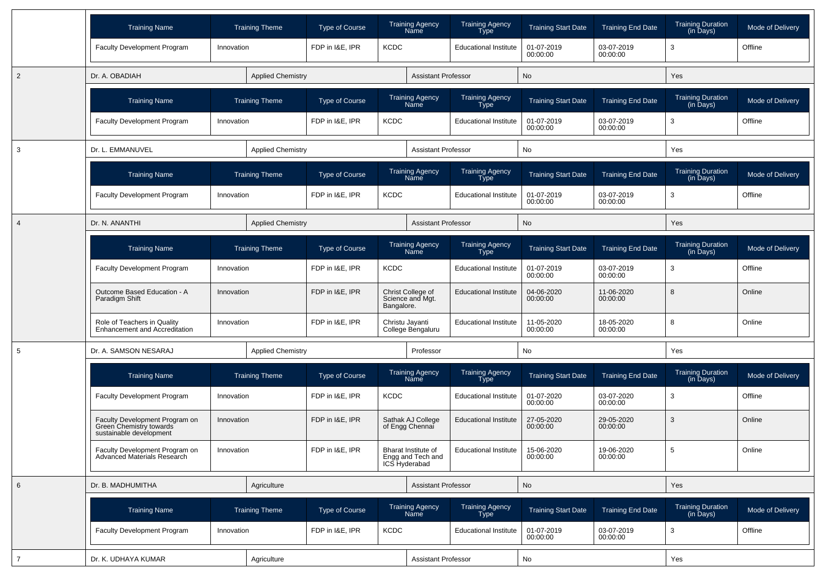|                | <b>Training Name</b>                                                                 |            | <b>Training Theme</b>    | Type of Course        |             | <b>Training Agency</b><br>Name                            | <b>Training Agency</b><br>Type | <b>Training Start Date</b> | <b>Training End Date</b> | <b>Training Duration</b><br>(in Days)                  | Mode of Delivery |
|----------------|--------------------------------------------------------------------------------------|------------|--------------------------|-----------------------|-------------|-----------------------------------------------------------|--------------------------------|----------------------------|--------------------------|--------------------------------------------------------|------------------|
|                | <b>Faculty Development Program</b>                                                   | Innovation |                          | FDP in I&E, IPR       | <b>KCDC</b> |                                                           | <b>Educational Institute</b>   | 01-07-2019<br>00:00:00     | 03-07-2019<br>00:00:00   | 3                                                      | Offline          |
| 2              | Dr. A. OBADIAH                                                                       |            | <b>Applied Chemistry</b> |                       |             | <b>Assistant Professor</b>                                |                                | No                         |                          | Yes                                                    |                  |
|                | <b>Training Name</b>                                                                 |            | <b>Training Theme</b>    | Type of Course        |             | <b>Training Agency</b><br>Name                            | Training Agency<br>Type        | <b>Training Start Date</b> | <b>Training End Date</b> | <b>Training Duration</b><br>$(in \overline{D}$ ays $)$ | Mode of Delivery |
|                | Faculty Development Program                                                          | Innovation |                          | FDP in I&E, IPR       | <b>KCDC</b> |                                                           | <b>Educational Institute</b>   | 01-07-2019<br>00:00:00     | 03-07-2019<br>00:00:00   | 3                                                      | Offline          |
| 3              | Dr. L. EMMANUVEL                                                                     |            | <b>Applied Chemistry</b> |                       |             | <b>Assistant Professor</b>                                |                                | No                         |                          | Yes                                                    |                  |
|                | <b>Training Name</b>                                                                 |            | <b>Training Theme</b>    | Type of Course        |             | <b>Training Agency</b><br>Name                            | <b>Training Agency</b><br>Type | <b>Training Start Date</b> | <b>Training End Date</b> | <b>Training Duration</b><br>(in Days)                  | Mode of Delivery |
|                | <b>Faculty Development Program</b>                                                   | Innovation |                          | FDP in I&E, IPR       | <b>KCDC</b> |                                                           | <b>Educational Institute</b>   | 01-07-2019<br>00:00:00     | 03-07-2019<br>00:00:00   | 3                                                      | Offline          |
| $\overline{4}$ | Dr. N. ANANTHI                                                                       |            | <b>Applied Chemistry</b> |                       |             | <b>Assistant Professor</b>                                |                                | No                         |                          | Yes                                                    |                  |
|                | <b>Training Name</b>                                                                 |            | <b>Training Theme</b>    | Type of Course        |             | <b>Training Agency</b><br>Name                            | Training Agency<br>Type        | <b>Training Start Date</b> | <b>Training End Date</b> | <b>Training Duration</b><br>(in Days)                  | Mode of Delivery |
|                | Faculty Development Program                                                          | Innovation |                          | FDP in I&E, IPR       | <b>KCDC</b> |                                                           | <b>Educational Institute</b>   | 01-07-2019<br>00:00:00     | 03-07-2019<br>00:00:00   | 3                                                      | Offline          |
|                | Outcome Based Education - A<br>Paradigm Shift                                        | Innovation |                          | FDP in I&E, IPR       | Bangalore.  | Christ College of<br>Science and Mgt.                     | <b>Educational Institute</b>   | 04-06-2020<br>00:00:00     | 11-06-2020<br>00:00:00   | 8                                                      | Online           |
|                | Role of Teachers in Quality<br><b>Enhancement and Accreditation</b>                  | Innovation |                          | FDP in I&E, IPR       |             | Christu Jayanti<br>College Bengaluru                      | <b>Educational Institute</b>   | 11-05-2020<br>00:00:00     | 18-05-2020<br>00:00:00   | 8                                                      | Online           |
| 5              | Dr. A. SAMSON NESARAJ                                                                |            | <b>Applied Chemistry</b> |                       |             | Professor                                                 |                                | No                         |                          | Yes                                                    |                  |
|                | <b>Training Name</b>                                                                 |            | <b>Training Theme</b>    | Type of Course        |             | <b>Training Agency</b><br>Name                            | Training Agency<br><b>Type</b> | <b>Training Start Date</b> | <b>Training End Date</b> | <b>Training Duration</b><br>(in Days)                  | Mode of Delivery |
|                | Faculty Development Program                                                          | Innovation |                          | FDP in I&E, IPR       | <b>KCDC</b> |                                                           | <b>Educational Institute</b>   | 01-07-2020<br>00:00:00     | 03-07-2020<br>00:00:00   | 3                                                      | Offline          |
|                | Faculty Development Program on<br>Green Chemistry towards<br>sustainable development | Innovation |                          | FDP in I&E, IPR       |             | Sathak AJ College<br>of Engg Chennai                      | <b>Educational Institute</b>   | 27-05-2020<br>00:00:00     | 29-05-2020<br>00:00:00   | 3                                                      | Online           |
|                | Faculty Development Program on<br>Advanced Materials Research                        | Innovation |                          | FDP in I&E, IPR       |             | Bharat Institute of<br>Engg and Tech and<br>ICS Hyderabad | <b>Educational Institute</b>   | 15-06-2020<br>00:00:00     | 19-06-2020<br>00:00:00   | $\,$ 5 $\,$                                            | Online           |
| 6              | Dr. B. MADHUMITHA                                                                    |            | Agriculture              |                       |             | <b>Assistant Professor</b>                                |                                | <b>No</b>                  |                          | Yes                                                    |                  |
|                | <b>Training Name</b>                                                                 |            | <b>Training Theme</b>    | <b>Type of Course</b> |             | Training Agency<br>Name                                   | Training Agency<br>Type        | <b>Training Start Date</b> | <b>Training End Date</b> | Training Duration<br>(in Days)                         | Mode of Delivery |
|                | Faculty Development Program                                                          | Innovation |                          | FDP in I&E, IPR       | <b>KCDC</b> |                                                           | <b>Educational Institute</b>   | 01-07-2019<br>00:00:00     | 03-07-2019<br>00:00:00   | 3                                                      | Offline          |
| $\overline{7}$ | Dr. K. UDHAYA KUMAR                                                                  |            | Agriculture              |                       |             | <b>Assistant Professor</b>                                |                                | No                         |                          | Yes                                                    |                  |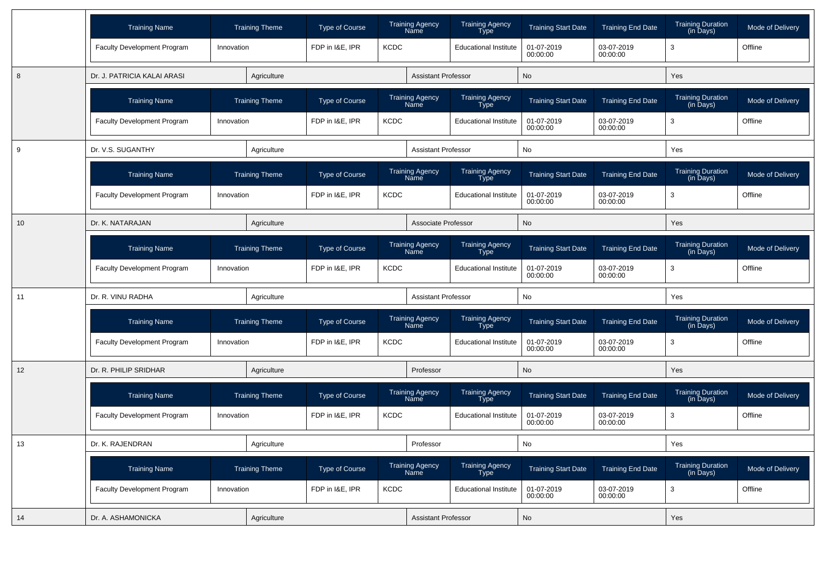|    | <b>Training Name</b>               |            | <b>Training Theme</b> | <b>Type of Course</b> |             | <b>Training Agency</b><br>Name        | <b>Training Agency</b><br>Type        | <b>Training Start Date</b> | <b>Training End Date</b> | <b>Training Duration</b><br>(in Days)                  | Mode of Delivery |
|----|------------------------------------|------------|-----------------------|-----------------------|-------------|---------------------------------------|---------------------------------------|----------------------------|--------------------------|--------------------------------------------------------|------------------|
|    | Faculty Development Program        | Innovation |                       | FDP in I&E, IPR       | <b>KCDC</b> |                                       | <b>Educational Institute</b>          | 01-07-2019<br>00:00:00     | 03-07-2019<br>00:00:00   | 3                                                      | Offline          |
| 8  | Dr. J. PATRICIA KALAI ARASI        |            | Agriculture           |                       |             | <b>Assistant Professor</b>            |                                       | No                         |                          | Yes                                                    |                  |
|    | <b>Training Name</b>               |            | <b>Training Theme</b> | Type of Course        |             | <b>Training Agency</b><br>Name        | Training Agency<br><b>Type</b>        | <b>Training Start Date</b> | <b>Training End Date</b> | <b>Training Duration</b><br>(in Days)                  | Mode of Delivery |
|    | Faculty Development Program        | Innovation |                       | FDP in I&E, IPR       | <b>KCDC</b> |                                       | <b>Educational Institute</b>          | 01-07-2019<br>00:00:00     | 03-07-2019<br>00:00:00   | 3                                                      | Offline          |
| 9  | Dr. V.S. SUGANTHY                  |            | Agriculture           |                       |             | Assistant Professor                   |                                       | No                         |                          | Yes                                                    |                  |
|    | <b>Training Name</b>               |            | <b>Training Theme</b> | <b>Type of Course</b> |             | Training Agency<br>Name               | Training Agency<br>Type               | <b>Training Start Date</b> | <b>Training End Date</b> | <b>Training Duration</b><br>$(in \overline{D}$ ays $)$ | Mode of Delivery |
|    | Faculty Development Program        | Innovation |                       | FDP in I&E, IPR       | <b>KCDC</b> |                                       | <b>Educational Institute</b>          | 01-07-2019<br>00:00:00     | 03-07-2019<br>00:00:00   | 3                                                      | Offline          |
| 10 | Dr. K. NATARAJAN                   |            | Agriculture           |                       |             | Associate Professor                   |                                       | <b>No</b>                  |                          | Yes                                                    |                  |
|    | <b>Training Name</b>               |            | <b>Training Theme</b> | <b>Type of Course</b> |             | <b>Training Agency</b><br>Name        | Training Agency<br>Type               | <b>Training Start Date</b> | <b>Training End Date</b> | <b>Training Duration</b><br>(in Days)                  | Mode of Delivery |
|    | Faculty Development Program        | Innovation |                       | FDP in I&E, IPR       | <b>KCDC</b> |                                       | <b>Educational Institute</b>          | 01-07-2019<br>00:00:00     | 03-07-2019<br>00:00:00   | 3                                                      | Offline          |
| 11 | Dr. R. VINU RADHA                  |            | Agriculture           |                       |             | <b>Assistant Professor</b>            |                                       | No                         |                          | Yes                                                    |                  |
|    | <b>Training Name</b>               |            | <b>Training Theme</b> | Type of Course        |             | <b>Training Agency</b><br>Name        | Training Agency<br>Type               | <b>Training Start Date</b> | <b>Training End Date</b> | <b>Training Duration</b><br>$(in \overline{D}$ ays $)$ | Mode of Delivery |
|    | <b>Faculty Development Program</b> | Innovation |                       | FDP in I&E, IPR       | <b>KCDC</b> |                                       | <b>Educational Institute</b>          | 01-07-2019<br>00:00:00     | 03-07-2019<br>00:00:00   | 3                                                      | Offline          |
| 12 | Dr. R. PHILIP SRIDHAR              |            | Agriculture           |                       |             | Professor                             |                                       | <b>No</b>                  |                          | <b>Yes</b>                                             |                  |
|    | <b>Training Name</b>               |            | <b>Training Theme</b> | <b>Type of Course</b> |             | <b>Training Agency</b><br><b>Name</b> | <b>Training Agency</b><br><b>Type</b> | <b>Training Start Date</b> | <b>Training End Date</b> | <b>Training Duration</b><br>(in Days)                  | Mode of Delivery |
|    | Faculty Development Program        | Innovation |                       | FDP in I&E. IPR       | <b>KCDC</b> |                                       | <b>Educational Institute</b>          | 01-07-2019<br>00:00:00     | 03-07-2019<br>00:00:00   | 3                                                      | Offline          |
| 13 | Dr. K. RAJENDRAN                   |            | Agriculture           |                       |             | Professor                             |                                       | <b>No</b>                  |                          | Yes                                                    |                  |
|    | <b>Training Name</b>               |            | <b>Training Theme</b> | <b>Type of Course</b> |             | <b>Training Agency</b><br>Name        | <b>Training Agency</b><br>Type        | <b>Training Start Date</b> | <b>Training End Date</b> | <b>Training Duration</b><br>(in Days)                  | Mode of Delivery |
|    | <b>Faculty Development Program</b> | Innovation |                       | FDP in I&E, IPR       | <b>KCDC</b> |                                       | <b>Educational Institute</b>          | 01-07-2019<br>00:00:00     | 03-07-2019<br>00:00:00   | 3                                                      | Offline          |
| 14 | Dr. A. ASHAMONICKA                 |            | Agriculture           |                       |             | <b>Assistant Professor</b>            |                                       | <b>No</b>                  |                          | Yes                                                    |                  |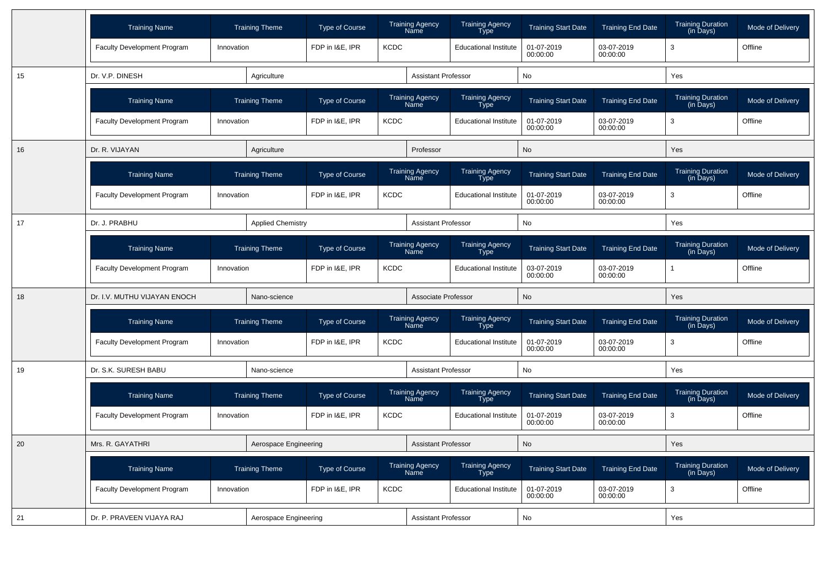|    | <b>Training Name</b>               | <b>Training Theme</b>    | <b>Type of Course</b> | <b>Training Agency</b><br>Name | <b>Training Agency</b><br>Type        | <b>Training Start Date</b> | <b>Training End Date</b> | <b>Training Duration</b><br>(in Days)                  | Mode of Delivery |
|----|------------------------------------|--------------------------|-----------------------|--------------------------------|---------------------------------------|----------------------------|--------------------------|--------------------------------------------------------|------------------|
|    | Faculty Development Program        | Innovation               | FDP in I&E, IPR       | <b>KCDC</b>                    | <b>Educational Institute</b>          | 01-07-2019<br>00:00:00     | 03-07-2019<br>00:00:00   | 3                                                      | Offline          |
| 15 | Dr. V.P. DINESH                    | Agriculture              |                       | <b>Assistant Professor</b>     |                                       | No                         |                          | Yes                                                    |                  |
|    | <b>Training Name</b>               | <b>Training Theme</b>    | <b>Type of Course</b> | <b>Training Agency</b><br>Name | <b>Training Agency</b><br><b>Type</b> | <b>Training Start Date</b> | <b>Training End Date</b> | <b>Training Duration</b><br>$(in \overline{D}$ ays $)$ | Mode of Delivery |
|    | Faculty Development Program        | Innovation               | FDP in I&E, IPR       | <b>KCDC</b>                    | <b>Educational Institute</b>          | 01-07-2019<br>00:00:00     | 03-07-2019<br>00:00:00   | 3                                                      | Offline          |
| 16 | Dr. R. VIJAYAN                     | Agriculture              |                       | Professor                      |                                       | No                         |                          | Yes                                                    |                  |
|    | <b>Training Name</b>               | <b>Training Theme</b>    | <b>Type of Course</b> | Training Agency<br>Name        | Training Agency<br>Type               | <b>Training Start Date</b> | <b>Training End Date</b> | <b>Training Duration</b><br>(in Days)                  | Mode of Delivery |
|    | <b>Faculty Development Program</b> | Innovation               | FDP in I&E, IPR       | <b>KCDC</b>                    | <b>Educational Institute</b>          | 01-07-2019<br>00:00:00     | 03-07-2019<br>00:00:00   | 3                                                      | Offline          |
| 17 | Dr. J. PRABHU                      | <b>Applied Chemistry</b> |                       | <b>Assistant Professor</b>     |                                       | No                         |                          | Yes                                                    |                  |
|    | <b>Training Name</b>               | <b>Training Theme</b>    | <b>Type of Course</b> | <b>Training Agency</b><br>Name | Training Agency<br>Type               | <b>Training Start Date</b> | <b>Training End Date</b> | <b>Training Duration</b><br>(in Days)                  | Mode of Delivery |
|    | <b>Faculty Development Program</b> | Innovation               | FDP in I&E, IPR       | <b>KCDC</b>                    | <b>Educational Institute</b>          | 03-07-2019<br>00:00:00     | 03-07-2019<br>00:00:00   |                                                        | Offline          |
| 18 | Dr. I.V. MUTHU VIJAYAN ENOCH       | Nano-science             |                       |                                | Associate Professor                   | <b>No</b>                  |                          | Yes                                                    |                  |
|    | <b>Training Name</b>               | <b>Training Theme</b>    | <b>Type of Course</b> | <b>Training Agency</b><br>Name | Training Agency<br>Type               | <b>Training Start Date</b> | <b>Training End Date</b> | <b>Training Duration</b><br>(in Days)                  | Mode of Delivery |
|    | <b>Faculty Development Program</b> | Innovation               | FDP in I&E, IPR       | <b>KCDC</b>                    | <b>Educational Institute</b>          | 01-07-2019<br>00:00:00     | 03-07-2019<br>00:00:00   | 3                                                      | Offline          |
| 19 | Dr. S.K. SURESH BABU               | Nano-science             |                       | <b>Assistant Professor</b>     |                                       | No                         |                          | Yes                                                    |                  |
|    | <b>Training Name</b>               | <b>Training Theme</b>    | <b>Type of Course</b> | <b>Training Agency</b><br>Name | Training Agency<br><b>Type</b>        | <b>Training Start Date</b> | <b>Training End Date</b> | Training Duration<br>(in Days)                         | Mode of Delivery |
|    | <b>Faculty Development Program</b> | Innovation               | FDP in I&E, IPR       | <b>KCDC</b>                    | <b>Educational Institute</b>          | 01-07-2019<br>00:00:00     | 03-07-2019<br>00:00:00   | 3                                                      | Offline          |
| 20 | Mrs. R. GAYATHRI                   | Aerospace Engineering    |                       | <b>Assistant Professor</b>     |                                       | No                         |                          | Yes                                                    |                  |
|    | <b>Training Name</b>               | <b>Training Theme</b>    | <b>Type of Course</b> | <b>Training Agency</b><br>Name | <b>Training Agency</b><br>Type        | <b>Training Start Date</b> | <b>Training End Date</b> | <b>Training Duration</b><br>(in Days)                  | Mode of Delivery |
|    | Faculty Development Program        | Innovation               | FDP in I&E, IPR       | <b>KCDC</b>                    | <b>Educational Institute</b>          | 01-07-2019<br>00:00:00     | 03-07-2019<br>00:00:00   | 3                                                      | Offline          |
| 21 | Dr. P. PRAVEEN VIJAYA RAJ          | Aerospace Engineering    |                       | <b>Assistant Professor</b>     |                                       | No                         |                          | Yes                                                    |                  |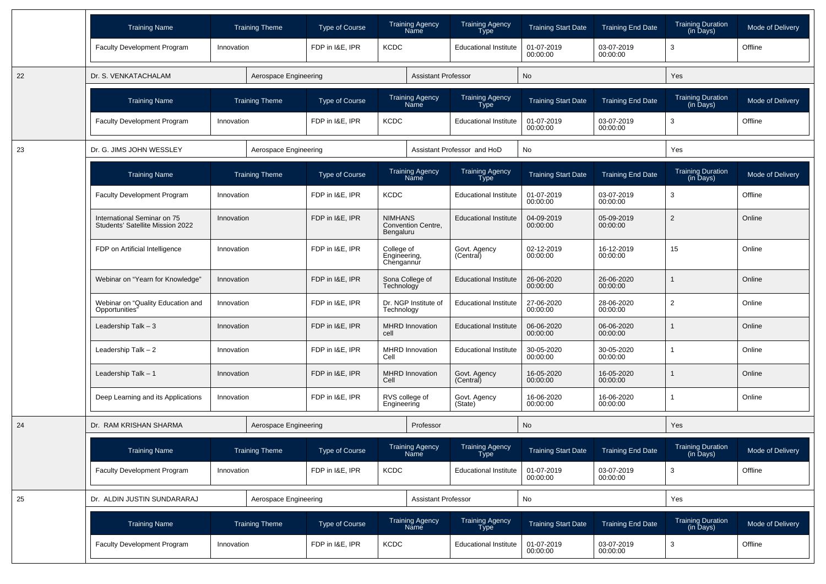|    | <b>Training Name</b>                                            |            | <b>Training Theme</b> | <b>Type of Course</b> |                                          | <b>Training Agency</b><br>Name        | <b>Training Agency</b><br>Type              | <b>Training Start Date</b> | <b>Training End Date</b> | <b>Training Duration</b><br>(in Days) | <b>Mode of Delivery</b> |
|----|-----------------------------------------------------------------|------------|-----------------------|-----------------------|------------------------------------------|---------------------------------------|---------------------------------------------|----------------------------|--------------------------|---------------------------------------|-------------------------|
|    | <b>Faculty Development Program</b>                              | Innovation |                       | FDP in I&E. IPR       | <b>KCDC</b>                              |                                       | <b>Educational Institute</b>                | 01-07-2019<br>00:00:00     | 03-07-2019<br>00:00:00   | 3                                     | Offline                 |
| 22 | Dr. S. VENKATACHALAM                                            |            | Aerospace Engineering |                       |                                          | <b>Assistant Professor</b>            |                                             | No                         |                          | Yes                                   |                         |
|    | <b>Training Name</b>                                            |            | <b>Training Theme</b> | <b>Type of Course</b> |                                          | <b>Training Agency</b><br>Name        | <b>Training Agency</b><br>Type              | <b>Training Start Date</b> | <b>Training End Date</b> | <b>Training Duration</b><br>(in Days) | Mode of Delivery        |
|    | <b>Faculty Development Program</b>                              | Innovation |                       | FDP in I&E, IPR       | <b>KCDC</b>                              |                                       | <b>Educational Institute</b>                | 01-07-2019<br>00:00:00     | 03-07-2019<br>00:00:00   | 3                                     | Offline                 |
| 23 | Dr. G. JIMS JOHN WESSLEY                                        |            | Aerospace Engineering |                       |                                          |                                       | Assistant Professor and HoD                 | No                         |                          | Yes                                   |                         |
|    | <b>Training Name</b>                                            |            | <b>Training Theme</b> | <b>Type of Course</b> |                                          | <b>Training Agency</b><br><b>Name</b> | Training Agency<br>Type                     | <b>Training Start Date</b> | <b>Training End Date</b> | Training Duration<br>(in Days)        | Mode of Delivery        |
|    | <b>Faculty Development Program</b>                              | Innovation |                       | FDP in I&E, IPR       | <b>KCDC</b>                              |                                       | <b>Educational Institute</b>                | 01-07-2019<br>00:00:00     | 03-07-2019<br>00:00:00   | 3                                     | Offline                 |
|    | International Seminar on 75<br>Students' Satellite Mission 2022 | Innovation |                       | FDP in I&E, IPR       | <b>NIMHANS</b><br>Bengaluru              | Convention Centre,                    | <b>Educational Institute</b>                | 04-09-2019<br>00:00:00     | 05-09-2019<br>00:00:00   | $\overline{2}$                        | Online                  |
|    | FDP on Artificial Intelligence                                  | Innovation |                       | FDP in I&E, IPR       | College of<br>Engineering,<br>Chengannur |                                       | Govt. Agency<br>(Central)                   | 02-12-2019<br>00:00:00     | 16-12-2019<br>00:00:00   | 15                                    | Online                  |
|    | Webinar on "Yearn for Knowledge"                                | Innovation |                       | FDP in I&E, IPR       | Sona College of<br>Technology            |                                       | <b>Educational Institute</b>                | 26-06-2020<br>00:00:00     | 26-06-2020<br>00:00:00   |                                       | Online                  |
|    | Webinar on "Quality Education and<br>Opportunities"             | Innovation |                       | FDP in I&E, IPR       | Technology                               | Dr. NGP Institute of                  | <b>Educational Institute</b>                | 27-06-2020<br>00:00:00     | 28-06-2020<br>00:00:00   | 2                                     | Online                  |
|    | Leadership Talk - 3                                             | Innovation |                       | FDP in I&E, IPR       | cell                                     | <b>MHRD Innovation</b>                | <b>Educational Institute</b>                | 06-06-2020<br>00:00:00     | 06-06-2020<br>00:00:00   |                                       | Online                  |
|    | Leadership Talk - 2                                             | Innovation |                       | FDP in I&E, IPR       | Cell                                     | <b>MHRD Innovation</b>                | <b>Educational Institute</b>                | 30-05-2020<br>00:00:00     | 30-05-2020<br>00:00:00   |                                       | Online                  |
|    | Leadership Talk - 1                                             | Innovation |                       | FDP in I&E, IPR       | Cell                                     | <b>MHRD Innovation</b>                | Govt. Agency<br>(Central)                   | 16-05-2020<br>00:00:00     | 16-05-2020<br>00:00:00   |                                       | Online                  |
|    | Deep Learning and its Applications                              | Innovation |                       | FDP in I&E, IPR       | RVS college of<br>Engineering            |                                       | Govt. Agency<br>(State)                     | 16-06-2020<br>00:00:00     | 16-06-2020<br>00:00:00   |                                       | Online                  |
| 24 | Dr. RAM KRISHAN SHARMA                                          |            | Aerospace Engineering |                       |                                          | Professor                             |                                             | No                         |                          | Yes                                   |                         |
|    | <b>Training Name</b>                                            |            | <b>Training Theme</b> | Type of Course        |                                          | <b>Training Agency</b><br>Name        | <b>Training Agency</b><br>Type <sup>-</sup> | <b>Training Start Date</b> | <b>Training End Date</b> | <b>Training Duration</b><br>(in Days) | Mode of Delivery        |
|    | Faculty Development Program                                     | Innovation |                       | FDP in I&E, IPR       | KCDC                                     |                                       | <b>Educational Institute</b>                | 01-07-2019<br>00:00:00     | 03-07-2019<br>00:00:00   | 3                                     | Offline                 |
| 25 | Dr. ALDIN JUSTIN SUNDARARAJ                                     |            | Aerospace Engineering |                       |                                          | <b>Assistant Professor</b>            |                                             | No                         |                          | Yes                                   |                         |
|    | <b>Training Name</b>                                            |            | <b>Training Theme</b> | Type of Course        |                                          | Training Agency<br>Name               | Training Agency<br>Type                     | <b>Training Start Date</b> | <b>Training End Date</b> | Training Duration<br>(in Days)        | Mode of Delivery        |
|    | Faculty Development Program                                     | Innovation |                       | FDP in I&E, IPR       | <b>KCDC</b>                              |                                       | <b>Educational Institute</b>                | 01-07-2019<br>00:00:00     | 03-07-2019<br>00:00:00   | 3                                     | Offline                 |
|    |                                                                 |            |                       |                       |                                          |                                       |                                             |                            |                          |                                       |                         |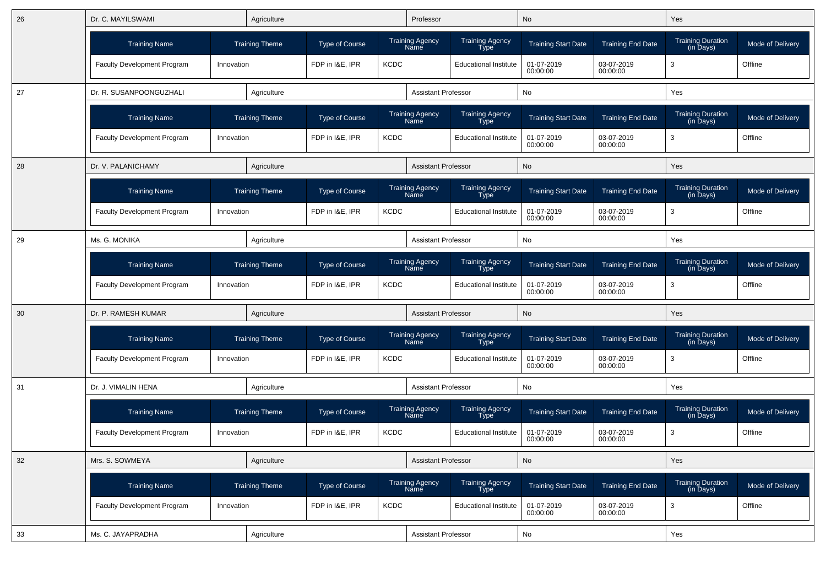| 26 | Dr. C. MAYILSWAMI<br>Agriculture<br><b>Training Theme</b> |                |                       |                                |             | Professor                      |                                       | No                         |                          | Yes                                   |                  |
|----|-----------------------------------------------------------|----------------|-----------------------|--------------------------------|-------------|--------------------------------|---------------------------------------|----------------------------|--------------------------|---------------------------------------|------------------|
|    | <b>Training Name</b>                                      |                |                       | <b>Type of Course</b>          |             | Training Agency<br>Name        | <b>Training Agency</b><br><b>Type</b> | <b>Training Start Date</b> | <b>Training End Date</b> | <b>Training Duration</b><br>(in Days) | Mode of Delivery |
|    | <b>Faculty Development Program</b>                        | Innovation     |                       | FDP in I&E, IPR                | <b>KCDC</b> |                                | <b>Educational Institute</b>          | 01-07-2019<br>00:00:00     | 03-07-2019<br>00:00:00   | 3                                     | Offline          |
| 27 | Dr. R. SUSANPOONGUZHALI                                   |                | Agriculture           |                                |             | <b>Assistant Professor</b>     |                                       | No                         |                          | Yes                                   |                  |
|    | <b>Training Name</b>                                      |                | <b>Training Theme</b> | <b>Type of Course</b>          |             | Training Agency<br>Name        | Training Agency<br><b>Type</b>        | <b>Training Start Date</b> | <b>Training End Date</b> | Training Duration<br>(in Days)        | Mode of Delivery |
|    | <b>Faculty Development Program</b>                        | Innovation     |                       | FDP in I&E, IPR                | <b>KCDC</b> |                                | <b>Educational Institute</b>          | 01-07-2019<br>00:00:00     | 03-07-2019<br>00:00:00   | 3                                     | Offline          |
| 28 | Dr. V. PALANICHAMY                                        |                | Agriculture           |                                |             | <b>Assistant Professor</b>     |                                       | No                         |                          | Yes                                   |                  |
|    | <b>Training Name</b>                                      |                | <b>Training Theme</b> | Type of Course                 |             | <b>Training Agency</b><br>Name | <b>Training Agency</b><br><b>Type</b> | <b>Training Start Date</b> | <b>Training End Date</b> | <b>Training Duration</b><br>(in Days) | Mode of Delivery |
|    | <b>Faculty Development Program</b>                        | Innovation     |                       | FDP in I&E, IPR                | <b>KCDC</b> |                                | <b>Educational Institute</b>          | 01-07-2019<br>00:00:00     | 03-07-2019<br>00:00:00   | 3                                     | Offline          |
| 29 | Ms. G. MONIKA                                             |                | Agriculture           |                                |             | <b>Assistant Professor</b>     |                                       | No                         |                          | Yes                                   |                  |
|    | <b>Training Name</b>                                      |                | <b>Training Theme</b> | <b>Type of Course</b>          |             | <b>Training Agency</b><br>Name | <b>Training Agency</b><br><b>Type</b> | <b>Training Start Date</b> | <b>Training End Date</b> | Training Duration<br>(in Days)        | Mode of Delivery |
|    | <b>Faculty Development Program</b>                        | Innovation     |                       | FDP in I&E. IPR<br><b>KCDC</b> |             |                                | <b>Educational Institute</b>          | 01-07-2019<br>00:00:00     | 03-07-2019<br>00:00:00   | 3                                     | Offline          |
| 30 | Dr. P. RAMESH KUMAR                                       |                | Agriculture           |                                |             | <b>Assistant Professor</b>     |                                       | No                         |                          | Yes                                   |                  |
|    | <b>Training Name</b>                                      |                | <b>Training Theme</b> | <b>Type of Course</b>          |             | Training Agency<br>Name        | Training Agency<br>Type               | <b>Training Start Date</b> | <b>Training End Date</b> | <b>Training Duration</b><br>(in Days) | Mode of Delivery |
|    | <b>Faculty Development Program</b>                        | Innovation     |                       | FDP in I&E, IPR                | <b>KCDC</b> |                                | <b>Educational Institute</b>          | 01-07-2019<br>00:00:00     | 03-07-2019<br>00:00:00   | 3                                     | Offline          |
| 31 | Dr. J. VIMALIN HENA                                       |                | Agriculture           |                                |             | <b>Assistant Professor</b>     |                                       | No                         |                          | Yes                                   |                  |
|    | <b>Training Name</b>                                      |                | <b>Training Theme</b> | Type of Course                 |             | Training Agency<br>Name        | Training Agency<br>Type               | <b>Training Start Date</b> | <b>Training End Date</b> | Training Duration<br>(in Days)        | Mode of Delivery |
|    | <b>Faculty Development Program</b>                        | Innovation     |                       | FDP in I&E, IPR                | <b>KCDC</b> |                                | <b>Educational Institute</b>          | 01-07-2019<br>00:00:00     | 03-07-2019<br>00:00:00   | 3                                     | Offline          |
| 32 | Mrs. S. SOWMEYA                                           |                | Agriculture           |                                |             | <b>Assistant Professor</b>     |                                       | No                         |                          | Yes                                   |                  |
|    | <b>Training Name</b>                                      | Training Theme |                       | Type of Course                 |             | Training Agency<br>Name        | Training Agency<br>Type               | <b>Training Start Date</b> | <b>Training End Date</b> | Training Duration<br>(in Days)        | Mode of Delivery |
|    | Faculty Development Program                               | Innovation     |                       | FDP in I&E, IPR                | <b>KCDC</b> |                                | <b>Educational Institute</b>          | 01-07-2019<br>00:00:00     | 03-07-2019<br>00:00:00   | 3                                     | Offline          |
| 33 | Ms. C. JAYAPRADHA                                         |                | Agriculture           |                                |             | Assistant Professor            |                                       | No                         |                          | Yes                                   |                  |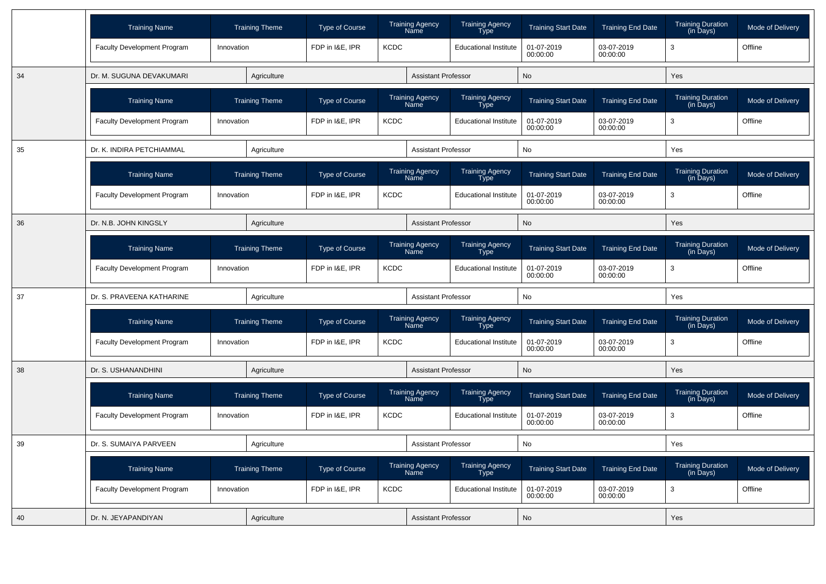|    | <b>Training Name</b>               |            | <b>Training Theme</b> | <b>Type of Course</b> |             | <b>Training Agency</b><br>Name        | <b>Training Agency</b><br>Type        | <b>Training Start Date</b> | <b>Training End Date</b> | <b>Training Duration</b><br>(in Days)                  | Mode of Delivery |
|----|------------------------------------|------------|-----------------------|-----------------------|-------------|---------------------------------------|---------------------------------------|----------------------------|--------------------------|--------------------------------------------------------|------------------|
|    | Faculty Development Program        | Innovation |                       | FDP in I&E, IPR       | <b>KCDC</b> |                                       | <b>Educational Institute</b>          | 01-07-2019<br>00:00:00     | 03-07-2019<br>00:00:00   | 3                                                      | Offline          |
| 34 | Dr. M. SUGUNA DEVAKUMARI           |            | Agriculture           |                       |             | <b>Assistant Professor</b>            |                                       | <b>No</b>                  |                          | Yes                                                    |                  |
|    | <b>Training Name</b>               |            | <b>Training Theme</b> | <b>Type of Course</b> |             | <b>Training Agency</b><br>Name        | Training Agency<br><b>Type</b>        | <b>Training Start Date</b> | <b>Training End Date</b> | <b>Training Duration</b><br>(in Days)                  | Mode of Delivery |
|    | Faculty Development Program        | Innovation |                       | FDP in I&E, IPR       | <b>KCDC</b> |                                       | <b>Educational Institute</b>          | 01-07-2019<br>00:00:00     | 03-07-2019<br>00:00:00   | 3                                                      | Offline          |
| 35 | Dr. K. INDIRA PETCHIAMMAL          |            | Agriculture           |                       |             | <b>Assistant Professor</b>            |                                       | No                         |                          | Yes                                                    |                  |
|    | <b>Training Name</b>               |            | <b>Training Theme</b> | <b>Type of Course</b> |             | Training Agency<br>Name               | Training Agency<br>Type               | <b>Training Start Date</b> | <b>Training End Date</b> | <b>Training Duration</b><br>$(in \overline{D}$ ays $)$ | Mode of Delivery |
|    | Faculty Development Program        | Innovation |                       | FDP in I&E, IPR       | <b>KCDC</b> |                                       | <b>Educational Institute</b>          | 01-07-2019<br>00:00:00     | 03-07-2019<br>00:00:00   | 3                                                      | Offline          |
| 36 | Dr. N.B. JOHN KINGSLY              |            | Agriculture           |                       |             | <b>Assistant Professor</b>            |                                       | <b>No</b>                  |                          | Yes                                                    |                  |
|    | <b>Training Name</b>               |            | <b>Training Theme</b> | <b>Type of Course</b> |             | <b>Training Agency</b><br>Name        | Training Agency<br><b>Type</b>        | <b>Training Start Date</b> | <b>Training End Date</b> | <b>Training Duration</b><br>(in Days)                  | Mode of Delivery |
|    | <b>Faculty Development Program</b> | Innovation |                       | FDP in I&E, IPR       | <b>KCDC</b> |                                       | <b>Educational Institute</b>          | 01-07-2019<br>00:00:00     | 03-07-2019<br>00:00:00   | 3                                                      | Offline          |
| 37 | Dr. S. PRAVEENA KATHARINE          |            | Agriculture           |                       |             | <b>Assistant Professor</b>            |                                       | <b>No</b>                  |                          | Yes                                                    |                  |
|    | <b>Training Name</b>               |            | <b>Training Theme</b> | <b>Type of Course</b> |             | <b>Training Agency</b><br><b>Name</b> | Training Agency<br>Type               | <b>Training Start Date</b> | <b>Training End Date</b> | <b>Training Duration</b><br>(in Days)                  | Mode of Delivery |
|    | Faculty Development Program        | Innovation |                       | FDP in I&E, IPR       | <b>KCDC</b> |                                       | <b>Educational Institute</b>          | 01-07-2019<br>00:00:00     | 03-07-2019<br>00:00:00   | 3                                                      | Offline          |
| 38 | Dr. S. USHANANDHINI                |            | Agriculture           |                       |             | <b>Assistant Professor</b>            |                                       | <b>No</b>                  |                          | Yes                                                    |                  |
|    | <b>Training Name</b>               |            | <b>Training Theme</b> | <b>Type of Course</b> |             | <b>Training Agency</b><br>Name        | <b>Training Agency</b><br><b>Type</b> | <b>Training Start Date</b> | <b>Training End Date</b> | <b>Training Duration</b><br>$(in \overline{D}$ ays $)$ | Mode of Delivery |
|    | Faculty Development Program        | Innovation |                       | FDP in I&E. IPR       | <b>KCDC</b> |                                       | <b>Educational Institute</b>          | 01-07-2019<br>00:00:00     | 03-07-2019<br>00:00:00   | 3                                                      | Offline          |
| 39 | Dr. S. SUMAIYA PARVEEN             |            | Agriculture           |                       |             | <b>Assistant Professor</b>            |                                       | <b>No</b>                  |                          | Yes                                                    |                  |
|    | <b>Training Name</b>               |            | <b>Training Theme</b> | <b>Type of Course</b> |             | <b>Training Agency</b><br>Name        | Training Agency<br>Type               | <b>Training Start Date</b> | <b>Training End Date</b> | <b>Training Duration</b><br>(in Days)                  | Mode of Delivery |
|    | <b>Faculty Development Program</b> | Innovation |                       | FDP in I&E, IPR       | <b>KCDC</b> |                                       | <b>Educational Institute</b>          | 01-07-2019<br>00:00:00     | 03-07-2019<br>00:00:00   | 3                                                      | Offline          |
| 40 | Dr. N. JEYAPANDIYAN                |            | Agriculture           |                       |             | <b>Assistant Professor</b>            |                                       | No                         |                          | Yes                                                    |                  |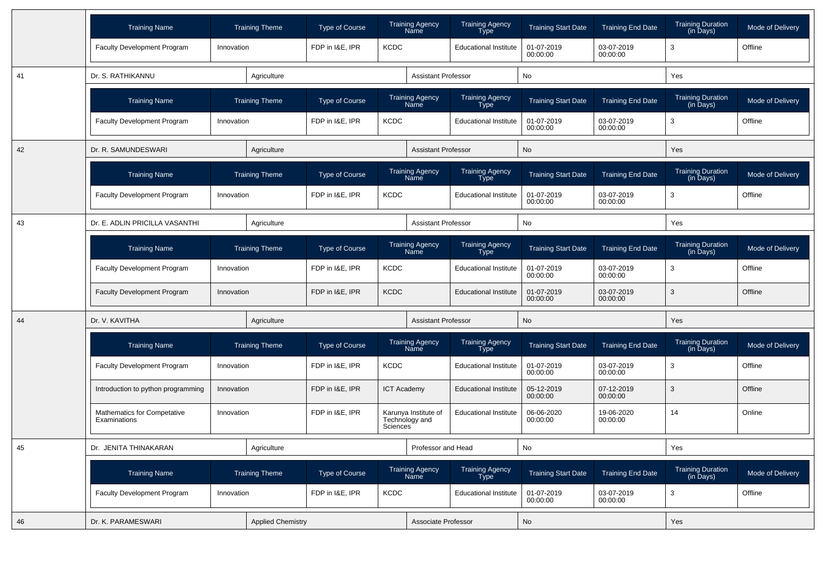|    | <b>Training Name</b>                        |            | <b>Training Theme</b>    | <b>Type of Course</b>          |                    | <b>Training Agency</b><br>Name         | <b>Training Agency</b><br>Type | <b>Training Start Date</b> | <b>Training End Date</b> | <b>Training Duration</b><br>(in Days) | Mode of Delivery |
|----|---------------------------------------------|------------|--------------------------|--------------------------------|--------------------|----------------------------------------|--------------------------------|----------------------------|--------------------------|---------------------------------------|------------------|
|    | Faculty Development Program                 | Innovation |                          | FDP in I&E, IPR                | <b>KCDC</b>        |                                        | <b>Educational Institute</b>   | 01-07-2019<br>00:00:00     | 03-07-2019<br>00:00:00   | 3                                     | Offline          |
| 41 | Dr. S. RATHIKANNU                           |            | Agriculture              |                                |                    | Assistant Professor                    |                                | No                         |                          | Yes                                   |                  |
|    | <b>Training Name</b>                        |            | <b>Training Theme</b>    | Type of Course                 |                    | <b>Training Agency</b><br>Name         | <b>Training Agency</b><br>Type | <b>Training Start Date</b> | <b>Training End Date</b> | <b>Training Duration</b><br>(in Days) | Mode of Delivery |
|    | Faculty Development Program                 | Innovation |                          | FDP in I&E, IPR                | <b>KCDC</b>        |                                        | <b>Educational Institute</b>   | 01-07-2019<br>00:00:00     | 03-07-2019<br>00:00:00   | 3                                     | Offline          |
| 42 | Dr. R. SAMUNDESWARI                         |            | Agriculture              |                                |                    | <b>Assistant Professor</b>             |                                | No                         |                          | Yes                                   |                  |
|    | <b>Training Name</b>                        |            | <b>Training Theme</b>    | <b>Type of Course</b>          |                    | <b>Training Agency</b><br>Name         | <b>Training Agency</b><br>Type | <b>Training Start Date</b> | <b>Training End Date</b> | <b>Training Duration</b><br>(in Days) | Mode of Delivery |
|    | <b>Faculty Development Program</b>          | Innovation |                          | FDP in I&E, IPR                | <b>KCDC</b>        |                                        | <b>Educational Institute</b>   | 01-07-2019<br>00:00:00     | 03-07-2019<br>00:00:00   | 3                                     | Offline          |
| 43 | Dr. E. ADLIN PRICILLA VASANTHI              |            | Agriculture              |                                |                    | Assistant Professor                    |                                | No                         |                          | Yes                                   |                  |
|    | <b>Training Name</b>                        |            | <b>Training Theme</b>    | Type of Course                 |                    | <b>Training Agency</b><br>Name         | <b>Training Agency</b><br>Type | <b>Training Start Date</b> | <b>Training End Date</b> | <b>Training Duration</b><br>(in Days) | Mode of Delivery |
|    | <b>Faculty Development Program</b>          | Innovation |                          | FDP in I&E, IPR                | <b>KCDC</b>        |                                        | <b>Educational Institute</b>   | 01-07-2019<br>00:00:00     | 03-07-2019<br>00:00:00   | 3                                     | Offline          |
|    | <b>Faculty Development Program</b>          | Innovation |                          | <b>KCDC</b><br>FDP in I&E, IPR |                    |                                        | <b>Educational Institute</b>   | 01-07-2019<br>00:00:00     | 03-07-2019<br>00:00:00   | 3                                     | Offline          |
| 44 | Dr. V. KAVITHA                              |            | Agriculture              |                                |                    | <b>Assistant Professor</b>             |                                | No                         |                          | Yes                                   |                  |
|    | <b>Training Name</b>                        |            | <b>Training Theme</b>    | Type of Course                 |                    | <b>Training Agency</b><br>Name         | Training Agency<br>Type        | <b>Training Start Date</b> | <b>Training End Date</b> | <b>Training Duration</b><br>(in Days) | Mode of Delivery |
|    | Faculty Development Program                 | Innovation |                          | FDP in I&E, IPR                | <b>KCDC</b>        |                                        | <b>Educational Institute</b>   | 01-07-2019<br>00:00:00     | 03-07-2019<br>00:00:00   | 3                                     | Offline          |
|    | Introduction to python programming          | Innovation |                          | FDP in I&E, IPR                | <b>ICT Academy</b> |                                        | <b>Educational Institute</b>   | 05-12-2019<br>00:00:00     | 07-12-2019<br>00:00:00   | 3                                     | Offline          |
|    | Mathematics for Competative<br>Examinations | Innovation |                          | FDP in I&E, IPR                | <b>Sciences</b>    | Karunya Institute of<br>Technology and | <b>Educational Institute</b>   | 06-06-2020<br>00:00:00     | 19-06-2020<br>00:00:00   | 14                                    | Online           |
| 45 | Dr. JENITA THINAKARAN                       |            | Agriculture              |                                |                    | Professor and Head                     |                                | <b>No</b>                  |                          | Yes                                   |                  |
|    | <b>Training Name</b>                        |            | <b>Training Theme</b>    | Type of Course                 |                    | Training Agency<br>Name                | Training Agency<br>Type        | <b>Training Start Date</b> | <b>Training End Date</b> | Training Duration<br>(in Days)        | Mode of Delivery |
|    | Faculty Development Program                 | Innovation |                          | FDP in I&E, IPR                | KCDC               |                                        | <b>Educational Institute</b>   | 01-07-2019<br>00:00:00     | 03-07-2019<br>00:00:00   | 3                                     | Offline          |
| 46 | Dr. K. PARAMESWARI                          |            | <b>Applied Chemistry</b> |                                |                    | Associate Professor                    |                                | No                         |                          | Yes                                   |                  |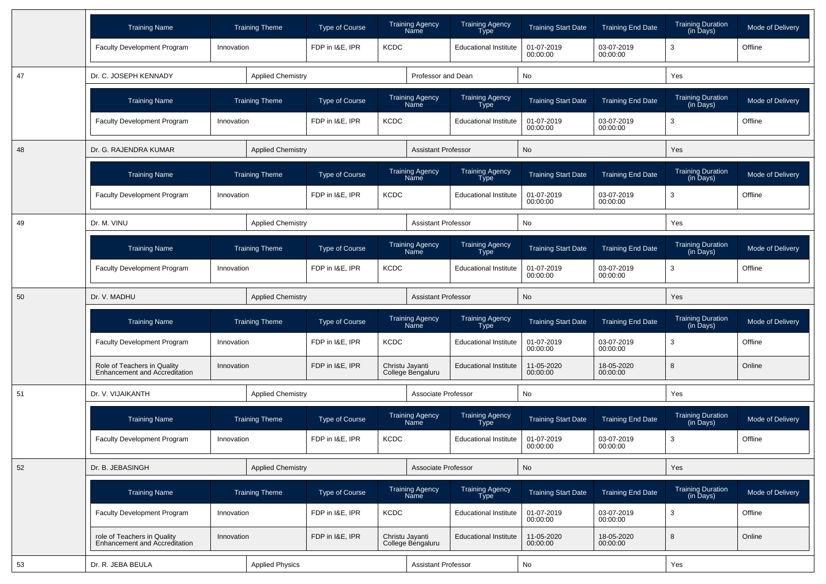|    | <b>Training Name</b>                                                | <b>Training Theme</b>    | <b>Type of Course</b> | <b>Training Agency</b><br>Name        | <b>Training Agency</b><br>Type        | <b>Training Start Date</b> | <b>Training End Date</b> | <b>Training Duration</b><br>(in Days) | Mode of Delivery |  |
|----|---------------------------------------------------------------------|--------------------------|-----------------------|---------------------------------------|---------------------------------------|----------------------------|--------------------------|---------------------------------------|------------------|--|
|    | <b>Faculty Development Program</b>                                  | Innovation               | FDP in I&E, IPR       | <b>KCDC</b>                           | <b>Educational Institute</b>          | 01-07-2019<br>00:00:00     | 03-07-2019<br>00:00:00   | 3                                     | Offline          |  |
| 47 | Dr. C. JOSEPH KENNADY                                               | <b>Applied Chemistry</b> |                       |                                       | Professor and Dean                    | No                         |                          | Yes                                   |                  |  |
|    | <b>Training Name</b>                                                | <b>Training Theme</b>    | <b>Type of Course</b> | <b>Training Agency</b><br>Name        | <b>Training Agency</b><br>Type        | <b>Training Start Date</b> | <b>Training End Date</b> | <b>Training Duration</b><br>(in Days) | Mode of Delivery |  |
|    | Faculty Development Program                                         | Innovation               | FDP in I&E, IPR       | <b>KCDC</b>                           | <b>Educational Institute</b>          | 01-07-2019<br>00:00:00     | 03-07-2019<br>00:00:00   | 3                                     | Offline          |  |
| 48 | Dr. G. RAJENDRA KUMAR                                               | <b>Applied Chemistry</b> |                       |                                       | <b>Assistant Professor</b>            | No                         |                          | Yes                                   |                  |  |
|    | <b>Training Name</b>                                                | <b>Training Theme</b>    | <b>Type of Course</b> | <b>Training Agency</b><br>Name        | <b>Training Agency</b><br>Type        | <b>Training Start Date</b> | <b>Training End Date</b> | <b>Training Duration</b><br>(in Days) | Mode of Delivery |  |
|    | <b>Faculty Development Program</b>                                  | Innovation               | FDP in I&E, IPR       | <b>KCDC</b>                           | <b>Educational Institute</b>          | 01-07-2019<br>00:00:00     | 03-07-2019<br>00:00:00   | 3                                     | Offline          |  |
| 49 | Dr. M. VINU                                                         | <b>Applied Chemistry</b> |                       |                                       | <b>Assistant Professor</b>            | No                         |                          | Yes                                   |                  |  |
|    | <b>Training Name</b>                                                | <b>Training Theme</b>    | <b>Type of Course</b> | <b>Training Agency</b><br>Name        | Training Agency<br><b>Type</b>        | <b>Training Start Date</b> | <b>Training End Date</b> | <b>Training Duration</b><br>(in Days) | Mode of Delivery |  |
|    | Faculty Development Program                                         | Innovation               | FDP in I&E, IPR       | <b>KCDC</b>                           | <b>Educational Institute</b>          | 01-07-2019<br>00:00:00     | 03-07-2019<br>00:00:00   | 3                                     | Offline          |  |
| 50 | Dr. V. MADHU                                                        | <b>Applied Chemistry</b> |                       |                                       | <b>Assistant Professor</b>            | <b>No</b>                  |                          | Yes                                   |                  |  |
|    | <b>Training Name</b>                                                | <b>Training Theme</b>    | Type of Course        | <b>Training Agency</b><br><b>Name</b> | <b>Training Agency</b><br><b>Type</b> | <b>Training Start Date</b> | <b>Training End Date</b> | <b>Training Duration</b><br>(in Days) | Mode of Delivery |  |
|    | <b>Faculty Development Program</b>                                  | Innovation               | FDP in I&E, IPR       | <b>KCDC</b>                           | <b>Educational Institute</b>          | 01-07-2019<br>00:00:00     | 03-07-2019<br>00:00:00   | 3                                     | Offline          |  |
|    | Role of Teachers in Quality<br><b>Enhancement and Accreditation</b> | Innovation               | FDP in I&E, IPR       | Christu Jayanti<br>College Bengaluru  | <b>Educational Institute</b>          | 11-05-2020<br>00:00:00     | 18-05-2020<br>00:00:00   | 8                                     | Online           |  |
| 51 | Dr. V. VIJAIKANTH                                                   | <b>Applied Chemistry</b> |                       |                                       | Associate Professor                   | No                         |                          | Yes                                   |                  |  |
|    | <b>Training Name</b>                                                | <b>Training Theme</b>    | Type of Course        | <b>Training Agency</b><br><b>Name</b> | <b>Training Agency</b><br>Type        | <b>Training Start Date</b> | <b>Training End Date</b> | <b>Training Duration</b><br>(in Days) | Mode of Delivery |  |
|    | <b>Faculty Development Program</b>                                  | Innovation               | FDP in I&E, IPR       | <b>KCDC</b>                           | <b>Educational Institute</b>          | 01-07-2019<br>00:00:00     | 03-07-2019<br>00:00:00   | 3                                     | Offline          |  |
| 52 | Dr. B. JEBASINGH                                                    | <b>Applied Chemistry</b> |                       |                                       | Associate Professor                   | <b>No</b>                  |                          | Yes                                   |                  |  |
|    | <b>Training Name</b>                                                | <b>Training Theme</b>    | Type of Course        | <b>Training Agency</b><br>Name        | Training Agency<br>Type               | <b>Training Start Date</b> | <b>Training End Date</b> | <b>Training Duration</b><br>(in Days) | Mode of Delivery |  |
|    | <b>Faculty Development Program</b>                                  | Innovation               | FDP in I&E, IPR       | KCDC                                  | <b>Educational Institute</b>          | 01-07-2019<br>00:00:00     | 03-07-2019<br>00:00:00   | $\mathbf{3}$                          | Offline          |  |
|    | role of Teachers in Quality<br>Enhancement and Accreditation        | Innovation               | FDP in I&E, IPR       | Christu Jayanti<br>College Bengaluru  | <b>Educational Institute</b>          | 11-05-2020<br>00:00:00     | 18-05-2020<br>00:00:00   | 8                                     | Online           |  |
| 53 | Dr. R. JEBA BEULA                                                   | <b>Applied Physics</b>   |                       |                                       | <b>Assistant Professor</b>            |                            | No                       |                                       | Yes              |  |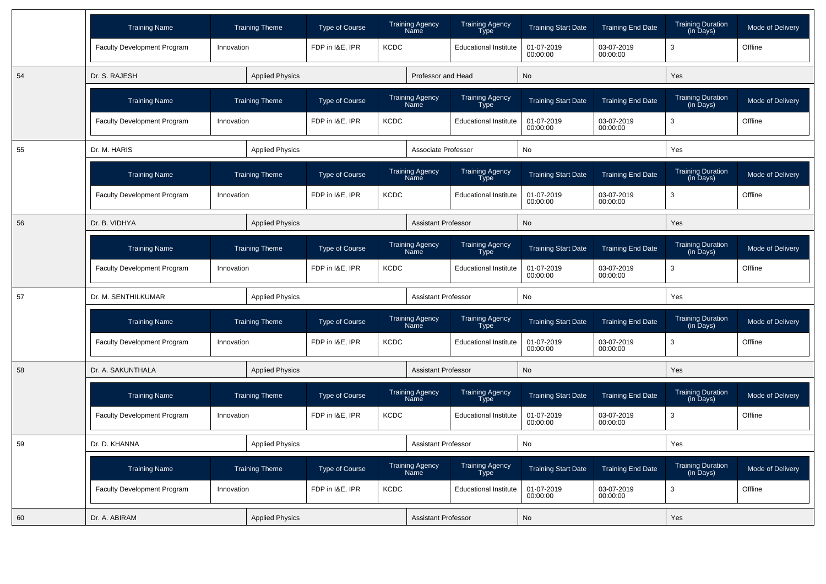|    | <b>Training Name</b>               | <b>Training Theme</b>  | <b>Type of Course</b> |             | <b>Training Agency</b><br>Name | <b>Training Agency</b><br><b>Type</b> | <b>Training Start Date</b>                       | <b>Training End Date</b> | <b>Training Duration</b><br>$(in \overline{D}$ ays $)$ | Mode of Delivery |
|----|------------------------------------|------------------------|-----------------------|-------------|--------------------------------|---------------------------------------|--------------------------------------------------|--------------------------|--------------------------------------------------------|------------------|
|    | <b>Faculty Development Program</b> | Innovation             | FDP in I&E, IPR       | <b>KCDC</b> |                                | <b>Educational Institute</b>          | 01-07-2019<br>00:00:00                           | 03-07-2019<br>00:00:00   | 3                                                      | Offline          |
| 54 | Dr. S. RAJESH                      | <b>Applied Physics</b> |                       |             | Professor and Head             |                                       | <b>No</b>                                        |                          | Yes                                                    |                  |
|    | <b>Training Name</b>               | <b>Training Theme</b>  | <b>Type of Course</b> |             | <b>Training Agency</b><br>Name | Training Agency<br>Type               | <b>Training Start Date</b>                       | <b>Training End Date</b> | <b>Training Duration</b><br>(in Days)                  | Mode of Delivery |
|    | <b>Faculty Development Program</b> | Innovation             | FDP in I&E, IPR       | <b>KCDC</b> |                                | <b>Educational Institute</b>          | 01-07-2019<br>00:00:00                           | 03-07-2019<br>00:00:00   | 3                                                      | Offline          |
| 55 | Dr. M. HARIS                       | <b>Applied Physics</b> |                       |             | Associate Professor            |                                       | No                                               |                          | Yes                                                    |                  |
|    | <b>Training Name</b>               | <b>Training Theme</b>  | <b>Type of Course</b> |             | <b>Training Agency</b><br>Name | Training Agency<br>Type               | <b>Training Start Date</b>                       | <b>Training End Date</b> | <b>Training Duration</b><br>$(in \overline{D}$ ays $)$ | Mode of Delivery |
|    | <b>Faculty Development Program</b> | Innovation             | FDP in I&E, IPR       | <b>KCDC</b> |                                | <b>Educational Institute</b>          | 01-07-2019<br>00:00:00                           | 03-07-2019<br>00:00:00   | 3                                                      | Offline          |
| 56 | Dr. B. VIDHYA                      | <b>Applied Physics</b> |                       |             | <b>Assistant Professor</b>     |                                       | <b>No</b>                                        |                          | Yes                                                    |                  |
|    | <b>Training Name</b>               | <b>Training Theme</b>  | <b>Type of Course</b> |             | <b>Training Agency</b><br>Name | Training Agency<br>Type               | <b>Training Start Date</b>                       | <b>Training End Date</b> | <b>Training Duration</b><br>(in Days)                  | Mode of Delivery |
|    | <b>Faculty Development Program</b> | Innovation             | FDP in I&E, IPR       | <b>KCDC</b> |                                | <b>Educational Institute</b>          | 01-07-2019<br>00:00:00                           | 03-07-2019<br>00:00:00   | 3                                                      | Offline          |
| 57 | Dr. M. SENTHILKUMAR                | <b>Applied Physics</b> |                       |             | <b>Assistant Professor</b>     |                                       | No                                               |                          | Yes                                                    |                  |
|    | <b>Training Name</b>               | <b>Training Theme</b>  | <b>Type of Course</b> |             | <b>Training Agency</b><br>Name | Training Agency<br>Type               | <b>Training Start Date</b>                       | <b>Training End Date</b> | <b>Training Duration</b><br>(in Days)                  | Mode of Delivery |
|    | <b>Faculty Development Program</b> | Innovation             | FDP in I&E, IPR       | <b>KCDC</b> | <b>Educational Institute</b>   |                                       | 03-07-2019<br>01-07-2019<br>00:00:00<br>00:00:00 |                          | 3                                                      | Offline          |
| 58 | Dr. A. SAKUNTHALA                  | <b>Applied Physics</b> |                       |             | Assistant Professor            |                                       | No                                               |                          | Yes                                                    |                  |
|    | <b>Training Name</b>               | <b>Training Theme</b>  | <b>Type of Course</b> |             | <b>Training Agency</b><br>Name | Training Agency<br>Type               | <b>Training Start Date</b>                       | <b>Training End Date</b> | Training Duration<br>(in Days)                         | Mode of Delivery |
|    | <b>Faculty Development Program</b> | Innovation             | FDP in I&E, IPR       | <b>KCDC</b> |                                | <b>Educational Institute</b>          | 01-07-2019<br>00:00:00                           | 03-07-2019<br>00:00:00   | 3                                                      | Offline          |
| 59 | Dr. D. KHANNA                      | <b>Applied Physics</b> |                       |             | <b>Assistant Professor</b>     |                                       | No                                               |                          | Yes                                                    |                  |
|    | <b>Training Name</b>               | <b>Training Theme</b>  | <b>Type of Course</b> |             | <b>Training Agency</b><br>Name | <b>Training Agency</b><br><b>Type</b> | <b>Training Start Date</b>                       | <b>Training End Date</b> | <b>Training Duration</b><br>(in Days)                  | Mode of Delivery |
|    | Faculty Development Program        | Innovation             | FDP in I&E, IPR       | <b>KCDC</b> |                                | <b>Educational Institute</b>          | 01-07-2019<br>00:00:00                           | 03-07-2019<br>00:00:00   | 3                                                      | Offline          |
| 60 | Dr. A. ABIRAM                      | <b>Applied Physics</b> |                       |             | <b>Assistant Professor</b>     |                                       | No                                               |                          | Yes                                                    |                  |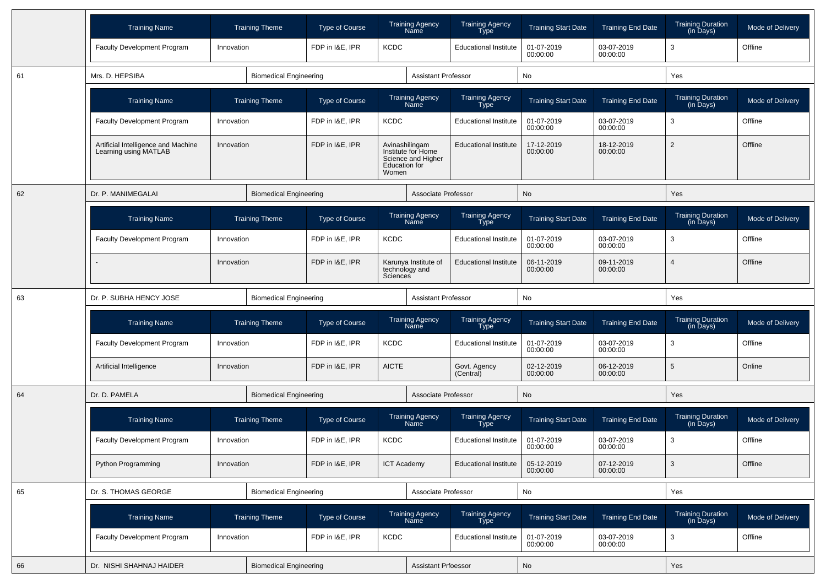|    | <b>Training Name</b>                                         | <b>Training Theme</b>         | <b>Type of Course</b>       |                                                 | <b>Training Agency</b><br>Name           | <b>Training Agency</b><br>Type | <b>Training Start Date</b> | <b>Training End Date</b> | <b>Training Duration</b><br>(in Days) | Mode of Delivery |
|----|--------------------------------------------------------------|-------------------------------|-----------------------------|-------------------------------------------------|------------------------------------------|--------------------------------|----------------------------|--------------------------|---------------------------------------|------------------|
|    | <b>Faculty Development Program</b>                           | Innovation                    | FDP in I&E, IPR             | <b>KCDC</b>                                     |                                          | <b>Educational Institute</b>   | 01-07-2019<br>00:00:00     | 03-07-2019<br>00:00:00   | 3                                     | Offline          |
| 61 | Mrs. D. HEPSIBA                                              | <b>Biomedical Engineering</b> |                             |                                                 | <b>Assistant Professor</b>               |                                | No                         |                          | Yes                                   |                  |
|    | <b>Training Name</b>                                         | <b>Training Theme</b>         | <b>Type of Course</b>       |                                                 | <b>Training Agency</b><br>Name           | <b>Training Agency</b><br>Type | <b>Training Start Date</b> | <b>Training End Date</b> | Training Duration<br>(in Days)        | Mode of Delivery |
|    | <b>Faculty Development Program</b>                           | Innovation                    | FDP in I&E, IPR             | <b>KCDC</b>                                     |                                          | <b>Educational Institute</b>   | 01-07-2019<br>00:00:00     | 03-07-2019<br>00:00:00   | 3                                     | Offline          |
|    | Artificial Intelligence and Machine<br>Learning using MATLAB | Innovation                    | FDP in I&E, IPR             | Avinashilingam<br><b>Education for</b><br>Women | Institute for Home<br>Science and Higher | <b>Educational Institute</b>   | 17-12-2019<br>00:00:00     | 18-12-2019<br>00:00:00   | $\overline{2}$                        | Offline          |
| 62 | Dr. P. MANIMEGALAI                                           | <b>Biomedical Engineering</b> |                             |                                                 | Associate Professor                      |                                | No                         |                          | Yes                                   |                  |
|    | <b>Training Name</b>                                         | <b>Training Theme</b>         | <b>Type of Course</b>       |                                                 | <b>Training Agency</b><br>Name           | <b>Training Agency</b><br>Type | <b>Training Start Date</b> | <b>Training End Date</b> | <b>Training Duration</b><br>(in Days) | Mode of Delivery |
|    | <b>Faculty Development Program</b>                           | Innovation                    | FDP in I&E, IPR             | <b>KCDC</b>                                     |                                          | <b>Educational Institute</b>   | 01-07-2019<br>00:00:00     | 03-07-2019<br>00:00:00   | 3                                     | Offline          |
|    |                                                              | Innovation                    | FDP in I&E, IPR<br>Sciences |                                                 | Karunya Institute of<br>technology and   | <b>Educational Institute</b>   | 06-11-2019<br>00:00:00     | 09-11-2019<br>00:00:00   | $\overline{4}$                        | Offline          |
| 63 | Dr. P. SUBHA HENCY JOSE                                      | <b>Biomedical Engineering</b> |                             |                                                 | <b>Assistant Professor</b>               |                                | No                         |                          | Yes                                   |                  |
|    | <b>Training Name</b>                                         | <b>Training Theme</b>         | <b>Type of Course</b>       |                                                 | <b>Training Agency</b><br>Name           | <b>Training Agency</b><br>Type | <b>Training Start Date</b> | <b>Training End Date</b> | <b>Training Duration</b><br>(in Days) | Mode of Delivery |
|    | <b>Faculty Development Program</b>                           | Innovation                    | FDP in I&E, IPR             | <b>KCDC</b>                                     |                                          | <b>Educational Institute</b>   | 01-07-2019<br>00:00:00     | 03-07-2019<br>00:00:00   | 3                                     | Offline          |
|    | Artificial Intelligence                                      | Innovation                    | FDP in I&E, IPR             | <b>AICTE</b>                                    |                                          | Govt. Agency<br>(Central)      | 02-12-2019<br>00:00:00     | 06-12-2019<br>00:00:00   | 5                                     | Online           |
| 64 | Dr. D. PAMELA                                                | <b>Biomedical Engineering</b> |                             |                                                 | Associate Professor                      |                                | No                         |                          | Yes                                   |                  |
|    | <b>Training Name</b>                                         | <b>Training Theme</b>         | <b>Type of Course</b>       |                                                 | <b>Training Agency</b><br>Name           | <b>Training Agency</b><br>Type | <b>Training Start Date</b> | <b>Training End Date</b> | <b>Training Duration</b><br>(in Days) | Mode of Delivery |
|    | <b>Faculty Development Program</b>                           | Innovation                    | FDP in I&E, IPR             | <b>KCDC</b>                                     |                                          | <b>Educational Institute</b>   | 01-07-2019<br>00:00:00     | 03-07-2019<br>00:00:00   | 3                                     | Offline          |
|    | Python Programming                                           | Innovation                    | FDP in I&E, IPR             | <b>ICT Academy</b>                              |                                          | <b>Educational Institute</b>   | 05-12-2019<br>00:00:00     | 07-12-2019<br>00:00:00   | $\mathbf{3}$                          | Offline          |
| 65 | Dr. S. THOMAS GEORGE                                         | <b>Biomedical Engineering</b> |                             |                                                 | Associate Professor                      |                                | No                         |                          | Yes                                   |                  |
|    | <b>Training Name</b>                                         | <b>Training Theme</b>         | Type of Course              |                                                 | Training Agency<br>Name                  | Training Agency<br>Type        | <b>Training Start Date</b> | <b>Training End Date</b> | Training Duration<br>(in Days)        | Mode of Delivery |
|    | Faculty Development Program                                  | Innovation                    | FDP in I&E, IPR             | <b>KCDC</b>                                     |                                          | <b>Educational Institute</b>   | 01-07-2019<br>00:00:00     | 03-07-2019<br>00:00:00   | 3                                     | Offline          |
| 66 | Dr. NISHI SHAHNAJ HAIDER                                     | <b>Biomedical Engineering</b> |                             |                                                 | <b>Assistant Prfoessor</b>               |                                | No                         |                          | Yes                                   |                  |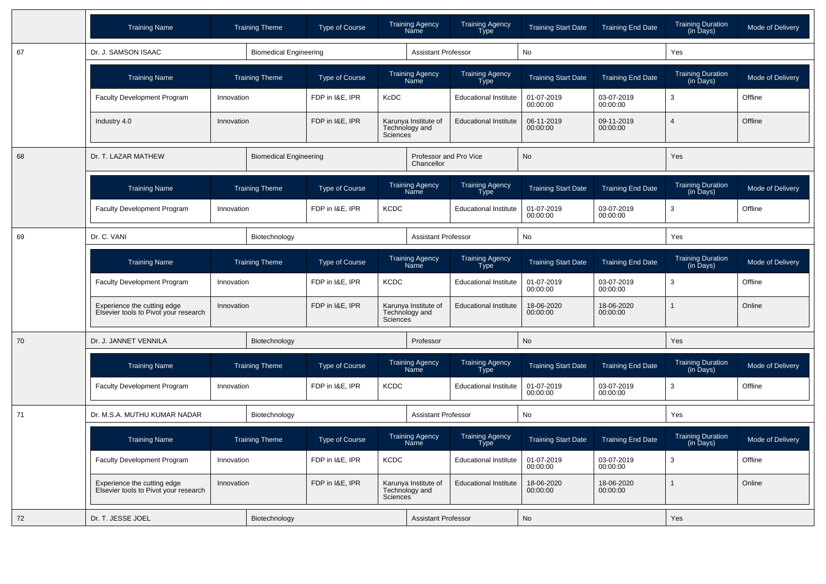|    | <b>Training Name</b>                                                 | <b>Training Theme</b>                    | Type of Course                | <b>Training Agency</b><br>Name                            | <b>Training Agency</b><br><b>Type</b> | <b>Training Start Date</b> | <b>Training End Date</b> | <b>Training Duration</b><br>(in Days)             | Mode of Delivery |
|----|----------------------------------------------------------------------|------------------------------------------|-------------------------------|-----------------------------------------------------------|---------------------------------------|----------------------------|--------------------------|---------------------------------------------------|------------------|
| 67 | Dr. J. SAMSON ISAAC                                                  |                                          | <b>Biomedical Engineering</b> | <b>Assistant Professor</b>                                |                                       | No                         |                          | Yes                                               |                  |
|    | <b>Training Name</b>                                                 | <b>Training Theme</b>                    | <b>Type of Course</b>         | <b>Training Agency</b><br>Name                            | <b>Training Agency</b><br><b>Type</b> | <b>Training Start Date</b> | <b>Training End Date</b> | <b>Training Duration</b><br>$(in \bar{D}$ ays $)$ | Mode of Delivery |
|    | <b>Faculty Development Program</b>                                   | Innovation                               | FDP in I&E, IPR               | KcDC                                                      | <b>Educational Institute</b>          | 01-07-2019<br>00:00:00     | 03-07-2019<br>00:00:00   | 3                                                 | Offline          |
|    | Industry 4.0                                                         | Innovation                               | FDP in I&E, IPR               | Karunya Institute of<br>Technology and<br>Sciences        | <b>Educational Institute</b>          | 06-11-2019<br>00:00:00     | 09-11-2019<br>00:00:00   | $\Delta$                                          | Offline          |
| 68 | Dr. T. LAZAR MATHEW                                                  |                                          | <b>Biomedical Engineering</b> | Professor and Pro Vice<br>Chancellor                      |                                       | <b>No</b>                  |                          | <b>Yes</b>                                        |                  |
|    | <b>Training Name</b>                                                 | <b>Training Theme</b>                    | <b>Type of Course</b>         | Training Agency<br>Name                                   | Training Agency<br>Type               | <b>Training Start Date</b> | <b>Training End Date</b> | Training Duration<br>(in Days)                    | Mode of Delivery |
|    | <b>Faculty Development Program</b>                                   | Innovation                               | FDP in I&E, IPR               | <b>KCDC</b>                                               | <b>Educational Institute</b>          | 01-07-2019<br>00:00:00     | 03-07-2019<br>00:00:00   | 3                                                 | Offline          |
| 69 | Dr. C. VANI                                                          | Biotechnology                            |                               |                                                           | <b>Assistant Professor</b>            |                            | <b>No</b>                |                                                   |                  |
|    | <b>Training Name</b>                                                 | <b>Training Theme</b><br>FDP in I&E. IPR |                               | <b>Training Agency</b><br>Name                            | Training Agency<br>Type               | <b>Training Start Date</b> | <b>Training End Date</b> | <b>Training Duration</b><br>(in Days)             | Mode of Delivery |
|    | Faculty Development Program                                          | Innovation                               |                               | <b>KCDC</b>                                               | <b>Educational Institute</b>          | 01-07-2019<br>00:00:00     | 03-07-2019<br>00:00:00   | 3                                                 | Offline          |
|    | Experience the cutting edge<br>Elsevier tools to Pivot your research | Innovation                               | FDP in I&E, IPR               | Karunya Institute of<br>Technology and<br><b>Sciences</b> | <b>Educational Institute</b>          | 18-06-2020<br>00:00:00     | 18-06-2020<br>00:00:00   |                                                   | Online           |
| 70 | Dr. J. JANNET VENNILA                                                | Biotechnology                            |                               | Professor                                                 |                                       | No                         |                          | Yes                                               |                  |
|    | <b>Training Name</b>                                                 | <b>Training Theme</b>                    | <b>Type of Course</b>         | <b>Training Agency</b><br>Name                            | <b>Training Agency</b><br><b>Type</b> | <b>Training Start Date</b> | <b>Training End Date</b> | <b>Training Duration</b><br>(in Days)             | Mode of Delivery |
|    | <b>Faculty Development Program</b>                                   | Innovation                               | FDP in I&E, IPR               | <b>KCDC</b>                                               | <b>Educational Institute</b>          | 01-07-2019<br>00:00:00     | 03-07-2019<br>00:00:00   | 3                                                 | Offline          |
| 71 | Dr. M.S.A. MUTHU KUMAR NADAR                                         | Biotechnology                            |                               | <b>Assistant Professor</b>                                |                                       | No                         |                          | Yes                                               |                  |
|    | <b>Training Name</b>                                                 | <b>Training Theme</b>                    | <b>Type of Course</b>         | <b>Training Agency</b><br>Name                            | <b>Training Agency</b><br>Type        | <b>Training Start Date</b> | <b>Training End Date</b> | <b>Training Duration</b><br>(in Days)             | Mode of Delivery |
|    | <b>Faculty Development Program</b>                                   | Innovation                               | FDP in I&E, IPR               | <b>KCDC</b>                                               | <b>Educational Institute</b>          | 01-07-2019<br>00:00:00     | 03-07-2019<br>00:00:00   | 3                                                 | Offline          |
|    | Experience the cutting edge<br>Elsevier tools to Pivot your research | Innovation                               | FDP in I&E, IPR               | Karunya Institute of<br>Technology and<br>Sciences        | <b>Educational Institute</b>          | 18-06-2020<br>00:00:00     | 18-06-2020<br>00:00:00   | 1                                                 | Online           |
| 72 | Dr. T. JESSE JOEL                                                    | Biotechnology                            |                               | <b>Assistant Professor</b>                                |                                       | <b>No</b>                  |                          | <b>Yes</b>                                        |                  |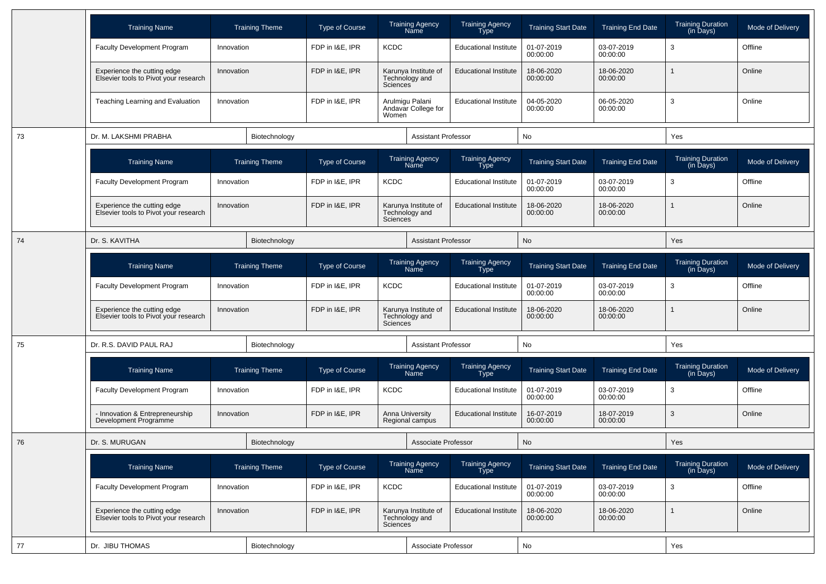|    | <b>Training Name</b>                                                 |            | <b>Training Theme</b> | Type of Course                 |                                | <b>Training Agency</b><br>Name            | <b>Training Agency</b><br><b>Type</b> | <b>Training Start Date</b> | <b>Training End Date</b> | <b>Training Duration</b><br>(in Days)                  | Mode of Delivery |
|----|----------------------------------------------------------------------|------------|-----------------------|--------------------------------|--------------------------------|-------------------------------------------|---------------------------------------|----------------------------|--------------------------|--------------------------------------------------------|------------------|
|    | <b>Faculty Development Program</b>                                   | Innovation |                       | FDP in I&E, IPR                | <b>KCDC</b>                    |                                           | <b>Educational Institute</b>          | 01-07-2019<br>00:00:00     | 03-07-2019<br>00:00:00   | 3                                                      | Offline          |
|    | Experience the cutting edge<br>Elsevier tools to Pivot your research | Innovation |                       | FDP in I&E, IPR                | Sciences                       | Karunya Institute of<br>Technology and    | <b>Educational Institute</b>          | 18-06-2020<br>00:00:00     | 18-06-2020<br>00:00:00   |                                                        | Online           |
|    | Teaching Learning and Evaluation                                     | Innovation |                       | FDP in I&E, IPR                | Women                          | Arulmigu Palani<br>Andavar College for    | <b>Educational Institute</b>          | 04-05-2020<br>00:00:00     | 06-05-2020<br>00:00:00   | 3                                                      | Online           |
| 73 | Dr. M. LAKSHMI PRABHA                                                |            | Biotechnology         |                                |                                | <b>Assistant Professor</b>                |                                       | No                         |                          | Yes                                                    |                  |
|    | <b>Training Name</b>                                                 |            | <b>Training Theme</b> | Type of Course                 |                                | <b>Training Agency</b><br><b>Name</b>     | <b>Training Agency</b><br><b>Type</b> | <b>Training Start Date</b> | <b>Training End Date</b> | <b>Training Duration</b><br>$(in \overline{D}$ ays $)$ | Mode of Delivery |
|    | <b>Faculty Development Program</b>                                   | Innovation |                       | FDP in I&E, IPR                | <b>KCDC</b>                    |                                           | <b>Educational Institute</b>          | 01-07-2019<br>00:00:00     | 03-07-2019<br>00:00:00   | 3                                                      | Offline          |
|    | Experience the cutting edge<br>Elsevier tools to Pivot your research | Innovation |                       | FDP in I&E, IPR                | <b>Sciences</b>                | Karunya Institute of<br>Technology and    | <b>Educational Institute</b>          | 18-06-2020<br>00:00:00     | 18-06-2020<br>00:00:00   |                                                        | Online           |
| 74 | Dr. S. KAVITHA                                                       |            | Biotechnology         |                                |                                | <b>Assistant Professor</b>                |                                       | <b>No</b>                  |                          | Yes                                                    |                  |
|    | <b>Training Name</b>                                                 |            | <b>Training Theme</b> | Type of Course                 | <b>Training Agency</b><br>Name |                                           | <b>Training Agency</b><br><b>Type</b> | <b>Training Start Date</b> | <b>Training End Date</b> | <b>Training Duration</b><br>$(in \bar{D}$ ays $)$      | Mode of Delivery |
|    | <b>Faculty Development Program</b>                                   | Innovation |                       | FDP in I&E, IPR<br><b>KCDC</b> |                                |                                           | <b>Educational Institute</b>          | 01-07-2019<br>00:00:00     | 03-07-2019<br>00:00:00   | 3                                                      | Offline          |
|    | Experience the cutting edge<br>Elsevier tools to Pivot your research | Innovation |                       | FDP in I&E, IPR                | Sciences                       | Karunya Institute of<br>Technology and    | <b>Educational Institute</b>          | 18-06-2020<br>00:00:00     | 18-06-2020<br>00:00:00   |                                                        | Online           |
| 75 | Dr. R.S. DAVID PAUL RAJ                                              |            | Biotechnology         |                                |                                | <b>Assistant Professor</b>                |                                       | <b>No</b>                  |                          | Yes                                                    |                  |
|    | <b>Training Name</b>                                                 |            | <b>Training Theme</b> | Type of Course                 |                                | <b>Training Agency</b><br>Name            | <b>Training Agency</b><br><b>Type</b> | <b>Training Start Date</b> | <b>Training End Date</b> | <b>Training Duration</b><br>(in Days)                  | Mode of Delivery |
|    | <b>Faculty Development Program</b>                                   | Innovation |                       | FDP in I&E, IPR                | <b>KCDC</b>                    |                                           | <b>Educational Institute</b>          | 01-07-2019<br>00:00:00     | 03-07-2019<br>00:00:00   | 3                                                      | Offline          |
|    | - Innovation & Entrepreneurship<br>Development Programme             | Innovation |                       | FDP in I&E, IPR                |                                | <b>Anna University</b><br>Regional campus | <b>Educational Institute</b>          | 16-07-2019<br>00:00:00     | 18-07-2019<br>00:00:00   | 3                                                      | Online           |
| 76 | Dr. S. MURUGAN                                                       |            | Biotechnology         |                                |                                | Associate Professor                       |                                       | No                         |                          | <b>Yes</b>                                             |                  |
|    | <b>Training Name</b>                                                 |            | <b>Training Theme</b> | Type of Course                 |                                | <b>Training Agency</b><br>Name            | Training Agency<br><b>Type</b>        | <b>Training Start Date</b> | <b>Training End Date</b> | Training Duration<br>(in Days)                         | Mode of Delivery |
|    | Faculty Development Program                                          | Innovation |                       | FDP in I&E, IPR                | <b>KCDC</b>                    |                                           | <b>Educational Institute</b>          | 01-07-2019<br>00:00:00     | 03-07-2019<br>00:00:00   | 3                                                      | Offline          |
|    | Experience the cutting edge<br>Elsevier tools to Pivot your research | Innovation |                       | FDP in I&E, IPR                | Sciences <sup>®</sup>          | Karunya Institute of<br>Technology and    | <b>Educational Institute</b>          | 18-06-2020<br>00:00:00     | 18-06-2020<br>00:00:00   |                                                        | Online           |
| 77 | Dr. JIBU THOMAS                                                      |            | Biotechnology         |                                |                                | Associate Professor                       |                                       | No                         |                          | Yes                                                    |                  |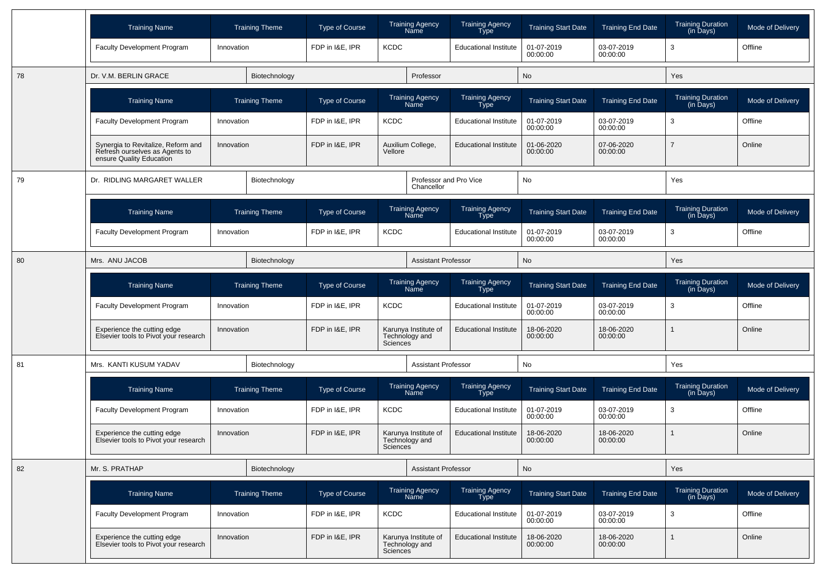|    | <b>Training Name</b>                                                                             |                       | <b>Training Theme</b> | Type of Course  | <b>Training Agency</b><br>Name                                  | <b>Training Agency</b><br>Type | <b>Training Start Date</b> | <b>Training End Date</b> | <b>Training Duration</b><br>(in Days) | Mode of Delivery |
|----|--------------------------------------------------------------------------------------------------|-----------------------|-----------------------|-----------------|-----------------------------------------------------------------|--------------------------------|----------------------------|--------------------------|---------------------------------------|------------------|
|    | <b>Faculty Development Program</b>                                                               | Innovation            |                       | FDP in I&E, IPR | <b>KCDC</b>                                                     | <b>Educational Institute</b>   | 01-07-2019<br>00:00:00     | 03-07-2019<br>00:00:00   | 3                                     | Offline          |
| 78 | Dr. V.M. BERLIN GRACE                                                                            |                       | Biotechnology         |                 | Professor                                                       |                                | No                         |                          | Yes                                   |                  |
|    | <b>Training Name</b>                                                                             |                       | <b>Training Theme</b> | Type of Course  | <b>Training Agency</b><br>Name                                  | <b>Training Agency</b><br>Type | <b>Training Start Date</b> | <b>Training End Date</b> | <b>Training Duration</b><br>(in Days) | Mode of Delivery |
|    | <b>Faculty Development Program</b>                                                               | Innovation            |                       | FDP in I&E, IPR | <b>KCDC</b>                                                     | <b>Educational Institute</b>   | 01-07-2019<br>00:00:00     | 03-07-2019<br>00:00:00   | 3                                     | Offline          |
|    | Synergia to Revitalize, Reform and<br>Refresh ourselves as Agents to<br>ensure Quality Education | Innovation            |                       | FDP in I&E, IPR | Auxilium College,<br>Vellore                                    | <b>Educational Institute</b>   | 01-06-2020<br>00:00:00     | 07-06-2020<br>00:00:00   | 7                                     | Online           |
| 79 | Dr. RIDLING MARGARET WALLER                                                                      |                       | Biotechnology         |                 | Chancellor                                                      | Professor and Pro Vice         | No                         |                          | Yes                                   |                  |
|    | <b>Training Name</b>                                                                             |                       | <b>Training Theme</b> | Type of Course  | <b>Training Agency</b><br>Name                                  | <b>Training Agency</b><br>Type | <b>Training Start Date</b> | <b>Training End Date</b> | <b>Training Duration</b><br>(in Days) | Mode of Delivery |
|    | <b>Faculty Development Program</b>                                                               | Innovation            |                       | FDP in I&E. IPR | <b>KCDC</b>                                                     | <b>Educational Institute</b>   | 01-07-2019<br>00:00:00     | 03-07-2019<br>00:00:00   | 3                                     | Offline          |
| 80 | Mrs. ANU JACOB                                                                                   |                       | Biotechnology         |                 |                                                                 | <b>Assistant Professor</b>     | No                         |                          | Yes                                   |                  |
|    | <b>Training Name</b>                                                                             | <b>Training Theme</b> |                       | Type of Course  | <b>Training Agency</b><br>Name                                  | <b>Training Agency</b><br>Type | <b>Training Start Date</b> | <b>Training End Date</b> | <b>Training Duration</b><br>(in Days) | Mode of Delivery |
|    | <b>Faculty Development Program</b>                                                               | Innovation            |                       | FDP in I&E, IPR | <b>KCDC</b>                                                     | <b>Educational Institute</b>   | 01-07-2019<br>00:00:00     | 03-07-2019<br>00:00:00   | 3                                     | Offline          |
|    | Experience the cutting edge<br>Elsevier tools to Pivot your research                             | Innovation            |                       | FDP in I&E, IPR | Karunya Institute of<br>Technology and<br><b>Sciences</b>       | <b>Educational Institute</b>   | 18-06-2020<br>00:00:00     | 18-06-2020<br>00:00:00   |                                       | Online           |
| 81 | Mrs. KANTI KUSUM YADAV                                                                           |                       | Biotechnology         |                 |                                                                 | <b>Assistant Professor</b>     | No                         |                          | Yes                                   |                  |
|    | <b>Training Name</b>                                                                             |                       | <b>Training Theme</b> | Type of Course  | <b>Training Agency</b><br>Name                                  | <b>Training Agency</b><br>Type | <b>Training Start Date</b> | <b>Training End Date</b> | <b>Training Duration</b><br>(in Days) | Mode of Delivery |
|    | <b>Faculty Development Program</b>                                                               | Innovation            |                       | FDP in I&E, IPR | <b>KCDC</b>                                                     | <b>Educational Institute</b>   | 01-07-2019<br>00:00:00     | 03-07-2019<br>00:00:00   | 3                                     | Offline          |
|    | Experience the cutting edge<br>Elsevier tools to Pivot your research                             | Innovation            |                       | FDP in I&E, IPR | Karunya Institute of<br>Technology and<br><b>Sciences</b>       | <b>Educational Institute</b>   | 18-06-2020<br>00:00:00     | 18-06-2020<br>00:00:00   |                                       | Online           |
| 82 | Mr. S. PRATHAP                                                                                   |                       | Biotechnology         |                 |                                                                 | <b>Assistant Professor</b>     | No                         |                          | Yes                                   |                  |
|    | <b>Training Name</b>                                                                             |                       | <b>Training Theme</b> | Type of Course  | <b>Training Agency</b><br>Name                                  | Training Agency<br>Type        | <b>Training Start Date</b> | <b>Training End Date</b> | Training Duration<br>(in Days)        | Mode of Delivery |
|    | Faculty Development Program                                                                      | Innovation            |                       | FDP in I&E. IPR | <b>KCDC</b>                                                     | <b>Educational Institute</b>   | 01-07-2019<br>00:00:00     | 03-07-2019<br>00:00:00   | $\mathbf{3}$                          | Offline          |
|    | Experience the cutting edge<br>Elsevier tools to Pivot your research                             | Innovation            |                       | FDP in I&E, IPR | Karunya Institute of<br>Technology and<br>Sciences <sup>1</sup> | <b>Educational Institute</b>   | 18-06-2020<br>00:00:00     | 18-06-2020<br>00:00:00   |                                       | Online           |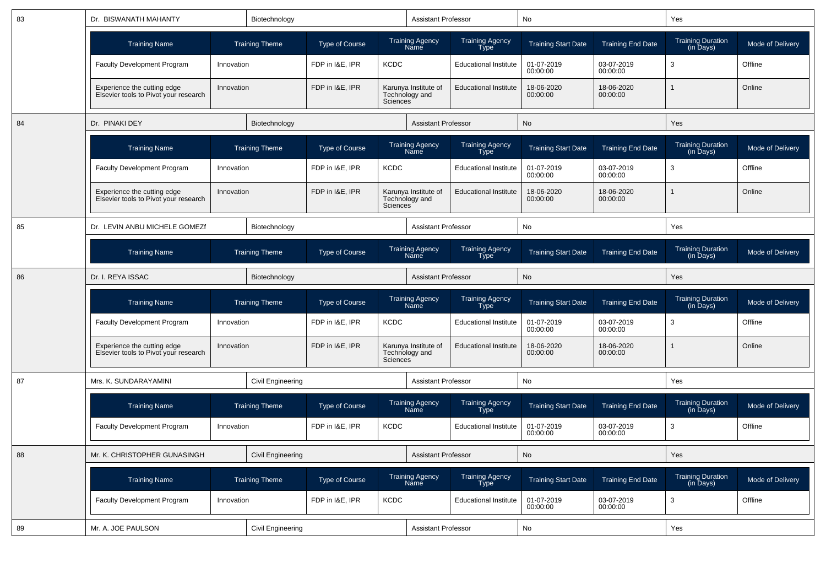| 83 | Dr. BISWANATH MAHANTY                                                | Biotechnology<br><b>Training Theme</b> |                          |                                |                       | <b>Assistant Professor</b>             |                                       | No                         |                          | Yes                                   |                  |
|----|----------------------------------------------------------------------|----------------------------------------|--------------------------|--------------------------------|-----------------------|----------------------------------------|---------------------------------------|----------------------------|--------------------------|---------------------------------------|------------------|
|    | <b>Training Name</b>                                                 |                                        |                          | <b>Type of Course</b>          |                       | <b>Training Agency</b><br>Name         | <b>Training Agency</b><br><b>Type</b> | <b>Training Start Date</b> | <b>Training End Date</b> | <b>Training Duration</b><br>(in Days) | Mode of Delivery |
|    | Faculty Development Program                                          | Innovation                             |                          | FDP in I&E. IPR                | <b>KCDC</b>           |                                        | <b>Educational Institute</b>          | 01-07-2019<br>00:00:00     | 03-07-2019<br>00:00:00   | 3                                     | Offline          |
|    | Experience the cutting edge<br>Elsevier tools to Pivot your research | Innovation                             |                          | FDP in I&E, IPR                | Sciences              | Karunya Institute of<br>Technology and | <b>Educational Institute</b>          | 18-06-2020<br>00:00:00     | 18-06-2020<br>00:00:00   | $\mathbf{1}$                          | Online           |
| 84 | Dr. PINAKI DEY                                                       |                                        | Biotechnology            |                                |                       | <b>Assistant Professor</b>             |                                       | No                         |                          | Yes                                   |                  |
|    | <b>Training Name</b>                                                 |                                        | <b>Training Theme</b>    | <b>Type of Course</b>          |                       | <b>Training Agency</b><br>Name         | <b>Training Agency</b><br>Type        | <b>Training Start Date</b> | <b>Training End Date</b> | Training Duration<br>(in Days)        | Mode of Delivery |
|    | <b>Faculty Development Program</b>                                   | Innovation                             |                          | FDP in I&E, IPR                | <b>KCDC</b>           |                                        | <b>Educational Institute</b>          | 01-07-2019<br>00:00:00     | 03-07-2019<br>00:00:00   | 3                                     | Offline          |
|    | Experience the cutting edge<br>Elsevier tools to Pivot your research | Innovation                             |                          | FDP in I&E, IPR                | Sciences <sup>®</sup> | Karunya Institute of<br>Technology and | <b>Educational Institute</b>          | 18-06-2020<br>00:00:00     | 18-06-2020<br>00:00:00   | $\mathbf{1}$                          | Online           |
| 85 | Dr. LEVIN ANBU MICHELE GOMEZE                                        |                                        | Biotechnology            |                                |                       | <b>Assistant Professor</b>             |                                       | No                         |                          | Yes                                   |                  |
|    | <b>Training Name</b>                                                 |                                        | <b>Training Theme</b>    | <b>Type of Course</b>          |                       | <b>Training Agency</b><br>Name         | Training Agency<br>Type               | <b>Training Start Date</b> | <b>Training End Date</b> | <b>Training Duration</b><br>(in Days) | Mode of Delivery |
| 86 | Dr. I. REYA ISSAC                                                    |                                        | Biotechnology            |                                |                       | <b>Assistant Professor</b>             |                                       | No                         |                          | Yes                                   |                  |
|    | <b>Training Name</b>                                                 |                                        | <b>Training Theme</b>    | <b>Type of Course</b>          |                       | <b>Training Agency</b><br>Name         | <b>Training Agency</b><br>Type        | <b>Training Start Date</b> | <b>Training End Date</b> | <b>Training Duration</b><br>(in Days) | Mode of Delivery |
|    | <b>Faculty Development Program</b>                                   | Innovation                             |                          | FDP in I&E, IPR<br><b>KCDC</b> |                       |                                        | <b>Educational Institute</b>          | 01-07-2019<br>00:00:00     | 03-07-2019<br>00:00:00   | 3                                     | Offline          |
|    | Experience the cutting edge<br>Elsevier tools to Pivot your research | Innovation                             |                          | FDP in I&E, IPR                | Sciences <sup>®</sup> | Karunya Institute of<br>Technology and | <b>Educational Institute</b>          | 18-06-2020<br>00:00:00     | 18-06-2020<br>00:00:00   |                                       | Online           |
| 87 | Mrs. K. SUNDARAYAMINI                                                |                                        | Civil Engineering        |                                |                       | <b>Assistant Professor</b>             |                                       | No                         |                          | Yes                                   |                  |
|    | <b>Training Name</b>                                                 |                                        | <b>Training Theme</b>    | <b>Type of Course</b>          |                       | <b>Training Agency</b><br>Name         | <b>Training Agency</b><br>Type        | <b>Training Start Date</b> | <b>Training End Date</b> | Training Duration<br>(in Days)        | Mode of Delivery |
|    | <b>Faculty Development Program</b>                                   | Innovation                             |                          | FDP in I&E, IPR                | <b>KCDC</b>           |                                        | <b>Educational Institute</b>          | 01-07-2019<br>00:00:00     | 03-07-2019<br>00:00:00   | 3                                     | Offline          |
| 88 | Mr. K. CHRISTOPHER GUNASINGH                                         |                                        | <b>Civil Engineering</b> |                                |                       | Assistant Professor                    |                                       | $\mathsf{No}$              |                          | Yes                                   |                  |
|    | <b>Training Name</b>                                                 |                                        | <b>Training Theme</b>    | Type of Course                 |                       | Training Agency<br>Name                | Training Agency<br>Type               | <b>Training Start Date</b> | <b>Training End Date</b> | Training Duration<br>(in Days)        | Mode of Delivery |
|    | Faculty Development Program                                          | Innovation                             |                          | FDP in I&E, IPR                | KCDC                  |                                        | <b>Educational Institute</b>          | 01-07-2019<br>00:00:00     | 03-07-2019<br>00:00:00   | 3                                     | Offline          |
| 89 | Mr. A. JOE PAULSON                                                   |                                        | Civil Engineering        |                                |                       | Assistant Professor                    |                                       | $\mathsf{No}$              |                          | Yes                                   |                  |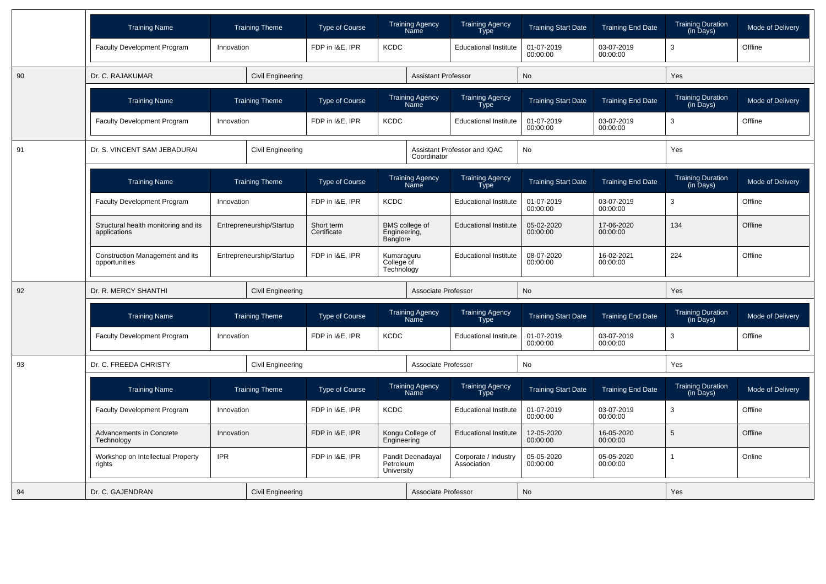|    | <b>Training Name</b>                                 |            | <b>Training Theme</b>    | Type of Course            | <b>Training Agency</b><br>Name               | <b>Training Agency</b><br>Type      | <b>Training Start Date</b> | <b>Training End Date</b> | <b>Training Duration</b><br>(in Days)                  | Mode of Delivery |
|----|------------------------------------------------------|------------|--------------------------|---------------------------|----------------------------------------------|-------------------------------------|----------------------------|--------------------------|--------------------------------------------------------|------------------|
|    | <b>Faculty Development Program</b>                   | Innovation |                          | FDP in I&E, IPR           | <b>KCDC</b>                                  | <b>Educational Institute</b>        | 01-07-2019<br>00:00:00     | 03-07-2019<br>00:00:00   | 3                                                      | Offline          |
| 90 | Dr. C. RAJAKUMAR                                     |            | <b>Civil Engineering</b> |                           | <b>Assistant Professor</b>                   |                                     | <b>No</b>                  |                          | Yes                                                    |                  |
|    | <b>Training Name</b>                                 |            | <b>Training Theme</b>    | Type of Course            | <b>Training Agency</b><br>Name               | <b>Training Agency</b><br>Type      | <b>Training Start Date</b> | <b>Training End Date</b> | <b>Training Duration</b><br>$(in \overline{D}$ ays $)$ | Mode of Delivery |
|    | <b>Faculty Development Program</b>                   | Innovation |                          | FDP in I&E. IPR           | <b>KCDC</b>                                  | <b>Educational Institute</b>        | 01-07-2019<br>00:00:00     | 03-07-2019<br>00:00:00   | 3                                                      | Offline          |
| 91 | Dr. S. VINCENT SAM JEBADURAI                         |            | Civil Engineering        |                           | Coordinator                                  | Assistant Professor and IQAC        | <b>No</b>                  |                          | Yes                                                    |                  |
|    | <b>Training Name</b>                                 |            | <b>Training Theme</b>    | Type of Course            | <b>Training Agency</b><br>Name               | <b>Training Agency</b><br>Type      | <b>Training Start Date</b> | <b>Training End Date</b> | <b>Training Duration</b><br>(in Days)                  | Mode of Delivery |
|    | Faculty Development Program                          | Innovation |                          | FDP in I&E, IPR           | <b>KCDC</b>                                  | <b>Educational Institute</b>        | 01-07-2019<br>00:00:00     | 03-07-2019<br>00:00:00   | 3                                                      | Offline          |
|    | Structural health monitoring and its<br>applications |            | Entrepreneurship/Startup | Short term<br>Certificate | BMS college of<br>Engineering,<br>Banglore   | <b>Educational Institute</b>        | 05-02-2020<br>00:00:00     | 17-06-2020<br>00:00:00   | 134                                                    | Offline          |
|    | Construction Management and its<br>opportunities     |            | Entrepreneurship/Startup | FDP in I&E, IPR           | Kumaraguru<br>College of<br>Technology       | <b>Educational Institute</b>        | 08-07-2020<br>00:00:00     | 16-02-2021<br>00:00:00   | 224                                                    | Offline          |
| 92 | Dr. R. MERCY SHANTHI                                 |            | Civil Engineering        |                           | Associate Professor                          |                                     | <b>No</b>                  |                          | Yes                                                    |                  |
|    | <b>Training Name</b>                                 |            | <b>Training Theme</b>    | Type of Course            | <b>Training Agency</b><br>Name               | <b>Training Agency</b><br>Type      | <b>Training Start Date</b> | <b>Training End Date</b> | <b>Training Duration</b><br>(in Days)                  | Mode of Delivery |
|    | <b>Faculty Development Program</b>                   | Innovation |                          | FDP in I&E, IPR           | <b>KCDC</b>                                  | <b>Educational Institute</b>        | 01-07-2019<br>00:00:00     | 03-07-2019<br>00:00:00   | 3                                                      | Offline          |
| 93 | Dr. C. FREEDA CHRISTY                                |            | Civil Engineering        |                           | Associate Professor                          |                                     | No                         |                          | Yes                                                    |                  |
|    | <b>Training Name</b>                                 |            | <b>Training Theme</b>    | <b>Type of Course</b>     | <b>Training Agency</b><br>Name               | <b>Training Agency</b><br>Type      | <b>Training Start Date</b> | <b>Training End Date</b> | <b>Training Duration</b><br>(in Days)                  | Mode of Delivery |
|    | Faculty Development Program                          | Innovation |                          | FDP in I&E. IPR           | <b>KCDC</b>                                  | <b>Educational Institute</b>        | 01-07-2019<br>00:00:00     | 03-07-2019<br>00:00:00   | 3                                                      | Offline          |
|    | Advancements in Concrete<br>Technology               | Innovation |                          | FDP in I&E, IPR           | Kongu College of<br>Engineering              | <b>Educational Institute</b>        | 12-05-2020<br>00:00:00     | 16-05-2020<br>00:00:00   | 5                                                      | Offline          |
|    | Workshop on Intellectual Property<br>rights          | <b>IPR</b> |                          | FDP in I&E, IPR           | Pandit Deenadayal<br>Petroleum<br>University | Corporate / Industry<br>Association | 05-05-2020<br>00:00:00     | 05-05-2020<br>00:00:00   | 1                                                      | Online           |
| 94 | Dr. C. GAJENDRAN                                     |            | <b>Civil Engineering</b> |                           | Associate Professor                          |                                     | <b>No</b>                  |                          | Yes                                                    |                  |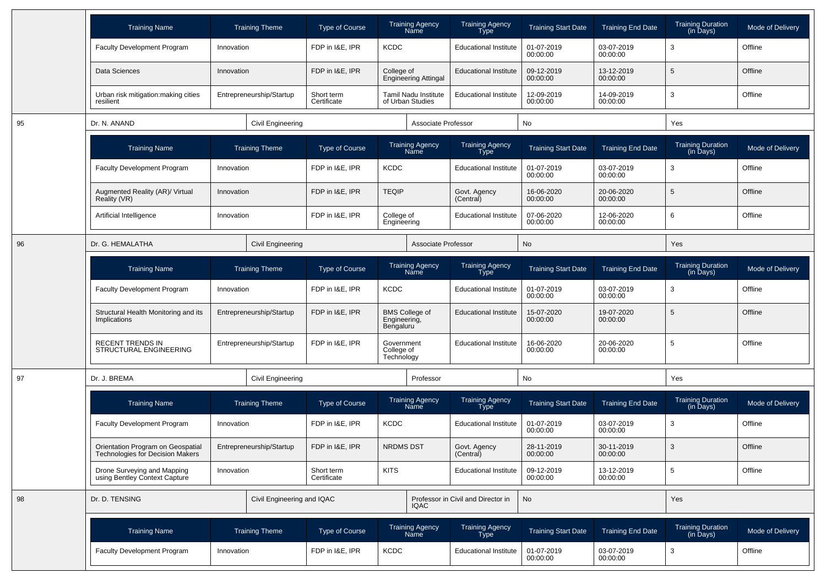|    | <b>Training Name</b>                                                  | <b>Training Theme</b>      | <b>Type of Course</b>     | <b>Training Agency</b><br>Name                     | <b>Training Agency</b><br><b>Type</b> | <b>Training Start Date</b> | <b>Training End Date</b> | <b>Training Duration</b><br>(in Days) | Mode of Delivery |
|----|-----------------------------------------------------------------------|----------------------------|---------------------------|----------------------------------------------------|---------------------------------------|----------------------------|--------------------------|---------------------------------------|------------------|
|    | <b>Faculty Development Program</b>                                    | Innovation                 | FDP in I&E, IPR           | <b>KCDC</b>                                        | <b>Educational Institute</b>          | 01-07-2019<br>00:00:00     | 03-07-2019<br>00:00:00   | 3                                     | Offline          |
|    | Data Sciences                                                         | Innovation                 | FDP in I&E, IPR           | College of<br><b>Engineering Attingal</b>          | <b>Educational Institute</b>          | 09-12-2019<br>00:00:00     | 13-12-2019<br>00:00:00   | 5                                     | Offline          |
|    | Urban risk mitigation: making cities<br>resilient                     | Entrepreneurship/Startup   | Short term<br>Certificate | Tamil Nadu Institute<br>of Urban Studies           | <b>Educational Institute</b>          | 12-09-2019<br>00:00:00     | 14-09-2019<br>00:00:00   | 3                                     | Offline          |
| 95 | Dr. N. ANAND                                                          | <b>Civil Engineering</b>   |                           | Associate Professor                                |                                       | No                         |                          | Yes                                   |                  |
|    | <b>Training Name</b>                                                  | <b>Training Theme</b>      | <b>Type of Course</b>     | <b>Training Agency</b><br>Name                     | <b>Training Agency</b><br><b>Type</b> | <b>Training Start Date</b> | <b>Training End Date</b> | <b>Training Duration</b><br>(in Days) | Mode of Delivery |
|    | <b>Faculty Development Program</b>                                    | Innovation                 | FDP in I&E, IPR           | <b>KCDC</b>                                        | <b>Educational Institute</b>          | 01-07-2019<br>00:00:00     | 03-07-2019<br>00:00:00   | 3                                     | Offline          |
|    | Augmented Reality (AR)/ Virtual<br>Reality (VR)                       | Innovation                 | FDP in I&E, IPR           | <b>TEQIP</b>                                       | Govt. Agency<br>(Central)             | 16-06-2020<br>00:00:00     | 20-06-2020<br>00:00:00   | 5                                     | Offline          |
|    | Artificial Intelligence                                               | Innovation                 | FDP in I&E, IPR           | College of<br>Engineering                          | <b>Educational Institute</b>          | 07-06-2020<br>00:00:00     | 12-06-2020<br>00:00:00   | 6                                     | Offline          |
| 96 | Dr. G. HEMALATHA                                                      | <b>Civil Engineering</b>   |                           | Associate Professor                                |                                       | <b>No</b>                  |                          | Yes                                   |                  |
|    | <b>Training Name</b>                                                  | <b>Training Theme</b>      | <b>Type of Course</b>     | <b>Training Agency</b><br>Name                     | <b>Training Agency</b><br><b>Type</b> | <b>Training Start Date</b> | <b>Training End Date</b> | <b>Training Duration</b><br>(in Days) | Mode of Delivery |
|    | <b>Faculty Development Program</b>                                    | Innovation                 | FDP in I&E, IPR           | <b>KCDC</b>                                        | <b>Educational Institute</b>          | 01-07-2019<br>00:00:00     | 03-07-2019<br>00:00:00   | 3                                     | Offline          |
|    | Structural Health Monitoring and its<br>Implications                  | Entrepreneurship/Startup   | FDP in I&E, IPR           | <b>BMS College of</b><br>Engineering,<br>Bengaluru | <b>Educational Institute</b>          | 15-07-2020<br>00:00:00     | 19-07-2020<br>00:00:00   | 5                                     | Offline          |
|    | RECENT TRENDS IN<br>STRUCTURAL ENGINEERING                            | Entrepreneurship/Startup   | FDP in I&E, IPR           | Government<br>College of<br>Technology             | <b>Educational Institute</b>          | 16-06-2020<br>00:00:00     | 20-06-2020<br>00:00:00   | 5                                     | Offline          |
| 97 | Dr. J. BREMA                                                          | Civil Engineering          |                           | Professor                                          |                                       | No                         |                          | Yes                                   |                  |
|    | <b>Training Name</b>                                                  | <b>Training Theme</b>      | <b>Type of Course</b>     | Training Agency<br>Name                            | Training Agency<br>Type               | <b>Training Start Date</b> | <b>Training End Date</b> | Training Duration<br>(in Days)        | Mode of Delivery |
|    | <b>Faculty Development Program</b>                                    | Innovation                 | FDP in I&E, IPR           | <b>KCDC</b>                                        | <b>Educational Institute</b>          | 01-07-2019<br>00:00:00     | 03-07-2019<br>00:00:00   | 3                                     | Offline          |
|    | Orientation Program on Geospatial<br>Technologies for Decision Makers | Entrepreneurship/Startup   | FDP in I&E, IPR           | <b>NRDMS DST</b>                                   | Govt. Agency<br>(Central)             | 28-11-2019<br>00:00:00     | 30-11-2019<br>00:00:00   | 3                                     | Offline          |
|    | Drone Surveying and Mapping<br>using Bentley Context Capture          | Innovation                 | Short term<br>Certificate | <b>KITS</b>                                        | <b>Educational Institute</b>          | 09-12-2019<br>00:00:00     | 13-12-2019<br>00:00:00   | 5                                     | Offline          |
| 98 | Dr. D. TENSING                                                        | Civil Engineering and IQAC |                           | <b>IQAC</b>                                        | Professor in Civil and Director in    | No                         |                          | Yes                                   |                  |
|    | <b>Training Name</b>                                                  | <b>Training Theme</b>      | Type of Course            | Training Agency<br>Name                            | Training Agency<br>Type               | <b>Training Start Date</b> | <b>Training End Date</b> | Training Duration<br>(in Days)        | Mode of Delivery |
|    | Faculty Development Program                                           | Innovation                 | FDP in I&E, IPR           | KCDC                                               | <b>Educational Institute</b>          | 01-07-2019<br>00:00:00     | 03-07-2019<br>00:00:00   | $\mathbf{3}$                          | Offline          |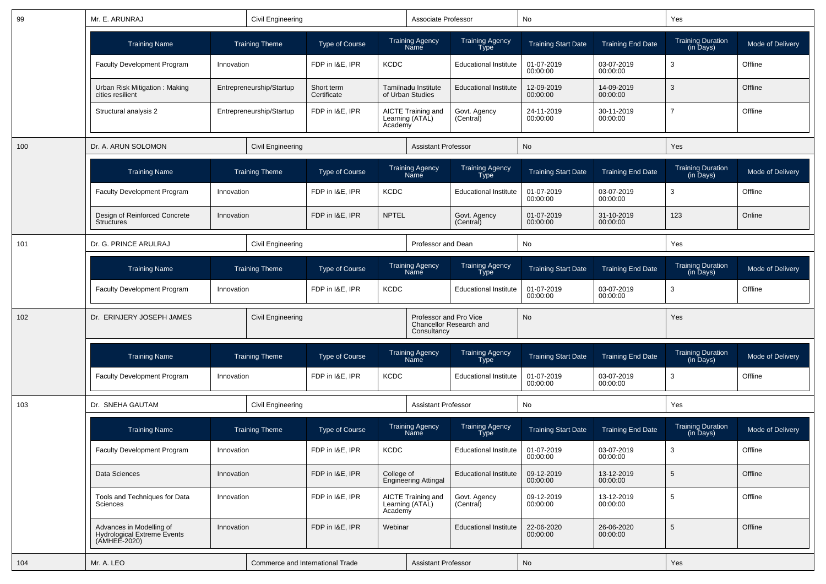| 99  | Mr. E. ARUNRAJ<br>Civil Engineering<br><b>Training Name</b><br><b>Training Theme</b> |            |                                  |                           |                                | Associate Professor                     |                                       | No                         |                          | Yes                                   |                         |
|-----|--------------------------------------------------------------------------------------|------------|----------------------------------|---------------------------|--------------------------------|-----------------------------------------|---------------------------------------|----------------------------|--------------------------|---------------------------------------|-------------------------|
|     |                                                                                      |            |                                  | <b>Type of Course</b>     |                                | <b>Training Agency</b><br><b>Name</b>   | <b>Training Agency</b><br><b>Type</b> | <b>Training Start Date</b> | <b>Training End Date</b> | <b>Training Duration</b><br>(in Days) | Mode of Delivery        |
|     | Faculty Development Program                                                          | Innovation |                                  | FDP in I&E, IPR           | <b>KCDC</b>                    |                                         | <b>Educational Institute</b>          | 01-07-2019<br>00:00:00     | 03-07-2019<br>00:00:00   | 3                                     | Offline                 |
|     | Urban Risk Mitigation: Making<br>cities resilient                                    |            | Entrepreneurship/Startup         | Short term<br>Certificate |                                | Tamilnadu Institute<br>of Urban Studies | <b>Educational Institute</b>          | 12-09-2019<br>00:00:00     | 14-09-2019<br>00:00:00   | 3                                     | Offline                 |
|     | Structural analysis 2                                                                |            | Entrepreneurship/Startup         | FDP in I&E, IPR           | Academy                        | AICTE Training and<br>Learning (ATAL)   | Govt. Agency<br>(Central)             | 24-11-2019<br>00:00:00     | 30-11-2019<br>00:00:00   | $\overline{7}$                        | Offline                 |
| 100 | Dr. A. ARUN SOLOMON                                                                  |            | <b>Civil Engineering</b>         |                           |                                | <b>Assistant Professor</b>              |                                       | No                         |                          | Yes                                   |                         |
|     | <b>Training Name</b>                                                                 |            | <b>Training Theme</b>            | <b>Type of Course</b>     |                                | <b>Training Agency</b><br>Name          | <b>Training Agency</b><br><b>Type</b> | <b>Training Start Date</b> | <b>Training End Date</b> | Training Duration<br>(in Days)        | Mode of Delivery        |
|     | <b>Faculty Development Program</b>                                                   | Innovation |                                  | FDP in I&E, IPR           | <b>KCDC</b>                    |                                         | <b>Educational Institute</b>          | 01-07-2019<br>00:00:00     | 03-07-2019<br>00:00:00   | 3                                     | Offline                 |
|     | Design of Reinforced Concrete<br><b>Structures</b>                                   | Innovation |                                  | FDP in I&E, IPR           | <b>NPTEL</b>                   |                                         | Govt. Agency<br>(Central)             | 01-07-2019<br>00:00:00     | 31-10-2019<br>00:00:00   | 123                                   | Online                  |
| 101 | Dr. G. PRINCE ARULRAJ                                                                |            | Civil Engineering                |                           | Professor and Dean             |                                         |                                       | No                         |                          | Yes                                   |                         |
|     | <b>Training Name</b>                                                                 |            | <b>Training Theme</b>            | <b>Type of Course</b>     | <b>Training Agency</b><br>Name |                                         | Training Agency<br><b>Type</b>        | <b>Training Start Date</b> | <b>Training End Date</b> | <b>Training Duration</b><br>(in Days) | Mode of Delivery        |
|     | <b>Faculty Development Program</b>                                                   | Innovation |                                  | FDP in I&E, IPR           | <b>KCDC</b>                    |                                         | <b>Educational Institute</b>          | 01-07-2019<br>00:00:00     | 03-07-2019<br>00:00:00   | 3                                     | Offline                 |
| 102 | Dr. ERINJERY JOSEPH JAMES                                                            |            | Civil Engineering                |                           |                                | Professor and Pro Vice<br>Consultancy   | Chancellor Research and               | No                         |                          | Yes                                   |                         |
|     | <b>Training Name</b>                                                                 |            | <b>Training Theme</b>            | <b>Type of Course</b>     |                                | Training Agency<br>Name                 | Training Agency<br>Type               | <b>Training Start Date</b> | <b>Training End Date</b> | <b>Training Duration</b><br>(in Days) | Mode of Delivery        |
|     | <b>Faculty Development Program</b>                                                   | Innovation |                                  | FDP in I&E, IPR           | <b>KCDC</b>                    |                                         | <b>Educational Institute</b>          | 01-07-2019<br>00:00:00     | 03-07-2019<br>00:00:00   | 3                                     | Offline                 |
| 103 | Dr. SNEHA GAUTAM                                                                     |            | Civil Engineering                |                           |                                | <b>Assistant Professor</b>              |                                       | No                         |                          | Yes                                   |                         |
|     | <b>Training Name</b>                                                                 |            | <b>Training Theme</b>            | <b>Type of Course</b>     |                                | Training Agency<br>Name                 | Training Agency<br>Type               | <b>Training Start Date</b> | <b>Training End Date</b> | <b>Training Duration</b><br>(in Days) | <b>Mode of Delivery</b> |
|     | <b>Faculty Development Program</b>                                                   | Innovation |                                  | FDP in I&E, IPR           | <b>KCDC</b>                    |                                         | <b>Educational Institute</b>          | 01-07-2019<br>00:00:00     | 03-07-2019<br>00:00:00   | 3                                     | Offline                 |
|     | Data Sciences                                                                        | Innovation |                                  | FDP in I&E, IPR           | College of                     | <b>Engineering Attingal</b>             | <b>Educational Institute</b>          | 09-12-2019<br>00:00:00     | 13-12-2019<br>00:00:00   | $\overline{5}$                        | Offline                 |
|     | Tools and Techniques for Data<br><b>Sciences</b>                                     | Innovation |                                  | FDP in I&E, IPR           | Academy                        | AICTE Training and<br>Learning (ATAL)   | Govt. Agency<br>(Central)             | 09-12-2019<br>00:00:00     | 13-12-2019<br>00:00:00   | 5                                     | Offline                 |
|     | Advances in Modelling of<br><b>Hydrological Extreme Events</b><br>(AMHEE-2020)       | Innovation |                                  | FDP in I&E, IPR           | Webinar                        |                                         | <b>Educational Institute</b>          | 22-06-2020<br>00:00:00     | 26-06-2020<br>00:00:00   | $\overline{5}$                        | Offline                 |
| 104 | Mr. A. LEO                                                                           |            | Commerce and International Trade |                           |                                | <b>Assistant Professor</b>              |                                       | No                         |                          | Yes                                   |                         |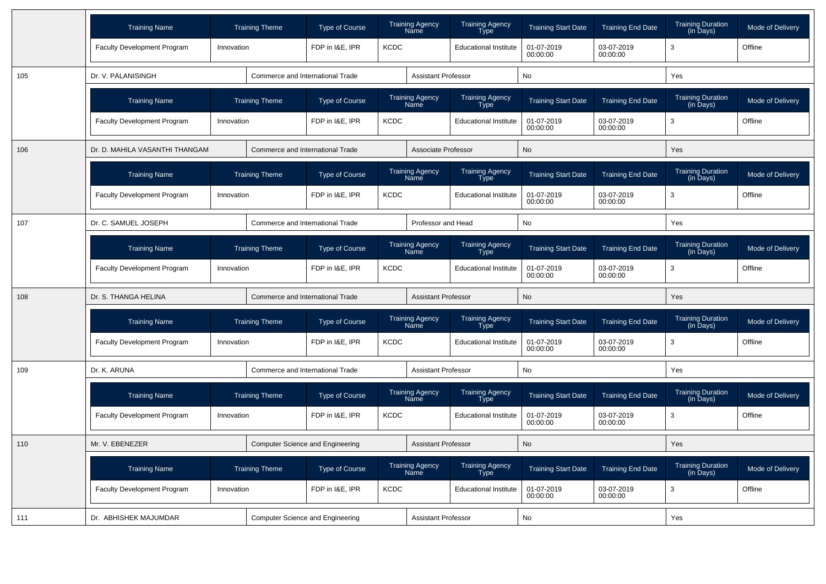|     | <b>Training Name</b>               |            | <b>Training Theme</b>            | <b>Type of Course</b>                   |             | <b>Training Agency</b><br>Name        | <b>Training Agency</b><br>Type        | <b>Training Start Date</b> | <b>Training End Date</b> | <b>Training Duration</b><br>(in Days)                  | Mode of Delivery |
|-----|------------------------------------|------------|----------------------------------|-----------------------------------------|-------------|---------------------------------------|---------------------------------------|----------------------------|--------------------------|--------------------------------------------------------|------------------|
|     | <b>Faculty Development Program</b> | Innovation |                                  | FDP in I&E, IPR                         | <b>KCDC</b> |                                       | <b>Educational Institute</b>          | 01-07-2019<br>00:00:00     | 03-07-2019<br>00:00:00   | 3                                                      | Offline          |
| 105 | Dr. V. PALANISINGH                 |            | Commerce and International Trade |                                         |             | <b>Assistant Professor</b>            |                                       | No                         |                          | Yes                                                    |                  |
|     | <b>Training Name</b>               |            | <b>Training Theme</b>            | <b>Type of Course</b>                   |             | <b>Training Agency</b><br>Name        | <b>Training Agency</b><br>Type        | <b>Training Start Date</b> | <b>Training End Date</b> | <b>Training Duration</b><br>$(in \overline{D}$ ays $)$ | Mode of Delivery |
|     | Faculty Development Program        | Innovation |                                  | FDP in I&E, IPR                         | <b>KCDC</b> |                                       | <b>Educational Institute</b>          | 01-07-2019<br>00:00:00     | 03-07-2019<br>00:00:00   | 3                                                      | Offline          |
| 106 | Dr. D. MAHILA VASANTHI THANGAM     |            | Commerce and International Trade |                                         |             | Associate Professor                   |                                       | <b>No</b>                  |                          | Yes                                                    |                  |
|     | <b>Training Name</b>               |            | <b>Training Theme</b>            | <b>Type of Course</b>                   |             | <b>Training Agency</b><br>Name        | Training Agency<br>Type               | <b>Training Start Date</b> | <b>Training End Date</b> | <b>Training Duration</b><br>(in Days)                  | Mode of Delivery |
|     | <b>Faculty Development Program</b> | Innovation |                                  | FDP in I&E, IPR                         | <b>KCDC</b> |                                       | <b>Educational Institute</b>          | 01-07-2019<br>00:00:00     | 03-07-2019<br>00:00:00   | 3                                                      | Offline          |
| 107 | Dr. C. SAMUEL JOSEPH               |            | Commerce and International Trade |                                         |             | Professor and Head                    |                                       | No                         |                          | Yes                                                    |                  |
|     | <b>Training Name</b>               |            | <b>Training Theme</b>            | <b>Type of Course</b>                   |             | <b>Training Agency</b><br>Name        | Training Agency<br>Type               | <b>Training Start Date</b> | <b>Training End Date</b> | <b>Training Duration</b><br>$(in \overline{D}$ ays $)$ | Mode of Delivery |
|     | <b>Faculty Development Program</b> | Innovation |                                  | <b>KCDC</b><br>FDP in I&E, IPR          |             |                                       | <b>Educational Institute</b>          | 01-07-2019<br>00:00:00     | 03-07-2019<br>00:00:00   | 3                                                      | Offline          |
| 108 | Dr. S. THANGA HELINA               |            | Commerce and International Trade |                                         |             | <b>Assistant Professor</b>            |                                       | No                         |                          | Yes                                                    |                  |
|     | <b>Training Name</b>               |            | <b>Training Theme</b>            | <b>Type of Course</b>                   |             | <b>Training Agency</b><br>Name        | <b>Training Agency</b><br><b>Type</b> | <b>Training Start Date</b> | <b>Training End Date</b> | <b>Training Duration</b><br>(in Days)                  | Mode of Delivery |
|     | Faculty Development Program        | Innovation |                                  | FDP in I&E. IPR                         | <b>KCDC</b> |                                       | <b>Educational Institute</b>          | 01-07-2019<br>00:00:00     | 03-07-2019<br>00:00:00   | 3                                                      | Offline          |
| 109 | Dr. K. ARUNA                       |            | Commerce and International Trade |                                         |             | Assistant Professor                   |                                       | No                         |                          | Yes                                                    |                  |
|     | <b>Training Name</b>               |            | <b>Training Theme</b>            | <b>Type of Course</b>                   |             | <b>Training Agency</b><br><b>Name</b> | <b>Training Agency</b><br><b>Type</b> | <b>Training Start Date</b> | <b>Training End Date</b> | Training Duration<br>(in Days)                         | Mode of Delivery |
|     | <b>Faculty Development Program</b> | Innovation |                                  | FDP in I&E, IPR                         | <b>KCDC</b> |                                       | <b>Educational Institute</b>          | 01-07-2019<br>00:00:00     | 03-07-2019<br>00:00:00   | 3                                                      | Offline          |
| 110 | Mr. V. EBENEZER                    |            |                                  | <b>Computer Science and Engineering</b> |             | <b>Assistant Professor</b>            |                                       | No                         |                          | Yes                                                    |                  |
|     | <b>Training Name</b>               |            | <b>Training Theme</b>            | <b>Type of Course</b>                   |             | <b>Training Agency</b><br>Name        | Training Agency<br><b>Type</b>        | <b>Training Start Date</b> | <b>Training End Date</b> | <b>Training Duration</b><br>(in Days)                  | Mode of Delivery |
|     | Faculty Development Program        | Innovation |                                  | FDP in I&E, IPR                         | <b>KCDC</b> |                                       | <b>Educational Institute</b>          | 01-07-2019<br>00:00:00     | 03-07-2019<br>00:00:00   | 3                                                      | Offline          |
| 111 | Dr. ABHISHEK MAJUMDAR              |            |                                  | <b>Computer Science and Engineering</b> |             | <b>Assistant Professor</b>            |                                       | No                         |                          | Yes                                                    |                  |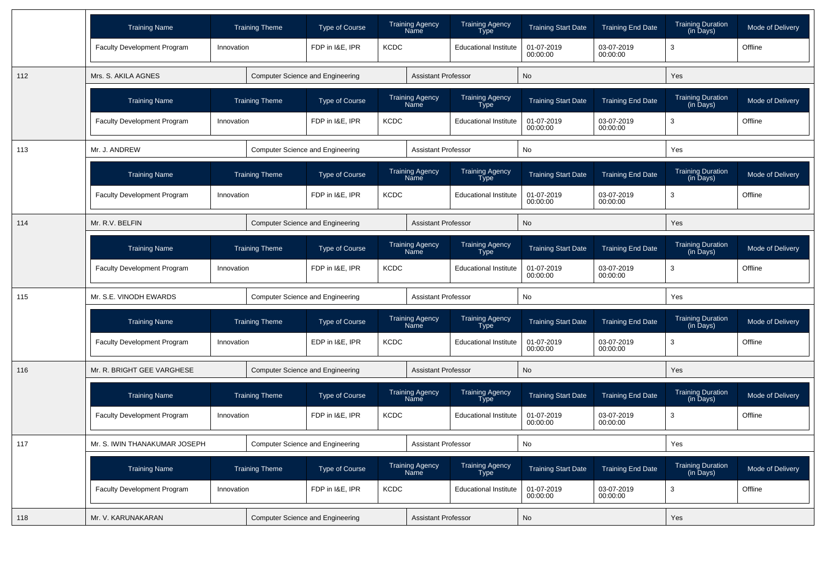|     | <b>Training Name</b>               | <b>Training Theme</b> | Type of Course                          | <b>Training Agency</b><br>Name | <b>Training Agency</b><br>Type        | <b>Training Start Date</b> | <b>Training End Date</b> | <b>Training Duration</b><br>(in Days) | Mode of Delivery |
|-----|------------------------------------|-----------------------|-----------------------------------------|--------------------------------|---------------------------------------|----------------------------|--------------------------|---------------------------------------|------------------|
|     | Faculty Development Program        | Innovation            | FDP in I&E, IPR                         | <b>KCDC</b>                    | <b>Educational Institute</b>          | 01-07-2019<br>00:00:00     | 03-07-2019<br>00:00:00   | 3                                     | Offline          |
| 112 | Mrs. S. AKILA AGNES                |                       | <b>Computer Science and Engineering</b> | <b>Assistant Professor</b>     |                                       | No                         |                          | Yes                                   |                  |
|     | <b>Training Name</b>               | <b>Training Theme</b> | <b>Type of Course</b>                   | <b>Training Agency</b><br>Name | <b>Training Agency</b><br><b>Type</b> | <b>Training Start Date</b> | <b>Training End Date</b> | <b>Training Duration</b><br>(in Days) | Mode of Delivery |
|     | Faculty Development Program        | Innovation            | FDP in I&E, IPR                         | <b>KCDC</b>                    | <b>Educational Institute</b>          | 01-07-2019<br>00:00:00     | 03-07-2019<br>00:00:00   | 3                                     | Offline          |
| 113 | Mr. J. ANDREW                      |                       | <b>Computer Science and Engineering</b> | <b>Assistant Professor</b>     |                                       | No                         |                          | Yes                                   |                  |
|     | <b>Training Name</b>               | <b>Training Theme</b> | <b>Type of Course</b>                   | Training Agency<br>Name        | Training Agency<br>Type               | <b>Training Start Date</b> | <b>Training End Date</b> | <b>Training Duration</b><br>(in Days) | Mode of Delivery |
|     | <b>Faculty Development Program</b> | Innovation            | FDP in I&E, IPR                         | <b>KCDC</b>                    | <b>Educational Institute</b>          | 01-07-2019<br>00:00:00     | 03-07-2019<br>00:00:00   | 3                                     | Offline          |
| 114 | Mr. R.V. BELFIN                    |                       | Computer Science and Engineering        | <b>Assistant Professor</b>     |                                       | <b>No</b>                  |                          | Yes                                   |                  |
|     | <b>Training Name</b>               | <b>Training Theme</b> | <b>Type of Course</b>                   | <b>Training Agency</b><br>Name | Training Agency<br>Type               | <b>Training Start Date</b> | <b>Training End Date</b> | <b>Training Duration</b><br>(in Days) | Mode of Delivery |
|     | Faculty Development Program        | Innovation            | FDP in I&E. IPR                         | <b>KCDC</b>                    | <b>Educational Institute</b>          | 01-07-2019<br>00:00:00     | 03-07-2019<br>00:00:00   | 3                                     | Offline          |
| 115 | Mr. S.E. VINODH EWARDS             |                       | <b>Computer Science and Engineering</b> | <b>Assistant Professor</b>     |                                       | No                         |                          | Yes                                   |                  |
|     | <b>Training Name</b>               | <b>Training Theme</b> | <b>Type of Course</b>                   | <b>Training Agency</b><br>Name | Training Agency<br>Type               | <b>Training Start Date</b> | <b>Training End Date</b> | <b>Training Duration</b><br>(in Days) | Mode of Delivery |
|     | <b>Faculty Development Program</b> | Innovation            | EDP in I&E, IPR                         | <b>KCDC</b>                    | <b>Educational Institute</b>          | 01-07-2019<br>00:00:00     | 03-07-2019<br>00:00:00   | 3                                     | Offline          |
| 116 | Mr. R. BRIGHT GEE VARGHESE         |                       | <b>Computer Science and Engineering</b> | <b>Assistant Professor</b>     |                                       | <b>No</b>                  |                          | Yes                                   |                  |
|     | <b>Training Name</b>               | <b>Training Theme</b> | <b>Type of Course</b>                   | <b>Training Agency</b><br>Name | <b>Training Agency</b><br>Type        | <b>Training Start Date</b> | <b>Training End Date</b> | Training Duration<br>(in Days)        | Mode of Delivery |
|     | Faculty Development Program        | Innovation            | FDP in I&E, IPR                         | <b>KCDC</b>                    | <b>Educational Institute</b>          | 01-07-2019<br>00:00:00     | 03-07-2019<br>00:00:00   | 3                                     | Offline          |
| 117 | Mr. S. IWIN THANAKUMAR JOSEPH      |                       | <b>Computer Science and Engineering</b> | <b>Assistant Professor</b>     |                                       | No                         |                          | Yes                                   |                  |
|     | <b>Training Name</b>               | <b>Training Theme</b> | <b>Type of Course</b>                   | <b>Training Agency</b><br>Name | <b>Training Agency</b><br>Type        | <b>Training Start Date</b> | <b>Training End Date</b> | <b>Training Duration</b><br>(in Days) | Mode of Delivery |
|     | Faculty Development Program        | Innovation            | FDP in I&E, IPR                         | <b>KCDC</b>                    | <b>Educational Institute</b>          | 01-07-2019<br>00:00:00     | 03-07-2019<br>00:00:00   | 3                                     | Offline          |
| 118 | Mr. V. KARUNAKARAN                 |                       | <b>Computer Science and Engineering</b> | <b>Assistant Professor</b>     |                                       | No                         |                          | Yes                                   |                  |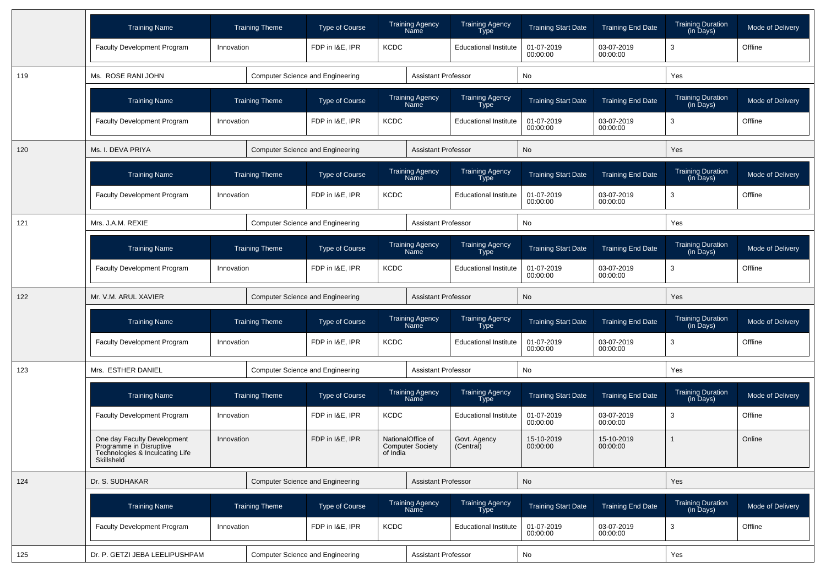|     | <b>Training Name</b>                                                                                    | <b>Training Theme</b> | <b>Type of Course</b>                   |             | <b>Training Agency</b><br>Name               | <b>Training Agency</b><br><b>Type</b> | <b>Training Start Date</b> | <b>Training End Date</b> | Training Duration<br>(in Days)        | Mode of Delivery |
|-----|---------------------------------------------------------------------------------------------------------|-----------------------|-----------------------------------------|-------------|----------------------------------------------|---------------------------------------|----------------------------|--------------------------|---------------------------------------|------------------|
|     | Faculty Development Program                                                                             | Innovation            | FDP in I&E, IPR                         | <b>KCDC</b> |                                              | <b>Educational Institute</b>          | 01-07-2019<br>00:00:00     | 03-07-2019<br>00:00:00   | 3                                     | Offline          |
| 119 | Ms. ROSE RANI JOHN                                                                                      |                       | <b>Computer Science and Engineering</b> |             | <b>Assistant Professor</b>                   |                                       | No                         |                          | Yes                                   |                  |
|     | <b>Training Name</b>                                                                                    | <b>Training Theme</b> | <b>Type of Course</b>                   |             | Training Agency<br>Name                      | <b>Training Agency</b><br><b>Type</b> | <b>Training Start Date</b> | <b>Training End Date</b> | Training Duration<br>(in Days)        | Mode of Delivery |
|     | <b>Faculty Development Program</b>                                                                      | Innovation            | FDP in I&E, IPR                         | <b>KCDC</b> |                                              | <b>Educational Institute</b>          | 01-07-2019<br>00:00:00     | 03-07-2019<br>00:00:00   | 3                                     | Offline          |
| 120 | Ms. I. DEVA PRIYA                                                                                       |                       | <b>Computer Science and Engineering</b> |             | <b>Assistant Professor</b>                   |                                       | No                         |                          | Yes                                   |                  |
|     | <b>Training Name</b>                                                                                    | <b>Training Theme</b> | <b>Type of Course</b>                   |             | <b>Training Agency</b><br><b>Name</b>        | <b>Training Agency</b><br><b>Type</b> | <b>Training Start Date</b> | <b>Training End Date</b> | <b>Training Duration</b><br>(in Days) | Mode of Delivery |
|     | Faculty Development Program                                                                             | Innovation            | FDP in I&E, IPR                         | <b>KCDC</b> |                                              | <b>Educational Institute</b>          | 01-07-2019<br>00:00:00     | 03-07-2019<br>00:00:00   | 3                                     | Offline          |
| 121 | Mrs. J.A.M. REXIE                                                                                       |                       | <b>Computer Science and Engineering</b> |             | <b>Assistant Professor</b>                   |                                       | No                         |                          | Yes                                   |                  |
|     | <b>Training Name</b>                                                                                    | <b>Training Theme</b> | <b>Type of Course</b>                   |             | <b>Training Agency</b><br>Name               | <b>Training Agency</b><br>Type        | <b>Training Start Date</b> | <b>Training End Date</b> | Training Duration<br>(in Days)        | Mode of Delivery |
|     | Faculty Development Program                                                                             | Innovation            | FDP in I&E, IPR                         | <b>KCDC</b> |                                              | <b>Educational Institute</b>          | 01-07-2019<br>00:00:00     | 03-07-2019<br>00:00:00   | 3                                     | Offline          |
| 122 | Mr. V.M. ARUL XAVIER                                                                                    |                       | <b>Computer Science and Engineering</b> |             | <b>Assistant Professor</b>                   |                                       | No                         |                          | Yes                                   |                  |
|     | <b>Training Name</b>                                                                                    | <b>Training Theme</b> | <b>Type of Course</b>                   |             | Training Agency<br>Name                      | Training Agency<br><b>Type</b>        | <b>Training Start Date</b> | <b>Training End Date</b> | Training Duration<br>(in Days)        | Mode of Delivery |
|     | <b>Faculty Development Program</b>                                                                      | Innovation            | FDP in I&E, IPR                         | <b>KCDC</b> |                                              | <b>Educational Institute</b>          | 01-07-2019<br>00:00:00     | 03-07-2019<br>00:00:00   | 3                                     | Offline          |
| 123 | Mrs. ESTHER DANIEL                                                                                      |                       | Computer Science and Engineering        |             | <b>Assistant Professor</b>                   |                                       | No                         |                          | Yes                                   |                  |
|     | <b>Training Name</b>                                                                                    | <b>Training Theme</b> | <b>Type of Course</b>                   |             | <b>Training Agency</b><br>Name               | Training Agency<br>Type               | <b>Training Start Date</b> | <b>Training End Date</b> | Training Duration<br>(in Days)        | Mode of Delivery |
|     | Faculty Development Program                                                                             | Innovation            | FDP in I&E, IPR                         | <b>KCDC</b> |                                              | <b>Educational Institute</b>          | 01-07-2019<br>00:00:00     | 03-07-2019<br>00:00:00   | 3                                     | Offline          |
|     | One day Faculty Development<br>Programme in Disruptive<br>Technologies & Inculcating Life<br>Skillsheld | Innovation            | FDP in I&E, IPR                         | of India    | NationalOffice of<br><b>Computer Society</b> | Govt. Agency<br>(Central)             | 15-10-2019<br>00:00:00     | 15-10-2019<br>00:00:00   | $\overline{1}$                        | Online           |
| 124 | Dr. S. SUDHAKAR                                                                                         |                       | Computer Science and Engineering        |             | <b>Assistant Professor</b>                   |                                       | No                         |                          | Yes                                   |                  |
|     | <b>Training Name</b>                                                                                    | <b>Training Theme</b> | Type of Course                          |             | Training Agency<br>Name                      | Training Agency<br>Type               | <b>Training Start Date</b> | <b>Training End Date</b> | Training Duration<br>(in Days)        | Mode of Delivery |
|     | Faculty Development Program                                                                             | Innovation            | FDP in I&E, IPR                         | <b>KCDC</b> |                                              | <b>Educational Institute</b>          | 01-07-2019<br>00:00:00     | 03-07-2019<br>00:00:00   | 3                                     | Offline          |
| 125 | Dr. P. GETZI JEBA LEELIPUSHPAM                                                                          |                       | Computer Science and Engineering        |             | <b>Assistant Professor</b>                   |                                       | No                         |                          | Yes                                   |                  |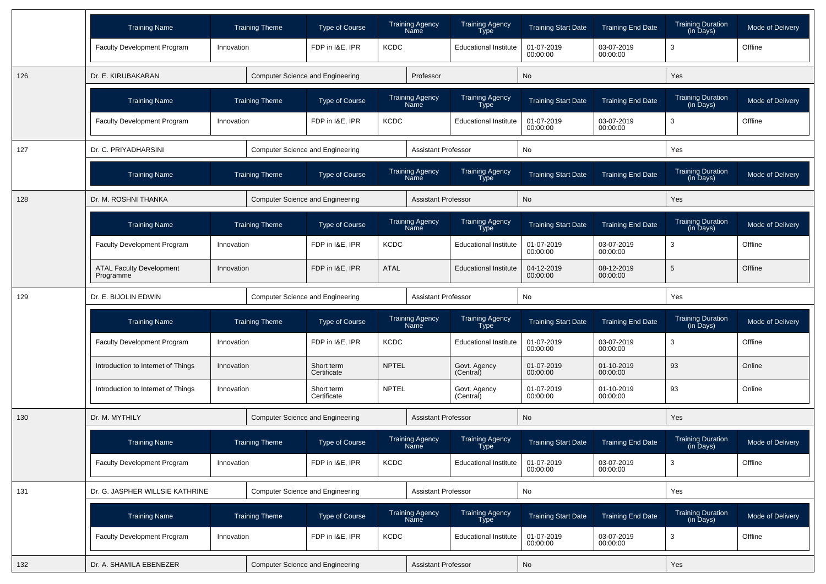|     | <b>Training Name</b>                         |            | <b>Training Theme</b>                   | Type of Course                          |              | <b>Training Agency</b><br>Name | <b>Training Agency</b><br>Type        | <b>Training Start Date</b>                             | <b>Training End Date</b> | <b>Training Duration</b><br>(in Days) | <b>Mode of Delivery</b> |
|-----|----------------------------------------------|------------|-----------------------------------------|-----------------------------------------|--------------|--------------------------------|---------------------------------------|--------------------------------------------------------|--------------------------|---------------------------------------|-------------------------|
|     | <b>Faculty Development Program</b>           | Innovation |                                         | FDP in I&E, IPR                         | <b>KCDC</b>  |                                | <b>Educational Institute</b>          | 01-07-2019<br>00:00:00                                 | 03-07-2019<br>00:00:00   | 3                                     | Offline                 |
| 126 | Dr. E. KIRUBAKARAN                           |            |                                         | <b>Computer Science and Engineering</b> |              | Professor                      |                                       | No                                                     |                          | Yes                                   |                         |
|     | <b>Training Name</b>                         |            | <b>Training Theme</b>                   | Type of Course                          |              | <b>Training Agency</b><br>Name | <b>Training Agency</b><br><b>Type</b> | <b>Training Start Date</b>                             | <b>Training End Date</b> | <b>Training Duration</b><br>(in Days) | Mode of Delivery        |
|     | <b>Faculty Development Program</b>           | Innovation |                                         | FDP in I&E, IPR                         | <b>KCDC</b>  |                                | <b>Educational Institute</b>          | 01-07-2019<br>00:00:00                                 | 03-07-2019<br>00:00:00   | 3                                     | Offline                 |
| 127 | Dr. C. PRIYADHARSINI                         |            |                                         | <b>Computer Science and Engineering</b> |              | <b>Assistant Professor</b>     |                                       | No                                                     |                          | Yes                                   |                         |
|     | <b>Training Name</b>                         |            | <b>Training Theme</b>                   | Type of Course                          |              | <b>Training Agency</b><br>Name | <b>Training Agency</b><br>Type        | <b>Training Start Date</b><br><b>Training End Date</b> |                          | <b>Training Duration</b><br>(in Days) | Mode of Delivery        |
| 128 | Dr. M. ROSHNI THANKA                         |            |                                         | <b>Computer Science and Engineering</b> |              | <b>Assistant Professor</b>     |                                       | No                                                     |                          | Yes                                   |                         |
|     | <b>Training Name</b>                         |            | <b>Training Theme</b>                   | Type of Course                          |              | <b>Training Agency</b><br>Name | <b>Training Agency</b><br>Type        | <b>Training Start Date</b>                             | <b>Training End Date</b> | <b>Training Duration</b><br>(in Days) | Mode of Delivery        |
|     | Faculty Development Program                  | Innovation |                                         | FDP in I&E, IPR                         | <b>KCDC</b>  |                                | <b>Educational Institute</b>          | 01-07-2019<br>00:00:00                                 | 03-07-2019<br>00:00:00   | 3                                     | Offline                 |
|     | <b>ATAL Faculty Development</b><br>Programme | Innovation |                                         | FDP in I&E, IPR                         | <b>ATAL</b>  |                                | <b>Educational Institute</b>          | 04-12-2019<br>08-12-2019<br>00:00:00<br>00:00:00       |                          | 5                                     | Offline                 |
| 129 | Dr. E. BIJOLIN EDWIN                         |            | <b>Computer Science and Engineering</b> |                                         |              | <b>Assistant Professor</b>     |                                       | No                                                     |                          | Yes                                   |                         |
|     | <b>Training Name</b>                         |            | <b>Training Theme</b>                   | Type of Course                          |              | <b>Training Agency</b><br>Name | <b>Training Agency</b><br>Type        | <b>Training Start Date</b>                             | <b>Training End Date</b> | <b>Training Duration</b><br>(in Days) | Mode of Delivery        |
|     | <b>Faculty Development Program</b>           | Innovation |                                         | FDP in I&E, IPR                         | <b>KCDC</b>  |                                | <b>Educational Institute</b>          | 01-07-2019<br>00:00:00                                 | 03-07-2019<br>00:00:00   | 3                                     | Offline                 |
|     | Introduction to Internet of Things           | Innovation |                                         | Short term<br>Certificate               | <b>NPTEL</b> |                                | Govt. Agency<br>(Central)             | 01-07-2019<br>00:00:00                                 | 01-10-2019<br>00:00:00   | 93                                    | Online                  |
|     | Introduction to Internet of Things           | Innovation |                                         | Short term<br>Certificate               | <b>NPTEL</b> |                                | Govt. Agency<br>(Central)             | 01-07-2019<br>00:00:00                                 | 01-10-2019<br>00:00:00   | 93                                    | Online                  |
| 130 | Dr. M. MYTHILY                               |            |                                         | <b>Computer Science and Engineering</b> |              | <b>Assistant Professor</b>     |                                       | No                                                     |                          | Yes                                   |                         |
|     | <b>Training Name</b>                         |            | <b>Training Theme</b>                   | Type of Course                          |              | <b>Training Agency</b><br>Name | <b>Training Agency</b><br>Type        | <b>Training Start Date</b>                             | <b>Training End Date</b> | <b>Training Duration</b><br>(in Days) | Mode of Delivery        |
|     | Faculty Development Program                  | Innovation |                                         | FDP in I&E, IPR                         | <b>KCDC</b>  |                                | <b>Educational Institute</b>          | 01-07-2019<br>00:00:00                                 | 03-07-2019<br>00:00:00   | 3                                     | Offline                 |
| 131 | Dr. G. JASPHER WILLSIE KATHRINE              |            |                                         | <b>Computer Science and Engineering</b> |              | <b>Assistant Professor</b>     |                                       | No                                                     |                          | Yes                                   |                         |
|     | <b>Training Name</b>                         |            | <b>Training Theme</b>                   | Type of Course                          |              | Training Agency<br>Name        | Training Agency<br>Type               | <b>Training Start Date</b>                             | <b>Training End Date</b> | Training Duration<br>(in Days)        | Mode of Delivery        |
|     | Faculty Development Program                  | Innovation |                                         | FDP in I&E, IPR                         | <b>KCDC</b>  |                                | <b>Educational Institute</b>          | 01-07-2019<br>00:00:00                                 | 03-07-2019<br>00:00:00   | 3                                     | Offline                 |
| 132 | Dr. A. SHAMILA EBENEZER                      |            |                                         | <b>Computer Science and Engineering</b> |              | <b>Assistant Professor</b>     |                                       | No                                                     |                          | Yes                                   |                         |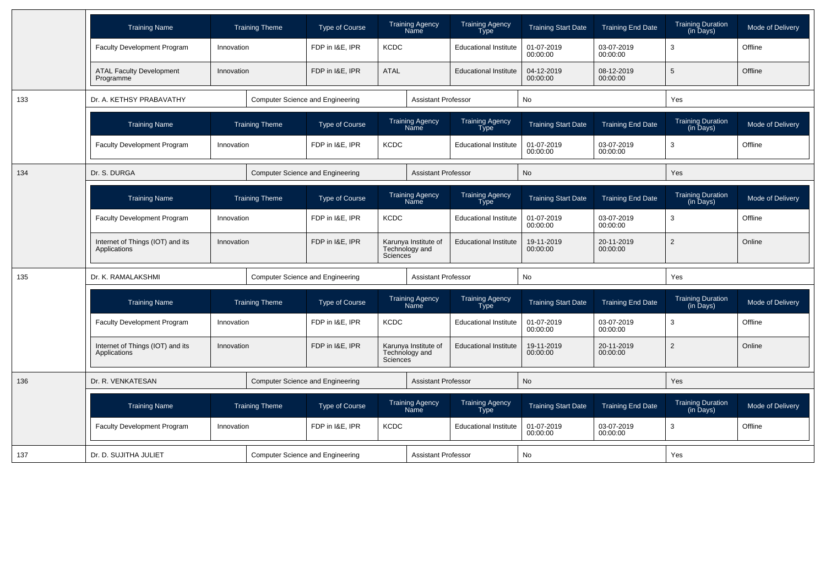|     | <b>Training Name</b>                             |                       | <b>Training Theme</b> | <b>Type of Course</b>                   |                       | <b>Training Agency</b><br><b>Name</b>  | <b>Training Agency</b><br>Type        | <b>Training Start Date</b> | <b>Training End Date</b> | <b>Training Duration</b><br>(in Days)              | Mode of Delivery |
|-----|--------------------------------------------------|-----------------------|-----------------------|-----------------------------------------|-----------------------|----------------------------------------|---------------------------------------|----------------------------|--------------------------|----------------------------------------------------|------------------|
|     | Faculty Development Program                      | Innovation            |                       | FDP in I&E, IPR                         | <b>KCDC</b>           |                                        | <b>Educational Institute</b>          | 01-07-2019<br>00:00:00     | 03-07-2019<br>00:00:00   | 3                                                  | Offline          |
|     | <b>ATAL Faculty Development</b><br>Programme     | Innovation            |                       | FDP in I&E, IPR                         | <b>ATAL</b>           |                                        | <b>Educational Institute</b>          | 04-12-2019<br>00:00:00     | 08-12-2019<br>00:00:00   | 5                                                  | Offline          |
| 133 | Dr. A. KETHSY PRABAVATHY                         |                       |                       | Computer Science and Engineering        |                       | <b>Assistant Professor</b>             |                                       | No                         |                          | Yes                                                |                  |
|     | <b>Training Name</b>                             |                       | <b>Training Theme</b> | <b>Type of Course</b>                   |                       | <b>Training Agency</b><br>Name         | <b>Training Agency</b><br><b>Type</b> | <b>Training Start Date</b> | <b>Training End Date</b> | <b>Training Duration</b><br>$(in \overline{Days})$ | Mode of Delivery |
|     | <b>Faculty Development Program</b>               | Innovation            |                       | FDP in I&E. IPR                         | <b>KCDC</b>           |                                        | <b>Educational Institute</b>          | 01-07-2019<br>00:00:00     | 03-07-2019<br>00:00:00   | 3                                                  | Offline          |
| 134 | Dr. S. DURGA                                     |                       |                       | <b>Computer Science and Engineering</b> |                       | <b>Assistant Professor</b>             |                                       | <b>No</b>                  |                          | Yes                                                |                  |
|     | <b>Training Name</b>                             | <b>Training Theme</b> |                       | <b>Type of Course</b>                   |                       | <b>Training Agency</b><br>Name         | <b>Training Agency</b><br>Type        | <b>Training Start Date</b> | <b>Training End Date</b> | <b>Training Duration</b><br>(in Days)              | Mode of Delivery |
|     | Faculty Development Program                      | Innovation            |                       | FDP in I&E, IPR                         | <b>KCDC</b>           |                                        | <b>Educational Institute</b>          | 01-07-2019<br>00:00:00     | 03-07-2019<br>00:00:00   | 3                                                  | Offline          |
|     | Internet of Things (IOT) and its<br>Applications | Innovation            |                       | FDP in I&E, IPR                         | <b>Sciences</b>       | Karunya Institute of<br>Technology and | <b>Educational Institute</b>          | 19-11-2019<br>00:00:00     | 20-11-2019<br>00:00:00   | $\overline{2}$                                     | Online           |
| 135 | Dr. K. RAMALAKSHMI                               |                       |                       | <b>Computer Science and Engineering</b> |                       | <b>Assistant Professor</b>             |                                       | No                         |                          | Yes                                                |                  |
|     | <b>Training Name</b>                             |                       | <b>Training Theme</b> | <b>Type of Course</b>                   |                       | <b>Training Agency</b><br><b>Name</b>  | <b>Training Agency</b><br><b>Type</b> | <b>Training Start Date</b> | <b>Training End Date</b> | <b>Training Duration</b><br>(in Days)              | Mode of Delivery |
|     | Faculty Development Program                      | Innovation            |                       | FDP in I&E, IPR                         | <b>KCDC</b>           |                                        | <b>Educational Institute</b>          | 01-07-2019<br>00:00:00     | 03-07-2019<br>00:00:00   | 3                                                  | Offline          |
|     | Internet of Things (IOT) and its<br>Applications | Innovation            |                       | FDP in I&E, IPR                         | Sciences <sup>®</sup> | Karunya Institute of<br>Technology and | <b>Educational Institute</b>          | 19-11-2019<br>00:00:00     | 20-11-2019<br>00:00:00   | $\overline{2}$                                     | Online           |
| 136 | Dr. R. VENKATESAN                                |                       |                       | <b>Computer Science and Engineering</b> |                       | <b>Assistant Professor</b>             |                                       | No                         |                          | Yes                                                |                  |
|     | <b>Training Name</b>                             | <b>Training Theme</b> |                       | <b>Type of Course</b>                   |                       | Training Agency<br>Name                | Training Agency<br>Type               | <b>Training Start Date</b> | <b>Training End Date</b> | Training Duration<br>(in Days)                     | Mode of Delivery |
|     | Faculty Development Program                      | Innovation            |                       | FDP in I&E, IPR                         | <b>KCDC</b>           |                                        | <b>Educational Institute</b>          | 01-07-2019<br>00:00:00     | 03-07-2019<br>00:00:00   | 3                                                  | Offline          |
| 137 | Dr. D. SUJITHA JULIET                            |                       |                       | <b>Computer Science and Engineering</b> |                       | <b>Assistant Professor</b>             |                                       | No                         |                          | Yes                                                |                  |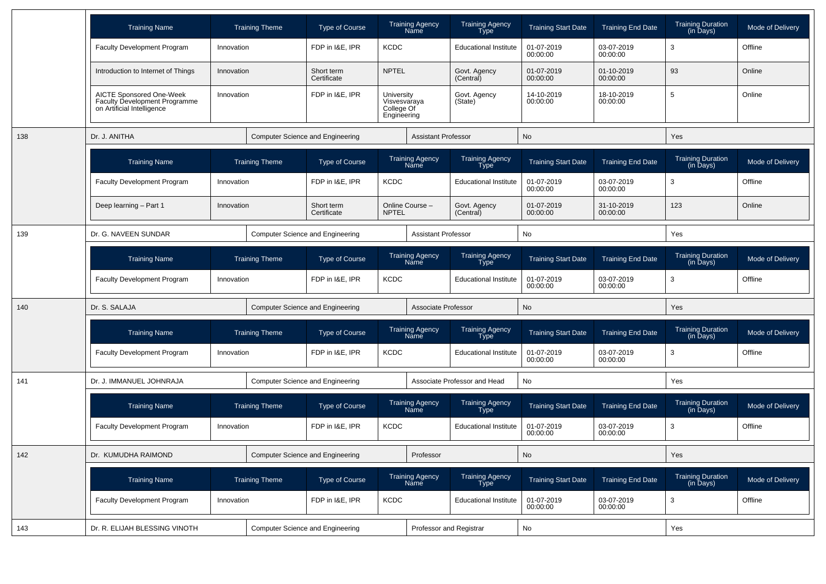|     | <b>Training Name</b>                                                                    |            | <b>Training Theme</b> | <b>Type of Course</b>                   |                                                         | <b>Training Agency</b><br>Name | <b>Training Agency</b><br>Type        | <b>Training Start Date</b> | <b>Training End Date</b> | <b>Training Duration</b><br>(in Days) | <b>Mode of Delivery</b> |
|-----|-----------------------------------------------------------------------------------------|------------|-----------------------|-----------------------------------------|---------------------------------------------------------|--------------------------------|---------------------------------------|----------------------------|--------------------------|---------------------------------------|-------------------------|
|     | <b>Faculty Development Program</b>                                                      | Innovation |                       | FDP in I&E, IPR                         | <b>KCDC</b>                                             |                                | <b>Educational Institute</b>          | 01-07-2019<br>00:00:00     | 03-07-2019<br>00:00:00   | 3                                     | Offline                 |
|     | Introduction to Internet of Things                                                      | Innovation |                       | Short term<br>Certificate               | <b>NPTEL</b>                                            |                                | Govt. Agency<br>(Central)             | 01-07-2019<br>00:00:00     | 01-10-2019<br>00:00:00   | 93                                    | Online                  |
|     | AICTE Sponsored One-Week<br>Faculty Development Programme<br>on Artificial Intelligence | Innovation |                       | FDP in I&E, IPR                         | University<br>Visvesvaraya<br>College Of<br>Engineering |                                | Govt. Agency<br>(State)               | 14-10-2019<br>00:00:00     | 18-10-2019<br>00:00:00   | 5                                     | Online                  |
| 138 | Dr. J. ANITHA                                                                           |            |                       | <b>Computer Science and Engineering</b> |                                                         | <b>Assistant Professor</b>     |                                       | <b>No</b>                  |                          | Yes                                   |                         |
|     | <b>Training Name</b>                                                                    |            | <b>Training Theme</b> | <b>Type of Course</b>                   |                                                         | <b>Training Agency</b><br>Name | <b>Training Agency</b><br><b>Type</b> | <b>Training Start Date</b> | <b>Training End Date</b> | <b>Training Duration</b><br>(in Days) | Mode of Delivery        |
|     | <b>Faculty Development Program</b>                                                      | Innovation |                       | FDP in I&E, IPR                         | <b>KCDC</b>                                             |                                | <b>Educational Institute</b>          | 01-07-2019<br>00:00:00     | 03-07-2019<br>00:00:00   | 3                                     | Offline                 |
|     | Deep learning - Part 1                                                                  | Innovation |                       | Short term<br>Certificate               | <b>NPTEL</b>                                            | Online Course -                | Govt. Agency<br>(Central)             | 01-07-2019<br>00:00:00     | 31-10-2019<br>00:00:00   | 123                                   | Online                  |
| 139 | Dr. G. NAVEEN SUNDAR                                                                    |            |                       | <b>Computer Science and Engineering</b> |                                                         | <b>Assistant Professor</b>     |                                       | No                         |                          | Yes                                   |                         |
|     | <b>Training Name</b>                                                                    |            | <b>Training Theme</b> | <b>Type of Course</b>                   |                                                         | <b>Training Agency</b><br>Name | <b>Training Agency</b><br>Type        | <b>Training Start Date</b> | <b>Training End Date</b> | <b>Training Duration</b><br>(in Days) | Mode of Delivery        |
|     | <b>Faculty Development Program</b>                                                      | Innovation |                       | FDP in I&E, IPR<br><b>KCDC</b>          |                                                         |                                | <b>Educational Institute</b>          | 01-07-2019<br>00:00:00     | 03-07-2019<br>00:00:00   | 3                                     | Offline                 |
| 140 | Dr. S. SALAJA                                                                           |            |                       | <b>Computer Science and Engineering</b> |                                                         | Associate Professor            |                                       | No                         |                          | Yes                                   |                         |
|     | <b>Training Name</b>                                                                    |            | <b>Training Theme</b> | <b>Type of Course</b>                   |                                                         | Training Agency<br>Name        | Training Agency<br>Type               | <b>Training Start Date</b> | <b>Training End Date</b> | Training Duration<br>(in Days)        | Mode of Delivery        |
|     | <b>Faculty Development Program</b>                                                      | Innovation |                       | FDP in I&E, IPR                         | <b>KCDC</b>                                             |                                | <b>Educational Institute</b>          | 01-07-2019<br>00:00:00     | 03-07-2019<br>00:00:00   | 3                                     | Offline                 |
| 141 | Dr. J. IMMANUEL JOHNRAJA                                                                |            |                       | <b>Computer Science and Engineering</b> |                                                         |                                | Associate Professor and Head          | No                         |                          | Yes                                   |                         |
|     | <b>Training Name</b>                                                                    |            | <b>Training Theme</b> | <b>Type of Course</b>                   |                                                         | <b>Training Agency</b><br>Name | <b>Training Agency</b><br>Type        | <b>Training Start Date</b> | <b>Training End Date</b> | <b>Training Duration</b><br>(in Days) | Mode of Delivery        |
|     | <b>Faculty Development Program</b>                                                      | Innovation |                       | FDP in I&E, IPR                         | <b>KCDC</b>                                             |                                | <b>Educational Institute</b>          | 01-07-2019<br>00:00:00     | 03-07-2019<br>00:00:00   | 3                                     | Offline                 |
| 142 | Dr. KUMUDHA RAIMOND                                                                     |            |                       | <b>Computer Science and Engineering</b> |                                                         | Professor                      |                                       | No                         |                          | Yes                                   |                         |
|     | <b>Training Name</b>                                                                    |            | <b>Training Theme</b> | Type of Course                          |                                                         | Training Agency<br>Name        | Training Agency<br>Type               | <b>Training Start Date</b> | <b>Training End Date</b> | Training Duration<br>(in Days)        | Mode of Delivery        |
|     | Faculty Development Program                                                             | Innovation |                       | FDP in I&E, IPR                         | <b>KCDC</b>                                             |                                | <b>Educational Institute</b>          | 01-07-2019<br>00:00:00     | 03-07-2019<br>00:00:00   | 3                                     | Offline                 |
| 143 | Dr. R. ELIJAH BLESSING VINOTH                                                           |            |                       | Computer Science and Engineering        |                                                         | Professor and Registrar        |                                       | No                         |                          | Yes                                   |                         |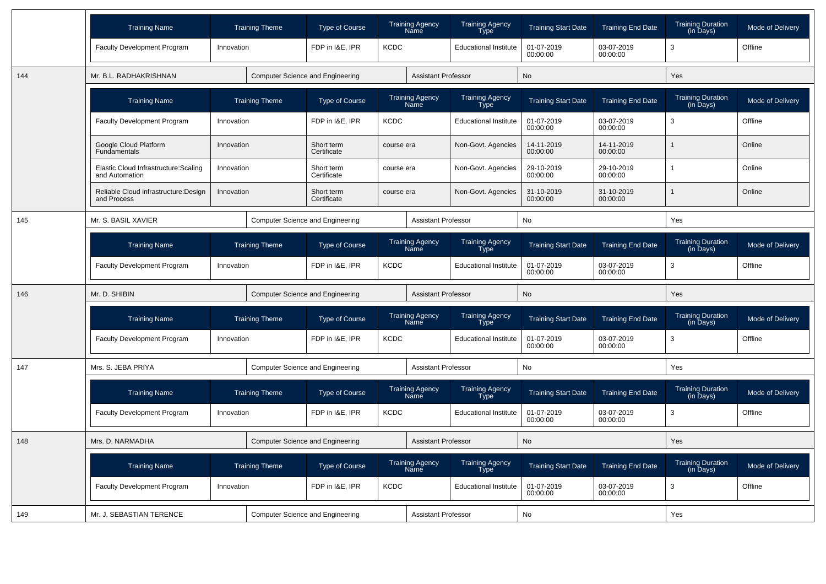|     | <b>Training Name</b>                                    | <b>Training Theme</b> | <b>Type of Course</b>                   | <b>Training Agency</b><br><b>Name</b> | <b>Training Agency</b><br>Type        | <b>Training Start Date</b> | <b>Training End Date</b> | <b>Training Duration</b><br>(in Days)                  | Mode of Delivery |
|-----|---------------------------------------------------------|-----------------------|-----------------------------------------|---------------------------------------|---------------------------------------|----------------------------|--------------------------|--------------------------------------------------------|------------------|
|     | Faculty Development Program                             | Innovation            | FDP in I&E, IPR                         | <b>KCDC</b>                           | <b>Educational Institute</b>          | 01-07-2019<br>00:00:00     | 03-07-2019<br>00:00:00   | 3                                                      | Offline          |
| 144 | Mr. B.L. RADHAKRISHNAN                                  |                       | Computer Science and Engineering        | <b>Assistant Professor</b>            |                                       | <b>No</b>                  |                          | Yes                                                    |                  |
|     | <b>Training Name</b>                                    | <b>Training Theme</b> | <b>Type of Course</b>                   | <b>Training Agency</b><br>Name        | <b>Training Agency</b><br><b>Type</b> | <b>Training Start Date</b> | <b>Training End Date</b> | <b>Training Duration</b><br>(in Days)                  | Mode of Delivery |
|     | Faculty Development Program                             | Innovation            | FDP in I&E, IPR                         | <b>KCDC</b>                           | <b>Educational Institute</b>          | 01-07-2019<br>00:00:00     | 03-07-2019<br>00:00:00   | 3                                                      | Offline          |
|     | Google Cloud Platform<br>Fundamentals                   | Innovation            | Short term<br>Certificate               | course era                            | Non-Govt. Agencies                    | 14-11-2019<br>00:00:00     | 14-11-2019<br>00:00:00   |                                                        | Online           |
|     | Elastic Cloud Infrastructure: Scaling<br>and Automation | Innovation            | Short term<br>Certificate               | course era                            | Non-Govt. Agencies                    | 29-10-2019<br>00:00:00     | 29-10-2019<br>00:00:00   | 1                                                      | Online           |
|     | Reliable Cloud infrastructure: Design<br>and Process    | Innovation            | Short term<br>Certificate               | course era                            | Non-Govt. Agencies                    | 31-10-2019<br>00:00:00     | 31-10-2019<br>00:00:00   |                                                        | Online           |
| 145 | Mr. S. BASIL XAVIER                                     |                       | Computer Science and Engineering        | <b>Assistant Professor</b>            |                                       | No                         |                          | Yes                                                    |                  |
|     | <b>Training Name</b>                                    | <b>Training Theme</b> | <b>Type of Course</b>                   | <b>Training Agency</b><br>Name        | Training Agency<br>Type               | <b>Training Start Date</b> | <b>Training End Date</b> | <b>Training Duration</b><br>(in Days)                  | Mode of Delivery |
|     | Faculty Development Program                             | Innovation            | FDP in I&E, IPR                         | <b>KCDC</b>                           | <b>Educational Institute</b>          | 01-07-2019<br>00:00:00     | 03-07-2019<br>00:00:00   | 3                                                      | Offline          |
| 146 | Mr. D. SHIBIN                                           |                       | Computer Science and Engineering        | <b>Assistant Professor</b>            |                                       | No                         |                          | Yes                                                    |                  |
|     | <b>Training Name</b>                                    | <b>Training Theme</b> | <b>Type of Course</b>                   | <b>Training Agency</b><br>Name        | <b>Training Agency</b><br><b>Type</b> | <b>Training Start Date</b> | <b>Training End Date</b> | <b>Training Duration</b><br>(in Days)                  | Mode of Delivery |
|     | <b>Faculty Development Program</b>                      | Innovation            | FDP in I&E, IPR                         | <b>KCDC</b>                           | <b>Educational Institute</b>          | 01-07-2019<br>00:00:00     | 03-07-2019<br>00:00:00   | 3                                                      | Offline          |
| 147 | Mrs. S. JEBA PRIYA                                      |                       | Computer Science and Engineering        | <b>Assistant Professor</b>            |                                       | No                         |                          | Yes                                                    |                  |
|     | <b>Training Name</b>                                    | <b>Training Theme</b> | <b>Type of Course</b>                   | <b>Training Agency</b><br>Name        | <b>Training Agency</b><br>Type        | <b>Training Start Date</b> | <b>Training End Date</b> | Training Duration<br>(in Days)                         | Mode of Delivery |
|     | Faculty Development Program                             | Innovation            | FDP in I&E. IPR                         | <b>KCDC</b>                           | <b>Educational Institute</b>          | 01-07-2019<br>00:00:00     | 03-07-2019<br>00:00:00   | 3                                                      | Offline          |
| 148 | Mrs. D. NARMADHA                                        |                       | <b>Computer Science and Engineering</b> | <b>Assistant Professor</b>            |                                       | <b>No</b>                  |                          | Yes                                                    |                  |
|     | <b>Training Name</b>                                    | <b>Training Theme</b> | <b>Type of Course</b>                   | <b>Training Agency</b><br>Name        | <b>Training Agency</b><br>Type        | <b>Training Start Date</b> | <b>Training End Date</b> | <b>Training Duration</b><br>$(in \overline{D}$ ays $)$ | Mode of Delivery |
|     | Faculty Development Program                             | Innovation            | FDP in I&E, IPR                         | <b>KCDC</b>                           | <b>Educational Institute</b>          | 01-07-2019<br>00:00:00     | 03-07-2019<br>00:00:00   | 3                                                      | Offline          |
| 149 | Mr. J. SEBASTIAN TERENCE                                |                       | <b>Computer Science and Engineering</b> | <b>Assistant Professor</b>            |                                       | <b>No</b>                  |                          | Yes                                                    |                  |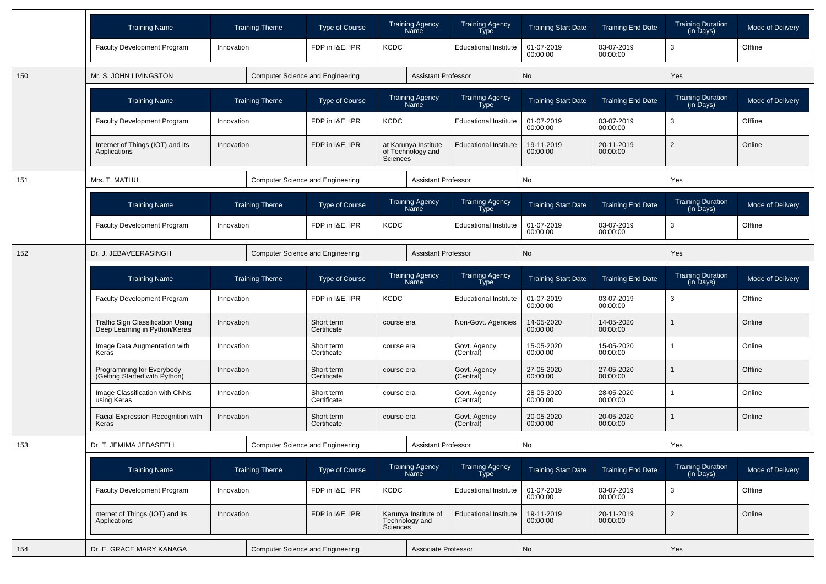|     | <b>Training Name</b>                                               |            | <b>Training Theme</b>                   | <b>Type of Course</b>                   |             | <b>Training Agency</b><br>Name            | <b>Training Agency</b><br>Type | <b>Training Start Date</b> | <b>Training End Date</b> | Training Duration<br>(in Days)                         | Mode of Delivery |
|-----|--------------------------------------------------------------------|------------|-----------------------------------------|-----------------------------------------|-------------|-------------------------------------------|--------------------------------|----------------------------|--------------------------|--------------------------------------------------------|------------------|
|     | <b>Faculty Development Program</b>                                 | Innovation |                                         | FDP in I&E, IPR                         | <b>KCDC</b> |                                           | <b>Educational Institute</b>   | 01-07-2019<br>00:00:00     | 03-07-2019<br>00:00:00   | 3                                                      | Offline          |
| 150 | Mr. S. JOHN LIVINGSTON                                             |            | <b>Computer Science and Engineering</b> |                                         |             | <b>Assistant Professor</b>                |                                | No                         |                          | Yes                                                    |                  |
|     | <b>Training Name</b>                                               |            | <b>Training Theme</b>                   | <b>Type of Course</b>                   |             | Training Agency<br>Name                   | <b>Training Agency</b><br>Type | <b>Training Start Date</b> | <b>Training End Date</b> | <b>Training Duration</b><br>(in Days)                  | Mode of Delivery |
|     | <b>Faculty Development Program</b>                                 | Innovation |                                         | FDP in I&E, IPR                         | <b>KCDC</b> |                                           | <b>Educational Institute</b>   | 01-07-2019<br>00:00:00     | 03-07-2019<br>00:00:00   | 3                                                      | Offline          |
|     | Internet of Things (IOT) and its<br>Applications                   | Innovation |                                         | FDP in I&E, IPR                         | Sciences    | at Karunya Institute<br>of Technology and | <b>Educational Institute</b>   | 19-11-2019<br>00:00:00     | 20-11-2019<br>00:00:00   | $\overline{2}$                                         | Online           |
| 151 | Mrs. T. MATHU                                                      |            |                                         | Computer Science and Engineering        |             | <b>Assistant Professor</b>                |                                | No                         |                          | Yes                                                    |                  |
|     | <b>Training Name</b>                                               |            | <b>Training Theme</b>                   | <b>Type of Course</b>                   |             | Training Agency<br>Name                   | Training Agency<br>Type        | <b>Training Start Date</b> | <b>Training End Date</b> | <b>Training Duration</b><br>$(in \overline{D}$ ays $)$ | Mode of Delivery |
|     | Faculty Development Program                                        | Innovation |                                         | FDP in I&E, IPR                         | <b>KCDC</b> |                                           | <b>Educational Institute</b>   | 01-07-2019<br>00:00:00     | 03-07-2019<br>00:00:00   | 3                                                      | Offline          |
| 152 | Dr. J. JEBAVEERASINGH                                              |            | <b>Computer Science and Engineering</b> |                                         |             | <b>Assistant Professor</b>                |                                | No                         |                          | Yes                                                    |                  |
|     | <b>Training Name</b>                                               |            | <b>Training Theme</b>                   | Type of Course                          |             | Training Agency<br>Name                   | Training Agency<br>Type        | <b>Training Start Date</b> | <b>Training End Date</b> | Training Duration<br>(in Days)                         | Mode of Delivery |
|     | Faculty Development Program                                        | Innovation |                                         | FDP in I&E, IPR                         | <b>KCDC</b> |                                           | <b>Educational Institute</b>   | 01-07-2019<br>00:00:00     | 03-07-2019<br>00:00:00   | 3                                                      | Offline          |
|     | Traffic Sign Classification Using<br>Deep Learning in Python/Keras | Innovation |                                         | Short term<br>Certificate               | course era  |                                           | Non-Govt. Agencies             | 14-05-2020<br>00:00:00     | 14-05-2020<br>00:00:00   |                                                        | Online           |
|     | Image Data Augmentation with<br>Keras                              | Innovation |                                         | Short term<br>Certificate               | course era  |                                           | Govt. Agency<br>(Central)      | 15-05-2020<br>00:00:00     | 15-05-2020<br>00:00:00   |                                                        | Online           |
|     | Programming for Everybody<br>(Getting Started with Python)         | Innovation |                                         | Short term<br>Certificate               | course era  |                                           | Govt. Agency<br>(Central)      | 27-05-2020<br>00:00:00     | 27-05-2020<br>00:00:00   |                                                        | Offline          |
|     | Image Classification with CNNs<br>using Keras                      | Innovation |                                         | Short term<br>Certificate               | course era  |                                           | Govt. Agency<br>(Central)      | 28-05-2020<br>00:00:00     | 28-05-2020<br>00:00:00   |                                                        | Online           |
|     | Facial Expression Recognition with<br>Keras                        | Innovation |                                         | Short term<br>Certificate               | course era  |                                           | Govt. Agency<br>(Central)      | 20-05-2020<br>00:00:00     | 20-05-2020<br>00:00:00   |                                                        | Online           |
| 153 | Dr. T. JEMIMA JEBASEELI                                            |            | <b>Computer Science and Engineering</b> |                                         |             | <b>Assistant Professor</b>                |                                | No                         |                          | Yes                                                    |                  |
|     | <b>Training Name</b>                                               |            | <b>Training Theme</b>                   | Type of Course                          |             | Training Agency<br>Name                   | Training Agency<br>Type        | <b>Training Start Date</b> | <b>Training End Date</b> | Training Duration<br>(in Days)                         | Mode of Delivery |
|     | Faculty Development Program                                        | Innovation |                                         | FDP in I&E, IPR                         | <b>KCDC</b> |                                           | <b>Educational Institute</b>   | 01-07-2019<br>00:00:00     | 03-07-2019<br>00:00:00   | 3                                                      | Offline          |
|     | nternet of Things (IOT) and its<br>Applications                    | Innovation |                                         | FDP in I&E, IPR                         | Sciences    | Karunya Institute of<br>Technology and    | <b>Educational Institute</b>   | 19-11-2019<br>00:00:00     | 20-11-2019<br>00:00:00   | $\overline{2}$                                         | Online           |
| 154 | Dr. E. GRACE MARY KANAGA                                           |            |                                         | <b>Computer Science and Engineering</b> |             | Associate Professor                       |                                | $\mathsf{No}$              |                          | Yes                                                    |                  |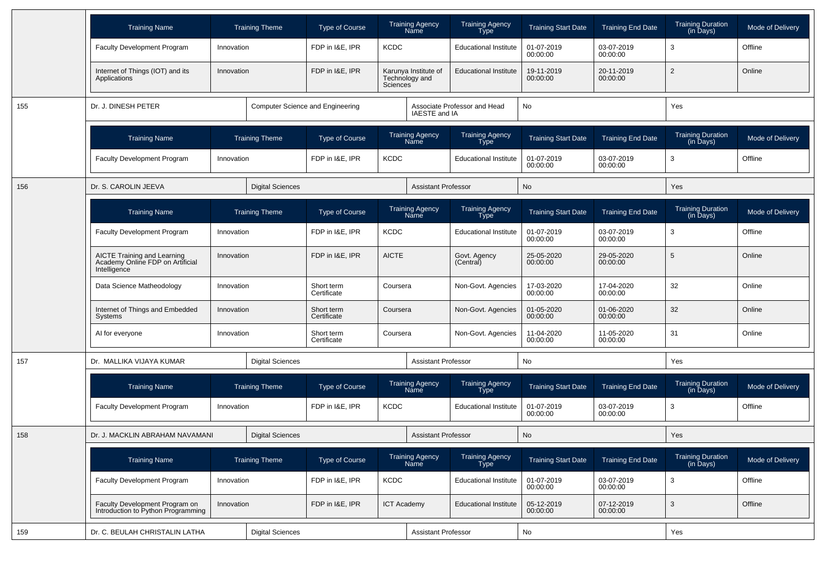|     | <b>Training Name</b>                                                                   |            | <b>Training Theme</b>                   | Type of Course            |                    | <b>Training Agency</b><br>Name         | <b>Training Agency</b><br>Type        | <b>Training Start Date</b> | <b>Training End Date</b> | <b>Training Duration</b><br>(in Days) | <b>Mode of Delivery</b> |
|-----|----------------------------------------------------------------------------------------|------------|-----------------------------------------|---------------------------|--------------------|----------------------------------------|---------------------------------------|----------------------------|--------------------------|---------------------------------------|-------------------------|
|     | <b>Faculty Development Program</b>                                                     | Innovation |                                         | FDP in I&E, IPR           | <b>KCDC</b>        |                                        | <b>Educational Institute</b>          | 01-07-2019<br>00:00:00     | 03-07-2019<br>00:00:00   | 3                                     | Offline                 |
|     | Internet of Things (IOT) and its<br>Applications                                       | Innovation |                                         | FDP in I&E. IPR           | Sciences           | Karunya Institute of<br>Technology and | <b>Educational Institute</b>          | 19-11-2019<br>00:00:00     | 20-11-2019<br>00:00:00   | $\overline{2}$                        | Online                  |
| 155 | Dr. J. DINESH PETER                                                                    |            | <b>Computer Science and Engineering</b> |                           |                    | IAESTE and IA                          | Associate Professor and Head          | No                         |                          | Yes                                   |                         |
|     | <b>Training Name</b>                                                                   |            | <b>Training Theme</b>                   | <b>Type of Course</b>     |                    | <b>Training Agency</b><br>Name         | <b>Training Agency</b><br><b>Type</b> | <b>Training Start Date</b> | <b>Training End Date</b> | <b>Training Duration</b><br>(in Days) | Mode of Delivery        |
|     | <b>Faculty Development Program</b>                                                     | Innovation |                                         | FDP in I&E, IPR           | <b>KCDC</b>        |                                        | <b>Educational Institute</b>          | 01-07-2019<br>00:00:00     | 03-07-2019<br>00:00:00   | 3                                     | Offline                 |
| 156 | Dr. S. CAROLIN JEEVA                                                                   |            | <b>Digital Sciences</b>                 |                           |                    | <b>Assistant Professor</b>             |                                       | No                         |                          | Yes                                   |                         |
|     | <b>Training Name</b>                                                                   |            | <b>Training Theme</b>                   | <b>Type of Course</b>     |                    | <b>Training Agency</b><br>Name         | <b>Training Agency</b><br><b>Type</b> | <b>Training Start Date</b> | <b>Training End Date</b> | <b>Training Duration</b><br>(in Days) | Mode of Delivery        |
|     | <b>Faculty Development Program</b>                                                     | Innovation |                                         | FDP in I&E, IPR           | <b>KCDC</b>        |                                        | <b>Educational Institute</b>          | 01-07-2019<br>00:00:00     | 03-07-2019<br>00:00:00   | 3                                     | Offline                 |
|     | <b>AICTE Training and Learning</b><br>Academy Online FDP on Artificial<br>Intelligence | Innovation |                                         | FDP in I&E, IPR           | <b>AICTE</b>       |                                        | Govt. Agency<br>(Central)             | 25-05-2020<br>00:00:00     | 29-05-2020<br>00:00:00   | 5                                     | Online                  |
|     | Data Science Matheodology                                                              | Innovation |                                         | Short term<br>Certificate | Coursera           |                                        | Non-Govt. Agencies                    | 17-03-2020<br>00:00:00     | 17-04-2020<br>00:00:00   | 32                                    | Online                  |
|     | Internet of Things and Embedded<br>Systems                                             | Innovation |                                         | Short term<br>Certificate | Coursera           |                                        | Non-Govt. Agencies                    | 01-05-2020<br>00:00:00     | 01-06-2020<br>00:00:00   | 32                                    | Online                  |
|     | AI for everyone                                                                        | Innovation |                                         | Short term<br>Certificate | Coursera           |                                        | Non-Govt. Agencies                    | 11-04-2020<br>00:00:00     | 11-05-2020<br>00:00:00   | 31                                    | Online                  |
| 157 | Dr. MALLIKA VIJAYA KUMAR                                                               |            | <b>Digital Sciences</b>                 |                           |                    | <b>Assistant Professor</b>             |                                       | No                         |                          | Yes                                   |                         |
|     | <b>Training Name</b>                                                                   |            | <b>Training Theme</b>                   | <b>Type of Course</b>     |                    | <b>Training Agency</b><br>Name         | <b>Training Agency</b><br>Type        | <b>Training Start Date</b> | <b>Training End Date</b> | <b>Training Duration</b><br>(in Days) | Mode of Delivery        |
|     | <b>Faculty Development Program</b>                                                     | Innovation |                                         | FDP in I&E, IPR           | <b>KCDC</b>        |                                        | <b>Educational Institute</b>          | 01-07-2019<br>00:00:00     | 03-07-2019<br>00:00:00   | 3                                     | Offline                 |
| 158 | Dr. J. MACKLIN ABRAHAM NAVAMANI                                                        |            | <b>Digital Sciences</b>                 |                           |                    | <b>Assistant Professor</b>             |                                       | No                         |                          | Yes                                   |                         |
|     | <b>Training Name</b>                                                                   |            | <b>Training Theme</b>                   | Type of Course            |                    | Training Agency<br>Name                | Training Agency<br>Type               | <b>Training Start Date</b> | <b>Training End Date</b> | Training Duration<br>(in Days)        | Mode of Delivery        |
|     | <b>Faculty Development Program</b>                                                     | Innovation |                                         | FDP in I&E, IPR           | KCDC               |                                        | <b>Educational Institute</b>          | 01-07-2019<br>00:00:00     | 03-07-2019<br>00:00:00   | 3                                     | Offline                 |
|     | Faculty Development Program on<br>Introduction to Python Programming                   | Innovation |                                         | FDP in I&E, IPR           | <b>ICT Academy</b> |                                        | <b>Educational Institute</b>          | 05-12-2019<br>00:00:00     | 07-12-2019<br>00:00:00   | $\mathbf{3}$                          | Offline                 |
| 159 | Dr. C. BEULAH CHRISTALIN LATHA                                                         |            | <b>Digital Sciences</b>                 |                           |                    | <b>Assistant Professor</b>             |                                       | No                         |                          | Yes                                   |                         |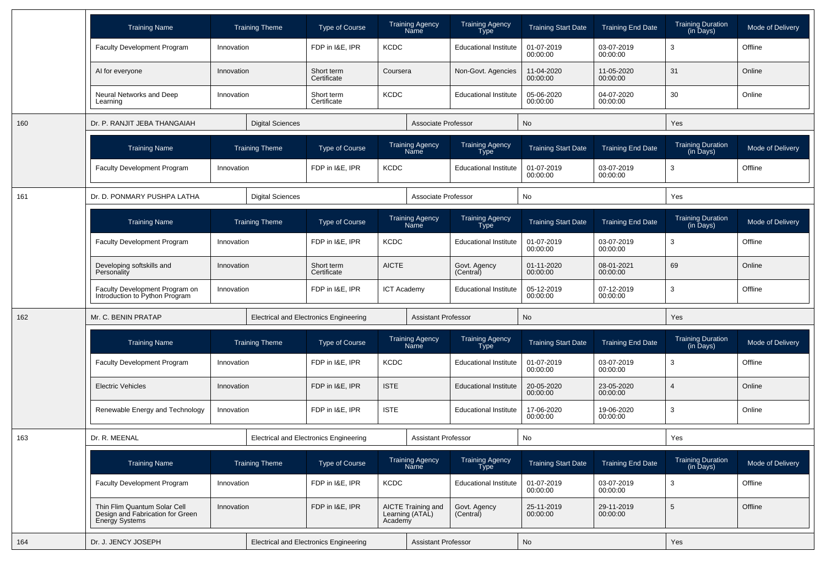|     | <b>Training Name</b>                                                                      | <b>Training Theme</b>   |                                               | <b>Type of Course</b>                         | <b>Training Agency</b><br><b>Name</b>            |                                | <b>Training Agency</b><br>Type        | <b>Training Start Date</b> | <b>Training End Date</b> | <b>Training Duration</b><br>(in Days)             | Mode of Delivery |
|-----|-------------------------------------------------------------------------------------------|-------------------------|-----------------------------------------------|-----------------------------------------------|--------------------------------------------------|--------------------------------|---------------------------------------|----------------------------|--------------------------|---------------------------------------------------|------------------|
|     | <b>Faculty Development Program</b>                                                        | Innovation              |                                               | FDP in I&E, IPR                               | <b>KCDC</b>                                      |                                | <b>Educational Institute</b>          | 01-07-2019<br>00:00:00     | 03-07-2019<br>00:00:00   | 3                                                 | Offline          |
|     | Al for everyone<br>Innovation                                                             |                         |                                               | Short term<br>Certificate                     | Coursera                                         | Non-Govt. Agencies             |                                       | 11-04-2020<br>00:00:00     | 11-05-2020<br>00:00:00   | 31                                                | Online           |
|     | Neural Networks and Deep<br>Learning                                                      | Innovation              |                                               | <b>KCDC</b><br>Short term<br>Certificate      |                                                  |                                | <b>Educational Institute</b>          | 05-06-2020<br>00:00:00     | 04-07-2020<br>00:00:00   | 30                                                | Online           |
| 160 | Dr. P. RANJIT JEBA THANGAIAH                                                              | <b>Digital Sciences</b> |                                               |                                               |                                                  | Associate Professor            | No                                    |                            |                          | Yes                                               |                  |
|     | <b>Training Name</b>                                                                      | <b>Training Theme</b>   |                                               | <b>Type of Course</b>                         | <b>Training Agency</b><br>Name                   |                                | <b>Training Agency</b><br>Type        | <b>Training Start Date</b> | <b>Training End Date</b> | <b>Training Duration</b><br>(in Days)             | Mode of Delivery |
|     | <b>Faculty Development Program</b>                                                        | Innovation              |                                               | FDP in I&E, IPR                               | <b>KCDC</b>                                      |                                | <b>Educational Institute</b>          | 01-07-2019<br>00:00:00     | 03-07-2019<br>00:00:00   | 3                                                 | Offline          |
| 161 | Dr. D. PONMARY PUSHPA LATHA                                                               |                         | <b>Digital Sciences</b>                       |                                               |                                                  | Associate Professor            |                                       | No                         |                          | Yes                                               |                  |
|     | <b>Training Name</b>                                                                      | <b>Training Theme</b>   |                                               | <b>Type of Course</b>                         |                                                  | <b>Training Agency</b><br>Name | <b>Training Agency</b><br><b>Type</b> | <b>Training Start Date</b> | <b>Training End Date</b> | <b>Training Duration</b><br>$(in \bar{D}$ ays $)$ | Mode of Delivery |
|     | <b>Faculty Development Program</b>                                                        | Innovation              |                                               | FDP in I&E, IPR                               | <b>KCDC</b>                                      |                                | <b>Educational Institute</b>          | 01-07-2019<br>00:00:00     | 03-07-2019<br>00:00:00   | 3                                                 | Offline          |
|     | Developing softskills and<br>Personality                                                  | Innovation              |                                               | Short term<br>Certificate                     | <b>AICTE</b>                                     |                                | Govt. Agency<br>(Central)             | 01-11-2020<br>00:00:00     | 08-01-2021<br>00:00:00   | 69                                                | Online           |
|     | Faculty Development Program on<br>Introduction to Python Program                          | Innovation              |                                               | FDP in I&E, IPR                               | <b>ICT Academy</b>                               |                                | <b>Educational Institute</b>          | 05-12-2019<br>00:00:00     | 07-12-2019<br>00:00:00   | 3                                                 | Offline          |
| 162 | Mr. C. BENIN PRATAP                                                                       |                         | <b>Electrical and Electronics Engineering</b> |                                               | <b>Assistant Professor</b>                       |                                | No                                    |                            | Yes                      |                                                   |                  |
|     | <b>Training Name</b>                                                                      | <b>Training Theme</b>   |                                               | <b>Type of Course</b>                         | <b>Training Agency</b><br>Name                   |                                | <b>Training Agency</b><br>Type        | <b>Training Start Date</b> | <b>Training End Date</b> | <b>Training Duration</b><br>(in Days)             | Mode of Delivery |
|     | <b>Faculty Development Program</b>                                                        | Innovation              |                                               | FDP in I&E, IPR                               | <b>KCDC</b>                                      |                                | <b>Educational Institute</b>          | 01-07-2019<br>00:00:00     | 03-07-2019<br>00:00:00   | 3                                                 | Offline          |
|     | <b>Electric Vehicles</b>                                                                  | Innovation              |                                               | FDP in I&E, IPR                               | <b>ISTE</b>                                      |                                | <b>Educational Institute</b>          | 20-05-2020<br>00:00:00     | 23-05-2020<br>00:00:00   | $\overline{4}$                                    | Online           |
|     | Renewable Energy and Technology                                                           | Innovation              |                                               | FDP in I&E, IPR                               | <b>ISTE</b>                                      |                                | <b>Educational Institute</b>          | 17-06-2020<br>00:00:00     | 19-06-2020<br>00:00:00   | 3                                                 | Online           |
| 163 | Dr. R. MEENAL                                                                             |                         |                                               | <b>Electrical and Electronics Engineering</b> |                                                  | <b>Assistant Professor</b>     |                                       | No                         |                          | Yes                                               |                  |
|     | <b>Training Name</b>                                                                      |                         | <b>Training Theme</b>                         | Type of Course                                |                                                  | <b>Training Agency</b><br>Name | Training Agency<br>Type <sup>-</sup>  | <b>Training Start Date</b> | <b>Training End Date</b> | <b>Training Duration</b><br>(in Days)             | Mode of Delivery |
|     | Faculty Development Program                                                               | Innovation              |                                               | FDP in I&E, IPR                               | <b>KCDC</b>                                      |                                | <b>Educational Institute</b>          | 01-07-2019<br>00:00:00     | 03-07-2019<br>00:00:00   | 3                                                 | Offline          |
|     | Thin Flim Quantum Solar Cell<br>Design and Fabrication for Green<br><b>Energy Systems</b> | Innovation              |                                               | FDP in I&E, IPR                               | AICTE Training and<br>Learning (ATAL)<br>Academy |                                | Govt. Agency<br>(Central)             | 25-11-2019<br>00:00:00     | 29-11-2019<br>00:00:00   | $\,$ 5 $\,$                                       | Offline          |
| 164 | Dr. J. JENCY JOSEPH                                                                       |                         |                                               | <b>Electrical and Electronics Engineering</b> |                                                  | <b>Assistant Professor</b>     |                                       | No                         |                          | Yes                                               |                  |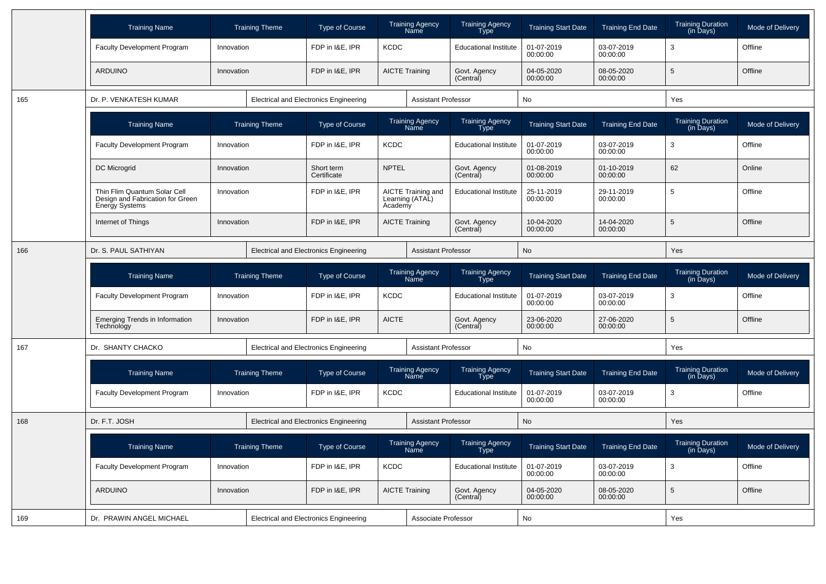|     | <b>Training Name</b>                                                                      | <b>Training Theme</b>                         |                       | <b>Type of Course</b>                         |                                                                      | <b>Training Agency</b><br>Name        | <b>Training Agency</b><br><b>Type</b> | <b>Training Start Date</b> | <b>Training End Date</b> | <b>Training Duration</b><br>(in Days)                  | Mode of Delivery |
|-----|-------------------------------------------------------------------------------------------|-----------------------------------------------|-----------------------|-----------------------------------------------|----------------------------------------------------------------------|---------------------------------------|---------------------------------------|----------------------------|--------------------------|--------------------------------------------------------|------------------|
|     | <b>Faculty Development Program</b>                                                        | Innovation                                    |                       | FDP in I&E. IPR                               | <b>KCDC</b>                                                          |                                       | <b>Educational Institute</b>          | 01-07-2019<br>00:00:00     | 03-07-2019<br>00:00:00   | 3                                                      | Offline          |
|     | <b>ARDUINO</b>                                                                            | Innovation                                    |                       | FDP in I&E, IPR                               |                                                                      | <b>AICTE Training</b>                 | Govt. Agency<br>(Central)             | 04-05-2020<br>00:00:00     | 08-05-2020<br>00:00:00   | 5                                                      | Offline          |
| 165 | Dr. P. VENKATESH KUMAR                                                                    |                                               |                       | <b>Electrical and Electronics Engineering</b> |                                                                      | <b>Assistant Professor</b>            |                                       | <b>No</b>                  |                          | Yes                                                    |                  |
|     | <b>Training Name</b>                                                                      | <b>Training Theme</b>                         |                       | <b>Type of Course</b>                         |                                                                      | <b>Training Agency</b><br>Name        | <b>Training Agency</b><br><b>Type</b> | <b>Training Start Date</b> | <b>Training End Date</b> | Training Duration<br>(in Days)                         | Mode of Delivery |
|     | <b>Faculty Development Program</b>                                                        | Innovation                                    |                       | FDP in I&E, IPR                               | <b>KCDC</b>                                                          |                                       | <b>Educational Institute</b>          | 01-07-2019<br>00:00:00     | 03-07-2019<br>00:00:00   | 3                                                      | Offline          |
|     | DC Microgrid                                                                              | Innovation                                    |                       | Short term<br>Certificate                     | <b>NPTEL</b>                                                         |                                       | Govt. Agency<br>(Central)             | 01-08-2019<br>00:00:00     | 01-10-2019<br>00:00:00   | 62                                                     | Online           |
|     | Thin Flim Quantum Solar Cell<br>Design and Fabrication for Green<br><b>Energy Systems</b> | Innovation                                    |                       | FDP in I&E, IPR                               | AICTE Training and<br>Learning (ATAL)<br>Academy                     |                                       | <b>Educational Institute</b>          | 25-11-2019<br>00:00:00     | 29-11-2019<br>00:00:00   | 5                                                      | Offline          |
|     | Internet of Things                                                                        | Innovation                                    |                       | FDP in I&E, IPR                               |                                                                      | <b>AICTE Training</b>                 | Govt. Agency<br>(Central)             | 10-04-2020<br>00:00:00     | 14-04-2020<br>00:00:00   | 5                                                      | Offline          |
| 166 | Dr. S. PAUL SATHIYAN                                                                      |                                               |                       | <b>Electrical and Electronics Engineering</b> |                                                                      | <b>Assistant Professor</b>            |                                       | <b>No</b>                  |                          | Yes                                                    |                  |
|     | <b>Training Name</b>                                                                      | <b>Training Theme</b>                         |                       | Type of Course                                |                                                                      | Training Agency<br>Name               | Training Agency<br>Type               | <b>Training Start Date</b> | <b>Training End Date</b> | Training Duration<br>(in Days)                         | Mode of Delivery |
|     | <b>Faculty Development Program</b>                                                        | Innovation                                    |                       | FDP in I&E, IPR                               | <b>KCDC</b>                                                          |                                       | <b>Educational Institute</b>          | 01-07-2019<br>00:00:00     | 03-07-2019<br>00:00:00   | 3                                                      | Offline          |
|     | <b>Emerging Trends in Information</b><br>Technology                                       | Innovation                                    |                       | FDP in I&E, IPR                               | <b>AICTE</b>                                                         |                                       | Govt. Agency<br>(Central)             | 23-06-2020<br>00:00:00     | 27-06-2020<br>00:00:00   | 5                                                      | Offline          |
| 167 | Dr. SHANTY CHACKO                                                                         | <b>Electrical and Electronics Engineering</b> |                       |                                               |                                                                      | <b>Assistant Professor</b>            |                                       | No                         |                          | Yes                                                    |                  |
|     | <b>Training Name</b>                                                                      |                                               | <b>Training Theme</b> | <b>Type of Course</b>                         |                                                                      | <b>Training Agency</b><br>Name        | Training Agency<br><b>Type</b>        | <b>Training Start Date</b> | <b>Training End Date</b> | <b>Training Duration</b><br>(in Days)                  | Mode of Delivery |
|     | Faculty Development Program                                                               | Innovation                                    |                       | FDP in I&E, IPR<br><b>KCDC</b>                |                                                                      |                                       | <b>Educational Institute</b>          | 01-07-2019<br>00:00:00     | 03-07-2019<br>00:00:00   | 3                                                      | Offline          |
| 168 | Dr. F.T. JOSH                                                                             |                                               |                       | <b>Electrical and Electronics Engineering</b> |                                                                      | <b>Assistant Professor</b>            |                                       | <b>No</b>                  |                          | Yes                                                    |                  |
|     | <b>Training Name</b>                                                                      | <b>Training Theme</b>                         |                       | <b>Type of Course</b>                         |                                                                      | <b>Training Agency</b><br><b>Name</b> | Training Agency<br>Type               | <b>Training Start Date</b> | <b>Training End Date</b> | <b>Training Duration</b><br>$(in \overline{D}$ ays $)$ | Mode of Delivery |
|     | <b>Faculty Development Program</b>                                                        | Innovation                                    |                       | FDP in I&E, IPR                               | <b>KCDC</b>                                                          |                                       | <b>Educational Institute</b>          | 01-07-2019<br>00:00:00     | 03-07-2019<br>00:00:00   | 3                                                      | Offline          |
|     | <b>ARDUINO</b>                                                                            | Innovation                                    |                       | FDP in I&E, IPR                               |                                                                      | <b>AICTE Training</b>                 | Govt. Agency<br>(Central)             | 04-05-2020<br>00:00:00     | 08-05-2020<br>00:00:00   | 5                                                      | Offline          |
| 169 | Dr. PRAWIN ANGEL MICHAEL                                                                  |                                               |                       |                                               | <b>Electrical and Electronics Engineering</b><br>Associate Professor |                                       |                                       | No                         |                          | Yes                                                    |                  |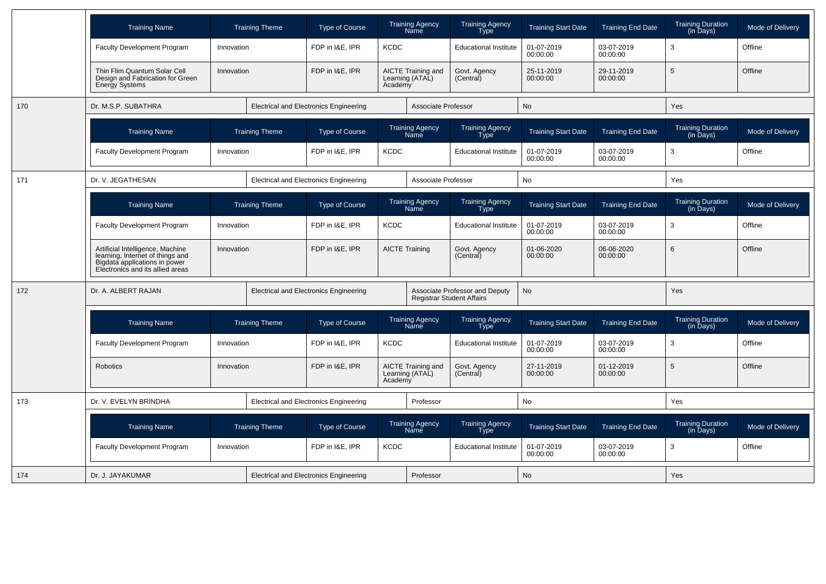|     | <b>Training Name</b>                                                                                                                      |            | <b>Training Theme</b> | <b>Type of Course</b>                         |                         | <b>Training Agency</b><br>Name        | <b>Training Agency</b><br>Type | <b>Training Start Date</b> | <b>Training End Date</b> | <b>Training Duration</b><br>$(in \bar{D}$ ays $)$   | Mode of Delivery |
|-----|-------------------------------------------------------------------------------------------------------------------------------------------|------------|-----------------------|-----------------------------------------------|-------------------------|---------------------------------------|--------------------------------|----------------------------|--------------------------|-----------------------------------------------------|------------------|
|     | Faculty Development Program                                                                                                               | Innovation |                       | FDP in I&E, IPR                               | <b>KCDC</b>             |                                       | <b>Educational Institute</b>   | 01-07-2019<br>00:00:00     | 03-07-2019<br>00:00:00   | 3                                                   | Offline          |
|     | Thin Flim Quantum Solar Cell<br>Design and Fabrication for Green<br><b>Energy Systems</b>                                                 | Innovation |                       | FDP in I&E. IPR                               | Academy                 | AICTE Training and<br>Learning (ATAL) | Govt. Agency<br>(Central)      | 25-11-2019<br>00:00:00     | 29-11-2019<br>00:00:00   | 5                                                   | Offline          |
| 170 | Dr. M.S.P. SUBATHRA                                                                                                                       |            |                       | <b>Electrical and Electronics Engineering</b> |                         | Associate Professor                   |                                | No                         |                          | Yes                                                 |                  |
|     | <b>Training Name</b>                                                                                                                      |            | <b>Training Theme</b> | <b>Type of Course</b>                         |                         | <b>Training Agency</b><br>Nāme        | <b>Training Agency</b><br>Type | <b>Training Start Date</b> | <b>Training End Date</b> | <b>Training Duration</b><br>$(in \overline{D}$ ays) | Mode of Delivery |
|     | <b>Faculty Development Program</b>                                                                                                        | Innovation |                       | FDP in I&E, IPR                               | <b>KCDC</b>             |                                       | <b>Educational Institute</b>   | 01-07-2019<br>00:00:00     | 03-07-2019<br>00:00:00   | 3                                                   | Offline          |
| 171 | Dr. V. JEGATHESAN                                                                                                                         |            |                       | <b>Electrical and Electronics Engineering</b> |                         | Associate Professor                   |                                | <b>No</b>                  |                          | Yes                                                 |                  |
|     | <b>Training Name</b>                                                                                                                      |            | <b>Training Theme</b> | <b>Type of Course</b>                         | Training Agency<br>Name |                                       | Training Agency<br>Type        | <b>Training Start Date</b> | <b>Training End Date</b> | Training Duration<br>(in Days)                      | Mode of Delivery |
|     | <b>Faculty Development Program</b>                                                                                                        | Innovation |                       | FDP in I&E, IPR<br><b>KCDC</b>                |                         |                                       | <b>Educational Institute</b>   | 01-07-2019<br>00:00:00     | 03-07-2019<br>00:00:00   | 3                                                   | Offline          |
|     | Artificial Intelligence, Machine<br>learning, Internet of things and<br>Bigdata applications in power<br>Electronics and its allied areas | Innovation |                       | FDP in I&E, IPR<br><b>AICTE Training</b>      |                         |                                       | Govt. Agency<br>(Central)      | 01-06-2020<br>00:00:00     | 06-06-2020<br>00:00:00   | 6                                                   | Offline          |
| 172 | Dr. A. ALBERT RAJAN                                                                                                                       |            |                       | <b>Electrical and Electronics Engineering</b> |                         | <b>Registrar Student Affairs</b>      | Associate Professor and Deputy | No                         |                          | Yes                                                 |                  |
|     | <b>Training Name</b>                                                                                                                      |            | <b>Training Theme</b> | <b>Type of Course</b>                         |                         | <b>Training Agency</b><br>Name        | <b>Training Agency</b><br>Type | <b>Training Start Date</b> | <b>Training End Date</b> | <b>Training Duration</b><br>(in Days)               | Mode of Delivery |
|     | <b>Faculty Development Program</b>                                                                                                        | Innovation |                       | FDP in I&E. IPR                               | <b>KCDC</b>             |                                       | <b>Educational Institute</b>   | 01-07-2019<br>00:00:00     | 03-07-2019<br>00:00:00   | 3                                                   | Offline          |
|     | <b>Robotics</b>                                                                                                                           | Innovation |                       | FDP in I&E, IPR                               | Academy                 | AICTE Training and<br>Learning (ATAL) | Govt. Agency<br>(Central)      | 27-11-2019<br>00:00:00     | 01-12-2019<br>00:00:00   | 5                                                   | Offline          |
| 173 | Dr. V. EVELYN BRINDHA                                                                                                                     |            |                       | <b>Electrical and Electronics Engineering</b> |                         | Professor                             |                                | No                         |                          | Yes                                                 |                  |
|     | <b>Training Name</b>                                                                                                                      |            | <b>Training Theme</b> | <b>Type of Course</b>                         |                         | <b>Training Agency</b><br>Name        | <b>Training Agency</b><br>Type | <b>Training Start Date</b> | <b>Training End Date</b> | <b>Training Duration</b><br>$(in \overline{D}$ ays) | Mode of Delivery |
|     | <b>Faculty Development Program</b>                                                                                                        | Innovation |                       | FDP in I&E. IPR                               | <b>KCDC</b>             |                                       | <b>Educational Institute</b>   | 01-07-2019<br>00:00:00     | 03-07-2019<br>00:00:00   | 3                                                   | Offline          |
| 174 | Dr. J. JAYAKUMAR                                                                                                                          |            |                       | <b>Electrical and Electronics Engineering</b> |                         | Professor                             |                                | No                         |                          | Yes                                                 |                  |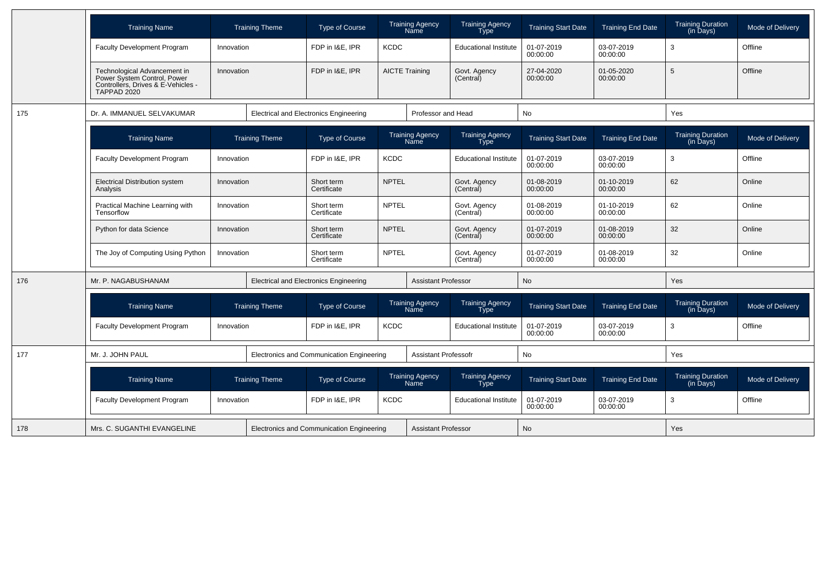|     | <b>Training Name</b>                                                                                             |            | <b>Training Theme</b> | <b>Type of Course</b>                         |              | <b>Training Agency</b><br>Name | <b>Training Agency</b><br>Type        | <b>Training Start Date</b> | <b>Training End Date</b> | <b>Training Duration</b><br>(in Days)                  | Mode of Delivery |
|-----|------------------------------------------------------------------------------------------------------------------|------------|-----------------------|-----------------------------------------------|--------------|--------------------------------|---------------------------------------|----------------------------|--------------------------|--------------------------------------------------------|------------------|
|     | <b>Faculty Development Program</b>                                                                               | Innovation |                       | FDP in I&E, IPR                               | <b>KCDC</b>  |                                | <b>Educational Institute</b>          | 01-07-2019<br>00:00:00     | 03-07-2019<br>00:00:00   | 3                                                      | Offline          |
|     | Technological Advancement in<br>Power System Control, Power<br>Controllers, Drives & E-Vehicles -<br>TAPPAD 2020 | Innovation |                       | FDP in I&E. IPR                               |              | <b>AICTE Training</b>          | Govt. Agency<br>(Central)             | 27-04-2020<br>00:00:00     | 01-05-2020<br>00:00:00   | 5                                                      | Offline          |
| 175 | Dr. A. IMMANUEL SELVAKUMAR                                                                                       |            |                       | <b>Electrical and Electronics Engineering</b> |              | Professor and Head             |                                       | No                         |                          | Yes                                                    |                  |
|     | <b>Training Name</b>                                                                                             |            | <b>Training Theme</b> | <b>Type of Course</b>                         |              | <b>Training Agency</b><br>Name | <b>Training Agency</b><br>Type        | <b>Training Start Date</b> | <b>Training End Date</b> | Training Duration<br>(in Days)                         | Mode of Delivery |
|     | Faculty Development Program                                                                                      | Innovation |                       | FDP in I&E, IPR                               | <b>KCDC</b>  |                                | <b>Educational Institute</b>          | 01-07-2019<br>00:00:00     | 03-07-2019<br>00:00:00   | 3                                                      | Offline          |
|     | <b>Electrical Distribution system</b><br>Analysis                                                                | Innovation |                       | Short term<br>Certificate                     | <b>NPTEL</b> |                                | Govt. Agency<br>(Central)             | 01-08-2019<br>00:00:00     | 01-10-2019<br>00:00:00   | 62                                                     | Online           |
|     | Practical Machine Learning with<br>Tensorflow                                                                    | Innovation |                       | Short term<br>Certificate                     | <b>NPTEL</b> |                                | Govt. Agency<br>(Central)             | 01-08-2019<br>00:00:00     | 01-10-2019<br>00:00:00   | 62                                                     | Online           |
|     | Python for data Science                                                                                          | Innovation |                       | Short term<br>Certificate                     | <b>NPTEL</b> |                                | Govt. Agency<br>(Central)             | 01-07-2019<br>00:00:00     | 01-08-2019<br>00:00:00   | 32                                                     | Online           |
|     | The Joy of Computing Using Python                                                                                | Innovation |                       | Short term<br>Certificate                     | NPTEL        |                                | Govt. Agency<br>(Central)             | 01-07-2019<br>00:00:00     | 01-08-2019<br>00:00:00   | 32                                                     | Online           |
| 176 | Mr. P. NAGABUSHANAM                                                                                              |            |                       | <b>Electrical and Electronics Engineering</b> |              | <b>Assistant Professor</b>     |                                       | <b>No</b>                  |                          | Yes                                                    |                  |
|     | <b>Training Name</b>                                                                                             |            | <b>Training Theme</b> | Type of Course                                |              | <b>Training Agency</b><br>Name | <b>Training Agency</b><br>Type        | <b>Training Start Date</b> | <b>Training End Date</b> | <b>Training Duration</b><br>$(in \overline{D}$ ays $)$ | Mode of Delivery |
|     | Faculty Development Program                                                                                      | Innovation |                       | FDP in I&E, IPR                               | <b>KCDC</b>  |                                | <b>Educational Institute</b>          | 01-07-2019<br>00:00:00     | 03-07-2019<br>00:00:00   | 3                                                      | Offline          |
| 177 | Mr. J. JOHN PAUL                                                                                                 |            |                       | Electronics and Communication Engineering     |              | <b>Assistant Professofr</b>    |                                       | <b>No</b>                  |                          | Yes                                                    |                  |
|     | <b>Training Name</b>                                                                                             |            | <b>Training Theme</b> | <b>Type of Course</b>                         |              | <b>Training Agency</b><br>Name | <b>Training Agency</b><br><b>Type</b> | <b>Training Start Date</b> | <b>Training End Date</b> | <b>Training Duration</b><br>(in Days)                  | Mode of Delivery |
|     | Faculty Development Program                                                                                      | Innovation |                       | FDP in I&E, IPR                               | <b>KCDC</b>  |                                | <b>Educational Institute</b>          | 01-07-2019<br>00:00:00     | 03-07-2019<br>00:00:00   | 3                                                      | Offline          |
| 178 | Mrs. C. SUGANTHI EVANGELINE                                                                                      |            |                       | Electronics and Communication Engineering     |              | <b>Assistant Professor</b>     |                                       | <b>No</b>                  |                          | Yes                                                    |                  |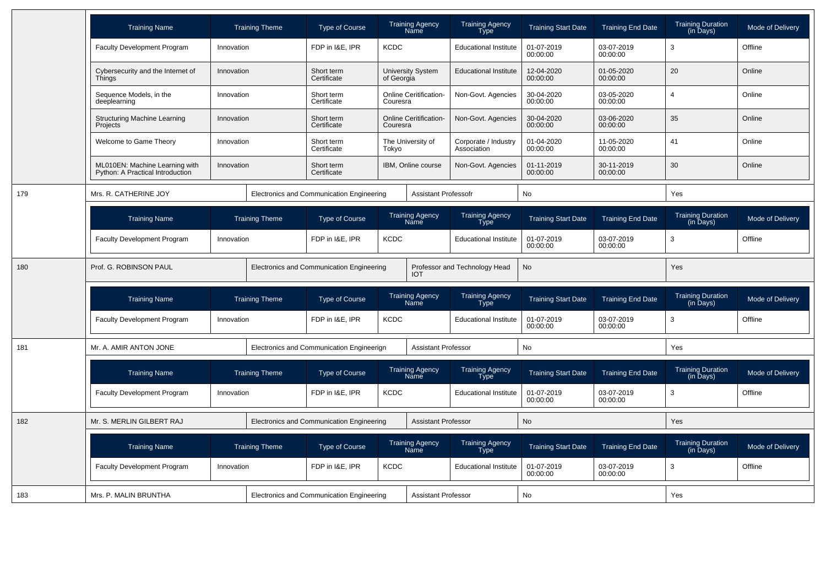|     | <b>Training Name</b>                                               |            | <b>Training Theme</b> | <b>Type of Course</b>                     |                                           | <b>Training Agency</b><br>Name        | <b>Training Agency</b><br>Type        | <b>Training Start Date</b> | <b>Training End Date</b> | Training Duration<br>(in Days)        | Mode of Delivery |
|-----|--------------------------------------------------------------------|------------|-----------------------|-------------------------------------------|-------------------------------------------|---------------------------------------|---------------------------------------|----------------------------|--------------------------|---------------------------------------|------------------|
|     | <b>Faculty Development Program</b>                                 | Innovation |                       | FDP in I&E, IPR                           | <b>KCDC</b>                               |                                       | <b>Educational Institute</b>          | 01-07-2019<br>00:00:00     | 03-07-2019<br>00:00:00   | 3                                     | Offline          |
|     | Cybersecurity and the Internet of<br><b>Things</b>                 | Innovation |                       | Short term<br>Certificate                 | of Georgia                                | <b>University System</b>              | <b>Educational Institute</b>          | 12-04-2020<br>00:00:00     | 01-05-2020<br>00:00:00   | 20                                    | Online           |
|     | Sequence Models, in the<br>deeplearning                            | Innovation |                       | Short term<br>Certificate                 | Couresra                                  | <b>Online Ceritification-</b>         | Non-Govt. Agencies                    | 30-04-2020<br>00:00:00     | 03-05-2020<br>00:00:00   | $\overline{4}$                        | Online           |
|     | <b>Structuring Machine Learning</b><br>Projects                    | Innovation |                       | Short term<br>Certificate                 | Couresra                                  | <b>Online Ceritification-</b>         | Non-Govt. Agencies                    | 30-04-2020<br>00:00:00     | 03-06-2020<br>00:00:00   | 35                                    | Online           |
|     | Welcome to Game Theory                                             | Innovation |                       | Short term<br>Certificate                 | Tokyo                                     | The University of                     | Corporate / Industry<br>Association   | 01-04-2020<br>00:00:00     | 11-05-2020<br>00:00:00   | 41                                    | Online           |
|     | ML010EN: Machine Learning with<br>Python: A Practical Introduction | Innovation |                       | Short term<br>Certificate                 |                                           | IBM, Online course                    | Non-Govt. Agencies                    | 01-11-2019<br>00:00:00     | 30-11-2019<br>00:00:00   | 30                                    | Online           |
| 179 | Mrs. R. CATHERINE JOY                                              |            |                       |                                           | Electronics and Communication Engineering |                                       | <b>Assistant Professofr</b>           | No                         |                          | Yes                                   |                  |
|     | <b>Training Name</b>                                               |            | <b>Training Theme</b> | <b>Type of Course</b>                     |                                           | <b>Training Agency</b><br>Name        | <b>Training Agency</b><br><b>Type</b> | <b>Training Start Date</b> | <b>Training End Date</b> | <b>Training Duration</b><br>(in Days) | Mode of Delivery |
|     | Faculty Development Program                                        | Innovation |                       | FDP in I&E, IPR                           | <b>KCDC</b>                               |                                       | <b>Educational Institute</b>          | 01-07-2019<br>00:00:00     | 03-07-2019<br>00:00:00   | 3                                     | Offline          |
| 180 | Prof. G. ROBINSON PAUL                                             |            |                       | Electronics and Communication Engineering |                                           | <b>IOT</b>                            | Professor and Technology Head         | No                         |                          | Yes                                   |                  |
|     | <b>Training Name</b>                                               |            | <b>Training Theme</b> | <b>Type of Course</b>                     |                                           | <b>Training Agency</b><br><b>Name</b> | <b>Training Agency</b><br><b>Type</b> | <b>Training Start Date</b> | <b>Training End Date</b> | Training Duration<br>(in Days)        | Mode of Delivery |
|     | <b>Faculty Development Program</b>                                 | Innovation |                       | FDP in I&E, IPR                           | <b>KCDC</b>                               |                                       | <b>Educational Institute</b>          | 01-07-2019<br>00:00:00     | 03-07-2019<br>00:00:00   | 3                                     | Offline          |
| 181 | Mr. A. AMIR ANTON JONE                                             |            |                       | Electronics and Communication Engineerign |                                           | <b>Assistant Professor</b>            |                                       | No                         |                          | Yes                                   |                  |
|     | <b>Training Name</b>                                               |            | <b>Training Theme</b> | <b>Type of Course</b>                     |                                           | <b>Training Agency</b><br>Name        | <b>Training Agency</b><br><b>Type</b> | <b>Training Start Date</b> | <b>Training End Date</b> | <b>Training Duration</b><br>(in Days) | Mode of Delivery |
|     | <b>Faculty Development Program</b>                                 | Innovation |                       | FDP in I&E, IPR                           | <b>KCDC</b>                               |                                       | <b>Educational Institute</b>          | 01-07-2019<br>00:00:00     | 03-07-2019<br>00:00:00   | 3                                     | Offline          |
| 182 | Mr. S. MERLIN GILBERT RAJ                                          |            |                       | Electronics and Communication Engineering |                                           | <b>Assistant Professor</b>            |                                       | <b>No</b>                  |                          | Yes                                   |                  |
|     | <b>Training Name</b>                                               |            | <b>Training Theme</b> | <b>Type of Course</b>                     |                                           | <b>Training Agency</b><br>Name        | <b>Training Agency</b><br>Type        | <b>Training Start Date</b> | <b>Training End Date</b> | Training Duration<br>(in Days)        | Mode of Delivery |
|     | Faculty Development Program                                        | Innovation |                       | FDP in I&E, IPR                           | <b>KCDC</b>                               |                                       | <b>Educational Institute</b>          | 01-07-2019<br>00:00:00     | 03-07-2019<br>00:00:00   | 3                                     | Offline          |
| 183 | Mrs. P. MALIN BRUNTHA                                              |            |                       | Electronics and Communication Engineering |                                           | <b>Assistant Professor</b>            |                                       | <b>No</b>                  |                          | Yes                                   |                  |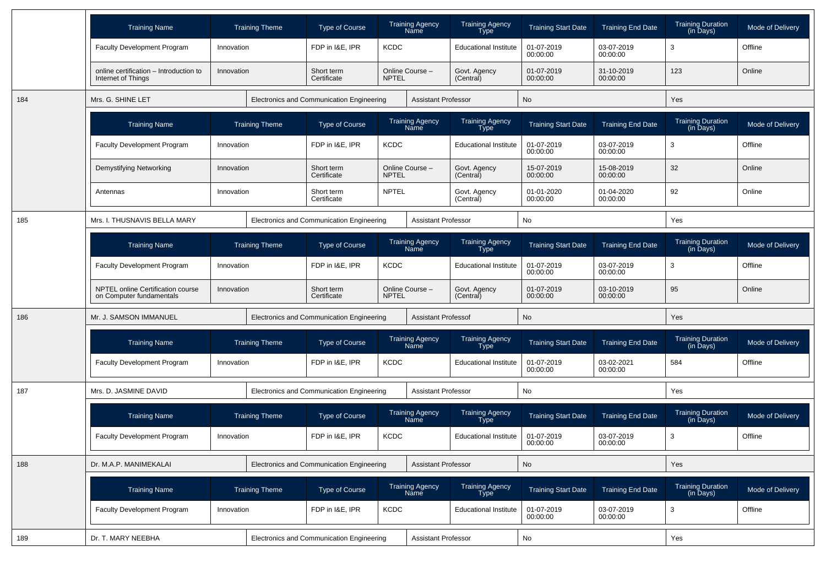|     | <b>Training Name</b>                                          | <b>Training Theme</b> | <b>Type of Course</b>                     | <b>Training Agency</b><br>Name        |                                | <b>Training Agency</b><br>Type        | <b>Training Start Date</b> | <b>Training End Date</b> | <b>Training Duration</b><br>(in Days) | Mode of Delivery |
|-----|---------------------------------------------------------------|-----------------------|-------------------------------------------|---------------------------------------|--------------------------------|---------------------------------------|----------------------------|--------------------------|---------------------------------------|------------------|
|     | <b>Faculty Development Program</b>                            | Innovation            | FDP in I&E. IPR                           | <b>KCDC</b>                           |                                | <b>Educational Institute</b>          | 01-07-2019<br>00:00:00     | 03-07-2019<br>00:00:00   | 3                                     | Offline          |
|     | online certification - Introduction to<br>Internet of Things  | Innovation            | Short term<br>Certificate                 | Online Course -<br><b>NPTEL</b>       |                                | Govt. Agency<br>(Central)             | 01-07-2019<br>00:00:00     | 31-10-2019<br>00:00:00   | 123                                   | Online           |
| 184 | Mrs. G. SHINE LET                                             |                       | Electronics and Communication Engineering |                                       | <b>Assistant Professor</b>     |                                       | No                         |                          | Yes                                   |                  |
|     | <b>Training Name</b>                                          | <b>Training Theme</b> | Type of Course                            | <b>Training Agency</b><br><b>Name</b> |                                | <b>Training Agency</b><br><b>Type</b> | <b>Training Start Date</b> | <b>Training End Date</b> | <b>Training Duration</b><br>(in Days) | Mode of Delivery |
|     | <b>Faculty Development Program</b>                            | Innovation            | FDP in I&E, IPR                           | <b>KCDC</b>                           |                                | <b>Educational Institute</b>          | 01-07-2019<br>00:00:00     | 03-07-2019<br>00:00:00   | 3                                     | Offline          |
|     | Demystifying Networking                                       | Innovation            | Short term<br>Certificate                 | Online Course -<br><b>NPTEL</b>       |                                | Govt. Agency<br>(Central)             | 15-07-2019<br>00:00:00     | 15-08-2019<br>00:00:00   | 32                                    | Online           |
|     | Antennas                                                      | Innovation            | Short term<br>Certificate                 | <b>NPTEL</b>                          |                                | Govt. Agency<br>(Central)             | 01-01-2020<br>00:00:00     | 01-04-2020<br>00:00:00   | 92                                    | Online           |
| 185 | Mrs. I. THUSNAVIS BELLA MARY                                  |                       | Electronics and Communication Engineering |                                       | <b>Assistant Professor</b>     |                                       | No                         |                          | Yes                                   |                  |
|     | <b>Training Name</b>                                          | <b>Training Theme</b> | <b>Type of Course</b>                     |                                       | <b>Training Agency</b><br>Name | <b>Training Agency</b><br><b>Type</b> | <b>Training Start Date</b> | <b>Training End Date</b> | <b>Training Duration</b><br>(in Days) | Mode of Delivery |
|     | <b>Faculty Development Program</b>                            | Innovation            | FDP in I&E. IPR<br><b>KCDC</b>            |                                       |                                | <b>Educational Institute</b>          | 01-07-2019<br>00:00:00     | 03-07-2019<br>00:00:00   | 3                                     | Offline          |
|     | NPTEL online Certification course<br>on Computer fundamentals | Innovation            | Short term<br>Certificate                 | Online Course -<br><b>NPTEL</b>       |                                | Govt. Agency<br>(Central)             | 01-07-2019<br>00:00:00     | 03-10-2019<br>00:00:00   | 95                                    | Online           |
| 186 | Mr. J. SAMSON IMMANUEL                                        |                       | Electronics and Communication Engineering |                                       | <b>Assistant Professof</b>     |                                       | No                         |                          | Yes                                   |                  |
|     | <b>Training Name</b>                                          | <b>Training Theme</b> | Type of Course                            | <b>Training Agency</b><br><b>Name</b> |                                | <b>Training Agency</b><br>Type        | <b>Training Start Date</b> | <b>Training End Date</b> | <b>Training Duration</b><br>(in Days) | Mode of Delivery |
|     | <b>Faculty Development Program</b>                            | Innovation            | FDP in I&E, IPR                           | <b>KCDC</b>                           |                                | <b>Educational Institute</b>          | 01-07-2019<br>00:00:00     | 03-02-2021<br>00:00:00   | 584                                   | Offline          |
| 187 | Mrs. D. JASMINE DAVID                                         |                       | Electronics and Communication Engineering |                                       | <b>Assistant Professor</b>     |                                       | No                         |                          | Yes                                   |                  |
|     | <b>Training Name</b>                                          | <b>Training Theme</b> | Type of Course                            | <b>Training Agency</b><br><b>Name</b> |                                | <b>Training Agency</b><br><b>Type</b> | <b>Training Start Date</b> | <b>Training End Date</b> | <b>Training Duration</b><br>(in Days) | Mode of Delivery |
|     | <b>Faculty Development Program</b>                            | Innovation            | FDP in I&E, IPR                           | <b>KCDC</b>                           |                                | <b>Educational Institute</b>          | 01-07-2019<br>00:00:00     | 03-07-2019<br>00:00:00   | 3                                     | Offline          |
| 188 | Dr. M.A.P. MANIMEKALAI                                        |                       | Electronics and Communication Engineering |                                       | <b>Assistant Professor</b>     |                                       | No                         |                          | Yes                                   |                  |
|     | <b>Training Name</b>                                          | <b>Training Theme</b> | Type of Course                            | <b>Training Agency</b><br><b>Name</b> |                                | Training Agency<br>Type               | <b>Training Start Date</b> | <b>Training End Date</b> | Training Duration<br>(in Days)        | Mode of Delivery |
|     | Faculty Development Program                                   | Innovation            | FDP in I&E, IPR                           | <b>KCDC</b>                           |                                | <b>Educational Institute</b>          | 01-07-2019<br>00:00:00     | 03-07-2019<br>00:00:00   | 3                                     | Offline          |
| 189 | Dr. T. MARY NEEBHA                                            |                       | Electronics and Communication Engineering |                                       | <b>Assistant Professor</b>     |                                       | No                         |                          | Yes                                   |                  |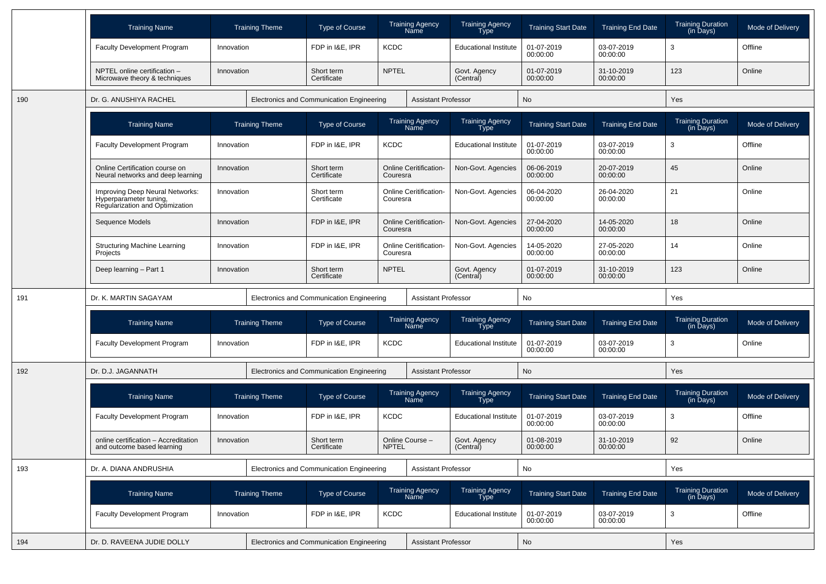|     | <b>Training Name</b>                                                                         | <b>Training Theme</b> | Type of Course                            | <b>Training Agency</b><br>Name            | <b>Training Agency</b><br>Type        | <b>Training Start Date</b> | <b>Training End Date</b> | <b>Training Duration</b><br>(in Days) | Mode of Delivery |
|-----|----------------------------------------------------------------------------------------------|-----------------------|-------------------------------------------|-------------------------------------------|---------------------------------------|----------------------------|--------------------------|---------------------------------------|------------------|
|     | <b>Faculty Development Program</b>                                                           | Innovation            | FDP in I&E, IPR                           | <b>KCDC</b>                               | <b>Educational Institute</b>          | 01-07-2019<br>00:00:00     | 03-07-2019<br>00:00:00   | 3                                     | Offline          |
|     | NPTEL online certification -<br>Microwave theory & techniques                                | Innovation            | Short term<br>Certificate                 | <b>NPTEL</b>                              | Govt. Agency<br>(Central)             | 01-07-2019<br>00:00:00     | 31-10-2019<br>00:00:00   | 123                                   | Online           |
| 190 | Dr. G. ANUSHIYA RACHEL                                                                       |                       | Electronics and Communication Engineering |                                           | <b>Assistant Professor</b>            | <b>No</b>                  |                          | Yes                                   |                  |
|     | <b>Training Name</b>                                                                         | <b>Training Theme</b> | Type of Course                            | <b>Training Agency</b><br>Name            | <b>Training Agency</b><br>Type        | <b>Training Start Date</b> | <b>Training End Date</b> | <b>Training Duration</b><br>(in Days) | Mode of Delivery |
|     | <b>Faculty Development Program</b>                                                           | Innovation            | FDP in I&E, IPR                           | <b>KCDC</b>                               | <b>Educational Institute</b>          | 01-07-2019<br>00:00:00     | 03-07-2019<br>00:00:00   | 3                                     | Offline          |
|     | Online Certification course on<br>Neural networks and deep learning                          | Innovation            | Short term<br>Certificate                 | <b>Online Ceritification-</b><br>Couresra | Non-Govt. Agencies                    | 06-06-2019<br>00:00:00     | 20-07-2019<br>00:00:00   | 45                                    | Online           |
|     | Improving Deep Neural Networks:<br>Hyperparameter tuning,<br>Regularization and Optimization | Innovation            | Short term<br>Certificate                 | <b>Online Ceritification-</b><br>Couresra | Non-Govt. Agencies                    | 06-04-2020<br>00:00:00     | 26-04-2020<br>00:00:00   | 21                                    | Online           |
|     | Sequence Models                                                                              | Innovation            | FDP in I&E, IPR                           | <b>Online Ceritification-</b><br>Couresra | Non-Govt. Agencies                    | 27-04-2020<br>00:00:00     | 14-05-2020<br>00:00:00   | 18                                    | Online           |
|     | <b>Structuring Machine Learning</b><br>Projects                                              | Innovation            | FDP in I&E. IPR                           | <b>Online Ceritification-</b><br>Couresra | Non-Govt. Agencies                    | 14-05-2020<br>00:00:00     | 27-05-2020<br>00:00:00   | 14                                    | Online           |
|     | Deep learning - Part 1                                                                       | Innovation            | Short term<br>Certificate                 | <b>NPTEL</b>                              | Govt. Agency<br>(Central)             | 01-07-2019<br>00:00:00     | 31-10-2019<br>00:00:00   | 123                                   | Online           |
| 191 | Dr. K. MARTIN SAGAYAM                                                                        |                       | Electronics and Communication Engineering |                                           | <b>Assistant Professor</b>            | No                         |                          | Yes                                   |                  |
|     |                                                                                              |                       |                                           |                                           |                                       |                            |                          |                                       |                  |
|     | <b>Training Name</b>                                                                         | <b>Training Theme</b> | Type of Course                            | <b>Training Agency</b><br><b>Name</b>     | <b>Training Agency</b><br><b>Type</b> | <b>Training Start Date</b> | <b>Training End Date</b> | <b>Training Duration</b><br>(in Days) | Mode of Delivery |
|     | <b>Faculty Development Program</b>                                                           | Innovation            | FDP in I&E, IPR                           | <b>KCDC</b>                               | <b>Educational Institute</b>          | 01-07-2019<br>00:00:00     | 03-07-2019<br>00:00:00   | 3                                     | Online           |
| 192 | Dr. D.J. JAGANNATH                                                                           |                       | Electronics and Communication Engineering |                                           | <b>Assistant Professor</b>            | No                         |                          | <b>Yes</b>                            |                  |
|     | <b>Training Name</b>                                                                         | <b>Training Theme</b> | Type of Course                            | <b>Training Agency</b><br>Name            | <b>Training Agency</b><br>Type        | <b>Training Start Date</b> | <b>Training End Date</b> | <b>Training Duration</b><br>(in Days) | Mode of Delivery |
|     | <b>Faculty Development Program</b>                                                           | Innovation            | FDP in I&E, IPR                           | <b>KCDC</b>                               | <b>Educational Institute</b>          | 01-07-2019<br>00:00:00     | 03-07-2019<br>00:00:00   | 3                                     | Offline          |
|     | online certification - Accreditation<br>and outcome based learning                           | Innovation            | Short term<br>Certificate                 | Online Course -<br><b>NPTEL</b>           | Govt. Agency<br>(Central)             | 01-08-2019<br>00:00:00     | 31-10-2019<br>00:00:00   | 92                                    | Online           |
| 193 | Dr. A. DIANA ANDRUSHIA                                                                       |                       | Electronics and Communication Engineering |                                           | <b>Assistant Professor</b>            | No                         |                          | Yes                                   |                  |
|     | <b>Training Name</b>                                                                         | <b>Training Theme</b> | Type of Course                            | Training Agency<br>Name                   | Training Agency<br>Type               | <b>Training Start Date</b> | <b>Training End Date</b> | Training Duration<br>(in Days)        | Mode of Delivery |
|     | Faculty Development Program                                                                  | Innovation            | FDP in I&E, IPR                           | <b>KCDC</b>                               | <b>Educational Institute</b>          | 01-07-2019<br>00:00:00     | 03-07-2019<br>00:00:00   | 3                                     | Offline          |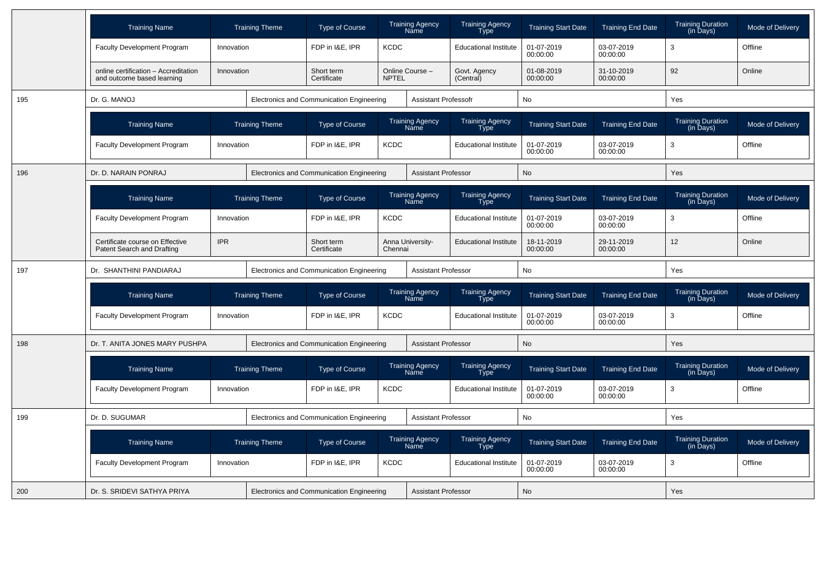|     | <b>Training Name</b>                                               |            | <b>Training Theme</b> | <b>Type of Course</b>                     |              | <b>Training Agency</b><br>Name        | <b>Training Agency</b><br>Type        | <b>Training Start Date</b> | <b>Training End Date</b> | <b>Training Duration</b><br>(in Days) | Mode of Delivery |
|-----|--------------------------------------------------------------------|------------|-----------------------|-------------------------------------------|--------------|---------------------------------------|---------------------------------------|----------------------------|--------------------------|---------------------------------------|------------------|
|     | Faculty Development Program                                        | Innovation |                       | FDP in I&E, IPR                           | <b>KCDC</b>  |                                       | <b>Educational Institute</b>          | 01-07-2019<br>00:00:00     | 03-07-2019<br>00:00:00   | 3                                     | Offline          |
|     | online certification - Accreditation<br>and outcome based learning | Innovation |                       | Short term<br>Certificate                 | <b>NPTEL</b> | Online Course -                       | Govt. Agency<br>(Central)             | 01-08-2019<br>00:00:00     | 31-10-2019<br>00:00:00   | 92                                    | Online           |
| 195 | Dr. G. MANOJ                                                       |            |                       | Electronics and Communication Engineering |              | <b>Assistant Professofr</b>           |                                       | <b>No</b>                  |                          | Yes                                   |                  |
|     | <b>Training Name</b>                                               |            | <b>Training Theme</b> | <b>Type of Course</b>                     |              | <b>Training Agency</b><br>Name        | <b>Training Agency</b><br><b>Type</b> | <b>Training Start Date</b> | <b>Training End Date</b> | Training Duration<br>(in Days)        | Mode of Delivery |
|     | Faculty Development Program                                        | Innovation |                       | FDP in I&E, IPR                           | <b>KCDC</b>  | <b>Educational Institute</b>          |                                       | 01-07-2019<br>00:00:00     | 03-07-2019<br>00:00:00   | 3                                     | Offline          |
| 196 | Dr. D. NARAIN PONRAJ                                               |            |                       | Electronics and Communication Engineering |              | <b>Assistant Professor</b>            |                                       | <b>No</b>                  |                          | <b>Yes</b>                            |                  |
|     | <b>Training Name</b>                                               |            | <b>Training Theme</b> | Type of Course                            |              | <b>Training Agency</b><br>Name        | <b>Training Agency</b><br><b>Type</b> | <b>Training Start Date</b> | <b>Training End Date</b> | Training Duration<br>(in Days)        | Mode of Delivery |
|     | <b>Faculty Development Program</b>                                 | Innovation |                       | <b>KCDC</b><br>FDP in I&E, IPR            |              |                                       | <b>Educational Institute</b>          | 01-07-2019<br>00:00:00     | 03-07-2019<br>00:00:00   | 3                                     | Offline          |
|     | Certificate course on Effective<br>Patent Search and Drafting      | <b>IPR</b> |                       | Short term<br>Certificate<br>Chennai      |              | Anna University-                      | <b>Educational Institute</b>          | 18-11-2019<br>00:00:00     | 29-11-2019<br>00:00:00   | 12 <sup>2</sup>                       | Online           |
| 197 | Dr. SHANTHINI PANDIARAJ                                            |            |                       | Electronics and Communication Engineering |              | <b>Assistant Professor</b>            |                                       | No                         |                          | Yes                                   |                  |
|     | <b>Training Name</b>                                               |            | <b>Training Theme</b> | Type of Course                            |              | <b>Training Agency</b><br><b>Name</b> | <b>Training Agency</b><br><b>Type</b> | <b>Training Start Date</b> | <b>Training End Date</b> | <b>Training Duration</b><br>(in Days) | Mode of Delivery |
|     | Faculty Development Program                                        | Innovation |                       | FDP in I&E, IPR                           | <b>KCDC</b>  |                                       | <b>Educational Institute</b>          | 01-07-2019<br>00:00:00     | 03-07-2019<br>00:00:00   | 3                                     | Offline          |
| 198 | Dr. T. ANITA JONES MARY PUSHPA                                     |            |                       | Electronics and Communication Engineering |              | <b>Assistant Professor</b>            |                                       | <b>No</b>                  |                          | Yes                                   |                  |
|     | <b>Training Name</b>                                               |            | <b>Training Theme</b> | <b>Type of Course</b>                     |              | <b>Training Agency</b><br>Name        | <b>Training Agency</b><br><b>Type</b> | <b>Training Start Date</b> | <b>Training End Date</b> | <b>Training Duration</b><br>(in Days) | Mode of Delivery |
|     | Faculty Development Program                                        | Innovation |                       | FDP in I&E, IPR                           | <b>KCDC</b>  |                                       | <b>Educational Institute</b>          | 01-07-2019<br>00:00:00     | 03-07-2019<br>00:00:00   | 3                                     | Offline          |
| 199 | Dr. D. SUGUMAR                                                     |            |                       | Electronics and Communication Engineering |              | <b>Assistant Professor</b>            |                                       | <b>No</b>                  |                          | Yes                                   |                  |
|     | <b>Training Name</b>                                               |            | <b>Training Theme</b> | <b>Type of Course</b>                     |              | <b>Training Agency</b><br><b>Name</b> | <b>Training Agency</b><br>Type        | <b>Training Start Date</b> | <b>Training End Date</b> | <b>Training Duration</b><br>(in Days) | Mode of Delivery |
|     | Faculty Development Program                                        | Innovation |                       | FDP in I&E, IPR                           | <b>KCDC</b>  |                                       | <b>Educational Institute</b>          | 01-07-2019                 | 03-07-2019               | 3                                     | Offline          |
|     |                                                                    |            |                       |                                           |              |                                       |                                       | 00:00:00                   | 00:00:00                 |                                       |                  |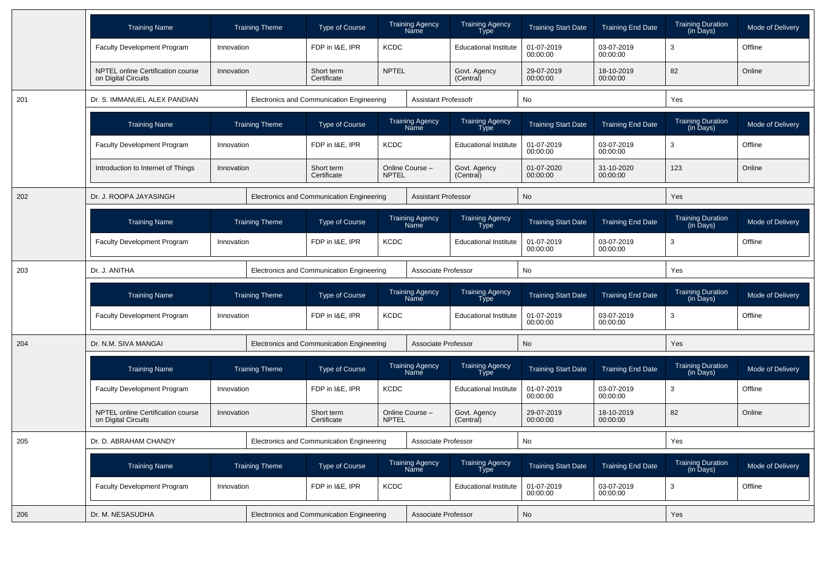|     | <b>Training Name</b>                                     |            | <b>Training Theme</b> | <b>Type of Course</b>                     |              | <b>Training Agency</b><br>Name               | <b>Training Agency</b><br>Type        | <b>Training Start Date</b> | <b>Training End Date</b> | <b>Training Duration</b><br>$(in \overline{D}$ ays) | Mode of Delivery |
|-----|----------------------------------------------------------|------------|-----------------------|-------------------------------------------|--------------|----------------------------------------------|---------------------------------------|----------------------------|--------------------------|-----------------------------------------------------|------------------|
|     | Faculty Development Program                              | Innovation |                       | FDP in I&E, IPR                           | <b>KCDC</b>  |                                              | <b>Educational Institute</b>          | 01-07-2019<br>00:00:00     | 03-07-2019<br>00:00:00   | 3                                                   | Offline          |
|     | NPTEL online Certification course<br>on Digital Circuits | Innovation |                       | Short term<br>Certificate                 | <b>NPTEL</b> |                                              | Govt. Agency<br>(Central)             | 29-07-2019<br>00:00:00     | 18-10-2019<br>00:00:00   | 82                                                  | Online           |
| 201 | Dr. S. IMMANUEL ALEX PANDIAN                             |            |                       | Electronics and Communication Engineering |              | <b>Assistant Professofr</b>                  |                                       | No                         |                          | Yes                                                 |                  |
|     | <b>Training Name</b>                                     |            | <b>Training Theme</b> | <b>Type of Course</b>                     |              | <b>Training Agency</b><br>Name               | Training Agency<br>Type               | <b>Training Start Date</b> | <b>Training End Date</b> | <b>Training Duration</b><br>(in Days)               | Mode of Delivery |
|     | Faculty Development Program                              | Innovation |                       | FDP in I&E, IPR                           | <b>KCDC</b>  |                                              | <b>Educational Institute</b>          | 01-07-2019<br>00:00:00     | 03-07-2019<br>00:00:00   | 3                                                   | Offline          |
|     | Introduction to Internet of Things                       | Innovation |                       | Short term<br>Certificate                 | <b>NPTEL</b> | Online Course -<br>Govt. Agency<br>(Central) |                                       | 01-07-2020<br>00:00:00     | 31-10-2020<br>00:00:00   | 123                                                 | Online           |
| 202 | Dr. J. ROOPA JAYASINGH                                   |            |                       | Electronics and Communication Engineering |              | <b>Assistant Professor</b>                   |                                       | <b>No</b>                  |                          | Yes                                                 |                  |
|     | <b>Training Name</b>                                     |            | <b>Training Theme</b> | Type of Course                            |              | Training Agency<br>Name                      | <b>Training Agency</b><br><b>Type</b> | <b>Training Start Date</b> | <b>Training End Date</b> | <b>Training Duration</b><br>(in Days)               | Mode of Delivery |
|     | Faculty Development Program                              | Innovation |                       | FDP in I&E, IPR<br><b>KCDC</b>            |              | <b>Educational Institute</b>                 |                                       | 01-07-2019<br>00:00:00     | 03-07-2019<br>00:00:00   | 3                                                   | Offline          |
| 203 | Dr. J. ANITHA                                            |            |                       | Electronics and Communication Engineering |              | Associate Professor                          |                                       | <b>No</b>                  |                          | Yes                                                 |                  |
|     | <b>Training Name</b>                                     |            | <b>Training Theme</b> | <b>Type of Course</b>                     |              | <b>Training Agency</b><br>Name               | <b>Training Agency</b><br>Type        | <b>Training Start Date</b> | <b>Training End Date</b> | <b>Training Duration</b><br>(in Days)               | Mode of Delivery |
|     | Faculty Development Program                              | Innovation |                       | FDP in I&E, IPR                           | <b>KCDC</b>  |                                              | <b>Educational Institute</b>          | 01-07-2019<br>00:00:00     | 03-07-2019<br>00:00:00   | 3                                                   | Offline          |
| 204 | Dr. N.M. SIVA MANGAI                                     |            |                       | Electronics and Communication Engineering |              | Associate Professor                          |                                       | No                         |                          | Yes                                                 |                  |
|     | <b>Training Name</b>                                     |            | <b>Training Theme</b> | <b>Type of Course</b>                     |              | <b>Training Agency</b><br>Name               | Training Agency<br><b>Type</b>        | <b>Training Start Date</b> | <b>Training End Date</b> | Training Duration<br>(in Days)                      | Mode of Delivery |
|     | Faculty Development Program                              | Innovation |                       | FDP in I&E, IPR                           | <b>KCDC</b>  |                                              | <b>Educational Institute</b>          | 01-07-2019<br>00:00:00     | 03-07-2019<br>00:00:00   | 3                                                   | Offline          |
|     | NPTEL online Certification course<br>on Digital Circuits | Innovation |                       | Short term<br>Certificate                 | <b>NPTEL</b> | Online Course -                              | Govt. Agency<br>(Central)             | 29-07-2019<br>00:00:00     | 18-10-2019<br>00:00:00   | 82                                                  | Online           |
| 205 | Dr. D. ABRAHAM CHANDY                                    |            |                       | Electronics and Communication Engineering |              | Associate Professor                          |                                       | No                         |                          | Yes                                                 |                  |
|     | <b>Training Name</b>                                     |            | <b>Training Theme</b> | <b>Type of Course</b>                     |              | <b>Training Agency</b><br><b>Name</b>        | <b>Training Agency</b><br><b>Type</b> | <b>Training Start Date</b> | <b>Training End Date</b> | <b>Training Duration</b><br>(in Days)               | Mode of Delivery |
|     | Faculty Development Program                              | Innovation |                       | FDP in I&E, IPR                           | <b>KCDC</b>  |                                              | <b>Educational Institute</b>          | 01-07-2019<br>00:00:00     | 03-07-2019<br>00:00:00   | 3                                                   | Offline          |
| 206 | Dr. M. NESASUDHA                                         |            |                       | Electronics and Communication Engineering |              | Associate Professor                          |                                       | No                         |                          | Yes                                                 |                  |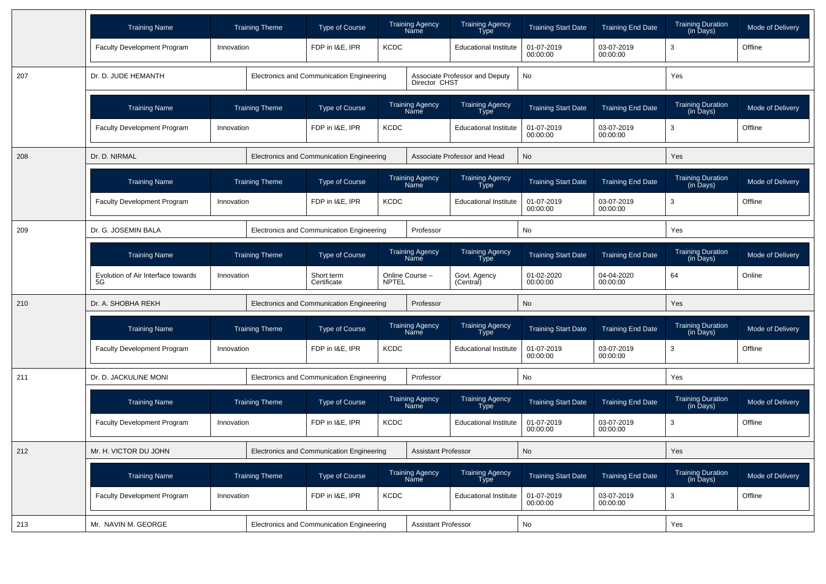|     | <b>Training Name</b>                     |                       | <b>Training Theme</b> | Type of Course                            |             | <b>Training Agency</b><br>Name               | <b>Training Agency</b><br>Type | <b>Training Start Date</b>                       | <b>Training End Date</b> | <b>Training Duration</b><br>(in Days) | Mode of Delivery |
|-----|------------------------------------------|-----------------------|-----------------------|-------------------------------------------|-------------|----------------------------------------------|--------------------------------|--------------------------------------------------|--------------------------|---------------------------------------|------------------|
|     | Faculty Development Program              | Innovation            |                       | FDP in I&E, IPR                           | <b>KCDC</b> |                                              | <b>Educational Institute</b>   | 01-07-2019<br>00:00:00                           | 03-07-2019<br>00:00:00   | 3                                     | Offline          |
| 207 | Dr. D. JUDE HEMANTH                      |                       |                       | Electronics and Communication Engineering |             | Director CHST                                | Associate Professor and Deputy | No                                               |                          | Yes                                   |                  |
|     | <b>Training Name</b>                     |                       | <b>Training Theme</b> | <b>Type of Course</b>                     |             | Training Agency<br>Name                      | Training Agency<br>Type        | <b>Training Start Date</b>                       | <b>Training End Date</b> | Training Duration<br>(in Days)        | Mode of Delivery |
|     | Faculty Development Program              | Innovation            |                       | FDP in I&E, IPR                           | <b>KCDC</b> |                                              | <b>Educational Institute</b>   | 01-07-2019<br>00:00:00                           | 03-07-2019<br>00:00:00   | 3                                     | Offline          |
| 208 | Dr. D. NIRMAL                            |                       |                       | Electronics and Communication Engineering |             |                                              | Associate Professor and Head   | No                                               |                          | Yes                                   |                  |
|     | <b>Training Name</b>                     |                       | <b>Training Theme</b> | Type of Course                            |             | Training Agency<br>Name                      | Training Agency<br>Type        | <b>Training Start Date</b>                       | <b>Training End Date</b> | Training Duration<br>(in Days)        | Mode of Delivery |
|     | <b>Faculty Development Program</b>       | Innovation            |                       | FDP in I&E, IPR<br><b>KCDC</b>            |             |                                              | <b>Educational Institute</b>   | 01-07-2019<br>03-07-2019<br>00:00:00<br>00:00:00 |                          | 3                                     | Offline          |
| 209 | Dr. G. JOSEMIN BALA                      |                       |                       | Electronics and Communication Engineering |             | Professor                                    |                                | No                                               |                          | Yes                                   |                  |
|     | <b>Training Name</b>                     | <b>Training Theme</b> |                       | Type of Course                            |             | Training Agency<br>Name                      | Training Agency<br>Type        | <b>Training Start Date</b>                       | <b>Training End Date</b> | Training Duration<br>(in Days)        | Mode of Delivery |
|     | Evolution of Air Interface towards<br>5G | Innovation            |                       | Short term<br><b>NPTEL</b><br>Certificate |             | Online Course -<br>Govt. Agency<br>(Central) |                                | 01-02-2020<br>00:00:00                           | 04-04-2020<br>00:00:00   | 64                                    | Online           |
| 210 | Dr. A. SHOBHA REKH                       |                       |                       | Electronics and Communication Engineering |             | Professor                                    |                                | No                                               |                          | Yes                                   |                  |
|     | <b>Training Name</b>                     |                       | <b>Training Theme</b> | <b>Type of Course</b>                     |             | <b>Training Agency</b><br>Name               | Training Agency<br><b>Type</b> | <b>Training Start Date</b>                       | <b>Training End Date</b> | <b>Training Duration</b><br>(in Days) | Mode of Delivery |
|     | <b>Faculty Development Program</b>       | Innovation            |                       | FDP in I&E, IPR                           | <b>KCDC</b> | <b>Educational Institute</b>                 |                                | 03-07-2019<br>01-07-2019<br>00:00:00<br>00:00:00 |                          | 3                                     | Offline          |
| 211 | Dr. D. JACKULINE MONI                    |                       |                       | Electronics and Communication Engineering |             | Professor                                    |                                | No                                               |                          | Yes                                   |                  |
|     | <b>Training Name</b>                     |                       | <b>Training Theme</b> | <b>Type of Course</b>                     |             | <b>Training Agency</b><br>Name               | Training Agency<br><b>Type</b> | <b>Training Start Date</b>                       | <b>Training End Date</b> | <b>Training Duration</b><br>(in Days) | Mode of Delivery |
|     | Faculty Development Program              | Innovation            |                       | FDP in I&E, IPR                           | <b>KCDC</b> |                                              | <b>Educational Institute</b>   | 01-07-2019<br>00:00:00                           | 03-07-2019<br>00:00:00   | 3                                     | Offline          |
| 212 | Mr. H. VICTOR DU JOHN                    |                       |                       | Electronics and Communication Engineering |             | Assistant Professor                          |                                | No                                               |                          | $\operatorname{\mathsf{Yes}}$         |                  |
|     | <b>Training Name</b>                     |                       | <b>Training Theme</b> | Type of Course                            |             | Training Agency<br>Name                      | Training Agency<br>Type        | <b>Training Start Date</b>                       | <b>Training End Date</b> | Training Duration<br>(in Days)        | Mode of Delivery |
|     | Faculty Development Program              | Innovation            |                       | FDP in I&E, IPR                           | KCDC        |                                              | <b>Educational Institute</b>   | 01-07-2019<br>00:00:00                           | 03-07-2019<br>00:00:00   | 3                                     | Offline          |
| 213 | Mr. NAVIN M. GEORGE                      |                       |                       | Electronics and Communication Engineering |             | <b>Assistant Professor</b>                   |                                | No                                               |                          | Yes                                   |                  |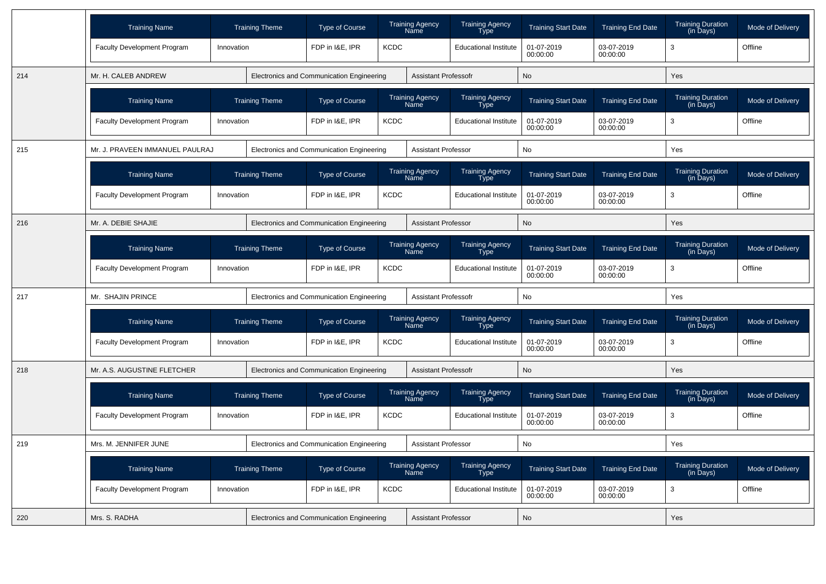|     | <b>Training Name</b>               |            | <b>Training Theme</b> | <b>Type of Course</b>                     |             | <b>Training Agency</b><br><b>Name</b> | <b>Training Agency</b><br>Type | <b>Training Start Date</b> | <b>Training End Date</b> | <b>Training Duration</b><br>$(in \overline{D}$ ays $)$ | Mode of Delivery |
|-----|------------------------------------|------------|-----------------------|-------------------------------------------|-------------|---------------------------------------|--------------------------------|----------------------------|--------------------------|--------------------------------------------------------|------------------|
|     | <b>Faculty Development Program</b> | Innovation |                       | FDP in I&E, IPR                           | <b>KCDC</b> |                                       | <b>Educational Institute</b>   | 01-07-2019<br>00:00:00     | 03-07-2019<br>00:00:00   | 3                                                      | Offline          |
| 214 | Mr. H. CALEB ANDREW                |            |                       | Electronics and Communication Engineering |             | <b>Assistant Professofr</b>           |                                | <b>No</b>                  |                          | Yes                                                    |                  |
|     | <b>Training Name</b>               |            | <b>Training Theme</b> | <b>Type of Course</b>                     |             | <b>Training Agency</b><br>Name        | <b>Training Agency</b><br>Type | <b>Training Start Date</b> | <b>Training End Date</b> | <b>Training Duration</b><br>(in Days)                  | Mode of Delivery |
|     | <b>Faculty Development Program</b> | Innovation |                       | FDP in I&E, IPR                           | <b>KCDC</b> |                                       | <b>Educational Institute</b>   | 01-07-2019<br>00:00:00     | 03-07-2019<br>00:00:00   | 3                                                      | Offline          |
| 215 | Mr. J. PRAVEEN IMMANUEL PAULRAJ    |            |                       | Electronics and Communication Engineering |             | <b>Assistant Professor</b>            |                                | No                         |                          | Yes                                                    |                  |
|     | <b>Training Name</b>               |            | <b>Training Theme</b> | <b>Type of Course</b>                     |             | <b>Training Agency</b><br>Name        | Training Agency<br>Type        | <b>Training Start Date</b> | <b>Training End Date</b> | <b>Training Duration</b><br>(in Days)                  | Mode of Delivery |
|     | <b>Faculty Development Program</b> | Innovation |                       | FDP in I&E, IPR                           | <b>KCDC</b> | <b>Educational Institute</b>          |                                | 01-07-2019<br>00:00:00     | 03-07-2019<br>00:00:00   | 3                                                      | Offline          |
| 216 | Mr. A. DEBIE SHAJIE                |            |                       | Electronics and Communication Engineering |             | <b>Assistant Professor</b>            |                                | No                         |                          | Yes                                                    |                  |
|     | <b>Training Name</b>               |            | <b>Training Theme</b> | <b>Type of Course</b>                     |             | <b>Training Agency</b><br>Name        | Training Agency<br>Type        | <b>Training Start Date</b> | <b>Training End Date</b> | <b>Training Duration</b><br>(in Days)                  | Mode of Delivery |
|     | <b>Faculty Development Program</b> | Innovation |                       | FDP in I&E. IPR                           | <b>KCDC</b> |                                       | <b>Educational Institute</b>   | 01-07-2019<br>00:00:00     | 03-07-2019<br>00:00:00   | 3                                                      | Offline          |
| 217 | Mr. SHAJIN PRINCE                  |            |                       | Electronics and Communication Engineering |             | <b>Assistant Professofr</b>           |                                | <b>No</b>                  |                          | Yes                                                    |                  |
|     | <b>Training Name</b>               |            | <b>Training Theme</b> | <b>Type of Course</b>                     |             | <b>Training Agency</b><br>Name        | Training Agency<br>Type        | <b>Training Start Date</b> | <b>Training End Date</b> | <b>Training Duration</b><br>(in Days)                  | Mode of Delivery |
|     | Faculty Development Program        | Innovation |                       | FDP in I&E. IPR                           | <b>KCDC</b> |                                       | <b>Educational Institute</b>   | 01-07-2019<br>00:00:00     | 03-07-2019<br>00:00:00   | 3                                                      | Offline          |
| 218 | Mr. A.S. AUGUSTINE FLETCHER        |            |                       | Electronics and Communication Engineering |             | <b>Assistant Professofr</b>           |                                | <b>No</b>                  |                          | Yes                                                    |                  |
|     | <b>Training Name</b>               |            | <b>Training Theme</b> | <b>Type of Course</b>                     |             | <b>Training Agency</b><br>Name        | <b>Training Agency</b><br>Type | <b>Training Start Date</b> | <b>Training End Date</b> | <b>Training Duration</b><br>$(in \overline{D}$ ays $)$ | Mode of Delivery |
|     | <b>Faculty Development Program</b> | Innovation |                       | FDP in I&E, IPR                           | <b>KCDC</b> |                                       | <b>Educational Institute</b>   | 01-07-2019<br>00:00:00     | 03-07-2019<br>00:00:00   | 3                                                      | Offline          |
| 219 | Mrs. M. JENNIFER JUNE              |            |                       | Electronics and Communication Engineering |             | <b>Assistant Professor</b>            |                                | No                         |                          | Yes                                                    |                  |
|     | <b>Training Name</b>               |            | <b>Training Theme</b> | <b>Type of Course</b>                     |             | <b>Training Agency</b><br>Name        | <b>Training Agency</b><br>Type | <b>Training Start Date</b> | <b>Training End Date</b> | <b>Training Duration</b><br>(in Days)                  | Mode of Delivery |
|     | <b>Faculty Development Program</b> | Innovation |                       | FDP in I&E, IPR                           | <b>KCDC</b> |                                       | <b>Educational Institute</b>   | 01-07-2019<br>00:00:00     | 03-07-2019<br>00:00:00   | 3                                                      | Offline          |
| 220 | Mrs. S. RADHA                      |            |                       | Electronics and Communication Engineering |             | <b>Assistant Professor</b>            |                                | No                         |                          | Yes                                                    |                  |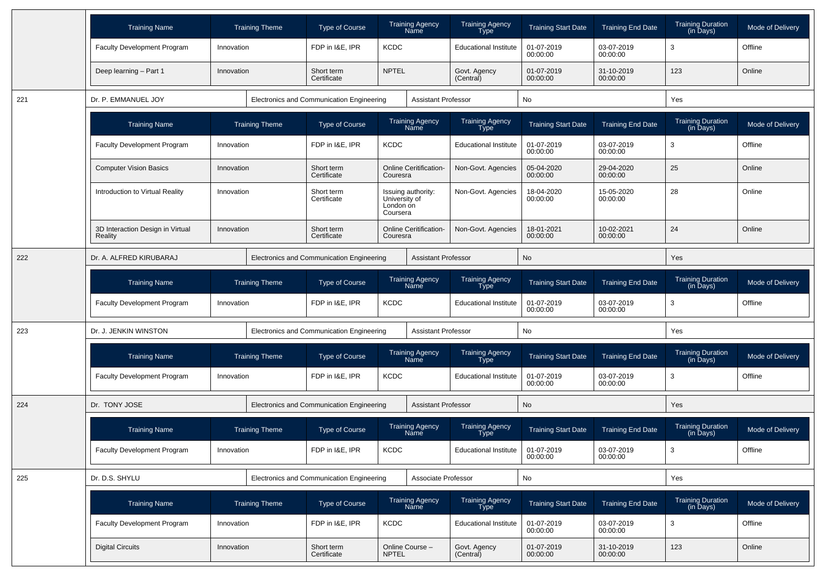|     | <b>Training Name</b>                        | <b>Training Theme</b> | <b>Type of Course</b>                     | <b>Training Agency</b><br>Name                               | Training Agency<br>Type        | <b>Training Start Date</b> | <b>Training End Date</b> | Training Duration<br>(in Days)        | Mode of Delivery        |
|-----|---------------------------------------------|-----------------------|-------------------------------------------|--------------------------------------------------------------|--------------------------------|----------------------------|--------------------------|---------------------------------------|-------------------------|
|     | <b>Faculty Development Program</b>          | Innovation            | FDP in I&E, IPR                           | <b>KCDC</b>                                                  | <b>Educational Institute</b>   | 01-07-2019<br>00:00:00     | 03-07-2019<br>00:00:00   | 3                                     | Offline                 |
|     | Deep learning - Part 1                      | Innovation            | Short term<br>Certificate                 | <b>NPTEL</b>                                                 | Govt. Agency<br>(Central)      | 01-07-2019<br>00:00:00     | 31-10-2019<br>00:00:00   | 123                                   | Online                  |
| 221 | Dr. P. EMMANUEL JOY                         |                       | Electronics and Communication Engineering | <b>Assistant Professor</b>                                   |                                | No                         |                          | Yes                                   |                         |
|     | <b>Training Name</b>                        | <b>Training Theme</b> | <b>Type of Course</b>                     | Training Agency<br>Name                                      | Training Agency<br>Type        | <b>Training Start Date</b> | <b>Training End Date</b> | Training Duration<br>(in Days)        | Mode of Delivery        |
|     | <b>Faculty Development Program</b>          | Innovation            | FDP in I&E, IPR                           | <b>KCDC</b>                                                  | <b>Educational Institute</b>   | 01-07-2019<br>00:00:00     | 03-07-2019<br>00:00:00   | 3                                     | Offline                 |
|     | <b>Computer Vision Basics</b>               | Innovation            | Short term<br>Certificate                 | <b>Online Ceritification-</b><br>Couresra                    | Non-Govt. Agencies             | 05-04-2020<br>00:00:00     | 29-04-2020<br>00:00:00   | 25                                    | Online                  |
|     | Introduction to Virtual Reality             | Innovation            | Short term<br>Certificate                 | Issuing authority:<br>University of<br>London on<br>Coursera | Non-Govt. Agencies             | 18-04-2020<br>00:00:00     | 15-05-2020<br>00:00:00   | 28                                    | Online                  |
|     | 3D Interaction Design in Virtual<br>Reality | Innovation            | Short term<br>Certificate                 | <b>Online Ceritification-</b><br>Couresra                    | Non-Govt. Agencies             | 18-01-2021<br>00:00:00     | 10-02-2021<br>00:00:00   | 24                                    | Online                  |
| 222 | Dr. A. ALFRED KIRUBARAJ                     |                       | Electronics and Communication Engineering | <b>Assistant Professor</b>                                   |                                | No                         |                          | Yes                                   |                         |
|     | <b>Training Name</b>                        | <b>Training Theme</b> | Type of Course                            | <b>Training Agency</b><br>Name                               | <b>Training Agency</b><br>Type | <b>Training Start Date</b> | <b>Training End Date</b> | <b>Training Duration</b><br>(in Days) | Mode of Delivery        |
|     | Faculty Development Program                 | Innovation            | FDP in I&E, IPR                           | <b>KCDC</b>                                                  | <b>Educational Institute</b>   | 01-07-2019<br>00:00:00     | 03-07-2019<br>00:00:00   | 3                                     | Offline                 |
| 223 | Dr. J. JENKIN WINSTON                       |                       | Electronics and Communication Engineering | <b>Assistant Professor</b>                                   |                                | No                         |                          | Yes                                   |                         |
|     | <b>Training Name</b>                        | <b>Training Theme</b> | Type of Course                            | Training Agency<br>Name                                      | <b>Training Agency</b><br>Type | <b>Training Start Date</b> | <b>Training End Date</b> | Training Duration<br>(in Days)        | Mode of Delivery        |
|     | Faculty Development Program                 | Innovation            | FDP in I&E, IPR                           | <b>KCDC</b>                                                  | <b>Educational Institute</b>   | 01-07-2019<br>00:00:00     | 03-07-2019<br>00:00:00   | 3                                     | Offline                 |
| 224 | Dr. TONY JOSE                               |                       | Electronics and Communication Engineering | <b>Assistant Professor</b>                                   |                                | No                         |                          | Yes                                   |                         |
|     | <b>Training Name</b>                        | <b>Training Theme</b> | Type of Course                            | <b>Training Agency</b><br>Nāmē                               | <b>Training Agency</b><br>Type | <b>Training Start Date</b> | <b>Training End Date</b> | <b>Training Duration</b><br>(in Days) | <b>Mode of Delivery</b> |
|     | Faculty Development Program                 | Innovation            | FDP in I&E, IPR                           | <b>KCDC</b>                                                  | <b>Educational Institute</b>   | 01-07-2019<br>00:00:00     | 03-07-2019<br>00:00:00   | 3                                     | Offline                 |
| 225 | Dr. D.S. SHYLU                              |                       | Electronics and Communication Engineering | Associate Professor                                          |                                | No                         |                          | Yes                                   |                         |
|     | <b>Training Name</b>                        | <b>Training Theme</b> | Type of Course                            | Training Agency<br>Name                                      | Training Agency<br>Type        | <b>Training Start Date</b> | <b>Training End Date</b> | Training Duration<br>(in Days)        | Mode of Delivery        |
|     | Faculty Development Program                 | Innovation            | FDP in I&E, IPR                           | <b>KCDC</b>                                                  | <b>Educational Institute</b>   | 01-07-2019<br>00:00:00     | 03-07-2019<br>00:00:00   | 3                                     | Offline                 |
|     | <b>Digital Circuits</b>                     | Innovation            | Short term<br>Certificate                 | Online Course -<br><b>NPTEL</b>                              | Govt. Agency<br>(Central)      | 01-07-2019<br>00:00:00     | 31-10-2019<br>00:00:00   | 123                                   | Online                  |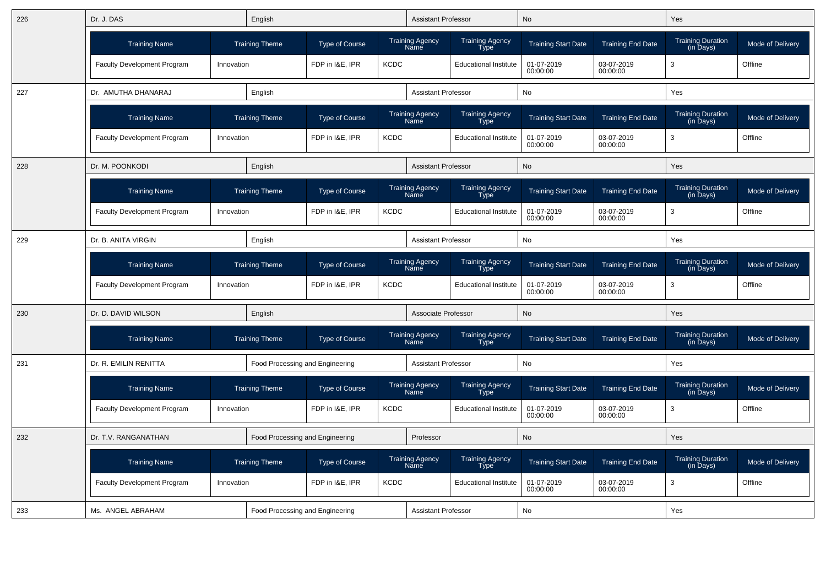| 226 | Dr. J. DAS                         |            | English                         |                       |             | <b>Assistant Professor</b>     |                                | <b>No</b>                  |                          | Yes                                   |                  |
|-----|------------------------------------|------------|---------------------------------|-----------------------|-------------|--------------------------------|--------------------------------|----------------------------|--------------------------|---------------------------------------|------------------|
|     | <b>Training Name</b>               |            | <b>Training Theme</b>           | <b>Type of Course</b> |             | <b>Training Agency</b><br>Name | Training Agency<br><b>Type</b> | <b>Training Start Date</b> | <b>Training End Date</b> | <b>Training Duration</b><br>(in Days) | Mode of Delivery |
|     | <b>Faculty Development Program</b> | Innovation |                                 | FDP in I&E, IPR       | <b>KCDC</b> |                                | <b>Educational Institute</b>   | 01-07-2019<br>00:00:00     | 03-07-2019<br>00:00:00   | 3                                     | Offline          |
| 227 | Dr. AMUTHA DHANARAJ                |            | English                         |                       |             | <b>Assistant Professor</b>     |                                | No                         |                          | Yes                                   |                  |
|     | <b>Training Name</b>               |            | <b>Training Theme</b>           | <b>Type of Course</b> |             | Training Agency<br>Name        | Training Agency<br>Type        | <b>Training Start Date</b> | <b>Training End Date</b> | Training Duration<br>(in Days)        | Mode of Delivery |
|     | <b>Faculty Development Program</b> | Innovation |                                 | FDP in I&E, IPR       | <b>KCDC</b> |                                | <b>Educational Institute</b>   | 01-07-2019<br>00:00:00     | 03-07-2019<br>00:00:00   | 3                                     | Offline          |
| 228 | Dr. M. POONKODI                    |            | English                         |                       |             | <b>Assistant Professor</b>     |                                | No                         |                          | Yes                                   |                  |
|     | <b>Training Name</b>               |            | <b>Training Theme</b>           | <b>Type of Course</b> |             | <b>Training Agency</b><br>Name | <b>Training Agency</b><br>Type | <b>Training Start Date</b> | <b>Training End Date</b> | <b>Training Duration</b><br>(in Days) | Mode of Delivery |
|     | Faculty Development Program        | Innovation |                                 | FDP in I&E, IPR       | <b>KCDC</b> |                                | <b>Educational Institute</b>   | 01-07-2019<br>00:00:00     | 03-07-2019<br>00:00:00   | 3                                     | Offline          |
| 229 | Dr. B. ANITA VIRGIN                |            | English                         |                       |             | <b>Assistant Professor</b>     |                                | No                         |                          | Yes                                   |                  |
|     | <b>Training Name</b>               |            | <b>Training Theme</b>           | <b>Type of Course</b> |             | <b>Training Agency</b><br>Name | Training Agency<br>Type        | <b>Training Start Date</b> | <b>Training End Date</b> | <b>Training Duration</b><br>(in Days) | Mode of Delivery |
|     | Faculty Development Program        | Innovation |                                 | FDP in I&E, IPR       | <b>KCDC</b> |                                | <b>Educational Institute</b>   | 01-07-2019<br>00:00:00     | 03-07-2019<br>00:00:00   | 3                                     | Offline          |
| 230 | Dr. D. DAVID WILSON                |            | English                         |                       |             | Associate Professor            |                                | <b>No</b>                  |                          | Yes                                   |                  |
|     | <b>Training Name</b>               |            | <b>Training Theme</b>           | <b>Type of Course</b> |             | <b>Training Agency</b><br>Name | Training Agency<br>Type        | <b>Training Start Date</b> | <b>Training End Date</b> | Training Duration<br>(in Days)        | Mode of Delivery |
| 231 | Dr. R. EMILIN RENITTA              |            | Food Processing and Engineering |                       |             | <b>Assistant Professor</b>     |                                | No                         |                          | Yes                                   |                  |
|     | <b>Training Name</b>               |            | <b>Training Theme</b>           | <b>Type of Course</b> |             | Training Agency<br>Name        | <b>Training Agency</b><br>Tўpe | <b>Training Start Date</b> | <b>Training End Date</b> | Training Duration<br>(in Days)        | Mode of Delivery |
|     | Faculty Development Program        | Innovation |                                 | FDP in I&E, IPR       | <b>KCDC</b> |                                | <b>Educational Institute</b>   | 01-07-2019<br>00:00:00     | 03-07-2019<br>00:00:00   | 3                                     | Offline          |
| 232 | Dr. T.V. RANGANATHAN               |            | Food Processing and Engineering |                       |             | Professor                      |                                | No                         |                          | Yes                                   |                  |
|     | <b>Training Name</b>               |            | <b>Training Theme</b>           | <b>Type of Course</b> |             | <b>Training Agency</b><br>Name | Training Agency<br>Type        | <b>Training Start Date</b> | <b>Training End Date</b> | <b>Training Duration</b><br>(in Days) | Mode of Delivery |
|     | Faculty Development Program        | Innovation |                                 | FDP in I&E, IPR       | <b>KCDC</b> |                                | <b>Educational Institute</b>   | 01-07-2019<br>00:00:00     | 03-07-2019<br>00:00:00   | 3                                     | Offline          |
| 233 | Ms. ANGEL ABRAHAM                  |            | Food Processing and Engineering |                       |             | <b>Assistant Professor</b>     |                                | <b>No</b>                  |                          | Yes                                   |                  |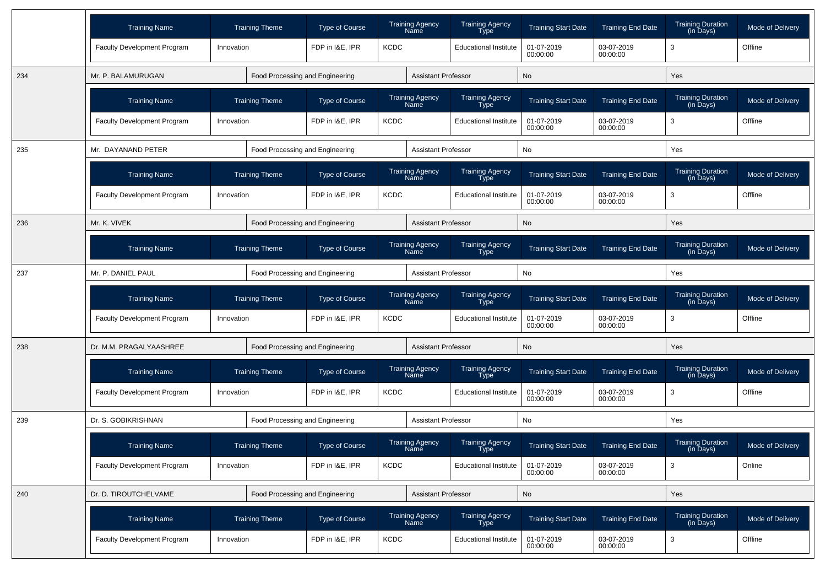|     | <b>Training Name</b>               |            | <b>Training Theme</b>           | Type of Course  |             | <b>Training Agency</b><br>Name                                   | Training Agency<br>Type        | <b>Training Start Date</b> | <b>Training End Date</b> | <b>Training Duration</b><br>(in Days) | Mode of Delivery |
|-----|------------------------------------|------------|---------------------------------|-----------------|-------------|------------------------------------------------------------------|--------------------------------|----------------------------|--------------------------|---------------------------------------|------------------|
|     | <b>Faculty Development Program</b> | Innovation |                                 | FDP in I&E, IPR | <b>KCDC</b> |                                                                  | <b>Educational Institute</b>   | 01-07-2019<br>00:00:00     | 03-07-2019<br>00:00:00   | 3                                     | Offline          |
| 234 | Mr. P. BALAMURUGAN                 |            | Food Processing and Engineering |                 |             | <b>Assistant Professor</b>                                       |                                | No                         |                          | Yes                                   |                  |
|     | <b>Training Name</b>               |            | <b>Training Theme</b>           | Type of Course  |             | Training Agency<br>Name                                          | Training Agency<br><b>Type</b> | <b>Training Start Date</b> | <b>Training End Date</b> | <b>Training Duration</b><br>(in Days) | Mode of Delivery |
|     | Faculty Development Program        | Innovation |                                 | FDP in I&E, IPR | <b>KCDC</b> |                                                                  | <b>Educational Institute</b>   | 01-07-2019<br>00:00:00     | 03-07-2019<br>00:00:00   | 3                                     | Offline          |
| 235 | Mr. DAYANAND PETER                 |            | Food Processing and Engineering |                 |             | <b>Assistant Professor</b>                                       |                                | No                         |                          | Yes                                   |                  |
|     | <b>Training Name</b>               |            | <b>Training Theme</b>           | Type of Course  |             | <b>Training Agency</b><br>Name                                   | Training Agency<br>Type        | <b>Training Start Date</b> | <b>Training End Date</b> | <b>Training Duration</b><br>(in Days) | Mode of Delivery |
|     | Faculty Development Program        | Innovation |                                 | FDP in I&E, IPR | <b>KCDC</b> | <b>Educational Institute</b>                                     |                                | 01-07-2019<br>00:00:00     | 03-07-2019<br>00:00:00   | 3                                     | Offline          |
| 236 | Mr. K. VIVEK                       |            | Food Processing and Engineering |                 |             | <b>Assistant Professor</b>                                       |                                | No                         |                          | Yes                                   |                  |
|     | <b>Training Name</b>               |            | <b>Training Theme</b>           | Type of Course  |             | <b>Training Agency</b><br><b>Training Agency</b><br>Name<br>Type |                                | <b>Training Start Date</b> | <b>Training End Date</b> | <b>Training Duration</b><br>(in Days) | Mode of Delivery |
| 237 | Mr. P. DANIEL PAUL                 |            | Food Processing and Engineering |                 |             | <b>Assistant Professor</b>                                       |                                | No                         |                          | Yes                                   |                  |
|     | <b>Training Name</b>               |            | <b>Training Theme</b>           | Type of Course  |             | <b>Training Agency</b><br>Name                                   | Training Agency<br>Type        | <b>Training Start Date</b> | <b>Training End Date</b> | Training Duration<br>(in Days)        | Mode of Delivery |
|     | Faculty Development Program        | Innovation |                                 | FDP in I&E, IPR | <b>KCDC</b> |                                                                  | <b>Educational Institute</b>   | 01-07-2019<br>00:00:00     | 03-07-2019<br>00:00:00   | 3                                     | Offline          |
| 238 | Dr. M.M. PRAGALYAASHREE            |            | Food Processing and Engineering |                 |             | <b>Assistant Professor</b>                                       |                                | No                         |                          | Yes                                   |                  |
|     | <b>Training Name</b>               |            | <b>Training Theme</b>           | Type of Course  |             | <b>Training Agency</b><br>Name                                   | Training Agency<br>Type        | <b>Training Start Date</b> | <b>Training End Date</b> | <b>Training Duration</b><br>(in Days) | Mode of Delivery |
|     | Faculty Development Program        | Innovation |                                 | FDP in I&E. IPR | <b>KCDC</b> |                                                                  | <b>Educational Institute</b>   | 01-07-2019<br>00:00:00     | 03-07-2019<br>00:00:00   | 3                                     | Offline          |
| 239 | Dr. S. GOBIKRISHNAN                |            | Food Processing and Engineering |                 |             | <b>Assistant Professor</b>                                       |                                | No                         |                          | Yes                                   |                  |
|     | <b>Training Name</b>               |            | <b>Training Theme</b>           | Type of Course  |             | <b>Training Agency</b><br>Name                                   | <b>Training Agency</b><br>Tvpe | <b>Training Start Date</b> | <b>Training End Date</b> | <b>Training Duration</b><br>(in Davs) | Mode of Delivery |
|     | Faculty Development Program        | Innovation |                                 | FDP in I&E, IPR | <b>KCDC</b> |                                                                  | <b>Educational Institute</b>   | 01-07-2019<br>00:00:00     | 03-07-2019<br>00:00:00   | $\mathbf{3}$                          | Online           |
| 240 | Dr. D. TIROUTCHELVAME              |            | Food Processing and Engineering |                 |             | <b>Assistant Professor</b>                                       |                                | No                         |                          | Yes                                   |                  |
|     | <b>Training Name</b>               |            | <b>Training Theme</b>           | Type of Course  |             | Training Agency<br>Name                                          | Training Agency<br>Type        | <b>Training Start Date</b> | <b>Training End Date</b> | Training Duration<br>(in Days)        | Mode of Delivery |
|     | Faculty Development Program        | Innovation |                                 | FDP in I&E, IPR | <b>KCDC</b> |                                                                  | <b>Educational Institute</b>   | 01-07-2019<br>00:00:00     | 03-07-2019<br>00:00:00   | $\mathbf{3}$                          | Offline          |
|     |                                    |            |                                 |                 |             |                                                                  |                                |                            |                          |                                       |                  |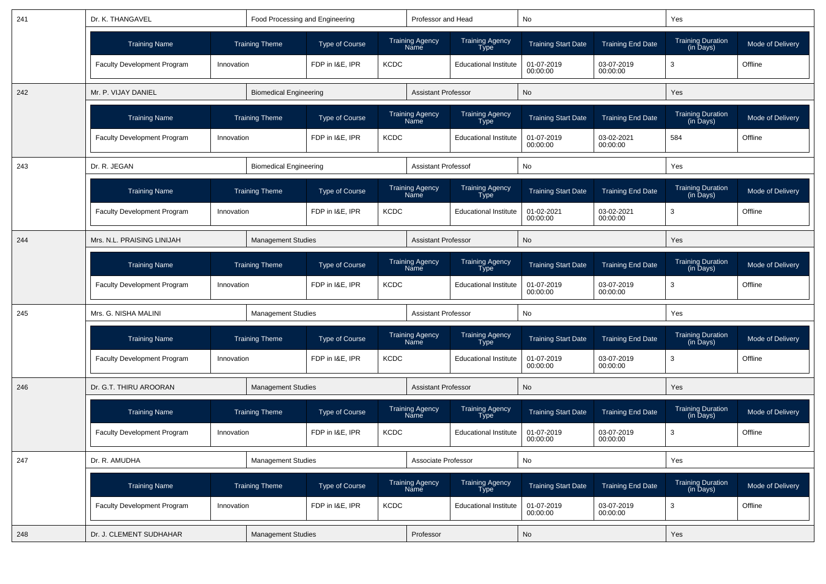| 241 | Dr. K. THANGAVEL                   |            | Food Processing and Engineering |                       |             | Professor and Head                    |                                       | No                         |                          | Yes                                   |                  |
|-----|------------------------------------|------------|---------------------------------|-----------------------|-------------|---------------------------------------|---------------------------------------|----------------------------|--------------------------|---------------------------------------|------------------|
|     | <b>Training Name</b>               |            | <b>Training Theme</b>           | <b>Type of Course</b> |             | <b>Training Agency</b><br><b>Name</b> | <b>Training Agency</b><br><b>Type</b> | <b>Training Start Date</b> | <b>Training End Date</b> | Training Duration<br>(in Days)        | Mode of Delivery |
|     | Faculty Development Program        | Innovation |                                 | FDP in I&E, IPR       | <b>KCDC</b> |                                       | <b>Educational Institute</b>          | 01-07-2019<br>00:00:00     | 03-07-2019<br>00:00:00   | 3                                     | Offline          |
| 242 | Mr. P. VIJAY DANIEL                |            | <b>Biomedical Engineering</b>   |                       |             | <b>Assistant Professor</b>            |                                       | No                         |                          | Yes                                   |                  |
|     | <b>Training Name</b>               |            | <b>Training Theme</b>           | <b>Type of Course</b> |             | <b>Training Agency</b><br>Name        | <b>Training Agency</b><br>Type        | <b>Training Start Date</b> | <b>Training End Date</b> | <b>Training Duration</b><br>(in Days) | Mode of Delivery |
|     | <b>Faculty Development Program</b> | Innovation |                                 | FDP in I&E. IPR       | <b>KCDC</b> |                                       | <b>Educational Institute</b>          | 01-07-2019<br>00:00:00     | 03-02-2021<br>00:00:00   | 584                                   | Offline          |
| 243 | Dr. R. JEGAN                       |            | <b>Biomedical Engineering</b>   |                       |             | <b>Assistant Professof</b>            |                                       | No                         |                          | Yes                                   |                  |
|     | <b>Training Name</b>               |            | <b>Training Theme</b>           | <b>Type of Course</b> |             | <b>Training Agency</b><br><b>Name</b> | Training Agency<br><b>Type</b>        | <b>Training Start Date</b> | <b>Training End Date</b> | Training Duration<br>(in Days)        | Mode of Delivery |
|     | <b>Faculty Development Program</b> | Innovation |                                 | FDP in I&E, IPR       | <b>KCDC</b> |                                       | <b>Educational Institute</b>          | 01-02-2021<br>00:00:00     | 03-02-2021<br>00:00:00   | 3                                     | Offline          |
| 244 | Mrs. N.L. PRAISING LINIJAH         |            | <b>Management Studies</b>       |                       |             | <b>Assistant Professor</b>            |                                       | No                         |                          | Yes                                   |                  |
|     | <b>Training Name</b>               |            | <b>Training Theme</b>           | <b>Type of Course</b> |             | <b>Training Agency</b><br>Name        | <b>Training Agency</b><br><b>Type</b> | <b>Training Start Date</b> | <b>Training End Date</b> | Training Duration<br>(in Days)        | Mode of Delivery |
|     | <b>Faculty Development Program</b> | Innovation |                                 | FDP in I&E. IPR       | <b>KCDC</b> |                                       | <b>Educational Institute</b>          | 01-07-2019<br>00:00:00     | 03-07-2019<br>00:00:00   | 3                                     | Offline          |
| 245 | Mrs. G. NISHA MALINI               |            | <b>Management Studies</b>       |                       |             | <b>Assistant Professor</b>            |                                       | No                         |                          | Yes                                   |                  |
|     | <b>Training Name</b>               |            | <b>Training Theme</b>           | <b>Type of Course</b> |             | Training Agency<br>Name               | <b>Training Agency</b><br><b>Type</b> | <b>Training Start Date</b> | <b>Training End Date</b> | Training Duration<br>(in Days)        | Mode of Delivery |
|     | Faculty Development Program        | Innovation |                                 | FDP in I&E, IPR       | <b>KCDC</b> |                                       | <b>Educational Institute</b>          | 01-07-2019<br>00:00:00     | 03-07-2019<br>00:00:00   | 3                                     | Offline          |
| 246 | Dr. G.T. THIRU AROORAN             |            | <b>Management Studies</b>       |                       |             | <b>Assistant Professor</b>            |                                       | No                         |                          | Yes                                   |                  |
|     | <b>Training Name</b>               |            | <b>Training Theme</b>           | <b>Type of Course</b> |             | Training Agency<br>Name               | Training Agency<br><b>Type</b>        | <b>Training Start Date</b> | <b>Training End Date</b> | Training Duration<br>(in Days)        | Mode of Delivery |
|     | <b>Faculty Development Program</b> | Innovation |                                 | FDP in I&E. IPR       | <b>KCDC</b> |                                       | <b>Educational Institute</b>          | 01-07-2019<br>00:00:00     | 03-07-2019<br>00:00:00   | 3                                     | Offline          |
| 247 | Dr. R. AMUDHA                      |            | <b>Management Studies</b>       |                       |             | Associate Professor                   |                                       | No                         |                          | Yes                                   |                  |
|     | <b>Training Name</b>               |            | <b>Training Theme</b>           | Type of Course        |             | Training Agency<br>Name               | Training Agency<br>Type               | <b>Training Start Date</b> | <b>Training End Date</b> | Training Duration<br>(in Days)        | Mode of Delivery |
|     | Faculty Development Program        | Innovation |                                 | FDP in I&E, IPR       | <b>KCDC</b> |                                       | <b>Educational Institute</b>          | 01-07-2019<br>00:00:00     | 03-07-2019<br>00:00:00   | $\mathbf{3}$                          | Offline          |
| 248 | Dr. J. CLEMENT SUDHAHAR            |            | <b>Management Studies</b>       |                       |             | Professor                             |                                       | No                         |                          | Yes                                   |                  |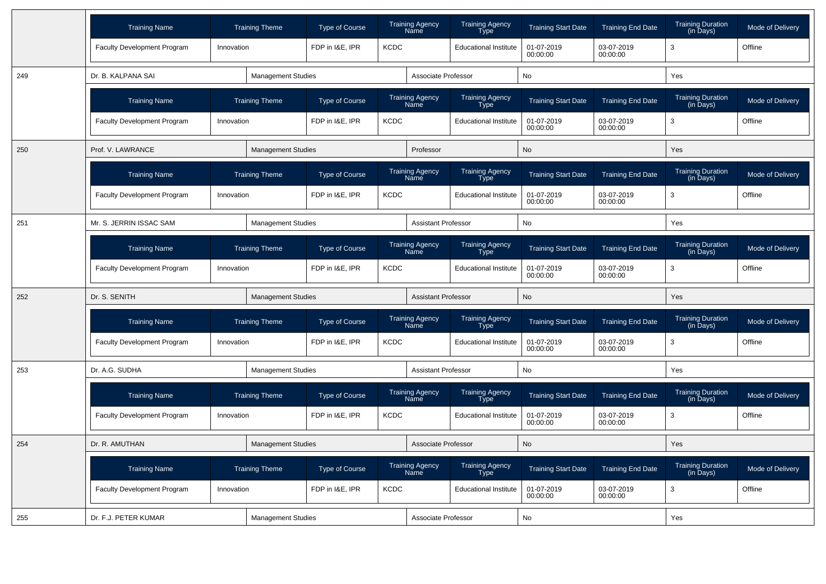|     | <b>Training Name</b>        | <b>Training Theme</b>               |                           | <b>Type of Course</b>          |             | <b>Training Agency</b><br>Name | <b>Training Agency</b><br>Type        | <b>Training Start Date</b> | <b>Training End Date</b> | <b>Training Duration</b><br>(in Days) | Mode of Delivery |
|-----|-----------------------------|-------------------------------------|---------------------------|--------------------------------|-------------|--------------------------------|---------------------------------------|----------------------------|--------------------------|---------------------------------------|------------------|
|     | Faculty Development Program | Innovation                          |                           | FDP in I&E, IPR                | <b>KCDC</b> |                                | <b>Educational Institute</b>          | 01-07-2019<br>00:00:00     | 03-07-2019<br>00:00:00   | 3                                     | Offline          |
| 249 | Dr. B. KALPANA SAI          |                                     | <b>Management Studies</b> |                                |             | Associate Professor            |                                       | No                         |                          | Yes                                   |                  |
|     | <b>Training Name</b>        | <b>Training Theme</b>               |                           | <b>Type of Course</b>          |             | <b>Training Agency</b><br>Name | Training Agency<br>Type               | <b>Training Start Date</b> | <b>Training End Date</b> | <b>Training Duration</b><br>(in Days) | Mode of Delivery |
|     | Faculty Development Program | Innovation                          |                           | FDP in I&E, IPR                | <b>KCDC</b> |                                | <b>Educational Institute</b>          | 01-07-2019<br>00:00:00     | 03-07-2019<br>00:00:00   | 3                                     | Offline          |
| 250 | Prof. V. LAWRANCE           |                                     | <b>Management Studies</b> |                                |             | Professor                      |                                       | <b>No</b>                  |                          | Yes                                   |                  |
|     | <b>Training Name</b>        | <b>Training Theme</b>               |                           | <b>Type of Course</b>          |             | <b>Training Agency</b><br>Name | Training Agency<br>Type               | <b>Training Start Date</b> | <b>Training End Date</b> | <b>Training Duration</b><br>(in Days) | Mode of Delivery |
|     | Faculty Development Program | Innovation                          |                           | FDP in I&E, IPR                | <b>KCDC</b> |                                | <b>Educational Institute</b>          | 01-07-2019<br>00:00:00     | 03-07-2019<br>00:00:00   | 3                                     | Offline          |
| 251 | Mr. S. JERRIN ISSAC SAM     |                                     | <b>Management Studies</b> |                                |             | <b>Assistant Professor</b>     |                                       | No                         |                          | Yes                                   |                  |
|     | <b>Training Name</b>        |                                     |                           | <b>Type of Course</b>          |             | <b>Training Agency</b><br>Name | Training Agency<br><b>Type</b>        | <b>Training Start Date</b> | <b>Training End Date</b> | <b>Training Duration</b><br>(in Days) | Mode of Delivery |
|     | Faculty Development Program | <b>Training Theme</b><br>Innovation |                           | FDP in I&E, IPR<br><b>KCDC</b> |             |                                | <b>Educational Institute</b>          | 01-07-2019<br>00:00:00     | 03-07-2019<br>00:00:00   | 3                                     | Offline          |
| 252 | Dr. S. SENITH               |                                     | <b>Management Studies</b> | <b>Assistant Professor</b>     |             |                                |                                       | <b>No</b>                  |                          | Yes                                   |                  |
|     | <b>Training Name</b>        | <b>Training Theme</b>               |                           | Type of Course                 |             | <b>Training Agency</b><br>Name | Training Agency<br>Type               | <b>Training Start Date</b> | <b>Training End Date</b> | <b>Training Duration</b><br>(in Days) | Mode of Delivery |
|     | Faculty Development Program | Innovation                          |                           | FDP in I&E. IPR                | <b>KCDC</b> |                                | <b>Educational Institute</b>          | 01-07-2019<br>00:00:00     | 03-07-2019<br>00:00:00   | 3                                     | Offline          |
| 253 | Dr. A.G. SUDHA              |                                     | <b>Management Studies</b> |                                |             | Assistant Professor            |                                       | No                         |                          | Yes                                   |                  |
|     | <b>Training Name</b>        |                                     | <b>Training Theme</b>     | <b>Type of Course</b>          |             | <b>Training Agency</b><br>Name | Training Agency<br>Type               | <b>Training Start Date</b> | <b>Training End Date</b> | Training Duration<br>(in Days)        | Mode of Delivery |
|     | Faculty Development Program | Innovation                          |                           | FDP in I&E, IPR                | <b>KCDC</b> |                                | <b>Educational Institute</b>          | 01-07-2019<br>00:00:00     | 03-07-2019<br>00:00:00   | 3                                     | Offline          |
| 254 | Dr. R. AMUTHAN              |                                     | <b>Management Studies</b> |                                |             | Associate Professor            |                                       | <b>No</b>                  |                          | Yes                                   |                  |
|     | <b>Training Name</b>        | <b>Training Theme</b>               |                           | Type of Course                 |             | <b>Training Agency</b><br>Name | <b>Training Agency</b><br><b>Type</b> | <b>Training Start Date</b> | <b>Training End Date</b> | <b>Training Duration</b><br>(in Days) | Mode of Delivery |
|     | Faculty Development Program | Innovation                          |                           | FDP in I&E, IPR                | <b>KCDC</b> |                                | <b>Educational Institute</b>          | 01-07-2019<br>00:00:00     | 03-07-2019<br>00:00:00   | 3                                     | Offline          |
| 255 | Dr. F.J. PETER KUMAR        |                                     | <b>Management Studies</b> |                                |             | Associate Professor            |                                       | No                         |                          | Yes                                   |                  |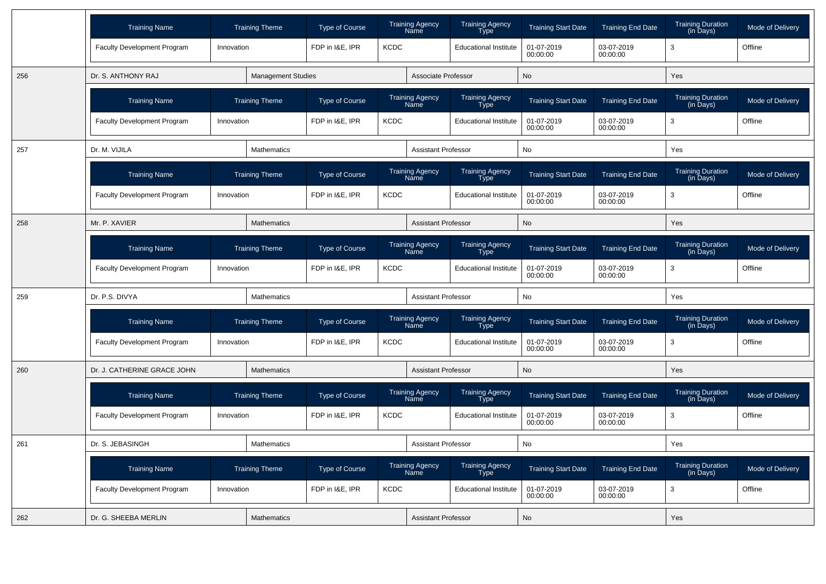|     | <b>Training Name</b>               | <b>Training Theme</b> | <b>Type of Course</b>     |             | <b>Training Agency</b><br>Name | <b>Training Agency</b><br>Type | <b>Training Start Date</b> | <b>Training End Date</b> | <b>Training Duration</b><br>(in Days)                  | Mode of Delivery |
|-----|------------------------------------|-----------------------|---------------------------|-------------|--------------------------------|--------------------------------|----------------------------|--------------------------|--------------------------------------------------------|------------------|
|     | Faculty Development Program        | Innovation            | FDP in I&E, IPR           | <b>KCDC</b> |                                | <b>Educational Institute</b>   | 01-07-2019<br>00:00:00     | 03-07-2019<br>00:00:00   | 3                                                      | Offline          |
| 256 | Dr. S. ANTHONY RAJ                 |                       | <b>Management Studies</b> |             | Associate Professor            |                                | <b>No</b>                  |                          | Yes                                                    |                  |
|     | <b>Training Name</b>               | <b>Training Theme</b> | <b>Type of Course</b>     |             | <b>Training Agency</b><br>Name | Training Agency<br>Type        | <b>Training Start Date</b> | <b>Training End Date</b> | <b>Training Duration</b><br>(in Days)                  | Mode of Delivery |
|     | Faculty Development Program        | Innovation            | FDP in I&E, IPR           | <b>KCDC</b> |                                | <b>Educational Institute</b>   | 01-07-2019<br>00:00:00     | 03-07-2019<br>00:00:00   | 3                                                      | Offline          |
| 257 | Dr. M. VIJILA                      | <b>Mathematics</b>    |                           |             | <b>Assistant Professor</b>     |                                | <b>No</b>                  |                          | Yes                                                    |                  |
|     | <b>Training Name</b>               | <b>Training Theme</b> | <b>Type of Course</b>     |             | Training Agency<br>Name        | Training Agency<br>Type        | <b>Training Start Date</b> | <b>Training End Date</b> | <b>Training Duration</b><br>$(in \overline{D}$ ays $)$ | Mode of Delivery |
|     | <b>Faculty Development Program</b> | Innovation            | FDP in I&E, IPR           | <b>KCDC</b> |                                | <b>Educational Institute</b>   | 01-07-2019<br>00:00:00     | 03-07-2019<br>00:00:00   | 3                                                      | Offline          |
| 258 | Mr. P. XAVIER                      | Mathematics           |                           |             | <b>Assistant Professor</b>     |                                | <b>No</b>                  |                          | Yes                                                    |                  |
|     | <b>Training Name</b>               | <b>Training Theme</b> | Type of Course            |             | <b>Training Agency</b><br>Name | Training Agency<br>Type        | <b>Training Start Date</b> | <b>Training End Date</b> | <b>Training Duration</b><br>(in Days)                  | Mode of Delivery |
|     | <b>Faculty Development Program</b> | Innovation            | FDP in I&E, IPR           | <b>KCDC</b> |                                | <b>Educational Institute</b>   | 01-07-2019<br>00:00:00     | 03-07-2019<br>00:00:00   | 3                                                      | Offline          |
| 259 | Dr. P.S. DIVYA                     | <b>Mathematics</b>    |                           |             | <b>Assistant Professor</b>     |                                | <b>No</b>                  |                          | Yes                                                    |                  |
|     | <b>Training Name</b>               | <b>Training Theme</b> | <b>Type of Course</b>     |             | <b>Training Agency</b><br>Name | Training Agency<br>Type        | <b>Training Start Date</b> | <b>Training End Date</b> | <b>Training Duration</b><br>(in Days)                  | Mode of Delivery |
|     | <b>Faculty Development Program</b> | Innovation            | FDP in I&E, IPR           | <b>KCDC</b> |                                | <b>Educational Institute</b>   | 01-07-2019<br>00:00:00     | 03-07-2019<br>00:00:00   | 3                                                      | Offline          |
| 260 | Dr. J. CATHERINE GRACE JOHN        | <b>Mathematics</b>    |                           |             | <b>Assistant Professor</b>     |                                | <b>No</b>                  |                          | Yes                                                    |                  |
|     | <b>Training Name</b>               | <b>Training Theme</b> | Type of Course            |             | Training Agency<br>Name        | Training Agency<br>Type        | <b>Training Start Date</b> | <b>Training End Date</b> | <b>Training Duration</b><br>(in Days)                  | Mode of Delivery |
|     | <b>Faculty Development Program</b> | Innovation            | FDP in I&E, IPR           | <b>KCDC</b> |                                | <b>Educational Institute</b>   | 01-07-2019<br>00:00:00     | 03-07-2019<br>00:00:00   | 3                                                      | Offline          |
| 261 | Dr. S. JEBASINGH                   | Mathematics           |                           |             | <b>Assistant Professor</b>     |                                | <b>No</b>                  |                          | Yes                                                    |                  |
|     | <b>Training Name</b>               | <b>Training Theme</b> | <b>Type of Course</b>     |             | <b>Training Agency</b><br>Name | <b>Training Agency</b><br>Type | <b>Training Start Date</b> | <b>Training End Date</b> | <b>Training Duration</b><br>(in Days)                  | Mode of Delivery |
|     | Faculty Development Program        | Innovation            | FDP in I&E, IPR           | <b>KCDC</b> |                                | <b>Educational Institute</b>   | 01-07-2019<br>00:00:00     | 03-07-2019<br>00:00:00   | 3                                                      | Offline          |
| 262 | Dr. G. SHEEBA MERLIN               | Mathematics           |                           |             | <b>Assistant Professor</b>     |                                | No                         |                          | Yes                                                    |                  |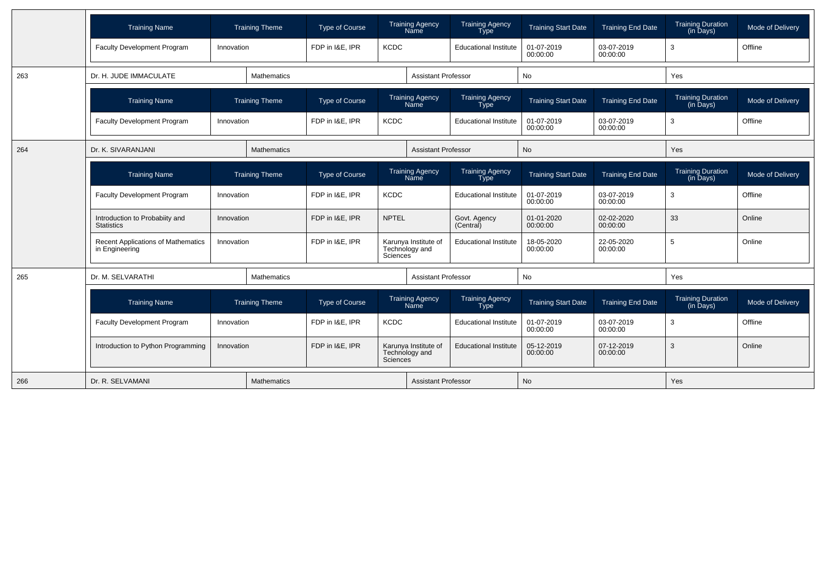|     | <b>Training Name</b>                                        |                    | <b>Training Theme</b> | Type of Course  | <b>Training Agency</b><br>Name                     |                            | <b>Training Agency</b><br><b>Type</b> | <b>Training Start Date</b> | <b>Training End Date</b> | <b>Training Duration</b><br>(in Days) | Mode of Delivery |
|-----|-------------------------------------------------------------|--------------------|-----------------------|-----------------|----------------------------------------------------|----------------------------|---------------------------------------|----------------------------|--------------------------|---------------------------------------|------------------|
|     | <b>Faculty Development Program</b>                          | Innovation         |                       | FDP in I&E, IPR | <b>KCDC</b>                                        |                            | <b>Educational Institute</b>          | 01-07-2019<br>00:00:00     | 03-07-2019<br>00:00:00   | 3                                     | Offline          |
| 263 | Dr. H. JUDE IMMACULATE                                      |                    | <b>Mathematics</b>    |                 |                                                    | <b>Assistant Professor</b> |                                       | No                         |                          | Yes                                   |                  |
|     | <b>Training Name</b>                                        |                    | <b>Training Theme</b> | Type of Course  | <b>Training Agency</b><br>Name                     |                            | <b>Training Agency</b><br>Type        | <b>Training Start Date</b> | <b>Training End Date</b> | <b>Training Duration</b><br>(in Days) | Mode of Delivery |
|     | <b>Faculty Development Program</b>                          | Innovation         |                       | FDP in I&E, IPR | <b>KCDC</b>                                        |                            | <b>Educational Institute</b>          | 01-07-2019<br>00:00:00     | 03-07-2019<br>00:00:00   | 3                                     | Offline          |
| 264 | Dr. K. SIVARANJANI                                          | <b>Mathematics</b> |                       |                 |                                                    | <b>Assistant Professor</b> |                                       | <b>No</b>                  |                          | Yes                                   |                  |
|     | <b>Training Name</b>                                        |                    | <b>Training Theme</b> | Type of Course  | <b>Training Agency</b><br><b>Name</b>              |                            | <b>Training Agency</b><br><b>Type</b> | <b>Training Start Date</b> | <b>Training End Date</b> | <b>Training Duration</b><br>(in Days) | Mode of Delivery |
|     | Faculty Development Program                                 | Innovation         |                       | FDP in I&E, IPR | <b>KCDC</b>                                        |                            | <b>Educational Institute</b>          | 01-07-2019<br>00:00:00     | 03-07-2019<br>00:00:00   | 3                                     | Offline          |
|     | Introduction to Probabiity and<br><b>Statistics</b>         | Innovation         |                       | FDP in I&E, IPR | <b>NPTEL</b>                                       |                            | Govt. Agency<br>(Central)             | 01-01-2020<br>00:00:00     | 02-02-2020<br>00:00:00   | 33                                    | Online           |
|     | <b>Recent Applications of Mathematics</b><br>in Engineering | Innovation         |                       | FDP in I&E, IPR | Karunya Institute of<br>Technology and<br>Sciences |                            | <b>Educational Institute</b>          | 18-05-2020<br>00:00:00     | 22-05-2020<br>00:00:00   | 5                                     | Online           |
| 265 | Dr. M. SELVARATHI                                           |                    | <b>Mathematics</b>    |                 |                                                    | <b>Assistant Professor</b> |                                       | <b>No</b>                  |                          | Yes                                   |                  |
|     | <b>Training Name</b>                                        |                    | <b>Training Theme</b> | Type of Course  | <b>Training Agency</b><br>Name                     |                            | <b>Training Agency</b><br><b>Type</b> | <b>Training Start Date</b> | <b>Training End Date</b> | <b>Training Duration</b><br>(in Days) | Mode of Delivery |
|     | <b>Faculty Development Program</b>                          | Innovation         |                       | FDP in I&E, IPR | <b>KCDC</b>                                        |                            | <b>Educational Institute</b>          | 01-07-2019<br>00:00:00     | 03-07-2019<br>00:00:00   | 3                                     | Offline          |
|     | Introduction to Python Programming                          | Innovation         |                       | FDP in I&E, IPR | Karunya Institute of<br>Technology and<br>Sciences |                            | <b>Educational Institute</b>          | 05-12-2019<br>00:00:00     | 07-12-2019<br>00:00:00   | 3                                     | Online           |
| 266 | Dr. R. SELVAMANI                                            |                    | <b>Mathematics</b>    |                 |                                                    | <b>Assistant Professor</b> |                                       | <b>No</b>                  |                          | Yes                                   |                  |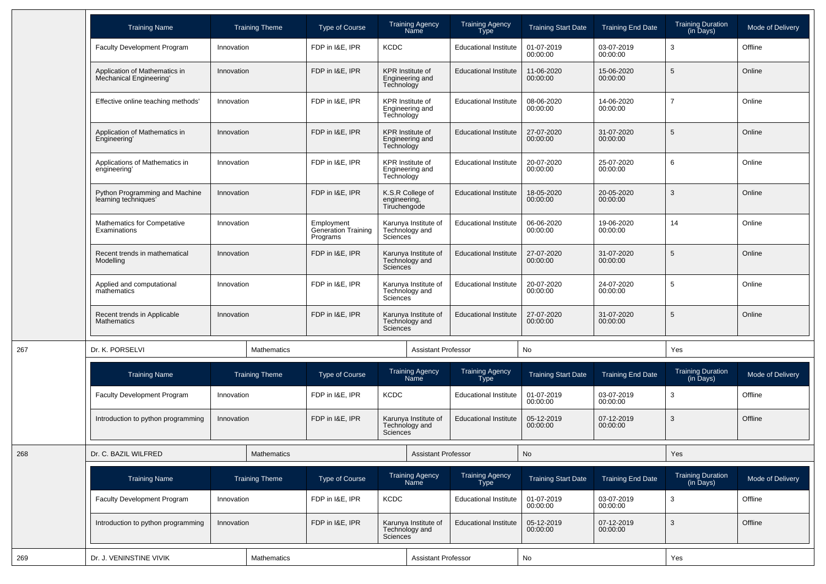|     | <b>Training Name</b>                                     |            | <b>Training Theme</b> | <b>Type of Course</b>                         |                                                                 | <b>Training Agency</b><br>Name             | <b>Training Agency</b><br><b>Type</b> | <b>Training Start Date</b> | <b>Training End Date</b> | <b>Training Duration</b><br>(in Days) | Mode of Delivery |
|-----|----------------------------------------------------------|------------|-----------------------|-----------------------------------------------|-----------------------------------------------------------------|--------------------------------------------|---------------------------------------|----------------------------|--------------------------|---------------------------------------|------------------|
|     | Faculty Development Program                              | Innovation |                       | FDP in I&E, IPR                               | <b>KCDC</b>                                                     |                                            | <b>Educational Institute</b>          | 01-07-2019<br>00:00:00     | 03-07-2019<br>00:00:00   | 3                                     | Offline          |
|     | Application of Mathematics in<br>Mechanical Engineering' | Innovation |                       | FDP in I&E, IPR                               | Technology                                                      | <b>KPR</b> Institute of<br>Engineering and | <b>Educational Institute</b>          | 11-06-2020<br>00:00:00     | 15-06-2020<br>00:00:00   | 5                                     | Online           |
|     | Effective online teaching methods'                       | Innovation |                       | FDP in I&E, IPR                               | Technology                                                      | KPR Institute of<br>Engineering and        | <b>Educational Institute</b>          | 08-06-2020<br>00:00:00     | 14-06-2020<br>00:00:00   | $\overline{7}$                        | Online           |
|     | Application of Mathematics in<br>Engineering'            | Innovation |                       | FDP in I&E, IPR                               | Technology                                                      | <b>KPR</b> Institute of<br>Engineering and | <b>Educational Institute</b>          | 27-07-2020<br>00:00:00     | 31-07-2020<br>00:00:00   | 5                                     | Online           |
|     | Applications of Mathematics in<br>engineering'           | Innovation |                       | FDP in I&E, IPR                               | Technology                                                      | <b>KPR</b> Institute of<br>Engineering and | <b>Educational Institute</b>          | 20-07-2020<br>00:00:00     | 25-07-2020<br>00:00:00   | 6                                     | Online           |
|     | Python Programming and Machine<br>learning techniques'   | Innovation |                       | FDP in I&E, IPR                               | engineering,<br>Tiruchengode                                    | K.S.R College of                           | <b>Educational Institute</b>          | 18-05-2020<br>00:00:00     | 20-05-2020<br>00:00:00   | 3                                     | Online           |
|     | Mathematics for Competative<br>Examinations              | Innovation |                       | Employment<br>Generation Training<br>Programs | Sciences                                                        | Karunya Institute of<br>Technology and     | <b>Educational Institute</b>          | 06-06-2020<br>00:00:00     | 19-06-2020<br>00:00:00   | 14                                    | Online           |
|     | Recent trends in mathematical<br>Modelling               | Innovation |                       | FDP in I&E. IPR                               | Sciences                                                        | Karunya Institute of<br>Technology and     | <b>Educational Institute</b>          | 27-07-2020<br>00:00:00     | 31-07-2020<br>00:00:00   | 5                                     | Online           |
|     | Applied and computational<br>mathematics                 | Innovation |                       | FDP in I&E, IPR                               | Sciences <sup>®</sup>                                           | Karunya Institute of<br>Technology and     | <b>Educational Institute</b>          | 20-07-2020<br>00:00:00     | 24-07-2020<br>00:00:00   | 5                                     | Online           |
|     | Recent trends in Applicable<br>Mathematics               | Innovation |                       | FDP in I&E, IPR                               | Sciences                                                        | Karunya Institute of<br>Technology and     | <b>Educational Institute</b>          | 27-07-2020<br>00:00:00     | 31-07-2020<br>00:00:00   | 5                                     | Online           |
| 267 | Dr. K. PORSELVI                                          |            | Mathematics           |                                               |                                                                 | <b>Assistant Professor</b>                 |                                       | No                         |                          | Yes                                   |                  |
|     | <b>Training Name</b>                                     |            | <b>Training Theme</b> | <b>Type of Course</b>                         |                                                                 | <b>Training Agency</b><br>Name             | <b>Training Agency</b><br>Type        | <b>Training Start Date</b> | <b>Training End Date</b> | <b>Training Duration</b><br>(in Days) | Mode of Delivery |
|     | <b>Faculty Development Program</b>                       | Innovation |                       | FDP in I&E, IPR                               | <b>KCDC</b>                                                     |                                            | <b>Educational Institute</b>          | 01-07-2019<br>00:00:00     | 03-07-2019<br>00:00:00   | 3                                     | Offline          |
|     | Introduction to python programming                       | Innovation |                       | FDP in I&E, IPR                               | Sciences                                                        | Karunya Institute of<br>Technology and     | <b>Educational Institute</b>          | 05-12-2019<br>00:00:00     | 07-12-2019<br>00:00:00   | 3                                     | Offline          |
| 268 | Dr. C. BAZIL WILFRED                                     |            | <b>Mathematics</b>    |                                               |                                                                 | <b>Assistant Professor</b>                 |                                       | No                         |                          | Yes                                   |                  |
|     | <b>Training Name</b>                                     |            | <b>Training Theme</b> | <b>Type of Course</b>                         |                                                                 | Training Agency<br>Name                    | Training Agency<br>Type               | <b>Training Start Date</b> | <b>Training End Date</b> | Training Duration<br>(in Days)        | Mode of Delivery |
|     | <b>Faculty Development Program</b>                       | Innovation |                       | FDP in I&E, IPR                               | KCDC                                                            |                                            | <b>Educational Institute</b>          | 01-07-2019<br>00:00:00     | 03-07-2019<br>00:00:00   | 3                                     | Offline          |
|     | Introduction to python programming                       | Innovation |                       | FDP in I&E, IPR                               | Karunya Institute of<br>Technology and<br>Sciences <sup>®</sup> |                                            | <b>Educational Institute</b>          | 05-12-2019<br>00:00:00     | 07-12-2019<br>00:00:00   | 3                                     | Offline          |
| 269 | Dr. J. VENINSTINE VIVIK                                  |            | Mathematics           |                                               |                                                                 | <b>Assistant Professor</b>                 |                                       | No                         |                          | Yes                                   |                  |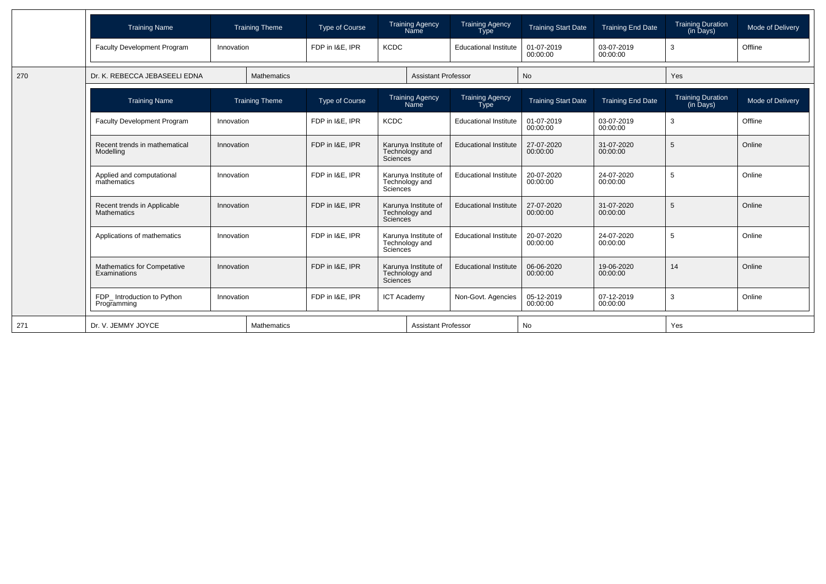|     | <b>Training Name</b>                              |            | <b>Training Theme</b> | <b>Type of Course</b>       |                       | <b>Training Agency</b><br>Name         | <b>Training Agency</b><br><b>Type</b> | <b>Training Start Date</b> | <b>Training End Date</b> | <b>Training Duration</b><br>(in Days) | Mode of Delivery |
|-----|---------------------------------------------------|------------|-----------------------|-----------------------------|-----------------------|----------------------------------------|---------------------------------------|----------------------------|--------------------------|---------------------------------------|------------------|
|     | Faculty Development Program                       | Innovation |                       | FDP in I&E, IPR             | <b>KCDC</b>           |                                        | <b>Educational Institute</b>          | 01-07-2019<br>00:00:00     | 03-07-2019<br>00:00:00   | 3                                     | Offline          |
| 270 | Dr. K. REBECCA JEBASEELI EDNA                     |            | <b>Mathematics</b>    |                             |                       | <b>Assistant Professor</b>             |                                       | <b>No</b>                  |                          | Yes                                   |                  |
|     | <b>Training Name</b>                              |            | <b>Training Theme</b> | <b>Type of Course</b>       |                       | <b>Training Agency</b><br>Name         | <b>Training Agency</b><br><b>Type</b> | <b>Training Start Date</b> | <b>Training End Date</b> | Training Duration<br>(in Days)        | Mode of Delivery |
|     | <b>Faculty Development Program</b>                | Innovation |                       | FDP in I&E, IPR             | <b>KCDC</b>           |                                        | <b>Educational Institute</b>          | 01-07-2019<br>00:00:00     | 03-07-2019<br>00:00:00   | 3                                     | Offline          |
|     | Recent trends in mathematical<br>Modelling        | Innovation |                       | FDP in I&E. IPR             | Sciences              | Karunya Institute of<br>Technology and | <b>Educational Institute</b>          | 27-07-2020<br>00:00:00     | 31-07-2020<br>00:00:00   | 5                                     | Online           |
|     | Applied and computational<br>mathematics          | Innovation |                       | FDP in I&E, IPR             | <b>Sciences</b>       | Karunya Institute of<br>Technology and | <b>Educational Institute</b>          | 20-07-2020<br>00:00:00     | 24-07-2020<br>00:00:00   | 5                                     | Online           |
|     | Recent trends in Applicable<br><b>Mathematics</b> | Innovation |                       | FDP in I&E, IPR             | Sciences <sup>1</sup> | Karunya Institute of<br>Technology and | <b>Educational Institute</b>          | 27-07-2020<br>00:00:00     | 31-07-2020<br>00:00:00   | 5                                     | Online           |
|     | Applications of mathematics                       | Innovation |                       | FDP in I&E, IPR<br>Sciences |                       | Karunya Institute of<br>Technology and | <b>Educational Institute</b>          | 20-07-2020<br>00:00:00     | 24-07-2020<br>00:00:00   | 5                                     | Online           |
|     | Mathematics for Competative<br>Examinations       | Innovation |                       | FDP in I&E, IPR             | <b>Sciences</b>       | Karunya Institute of<br>Technology and | <b>Educational Institute</b>          | 06-06-2020<br>00:00:00     | 19-06-2020<br>00:00:00   | 14                                    | Online           |
|     | FDP Introduction to Python<br>Programming         | Innovation |                       | FDP in I&E. IPR             | <b>ICT Academy</b>    |                                        | Non-Govt. Agencies                    | 05-12-2019<br>00:00:00     | 07-12-2019<br>00:00:00   | 3                                     | Online           |
| 271 | Dr. V. JEMMY JOYCE                                |            | <b>Mathematics</b>    |                             |                       | <b>Assistant Professor</b>             |                                       | No                         |                          | Yes                                   |                  |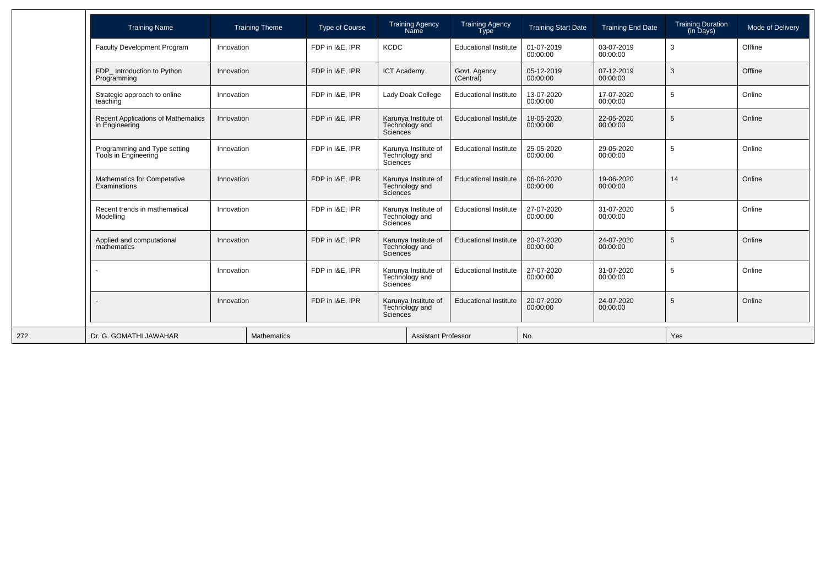| <b>Training Name</b>                                        | <b>Training Theme</b> |  | <b>Type of Course</b>                                      |                                                                                                                                                                | <b>Training Agency</b><br>Name         | <b>Training Agency</b><br><b>Type</b> | <b>Training Start Date</b> | <b>Training End Date</b> | Training Duration<br>(in Days) | Mode of Delivery |
|-------------------------------------------------------------|-----------------------|--|------------------------------------------------------------|----------------------------------------------------------------------------------------------------------------------------------------------------------------|----------------------------------------|---------------------------------------|----------------------------|--------------------------|--------------------------------|------------------|
| <b>Faculty Development Program</b>                          | Innovation            |  | FDP in I&E, IPR                                            | <b>KCDC</b>                                                                                                                                                    |                                        | <b>Educational Institute</b>          | 01-07-2019<br>00:00:00     | 03-07-2019<br>00:00:00   | 3                              | Offline          |
| FDP_ Introduction to Python<br>Programming                  | Innovation            |  | FDP in I&E. IPR                                            | <b>ICT Academy</b>                                                                                                                                             |                                        | Govt. Agency<br>(Central)             | 05-12-2019<br>00:00:00     | 07-12-2019<br>00:00:00   | 3                              | Offline          |
| Strategic approach to online<br>teaching                    | Innovation            |  | FDP in I&E. IPR                                            |                                                                                                                                                                | Lady Doak College                      | <b>Educational Institute</b>          | 13-07-2020<br>00:00:00     | 17-07-2020<br>00:00:00   | 5                              | Online           |
| <b>Recent Applications of Mathematics</b><br>in Engineering | Innovation            |  | FDP in I&E, IPR                                            | Sciences                                                                                                                                                       | Karunya Institute of<br>Technology and | <b>Educational Institute</b>          | 18-05-2020<br>00:00:00     | 22-05-2020<br>00:00:00   | 5                              | Online           |
| Programming and Type setting<br>Tools in Engineering        | Innovation            |  | FDP in I&E. IPR                                            | Karunya Institute of<br>Technology and<br>Sciences<br>Karunya Institute of<br>Technology and<br>Sciences<br>Karunya Institute of<br>Technology and<br>Sciences |                                        | <b>Educational Institute</b>          | 25-05-2020<br>00:00:00     | 29-05-2020<br>00:00:00   | 5                              | Online           |
| Mathematics for Competative<br><b>Examinations</b>          | Innovation            |  | FDP in I&E. IPR                                            |                                                                                                                                                                |                                        | <b>Educational Institute</b>          | 06-06-2020<br>00:00:00     | 19-06-2020<br>00:00:00   | 14                             | Online           |
| Recent trends in mathematical<br>Modelling                  | Innovation            |  | FDP in I&E. IPR                                            |                                                                                                                                                                |                                        | <b>Educational Institute</b>          | 27-07-2020<br>00:00:00     | 31-07-2020<br>00:00:00   | 5                              | Online           |
| Applied and computational<br>mathematics                    | Innovation            |  | FDP in I&E. IPR<br>Sciences                                |                                                                                                                                                                | Karunya Institute of<br>Technology and | <b>Educational Institute</b>          | 20-07-2020<br>00:00:00     | 24-07-2020<br>00:00:00   | 5                              | Online           |
|                                                             | Innovation            |  | FDP in I&E. IPR                                            | Technology and<br>Sciences <sup>1</sup>                                                                                                                        | Karunya Institute of                   | <b>Educational Institute</b>          | 27-07-2020<br>00:00:00     | 31-07-2020<br>00:00:00   | 5                              | Online           |
|                                                             | Innovation            |  | FDP in I&E, IPR<br>Technology and<br>Sciences <sup>1</sup> |                                                                                                                                                                | Karunya Institute of                   | <b>Educational Institute</b>          | 20-07-2020<br>00:00:00     | 24-07-2020<br>00:00:00   | 5                              | Online           |
| Dr. G. GOMATHI JAWAHAR                                      | <b>Mathematics</b>    |  |                                                            | <b>Assistant Professor</b>                                                                                                                                     |                                        |                                       | <b>No</b>                  |                          | Yes                            |                  |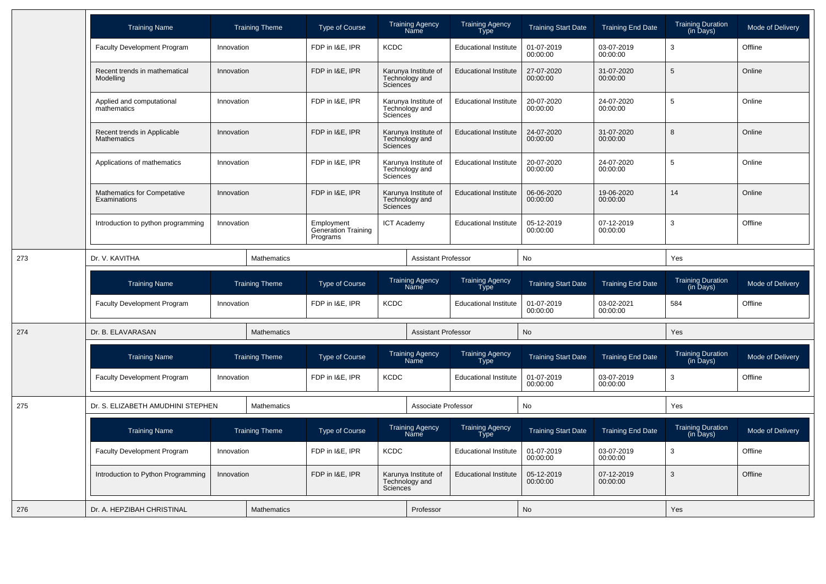|     | <b>Training Name</b>                               | <b>Training Theme</b> | <b>Type of Course</b>                                | <b>Training Agency</b><br>Name                                  | <b>Training Agency</b><br>Type        | <b>Training Start Date</b> | <b>Training End Date</b> | Training Duration<br>(in Days)        | Mode of Delivery |
|-----|----------------------------------------------------|-----------------------|------------------------------------------------------|-----------------------------------------------------------------|---------------------------------------|----------------------------|--------------------------|---------------------------------------|------------------|
|     | <b>Faculty Development Program</b>                 | Innovation            | FDP in I&E. IPR                                      | <b>KCDC</b>                                                     | <b>Educational Institute</b>          | 01-07-2019<br>00:00:00     | 03-07-2019<br>00:00:00   | 3                                     | Offline          |
|     | Recent trends in mathematical<br>Modelling         | Innovation            | FDP in I&E, IPR                                      | Karunya Institute of<br>Technology and<br><b>Sciences</b>       | <b>Educational Institute</b>          | 27-07-2020<br>00:00:00     | 31-07-2020<br>00:00:00   | $\sqrt{5}$                            | Online           |
|     | Applied and computational<br>mathematics           | Innovation            | FDP in I&E, IPR                                      | Karunya Institute of<br>Technology and<br>Sciences              | <b>Educational Institute</b>          | 20-07-2020<br>00:00:00     | 24-07-2020<br>00:00:00   | $\sqrt{5}$                            | Online           |
|     | Recent trends in Applicable<br>Mathematics         | Innovation            | FDP in I&E, IPR                                      | Karunya Institute of<br>Technology and<br>Sciences <sup>®</sup> | <b>Educational Institute</b>          | 24-07-2020<br>00:00:00     | 31-07-2020<br>00:00:00   | 8                                     | Online           |
|     | Applications of mathematics                        | Innovation            | FDP in I&E, IPR                                      | Karunya Institute of<br>Technology and<br>Sciences <sup>®</sup> | <b>Educational Institute</b>          | 20-07-2020<br>00:00:00     | 24-07-2020<br>00:00:00   | $\sqrt{5}$                            | Online           |
|     | <b>Mathematics for Competative</b><br>Examinations | Innovation            | FDP in I&E, IPR                                      | Karunya Institute of<br>Technology and<br><b>Sciences</b>       | <b>Educational Institute</b>          | 06-06-2020<br>00:00:00     | 19-06-2020<br>00:00:00   | 14                                    | Online           |
|     | Introduction to python programming                 | Innovation            | Employment<br><b>Generation Training</b><br>Programs | <b>ICT Academy</b>                                              | <b>Educational Institute</b>          | 05-12-2019<br>00:00:00     | 07-12-2019<br>00:00:00   | $\mathbf{3}$                          | Offline          |
| 273 | Dr. V. KAVITHA                                     | Mathematics           |                                                      |                                                                 | <b>Assistant Professor</b>            |                            | No                       |                                       |                  |
|     | <b>Training Name</b>                               | <b>Training Theme</b> | <b>Type of Course</b>                                | <b>Training Agency</b><br>Name                                  | <b>Training Agency</b><br><b>Type</b> | <b>Training Start Date</b> | <b>Training End Date</b> | Training Duration<br>(in Days)        | Mode of Delivery |
|     | <b>Faculty Development Program</b>                 | Innovation            | FDP in I&E. IPR                                      | <b>KCDC</b>                                                     | <b>Educational Institute</b>          | 01-07-2019<br>00:00:00     | 03-02-2021<br>00:00:00   | 584                                   | Offline          |
| 274 | Dr. B. ELAVARASAN                                  | <b>Mathematics</b>    |                                                      |                                                                 |                                       |                            |                          |                                       |                  |
|     |                                                    |                       |                                                      | <b>Assistant Professor</b>                                      |                                       | <b>No</b>                  |                          | Yes                                   |                  |
|     | <b>Training Name</b>                               | <b>Training Theme</b> | <b>Type of Course</b>                                | <b>Training Agency</b><br>Name                                  | Training Agency<br>Type               | <b>Training Start Date</b> | <b>Training End Date</b> | <b>Training Duration</b><br>(in Days) | Mode of Delivery |
|     | <b>Faculty Development Program</b>                 | Innovation            | FDP in I&E, IPR                                      | <b>KCDC</b>                                                     | <b>Educational Institute</b>          | 01-07-2019<br>00:00:00     | 03-07-2019<br>00:00:00   | 3                                     | Offline          |
| 275 | Dr. S. ELIZABETH AMUDHINI STEPHEN                  | Mathematics           |                                                      | Associate Professor                                             |                                       | No                         |                          | Yes                                   |                  |
|     | <b>Training Name</b>                               | <b>Training Theme</b> | <b>Type of Course</b>                                | <b>Training Agency</b><br>Name                                  | <b>Training Agency</b><br>Type        | <b>Training Start Date</b> | <b>Training End Date</b> | <b>Training Duration</b><br>(in Days) | Mode of Delivery |
|     | <b>Faculty Development Program</b>                 | Innovation            | FDP in I&E, IPR                                      | <b>KCDC</b>                                                     | <b>Educational Institute</b>          | 01-07-2019<br>00:00:00     | 03-07-2019<br>00:00:00   | 3                                     | Offline          |
|     | Introduction to Python Programming                 | Innovation            | FDP in I&E, IPR                                      | Karunya Institute of<br>Technology and<br><b>Sciences</b>       | <b>Educational Institute</b>          | 05-12-2019<br>00:00:00     | 07-12-2019<br>00:00:00   | 3                                     | Offline          |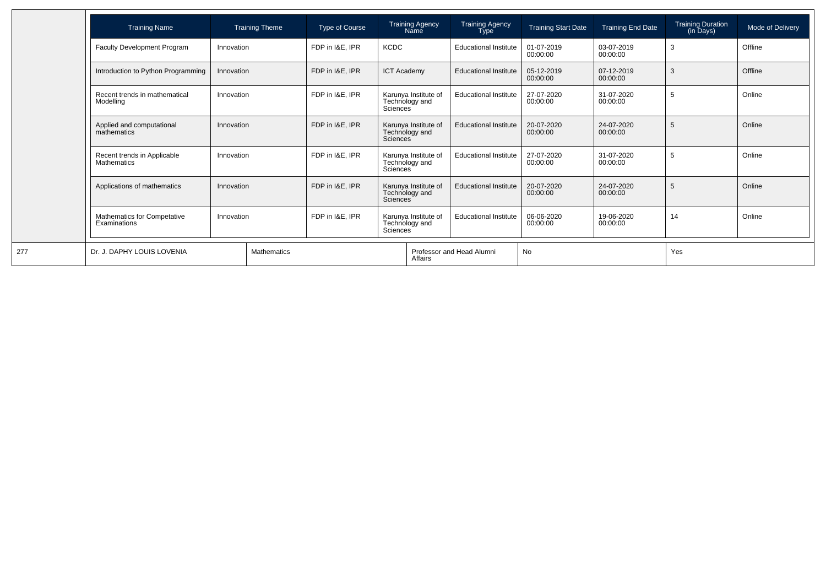| <b>Training Name</b>                              |            | <b>Training Theme</b> | Type of Course  |                                                    | <b>Training Agency</b><br>Name         | <b>Training Agency</b><br><b>Type</b> | <b>Training Start Date</b> | Training End Date      | Training Duration<br>(in Days) | Mode of Delivery |
|---------------------------------------------------|------------|-----------------------|-----------------|----------------------------------------------------|----------------------------------------|---------------------------------------|----------------------------|------------------------|--------------------------------|------------------|
| Faculty Development Program                       | Innovation |                       | FDP in I&E, IPR | <b>KCDC</b>                                        |                                        | <b>Educational Institute</b>          | 01-07-2019<br>00:00:00     | 03-07-2019<br>00:00:00 | 3                              | Offline          |
| Introduction to Python Programming                | Innovation |                       | FDP in I&E. IPR | <b>ICT Academy</b>                                 |                                        | <b>Educational Institute</b>          | 05-12-2019<br>00:00:00     | 07-12-2019<br>00:00:00 | 3                              | Offline          |
| Recent trends in mathematical<br>Modelling        | Innovation |                       | FDP in I&E. IPR | Sciences                                           | Karunya Institute of<br>Technology and | <b>Educational Institute</b>          | 27-07-2020<br>00:00:00     | 31-07-2020<br>00:00:00 | 5                              | Online           |
| Applied and computational<br>mathematics          | Innovation |                       | FDP in I&E. IPR | Sciences <sup>1</sup>                              | Karunya Institute of<br>Technology and | <b>Educational Institute</b>          | 20-07-2020<br>00:00:00     | 24-07-2020<br>00:00:00 | 5                              | Online           |
| Recent trends in Applicable<br><b>Mathematics</b> | Innovation |                       | FDP in I&E. IPR | <b>Sciences</b>                                    | Karunya Institute of<br>Technology and | <b>Educational Institute</b>          | 27-07-2020<br>00:00:00     | 31-07-2020<br>00:00:00 | 5                              | Online           |
| Applications of mathematics                       | Innovation |                       | FDP in I&E, IPR | Karunya Institute of<br>Technology and<br>Sciences |                                        | <b>Educational Institute</b>          | 20-07-2020<br>00:00:00     | 24-07-2020<br>00:00:00 | 5                              | Online           |
| Mathematics for Competative<br>Examinations       | Innovation |                       | FDP in I&E, IPR | Sciences                                           | Karunya Institute of<br>Technology and | <b>Educational Institute</b>          | 06-06-2020<br>00:00:00     | 19-06-2020<br>00:00:00 | 14                             | Online           |
| Dr. J. DAPHY LOUIS LOVENIA                        |            | Mathematics           |                 |                                                    | Affairs                                | Professor and Head Alumni             | No                         |                        | Yes                            |                  |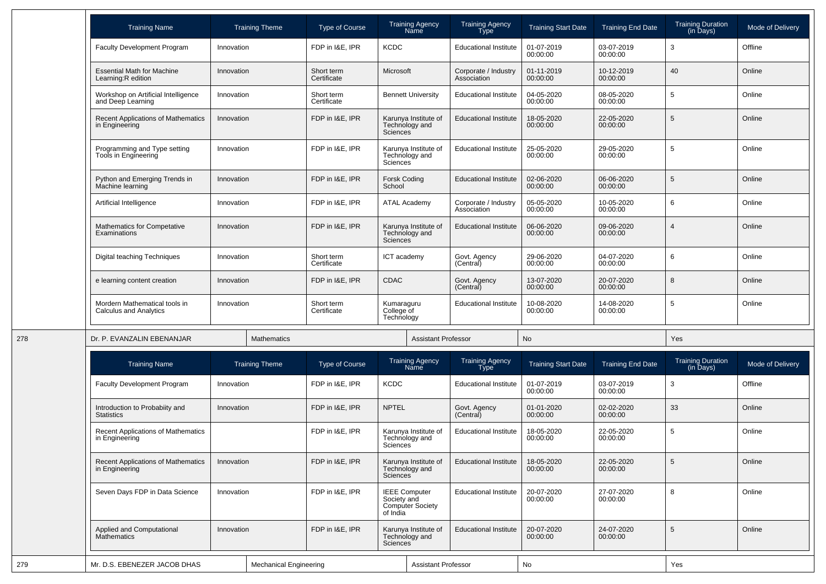| <b>Training Name</b>                                        |            | <b>Training Theme</b> | <b>Type of Course</b>                      |                                                       | <b>Training Agency</b><br><b>Name</b>           | <b>Training Agency</b><br>Type      | <b>Training Start Date</b> | <b>Training End Date</b> | <b>Training Duration</b><br>(in Days) | Mode of Delivery |
|-------------------------------------------------------------|------------|-----------------------|--------------------------------------------|-------------------------------------------------------|-------------------------------------------------|-------------------------------------|----------------------------|--------------------------|---------------------------------------|------------------|
| <b>Faculty Development Program</b>                          | Innovation |                       | FDP in I&E, IPR                            | <b>KCDC</b>                                           |                                                 | <b>Educational Institute</b>        | 01-07-2019<br>00:00:00     | 03-07-2019<br>00:00:00   | 3                                     | Offline          |
| <b>Essential Math for Machine</b><br>Learning:R edition     | Innovation |                       | Short term<br>Certificate                  | Microsoft                                             |                                                 | Corporate / Industry<br>Association | 01-11-2019<br>00:00:00     | 10-12-2019<br>00:00:00   | 40                                    | Online           |
| Workshop on Artificial Intelligence<br>and Deep Learning    | Innovation |                       | Short term<br>Certificate                  |                                                       | <b>Bennett University</b>                       | <b>Educational Institute</b>        | 04-05-2020<br>00:00:00     | 08-05-2020<br>00:00:00   | 5                                     | Online           |
| <b>Recent Applications of Mathematics</b><br>in Engineering | Innovation |                       | FDP in I&E, IPR                            | Sciences <sup>®</sup>                                 | Karunya Institute of<br>Technology and          | <b>Educational Institute</b>        | 18-05-2020<br>00:00:00     | 22-05-2020<br>00:00:00   | 5                                     | Online           |
| Programming and Type setting<br>Tools in Engineering        | Innovation |                       | FDP in I&E, IPR                            | Sciences                                              | Karunya Institute of<br>Technology and          | <b>Educational Institute</b>        | 25-05-2020<br>00:00:00     | 29-05-2020<br>00:00:00   | 5                                     | Online           |
| Python and Emerging Trends in<br>Machine learning           | Innovation |                       | FDP in I&E, IPR                            | <b>Forsk Coding</b><br>School                         |                                                 | <b>Educational Institute</b>        | 02-06-2020<br>00:00:00     | 06-06-2020<br>00:00:00   | 5                                     | Online           |
| Artificial Intelligence                                     | Innovation |                       | FDP in I&E, IPR                            | <b>ATAL Academy</b>                                   |                                                 | Corporate / Industry<br>Association | 05-05-2020<br>00:00:00     | 10-05-2020<br>00:00:00   | 6                                     | Online           |
| Mathematics for Competative<br>Examinations                 | Innovation |                       | FDP in I&E, IPR<br>Sciences<br>Short term  |                                                       | Karunya Institute of<br>Technology and          | <b>Educational Institute</b>        | 06-06-2020<br>00:00:00     | 09-06-2020<br>00:00:00   |                                       | Online           |
| Digital teaching Techniques                                 | Innovation |                       | Certificate                                | ICT academy                                           |                                                 | Govt. Agency<br>(Central)           | 29-06-2020<br>00:00:00     | 04-07-2020<br>00:00:00   | 6                                     | Online           |
| e learning content creation                                 | Innovation |                       | FDP in I&E, IPR                            | <b>CDAC</b><br>Kumaraguru<br>College of<br>Technology |                                                 | Govt. Agency<br>(Central)           | 13-07-2020<br>00:00:00     | 20-07-2020<br>00:00:00   | 8                                     | Online           |
| Mordern Mathematical tools in<br>Calculus and Analytics     | Innovation |                       | Short term<br>Certificate                  |                                                       |                                                 | <b>Educational Institute</b>        | 10-08-2020<br>00:00:00     | 14-08-2020<br>00:00:00   | 5                                     | Online           |
| Dr. P. EVANZALIN EBENANJAR                                  |            | Mathematics           |                                            |                                                       | <b>Assistant Professor</b>                      |                                     | No                         |                          | Yes                                   |                  |
| <b>Training Name</b>                                        |            | <b>Training Theme</b> | <b>Type of Course</b>                      |                                                       | <b>Training Agency</b><br><b>Name</b>           | <b>Training Agency</b><br>Type      | <b>Training Start Date</b> | <b>Training End Date</b> | <b>Training Duration</b><br>(in Days) | Mode of Delivery |
| <b>Faculty Development Program</b>                          | Innovation |                       | FDP in I&E, IPR                            | <b>KCDC</b>                                           |                                                 | <b>Educational Institute</b>        | 01-07-2019<br>00:00:00     | 03-07-2019<br>00:00:00   | 3                                     | Offline          |
| Introduction to Probabiity and<br><b>Statistics</b>         | Innovation |                       | FDP in I&E, IPR                            | <b>NPTEL</b>                                          |                                                 | Govt. Agency<br>(Central)           | 01-01-2020<br>00:00:00     | 02-02-2020<br>00:00:00   | 33                                    | Online           |
| <b>Recent Applications of Mathematics</b><br>in Engineering |            |                       | FDP in I&E, IPR                            | Sciences                                              | Karunya Institute of<br>Technology and          | <b>Educational Institute</b>        | 18-05-2020<br>00:00:00     | 22-05-2020<br>00:00:00   | 5                                     | Online           |
| Recent Applications of Mathematics<br>in Engineering        | Innovation |                       | FDP in I&E, IPR                            | Sciences                                              | Karunya Institute of<br>Technology and          | <b>Educational Institute</b>        | 18-05-2020<br>00:00:00     | 22-05-2020<br>00:00:00   | 5                                     | Online           |
| Seven Days FDP in Data Science                              | Innovation |                       | FDP in I&E, IPR<br>Society and<br>of India |                                                       | <b>IEEE Computer</b><br><b>Computer Society</b> | <b>Educational Institute</b>        | 20-07-2020<br>00:00:00     | 27-07-2020<br>00:00:00   | 8                                     | Online           |
| Applied and Computational<br><b>Mathematics</b>             | Innovation |                       | FDP in I&E, IPR                            | Karunya Institute of<br>Technology and<br>Sciences    |                                                 | <b>Educational Institute</b>        | 20-07-2020<br>00:00:00     | 24-07-2020<br>00:00:00   | 5                                     | Online           |
|                                                             |            |                       |                                            | <b>Assistant Professor</b>                            |                                                 |                                     |                            |                          |                                       |                  |

278

279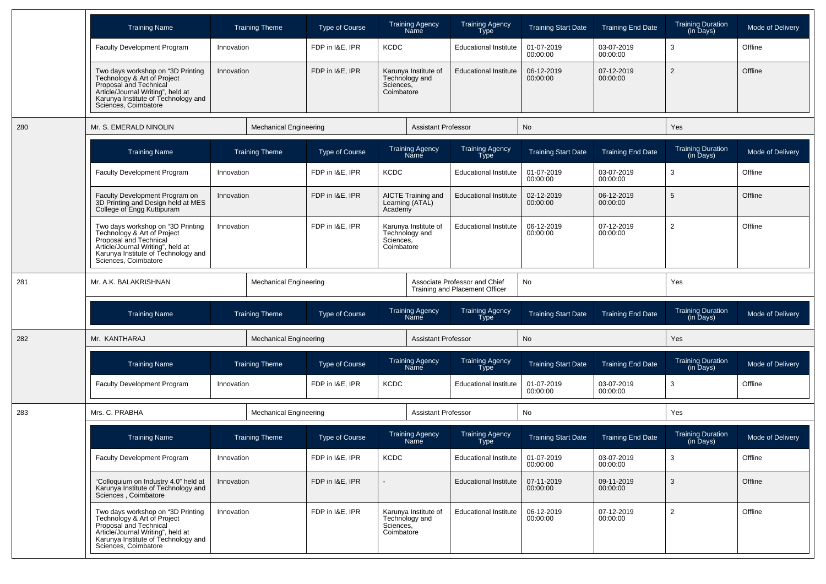|     | <b>Training Name</b>                                                                                                                                                                           |            | <b>Training Theme</b>         | <b>Type of Course</b> |                                                                   | Training Agency<br>Name                                         | <b>Training Agency</b><br>Type | <b>Training Start Date</b> | <b>Training End Date</b> | <b>Training Duration</b><br>(in Days) | Mode of Delivery |
|-----|------------------------------------------------------------------------------------------------------------------------------------------------------------------------------------------------|------------|-------------------------------|-----------------------|-------------------------------------------------------------------|-----------------------------------------------------------------|--------------------------------|----------------------------|--------------------------|---------------------------------------|------------------|
|     | <b>Faculty Development Program</b>                                                                                                                                                             | Innovation |                               | FDP in I&E, IPR       | <b>KCDC</b>                                                       |                                                                 | <b>Educational Institute</b>   | 01-07-2019<br>00:00:00     | 03-07-2019<br>00:00:00   | 3                                     | Offline          |
|     | Two days workshop on "3D Printing<br>Technology & Art of Project<br>Proposal and Technical<br>Article/Journal Writing", held at<br>Karunya Institute of Technology and<br>Sciences, Coimbatore | Innovation |                               | FDP in I&E, IPR       | Sciences,<br>Coimbatore                                           | Karunya Institute of<br>Technology and                          | <b>Educational Institute</b>   | 06-12-2019<br>00:00:00     | 07-12-2019<br>00:00:00   | $\overline{2}$                        | Offline          |
| 280 | Mr. S. EMERALD NINOLIN                                                                                                                                                                         |            | <b>Mechanical Engineering</b> |                       |                                                                   | <b>Assistant Professor</b>                                      |                                | No                         |                          | Yes                                   |                  |
|     | <b>Training Name</b>                                                                                                                                                                           |            | <b>Training Theme</b>         | <b>Type of Course</b> |                                                                   | <b>Training Agency</b><br>Name                                  | <b>Training Agency</b><br>Type | <b>Training Start Date</b> | <b>Training End Date</b> | <b>Training Duration</b><br>(in Days) | Mode of Delivery |
|     | <b>Faculty Development Program</b>                                                                                                                                                             | Innovation |                               | FDP in I&E, IPR       | <b>KCDC</b>                                                       |                                                                 | <b>Educational Institute</b>   | 01-07-2019<br>00:00:00     | 03-07-2019<br>00:00:00   | 3                                     | Offline          |
|     | Faculty Development Program on<br>3D Printing and Design held at MES<br>College of Engg Kuttipuram                                                                                             | Innovation |                               | FDP in I&E, IPR       | Academy                                                           | AICTE Training and<br>Learning (ATAL)                           | <b>Educational Institute</b>   | 02-12-2019<br>00:00:00     | 06-12-2019<br>00:00:00   | 5                                     | Offline          |
|     | Two days workshop on "3D Printing<br>Technology & Art of Project<br>Proposal and Technical<br>Article/Journal Writing", held at<br>Karunya Institute of Technology and<br>Sciences, Coimbatore | Innovation |                               | FDP in I&E, IPR       | Karunya Institute of<br>Technology and<br>Sciences,<br>Coimbatore |                                                                 | <b>Educational Institute</b>   | 06-12-2019<br>00:00:00     | 07-12-2019<br>00:00:00   | $\overline{2}$                        | Offline          |
| 281 | Mr. A.K. BALAKRISHNAN                                                                                                                                                                          |            | <b>Mechanical Engineering</b> |                       |                                                                   | Associate Professor and Chief<br>Training and Placement Officer |                                | No                         |                          | Yes                                   |                  |
|     | <b>Training Name</b>                                                                                                                                                                           |            | <b>Training Theme</b>         | <b>Type of Course</b> |                                                                   | Training Agency<br>Name                                         | <b>Training Agency</b><br>Type | <b>Training Start Date</b> | <b>Training End Date</b> | <b>Training Duration</b><br>(in Days) | Mode of Delivery |
| 282 | Mr. KANTHARAJ                                                                                                                                                                                  |            | <b>Mechanical Engineering</b> |                       |                                                                   | <b>Assistant Professor</b>                                      |                                | No                         |                          | Yes                                   |                  |
|     | <b>Training Name</b>                                                                                                                                                                           |            | <b>Training Theme</b>         | <b>Type of Course</b> |                                                                   | <b>Training Agency</b><br>Name                                  | <b>Training Agency</b><br>Type | <b>Training Start Date</b> | <b>Training End Date</b> | <b>Training Duration</b><br>(in Days) | Mode of Delivery |
|     | <b>Faculty Development Program</b>                                                                                                                                                             | Innovation |                               | FDP in I&E, IPR       | <b>KCDC</b>                                                       |                                                                 | <b>Educational Institute</b>   | 01-07-2019<br>00:00:00     | 03-07-2019<br>00:00:00   | 3                                     | Offline          |
| 283 | Mrs. C. PRABHA                                                                                                                                                                                 |            | <b>Mechanical Engineering</b> |                       |                                                                   | <b>Assistant Professor</b>                                      |                                | No                         |                          | Yes                                   |                  |
|     | <b>Training Name</b>                                                                                                                                                                           |            | <b>Training Theme</b>         | <b>Type of Course</b> |                                                                   | Training Agency<br>Name                                         | <b>Training Agency</b><br>Type | <b>Training Start Date</b> | <b>Training End Date</b> | <b>Training Duration</b><br>(in Days) | Mode of Delivery |
|     | Faculty Development Program                                                                                                                                                                    | Innovation |                               | FDP in I&E, IPR       | <b>KCDC</b>                                                       |                                                                 | <b>Educational Institute</b>   | 01-07-2019<br>00:00:00     | 03-07-2019<br>00:00:00   | 3                                     | Offline          |
|     | "Colloquium on Industry 4.0" held at<br>Karunya Institute of Technology and<br>Sciences, Coimbatore                                                                                            | Innovation |                               | FDP in I&E. IPR       |                                                                   |                                                                 | <b>Educational Institute</b>   | 07-11-2019<br>00:00:00     | 09-11-2019<br>00:00:00   | 3                                     | Offline          |
|     | Two days workshop on "3D Printing<br>Technology & Art of Project<br>Proposal and Technical<br>Article/Journal Writing", held at<br>Karunya Institute of Technology and<br>Sciences, Coimbatore | Innovation |                               | FDP in I&E. IPR       | Sciences,<br>Coimbatore                                           | Karunya Institute of<br>Technology and                          | <b>Educational Institute</b>   | 06-12-2019<br>00:00:00     | 07-12-2019<br>00:00:00   | $\overline{2}$                        | Offline          |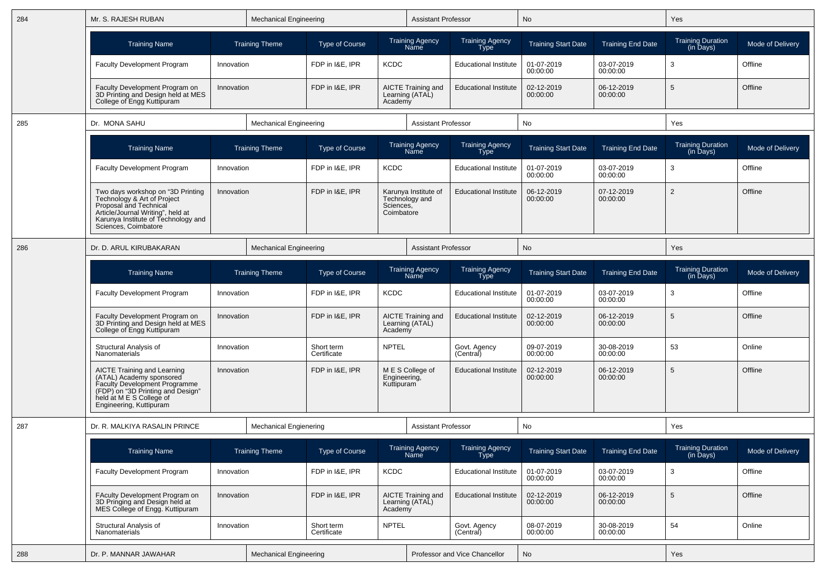| 284 | Mr. S. RAJESH RUBAN                                                                                                                                                                             | <b>Mechanical Engineering</b><br><b>Training Theme</b> |                               |                           |                                                  | <b>Assistant Professor</b>                              |                                       | No                         |                          | Yes                                               |                  |
|-----|-------------------------------------------------------------------------------------------------------------------------------------------------------------------------------------------------|--------------------------------------------------------|-------------------------------|---------------------------|--------------------------------------------------|---------------------------------------------------------|---------------------------------------|----------------------------|--------------------------|---------------------------------------------------|------------------|
|     | <b>Training Name</b>                                                                                                                                                                            |                                                        |                               | Type of Course            |                                                  | <b>Training Agency</b><br>Name                          | <b>Training Agency</b><br><b>Type</b> | <b>Training Start Date</b> | <b>Training End Date</b> | <b>Training Duration</b><br>(in Days)             | Mode of Delivery |
|     | <b>Faculty Development Program</b>                                                                                                                                                              | Innovation                                             |                               | FDP in I&E, IPR           | <b>KCDC</b>                                      |                                                         | <b>Educational Institute</b>          | 01-07-2019<br>00:00:00     | 03-07-2019<br>00:00:00   | 3                                                 | Offline          |
|     | Faculty Development Program on<br>3D Printing and Design held at MES<br>College of Engg Kuttipuram                                                                                              | Innovation                                             |                               | FDP in I&E, IPR           | Academy                                          | <b>AICTE Training and</b><br>Learning (ATAL)            | <b>Educational Institute</b>          | 02-12-2019<br>00:00:00     | 06-12-2019<br>00:00:00   | 5                                                 | Offline          |
| 285 | Dr. MONA SAHU                                                                                                                                                                                   |                                                        | <b>Mechanical Engineering</b> |                           |                                                  | <b>Assistant Professor</b>                              |                                       | No                         |                          | Yes                                               |                  |
|     | <b>Training Name</b>                                                                                                                                                                            |                                                        | <b>Training Theme</b>         | <b>Type of Course</b>     |                                                  | <b>Training Agency</b><br>Name                          | <b>Training Agency</b><br><b>Type</b> | <b>Training Start Date</b> | <b>Training End Date</b> | <b>Training Duration</b><br>$(in \bar{D}$ ays $)$ | Mode of Delivery |
|     | Faculty Development Program                                                                                                                                                                     | Innovation                                             |                               | FDP in I&E, IPR           | <b>KCDC</b>                                      |                                                         | <b>Educational Institute</b>          | 01-07-2019<br>00:00:00     | 03-07-2019<br>00:00:00   | 3                                                 | Offline          |
|     | Two days workshop on "3D Printing"<br>Technology & Art of Project<br>Proposal and Technical<br>Article/Journal Writing", held at<br>Karunya Institute of Technology and<br>Sciences, Coimbatore | Innovation<br><b>Mechanical Engineering</b>            |                               | FDP in I&E, IPR           | Sciences,<br>Coimbatore                          | Karunya Institute of<br>Technology and                  | <b>Educational Institute</b>          | 06-12-2019<br>00:00:00     | 07-12-2019<br>00:00:00   | 2                                                 | Offline          |
| 286 | Dr. D. ARUL KIRUBAKARAN                                                                                                                                                                         |                                                        |                               |                           |                                                  | <b>Assistant Professor</b>                              |                                       | <b>No</b>                  |                          | Yes                                               |                  |
|     | <b>Training Name</b>                                                                                                                                                                            |                                                        | <b>Training Theme</b>         | Type of Course            |                                                  | <b>Training Agency</b><br>Name                          | <b>Training Agency</b><br><b>Type</b> | <b>Training Start Date</b> | <b>Training End Date</b> | <b>Training Duration</b><br>(in Days)             | Mode of Delivery |
|     | <b>Faculty Development Program</b>                                                                                                                                                              | Innovation                                             |                               | FDP in I&E, IPR           | <b>KCDC</b>                                      |                                                         | <b>Educational Institute</b>          | 01-07-2019<br>00:00:00     | 03-07-2019<br>00:00:00   | 3                                                 | Offline          |
|     | Faculty Development Program on<br>3D Printing and Design held at MES<br>College of Engg Kuttipuram                                                                                              | Innovation                                             |                               | FDP in I&E, IPR           | AICTE Training and<br>Learning (ATAL)<br>Academy |                                                         | <b>Educational Institute</b>          | 02-12-2019<br>00:00:00     | 06-12-2019<br>00:00:00   | 5                                                 | Offline          |
|     | Structural Analysis of<br>Nanomaterials                                                                                                                                                         | Innovation                                             |                               | Short term<br>Certificate | <b>NPTEL</b>                                     |                                                         | Govt. Agency<br>(Central)             | 09-07-2019<br>00:00:00     | 30-08-2019<br>00:00:00   | 53                                                | Online           |
|     | AICTE Training and Learning<br>(ATAL) Academy sponsored<br>Faculty Development Programme<br>(FDP) on "3D Printing and Design"<br>held at M E S College of<br>Engineering, Kuttipuram            | Innovation                                             |                               | FDP in I&E, IPR           | Engineering,<br>Kuttipuram                       | M E S College of                                        | <b>Educational Institute</b>          | 02-12-2019<br>00:00:00     | 06-12-2019<br>00:00:00   | 5                                                 | Offline          |
| 287 | Dr. R. MALKIYA RASALIN PRINCE                                                                                                                                                                   |                                                        | <b>Mechanical Engienering</b> |                           |                                                  | <b>Assistant Professor</b>                              |                                       | No                         |                          | Yes                                               |                  |
|     | <b>Training Name</b>                                                                                                                                                                            |                                                        | <b>Training Theme</b>         | <b>Type of Course</b>     |                                                  | Training Agency<br>Name                                 | Training Agency<br>Type               | <b>Training Start Date</b> | <b>Training End Date</b> | Training Duration<br>(in Days)                    | Mode of Delivery |
|     | Faculty Development Program                                                                                                                                                                     | Innovation                                             |                               | FDP in I&E, IPR           | <b>KCDC</b>                                      |                                                         | <b>Educational Institute</b>          | 01-07-2019<br>00:00:00     | 03-07-2019<br>00:00:00   | 3                                                 | Offline          |
|     | FAculty Development Program on<br>3D Pringing and Design held at<br>MES College of Engg. Kuttipuram                                                                                             | Innovation                                             |                               | FDP in I&E, IPR           |                                                  | <b>AICTE Training and</b><br>Learning (ATAL)<br>Academy | <b>Educational Institute</b>          | 02-12-2019<br>00:00:00     | 06-12-2019<br>00:00:00   | $\sqrt{5}$                                        | Offline          |
|     | Structural Analysis of<br>Nanomaterials                                                                                                                                                         | Innovation                                             |                               | Short term<br>Certificate | <b>NPTEL</b>                                     |                                                         | Govt. Agency<br>(Central)             | 08-07-2019<br>00:00:00     | 30-08-2019<br>00:00:00   | 54                                                | Online           |
| 288 | Dr. P. MANNAR JAWAHAR                                                                                                                                                                           |                                                        | <b>Mechanical Engineering</b> |                           |                                                  |                                                         | Professor and Vice Chancellor         | No                         |                          | Yes                                               |                  |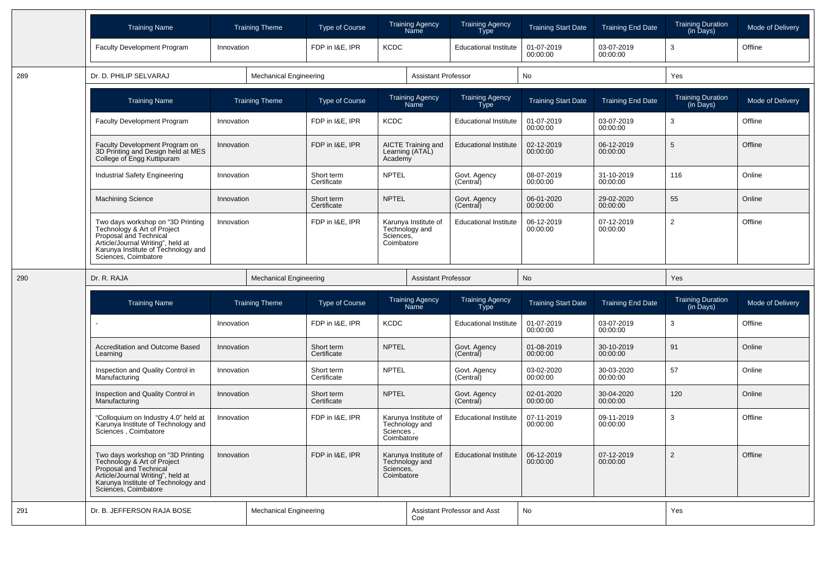|     | <b>Training Name</b>                                                                                                                                                                           |            | <b>Training Theme</b>         | <b>Type of Course</b>     |                         | <b>Training Agency</b><br>Name               | <b>Training Agency</b><br>Type        | <b>Training Start Date</b> | <b>Training End Date</b> | <b>Training Duration</b><br>(in Days) | Mode of Delivery |
|-----|------------------------------------------------------------------------------------------------------------------------------------------------------------------------------------------------|------------|-------------------------------|---------------------------|-------------------------|----------------------------------------------|---------------------------------------|----------------------------|--------------------------|---------------------------------------|------------------|
|     | <b>Faculty Development Program</b>                                                                                                                                                             | Innovation |                               | FDP in I&E, IPR           | <b>KCDC</b>             |                                              | <b>Educational Institute</b>          | 01-07-2019<br>00:00:00     | 03-07-2019<br>00:00:00   | 3                                     | Offline          |
| 289 | Dr. D. PHILIP SELVARAJ                                                                                                                                                                         |            | <b>Mechanical Engineering</b> |                           |                         | Assistant Professor                          |                                       | No                         |                          | Yes                                   |                  |
|     | <b>Training Name</b>                                                                                                                                                                           |            | <b>Training Theme</b>         | <b>Type of Course</b>     |                         | <b>Training Agency</b><br>Name               | <b>Training Agency</b><br><b>Type</b> | <b>Training Start Date</b> | <b>Training End Date</b> | <b>Training Duration</b><br>(in Days) | Mode of Delivery |
|     | <b>Faculty Development Program</b>                                                                                                                                                             | Innovation |                               | FDP in I&E, IPR           | <b>KCDC</b>             |                                              | <b>Educational Institute</b>          | 01-07-2019<br>00:00:00     | 03-07-2019<br>00:00:00   | 3                                     | Offline          |
|     | Faculty Development Program on<br>3D Printing and Design held at MES<br>College of Engg Kuttipuram                                                                                             | Innovation |                               | FDP in I&E, IPR           | Academy                 | <b>AICTE Training and</b><br>Learning (ATAL) | <b>Educational Institute</b>          | 02-12-2019<br>00:00:00     | 06-12-2019<br>00:00:00   | 5                                     | Offline          |
|     | Industrial Safety Engineering                                                                                                                                                                  | Innovation |                               | Short term<br>Certificate | <b>NPTEL</b>            |                                              | Govt. Agency<br>(Central)             | 08-07-2019<br>00:00:00     | 31-10-2019<br>00:00:00   | 116                                   | Online           |
|     | <b>Machining Science</b>                                                                                                                                                                       | Innovation |                               | Short term<br>Certificate | <b>NPTEL</b>            |                                              | Govt. Agency<br>(Central)             | 06-01-2020<br>00:00:00     | 29-02-2020<br>00:00:00   | 55                                    | Online           |
|     | Two days workshop on "3D Printing<br>Technology & Art of Project<br>Proposal and Technical<br>Article/Journal Writing", held at<br>Karunya Institute of Technology and<br>Sciences, Coimbatore | Innovation |                               | FDP in I&E, IPR           | Sciences,<br>Coimbatore | Karunya Institute of<br>Technology and       | <b>Educational Institute</b>          | 06-12-2019<br>00:00:00     | 07-12-2019<br>00:00:00   | $\overline{2}$                        | Offline          |
|     |                                                                                                                                                                                                |            |                               |                           |                         | <b>Assistant Professor</b>                   |                                       |                            |                          |                                       |                  |
| 290 | Dr. R. RAJA                                                                                                                                                                                    |            | <b>Mechanical Engineering</b> |                           |                         |                                              |                                       | No                         |                          | Yes                                   |                  |
|     | <b>Training Name</b>                                                                                                                                                                           |            | <b>Training Theme</b>         | <b>Type of Course</b>     |                         | Training Agency<br>Name                      | <b>Training Agency</b><br>Type        | <b>Training Start Date</b> | <b>Training End Date</b> | <b>Training Duration</b><br>(in Days) | Mode of Delivery |
|     |                                                                                                                                                                                                | Innovation |                               | FDP in I&E, IPR           | <b>KCDC</b>             |                                              | <b>Educational Institute</b>          | 01-07-2019<br>00:00:00     | 03-07-2019<br>00:00:00   | 3                                     | Offline          |
|     | Accreditation and Outcome Based<br>Learning                                                                                                                                                    | Innovation |                               | Short term<br>Certificate | <b>NPTEL</b>            |                                              | Govt. Agency<br>(Central)             | 01-08-2019<br>00:00:00     | 30-10-2019<br>00:00:00   | 91                                    | Online           |
|     | Inspection and Quality Control in<br>Manufacturing                                                                                                                                             | Innovation |                               | Short term<br>Certificate | <b>NPTEL</b>            |                                              | Govt. Agency<br>(Central)             | 03-02-2020<br>00:00:00     | 30-03-2020<br>00:00:00   | 57                                    | Online           |
|     | Inspection and Quality Control in<br>Manufacturing                                                                                                                                             | Innovation |                               | Short term<br>Certificate | <b>NPTEL</b>            |                                              | Govt. Agency<br>(Central)             | 02-01-2020<br>00:00:00     | 30-04-2020<br>00:00:00   | 120                                   | Online           |
|     | "Colloquium on Industry 4.0" held at<br>Karunya Institute of Technology and<br>Sciences . Coimbatore                                                                                           | Innovation |                               | FDP in I&E, IPR           | Sciences.<br>Coimbatore | Karunya Institute of<br>Technology and       | <b>Educational Institute</b>          | 07-11-2019<br>00:00:00     | 09-11-2019<br>00:00:00   | 3                                     | Offline          |
|     | Two days workshop on "3D Printing<br>Technology & Art of Project<br>Proposal and Technical<br>Article/Journal Writing", held at<br>Karunya Institute of Technology and<br>Sciences, Coimbatore | Innovation |                               | FDP in I&E, IPR           | Sciences,<br>Coimbatore | Karunya Institute of<br>Technology and       | <b>Educational Institute</b>          | 06-12-2019<br>00:00:00     | 07-12-2019<br>00:00:00   | 2                                     | Offline          |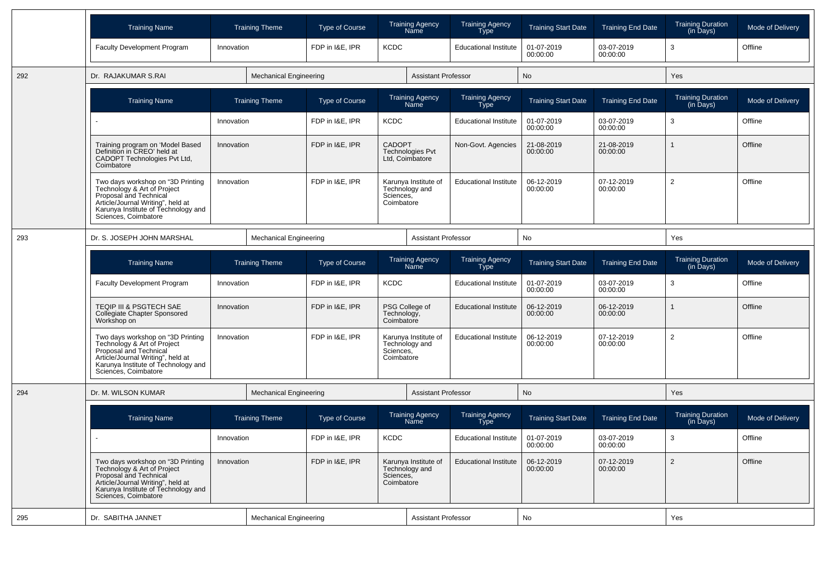|     | <b>Training Name</b>                                                                                                                                                                           |            | <b>Training Theme</b>         | <b>Type of Course</b>                      |                                                             | <b>Training Agency</b><br>Name         | <b>Training Agency</b><br><b>Type</b> | <b>Training Start Date</b> | <b>Training End Date</b> | <b>Training Duration</b><br>(in Days) | Mode of Delivery |
|-----|------------------------------------------------------------------------------------------------------------------------------------------------------------------------------------------------|------------|-------------------------------|--------------------------------------------|-------------------------------------------------------------|----------------------------------------|---------------------------------------|----------------------------|--------------------------|---------------------------------------|------------------|
|     | <b>Faculty Development Program</b>                                                                                                                                                             | Innovation |                               | FDP in I&E, IPR                            | <b>KCDC</b>                                                 |                                        | <b>Educational Institute</b>          | 01-07-2019<br>00:00:00     | 03-07-2019<br>00:00:00   | 3                                     | Offline          |
| 292 | Dr. RAJAKUMAR S.RAI                                                                                                                                                                            |            | <b>Mechanical Engineering</b> |                                            |                                                             | <b>Assistant Professor</b>             |                                       | <b>No</b>                  |                          | Yes                                   |                  |
|     | <b>Training Name</b>                                                                                                                                                                           |            | <b>Training Theme</b>         | Type of Course                             |                                                             | <b>Training Agency</b><br>Name         | <b>Training Agency</b><br>Type        | <b>Training Start Date</b> | <b>Training End Date</b> | <b>Training Duration</b><br>(in Days) | Mode of Delivery |
|     |                                                                                                                                                                                                | Innovation |                               | FDP in I&E, IPR                            | <b>KCDC</b>                                                 |                                        | <b>Educational Institute</b>          | 01-07-2019<br>00:00:00     | 03-07-2019<br>00:00:00   | 3                                     | Offline          |
|     | Training program on 'Model Based<br>Definition in CREO' held at<br>CADOPT Technologies Pvt Ltd,<br>Coimbatore                                                                                  | Innovation |                               | FDP in I&E, IPR                            | <b>CADOPT</b><br><b>Technologies Pvt</b><br>Ltd, Coimbatore |                                        | Non-Govt. Agencies                    | 21-08-2019<br>00:00:00     | 21-08-2019<br>00:00:00   |                                       | Offline          |
|     | Two days workshop on "3D Printing<br>Technology & Art of Project<br>Proposal and Technical<br>Article/Journal Writing", held at<br>Karunya Institute of Technology and<br>Sciences, Coimbatore | Innovation |                               | FDP in I&E. IPR                            | Sciences,<br>Coimbatore                                     | Karunya Institute of<br>Technology and | <b>Educational Institute</b>          | 06-12-2019<br>00:00:00     | 07-12-2019<br>00:00:00   | $\overline{2}$                        | Offline          |
| 293 | Dr. S. JOSEPH JOHN MARSHAL                                                                                                                                                                     |            | <b>Mechanical Engineering</b> |                                            |                                                             | <b>Assistant Professor</b>             |                                       | No                         |                          | Yes                                   |                  |
|     | <b>Training Name</b>                                                                                                                                                                           |            | <b>Training Theme</b>         | Type of Course                             |                                                             | <b>Training Agency</b><br>Name         | <b>Training Agency</b><br><b>Type</b> | <b>Training Start Date</b> | <b>Training End Date</b> | <b>Training Duration</b><br>(in Days) | Mode of Delivery |
|     | <b>Faculty Development Program</b>                                                                                                                                                             | Innovation |                               | FDP in I&E, IPR                            | <b>KCDC</b>                                                 |                                        | <b>Educational Institute</b>          | 01-07-2019<br>00:00:00     | 03-07-2019<br>00:00:00   | 3                                     | Offline          |
|     | TEQIP III & PSGTECH SAE<br>Collegiate Chapter Sponsored<br>Workshop on                                                                                                                         | Innovation |                               | FDP in I&E, IPR                            | PSG College of<br>Technology,<br>Coimbatore                 | <b>Educational Institute</b>           | 06-12-2019<br>00:00:00                | 06-12-2019<br>00:00:00     |                          | Offline                               |                  |
|     | Two days workshop on "3D Printing<br>Technology & Art of Project<br>Proposal and Technical<br>Article/Journal Writing", held at<br>Karunya Institute of Technology and<br>Sciences, Coimbatore | Innovation |                               | FDP in I&E, IPR<br>Sciences,<br>Coimbatore |                                                             | Karunya Institute of<br>Technology and | <b>Educational Institute</b>          | 06-12-2019<br>00:00:00     | 07-12-2019<br>00:00:00   | $\overline{2}$                        | Offline          |
| 294 | Dr. M. WILSON KUMAR                                                                                                                                                                            |            | <b>Mechanical Engineering</b> |                                            |                                                             | <b>Assistant Professor</b>             |                                       | <b>No</b>                  |                          | <b>Yes</b>                            |                  |
|     | <b>Training Name</b>                                                                                                                                                                           |            | <b>Training Theme</b>         | <b>Type of Course</b>                      |                                                             | <b>Training Agency</b><br>Name         | Training Agency<br>Type               | <b>Training Start Date</b> | <b>Training End Date</b> | Training Duration<br>(in Days)        | Mode of Delivery |
|     | ÷.                                                                                                                                                                                             | Innovation |                               | FDP in I&E. IPR                            | <b>KCDC</b>                                                 |                                        | <b>Educational Institute</b>          | 01-07-2019<br>00:00:00     | 03-07-2019<br>00:00:00   | 3                                     | Offline          |
|     | Two days workshop on "3D Printing<br>Technology & Art of Project<br>Proposal and Technical<br>Article/Journal Writing", held at<br>Karunya Institute of Technology and<br>Sciences, Coimbatore | Innovation |                               | FDP in I&E, IPR                            | Sciences,<br>Coimbatore                                     | Karunya Institute of<br>Technology and | <b>Educational Institute</b>          | 06-12-2019<br>00:00:00     | 07-12-2019<br>00:00:00   | $\overline{2}$                        | Offline          |
| 295 | Dr. SABITHA JANNET                                                                                                                                                                             |            | <b>Mechanical Engineering</b> |                                            |                                                             | <b>Assistant Professor</b>             |                                       | No                         |                          | Yes                                   |                  |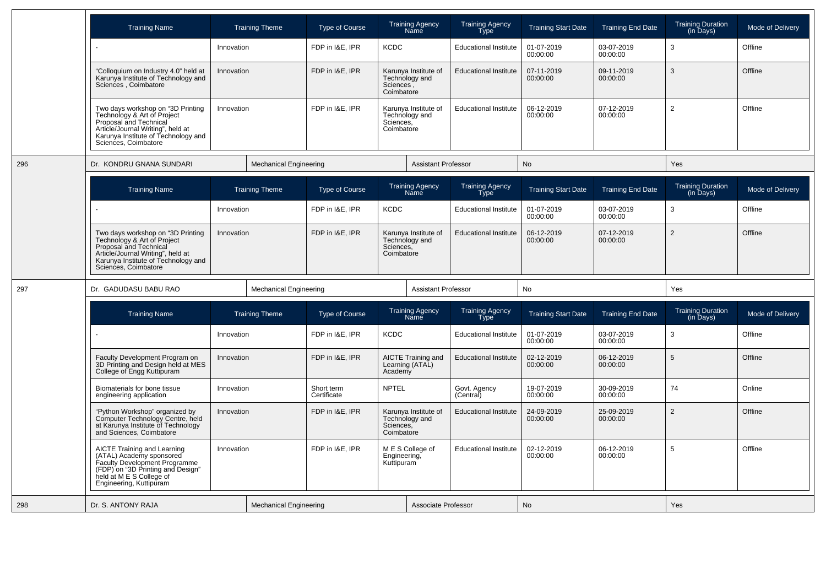|     | <b>Training Name</b>                                                                                                                                                                           |            | <b>Training Theme</b>         | <b>Type of Course</b>                                             |                         | <b>Training Agency</b><br>Name         | <b>Training Agency</b><br>Type        | <b>Training Start Date</b> | <b>Training End Date</b> | <b>Training Duration</b><br>(in Days) | Mode of Delivery |
|-----|------------------------------------------------------------------------------------------------------------------------------------------------------------------------------------------------|------------|-------------------------------|-------------------------------------------------------------------|-------------------------|----------------------------------------|---------------------------------------|----------------------------|--------------------------|---------------------------------------|------------------|
|     | $\blacksquare$                                                                                                                                                                                 | Innovation |                               | FDP in I&E, IPR                                                   | <b>KCDC</b>             |                                        | <b>Educational Institute</b>          | 01-07-2019<br>00:00:00     | 03-07-2019<br>00:00:00   | 3                                     | Offline          |
|     | "Colloquium on Industry 4.0" held at<br>Karunya Institute of Technology and<br>Sciences, Coimbatore                                                                                            | Innovation |                               | FDP in I&E, IPR                                                   | Sciences,<br>Coimbatore | Karunya Institute of<br>Technology and | <b>Educational Institute</b>          | 07-11-2019<br>00:00:00     | 09-11-2019<br>00:00:00   | 3                                     | Offline          |
|     | Two days workshop on "3D Printing<br>Technology & Art of Project<br>Proposal and Technical<br>Article/Journal Writing", held at<br>Karunya Institute of Technology and<br>Sciences, Coimbatore | Innovation |                               | FDP in I&E, IPR                                                   | Sciences,<br>Coimbatore | Karunya Institute of<br>Technology and | <b>Educational Institute</b>          | 06-12-2019<br>00:00:00     | 07-12-2019<br>00:00:00   | $\overline{2}$                        | Offline          |
| 296 | Dr. KONDRU GNANA SUNDARI                                                                                                                                                                       |            | <b>Mechanical Engineering</b> |                                                                   |                         | <b>Assistant Professor</b>             |                                       | <b>No</b>                  |                          | Yes                                   |                  |
|     | <b>Training Name</b>                                                                                                                                                                           |            | <b>Training Theme</b>         | <b>Type of Course</b>                                             |                         | <b>Training Agency</b><br>Name         | <b>Training Agency</b><br><b>Type</b> | <b>Training Start Date</b> | <b>Training End Date</b> | <b>Training Duration</b><br>(in Days) | Mode of Delivery |
|     |                                                                                                                                                                                                | Innovation |                               | FDP in I&E, IPR                                                   | <b>KCDC</b>             |                                        | <b>Educational Institute</b>          | 01-07-2019<br>00:00:00     | 03-07-2019<br>00:00:00   | 3                                     | Offline          |
|     | Two days workshop on "3D Printing<br>Technology & Art of Project<br>Proposal and Technical<br>Article/Journal Writing", held at<br>Karunya Institute of Technology and<br>Sciences, Coimbatore | Innovation |                               | FDP in I&E, IPR                                                   | Sciences,<br>Coimbatore | Karunya Institute of<br>Technology and | <b>Educational Institute</b>          | 06-12-2019<br>00:00:00     | 07-12-2019<br>00:00:00   | $\mathcal{P}$                         | Offline          |
| 297 | Dr. GADUDASU BABU RAO                                                                                                                                                                          |            | <b>Mechanical Engineering</b> |                                                                   |                         | <b>Assistant Professor</b>             |                                       | No                         |                          | Yes                                   |                  |
|     | <b>Training Name</b>                                                                                                                                                                           |            | <b>Training Theme</b>         | <b>Type of Course</b>                                             |                         | <b>Training Agency</b><br>Name         | Training Agency<br>Type               | <b>Training Start Date</b> | <b>Training End Date</b> | <b>Training Duration</b><br>(in Days) | Mode of Delivery |
|     | $\sim$                                                                                                                                                                                         | Innovation |                               | FDP in I&E, IPR                                                   | <b>KCDC</b>             |                                        | <b>Educational Institute</b>          | 01-07-2019<br>00:00:00     | 03-07-2019<br>00:00:00   | 3                                     | Offline          |
|     | Faculty Development Program on<br>3D Printing and Design held at MES<br>College of Engg Kuttipuram                                                                                             | Innovation |                               | FDP in I&E, IPR                                                   | Academy                 | AICTE Training and<br>Learning (ATAL)  | <b>Educational Institute</b>          | 02-12-2019<br>00:00:00     | 06-12-2019<br>00:00:00   | 5                                     | Offline          |
|     | Biomaterials for bone tissue<br>engineering application                                                                                                                                        | Innovation |                               | Short term<br>Certificate                                         | <b>NPTEL</b>            |                                        | Govt. Agency<br>(Central)             | 19-07-2019<br>00:00:00     | 30-09-2019<br>00:00:00   | 74                                    | Online           |
|     | "Python Workshop" organized by<br>Computer Technology Centre, held<br>at Karunya Institute of Technology<br>and Sciences, Coimbatore                                                           | Innovation |                               | FDP in I&E. IPR                                                   | Sciences,<br>Coimbatore | Karunya Institute of<br>Technology and | <b>Educational Institute</b>          | 24-09-2019<br>00:00:00     | 25-09-2019<br>00:00:00   | $\overline{2}$                        | Offline          |
|     | AICTE Training and Learning<br>(ATAL) Academy sponsored<br>Faculty Development Programme<br>(FDP) on "3D Printing and Design"<br>held at M E S College of<br>Engineering, Kuttipuram           | Innovation |                               | FDP in I&E, IPR<br>M E S College of<br>Engineering,<br>Kuttipuram |                         |                                        | <b>Educational Institute</b>          | 02-12-2019<br>00:00:00     | 06-12-2019<br>00:00:00   | 5                                     | Offline          |
| 298 | Dr. S. ANTONY RAJA                                                                                                                                                                             |            | <b>Mechanical Engineering</b> |                                                                   |                         | <b>Associate Professor</b>             |                                       | No                         |                          | Yes                                   |                  |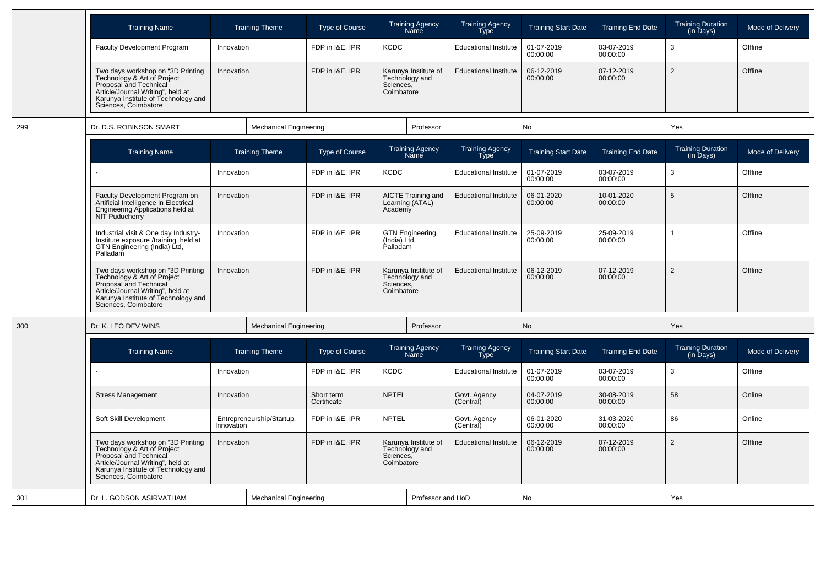|     | <b>Training Name</b>                                                                                                                                                                           |            | <b>Training Theme</b>         | <b>Type of Course</b>     |                                                                   | <b>Training Agency</b><br>Name         | <b>Training Agency</b><br><b>Type</b> | <b>Training Start Date</b> | <b>Training End Date</b> | <b>Training Duration</b><br>(in Days) | Mode of Delivery |
|-----|------------------------------------------------------------------------------------------------------------------------------------------------------------------------------------------------|------------|-------------------------------|---------------------------|-------------------------------------------------------------------|----------------------------------------|---------------------------------------|----------------------------|--------------------------|---------------------------------------|------------------|
|     | Faculty Development Program                                                                                                                                                                    | Innovation |                               | FDP in I&E, IPR           | <b>KCDC</b>                                                       |                                        | <b>Educational Institute</b>          | 01-07-2019<br>00:00:00     | 03-07-2019<br>00:00:00   | 3                                     | Offline          |
|     | Two days workshop on "3D Printing<br>Technology & Art of Project<br>Proposal and Technical<br>Article/Journal Writing", held at<br>Karunya Institute of Technology and<br>Sciences, Coimbatore | Innovation |                               | FDP in I&E, IPR           | Sciences,<br>Coimbatore                                           | Karunya Institute of<br>Technology and | <b>Educational Institute</b>          | 06-12-2019<br>00:00:00     | 07-12-2019<br>00:00:00   | 2                                     | Offline          |
| 299 | Dr. D.S. ROBINSON SMART                                                                                                                                                                        |            | <b>Mechanical Engineering</b> |                           |                                                                   | Professor                              |                                       | <b>No</b>                  |                          | Yes                                   |                  |
|     | <b>Training Name</b>                                                                                                                                                                           |            | <b>Training Theme</b>         | <b>Type of Course</b>     |                                                                   | <b>Training Agency</b><br>Năme         | <b>Training Agency</b><br><b>Type</b> | <b>Training Start Date</b> | <b>Training End Date</b> | <b>Training Duration</b><br>(in Days) | Mode of Delivery |
|     | $\sim$                                                                                                                                                                                         | Innovation |                               | FDP in I&E, IPR           | <b>KCDC</b>                                                       |                                        | <b>Educational Institute</b>          | 01-07-2019<br>00:00:00     | 03-07-2019<br>00:00:00   | 3                                     | Offline          |
|     | Faculty Development Program on<br>Artificial Intelligence in Electrical<br>Engineering Applications held at<br>NIT Puducherry                                                                  | Innovation |                               | FDP in I&E, IPR           | Academy                                                           | AICTE Training and<br>Learning (ATAL)  | <b>Educational Institute</b>          | 06-01-2020<br>00:00:00     | 10-01-2020<br>00:00:00   | 5                                     | Offline          |
|     | Industrial visit & One day Industry-<br>Institute exposure /training, held at<br>GTN Engineering (India) Ltd,<br>Palladam                                                                      | Innovation |                               | FDP in I&E. IPR           | (India) Ltd,<br>Palladam                                          | <b>GTN Engineering</b>                 | <b>Educational Institute</b>          | 25-09-2019<br>00:00:00     | 25-09-2019<br>00:00:00   | 1                                     | Offline          |
|     | Two days workshop on "3D Printing<br>Technology & Art of Project<br>Proposal and Technical<br>Article/Journal Writing", held at<br>Karunya Institute of Technology and<br>Sciences, Coimbatore | Innovation |                               | FDP in I&E, IPR           | Karunya Institute of<br>Technology and<br>Sciences,<br>Coimbatore |                                        | <b>Educational Institute</b>          | 06-12-2019<br>00:00:00     | 07-12-2019<br>00:00:00   | $\overline{2}$                        | Offline          |
| 300 | Dr. K. LEO DEV WINS                                                                                                                                                                            |            | <b>Mechanical Engineering</b> |                           |                                                                   | Professor                              |                                       | No                         |                          | Yes                                   |                  |
|     | <b>Training Name</b>                                                                                                                                                                           |            | <b>Training Theme</b>         | <b>Type of Course</b>     |                                                                   | <b>Training Agency</b><br>Name         | <b>Training Agency</b><br><b>Type</b> | <b>Training Start Date</b> | <b>Training End Date</b> | <b>Training Duration</b><br>(in Days) | Mode of Delivery |
|     | $\sim$                                                                                                                                                                                         | Innovation |                               | FDP in I&E, IPR           | <b>KCDC</b>                                                       |                                        | <b>Educational Institute</b>          | 01-07-2019<br>00:00:00     | 03-07-2019<br>00:00:00   | 3                                     | Offline          |
|     | <b>Stress Management</b>                                                                                                                                                                       | Innovation |                               | Short term<br>Certificate | <b>NPTEL</b>                                                      |                                        | Govt. Agency<br>(Central)             | 04-07-2019<br>00:00:00     | 30-08-2019<br>00:00:00   | 58                                    | Online           |
|     | Soft Skill Development                                                                                                                                                                         | Innovation | Entrepreneurship/Startup,     | FDP in I&E, IPR           | <b>NPTEL</b>                                                      |                                        | Govt. Agency<br>(Central)             | 06-01-2020<br>00:00:00     | 31-03-2020<br>00:00:00   | 86                                    | Online           |
|     | Two days workshop on "3D Printing<br>Technology & Art of Project<br>Proposal and Technical<br>Article/Journal Writing", held at<br>Karunya Institute of Technology and<br>Sciences, Coimbatore | Innovation |                               | FDP in I&E, IPR           | Sciences,<br>Coimbatore                                           | Karunya Institute of<br>Technology and | <b>Educational Institute</b>          | 06-12-2019<br>00:00:00     | 07-12-2019<br>00:00:00   | $\overline{2}$                        | Offline          |
| 301 | Dr. L. GODSON ASIRVATHAM                                                                                                                                                                       |            | <b>Mechanical Engineering</b> |                           |                                                                   | Professor and HoD                      |                                       | No                         |                          | Yes                                   |                  |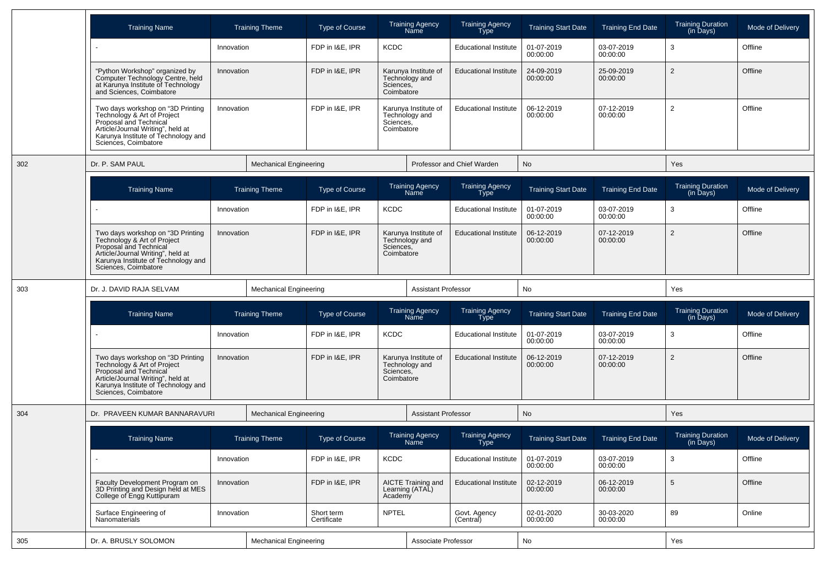|     | <b>Training Name</b>                                                                                                                                                                           | <b>Training Theme</b>         | <b>Type of Course</b>     | <b>Training Agency</b><br>Name                                    | <b>Training Agency</b><br>Type        | <b>Training Start Date</b> | <b>Training End Date</b> | <b>Training Duration</b><br>(in Days) | Mode of Delivery |
|-----|------------------------------------------------------------------------------------------------------------------------------------------------------------------------------------------------|-------------------------------|---------------------------|-------------------------------------------------------------------|---------------------------------------|----------------------------|--------------------------|---------------------------------------|------------------|
|     | $\overline{\phantom{a}}$                                                                                                                                                                       | Innovation                    | FDP in I&E, IPR           | <b>KCDC</b>                                                       | <b>Educational Institute</b>          | 01-07-2019<br>00:00:00     | 03-07-2019<br>00:00:00   | 3                                     | Offline          |
|     | "Python Workshop" organized by<br>Computer Technology Centre, held<br>at Karunya Institute of Technology<br>and Sciences, Coimbatore                                                           | Innovation                    | FDP in I&E, IPR           | Karunya Institute of<br>Technology and<br>Sciences,<br>Coimbatore | <b>Educational Institute</b>          | 24-09-2019<br>00:00:00     | 25-09-2019<br>00:00:00   | $\overline{2}$                        | Offline          |
|     | Two days workshop on "3D Printing<br>Technology & Art of Project<br>Proposal and Technical<br>Article/Journal Writing", held at<br>Karunya Institute of Technology and<br>Sciences, Coimbatore | Innovation                    | FDP in I&E. IPR           | Karunya Institute of<br>Technology and<br>Sciences,<br>Coimbatore | <b>Educational Institute</b>          | 06-12-2019<br>00:00:00     | 07-12-2019<br>00:00:00   | $\overline{2}$                        | Offline          |
| 302 | Dr. P. SAM PAUL                                                                                                                                                                                | <b>Mechanical Engineering</b> |                           |                                                                   | Professor and Chief Warden            | No                         |                          | Yes                                   |                  |
|     | <b>Training Name</b>                                                                                                                                                                           | <b>Training Theme</b>         | <b>Type of Course</b>     | <b>Training Agency</b><br>Name                                    | <b>Training Agency</b><br>Type        | <b>Training Start Date</b> | <b>Training End Date</b> | <b>Training Duration</b><br>(in Days) | Mode of Delivery |
|     | $\sim$                                                                                                                                                                                         | Innovation                    | FDP in I&E, IPR           | <b>KCDC</b>                                                       | <b>Educational Institute</b>          | 01-07-2019<br>00:00:00     | 03-07-2019<br>00:00:00   | 3                                     | Offline          |
|     | Two days workshop on "3D Printing<br>Technology & Art of Project<br>Proposal and Technical<br>Article/Journal Writing", held at<br>Karunya Institute of Technology and<br>Sciences, Coimbatore | Innovation                    | FDP in I&E. IPR           | Karunya Institute of<br>Technology and<br>Sciences,<br>Coimbatore | <b>Educational Institute</b>          | 06-12-2019<br>00:00:00     | 07-12-2019<br>00:00:00   | $\overline{2}$                        | Offline          |
|     |                                                                                                                                                                                                |                               |                           |                                                                   |                                       |                            |                          |                                       |                  |
| 303 | Dr. J. DAVID RAJA SELVAM                                                                                                                                                                       | <b>Mechanical Engineering</b> |                           | <b>Assistant Professor</b>                                        |                                       | No                         |                          | Yes                                   |                  |
|     | <b>Training Name</b>                                                                                                                                                                           | <b>Training Theme</b>         | <b>Type of Course</b>     | <b>Training Agency</b><br>Name                                    | <b>Training Agency</b><br><b>Type</b> | <b>Training Start Date</b> | <b>Training End Date</b> | <b>Training Duration</b><br>(in Days) | Mode of Delivery |
|     |                                                                                                                                                                                                | Innovation                    | FDP in I&E, IPR           | <b>KCDC</b>                                                       | <b>Educational Institute</b>          | 01-07-2019<br>00:00:00     | 03-07-2019<br>00:00:00   | 3                                     | Offline          |
|     | Two days workshop on "3D Printing<br>Technology & Art of Project<br>Proposal and Technical<br>Article/Journal Writing", held at<br>Karunya Institute of Technology and<br>Sciences, Coimbatore | Innovation                    | FDP in I&E, IPR           | Karunya Institute of<br>Technology and<br>Sciences,<br>Coimbatore | <b>Educational Institute</b>          | 06-12-2019<br>00:00:00     | 07-12-2019<br>00:00:00   | $\overline{2}$                        | Offline          |
| 304 | Dr. PRAVEEN KUMAR BANNARAVURI                                                                                                                                                                  | <b>Mechanical Engineering</b> |                           | <b>Assistant Professor</b>                                        |                                       | No                         |                          | Yes                                   |                  |
|     | <b>Training Name</b>                                                                                                                                                                           | <b>Training Theme</b>         | Type of Course            | Training Agency<br>Name                                           | Training Agency<br>Type               | <b>Training Start Date</b> | <b>Training End Date</b> | Training Duration<br>(in Days)        | Mode of Delivery |
|     |                                                                                                                                                                                                | Innovation                    | FDP in I&E, IPR           | KCDC                                                              | <b>Educational Institute</b>          | 01-07-2019<br>00:00:00     | 03-07-2019<br>00:00:00   | 3                                     | Offline          |
|     | Faculty Development Program on<br>3D Printing and Design held at MES<br>College of Engg Kuttipuram                                                                                             | Innovation                    | FDP in I&E, IPR           | AICTE Training and<br>Learning (ATAL)<br>Academy                  | <b>Educational Institute</b>          | 02-12-2019<br>00:00:00     | 06-12-2019<br>00:00:00   | $\sqrt{5}$                            | Offline          |
|     | Surface Engineering of<br>Nanomaterials                                                                                                                                                        | Innovation                    | Short term<br>Certificate | <b>NPTEL</b>                                                      | Govt. Agency<br>(Central)             | 02-01-2020<br>00:00:00     | 30-03-2020<br>00:00:00   | 89                                    | Online           |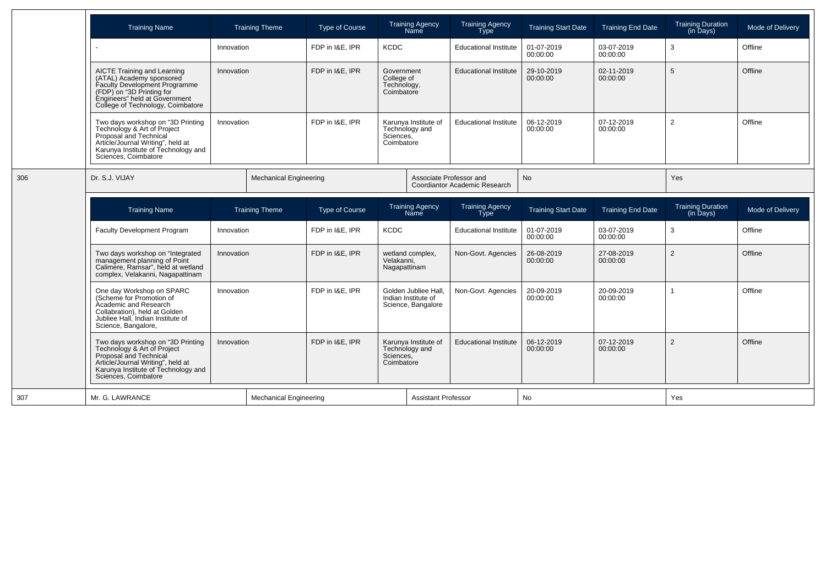|     | <b>Training Name</b>                                                                                                                                                                           |                                             | <b>Training Theme</b> | <b>Type of Course</b> |                                                       | <b>Training Agency</b><br>Name                                    | <b>Training Agency</b><br><b>Type</b>          | <b>Training Start Date</b> | <b>Training End Date</b>     | <b>Training Duration</b><br>(in Days) | Mode of Delivery       |                |         |
|-----|------------------------------------------------------------------------------------------------------------------------------------------------------------------------------------------------|---------------------------------------------|-----------------------|-----------------------|-------------------------------------------------------|-------------------------------------------------------------------|------------------------------------------------|----------------------------|------------------------------|---------------------------------------|------------------------|----------------|---------|
|     | $\overline{a}$                                                                                                                                                                                 | Innovation                                  |                       | FDP in I&E, IPR       | <b>KCDC</b>                                           |                                                                   | <b>Educational Institute</b>                   | 01-07-2019<br>00:00:00     | 03-07-2019<br>00:00:00       | 3                                     | Offline                |                |         |
|     | AICTE Training and Learning<br>(ATAL) Academy sponsored<br>Faculty Development Programme<br>(FDP) on "3D Printing for<br>Engineers" held at Government<br>College of Technology, Coimbatore    | Innovation                                  |                       | FDP in I&E, IPR       | Government<br>College of<br>Technology,<br>Coimbatore |                                                                   | <b>Educational Institute</b>                   | 29-10-2019<br>00:00:00     | 02-11-2019<br>00:00:00       | 5                                     | Offline                |                |         |
|     | Two days workshop on "3D Printing<br>Technology & Art of Project<br>Proposal and Technical<br>Article/Journal Writing", held at<br>Karunya Institute of Technology and<br>Sciences, Coimbatore | Innovation<br><b>Mechanical Engineering</b> |                       | FDP in I&E. IPR       | Sciences,<br>Coimbatore                               |                                                                   | Karunya Institute of<br>Technology and         |                            | <b>Educational Institute</b> | 06-12-2019<br>00:00:00                | 07-12-2019<br>00:00:00 | $\overline{2}$ | Offline |
| 306 | Dr. S.J. VIJAY                                                                                                                                                                                 |                                             |                       |                       |                                                       | Associate Professor and                                           | Coordiantor Academic Research                  | No                         |                              | Yes                                   |                        |                |         |
|     | <b>Training Name</b>                                                                                                                                                                           |                                             | <b>Training Theme</b> | <b>Type of Course</b> |                                                       | <b>Training Agency</b><br>Name                                    | <b>Training Agency</b><br><b>Type</b>          | <b>Training Start Date</b> | <b>Training End Date</b>     | <b>Training Duration</b><br>(in Days) | Mode of Delivery       |                |         |
|     | Faculty Development Program                                                                                                                                                                    | Innovation                                  |                       | FDP in I&E. IPR       | <b>KCDC</b>                                           |                                                                   | <b>Educational Institute</b>                   | 01-07-2019<br>00:00:00     | 03-07-2019<br>00:00:00       | 3                                     | Offline                |                |         |
|     | Two days workshop on "Integrated<br>management planning of Point<br>Calimere, Ramsar", held at wetland<br>complex, Velakanni, Nagapattinam                                                     | Innovation                                  |                       | FDP in I&E. IPR       |                                                       |                                                                   | wetland complex,<br>Velakanni,<br>Nagapattinam |                            | Non-Govt. Agencies           | 26-08-2019<br>00:00:00                | 27-08-2019<br>00:00:00 | $\overline{2}$ | Offline |
|     |                                                                                                                                                                                                | Innovation                                  |                       |                       |                                                       |                                                                   |                                                |                            |                              |                                       |                        |                |         |
|     | One day Workshop on SPARC<br>(Scheme for Promotion of<br>Academic and Research<br>Collabration), held at Golden<br>Jubliee Hall. Indian Institute of<br>Science, Bangalore,                    |                                             |                       | FDP in I&E, IPR       |                                                       | Golden Jubliee Hall,<br>Indian Institute of<br>Science, Bangalore | Non-Govt. Agencies                             | 20-09-2019<br>00:00:00     | 20-09-2019<br>00:00:00       |                                       | Offline                |                |         |
|     | Two days workshop on "3D Printing<br>Technology & Art of Project<br>Proposal and Technical<br>Article/Journal Writing", held at<br>Karunya Institute of Technology and<br>Sciences, Coimbatore | Innovation                                  |                       | FDP in I&E. IPR       | Sciences,<br>Coimbatore                               | Karunya Institute of<br>Technology and                            | <b>Educational Institute</b>                   | 06-12-2019<br>00:00:00     | 07-12-2019<br>00:00:00       | $\overline{2}$                        | Offline                |                |         |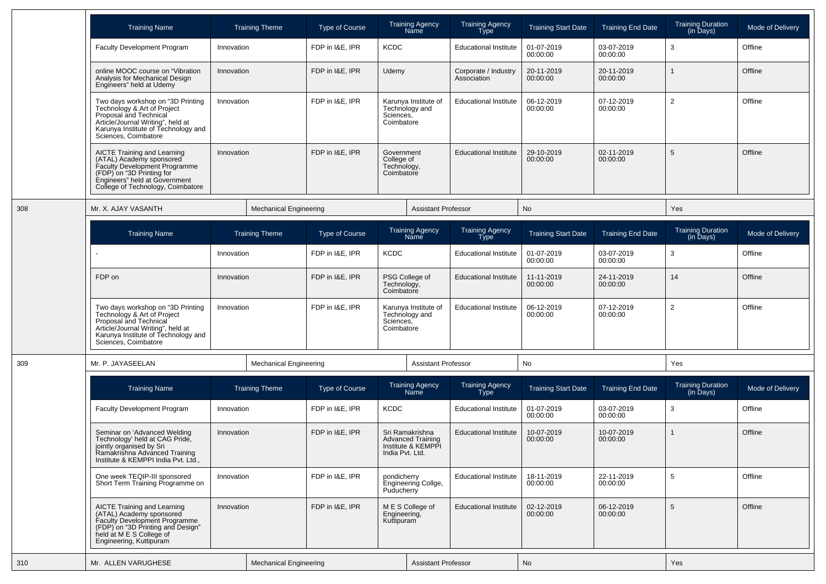|     | <b>Training Name</b>                                                                                                                                                                           |            | <b>Training Theme</b>         | <b>Type of Course</b> |                                                                                                                  | <b>Training Agency</b><br>Name                                    | <b>Training Agency</b><br>Type      | <b>Training Start Date</b> | <b>Training End Date</b> | <b>Training Duration</b><br>(in Days) | Mode of Delivery |
|-----|------------------------------------------------------------------------------------------------------------------------------------------------------------------------------------------------|------------|-------------------------------|-----------------------|------------------------------------------------------------------------------------------------------------------|-------------------------------------------------------------------|-------------------------------------|----------------------------|--------------------------|---------------------------------------|------------------|
|     | <b>Faculty Development Program</b>                                                                                                                                                             | Innovation |                               | FDP in I&E, IPR       | KCDC                                                                                                             |                                                                   | <b>Educational Institute</b>        | 01-07-2019<br>00:00:00     | 03-07-2019<br>00:00:00   | 3                                     | Offline          |
|     | online MOOC course on "Vibration<br>Analysis for Mechanical Design<br>Engineers" held at Udemy                                                                                                 | Innovation |                               | FDP in I&E, IPR       | Udemy                                                                                                            |                                                                   | Corporate / Industry<br>Association | 20-11-2019<br>00:00:00     | 20-11-2019<br>00:00:00   |                                       | Offline          |
|     | Two days workshop on "3D Printing<br>Technology & Art of Project<br>Proposal and Technical<br>Article/Journal Writing", held at<br>Karunya Institute of Technology and<br>Sciences, Coimbatore | Innovation |                               | FDP in I&E, IPR       | Sciences,<br>Coimbatore                                                                                          | Karunya Institute of<br>Technology and                            | <b>Educational Institute</b>        | 06-12-2019<br>00:00:00     | 07-12-2019<br>00:00:00   | $\overline{2}$                        | Offline          |
|     | AICTE Training and Learning<br>(ATAL) Academy sponsored<br>Faculty Development Programme<br>(FDP) on "3D Printing for<br>Engineers" held at Government<br>College of Technology, Coimbatore    | Innovation |                               | FDP in I&E, IPR       | Government<br>College of<br>Technology,<br>Coimbatore                                                            |                                                                   | <b>Educational Institute</b>        | 29-10-2019<br>00:00:00     | 02-11-2019<br>00:00:00   | 5                                     | Offline          |
| 308 | Mr. X. AJAY VASANTH                                                                                                                                                                            |            | <b>Mechanical Engineering</b> |                       |                                                                                                                  | <b>Assistant Professor</b>                                        |                                     | No                         |                          | Yes                                   |                  |
|     | <b>Training Name</b>                                                                                                                                                                           |            | <b>Training Theme</b>         | <b>Type of Course</b> |                                                                                                                  | <b>Training Agency</b><br>Name                                    | <b>Training Agency</b><br>Type      | <b>Training Start Date</b> | <b>Training End Date</b> | <b>Training Duration</b><br>(in Days) | Mode of Delivery |
|     |                                                                                                                                                                                                | Innovation |                               | FDP in I&E, IPR       | <b>KCDC</b>                                                                                                      |                                                                   | <b>Educational Institute</b>        | 01-07-2019<br>00:00:00     | 03-07-2019<br>00:00:00   | 3                                     | Offline          |
|     | FDP on                                                                                                                                                                                         | Innovation |                               | FDP in I&E, IPR       | PSG College of<br>Technology,<br>Coimbatore<br>Karunya Institute of<br>Technology and<br>Sciences,<br>Coimbatore |                                                                   | <b>Educational Institute</b>        | 11-11-2019<br>00:00:00     | 24-11-2019<br>00:00:00   | 14                                    | Offline          |
|     | Two days workshop on "3D Printing<br>Technology & Art of Project<br>Proposal and Technical<br>Article/Journal Writing", held at<br>Karunya Institute of Technology and<br>Sciences, Coimbatore | Innovation |                               | FDP in I&E, IPR       |                                                                                                                  |                                                                   | <b>Educational Institute</b>        | 06-12-2019<br>00:00:00     | 07-12-2019<br>00:00:00   | $\overline{2}$                        | Offline          |
| 309 | Mr. P. JAYASEELAN                                                                                                                                                                              |            | <b>Mechanical Engineering</b> |                       |                                                                                                                  | <b>Assistant Professor</b>                                        |                                     | No                         |                          | Yes                                   |                  |
|     | <b>Training Name</b>                                                                                                                                                                           |            | <b>Training Theme</b>         | <b>Type of Course</b> |                                                                                                                  | <b>Training Agency</b><br>Name                                    | <b>Training Agency</b><br>Type      | <b>Training Start Date</b> | <b>Training End Date</b> | Training Duration<br>(in Days)        | Mode of Delivery |
|     | <b>Faculty Development Program</b>                                                                                                                                                             | Innovation |                               | FDP in I&E, IPR       | <b>KCDC</b>                                                                                                      |                                                                   | <b>Educational Institute</b>        | 01-07-2019<br>00:00:00     | 03-07-2019<br>00:00:00   | 3                                     | Offline          |
|     | Seminar on 'Advanced Welding<br>Technology' held at CAG Pride,<br>jointly organised by Sri<br>Ramakrishna Advanced Training<br>Institute & KEMPPI India Pvt. Ltd.,                             | Innovation |                               | FDP in I&E, IPR       | India Pvt. Ltd.                                                                                                  | Sri Ramakrishna<br><b>Advanced Training</b><br>Institute & KEMPPI | <b>Educational Institute</b>        | 10-07-2019<br>00:00:00     | 10-07-2019<br>00:00:00   |                                       | Offline          |
|     | One week TEQIP-III sponsored<br>Short Term Training Programme on                                                                                                                               | Innovation |                               | FDP in I&E, IPR       | pondicherry<br>Puducherry                                                                                        | Engineering Collge,                                               | <b>Educational Institute</b>        | 18-11-2019<br>00:00:00     | 22-11-2019<br>00:00:00   | 5                                     | Offline          |
|     | AICTE Training and Learning<br>(ATAL) Academy sponsored<br>Faculty Development Programme<br>(FDP) on "3D Printing and Design"<br>held at M E S College of<br>Engineering, Kuttipuram           | Innovation |                               | FDP in I&E, IPR       | Engineering,<br>Kuttipuram                                                                                       | M E S College of                                                  | <b>Educational Institute</b>        | 02-12-2019<br>00:00:00     | 06-12-2019<br>00:00:00   | 5                                     | Offline          |
| 310 | Mr. ALLEN VARUGHESE                                                                                                                                                                            |            | <b>Mechanical Engineering</b> |                       |                                                                                                                  | <b>Assistant Professor</b>                                        |                                     | No                         |                          | Yes                                   |                  |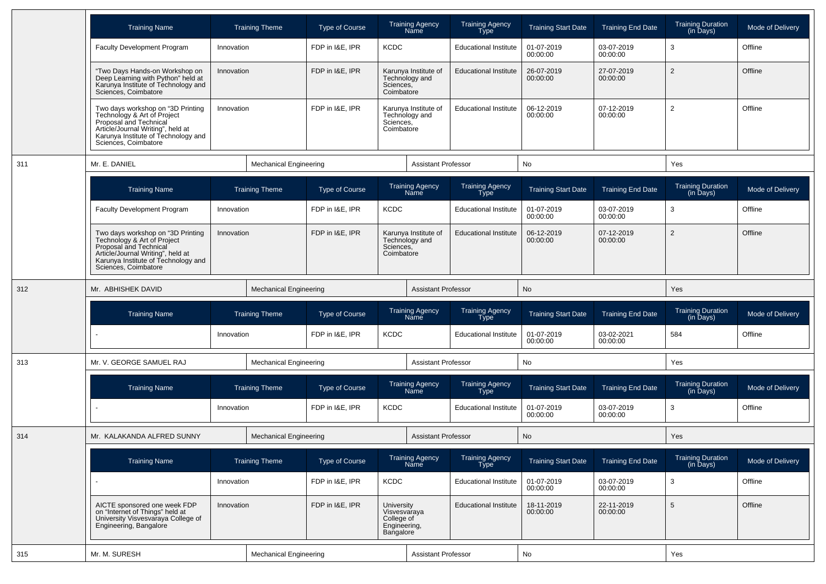|     | <b>Training Name</b>                                                                                                                                                                           |            | <b>Training Theme</b>         | <b>Type of Course</b>          |                                                                       | <b>Training Agency</b><br>Name         | <b>Training Agency</b><br>Type        | <b>Training Start Date</b> | <b>Training End Date</b> | <b>Training Duration</b><br>(in Days) | Mode of Delivery |
|-----|------------------------------------------------------------------------------------------------------------------------------------------------------------------------------------------------|------------|-------------------------------|--------------------------------|-----------------------------------------------------------------------|----------------------------------------|---------------------------------------|----------------------------|--------------------------|---------------------------------------|------------------|
|     | <b>Faculty Development Program</b>                                                                                                                                                             | Innovation |                               | FDP in I&E, IPR                | <b>KCDC</b>                                                           |                                        | <b>Educational Institute</b>          | 01-07-2019<br>00:00:00     | 03-07-2019<br>00:00:00   | 3                                     | Offline          |
|     | "Two Days Hands-on Workshop on<br>Deep Learning with Python" held at<br>Karunya Institute of Technology and<br>Sciences, Coimbatore                                                            | Innovation |                               | FDP in I&E, IPR                | Sciences,<br>Coimbatore                                               | Karunya Institute of<br>Technology and | <b>Educational Institute</b>          | 26-07-2019<br>00:00:00     | 27-07-2019<br>00:00:00   | $\overline{2}$                        | Offline          |
|     | Two days workshop on "3D Printing<br>Technology & Art of Project<br>Proposal and Technical<br>Article/Journal Writing", held at<br>Karunya Institute of Technology and<br>Sciences, Coimbatore | Innovation |                               | FDP in I&E, IPR                | Sciences,<br>Coimbatore                                               | Karunya Institute of<br>Technology and | <b>Educational Institute</b>          | 06-12-2019<br>00:00:00     | 07-12-2019<br>00:00:00   | $\overline{2}$                        | Offline          |
| 311 | Mr. E. DANIEL                                                                                                                                                                                  |            | <b>Mechanical Engineering</b> |                                |                                                                       | <b>Assistant Professor</b>             |                                       | No                         |                          | Yes                                   |                  |
|     | <b>Training Name</b>                                                                                                                                                                           |            | <b>Training Theme</b>         | <b>Type of Course</b>          |                                                                       | Training Agency<br>Name                | <b>Training Agency</b><br>Type        | <b>Training Start Date</b> | <b>Training End Date</b> | <b>Training Duration</b><br>(in Days) | Mode of Delivery |
|     | <b>Faculty Development Program</b>                                                                                                                                                             | Innovation |                               | FDP in I&E, IPR<br><b>KCDC</b> |                                                                       |                                        | <b>Educational Institute</b>          | 01-07-2019<br>00:00:00     | 03-07-2019<br>00:00:00   | 3                                     | Offline          |
|     | Two days workshop on "3D Printing<br>Technology & Art of Project<br>Proposal and Technical<br>Article/Journal Writing", held at<br>Karunya Institute of Technology and<br>Sciences, Coimbatore | Innovation |                               | FDP in I&E, IPR                | Sciences,<br>Coimbatore                                               | Karunya Institute of<br>Technology and | <b>Educational Institute</b>          | 06-12-2019<br>00:00:00     | 07-12-2019<br>00:00:00   | $\overline{2}$                        | Offline          |
| 312 | Mr. ABHISHEK DAVID                                                                                                                                                                             |            | <b>Mechanical Engineering</b> |                                |                                                                       | <b>Assistant Professor</b>             |                                       | No                         |                          | Yes                                   |                  |
|     | <b>Training Name</b>                                                                                                                                                                           |            | <b>Training Theme</b>         | <b>Type of Course</b>          |                                                                       | Training Agency<br>Name                | <b>Training Agency</b><br><b>Type</b> | <b>Training Start Date</b> | <b>Training End Date</b> | <b>Training Duration</b><br>(in Days) | Mode of Delivery |
|     |                                                                                                                                                                                                | Innovation |                               | FDP in I&E, IPR                | <b>KCDC</b>                                                           |                                        | <b>Educational Institute</b>          | 01-07-2019<br>00:00:00     | 03-02-2021<br>00:00:00   | 584                                   | Offline          |
| 313 | Mr. V. GEORGE SAMUEL RAJ                                                                                                                                                                       |            | <b>Mechanical Engineering</b> |                                |                                                                       | <b>Assistant Professor</b>             |                                       | No                         |                          | Yes                                   |                  |
|     | <b>Training Name</b>                                                                                                                                                                           |            | <b>Training Theme</b>         | <b>Type of Course</b>          |                                                                       | Training Agency<br>Name                | <b>Training Agency</b><br><b>Type</b> | <b>Training Start Date</b> | <b>Training End Date</b> | <b>Training Duration</b><br>(in Days) | Mode of Delivery |
|     |                                                                                                                                                                                                | Innovation |                               | FDP in I&E, IPR                | <b>KCDC</b>                                                           |                                        | <b>Educational Institute</b>          | 01-07-2019<br>00:00:00     | 03-07-2019<br>00:00:00   | 3                                     | Offline          |
| 314 | Mr. KALAKANDA ALFRED SUNNY                                                                                                                                                                     |            | <b>Mechanical Engineering</b> |                                |                                                                       | <b>Assistant Professor</b>             |                                       | <b>No</b>                  |                          | Yes                                   |                  |
|     | <b>Training Name</b>                                                                                                                                                                           |            | <b>Training Theme</b>         | Type of Course                 |                                                                       | Training Agency<br>Name                | <b>Training Agency</b><br><b>Type</b> | <b>Training Start Date</b> | <b>Training End Date</b> | Training Duration<br>(in Days)        | Mode of Delivery |
|     |                                                                                                                                                                                                | Innovation |                               | FDP in I&E, IPR                | <b>KCDC</b>                                                           |                                        | <b>Educational Institute</b>          | 01-07-2019<br>00:00:00     | 03-07-2019<br>00:00:00   | $\mathbf{3}$                          | Offline          |
|     | AICTE sponsored one week FDP<br>on "Internet of Things" held at<br>University Visvesvaraya College of<br>Engineering, Bangalore                                                                | Innovation |                               | FDP in I&E, IPR                | University<br>Visvesvaraya<br>College of<br>Engineering,<br>Bangalore |                                        | <b>Educational Institute</b>          | 18-11-2019<br>00:00:00     | 22-11-2019<br>00:00:00   | $\overline{5}$                        | Offline          |
| 315 | Mr. M. SURESH                                                                                                                                                                                  |            | <b>Mechanical Engineering</b> |                                |                                                                       | <b>Assistant Professor</b>             |                                       | No                         |                          | Yes                                   |                  |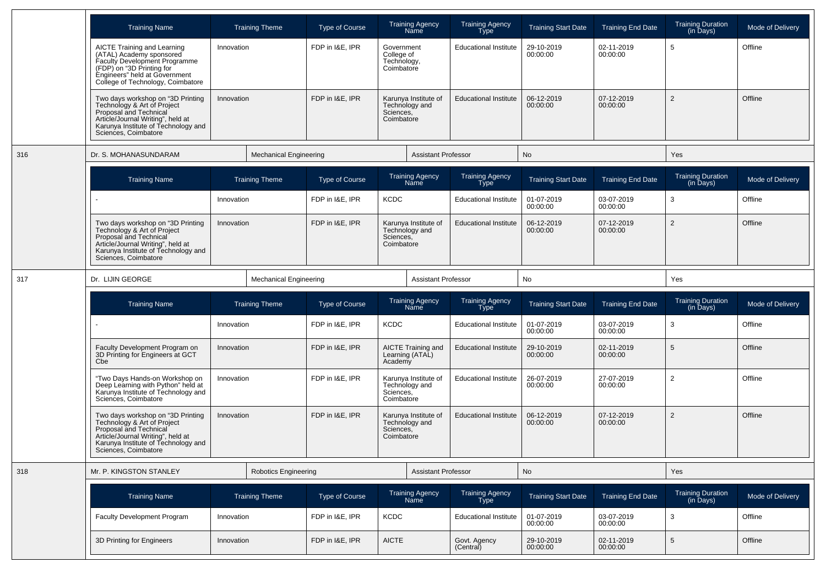|     | <b>Training Name</b>                                                                                                                                                                               | <b>Training Theme</b>         | <b>Type of Course</b> | <b>Training Agency</b><br>Name                                    | <b>Training Agency</b><br><b>Type</b> | <b>Training Start Date</b> | <b>Training End Date</b> | <b>Training Duration</b><br>(in Days) | Mode of Delivery |
|-----|----------------------------------------------------------------------------------------------------------------------------------------------------------------------------------------------------|-------------------------------|-----------------------|-------------------------------------------------------------------|---------------------------------------|----------------------------|--------------------------|---------------------------------------|------------------|
|     | <b>AICTE Training and Learning</b><br>(ATAL) Academy sponsored<br>Faculty Development Programme<br>(FDP) on "3D Printing for<br>Engineers" held at Government<br>College of Technology, Coimbatore | Innovation                    | FDP in I&E, IPR       | Government<br>College of<br>Technology,<br>Coimbatore             | <b>Educational Institute</b>          | 29-10-2019<br>00:00:00     | 02-11-2019<br>00:00:00   | 5                                     | Offline          |
|     | Two days workshop on "3D Printing<br>Technology & Art of Project<br>Proposal and Technical<br>Article/Journal Writing", held at<br>Karunya Institute of Technology and<br>Sciences, Coimbatore     | Innovation                    | FDP in I&E, IPR       | Karunya Institute of<br>Technology and<br>Sciences,<br>Coimbatore | <b>Educational Institute</b>          | 06-12-2019<br>00:00:00     | 07-12-2019<br>00:00:00   | 2                                     | Offline          |
| 316 | Dr. S. MOHANASUNDARAM                                                                                                                                                                              | <b>Mechanical Engineering</b> |                       | <b>Assistant Professor</b>                                        |                                       | No                         |                          | Yes                                   |                  |
|     | <b>Training Name</b>                                                                                                                                                                               | <b>Training Theme</b>         | Type of Course        | <b>Training Agency</b><br>Name                                    | <b>Training Agency</b><br>Type        | <b>Training Start Date</b> | <b>Training End Date</b> | <b>Training Duration</b><br>(in Days) | Mode of Delivery |
|     |                                                                                                                                                                                                    | Innovation                    | FDP in I&E, IPR       | <b>KCDC</b>                                                       | <b>Educational Institute</b>          | 01-07-2019<br>00:00:00     | 03-07-2019<br>00:00:00   | 3                                     | Offline          |
|     | Two days workshop on "3D Printing<br>Technology & Art of Project<br>Proposal and Technical<br>Article/Journal Writing", held at<br>Karunya Institute of Technology and<br>Sciences, Coimbatore     | Innovation                    | FDP in I&E, IPR       | Karunya Institute of<br>Technology and<br>Sciences,<br>Coimbatore | <b>Educational Institute</b>          | 06-12-2019<br>00:00:00     | 07-12-2019<br>00:00:00   | $\overline{2}$                        | Offline          |
| 317 | Dr. LIJIN GEORGE                                                                                                                                                                                   | <b>Mechanical Engineering</b> |                       | <b>Assistant Professor</b>                                        |                                       | No                         |                          | Yes                                   |                  |
|     |                                                                                                                                                                                                    |                               |                       |                                                                   |                                       |                            |                          |                                       |                  |
|     | <b>Training Name</b>                                                                                                                                                                               | <b>Training Theme</b>         | <b>Type of Course</b> | <b>Training Agency</b><br>Name                                    | <b>Training Agency</b><br><b>Type</b> | <b>Training Start Date</b> | <b>Training End Date</b> | <b>Training Duration</b><br>(in Days) | Mode of Delivery |
|     |                                                                                                                                                                                                    | Innovation                    | FDP in I&E, IPR       | <b>KCDC</b>                                                       | <b>Educational Institute</b>          | 01-07-2019<br>00:00:00     | 03-07-2019<br>00:00:00   | 3                                     | Offline          |
|     | Faculty Development Program on<br>3D Printing for Engineers at GCT<br>Cbe                                                                                                                          | Innovation                    | FDP in I&E, IPR       | AICTE Training and<br>Learning (ATAL)<br>Academy                  | <b>Educational Institute</b>          | 29-10-2019<br>00:00:00     | 02-11-2019<br>00:00:00   | 5                                     | Offline          |
|     | "Two Days Hands-on Workshop on<br>Deep Learning with Python" held at<br>Karunya Institute of Technology and<br>Sciences, Coimbatore                                                                | Innovation                    | FDP in I&E, IPR       | Karunya Institute of<br>Technology and<br>Sciences,<br>Coimbatore | <b>Educational Institute</b>          | 26-07-2019<br>00:00:00     | 27-07-2019<br>00:00:00   | $\overline{2}$                        | Offline          |
|     | Two days workshop on "3D Printing<br>Technology & Art of Project<br>Proposal and Technical<br>Article/Journal Writing", held at<br>Karunya Institute of Technology and<br>Sciences, Coimbatore     | Innovation                    | FDP in I&E, IPR       | Karunya Institute of<br>Technology and<br>Sciences,<br>Coimbatore | <b>Educational Institute</b>          | 06-12-2019<br>00:00:00     | 07-12-2019<br>00:00:00   | 2                                     | Offline          |
| 318 | Mr. P. KINGSTON STANLEY                                                                                                                                                                            | Robotics Engineering          |                       | <b>Assistant Professor</b>                                        |                                       | <b>No</b>                  |                          | Yes                                   |                  |
|     | <b>Training Name</b>                                                                                                                                                                               | <b>Training Theme</b>         | Type of Course        | Training Agency<br>Name                                           | Training Agency<br>Type               | <b>Training Start Date</b> | <b>Training End Date</b> | Training Duration<br>(in Days)        | Mode of Delivery |
|     | <b>Faculty Development Program</b>                                                                                                                                                                 | Innovation                    | FDP in I&E, IPR       | <b>KCDC</b>                                                       | <b>Educational Institute</b>          | 01-07-2019<br>00:00:00     | 03-07-2019<br>00:00:00   | 3                                     | Offline          |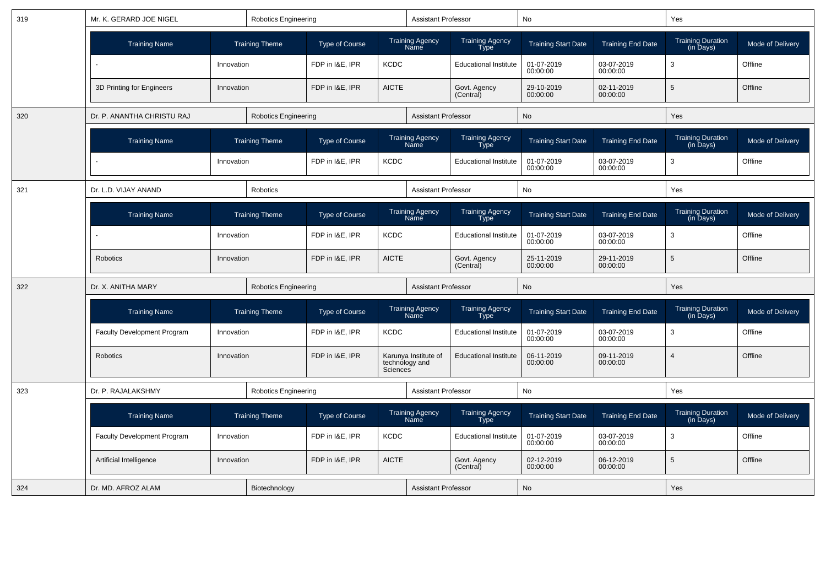| 319 | Mr. K. GERARD JOE NIGEL<br><b>Robotics Engineering</b> |            |                             |                       |              | <b>Assistant Professor</b>             |                                       | No                         |                          | Yes                                   |                         |
|-----|--------------------------------------------------------|------------|-----------------------------|-----------------------|--------------|----------------------------------------|---------------------------------------|----------------------------|--------------------------|---------------------------------------|-------------------------|
|     | <b>Training Name</b>                                   |            | <b>Training Theme</b>       | <b>Type of Course</b> |              | <b>Training Agency</b><br>Name         | Training Agency<br>Type               | <b>Training Start Date</b> | <b>Training End Date</b> | Training Duration<br>(in Days)        | Mode of Delivery        |
|     |                                                        | Innovation |                             | FDP in I&E, IPR       | <b>KCDC</b>  |                                        | <b>Educational Institute</b>          | 01-07-2019<br>00:00:00     | 03-07-2019<br>00:00:00   | 3                                     | Offline                 |
|     | 3D Printing for Engineers                              | Innovation |                             | FDP in I&E, IPR       | <b>AICTE</b> |                                        | Govt. Agency<br>(Central)             | 29-10-2019<br>00:00:00     | 02-11-2019<br>00:00:00   | 5                                     | Offline                 |
| 320 | Dr. P. ANANTHA CHRISTU RAJ                             |            | <b>Robotics Engineering</b> |                       |              | <b>Assistant Professor</b>             |                                       | <b>No</b>                  |                          | Yes                                   |                         |
|     | <b>Training Name</b>                                   |            | <b>Training Theme</b>       | <b>Type of Course</b> |              | <b>Training Agency</b><br>Name         | <b>Training Agency</b><br><b>Type</b> | <b>Training Start Date</b> | <b>Training End Date</b> | Training Duration<br>(in Days)        | Mode of Delivery        |
|     |                                                        | Innovation |                             | FDP in I&E, IPR       | <b>KCDC</b>  |                                        | <b>Educational Institute</b>          | 01-07-2019<br>00:00:00     | 03-07-2019<br>00:00:00   | 3                                     | Offline                 |
| 321 | Dr. L.D. VIJAY ANAND                                   |            | <b>Robotics</b>             |                       |              | <b>Assistant Professor</b>             |                                       | <b>No</b>                  |                          | Yes                                   |                         |
|     | <b>Training Name</b>                                   |            | <b>Training Theme</b>       | <b>Type of Course</b> |              | <b>Training Agency</b><br>Name         | <b>Training Agency</b><br>Type        | <b>Training Start Date</b> | <b>Training End Date</b> | <b>Training Duration</b><br>(in Days) | Mode of Delivery        |
|     |                                                        | Innovation |                             | FDP in I&E, IPR       | <b>KCDC</b>  |                                        | <b>Educational Institute</b>          | 01-07-2019<br>00:00:00     | 03-07-2019<br>00:00:00   | 3                                     | Offline                 |
|     | <b>Robotics</b>                                        | Innovation |                             | FDP in I&E. IPR       | <b>AICTE</b> |                                        | Govt. Agency<br>(Central)             | 25-11-2019<br>00:00:00     | 29-11-2019<br>00:00:00   | 5                                     | Offline                 |
| 322 | Dr. X. ANITHA MARY                                     |            | <b>Robotics Engineering</b> |                       |              | <b>Assistant Professor</b>             |                                       | No                         |                          | Yes                                   |                         |
|     | <b>Training Name</b>                                   |            | <b>Training Theme</b>       | <b>Type of Course</b> |              | <b>Training Agency</b><br>Name         | Training Agency<br>Type               | <b>Training Start Date</b> | <b>Training End Date</b> | Training Duration<br>(in Days)        | <b>Mode of Delivery</b> |
|     | <b>Faculty Development Program</b>                     | Innovation |                             | FDP in I&E, IPR       | <b>KCDC</b>  |                                        | <b>Educational Institute</b>          | 01-07-2019<br>00:00:00     | 03-07-2019<br>00:00:00   | 3                                     | Offline                 |
|     | Robotics                                               | Innovation |                             | FDP in I&E, IPR       | Sciences     | Karunya Institute of<br>technology and | <b>Educational Institute</b>          | 06-11-2019<br>00:00:00     | 09-11-2019<br>00:00:00   | 4                                     | Offline                 |
| 323 | Dr. P. RAJALAKSHMY                                     |            | <b>Robotics Engineering</b> |                       |              | <b>Assistant Professor</b>             |                                       | <b>No</b>                  |                          | Yes                                   |                         |
|     | <b>Training Name</b>                                   |            | <b>Training Theme</b>       | Type of Course        |              | <b>Training Agency</b><br>Name         | Training Agency<br>Type               | <b>Training Start Date</b> | <b>Training End Date</b> | <b>Training Duration</b><br>(in Days) | Mode of Delivery        |
|     | <b>Faculty Development Program</b>                     | Innovation |                             | FDP in I&E, IPR       | <b>KCDC</b>  |                                        | <b>Educational Institute</b>          | 01-07-2019<br>00:00:00     | 03-07-2019<br>00:00:00   | 3                                     | Offline                 |
|     | Artificial Intelligence                                | Innovation |                             | FDP in I&E, IPR       | <b>AICTE</b> |                                        | Govt. Agency<br>(Central)             | 02-12-2019<br>00:00:00     | 06-12-2019<br>00:00:00   | $\sqrt{5}$                            | Offline                 |
| 324 | Dr. MD. AFROZ ALAM                                     |            | Biotechnology               |                       |              | <b>Assistant Professor</b>             |                                       | <b>No</b>                  |                          | <b>Yes</b>                            |                         |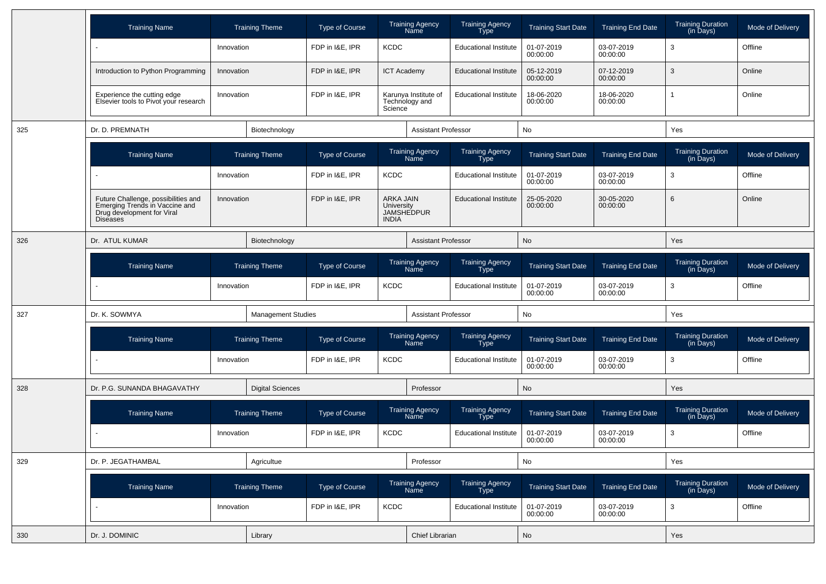|     | <b>Training Name</b>                                                                                                   |            | <b>Training Theme</b>     | Type of Course        |                                         | <b>Training Agency</b><br>Name         | <b>Training Agency</b><br>Type | <b>Training Start Date</b> | <b>Training End Date</b> | <b>Training Duration</b><br>(in Days) | Mode of Delivery |
|-----|------------------------------------------------------------------------------------------------------------------------|------------|---------------------------|-----------------------|-----------------------------------------|----------------------------------------|--------------------------------|----------------------------|--------------------------|---------------------------------------|------------------|
|     |                                                                                                                        | Innovation |                           | FDP in I&E, IPR       | <b>KCDC</b>                             |                                        | <b>Educational Institute</b>   | 01-07-2019<br>00:00:00     | 03-07-2019<br>00:00:00   | 3                                     | Offline          |
|     | Introduction to Python Programming                                                                                     | Innovation |                           | FDP in I&E, IPR       | <b>ICT Academy</b>                      |                                        | <b>Educational Institute</b>   | 05-12-2019<br>00:00:00     | 07-12-2019<br>00:00:00   | 3                                     | Online           |
|     | Experience the cutting edge<br>Elsevier tools to Pivot your research                                                   | Innovation |                           | FDP in I&E, IPR       | Science                                 | Karunya Institute of<br>Technology and | <b>Educational Institute</b>   | 18-06-2020<br>00:00:00     | 18-06-2020<br>00:00:00   | 1                                     | Online           |
| 325 | Dr. D. PREMNATH                                                                                                        |            | Biotechnology             |                       |                                         | <b>Assistant Professor</b>             |                                | No                         |                          | Yes                                   |                  |
|     | <b>Training Name</b>                                                                                                   |            | <b>Training Theme</b>     | <b>Type of Course</b> |                                         | Training Agency<br>Name                | <b>Training Agency</b><br>Type | <b>Training Start Date</b> | <b>Training End Date</b> | Training Duration<br>(in Days)        | Mode of Delivery |
|     |                                                                                                                        | Innovation |                           | FDP in I&E, IPR       | <b>KCDC</b>                             |                                        | <b>Educational Institute</b>   | 01-07-2019<br>00:00:00     | 03-07-2019<br>00:00:00   | 3                                     | Offline          |
|     | Future Challenge, possibilities and<br>Emerging Trends in Vaccine and<br>Drug development for Viral<br><b>Diseases</b> | Innovation |                           | FDP in I&E, IPR       | ARKA JAIN<br>University<br><b>INDIA</b> | <b>JAMSHEDPUR</b>                      | <b>Educational Institute</b>   | 25-05-2020<br>00:00:00     | 30-05-2020<br>00:00:00   | 6                                     | Online           |
| 326 | Dr. ATUL KUMAR                                                                                                         |            | Biotechnology             |                       |                                         | <b>Assistant Professor</b>             |                                | No                         |                          | Yes                                   |                  |
|     | <b>Training Name</b>                                                                                                   |            | <b>Training Theme</b>     | Type of Course        |                                         | <b>Training Agency</b><br>Name         | <b>Training Agency</b><br>Type | <b>Training Start Date</b> | <b>Training End Date</b> | <b>Training Duration</b><br>(in Days) | Mode of Delivery |
|     |                                                                                                                        | Innovation |                           | FDP in I&E, IPR       | <b>KCDC</b>                             |                                        | <b>Educational Institute</b>   | 01-07-2019<br>00:00:00     | 03-07-2019<br>00:00:00   | 3                                     | Offline          |
| 327 | Dr. K. SOWMYA                                                                                                          |            | <b>Management Studies</b> |                       | <b>Assistant Professor</b>              |                                        |                                | No                         |                          | Yes                                   |                  |
|     | <b>Training Name</b>                                                                                                   |            | <b>Training Theme</b>     | <b>Type of Course</b> |                                         | <b>Training Agency</b><br>Name         | <b>Training Agency</b><br>Type | <b>Training Start Date</b> | <b>Training End Date</b> | <b>Training Duration</b><br>(in Days) | Mode of Delivery |
|     |                                                                                                                        | Innovation |                           | FDP in I&E, IPR       | <b>KCDC</b>                             |                                        | <b>Educational Institute</b>   | 01-07-2019<br>00:00:00     | 03-07-2019<br>00:00:00   | 3                                     | Offline          |
| 328 | Dr. P.G. SUNANDA BHAGAVATHY                                                                                            |            | <b>Digital Sciences</b>   |                       |                                         | Professor                              |                                | No                         |                          | Yes                                   |                  |
|     | <b>Training Name</b>                                                                                                   |            | <b>Training Theme</b>     | Type of Course        |                                         | <b>Training Agency</b><br>Name         | Training Agency<br>Type        | <b>Training Start Date</b> | <b>Training End Date</b> | <b>Training Duration</b><br>(in Days) | Mode of Delivery |
|     |                                                                                                                        | Innovation |                           | FDP in I&E, IPR       | <b>KCDC</b>                             |                                        | <b>Educational Institute</b>   | 01-07-2019<br>00:00:00     | 03-07-2019<br>00:00:00   | 3                                     | Offline          |
| 329 | Dr. P. JEGATHAMBAL                                                                                                     |            | Agricultue                |                       |                                         | Professor                              |                                | No                         |                          | Yes                                   |                  |
|     | <b>Training Name</b>                                                                                                   |            | <b>Training Theme</b>     | Type of Course        |                                         | Training Agency<br>Name                | Training Agency<br>Type        | <b>Training Start Date</b> | <b>Training End Date</b> | Training Duration<br>(in Days)        | Mode of Delivery |
|     |                                                                                                                        | Innovation |                           | FDP in I&E, IPR       | <b>KCDC</b>                             |                                        | <b>Educational Institute</b>   | 01-07-2019<br>00:00:00     | 03-07-2019<br>00:00:00   | 3                                     | Offline          |
| 330 | Dr. J. DOMINIC                                                                                                         |            | Library                   |                       |                                         | Chief Librarian                        |                                | No                         |                          | Yes                                   |                  |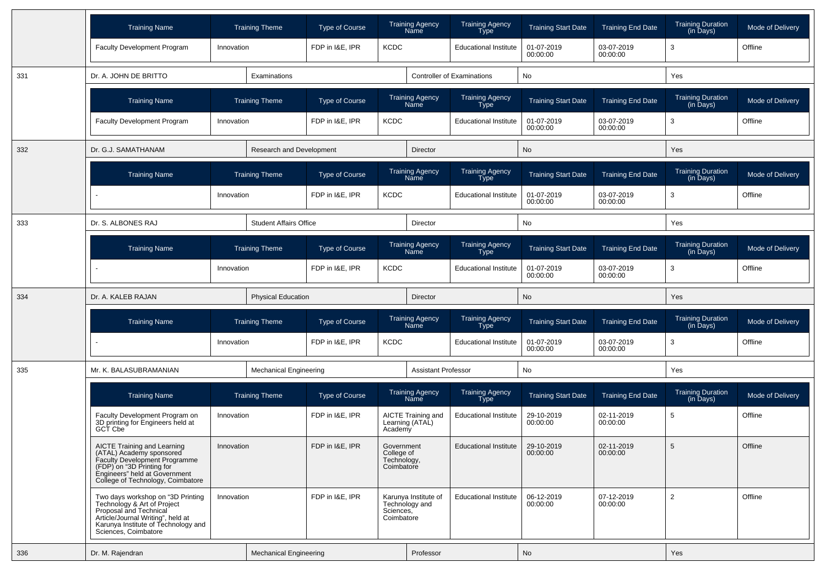|     | <b>Training Name</b>                                                                                                                                                                           |            | <b>Training Theme</b>         | Type of Course  |                                                       | <b>Training Agency</b><br>Name         | <b>Training Agency</b><br><b>Type</b> | <b>Training Start Date</b> | <b>Training End Date</b> | <b>Training Duration</b><br>(in Days) | Mode of Delivery |
|-----|------------------------------------------------------------------------------------------------------------------------------------------------------------------------------------------------|------------|-------------------------------|-----------------|-------------------------------------------------------|----------------------------------------|---------------------------------------|----------------------------|--------------------------|---------------------------------------|------------------|
|     | Faculty Development Program                                                                                                                                                                    | Innovation |                               | FDP in I&E, IPR | <b>KCDC</b>                                           |                                        | <b>Educational Institute</b>          | 01-07-2019<br>00:00:00     | 03-07-2019<br>00:00:00   | 3                                     | Offline          |
| 331 | Dr. A. JOHN DE BRITTO                                                                                                                                                                          |            | Examinations                  |                 |                                                       |                                        | <b>Controller of Examinations</b>     | No                         |                          | Yes                                   |                  |
|     | <b>Training Name</b>                                                                                                                                                                           |            | <b>Training Theme</b>         | Type of Course  |                                                       | <b>Training Agency</b><br>Name         | <b>Training Agency</b><br><b>Type</b> | <b>Training Start Date</b> | <b>Training End Date</b> | <b>Training Duration</b><br>(in Days) | Mode of Delivery |
|     | <b>Faculty Development Program</b>                                                                                                                                                             | Innovation |                               | FDP in I&E, IPR | <b>KCDC</b>                                           |                                        | <b>Educational Institute</b>          | 01-07-2019<br>00:00:00     | 03-07-2019<br>00:00:00   | 3                                     | Offline          |
| 332 | Dr. G.J. SAMATHANAM                                                                                                                                                                            |            | Research and Development      |                 |                                                       | <b>Director</b>                        |                                       | No                         |                          | Yes                                   |                  |
|     | <b>Training Name</b>                                                                                                                                                                           |            | <b>Training Theme</b>         | Type of Course  |                                                       | <b>Training Agency</b><br>Name         | <b>Training Agency</b><br><b>Type</b> | <b>Training Start Date</b> | <b>Training End Date</b> | <b>Training Duration</b><br>(in Days) | Mode of Delivery |
|     |                                                                                                                                                                                                | Innovation |                               | FDP in I&E, IPR | <b>KCDC</b>                                           |                                        | <b>Educational Institute</b>          | 01-07-2019<br>00:00:00     | 03-07-2019<br>00:00:00   | 3                                     | Offline          |
| 333 | Dr. S. ALBONES RAJ                                                                                                                                                                             |            | <b>Student Affairs Office</b> |                 |                                                       | Director                               |                                       | No                         |                          | Yes                                   |                  |
|     | <b>Training Name</b>                                                                                                                                                                           |            | <b>Training Theme</b>         | Type of Course  |                                                       | <b>Training Agency</b><br>Name         | Training Agency<br><b>Type</b>        | <b>Training Start Date</b> | <b>Training End Date</b> | <b>Training Duration</b><br>(in Days) | Mode of Delivery |
|     |                                                                                                                                                                                                | Innovation |                               | FDP in I&E, IPR | <b>KCDC</b>                                           |                                        | <b>Educational Institute</b>          | 01-07-2019<br>00:00:00     | 03-07-2019<br>00:00:00   | 3                                     | Offline          |
| 334 | Dr. A. KALEB RAJAN                                                                                                                                                                             |            | <b>Physical Education</b>     |                 |                                                       | Director                               |                                       | No                         |                          | Yes                                   |                  |
|     | <b>Training Name</b>                                                                                                                                                                           |            | <b>Training Theme</b>         | Type of Course  |                                                       | <b>Training Agency</b><br>Name         | <b>Training Agency</b><br><b>Type</b> | <b>Training Start Date</b> | <b>Training End Date</b> | <b>Training Duration</b><br>(in Days) | Mode of Delivery |
|     |                                                                                                                                                                                                | Innovation |                               | FDP in I&E, IPR | <b>KCDC</b>                                           |                                        | <b>Educational Institute</b>          | 01-07-2019<br>00:00:00     | 03-07-2019<br>00:00:00   | 3                                     | Offline          |
| 335 | Mr. K. BALASUBRAMANIAN                                                                                                                                                                         |            | <b>Mechanical Engineering</b> |                 |                                                       | <b>Assistant Professor</b>             |                                       | No                         |                          | Yes                                   |                  |
|     | <b>Training Name</b>                                                                                                                                                                           |            | <b>Training Theme</b>         | Type of Course  |                                                       | <b>Training Agency</b><br>Name         | Training Agency<br>Type               | <b>Training Start Date</b> | <b>Training End Date</b> | <b>Training Duration</b><br>(in Days) | Mode of Delivery |
|     | Faculty Development Program on<br>3D printing for Engineers held at<br>GCT Cbe                                                                                                                 | Innovation |                               | FDP in I&E, IPR | Academy                                               | AICTE Training and<br>Learning (ATAL)  | <b>Educational Institute</b>          | 29-10-2019<br>00:00:00     | 02-11-2019<br>00:00:00   | 5                                     | Offline          |
|     | AICTE Training and Learning<br>(ATAL) Academy sponsored<br>Faculty Development Programme<br>(FDP) on "3D Printing for<br>Engineers" held at Government<br>College of Technology, Coimbatore    | Innovation |                               | FDP in I&E, IPR | Government<br>College of<br>Technology,<br>Coimbatore |                                        | <b>Educational Institute</b>          | 29-10-2019<br>00:00:00     | 02-11-2019<br>00:00:00   | 5                                     | Offline          |
|     | Two days workshop on "3D Printing<br>Technology & Art of Project<br>Proposal and Technical<br>Article/Journal Writing", held at<br>Karunya Institute of Technology and<br>Sciences, Coimbatore | Innovation |                               | FDP in I&E, IPR | Sciences,<br>Coimbatore                               | Karunya Institute of<br>Technology and | <b>Educational Institute</b>          | 06-12-2019<br>00:00:00     | 07-12-2019<br>00:00:00   | $\overline{2}$                        | Offline          |
| 336 | Dr. M. Rajendran                                                                                                                                                                               |            | <b>Mechanical Engineering</b> |                 |                                                       | Professor                              |                                       | No                         |                          | Yes                                   |                  |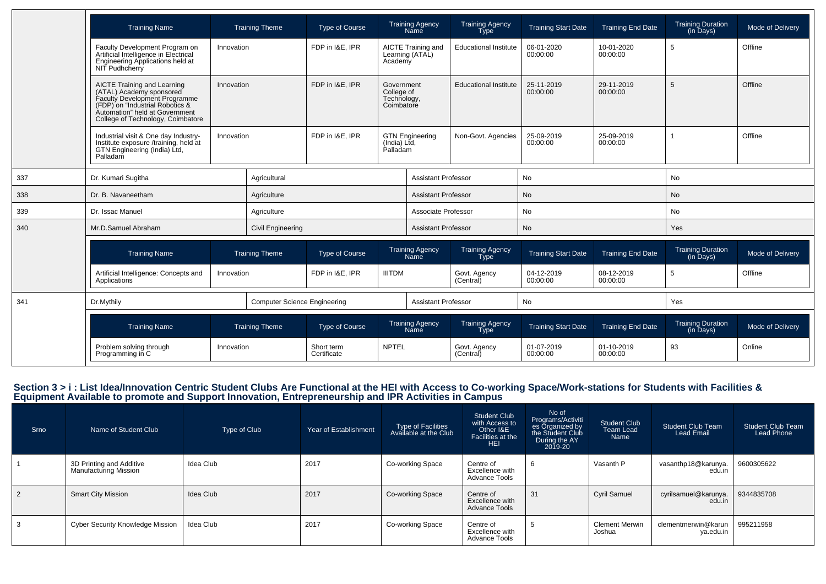|     | <b>Training Name</b>                                                                                                                                                                                      | <b>Training Theme</b> |                                     | Type of Course            |                                                       | <b>Training Agency</b><br>Name        | <b>Training Agency</b><br><b>Type</b> | <b>Training Start Date</b> | <b>Training End Date</b> | <b>Training Duration</b><br>(in Days)               | Mode of Delivery |
|-----|-----------------------------------------------------------------------------------------------------------------------------------------------------------------------------------------------------------|-----------------------|-------------------------------------|---------------------------|-------------------------------------------------------|---------------------------------------|---------------------------------------|----------------------------|--------------------------|-----------------------------------------------------|------------------|
|     | Faculty Development Program on<br>Artificial Intelligence in Electrical<br>Engineering Applications held at<br>NIT Pudhcherry                                                                             | Innovation            |                                     | FDP in I&E, IPR           | Academy                                               | AICTE Training and<br>Learning (ATAL) | <b>Educational Institute</b>          | 06-01-2020<br>00:00:00     | 10-01-2020<br>00:00:00   | 5                                                   | Offline          |
|     | <b>AICTE Training and Learning</b><br>(ATAL) Academy sponsored<br>Faculty Development Programme<br>(FDP) on "Industrial Robotics &<br>Automation" held at Government<br>College of Technology, Coimbatore | Innovation            |                                     | FDP in I&E. IPR           | Government<br>College of<br>Technology,<br>Coimbatore |                                       | <b>Educational Institute</b>          | 25-11-2019<br>00:00:00     | 29-11-2019<br>00:00:00   | 5                                                   | Offline          |
|     | Industrial visit & One day Industry-<br>Innovation<br>Institute exposure /training, held at<br>GTN Engineering (India) Ltd,<br>Palladam                                                                   |                       |                                     | FDP in I&E, IPR           | (India) Ltd,<br>Palladam                              | <b>GTN Engineering</b>                | Non-Govt. Agencies                    | 25-09-2019<br>00:00:00     | 25-09-2019<br>00:00:00   |                                                     | Offline          |
| 337 | Dr. Kumari Sugitha                                                                                                                                                                                        |                       | Agricultural                        |                           |                                                       | <b>Assistant Professor</b>            |                                       | <b>No</b>                  |                          | <b>No</b>                                           |                  |
| 338 | Dr. B. Navaneetham                                                                                                                                                                                        |                       | Agriculture                         |                           |                                                       | <b>Assistant Professor</b>            |                                       | No                         |                          | No                                                  |                  |
| 339 | Dr. Issac Manuel                                                                                                                                                                                          |                       | Agriculture                         |                           | Associate Professor                                   |                                       |                                       | No                         |                          | No                                                  |                  |
| 340 | Mr.D.Samuel Abraham                                                                                                                                                                                       |                       | <b>Civil Engineering</b>            |                           | <b>Assistant Professor</b>                            |                                       |                                       | No                         |                          | Yes                                                 |                  |
|     | <b>Training Name</b>                                                                                                                                                                                      |                       | <b>Training Theme</b>               | Type of Course            |                                                       | <b>Training Agency</b><br><b>Name</b> | <b>Training Agency</b><br><b>Type</b> | <b>Training Start Date</b> | <b>Training End Date</b> | <b>Training Duration</b><br>(in Days)               | Mode of Delivery |
|     | Artificial Intelligence: Concepts and<br>Applications                                                                                                                                                     | Innovation            |                                     | FDP in I&E. IPR           | <b>IIITDM</b>                                         |                                       | Govt. Agency<br>(Central)             | 04-12-2019<br>00:00:00     | 08-12-2019<br>00:00:00   | 5                                                   | Offline          |
| 341 | Dr.Mythily                                                                                                                                                                                                |                       | <b>Computer Science Engineering</b> |                           |                                                       | <b>Assistant Professor</b>            |                                       | No                         |                          | Yes                                                 |                  |
|     | <b>Training Name</b>                                                                                                                                                                                      |                       | <b>Training Theme</b>               | <b>Type of Course</b>     |                                                       | Training Agency<br>Name               | Training Agency<br>Type               | <b>Training Start Date</b> | <b>Training End Date</b> | <b>Training Duration</b><br>$(in \overline{D}$ ays) | Mode of Delivery |
|     | Problem solving through<br>Programming in C                                                                                                                                                               | Innovation            |                                     | Short term<br>Certificate | <b>NPTEL</b>                                          |                                       | Govt. Agency<br>(Central)             | 01-07-2019<br>00:00:00     | 01-10-2019<br>00:00:00   | 93                                                  | Online           |

## Section 3 > i : List Idea/Innovation Centric Student Clubs Are Functional at the HEI with Access to Co-working Space/Work-stations for Students with Facilities &<br>Equipment Available to promote and Support Innovation, Entre

| Srno           | Name of Student Club                                     | Type of Club | Year of Establishment | Type of Facilities<br>Available at the Club | <b>Student Club</b><br>with Access to<br>Other I&E<br>Facilities at the<br><b>HEI</b> | No of<br>Programs/Activiti<br>es Organized by<br>the Student Club<br>During the AY<br>2019-20 | Student Club<br>Team Lead<br>Name | <b>Student Club Team</b><br><b>Lead Email</b> | <b>Student Club Team</b><br><b>Lead Phone</b> |
|----------------|----------------------------------------------------------|--------------|-----------------------|---------------------------------------------|---------------------------------------------------------------------------------------|-----------------------------------------------------------------------------------------------|-----------------------------------|-----------------------------------------------|-----------------------------------------------|
|                | 3D Printing and Additive<br><b>Manufacturing Mission</b> | Idea Club    | 2017                  | Co-working Space                            | Centre of<br>Excellence with<br><b>Advance Tools</b>                                  | 6                                                                                             | Vasanth P                         | vasanthp18@karunya.<br>edu.in                 | 9600305622                                    |
| $\overline{2}$ | <b>Smart City Mission</b>                                | Idea Club    | 2017                  | Co-working Space                            | Centre of<br>Excellence with<br><b>Advance Tools</b>                                  | 31                                                                                            | <b>Cyril Samuel</b>               | cyrilsamuel@karunya.<br>  edu.in              | 9344835708                                    |
| 3              | <b>Cyber Security Knowledge Mission</b>                  | Idea Club    | 2017                  | Co-working Space                            | Centre of<br>Excellence with<br><b>Advance Tools</b>                                  |                                                                                               | <b>Clement Merwin</b><br>Joshua   | clementmerwin@karun<br>ya.edu.in              | 995211958                                     |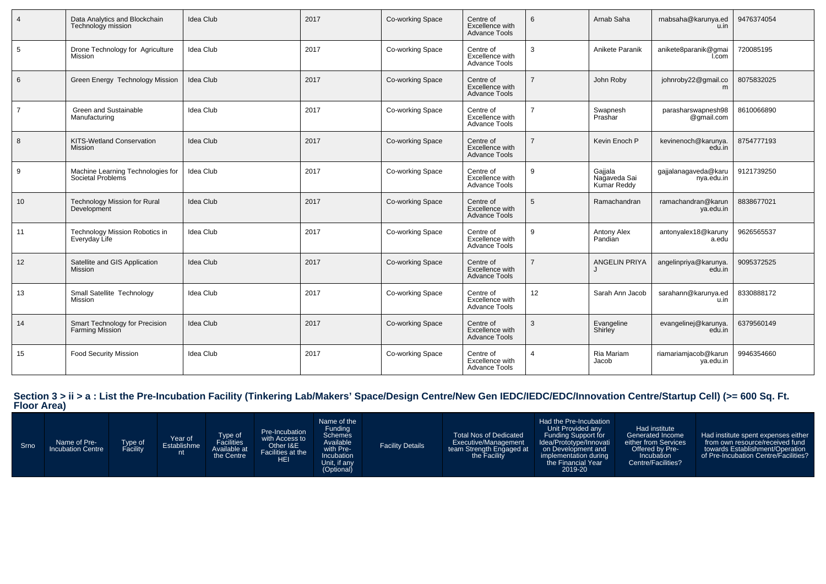| $\overline{4}$ | Data Analytics and Blockchain<br>Technology mission    | <b>Idea Club</b> | 2017 | Co-working Space | Centre of<br>Excellence with<br><b>Advance Tools</b> | 6              | Arnab Saha                             | rnabsaha@karunya.ed<br>u.in        | 9476374054 |
|----------------|--------------------------------------------------------|------------------|------|------------------|------------------------------------------------------|----------------|----------------------------------------|------------------------------------|------------|
| 5              | Drone Technology for Agriculture<br>Mission            | <b>Idea Club</b> | 2017 | Co-working Space | Centre of<br>Excellence with<br><b>Advance Tools</b> | 3              | Anikete Paranik                        | anikete8paranik@gmai<br>I.com      | 720085195  |
| 6              | Green Energy Technology Mission                        | <b>Idea Club</b> | 2017 | Co-working Space | Centre of<br>Excellence with<br><b>Advance Tools</b> | $\overline{7}$ | John Roby                              | johnroby22@gmail.co<br>m           | 8075832025 |
| $\overline{7}$ | <b>Green and Sustainable</b><br>Manufacturing          | <b>Idea Club</b> | 2017 | Co-working Space | Centre of<br>Excellence with<br><b>Advance Tools</b> |                | Swapnesh<br>Prashar                    | parasharswapnesh98<br>@gmail.com   | 8610066890 |
| 8              | KITS-Wetland Conservation<br><b>Mission</b>            | <b>Idea Club</b> | 2017 | Co-working Space | Centre of<br>Excellence with<br><b>Advance Tools</b> |                | Kevin Enoch P                          | kevinenoch@karunya.<br>edu.in      | 8754777193 |
| 9              | Machine Learning Technologies for<br>Societal Problems | <b>Idea Club</b> | 2017 | Co-working Space | Centre of<br>Excellence with<br><b>Advance Tools</b> | 9              | Gajjala<br>Nagaveda Sai<br>Kumar Reddy | gajjalanagaveda@karu<br>nya.edu.in | 9121739250 |
| 10             | <b>Technology Mission for Rural</b><br>Development     | <b>Idea Club</b> | 2017 | Co-working Space | Centre of<br>Excellence with<br><b>Advance Tools</b> | 5              | Ramachandran                           | ramachandran@karun<br>ya.edu.in    | 8838677021 |
| 11             | Technology Mission Robotics in<br>Everyday Life        | <b>Idea Club</b> | 2017 | Co-working Space | Centre of<br>Excellence with<br><b>Advance Tools</b> | 9              | Antony Alex<br>Pandian                 | antonyalex18@karuny<br>a.edu       | 9626565537 |
| 12             | Satellite and GIS Application<br><b>Mission</b>        | <b>Idea Club</b> | 2017 | Co-working Space | Centre of<br>Excellence with<br><b>Advance Tools</b> | $\overline{7}$ | <b>ANGELIN PRIYA</b>                   | angelinpriya@karunya.<br>edu.in    | 9095372525 |
| 13             | Small Satellite Technology<br>Mission                  | <b>Idea Club</b> | 2017 | Co-working Space | Centre of<br>Excellence with<br><b>Advance Tools</b> | 12             | Sarah Ann Jacob                        | sarahann@karunya.ed<br>u.in        | 8330888172 |
| 14             | Smart Technology for Precision<br>Farming Mission      | <b>Idea Club</b> | 2017 | Co-working Space | Centre of<br>Excellence with<br><b>Advance Tools</b> | 3              | Evangeline<br>Shirley                  | evangelinej@karunya.<br>edu.in     | 6379560149 |
| 15             | <b>Food Security Mission</b>                           | <b>Idea Club</b> | 2017 | Co-working Space | Centre of<br>Excellence with<br><b>Advance Tools</b> |                | Ria Mariam<br>Jacob                    | riamariamjacob@karun<br>ya.edu.in  | 9946354660 |

## **Section 3 > ii > a : List the Pre-Incubation Facility (Tinkering Lab/Makers' Space/Design Centre/New Gen IEDC/IEDC/EDC/Innovation Centre/Startup Cell) (>= 600 Sq. Ft. Floor Area)**

| Srno | Name of Pre-<br><b>Incubation Centre</b> | Type of<br>acility | Year of<br>Establishme<br>nt | Type of<br>Facilities<br>Available at<br>the Centre | Pre-Incubation<br>with Access to<br>Other I&E<br>Facilities at the<br>HEI | Name of the<br>Funding<br><b>Schemes</b><br>Available<br>with Pre-<br>Incubation<br>Unit, if any<br>(Optional) | <b>Facility Details</b> | <b>Total Nos of Dedicated</b><br>Executive/Management<br>team Strength Engaged at<br>the Facility | Had the Pre-Incubation<br>Unit Provided any<br>Funding Support for<br>Idea/Prototype/Innovati<br>on Development and<br>implementation during<br>the Financial Year<br>2019-20 | Had institute<br>Generated Income<br>either from Services<br>Offered by Pre-<br><b>Incubation</b><br>Centre/Facilities? | Had institute spent expenses either<br>from own resource/received fund<br>towards Establishment/Operation<br>of Pre-Incubation Centre/Facilities? |
|------|------------------------------------------|--------------------|------------------------------|-----------------------------------------------------|---------------------------------------------------------------------------|----------------------------------------------------------------------------------------------------------------|-------------------------|---------------------------------------------------------------------------------------------------|-------------------------------------------------------------------------------------------------------------------------------------------------------------------------------|-------------------------------------------------------------------------------------------------------------------------|---------------------------------------------------------------------------------------------------------------------------------------------------|
|------|------------------------------------------|--------------------|------------------------------|-----------------------------------------------------|---------------------------------------------------------------------------|----------------------------------------------------------------------------------------------------------------|-------------------------|---------------------------------------------------------------------------------------------------|-------------------------------------------------------------------------------------------------------------------------------------------------------------------------------|-------------------------------------------------------------------------------------------------------------------------|---------------------------------------------------------------------------------------------------------------------------------------------------|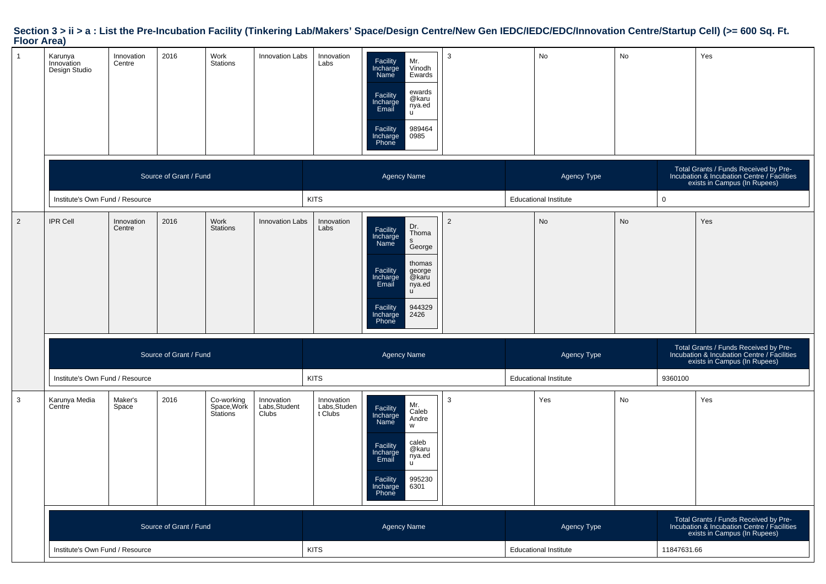# **Section 3 > ii > a : List the Pre-Incubation Facility (Tinkering Lab/Makers' Space/Design Centre/New Gen IEDC/IEDC/EDC/Innovation Centre/Startup Cell) (>= 600 Sq. Ft. Floor Area)**

| $\mathbf{1}$   | Karunya<br>Innovation<br>Design Studio | Innovation<br>Centre | 2016                   | Work<br>Stations                      | <b>Innovation Labs</b>               | Innovation<br>Labs                    | Mr.<br>Facility<br>Incharge<br>Vinodh<br>Name<br>Ewards<br>ewards<br>Facility<br>@karu<br>Incharge<br>Email<br>nya.ed<br>τú<br>989464<br>Facility<br>Incharge<br>0985<br>Phone                     | 3              |                              | No                           | No        |             | Yes                                                                                                                  |
|----------------|----------------------------------------|----------------------|------------------------|---------------------------------------|--------------------------------------|---------------------------------------|----------------------------------------------------------------------------------------------------------------------------------------------------------------------------------------------------|----------------|------------------------------|------------------------------|-----------|-------------|----------------------------------------------------------------------------------------------------------------------|
|                |                                        |                      | Source of Grant / Fund |                                       |                                      |                                       | <b>Agency Name</b>                                                                                                                                                                                 |                |                              | Agency Type                  |           |             | Total Grants / Funds Received by Pre-<br>Incubation & Incubation Centre / Facilities<br>exists in Campus (In Rupees) |
|                | Institute's Own Fund / Resource        |                      |                        |                                       |                                      | <b>KITS</b>                           |                                                                                                                                                                                                    |                |                              | <b>Educational Institute</b> |           | $\mathbf 0$ |                                                                                                                      |
| $\overline{2}$ | <b>IPR Cell</b>                        | Innovation<br>Centre | 2016                   | Work<br><b>Stations</b>               | Innovation Labs                      | Innovation<br>Labs                    | Dr.<br>Facility<br>Incharge<br>Thoma<br>s<br>Name<br>George<br>thomas<br>Facility<br>george<br>@karu<br>Incharge<br>Email<br>nya.ed<br><b>u</b><br>944329<br>Facility<br>Incharge<br>Phone<br>2426 | $\overline{2}$ |                              | <b>No</b>                    | <b>No</b> |             | Yes                                                                                                                  |
|                |                                        |                      | Source of Grant / Fund |                                       |                                      |                                       | <b>Agency Name</b>                                                                                                                                                                                 |                |                              | Agency Type                  |           |             | Total Grants / Funds Received by Pre-<br>Incubation & Incubation Centre / Facilities<br>exists in Campus (In Rupees) |
|                | Institute's Own Fund / Resource        |                      |                        |                                       |                                      | <b>KITS</b>                           |                                                                                                                                                                                                    |                |                              | <b>Educational Institute</b> |           | 9360100     |                                                                                                                      |
| $\mathbf{3}$   | Karunya Media<br>Centre                | Maker's<br>Space     | 2016                   | Co-working<br>Space, Work<br>Stations | Innovation<br>Labs, Student<br>Clubs | Innovation<br>Labs, Studen<br>t Clubs | Mr.<br>Facility<br>Incharge<br>Caleb<br>Andre<br>Name<br>W<br>caleb<br>Facility<br>Incharge<br>@karu<br>nya.ed<br>Email<br>τū<br>995230<br>Facility<br>Incharge<br>6301<br>Phone                   | 3              |                              | Yes                          | No        |             | Yes                                                                                                                  |
|                |                                        |                      |                        |                                       |                                      |                                       |                                                                                                                                                                                                    |                |                              |                              |           |             |                                                                                                                      |
|                |                                        |                      | Source of Grant / Fund |                                       |                                      |                                       | Agency Name                                                                                                                                                                                        |                |                              | Agency Type                  |           |             | Total Grants / Funds Received by Pre-<br>Incubation & Incubation Centre / Facilities<br>exists in Campus (In Rupees) |
|                | Institute's Own Fund / Resource        |                      |                        |                                       |                                      | <b>KITS</b>                           |                                                                                                                                                                                                    |                | <b>Educational Institute</b> |                              |           | 11847631.66 |                                                                                                                      |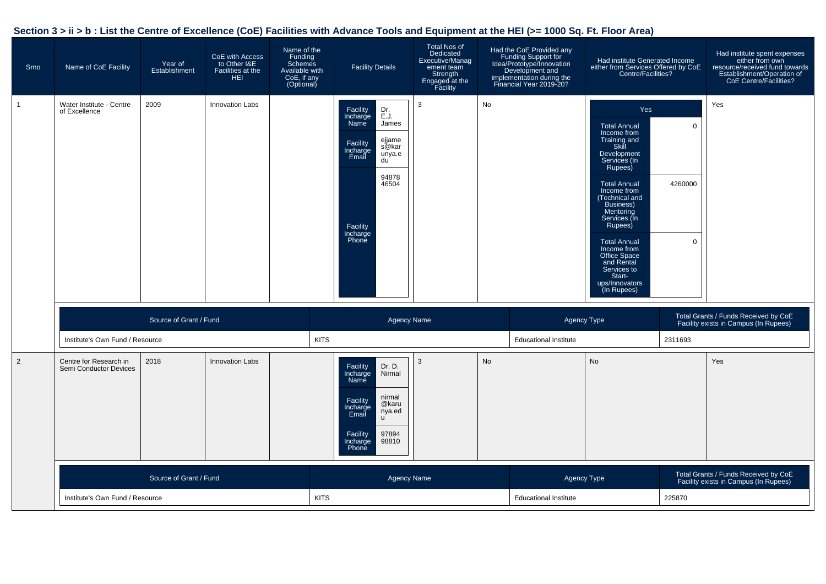| Srno         | Name of CoE Facility                             | Year of<br>Establishment | CoE with Access<br>to Other I&E<br>Facilities at the<br><b>HEI</b> | Name of the<br>Funding<br><b>Schemes</b><br>Available with<br>CoE, if any<br>(Optional) | <b>Facility Details</b>                                                                                                                                                     | <b>Total Nos of</b><br>Dedicated<br>Executive/Manag<br>ement team<br>Strength<br>Engaged at the<br>Facility |    | Had the CoE Provided any<br>Funding Support for<br>Idea/Prototype/Innovation<br>Development and<br>implementation during the<br>Financial Year 2019-20? | Had institute Generated Income<br>either from Services Offered by CoE<br>Centre/Facilities?                                                                                                                                                                                                                                                            |                                       | Had institute spent expenses<br>either from own<br>resource/received fund towards<br>Establishment/Operation of<br>CoE Centre/Facilities? |
|--------------|--------------------------------------------------|--------------------------|--------------------------------------------------------------------|-----------------------------------------------------------------------------------------|-----------------------------------------------------------------------------------------------------------------------------------------------------------------------------|-------------------------------------------------------------------------------------------------------------|----|---------------------------------------------------------------------------------------------------------------------------------------------------------|--------------------------------------------------------------------------------------------------------------------------------------------------------------------------------------------------------------------------------------------------------------------------------------------------------------------------------------------------------|---------------------------------------|-------------------------------------------------------------------------------------------------------------------------------------------|
| $\mathbf{1}$ | Water Institute - Centre<br>of Excellence        | 2009                     | Innovation Labs                                                    |                                                                                         | Facility<br>Incharge<br>Name<br>Dr.<br>E.J.<br>James<br>ejjame<br>s@kar<br>Facility<br>Incharge<br>Email<br>unya.e<br>du<br>94878<br>46504<br>Facility<br>Incharge<br>Phone | 3                                                                                                           | No |                                                                                                                                                         | Yes<br><b>Total Annual</b><br>Income from<br>Training and<br>Skill<br>Development<br>Services (In<br>Rupees)<br><b>Total Annual</b><br>Income from<br>Technical and<br>Business)<br>Mentoring<br>Services (In<br>Rupees)<br><b>Total Annual</b><br>Income from<br>Office Space<br>and Rental<br>Services to<br>Start-<br>ups/Innovators<br>(In Rupees) | $\mathbf 0$<br>4260000<br>$\mathbf 0$ | Yes                                                                                                                                       |
|              |                                                  | Source of Grant / Fund   |                                                                    |                                                                                         | <b>Agency Name</b>                                                                                                                                                          |                                                                                                             |    | Agency Type                                                                                                                                             |                                                                                                                                                                                                                                                                                                                                                        |                                       | Total Grants / Funds Received by CoE<br>Facility exists in Campus (In Rupees)                                                             |
|              | Institute's Own Fund / Resource                  |                          |                                                                    | <b>KITS</b>                                                                             |                                                                                                                                                                             |                                                                                                             |    | <b>Educational Institute</b>                                                                                                                            |                                                                                                                                                                                                                                                                                                                                                        | 2311693                               |                                                                                                                                           |
| 2            | Centre for Research in<br>Semi Conductor Devices | 2018                     | <b>Innovation Labs</b>                                             |                                                                                         | Facility<br>Dr. D.<br>Incharge<br>Nirmal<br>Name<br>nirmal<br>Facility<br>@karu<br>Incharge<br>Email<br>nya.ed<br>u.<br>97894<br>Facility<br>98810<br>Incharge<br>Phone     | 3                                                                                                           | No |                                                                                                                                                         | No                                                                                                                                                                                                                                                                                                                                                     |                                       | Yes                                                                                                                                       |
|              |                                                  | Source of Grant / Fund   |                                                                    |                                                                                         |                                                                                                                                                                             | <b>Agency Name</b>                                                                                          |    | Agency Type                                                                                                                                             |                                                                                                                                                                                                                                                                                                                                                        |                                       | Total Grants / Funds Received by CoE<br>Facility exists in Campus (In Rupees)                                                             |
|              | Institute's Own Fund / Resource                  |                          |                                                                    | <b>KITS</b>                                                                             |                                                                                                                                                                             |                                                                                                             |    | <b>Educational Institute</b>                                                                                                                            |                                                                                                                                                                                                                                                                                                                                                        | 225870                                |                                                                                                                                           |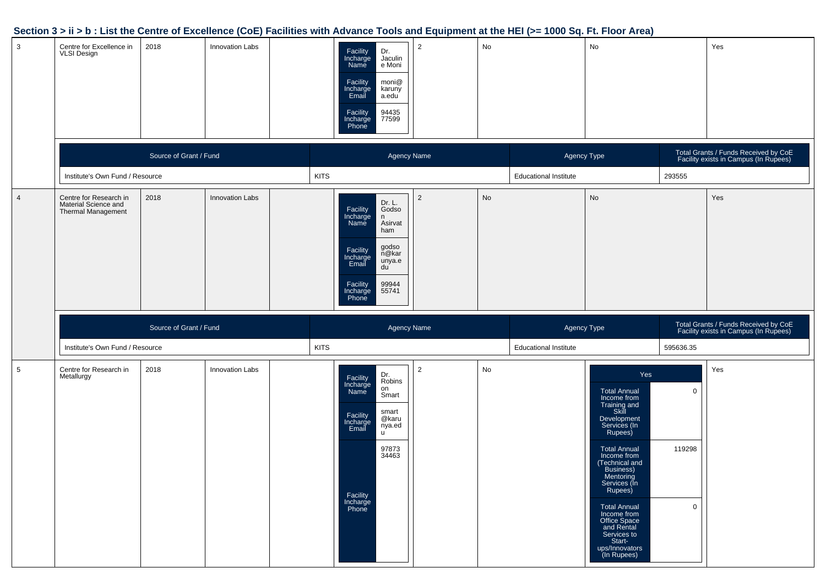|                |                                                                      |                        |                 |             |                                                                                                                                                                                              | . .            |    |                              |                                                                                                                                                                                                                                                                                                                                                         |                  |                                                                               |
|----------------|----------------------------------------------------------------------|------------------------|-----------------|-------------|----------------------------------------------------------------------------------------------------------------------------------------------------------------------------------------------|----------------|----|------------------------------|---------------------------------------------------------------------------------------------------------------------------------------------------------------------------------------------------------------------------------------------------------------------------------------------------------------------------------------------------------|------------------|-------------------------------------------------------------------------------|
| 3              | Centre for Excellence in<br><b>VLSI Design</b>                       | 2018                   | Innovation Labs |             | Facility<br>Incharge<br>Name<br>Dr.<br>Jaculin<br>e Moni<br>moni@<br>Facility<br>Incharge<br>Email<br>karuny<br>a.edu<br>Facility<br>Incharge<br>Phone<br>94435<br>77599                     | $\overline{2}$ | No |                              | No                                                                                                                                                                                                                                                                                                                                                      |                  | Yes                                                                           |
|                |                                                                      | Source of Grant / Fund |                 |             | <b>Agency Name</b>                                                                                                                                                                           |                |    | Agency Type                  |                                                                                                                                                                                                                                                                                                                                                         |                  | Total Grants / Funds Received by CoE<br>Facility exists in Campus (In Rupees) |
|                | Institute's Own Fund / Resource                                      |                        |                 | <b>KITS</b> |                                                                                                                                                                                              |                |    | <b>Educational Institute</b> |                                                                                                                                                                                                                                                                                                                                                         | 293555           |                                                                               |
| $\overline{4}$ | Centre for Research in<br>Material Science and<br>Thermal Management | 2018                   | Innovation Labs |             | Dr. L.<br>Facility<br>Incharge<br>Name<br>Godso<br>n<br>Asirvat<br>ham<br>godso<br>Facility<br>Incharge<br>Email<br>n@kar<br>unya.e<br>du<br>Facility<br>99944<br>55741<br>Incharge<br>Phone | $\overline{2}$ | No |                              | No                                                                                                                                                                                                                                                                                                                                                      |                  | Yes                                                                           |
|                |                                                                      | Source of Grant / Fund |                 |             | <b>Agency Name</b>                                                                                                                                                                           |                |    | Agency Type                  |                                                                                                                                                                                                                                                                                                                                                         |                  | Total Grants / Funds Received by CoE<br>Facility exists in Campus (In Rupees) |
|                | Institute's Own Fund / Resource                                      |                        |                 | <b>KITS</b> |                                                                                                                                                                                              |                |    | <b>Educational Institute</b> |                                                                                                                                                                                                                                                                                                                                                         | 595636.35        |                                                                               |
| 5              | Centre for Research in<br>Metallurgy                                 | 2018                   | Innovation Labs |             | Dr.<br>Robins<br>Facility<br>Incharge<br>Name<br>on<br>Smart<br>smart<br>Facility<br>@karu<br>Incharge<br>Email<br>nya.ed<br>u<br>97873<br>34463<br>Facility<br>Incharge<br>Phone            | $\overline{2}$ | No |                              | Yes<br><b>Total Annual</b><br>Income from<br>Training and<br>Skill<br>Development<br>Services (In<br>Rupees)<br><b>Total Annual</b><br>Income from<br>(Technical and<br>Business)<br>Mentoring<br>Services (In<br>Rupees)<br><b>Total Annual</b><br>Income from<br>Office Space<br>and Rental<br>Services to<br>Start-<br>ups/Innovators<br>(In Rupees) | 0<br>119298<br>0 | Yes                                                                           |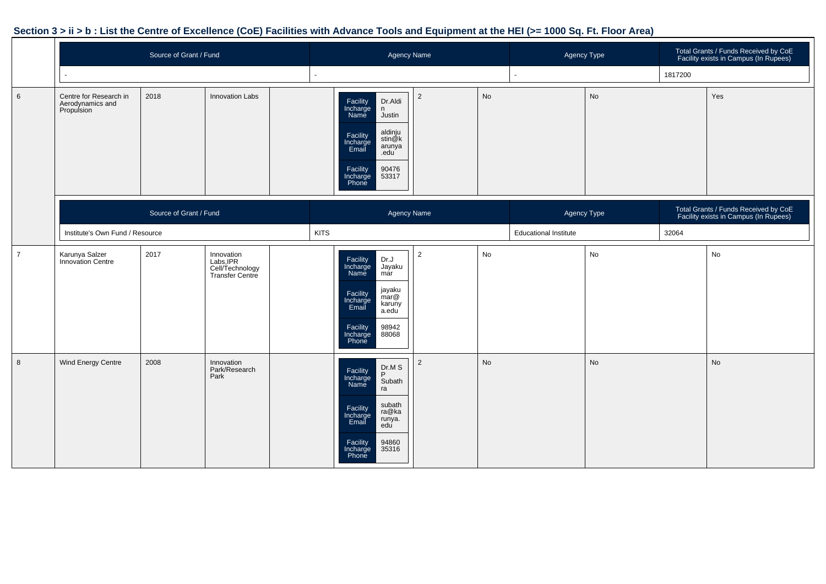|                | Source of Grant / Fund                                   |                        |                                                               |             | <b>Agency Name</b>                                                                                                                                                                   |                |    | Agency Type                  |    |         | Total Grants / Funds Received by CoE<br>Facility exists in Campus (In Rupees) |
|----------------|----------------------------------------------------------|------------------------|---------------------------------------------------------------|-------------|--------------------------------------------------------------------------------------------------------------------------------------------------------------------------------------|----------------|----|------------------------------|----|---------|-------------------------------------------------------------------------------|
|                |                                                          |                        |                                                               |             |                                                                                                                                                                                      |                |    |                              |    | 1817200 |                                                                               |
| 6              | Centre for Research in<br>Aerodynamics and<br>Propulsion | 2018                   | <b>Innovation Labs</b>                                        |             | Facility<br>Incharge<br>Name<br>Dr.Aldi<br>n<br>Justin<br>aldinju<br>Facility<br>Incharge<br>Email<br>stin@k<br>arunya<br>.edu<br>90476<br>53317<br>Facility<br>Incharge<br>Phone    | $\overline{2}$ | No |                              | No |         | Yes                                                                           |
|                |                                                          | Source of Grant / Fund |                                                               |             | <b>Agency Name</b>                                                                                                                                                                   |                |    | Agency Type                  |    |         | Total Grants / Funds Received by CoE<br>Facility exists in Campus (In Rupees) |
|                | Institute's Own Fund / Resource                          |                        |                                                               | <b>KITS</b> |                                                                                                                                                                                      |                |    | <b>Educational Institute</b> |    | 32064   |                                                                               |
| $\overline{7}$ | Karunya Salzer<br>Innovation Centre                      | 2017                   | Innovation<br>Labs, IPR<br>Cell/Technology<br>Transfer Centre |             | Facility<br>Dr.J<br>Incharge<br>Name<br>Jayaku<br>már<br>jayaku<br>mar@<br>Facility<br>Incharge<br>karuny<br>Email<br>a.edu<br>Facility<br>98942<br>88068<br>Incharge<br>Phone       | $\overline{2}$ | No |                              | No |         | No                                                                            |
| 8              | Wind Energy Centre                                       | 2008                   | Innovation<br>Park/Research<br>Park                           |             | $Pr_{P} M S$<br>Facility<br>Incharge<br>Name<br>Subath<br>ra<br>subath<br>Facility<br>Incharge<br>Email<br>ra@ka<br>runya.<br>edu<br>Facility<br>94860<br>35316<br>Incharge<br>Phone | $\overline{2}$ | No |                              | No |         | No                                                                            |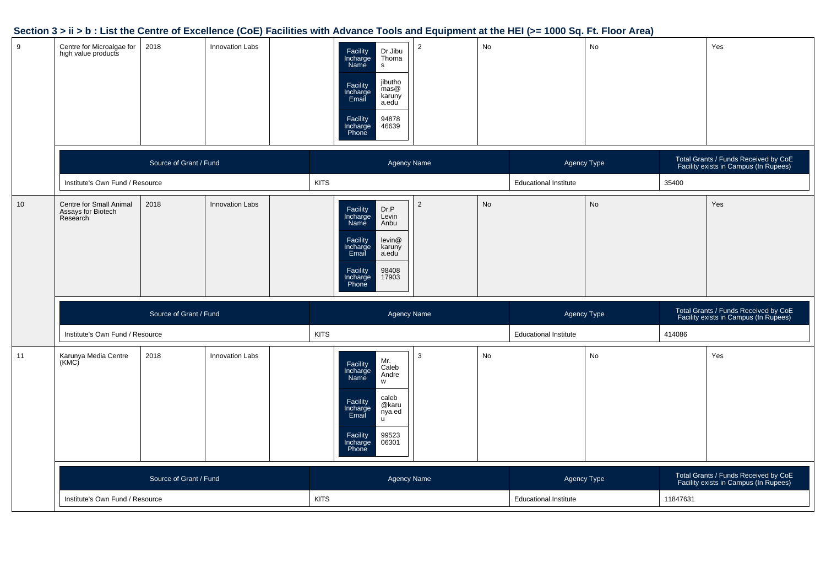| 9  | Centre for Microalgae for<br>high value products          | 2018                   | <b>Innovation Labs</b> | $\overline{2}$<br>Dr.Jibu<br>Facility<br>Incharge<br>Name<br>Thoma<br>$\mathsf{s}$<br>jibutho<br>Facility<br>Incharge<br>Email<br>mass@<br>karuny<br>a.edu<br>94878<br>Facility<br>Incharge<br>46639<br>Phone | No        |                              | No |        | Yes                                                                           |
|----|-----------------------------------------------------------|------------------------|------------------------|---------------------------------------------------------------------------------------------------------------------------------------------------------------------------------------------------------------|-----------|------------------------------|----|--------|-------------------------------------------------------------------------------|
|    |                                                           | Source of Grant / Fund |                        | <b>Agency Name</b>                                                                                                                                                                                            |           | Agency Type                  |    |        | Total Grants / Funds Received by CoE<br>Facility exists in Campus (In Rupees) |
|    | Institute's Own Fund / Resource                           |                        |                        | <b>KITS</b>                                                                                                                                                                                                   |           | <b>Educational Institute</b> |    | 35400  |                                                                               |
| 10 | Centre for Small Animal<br>Assays for Biotech<br>Research | 2018                   | <b>Innovation Labs</b> | $\overline{2}$<br>Facility<br>Incharge<br>Name<br>Dr.P<br>Levin<br>Anbu<br>levin@<br>Facility<br>Incharge<br>karuny<br>Email<br>a.edu<br>98408<br>Facility<br>Incharge<br>17903<br>Phone                      | <b>No</b> |                              | No |        | Yes                                                                           |
|    |                                                           | Source of Grant / Fund |                        | <b>Agency Name</b>                                                                                                                                                                                            |           | Agency Type                  |    |        | Total Grants / Funds Received by CoE<br>Facility exists in Campus (In Rupees) |
|    | Institute's Own Fund / Resource                           |                        |                        | <b>KITS</b>                                                                                                                                                                                                   |           | <b>Educational Institute</b> |    | 414086 |                                                                               |
| 11 | Karunya Media Centre<br>(KMC)                             | 2018                   | <b>Innovation Labs</b> | 3<br>Mr.<br>Caleb<br>Andre<br>Facility<br>Incharge<br>Name<br>W<br>caleb<br>Facility<br>Incharge<br>Email<br>@karu                                                                                            | No        |                              | No |        | Yes                                                                           |
|    |                                                           |                        |                        | nya.ed<br>99523<br>Facility<br>Incharge<br>06301<br>Phone                                                                                                                                                     |           |                              |    |        |                                                                               |
|    |                                                           | Source of Grant / Fund |                        | <b>Agency Name</b>                                                                                                                                                                                            |           | Agency Type                  |    |        | Total Grants / Funds Received by CoE<br>Facility exists in Campus (In Rupees) |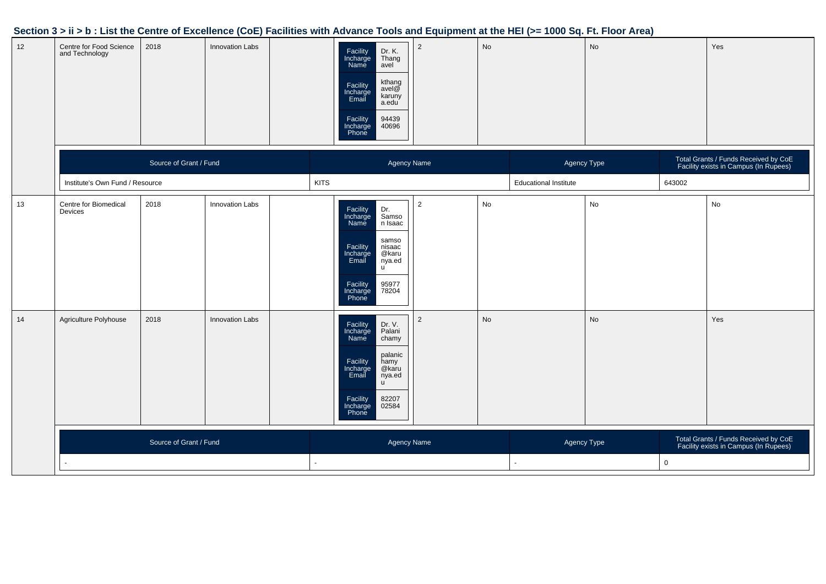| 12 | Centre for Food Science<br>and Technology | 2018                   | <b>Innovation Labs</b> | Facility<br>Incharge<br>Name<br>Dr. K.<br>Thang<br>avel<br>kthang<br>Facility<br>Incharge<br>Email<br>avel $@$<br>karuny<br>a.edu<br>94439<br>40696<br>Facility<br>Incharge<br>Phone     | $\overline{2}$ | <b>No</b> |                              | No |             | Yes                                                                           |
|----|-------------------------------------------|------------------------|------------------------|------------------------------------------------------------------------------------------------------------------------------------------------------------------------------------------|----------------|-----------|------------------------------|----|-------------|-------------------------------------------------------------------------------|
|    |                                           | Source of Grant / Fund |                        | Agency Name                                                                                                                                                                              |                |           | Agency Type                  |    |             | Total Grants / Funds Received by CoE<br>Facility exists in Campus (In Rupees) |
|    | Institute's Own Fund / Resource           |                        |                        | <b>KITS</b>                                                                                                                                                                              |                |           | <b>Educational Institute</b> |    | 643002      |                                                                               |
| 13 | Centre for Biomedical<br>Devices          | 2018                   | Innovation Labs        | Dr.<br>Facility<br>Incharge<br>Samso<br>Name<br>n Isaac<br>samso<br>Facility<br>Incharge<br>Email<br>nisaac<br>@karu<br>nya.ed<br>u<br>95977<br>78204<br>Facility<br>Incharge<br>Phone   | $\overline{a}$ | No        |                              | No |             | No                                                                            |
| 14 | Agriculture Polyhouse                     | 2018                   | <b>Innovation Labs</b> | Facility<br>Incharge<br>Dr. V.<br>Palani<br>chamy<br>Name<br>palanic<br>Facility<br>Incharge<br>Email<br>hamy<br>@karu<br>nya.ed<br>u<br>82207<br>Facility<br>Incharge<br>Phone<br>02584 | $\overline{2}$ | No        |                              | No |             | Yes                                                                           |
|    |                                           | Source of Grant / Fund |                        | Agency Name                                                                                                                                                                              |                |           | Agency Type                  |    | $\mathsf 0$ | Total Grants / Funds Received by CoE<br>Facility exists in Campus (In Rupees) |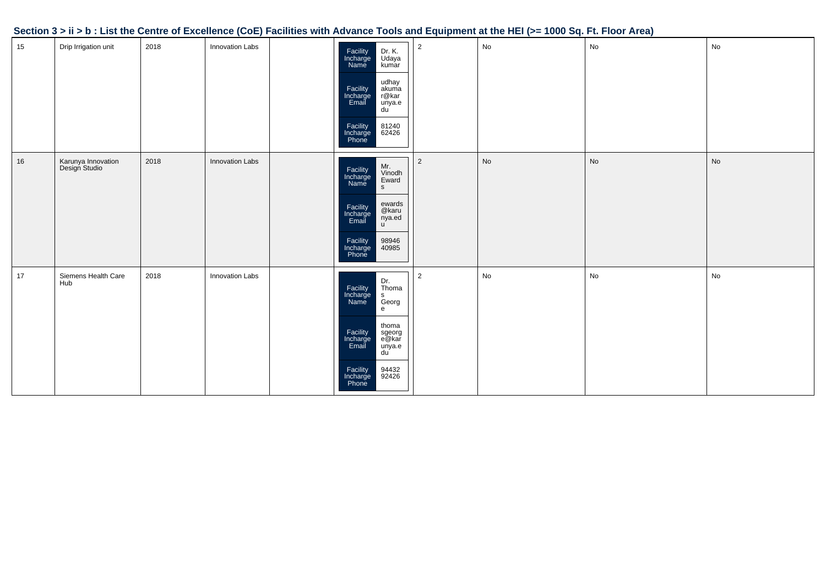| Section 3 > ii > b : List the Centre of Excellence (CoE) Facilities with Advance Tools and Equipment at the HEI (>= 1000 Sq. Ft. Floor Area) |  |  |
|----------------------------------------------------------------------------------------------------------------------------------------------|--|--|
|                                                                                                                                              |  |  |

| 15 | Drip Irrigation unit                | 2018 | Innovation Labs | Facility<br>Incharge<br>Name<br>Dr. K.<br>Udaya<br>kumar<br>udhay<br>akuma<br>r@kar<br>Facility<br>Incharge<br>Email<br>unya.e<br>du<br>81240<br>62426<br>Facility<br>Incharge<br>Phone                            | $\mathbf{2}$   | ${\sf No}$ | No                           | $\mathsf{No}$ |
|----|-------------------------------------|------|-----------------|--------------------------------------------------------------------------------------------------------------------------------------------------------------------------------------------------------------------|----------------|------------|------------------------------|---------------|
| 16 | Karunya Innovation<br>Design Studio | 2018 | Innovation Labs | Mr.<br>Vinodh<br>Facility<br>Incharge<br>Name<br>Eward<br>${\sf s}$<br>ewards<br>@karu<br>nya.ed<br>u<br>Facility<br>Incharge<br>Email<br>98946<br>40985<br>Facility<br>Incharge<br>Phone                          | $\overline{a}$ | No         | $\operatorname{\mathsf{No}}$ | $\mathsf{No}$ |
| 17 | Siemens Health Care<br>Hub          | 2018 | Innovation Labs | Dr.<br>Thoma<br>Facility<br>Incharge<br>$\mathbf{s}$<br>Georg<br>Name<br>${\bf e}$<br>thoma<br>Facility<br>Incharge<br>Email<br>sgeorg<br>e@kar<br>unya.e<br>du<br>Facility<br>Incharge<br>Phone<br>94432<br>92426 | $\overline{2}$ | ${\sf No}$ | No                           | $\mathsf{No}$ |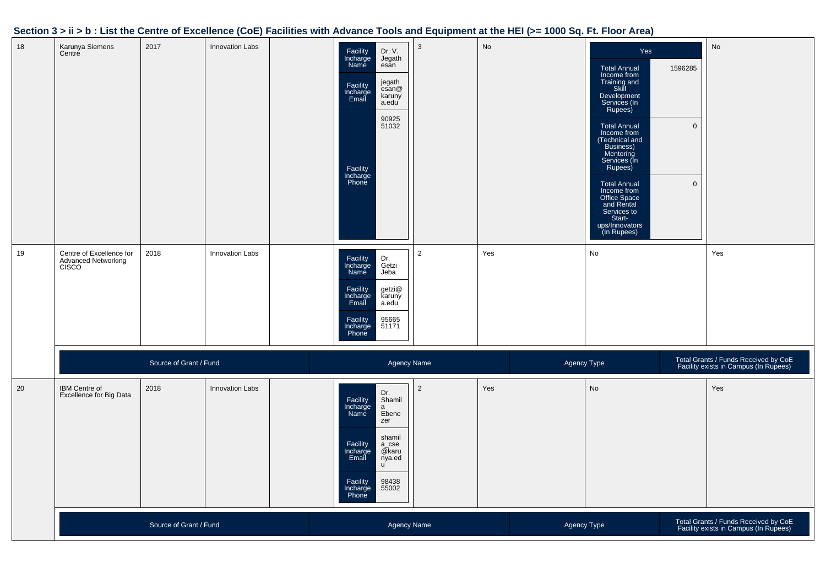| 18 | Karunya Siemens<br>Centre                                       | 2017                   | <b>Innovation Labs</b> | Facility<br>Incharge<br><b>Name</b><br>Facility<br>Incharge<br>Email<br>Facility<br>Incharge<br>Phone | Dr. V.<br>Jegath<br>esan<br>jegath<br>esan@<br>karuny<br>a.edu<br>90925<br>51032                                         | $\mathbf{3}$   | No  |             | Yes<br><b>Total Annual</b><br>Income from<br>Training and<br>Skill<br>Development<br>Services (In<br>Rupees)<br><b>Total Annual</b><br>Income from<br>(Technical and<br>Business)<br>Mentoring<br>Services (In<br>Rupees)<br><b>Total Annual</b><br>Income from<br>Office Space<br>and Rental<br>Services to<br>Start-<br>ups/Innovators<br>(In Rupees) | 1596285<br>$\mathbf 0$<br>$\mathbf 0$ | No                                                                            |
|----|-----------------------------------------------------------------|------------------------|------------------------|-------------------------------------------------------------------------------------------------------|--------------------------------------------------------------------------------------------------------------------------|----------------|-----|-------------|---------------------------------------------------------------------------------------------------------------------------------------------------------------------------------------------------------------------------------------------------------------------------------------------------------------------------------------------------------|---------------------------------------|-------------------------------------------------------------------------------|
| 19 | Centre of Excellence for<br><b>Advanced Networking</b><br>CISCO | 2018                   | <b>Innovation Labs</b> | Facility<br>Incharge<br>Name<br>Facility<br>Incharge<br>Email<br>Facility<br>Incharge<br>Phone        | Dr.<br>Getzi<br>Jeba<br>getzi@<br>karuny<br>a.edu<br>95665<br>51171                                                      | $\overline{2}$ | Yes |             | $\mathsf{No}$                                                                                                                                                                                                                                                                                                                                           |                                       | Yes                                                                           |
|    |                                                                 | Source of Grant / Fund |                        |                                                                                                       | <b>Agency Name</b>                                                                                                       |                |     | Agency Type |                                                                                                                                                                                                                                                                                                                                                         |                                       | Total Grants / Funds Received by CoE<br>Facility exists in Campus (In Rupees) |
| 20 | IBM Centre of<br>Excellence for Big Data                        | 2018                   | Innovation Labs        | Facility<br>Incharge<br>Name<br>Facility<br>Incharge<br>Email<br>Facility<br>Incharge<br>Phone        | Dr.<br>Shamil<br>$\mathsf{a}$<br>Ebene<br>zer<br>shamil<br>$a\_cse$<br>@karu<br>nya.ed<br>$\mathbf{u}$<br>98438<br>55002 | $\overline{2}$ | Yes |             | No                                                                                                                                                                                                                                                                                                                                                      |                                       | Yes                                                                           |
|    |                                                                 | Source of Grant / Fund |                        |                                                                                                       | <b>Agency Name</b>                                                                                                       |                |     | Agency Type |                                                                                                                                                                                                                                                                                                                                                         |                                       | Total Grants / Funds Received by CoE<br>Facility exists in Campus (In Rupees) |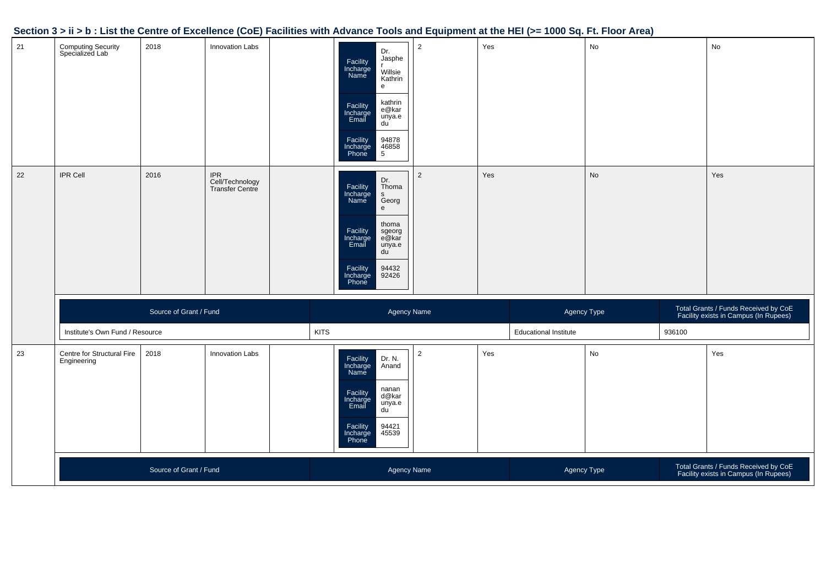| 21 | <b>Computing Security</b><br>Specialized Lab | 2018                   | <b>Innovation Labs</b>                    |             | Dr.<br>Jasphe<br>Facility<br>Incharge<br>Name<br>Willsie<br>Kathrin<br>${\bf e}$<br>kathrin<br>Facility<br>Incharge<br>Email<br>e@kar<br>unya.e<br>du<br>94878<br>46858<br>5<br>Facility<br>Incharge<br>Phone         | $\overline{2}$ | Yes |                              | No |        | No                                                                            |
|----|----------------------------------------------|------------------------|-------------------------------------------|-------------|-----------------------------------------------------------------------------------------------------------------------------------------------------------------------------------------------------------------------|----------------|-----|------------------------------|----|--------|-------------------------------------------------------------------------------|
| 22 | <b>IPR Cell</b>                              | 2016                   | IPR<br>Cell/Technology<br>Transfer Centre |             | Dr.<br>Facility<br>Incharge<br>Name<br>Thoma<br>$\mathsf{s}$<br>Georg<br>$\mathsf{e}$<br>thoma<br>Facility<br>Incharge<br>Email<br>sgeorg<br>e@kar<br>unya.e<br>du<br>94432<br>92426<br>Facility<br>Incharge<br>Phone | $\overline{2}$ | Yes |                              | No |        | Yes                                                                           |
|    |                                              | Source of Grant / Fund |                                           |             | Agency Name                                                                                                                                                                                                           |                |     | Agency Type                  |    |        | Total Grants / Funds Received by CoE<br>Facility exists in Campus (In Rupees) |
|    | Institute's Own Fund / Resource              |                        |                                           | <b>KITS</b> |                                                                                                                                                                                                                       |                |     | <b>Educational Institute</b> |    | 936100 |                                                                               |
| 23 | Centre for Structural Fire<br>Engineering    | 2018                   | Innovation Labs                           |             | Dr. N.<br>Facility<br>Incharge<br>Anand<br>Name<br>nanan<br>Facility<br>Incharge<br>Email<br>d@kar<br>unya.e<br>du<br>94421<br>45539<br>Facility<br>Incharge<br>Phone                                                 | $\overline{2}$ | Yes |                              | No |        | Yes                                                                           |
|    |                                              | Source of Grant / Fund |                                           |             | Agency Name                                                                                                                                                                                                           |                |     | Agency Type                  |    |        | Total Grants / Funds Received by CoE<br>Facility exists in Campus (In Rupees) |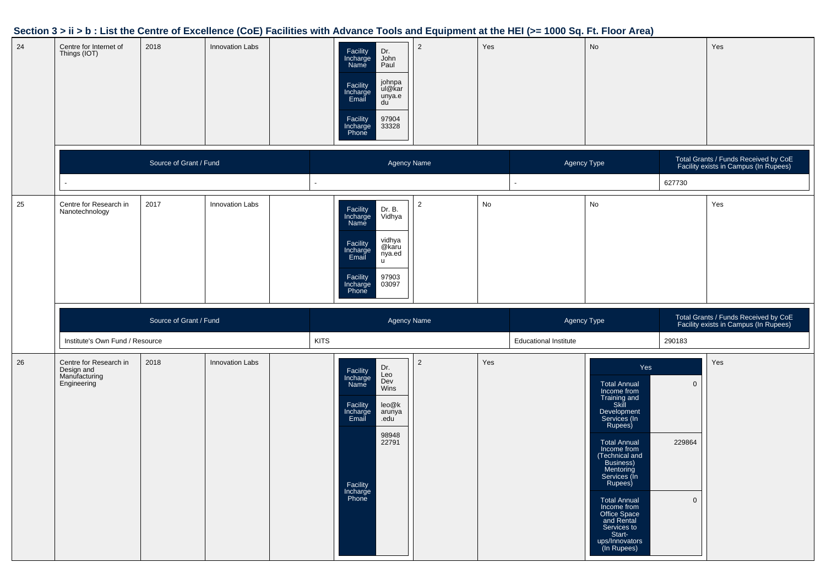| 24 | Centre for Internet of<br>Things (IOT)   | 2018                   | <b>Innovation Labs</b> |                | Dr.<br>Facility<br>Incharge<br>John<br>Name<br>Paul<br>johnpa<br>ul@kar<br>Facility<br>Incharge<br>Email<br>unya.e<br>du<br>97904<br>33328<br>Facility<br>Incharge<br>Phone | $\overline{2}$ | Yes |                              | No |        | Yes                                                                           |
|----|------------------------------------------|------------------------|------------------------|----------------|-----------------------------------------------------------------------------------------------------------------------------------------------------------------------------|----------------|-----|------------------------------|----|--------|-------------------------------------------------------------------------------|
|    |                                          | Source of Grant / Fund |                        |                | <b>Agency Name</b>                                                                                                                                                          |                |     | Agency Type                  |    |        | Total Grants / Funds Received by CoE<br>Facility exists in Campus (In Rupees) |
|    |                                          |                        |                        | $\blacksquare$ |                                                                                                                                                                             |                |     |                              |    | 627730 |                                                                               |
| 25 | Centre for Research in<br>Nanotechnology | 2017                   | Innovation Labs        |                | Facility<br>Incharge<br>Name<br>Dr. B.<br>Vidhya<br>vidhya<br>@karu<br>Facility<br>Incharge<br>Email<br>nya.ed<br>u<br>97903<br>03097<br>Facility<br>Incharge<br>Phone      | $\overline{2}$ | No  |                              | No |        | Yes                                                                           |
|    |                                          |                        |                        |                |                                                                                                                                                                             |                |     |                              |    |        |                                                                               |
|    |                                          | Source of Grant / Fund |                        |                | <b>Agency Name</b>                                                                                                                                                          |                |     | Agency Type                  |    |        | Total Grants / Funds Received by CoE<br>Facility exists in Campus (In Rupees) |
|    | Institute's Own Fund / Resource          |                        |                        | <b>KITS</b>    |                                                                                                                                                                             |                |     | <b>Educational Institute</b> |    | 290183 |                                                                               |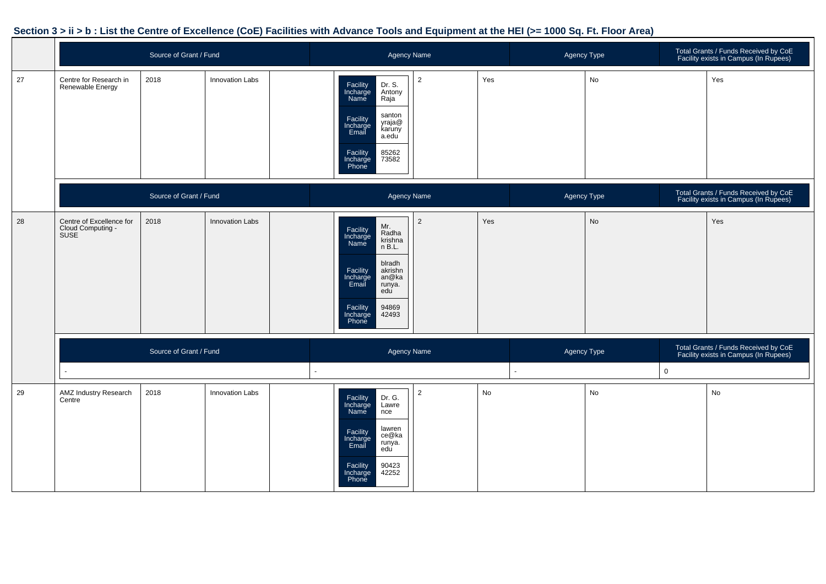|    |                                                              | Source of Grant / Fund |                        | <b>Agency Name</b>                                                                                                                                                                                   |                |     | Agency Type    |    |             | Total Grants / Funds Received by CoE<br>Facility exists in Campus (In Rupees) |
|----|--------------------------------------------------------------|------------------------|------------------------|------------------------------------------------------------------------------------------------------------------------------------------------------------------------------------------------------|----------------|-----|----------------|----|-------------|-------------------------------------------------------------------------------|
| 27 | Centre for Research in<br>Renewable Energy                   | 2018                   | Innovation Labs        | Dr. S.<br>Facility<br>Incharge<br>Name<br>Antony<br>Raja<br>santon<br>Facility<br>Incharge<br>Email<br>yraja@<br>karuny<br>a.edu<br>Facility<br>85262<br>73582<br>Incharge<br>Phone                  | $\overline{2}$ | Yes |                | No |             | Yes                                                                           |
|    |                                                              | Source of Grant / Fund |                        | <b>Agency Name</b>                                                                                                                                                                                   |                |     | Agency Type    |    |             | Total Grants / Funds Received by CoE<br>Facility exists in Campus (In Rupees) |
| 28 | Centre of Excellence for<br>Cloud Computing -<br><b>SUSE</b> | 2018                   | <b>Innovation Labs</b> | Mr.<br>Facility<br>Incharge<br>Name<br>Radha<br>krishna<br>n B.L.<br>blradh<br>Facility<br>akrishn<br>Incharge<br>Email<br>an@ka<br>runya.<br>edu<br>Facility<br>Incharge<br>Phone<br>94869<br>42493 | $\overline{2}$ | Yes |                | No |             | Yes                                                                           |
|    |                                                              | Source of Grant / Fund |                        | <b>Agency Name</b>                                                                                                                                                                                   |                |     | Agency Type    |    |             | Total Grants / Funds Received by CoE<br>Facility exists in Campus (In Rupees) |
|    | ÷.                                                           |                        |                        |                                                                                                                                                                                                      |                |     | $\blacksquare$ |    | $\mathbf 0$ |                                                                               |
| 29 | <b>AMZ Industry Research</b><br>Centre                       | 2018                   | <b>Innovation Labs</b> | Facility<br>Incharge<br>Name<br>Dr. G.<br>Lawre<br>nce<br>lawren<br>Facility<br>Incharge<br>Email<br>ce@ka<br>runya.<br>edu<br>Facility<br>90423<br>42252<br>Incharge<br>Phone                       | $\overline{2}$ | No  |                | No |             | No                                                                            |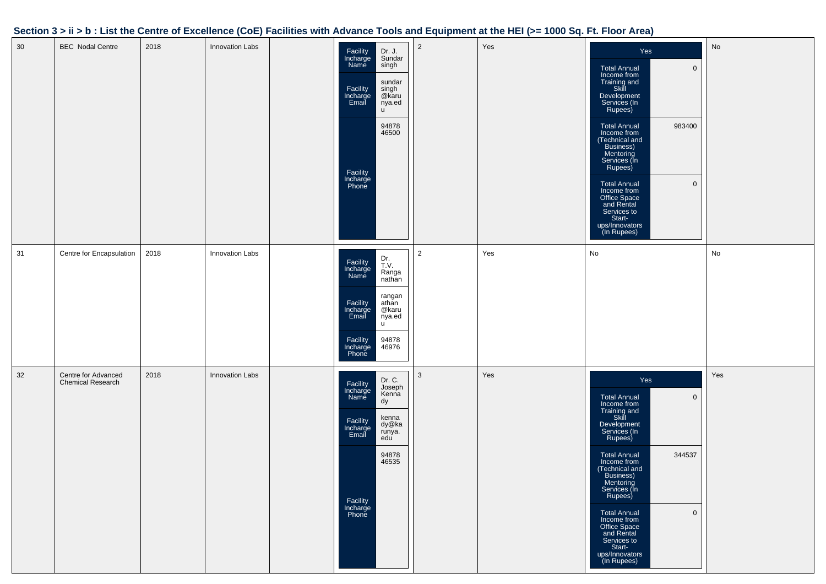| 30 | <b>BEC</b> Nodal Centre                  | 2018 | Innovation Labs        | Dr. J.<br>Facility<br>Incharge<br>Sundar<br>Name<br>singh<br>sundar<br>Facility<br>singh<br>@karu<br>Incharge<br>Email<br>nya.ed<br><b>u</b><br>94878<br>46500<br>Facility<br>Incharge<br>Phone | $\overline{2}$ | Yes | Yes<br><b>Total Annual</b><br>$\mathbf 0$<br>Income from<br>Training and<br>Skill<br>Development<br>Services (In<br>Rupees)<br>983400<br><b>Total Annual</b><br>Income from<br>(Technical and<br>Business)<br>Mentoring<br>Services (In<br>Rupees)<br>$\mathsf{O}\xspace$<br><b>Total Annual</b><br>Income from<br>Office Space<br>and Rental<br>Services to<br>Start-<br>ups/Innovators<br>(In Rupees) | No  |
|----|------------------------------------------|------|------------------------|-------------------------------------------------------------------------------------------------------------------------------------------------------------------------------------------------|----------------|-----|---------------------------------------------------------------------------------------------------------------------------------------------------------------------------------------------------------------------------------------------------------------------------------------------------------------------------------------------------------------------------------------------------------|-----|
| 31 | Centre for Encapsulation                 | 2018 | Innovation Labs        | Dr.<br>T.V.<br>Facility<br>Incharge<br>Ranga<br>Name<br>nathan<br>rangan<br>Facility<br>Incharge<br>Email<br>athan<br>@karu<br>nya.ed<br>u<br>94878<br>Facility<br>46976<br>Incharge<br>Phone   | $\overline{2}$ | Yes | No                                                                                                                                                                                                                                                                                                                                                                                                      | No  |
| 32 | Centre for Advanced<br>Chemical Research | 2018 | <b>Innovation Labs</b> | Dr. C.<br>Facility<br>Joseph<br>Incharge<br>Kenna<br>Name<br>dy<br>kenna<br>dy@ka<br>Facility<br>Incharge<br>Email<br>runya.<br>edu<br>94878<br>46535<br>Facility<br>Incharge<br>Phone          | 3              | Yes | Yes<br>$\mathsf 0$<br><b>Total Annual</b><br>Income from<br>Training and<br>Skill<br>Development<br>Services (In<br>Rupees)<br>344537<br><b>Total Annual</b><br>Income from<br>(Technical and<br>Business)<br>Mentoring<br>Services (In<br>Rupees)<br>$\mathsf{O}\xspace$<br><b>Total Annual</b><br>Income from<br>Office Space<br>and Rental<br>Services to<br>Start-<br>ups/Innovators<br>(In Rupees) | Yes |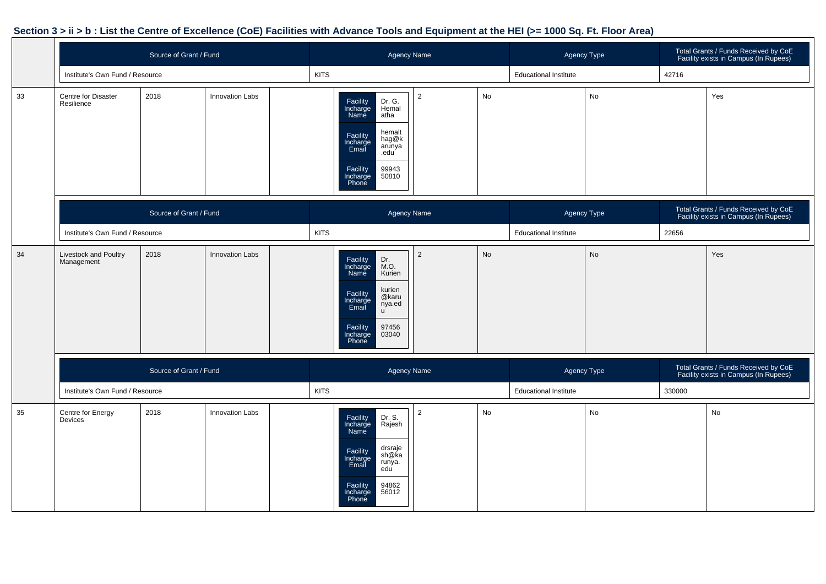|    |                                     | Source of Grant / Fund |                        | Agency Name                                                                                                                                                                            |                |    | <b>Agency Type</b>           |    | Total Grants / Funds Received by CoE<br>Facility exists in Campus (In Rupees) |                                                                               |
|----|-------------------------------------|------------------------|------------------------|----------------------------------------------------------------------------------------------------------------------------------------------------------------------------------------|----------------|----|------------------------------|----|-------------------------------------------------------------------------------|-------------------------------------------------------------------------------|
|    | Institute's Own Fund / Resource     |                        |                        | <b>KITS</b>                                                                                                                                                                            |                |    | <b>Educational Institute</b> |    | 42716                                                                         |                                                                               |
| 33 | Centre for Disaster<br>Resilience   | 2018                   | Innovation Labs        | Dr. G.<br>Hemal<br>Facility<br>Incharge<br>Name<br>atha<br>hemalt<br>Facility<br>Incharge<br>Email<br>hag@k<br>arunya<br>.edu<br>99943<br>50810<br>Facility<br>Incharge<br>Phone       | $\overline{2}$ | No |                              | No |                                                                               | Yes                                                                           |
|    |                                     | Source of Grant / Fund |                        |                                                                                                                                                                                        | Agency Name    |    | Agency Type                  |    |                                                                               | Total Grants / Funds Received by CoE<br>Facility exists in Campus (In Rupees) |
|    | Institute's Own Fund / Resource     |                        |                        | <b>KITS</b>                                                                                                                                                                            |                |    | <b>Educational Institute</b> |    | 22656                                                                         |                                                                               |
| 34 | Livestock and Poultry<br>Management | 2018                   | Innovation Labs        | Facility<br>Dr.<br>Incharge<br>Name<br>M.O.<br>Kurien<br>kurien<br>Facility<br>@karu<br>Incharge<br>nya.ed<br>Email<br>$\mathsf{u}$<br>Facility<br>97456<br>03040<br>Incharge<br>Phone | $\overline{2}$ | No |                              | No |                                                                               | Yes                                                                           |
|    |                                     | Source of Grant / Fund |                        |                                                                                                                                                                                        | Agency Name    |    | Agency Type                  |    |                                                                               | Total Grants / Funds Received by CoE<br>Facility exists in Campus (In Rupees) |
|    | Institute's Own Fund / Resource     |                        |                        | <b>KITS</b>                                                                                                                                                                            |                |    | <b>Educational Institute</b> |    | 330000                                                                        |                                                                               |
| 35 | Centre for Energy<br>Devices        | 2018                   | <b>Innovation Labs</b> | Dr. S.<br>Rajesh<br>Facility<br>Incharge<br>Name<br>drsraje<br>Facility<br>Incharge<br>Email<br>sh@ka<br>runya.<br>edu<br>Facility<br>94862<br>56012<br>Incharge<br>Phone              | $\overline{2}$ | No |                              | No |                                                                               | No                                                                            |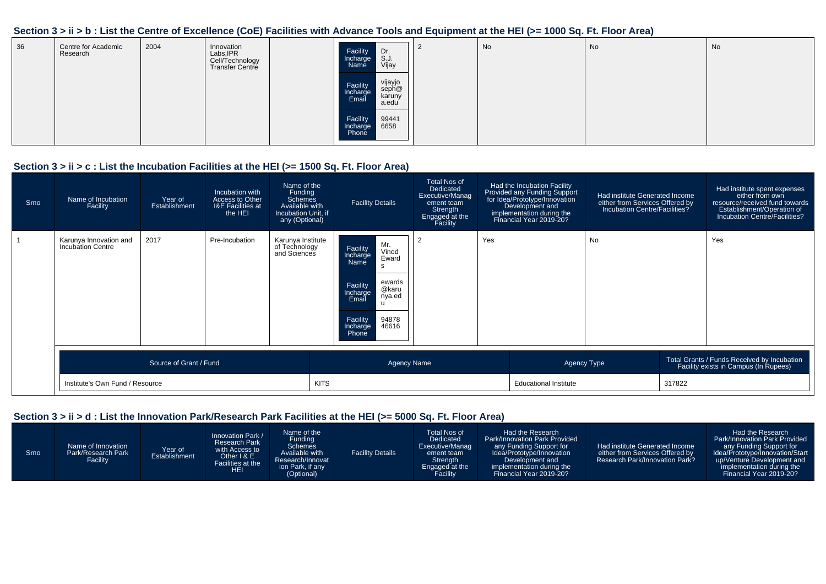| 36 | Centre for Academic<br>Research | 2004 | Innovation<br>Labs, IPR<br>Cell/Technology<br>Transfer Centre | Dr.<br>S.J.<br>Facility<br>Incharge<br>Vijay<br>Name                 | No | No | No |
|----|---------------------------------|------|---------------------------------------------------------------|----------------------------------------------------------------------|----|----|----|
|    |                                 |      |                                                               | vijayjo<br>seph@<br>karuny<br>a.edu<br>Facility<br>Incharge<br>Email |    |    |    |
|    |                                 |      |                                                               | 99441<br>6658<br>Facility<br>Incharge<br>Phone                       |    |    |    |

#### **Section 3 > ii > c : List the Incubation Facilities at the HEI (>= 1500 Sq. Ft. Floor Area)**

| Srno | Name of Incubation<br>Facility                     | Year of<br>Establishment | Incubation with<br>Access to Other<br><b>I&amp;E Facilities at</b><br>the HEI | Name of the<br>Funding<br>Schemes<br>Available with<br>Incubation Unit, if<br>any (Optional) | <b>Facility Details</b>                                                                                                                                                | <b>Total Nos of</b><br>Dedicated<br>Executive/Manag<br>ement team<br>Strength<br>Engaged at the<br>Facility |     | Had the Incubation Facility<br>Provided any Funding Support<br>for Idea/Prototype/Innovation<br>Development and<br>implementation during the<br>Financial Year 2019-20? | Had institute Generated Income<br>either from Services Offered by<br>Incubation Centre/Facilities? |        | Had institute spent expenses<br>either from own<br>resource/received fund towards<br>Establishment/Operation of<br>Incubation Centre/Facilities? |
|------|----------------------------------------------------|--------------------------|-------------------------------------------------------------------------------|----------------------------------------------------------------------------------------------|------------------------------------------------------------------------------------------------------------------------------------------------------------------------|-------------------------------------------------------------------------------------------------------------|-----|-------------------------------------------------------------------------------------------------------------------------------------------------------------------------|----------------------------------------------------------------------------------------------------|--------|--------------------------------------------------------------------------------------------------------------------------------------------------|
|      | Karunya Innovation and<br><b>Incubation Centre</b> | 2017                     | Pre-Incubation                                                                | Karunya Institute<br>of Technology<br>and Sciences                                           | Mr.<br>Facility<br>Vinod<br>Incharge<br>Eward<br>Name<br>ewards<br>Facility<br>@karu<br>Incharge<br>Email<br>nya.ed<br>Facility<br>94878<br>46616<br>Incharge<br>Phone | 2                                                                                                           | Yes |                                                                                                                                                                         | <b>No</b>                                                                                          |        | Yes                                                                                                                                              |
|      |                                                    | Source of Grant / Fund   |                                                                               |                                                                                              | <b>Agency Name</b>                                                                                                                                                     |                                                                                                             |     |                                                                                                                                                                         | Agency Type                                                                                        |        | Total Grants / Funds Received by Incubation<br>Facility exists in Campus (In Rupees)                                                             |
|      | Institute's Own Fund / Resource                    |                          |                                                                               |                                                                                              | <b>KITS</b>                                                                                                                                                            |                                                                                                             |     | <b>Educational Institute</b>                                                                                                                                            |                                                                                                    | 317822 |                                                                                                                                                  |

#### **Section 3 > ii > d : List the Innovation Park/Research Park Facilities at the HEI (>= 5000 Sq. Ft. Floor Area)**

| Srno | Name of Innovation<br>Park/Research Park<br>Facility | Year of<br>Establishment | Innovation Park /<br><b>Research Park</b><br>with Access to<br>Other I & E'<br>Facilities at the<br><b>HEI</b> | Name of the<br><b>Funding</b><br><b>Schemes</b><br>Available with<br>Research/Innovat<br>ion Park, if any<br>(Optional) | <b>Facility Details</b> | Total Nos of<br>Dedicated<br>Executive/Manag<br>ement team<br><b>Strength</b><br>Engaged at the<br>Facility | Had the Research<br><b>Park/Innovation Park Provided</b><br>any Funding Support for<br>Idea/Prototype/Innovation<br>Development and<br>implementation during the<br>Financial Year 2019-20? | Had institute Generated Income<br>either from Services Offered by<br>Research Park/Innovation Park? | Had the Research<br>Park/Innovation Park Provided<br>any Funding Support for<br>Idea/Prototype/Innovation/Start<br>up/Venture Development and<br>implementation during the<br>Financial Year 2019-20? |
|------|------------------------------------------------------|--------------------------|----------------------------------------------------------------------------------------------------------------|-------------------------------------------------------------------------------------------------------------------------|-------------------------|-------------------------------------------------------------------------------------------------------------|---------------------------------------------------------------------------------------------------------------------------------------------------------------------------------------------|-----------------------------------------------------------------------------------------------------|-------------------------------------------------------------------------------------------------------------------------------------------------------------------------------------------------------|
|------|------------------------------------------------------|--------------------------|----------------------------------------------------------------------------------------------------------------|-------------------------------------------------------------------------------------------------------------------------|-------------------------|-------------------------------------------------------------------------------------------------------------|---------------------------------------------------------------------------------------------------------------------------------------------------------------------------------------------|-----------------------------------------------------------------------------------------------------|-------------------------------------------------------------------------------------------------------------------------------------------------------------------------------------------------------|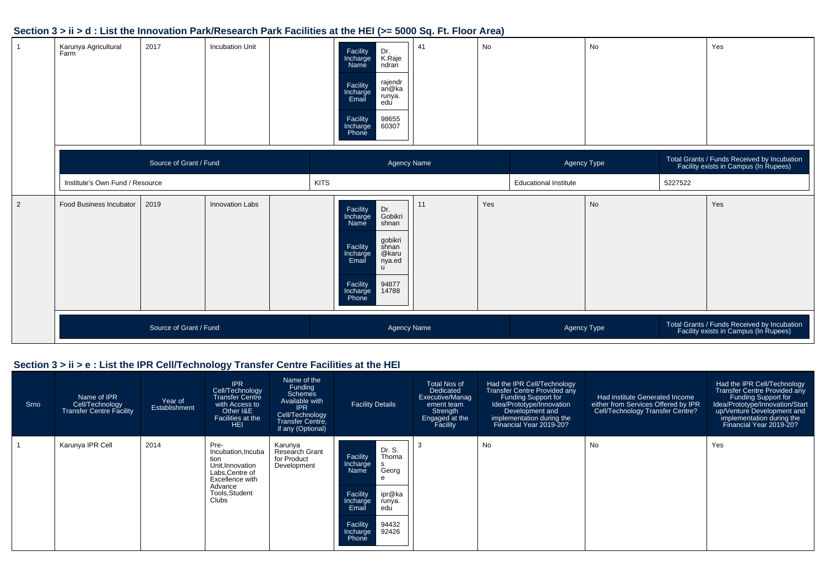|                | Karunya Agricultural<br>Farm    | 2017                   | <b>Incubation Unit</b> | Facility<br>Incharge<br>Dr.<br>K.Raje<br>ndran<br>Name<br>rajendr<br>an@ka<br>Facility<br>Incharge<br>Email<br>runya.<br>edu<br>98655<br>60307<br>Facility<br>Incharge<br>Phone                    | 41<br>No  |                              | No          |         | Yes                                                                                  |
|----------------|---------------------------------|------------------------|------------------------|----------------------------------------------------------------------------------------------------------------------------------------------------------------------------------------------------|-----------|------------------------------|-------------|---------|--------------------------------------------------------------------------------------|
|                |                                 | Source of Grant / Fund |                        | Agency Name                                                                                                                                                                                        |           |                              | Agency Type |         | Total Grants / Funds Received by Incubation<br>Facility exists in Campus (In Rupees) |
|                | Institute's Own Fund / Resource |                        |                        | <b>KITS</b>                                                                                                                                                                                        |           | <b>Educational Institute</b> |             | 5227522 |                                                                                      |
| $\overline{2}$ | Food Business Incubator         | 2019                   | Innovation Labs        | Facility<br>Incharge<br>Name<br>Dr.<br>Gobikri<br>shnan<br>gobikri<br>shnan<br>Facility<br>Incharge<br>@karu<br>Email<br>nya.ed<br>$\mathsf{u}$<br>94877<br>14788<br>Facility<br>Incharge<br>Phone | Yes<br>11 |                              | No          |         | Yes                                                                                  |
|                |                                 | Source of Grant / Fund |                        | <b>Agency Name</b>                                                                                                                                                                                 |           |                              | Agency Type |         | Total Grants / Funds Received by Incubation<br>Facility exists in Campus (In Rupees) |

#### **Section 3 > ii > e : List the IPR Cell/Technology Transfer Centre Facilities at the HEI**

| Srno | Name of IPR<br>Cell/Technology<br>Transfer Centre Facility | Year of<br>Establishment | <b>IPR</b><br>Cell/Technology<br><b>Transfer Centre</b><br>with Access to<br>Other I&E<br>Facilities at the<br><b>HEI</b>                | Name of the<br>Funding<br><b>Schemes</b><br>Available with<br>IPR<br>Cell/Technology<br>Transfer Centre,<br>if any (Optional) | <b>Facility Details</b>                                                                                                                                                 | <b>Total Nos of</b><br>Dedicated<br>Executive/Manag<br>ement team<br>Strength<br>Engaged at the<br>Facility | Had the IPR Cell/Technology<br><b>Transfer Centre Provided any</b><br>Funding Support for<br>Idea/Prototype/Innovation<br>Development and<br>implementation during the<br>Financial Year 2019-20? | Had institute Generated Income<br>either from Services Offered by IPR<br>Cell/Technology Transfer Centre? | Had the IPR Cell/Technology<br>Transfer Centre Provided any<br><b>Funding Support for</b><br>Idea/Prototype/Innovation/Start<br>up/Venture Development and<br>implementation during the<br>Financial Year 2019-20? |
|------|------------------------------------------------------------|--------------------------|------------------------------------------------------------------------------------------------------------------------------------------|-------------------------------------------------------------------------------------------------------------------------------|-------------------------------------------------------------------------------------------------------------------------------------------------------------------------|-------------------------------------------------------------------------------------------------------------|---------------------------------------------------------------------------------------------------------------------------------------------------------------------------------------------------|-----------------------------------------------------------------------------------------------------------|--------------------------------------------------------------------------------------------------------------------------------------------------------------------------------------------------------------------|
|      | Karunya IPR Cell                                           | 2014                     | Pre-<br>Incubation, Incuba<br>tion<br>Unit.Innovation<br>Labs, Centre of<br>Excellence with<br>Advance<br>Tools, Student<br><b>Clubs</b> | Karunya<br>Research Grant<br>for Product<br>Development                                                                       | Dr. S.<br>Thoma<br>Facility<br>Incharge<br>Georg<br>Name<br>ipr@ka<br>Facility<br>Incharge<br>runya.<br>Email<br>edu<br>Facility<br>94432<br>92426<br>Incharge<br>Phone |                                                                                                             | No                                                                                                                                                                                                | No                                                                                                        | Yes                                                                                                                                                                                                                |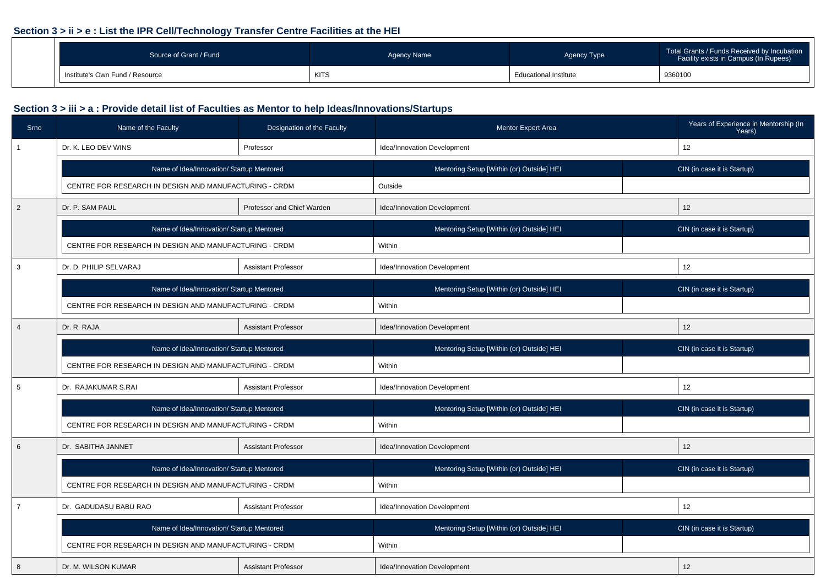#### **Section 3 > ii > e : List the IPR Cell/Technology Transfer Centre Facilities at the HEI**

| Source of Grant / Fund          | Agency Name | <b>Agency Type</b>           | Total Grants / Funds Received by Incubation<br>Facility exists in Campus (In Rupees) |  |
|---------------------------------|-------------|------------------------------|--------------------------------------------------------------------------------------|--|
| Institute's Own Fund / Resource | <b>KITS</b> | <b>Educational Institute</b> | 9360100                                                                              |  |

| Srno           | Name of the Faculty                                    | Designation of the Faculty | <b>Mentor Expert Area</b>                 | Years of Experience in Mentorship (In<br>Years) |
|----------------|--------------------------------------------------------|----------------------------|-------------------------------------------|-------------------------------------------------|
|                | Dr. K. LEO DEV WINS                                    | Professor                  | Idea/Innovation Development               | 12                                              |
|                | Name of Idea/Innovation/ Startup Mentored              |                            | Mentoring Setup [Within (or) Outside] HEI | CIN (in case it is Startup)                     |
|                | CENTRE FOR RESEARCH IN DESIGN AND MANUFACTURING - CRDM |                            | Outside                                   |                                                 |
| $\overline{2}$ | Dr. P. SAM PAUL                                        | Professor and Chief Warden | Idea/Innovation Development               | 12                                              |
|                | Name of Idea/Innovation/ Startup Mentored              |                            | Mentoring Setup [Within (or) Outside] HEI | CIN (in case it is Startup)                     |
|                | CENTRE FOR RESEARCH IN DESIGN AND MANUFACTURING - CRDM |                            | Within                                    |                                                 |
| 3              | Dr. D. PHILIP SELVARAJ                                 | <b>Assistant Professor</b> | Idea/Innovation Development               | 12                                              |
|                | Name of Idea/Innovation/ Startup Mentored              |                            | Mentoring Setup [Within (or) Outside] HEI | CIN (in case it is Startup)                     |
|                | CENTRE FOR RESEARCH IN DESIGN AND MANUFACTURING - CRDM |                            | Within                                    |                                                 |
| $\overline{4}$ | Dr. R. RAJA                                            | <b>Assistant Professor</b> | Idea/Innovation Development               | 12                                              |
|                | Name of Idea/Innovation/ Startup Mentored              |                            | Mentoring Setup [Within (or) Outside] HEI | CIN (in case it is Startup)                     |
|                | CENTRE FOR RESEARCH IN DESIGN AND MANUFACTURING - CRDM |                            | Within                                    |                                                 |
| 5              | Dr. RAJAKUMAR S.RAI                                    | <b>Assistant Professor</b> | Idea/Innovation Development               | 12                                              |
|                | Name of Idea/Innovation/ Startup Mentored              |                            | Mentoring Setup [Within (or) Outside] HEI | CIN (in case it is Startup)                     |
|                | CENTRE FOR RESEARCH IN DESIGN AND MANUFACTURING - CRDM |                            | Within                                    |                                                 |
| 6              | Dr. SABITHA JANNET                                     | <b>Assistant Professor</b> | Idea/Innovation Development               | 12                                              |
|                | Name of Idea/Innovation/ Startup Mentored              |                            | Mentoring Setup [Within (or) Outside] HEI | CIN (in case it is Startup)                     |
|                | CENTRE FOR RESEARCH IN DESIGN AND MANUFACTURING - CRDM |                            | Within                                    |                                                 |
| $\overline{7}$ | Dr. GADUDASU BABU RAO                                  | <b>Assistant Professor</b> | Idea/Innovation Development               | 12                                              |
|                | Name of Idea/Innovation/ Startup Mentored              |                            | Mentoring Setup [Within (or) Outside] HEI | CIN (in case it is Startup)                     |
|                | CENTRE FOR RESEARCH IN DESIGN AND MANUFACTURING - CRDM |                            | Within                                    |                                                 |
| 8              | Dr. M. WILSON KUMAR                                    | <b>Assistant Professor</b> | Idea/Innovation Development               | 12                                              |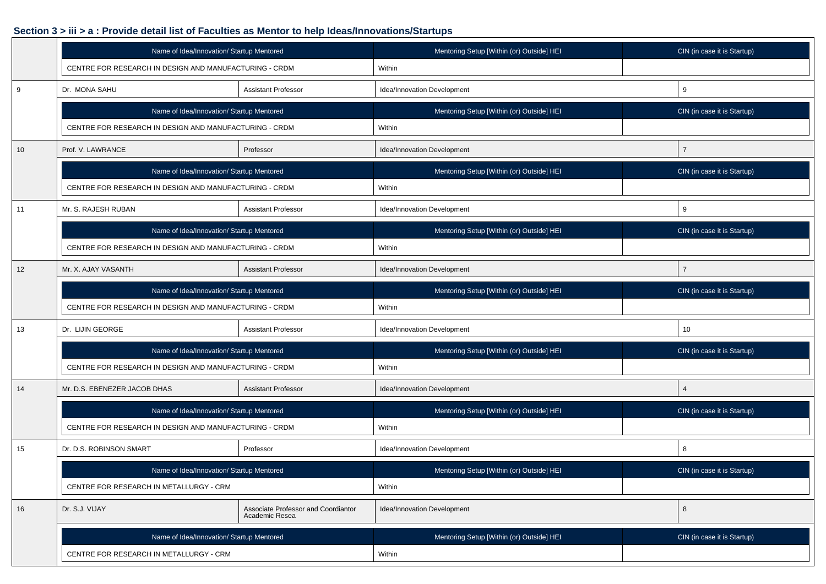|    | Name of Idea/Innovation/ Startup Mentored              |                                                       | Mentoring Setup [Within (or) Outside] HEI | CIN (in case it is Startup) |  |  |
|----|--------------------------------------------------------|-------------------------------------------------------|-------------------------------------------|-----------------------------|--|--|
|    | CENTRE FOR RESEARCH IN DESIGN AND MANUFACTURING - CRDM |                                                       | Within                                    |                             |  |  |
| 9  | Dr. MONA SAHU<br><b>Assistant Professor</b>            |                                                       | Idea/Innovation Development               | 9                           |  |  |
|    | Name of Idea/Innovation/ Startup Mentored              |                                                       | Mentoring Setup [Within (or) Outside] HEI | CIN (in case it is Startup) |  |  |
|    | CENTRE FOR RESEARCH IN DESIGN AND MANUFACTURING - CRDM |                                                       | Within                                    |                             |  |  |
| 10 | Prof. V. LAWRANCE                                      | Professor                                             | Idea/Innovation Development               | $\overline{7}$              |  |  |
|    | Name of Idea/Innovation/ Startup Mentored              |                                                       | Mentoring Setup [Within (or) Outside] HEI | CIN (in case it is Startup) |  |  |
|    | CENTRE FOR RESEARCH IN DESIGN AND MANUFACTURING - CRDM |                                                       | Within                                    |                             |  |  |
| 11 | Mr. S. RAJESH RUBAN                                    | <b>Assistant Professor</b>                            | Idea/Innovation Development               | 9                           |  |  |
|    | Name of Idea/Innovation/ Startup Mentored              |                                                       | Mentoring Setup [Within (or) Outside] HEI | CIN (in case it is Startup) |  |  |
|    | CENTRE FOR RESEARCH IN DESIGN AND MANUFACTURING - CRDM |                                                       | Within                                    |                             |  |  |
| 12 | Mr. X. AJAY VASANTH                                    | <b>Assistant Professor</b>                            | Idea/Innovation Development               | $\overline{7}$              |  |  |
|    | Name of Idea/Innovation/ Startup Mentored              |                                                       | Mentoring Setup [Within (or) Outside] HEI | CIN (in case it is Startup) |  |  |
|    | CENTRE FOR RESEARCH IN DESIGN AND MANUFACTURING - CRDM |                                                       | Within                                    |                             |  |  |
| 13 | Dr. LIJIN GEORGE                                       | <b>Assistant Professor</b>                            | Idea/Innovation Development               | 10                          |  |  |
|    | Name of Idea/Innovation/ Startup Mentored              |                                                       | Mentoring Setup [Within (or) Outside] HEI | CIN (in case it is Startup) |  |  |
|    | CENTRE FOR RESEARCH IN DESIGN AND MANUFACTURING - CRDM |                                                       | Within                                    |                             |  |  |
| 14 | Mr. D.S. EBENEZER JACOB DHAS                           | <b>Assistant Professor</b>                            | Idea/Innovation Development               | $\overline{4}$              |  |  |
|    | Name of Idea/Innovation/ Startup Mentored              |                                                       | Mentoring Setup [Within (or) Outside] HEI | CIN (in case it is Startup) |  |  |
|    | CENTRE FOR RESEARCH IN DESIGN AND MANUFACTURING - CRDM |                                                       | Within                                    |                             |  |  |
| 15 | Dr. D.S. ROBINSON SMART                                | Professor                                             | Idea/Innovation Development               | 8                           |  |  |
|    | Name of Idea/Innovation/ Startup Mentored              |                                                       | Mentoring Setup [Within (or) Outside] HEI | CIN (in case it is Startup) |  |  |
|    | CENTRE FOR RESEARCH IN METALLURGY - CRM                |                                                       | Within                                    |                             |  |  |
| 16 | Dr. S.J. VIJAY                                         | Associate Professor and Coordiantor<br>Academic Resea | Idea/Innovation Development               | 8                           |  |  |
|    | Name of Idea/Innovation/ Startup Mentored              |                                                       | Mentoring Setup [Within (or) Outside] HEI | CIN (in case it is Startup) |  |  |
|    | CENTRE FOR RESEARCH IN METALLURGY - CRM                |                                                       | Within                                    |                             |  |  |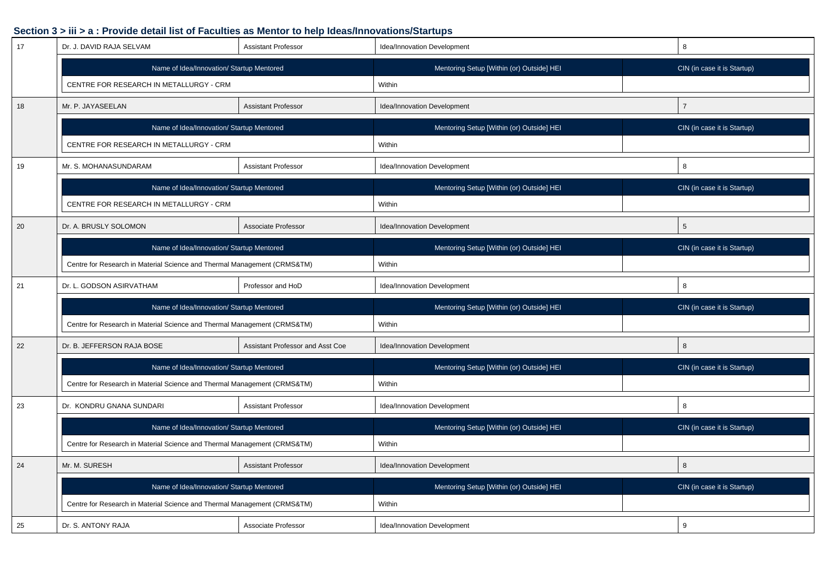| 17 | Dr. J. DAVID RAJA SELVAM                                                 | <b>Assistant Professor</b>       | Idea/Innovation Development               | 8               |                             |
|----|--------------------------------------------------------------------------|----------------------------------|-------------------------------------------|-----------------|-----------------------------|
|    | Name of Idea/Innovation/ Startup Mentored                                |                                  | Mentoring Setup [Within (or) Outside] HEI |                 | CIN (in case it is Startup) |
|    | CENTRE FOR RESEARCH IN METALLURGY - CRM                                  |                                  | Within                                    |                 |                             |
| 18 | <b>Assistant Professor</b><br>Mr. P. JAYASEELAN                          |                                  | Idea/Innovation Development               | $\overline{7}$  |                             |
|    | Name of Idea/Innovation/ Startup Mentored                                |                                  | Mentoring Setup [Within (or) Outside] HEI |                 | CIN (in case it is Startup) |
|    | CENTRE FOR RESEARCH IN METALLURGY - CRM                                  |                                  | Within                                    |                 |                             |
| 19 | Mr. S. MOHANASUNDARAM                                                    | <b>Assistant Professor</b>       | Idea/Innovation Development               | 8               |                             |
|    | Name of Idea/Innovation/ Startup Mentored                                |                                  | Mentoring Setup [Within (or) Outside] HEI |                 | CIN (in case it is Startup) |
|    | CENTRE FOR RESEARCH IN METALLURGY - CRM                                  |                                  | Within                                    |                 |                             |
| 20 | Dr. A. BRUSLY SOLOMON                                                    | Associate Professor              | Idea/Innovation Development               | $5\phantom{.0}$ |                             |
|    | Name of Idea/Innovation/ Startup Mentored                                |                                  | Mentoring Setup [Within (or) Outside] HEI |                 | CIN (in case it is Startup) |
|    | Centre for Research in Material Science and Thermal Management (CRMS&TM) |                                  | Within                                    |                 |                             |
| 21 | Dr. L. GODSON ASIRVATHAM                                                 | Professor and HoD                | Idea/Innovation Development               | 8               |                             |
|    | Name of Idea/Innovation/ Startup Mentored                                |                                  | Mentoring Setup [Within (or) Outside] HEI |                 | CIN (in case it is Startup) |
|    | Centre for Research in Material Science and Thermal Management (CRMS&TM) |                                  | Within                                    |                 |                             |
| 22 | Dr. B. JEFFERSON RAJA BOSE                                               | Assistant Professor and Asst Coe | Idea/Innovation Development               | 8               |                             |
|    | Name of Idea/Innovation/ Startup Mentored                                |                                  | Mentoring Setup [Within (or) Outside] HEI |                 | CIN (in case it is Startup) |
|    | Centre for Research in Material Science and Thermal Management (CRMS&TM) |                                  | Within                                    |                 |                             |
| 23 | Dr. KONDRU GNANA SUNDARI                                                 | <b>Assistant Professor</b>       | Idea/Innovation Development               | 8               |                             |
|    | Name of Idea/Innovation/ Startup Mentored                                |                                  | Mentoring Setup [Within (or) Outside] HEI |                 | CIN (in case it is Startup) |
|    | Centre for Research in Material Science and Thermal Management (CRMS&TM) |                                  | Within                                    |                 |                             |
| 24 | Mr. M. SURESH                                                            | <b>Assistant Professor</b>       | Idea/Innovation Development               | 8               |                             |
|    | Name of Idea/Innovation/ Startup Mentored                                |                                  | Mentoring Setup [Within (or) Outside] HEI |                 | CIN (in case it is Startup) |
|    | Centre for Research in Material Science and Thermal Management (CRMS&TM) |                                  | Within                                    |                 |                             |
| 25 | Dr. S. ANTONY RAJA                                                       | Associate Professor              | Idea/Innovation Development               | 9               |                             |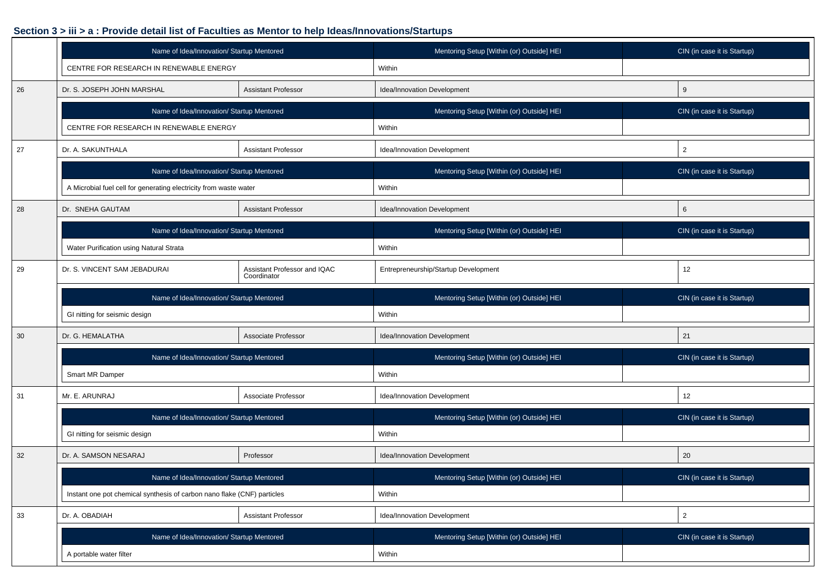|    | Name of Idea/Innovation/ Startup Mentored                                   |                            | Mentoring Setup [Within (or) Outside] HEI | CIN (in case it is Startup) |  |
|----|-----------------------------------------------------------------------------|----------------------------|-------------------------------------------|-----------------------------|--|
|    | CENTRE FOR RESEARCH IN RENEWABLE ENERGY                                     |                            | Within                                    |                             |  |
| 26 | Dr. S. JOSEPH JOHN MARSHAL<br><b>Assistant Professor</b>                    |                            | Idea/Innovation Development               | 9                           |  |
|    | Name of Idea/Innovation/ Startup Mentored                                   |                            | Mentoring Setup [Within (or) Outside] HEI | CIN (in case it is Startup) |  |
|    | CENTRE FOR RESEARCH IN RENEWABLE ENERGY                                     |                            | Within                                    |                             |  |
| 27 | Dr. A. SAKUNTHALA                                                           | <b>Assistant Professor</b> | Idea/Innovation Development               | $\overline{2}$              |  |
|    | Name of Idea/Innovation/ Startup Mentored                                   |                            | Mentoring Setup [Within (or) Outside] HEI | CIN (in case it is Startup) |  |
|    | A Microbial fuel cell for generating electricity from waste water           |                            | Within                                    |                             |  |
| 28 | Dr. SNEHA GAUTAM                                                            | <b>Assistant Professor</b> | Idea/Innovation Development               | 6                           |  |
|    | Name of Idea/Innovation/ Startup Mentored                                   |                            | Mentoring Setup [Within (or) Outside] HEI | CIN (in case it is Startup) |  |
|    | Water Purification using Natural Strata                                     |                            | Within                                    |                             |  |
| 29 | Dr. S. VINCENT SAM JEBADURAI<br>Assistant Professor and IQAC<br>Coordinator |                            | Entrepreneurship/Startup Development      | 12                          |  |
|    | Name of Idea/Innovation/ Startup Mentored                                   |                            | Mentoring Setup [Within (or) Outside] HEI | CIN (in case it is Startup) |  |
|    | GI nitting for seismic design                                               |                            |                                           |                             |  |
|    |                                                                             |                            | Within                                    |                             |  |
| 30 | Dr. G. HEMALATHA                                                            | Associate Professor        | Idea/Innovation Development               | 21                          |  |
|    | Name of Idea/Innovation/ Startup Mentored                                   |                            | Mentoring Setup [Within (or) Outside] HEI | CIN (in case it is Startup) |  |
|    | Smart MR Damper                                                             |                            | Within                                    |                             |  |
| 31 | Mr. E. ARUNRAJ                                                              | Associate Professor        | Idea/Innovation Development               | 12                          |  |
|    | Name of Idea/Innovation/ Startup Mentored                                   |                            | Mentoring Setup [Within (or) Outside] HEI | CIN (in case it is Startup) |  |
|    | GI nitting for seismic design                                               |                            | Within                                    |                             |  |
| 32 | Dr. A. SAMSON NESARAJ                                                       | Professor                  | Idea/Innovation Development               | 20                          |  |
|    | Name of Idea/Innovation/ Startup Mentored                                   |                            | Mentoring Setup [Within (or) Outside] HEI | CIN (in case it is Startup) |  |
|    | Instant one pot chemical synthesis of carbon nano flake (CNF) particles     |                            | Within                                    |                             |  |
| 33 | Dr. A. OBADIAH                                                              | Assistant Professor        | Idea/Innovation Development               | $\overline{c}$              |  |
|    | Name of Idea/Innovation/ Startup Mentored                                   |                            | Mentoring Setup [Within (or) Outside] HEI | CIN (in case it is Startup) |  |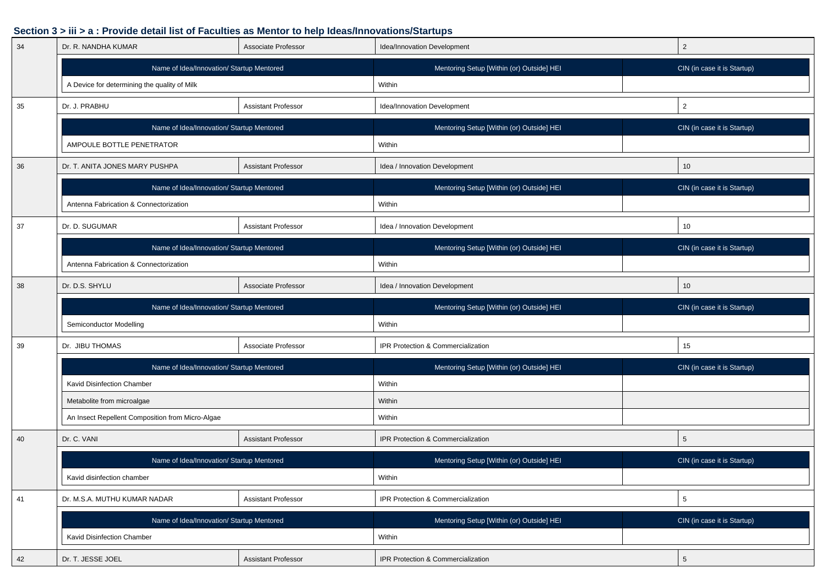| 34 | Dr. R. NANDHA KUMAR                              | Associate Professor        | Idea/Innovation Development               | $\overline{2}$              |
|----|--------------------------------------------------|----------------------------|-------------------------------------------|-----------------------------|
|    | Name of Idea/Innovation/ Startup Mentored        |                            | Mentoring Setup [Within (or) Outside] HEI | CIN (in case it is Startup) |
|    | A Device for determining the quality of Milk     |                            | Within                                    |                             |
| 35 | Dr. J. PRABHU                                    | <b>Assistant Professor</b> | Idea/Innovation Development               | $\overline{2}$              |
|    | Name of Idea/Innovation/ Startup Mentored        |                            | Mentoring Setup [Within (or) Outside] HEI | CIN (in case it is Startup) |
|    | AMPOULE BOTTLE PENETRATOR                        |                            | Within                                    |                             |
| 36 | Dr. T. ANITA JONES MARY PUSHPA                   | <b>Assistant Professor</b> | Idea / Innovation Development             | 10                          |
|    | Name of Idea/Innovation/ Startup Mentored        |                            | Mentoring Setup [Within (or) Outside] HEI | CIN (in case it is Startup) |
|    | Antenna Fabrication & Connectorization           |                            | Within                                    |                             |
| 37 | Dr. D. SUGUMAR                                   | <b>Assistant Professor</b> | Idea / Innovation Development             | 10                          |
|    | Name of Idea/Innovation/ Startup Mentored        |                            | Mentoring Setup [Within (or) Outside] HEI | CIN (in case it is Startup) |
|    | Antenna Fabrication & Connectorization           |                            | Within                                    |                             |
| 38 | Dr. D.S. SHYLU                                   | Associate Professor        | Idea / Innovation Development             | 10 <sup>1</sup>             |
|    | Name of Idea/Innovation/ Startup Mentored        |                            | Mentoring Setup [Within (or) Outside] HEI | CIN (in case it is Startup) |
|    | Semiconductor Modelling                          |                            | Within                                    |                             |
|    | Dr. JIBU THOMAS<br>Associate Professor           |                            |                                           |                             |
| 39 |                                                  |                            | IPR Protection & Commercialization        | 15                          |
|    | Name of Idea/Innovation/ Startup Mentored        |                            | Mentoring Setup [Within (or) Outside] HEI | CIN (in case it is Startup) |
|    | Kavid Disinfection Chamber                       |                            | Within                                    |                             |
|    | Metabolite from microalgae                       |                            | Within                                    |                             |
|    | An Insect Repellent Composition from Micro-Algae |                            | Within                                    |                             |
| 40 | Dr. C. VANI                                      | <b>Assistant Professor</b> | IPR Protection & Commercialization        | $5\phantom{.0}$             |
|    | Name of Idea/Innovation/ Startup Mentored        |                            | Mentoring Setup [Within (or) Outside] HEI | CIN (in case it is Startup) |
|    | Kavid disinfection chamber                       |                            | Within                                    |                             |
| 41 | Dr. M.S.A. MUTHU KUMAR NADAR                     | Assistant Professor        | IPR Protection & Commercialization        | 5                           |
|    | Name of Idea/Innovation/ Startup Mentored        |                            | Mentoring Setup [Within (or) Outside] HEI | CIN (in case it is Startup) |
|    | Kavid Disinfection Chamber                       |                            | Within                                    |                             |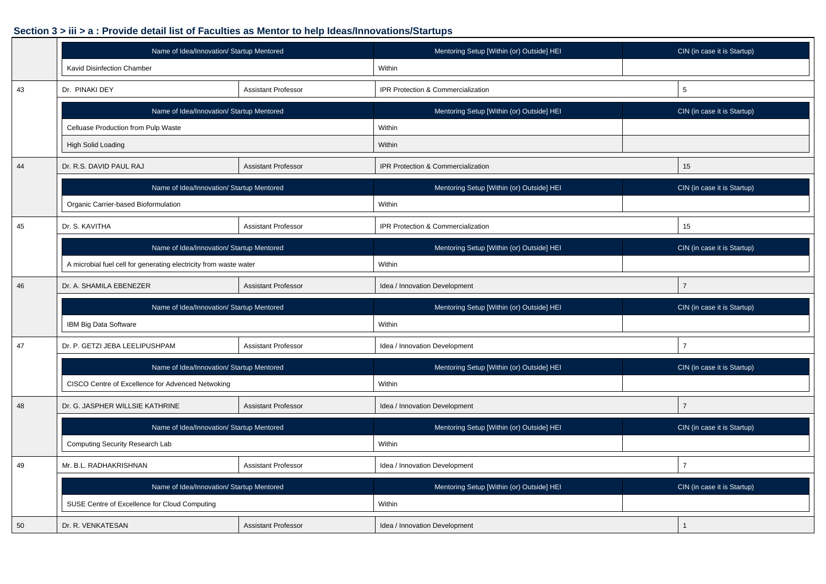|    | Name of Idea/Innovation/ Startup Mentored                         |                            | Mentoring Setup [Within (or) Outside] HEI | CIN (in case it is Startup) |
|----|-------------------------------------------------------------------|----------------------------|-------------------------------------------|-----------------------------|
|    | Kavid Disinfection Chamber                                        |                            | Within                                    |                             |
| 43 | Dr. PINAKI DEY<br>Assistant Professor                             |                            | IPR Protection & Commercialization        | 5                           |
|    | Name of Idea/Innovation/ Startup Mentored                         |                            | Mentoring Setup [Within (or) Outside] HEI | CIN (in case it is Startup) |
|    | Celluase Production from Pulp Waste                               |                            | Within                                    |                             |
|    | High Solid Loading                                                |                            | Within                                    |                             |
| 44 | Dr. R.S. DAVID PAUL RAJ                                           | <b>Assistant Professor</b> | IPR Protection & Commercialization        | 15                          |
|    | Name of Idea/Innovation/ Startup Mentored                         |                            | Mentoring Setup [Within (or) Outside] HEI | CIN (in case it is Startup) |
|    | Organic Carrier-based Bioformulation                              |                            | Within                                    |                             |
| 45 | Dr. S. KAVITHA                                                    | <b>Assistant Professor</b> | IPR Protection & Commercialization        | 15                          |
|    | Name of Idea/Innovation/ Startup Mentored                         |                            | Mentoring Setup [Within (or) Outside] HEI | CIN (in case it is Startup) |
|    | A microbial fuel cell for generating electricity from waste water |                            | Within                                    |                             |
| 46 | Dr. A. SHAMILA EBENEZER                                           | <b>Assistant Professor</b> | Idea / Innovation Development             | $\overline{7}$              |
|    | Name of Idea/Innovation/ Startup Mentored                         |                            | Mentoring Setup [Within (or) Outside] HEI | CIN (in case it is Startup) |
|    | IBM Big Data Software                                             |                            | Within                                    |                             |
| 47 | Dr. P. GETZI JEBA LEELIPUSHPAM                                    | <b>Assistant Professor</b> | Idea / Innovation Development             | $\overline{7}$              |
|    | Name of Idea/Innovation/ Startup Mentored                         |                            | Mentoring Setup [Within (or) Outside] HEI | CIN (in case it is Startup) |
|    | CISCO Centre of Excellence for Advenced Netwoking                 |                            | Within                                    |                             |
| 48 | Dr. G. JASPHER WILLSIE KATHRINE                                   | <b>Assistant Professor</b> | Idea / Innovation Development             | $\overline{7}$              |
|    | Name of Idea/Innovation/ Startup Mentored                         |                            | Mentoring Setup [Within (or) Outside] HEI | CIN (in case it is Startup) |
|    | Computing Security Research Lab                                   |                            | Within                                    |                             |
| 49 | Mr. B.L. RADHAKRISHNAN                                            | <b>Assistant Professor</b> | Idea / Innovation Development             | $\overline{7}$              |
|    | Name of Idea/Innovation/ Startup Mentored                         |                            | Mentoring Setup [Within (or) Outside] HEI | CIN (in case it is Startup) |
|    | SUSE Centre of Excellence for Cloud Computing                     |                            | Within                                    |                             |
| 50 | Dr. R. VENKATESAN                                                 | <b>Assistant Professor</b> | Idea / Innovation Development             |                             |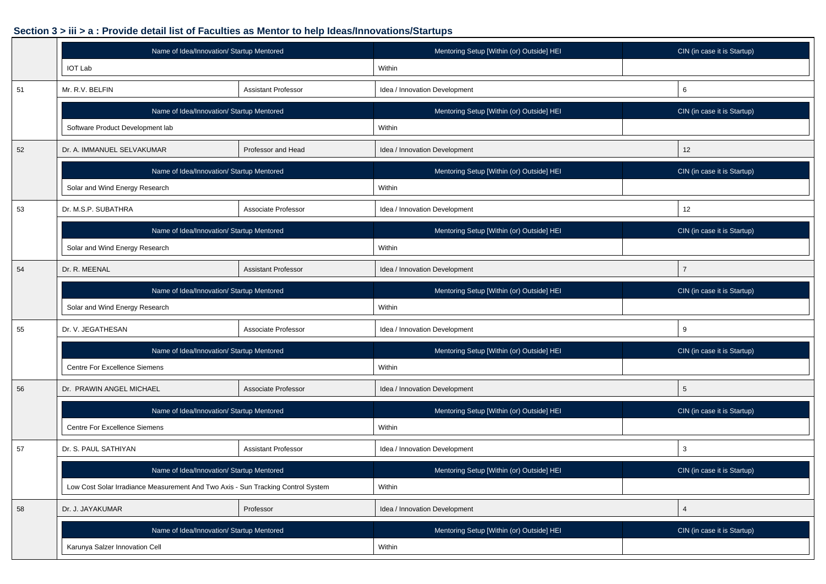|    | Name of Idea/Innovation/ Startup Mentored                                        | Mentoring Setup [Within (or) Outside] HEI | CIN (in case it is Startup)               |                             |
|----|----------------------------------------------------------------------------------|-------------------------------------------|-------------------------------------------|-----------------------------|
|    | <b>IOT Lab</b>                                                                   |                                           | Within                                    |                             |
| 51 | Mr. R.V. BELFIN<br><b>Assistant Professor</b>                                    |                                           | Idea / Innovation Development             | 6                           |
|    | Name of Idea/Innovation/ Startup Mentored                                        |                                           | Mentoring Setup [Within (or) Outside] HEI | CIN (in case it is Startup) |
|    | Software Product Development lab                                                 |                                           | Within                                    |                             |
| 52 | Professor and Head<br>Dr. A. IMMANUEL SELVAKUMAR                                 |                                           | Idea / Innovation Development             | 12                          |
|    | Name of Idea/Innovation/ Startup Mentored                                        |                                           | Mentoring Setup [Within (or) Outside] HEI | CIN (in case it is Startup) |
|    | Solar and Wind Energy Research                                                   |                                           | Within                                    |                             |
| 53 | Dr. M.S.P. SUBATHRA                                                              | Associate Professor                       | Idea / Innovation Development             | 12                          |
|    | Name of Idea/Innovation/ Startup Mentored                                        |                                           | Mentoring Setup [Within (or) Outside] HEI | CIN (in case it is Startup) |
|    | Solar and Wind Energy Research                                                   |                                           | Within                                    |                             |
| 54 | Dr. R. MEENAL                                                                    | <b>Assistant Professor</b>                | Idea / Innovation Development             | $\overline{7}$              |
|    | Name of Idea/Innovation/ Startup Mentored                                        |                                           | Mentoring Setup [Within (or) Outside] HEI | CIN (in case it is Startup) |
|    | Solar and Wind Energy Research                                                   |                                           | Within                                    |                             |
| 55 | Dr. V. JEGATHESAN                                                                | Associate Professor                       | Idea / Innovation Development             | 9                           |
|    | Name of Idea/Innovation/ Startup Mentored                                        |                                           | Mentoring Setup [Within (or) Outside] HEI | CIN (in case it is Startup) |
|    | <b>Centre For Excellence Siemens</b>                                             |                                           | Within                                    |                             |
| 56 | Dr. PRAWIN ANGEL MICHAEL                                                         | Associate Professor                       | Idea / Innovation Development             | $5\phantom{.0}$             |
|    | Name of Idea/Innovation/ Startup Mentored                                        |                                           | Mentoring Setup [Within (or) Outside] HEI | CIN (in case it is Startup) |
|    | Centre For Excellence Siemens                                                    |                                           | Within                                    |                             |
| 57 | Dr. S. PAUL SATHIYAN                                                             | <b>Assistant Professor</b>                | Idea / Innovation Development             | 3                           |
|    | Name of Idea/Innovation/ Startup Mentored                                        |                                           | Mentoring Setup [Within (or) Outside] HEI | CIN (in case it is Startup) |
|    | Low Cost Solar Irradiance Measurement And Two Axis - Sun Tracking Control System |                                           | Within                                    |                             |
| 58 | Dr. J. JAYAKUMAR                                                                 | Professor                                 | Idea / Innovation Development             | $\overline{4}$              |
|    | Name of Idea/Innovation/ Startup Mentored                                        |                                           | Mentoring Setup [Within (or) Outside] HEI | CIN (in case it is Startup) |
|    | Karunya Salzer Innovation Cell                                                   |                                           | Within                                    |                             |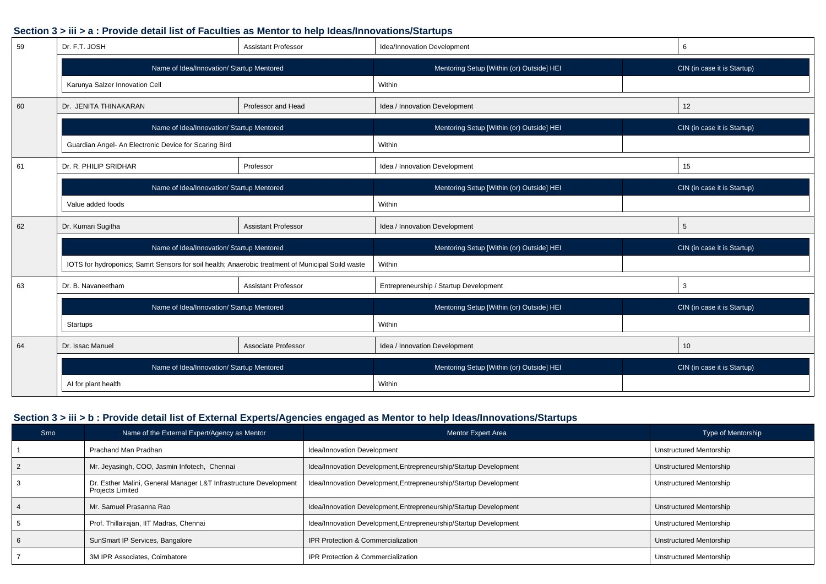| 59 | Dr. F.T. JOSH                                                                                     | <b>Assistant Professor</b> | Idea/Innovation Development               | 6                           |
|----|---------------------------------------------------------------------------------------------------|----------------------------|-------------------------------------------|-----------------------------|
|    | Name of Idea/Innovation/ Startup Mentored                                                         |                            | Mentoring Setup [Within (or) Outside] HEI | CIN (in case it is Startup) |
|    | Karunya Salzer Innovation Cell                                                                    |                            | Within                                    |                             |
| 60 | Dr. JENITA THINAKARAN                                                                             | Professor and Head         | Idea / Innovation Development             | 12                          |
|    | Name of Idea/Innovation/ Startup Mentored                                                         |                            | Mentoring Setup [Within (or) Outside] HEI | CIN (in case it is Startup) |
|    | Guardian Angel- An Electronic Device for Scaring Bird                                             |                            | Within                                    |                             |
| 61 | Dr. R. PHILIP SRIDHAR                                                                             | Professor                  | Idea / Innovation Development             | 15                          |
|    | Name of Idea/Innovation/ Startup Mentored                                                         |                            | Mentoring Setup [Within (or) Outside] HEI | CIN (in case it is Startup) |
|    | Value added foods                                                                                 |                            | Within                                    |                             |
| 62 | Dr. Kumari Sugitha                                                                                | <b>Assistant Professor</b> | Idea / Innovation Development             | 5                           |
|    | Name of Idea/Innovation/ Startup Mentored                                                         |                            | Mentoring Setup [Within (or) Outside] HEI | CIN (in case it is Startup) |
|    | IOTS for hydroponics; Samrt Sensors for soil health; Anaerobic treatment of Municipal Soild waste |                            | Within                                    |                             |
| 63 | Dr. B. Navaneetham                                                                                | <b>Assistant Professor</b> | Entrepreneurship / Startup Development    | 3                           |
|    | Name of Idea/Innovation/ Startup Mentored                                                         |                            | Mentoring Setup [Within (or) Outside] HEI | CIN (in case it is Startup) |
|    | Startups                                                                                          |                            | Within                                    |                             |
| 64 | Dr. Issac Manuel                                                                                  | Associate Professor        | Idea / Innovation Development             | 10                          |
|    | Name of Idea/Innovation/ Startup Mentored                                                         |                            | Mentoring Setup [Within (or) Outside] HEI | CIN (in case it is Startup) |
|    | AI for plant health                                                                               |                            | Within                                    |                             |

#### **Section 3 > iii > b : Provide detail list of External Experts/Agencies engaged as Mentor to help Ideas/Innovations/Startups**

| Srno | Name of the External Expert/Agency as Mentor                                                 | Mentor Expert Area                                                | <b>Type of Mentorship</b>      |
|------|----------------------------------------------------------------------------------------------|-------------------------------------------------------------------|--------------------------------|
|      | Prachand Man Pradhan                                                                         | Idea/Innovation Development                                       | Unstructured Mentorship        |
|      | Mr. Jeyasingh, COO, Jasmin Infotech, Chennai                                                 | Idea/Innovation Development, Entrepreneurship/Startup Development | Unstructured Mentorship        |
|      | Dr. Esther Malini, General Manager L&T Infrastructure Development<br><b>Projects Limited</b> | Idea/Innovation Development, Entrepreneurship/Startup Development | Unstructured Mentorship        |
|      | Mr. Samuel Prasanna Rao                                                                      | Idea/Innovation Development, Entrepreneurship/Startup Development | Unstructured Mentorship        |
|      | Prof. Thillairajan, IIT Madras, Chennai                                                      | Idea/Innovation Development, Entrepreneurship/Startup Development | Unstructured Mentorship        |
|      | SunSmart IP Services, Bangalore                                                              | IPR Protection & Commercialization                                | <b>Unstructured Mentorship</b> |
|      | 3M IPR Associates, Coimbatore                                                                | IPR Protection & Commercialization                                | Unstructured Mentorship        |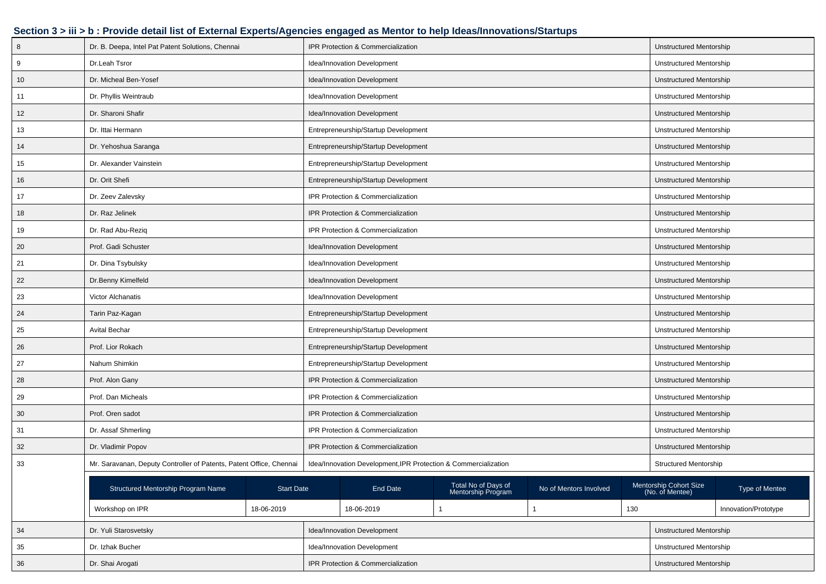### **Section 3 > iii > b : Provide detail list of External Experts/Agencies engaged as Mentor to help Ideas/Innovations/Startups**

| 8      | Dr. B. Deepa, Intel Pat Patent Solutions, Chennai                   |                   |                                      | <b>IPR Protection &amp; Commercialization</b>                   |                                           |                         |                         | Unstructured Mentorship                   |                      |
|--------|---------------------------------------------------------------------|-------------------|--------------------------------------|-----------------------------------------------------------------|-------------------------------------------|-------------------------|-------------------------|-------------------------------------------|----------------------|
| 9      | Dr.Leah Tsror                                                       |                   |                                      | Idea/Innovation Development                                     |                                           |                         |                         | Unstructured Mentorship                   |                      |
| 10     | Dr. Micheal Ben-Yosef                                               |                   |                                      | Idea/Innovation Development                                     |                                           |                         |                         | Unstructured Mentorship                   |                      |
| 11     | Dr. Phyllis Weintraub                                               |                   |                                      | Idea/Innovation Development                                     |                                           |                         |                         | Unstructured Mentorship                   |                      |
| 12     | Dr. Sharoni Shafir                                                  |                   |                                      | Idea/Innovation Development                                     |                                           |                         |                         | Unstructured Mentorship                   |                      |
| 13     | Dr. Ittai Hermann                                                   |                   |                                      | Entrepreneurship/Startup Development                            |                                           |                         |                         | Unstructured Mentorship                   |                      |
| 14     | Dr. Yehoshua Saranga                                                |                   |                                      | Entrepreneurship/Startup Development                            |                                           |                         |                         | Unstructured Mentorship                   |                      |
| 15     | Dr. Alexander Vainstein                                             |                   |                                      | Entrepreneurship/Startup Development                            |                                           |                         |                         | Unstructured Mentorship                   |                      |
| 16     | Dr. Orit Shefi                                                      |                   |                                      | Entrepreneurship/Startup Development                            |                                           |                         |                         | Unstructured Mentorship                   |                      |
| 17     | Dr. Zeev Zalevsky                                                   |                   |                                      | IPR Protection & Commercialization                              |                                           |                         |                         | Unstructured Mentorship                   |                      |
| 18     | Dr. Raz Jelinek                                                     |                   |                                      | IPR Protection & Commercialization                              |                                           |                         |                         | Unstructured Mentorship                   |                      |
| 19     | Dr. Rad Abu-Rezig                                                   |                   |                                      | IPR Protection & Commercialization                              |                                           |                         |                         | Unstructured Mentorship                   |                      |
| 20     | Prof. Gadi Schuster                                                 |                   |                                      | Idea/Innovation Development                                     |                                           |                         |                         | Unstructured Mentorship                   |                      |
| 21     | Dr. Dina Tsybulsky                                                  |                   | Idea/Innovation Development          |                                                                 |                                           |                         |                         | Unstructured Mentorship                   |                      |
| 22     | Dr.Benny Kimelfeld                                                  |                   | Idea/Innovation Development          |                                                                 |                                           |                         | Unstructured Mentorship |                                           |                      |
| 23     | Victor Alchanatis                                                   |                   | Idea/Innovation Development          |                                                                 |                                           |                         | Unstructured Mentorship |                                           |                      |
| 24     | Tarin Paz-Kagan                                                     |                   | Entrepreneurship/Startup Development |                                                                 |                                           |                         | Unstructured Mentorship |                                           |                      |
| 25     | Avital Bechar                                                       |                   | Entrepreneurship/Startup Development |                                                                 |                                           |                         | Unstructured Mentorship |                                           |                      |
| 26     | Prof. Lior Rokach                                                   |                   |                                      | Entrepreneurship/Startup Development                            |                                           |                         |                         | Unstructured Mentorship                   |                      |
| 27     | Nahum Shimkin                                                       |                   |                                      | Entrepreneurship/Startup Development                            |                                           |                         |                         | Unstructured Mentorship                   |                      |
| 28     | Prof. Alon Gany                                                     |                   | IPR Protection & Commercialization   |                                                                 |                                           | Unstructured Mentorship |                         |                                           |                      |
| 29     | Prof. Dan Micheals                                                  |                   | IPR Protection & Commercialization   |                                                                 |                                           | Unstructured Mentorship |                         |                                           |                      |
| 30     | Prof. Oren sadot                                                    |                   | IPR Protection & Commercialization   |                                                                 |                                           | Unstructured Mentorship |                         |                                           |                      |
| 31     | Dr. Assaf Shmerling                                                 |                   | IPR Protection & Commercialization   |                                                                 |                                           | Unstructured Mentorship |                         |                                           |                      |
| 32     | Dr. Vladimir Popov                                                  |                   |                                      | IPR Protection & Commercialization                              |                                           |                         |                         | Unstructured Mentorship                   |                      |
| 33     | Mr. Saravanan, Deputy Controller of Patents, Patent Office, Chennai |                   |                                      | Idea/Innovation Development, IPR Protection & Commercialization |                                           |                         |                         | <b>Structured Mentorship</b>              |                      |
|        |                                                                     |                   |                                      |                                                                 |                                           |                         |                         |                                           |                      |
|        | Structured Mentorship Program Name                                  | <b>Start Date</b> |                                      | End Date                                                        | Total No of Days of<br>Mentorship Program | No of Mentors Involved  |                         | Mentorship Cohort Size<br>(No. of Mentee) | Type of Mentee       |
|        | Workshop on IPR                                                     | 18-06-2019        |                                      | 18-06-2019                                                      | $\mathbf{1}$                              | $\mathbf{1}$            | 130                     |                                           | Innovation/Prototype |
| 34     | Dr. Yuli Starosvetsky                                               |                   |                                      | Idea/Innovation Development                                     |                                           |                         |                         | <b>Unstructured Mentorship</b>            |                      |
| 35     | Dr. Izhak Bucher                                                    |                   |                                      | Idea/Innovation Development                                     |                                           |                         |                         | Unstructured Mentorship                   |                      |
| $36\,$ | Dr. Shai Arogati                                                    |                   |                                      | IPR Protection & Commercialization                              |                                           |                         |                         | Unstructured Mentorship                   |                      |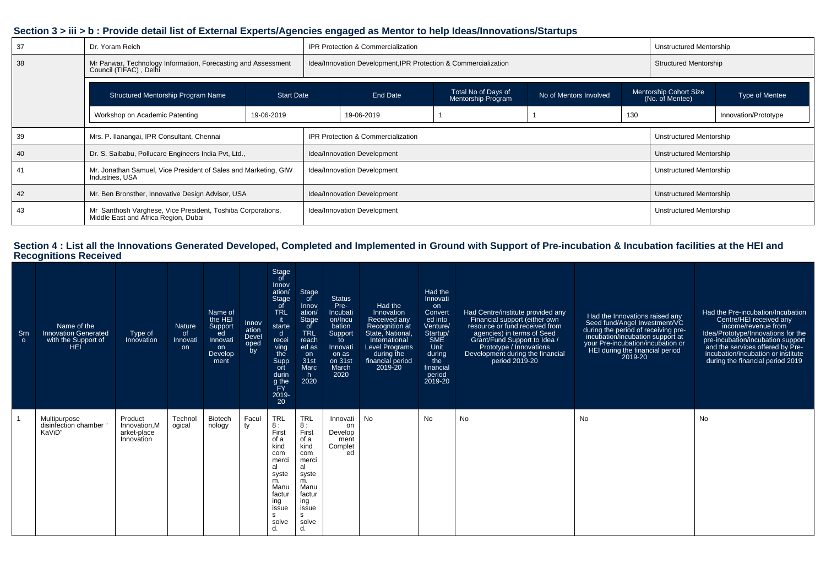#### **Section 3 > iii > b : Provide detail list of External Experts/Agencies engaged as Mentor to help Ideas/Innovations/Startups**

| 37 | Dr. Yoram Reich                                                                                     |            |                                                                                                             | <b>IPR Protection &amp; Commercialization</b>                   |                                           |                                |                | Unstructured Mentorship      |                      |
|----|-----------------------------------------------------------------------------------------------------|------------|-------------------------------------------------------------------------------------------------------------|-----------------------------------------------------------------|-------------------------------------------|--------------------------------|----------------|------------------------------|----------------------|
| 38 | Mr Panwar, Technology Information, Forecasting and Assessment<br>Council (TIFAC), Delhi             |            |                                                                                                             | Idea/Innovation Development, IPR Protection & Commercialization |                                           |                                |                | <b>Structured Mentorship</b> |                      |
|    | Structured Mentorship Program Name                                                                  |            | Total No of Days of<br>No of Mentors Involved<br>End Date<br><b>Start Date</b><br><b>Mentorship Program</b> |                                                                 | Mentorship Cohort Size<br>(No. of Mentee) |                                | Type of Mentee |                              |                      |
|    | Workshop on Academic Patenting                                                                      | 19-06-2019 |                                                                                                             | 19-06-2019                                                      |                                           |                                | 130            |                              | Innovation/Prototype |
| 39 | Mrs. P. Ilanangai, IPR Consultant, Chennai                                                          |            | <b>IPR Protection &amp; Commercialization</b>                                                               |                                                                 |                                           | Unstructured Mentorship        |                |                              |                      |
| 40 | Dr. S. Saibabu, Pollucare Engineers India Pvt, Ltd.,                                                |            | Idea/Innovation Development                                                                                 |                                                                 |                                           | <b>Unstructured Mentorship</b> |                |                              |                      |
|    | Mr. Jonathan Samuel, Vice President of Sales and Marketing, GIW<br>Industries, USA                  |            | Idea/Innovation Development                                                                                 |                                                                 |                                           | <b>Unstructured Mentorship</b> |                |                              |                      |
| 42 | Mr. Ben Bronsther, Innovative Design Advisor, USA                                                   |            | <b>Idea/Innovation Development</b>                                                                          |                                                                 |                                           | Unstructured Mentorship        |                |                              |                      |
| 43 | Mr Santhosh Varghese, Vice President, Toshiba Corporations,<br>Middle East and Africa Region, Dubai |            | Idea/Innovation Development                                                                                 |                                                                 |                                           | <b>Unstructured Mentorship</b> |                |                              |                      |

# **Section 4 : List all the Innovations Generated Developed, Completed and Implemented in Ground with Support of Pre-incubation & Incubation facilities at the HEI and Recognitions Received**

| Srn<br>$\circ$ | Name of the<br><b>Innovation Generated</b><br>with the Support of<br>HEI | Type of<br>Innovation                                 | Nature<br>of<br>Innovati<br>on | Name of<br>the HEI<br>Support<br>ed<br>Innovati<br>on<br>Develop<br>ment | Innov<br>ation<br>Devel<br>oped<br>by | Stage<br>of<br>Innov<br>ation/<br>Stage<br><sub>of</sub><br><b>TRL</b><br>-it<br>starte<br>$\mathsf{d}$<br>recei<br>ving<br>the<br>Supp<br>ort<br>durin<br>g the<br>FY<br>2019-<br>20 | Stage<br>of<br>Innov<br>ation/<br>Stage<br>_of<br><b>TRL</b><br>reach<br>ed as<br>on<br>31st<br>Marc<br>h.<br>2020                   | <b>Status</b><br>Pre-<br>Incubati<br>on/Incu<br>bation<br>Support<br>to<br>Innovati<br>on as<br>on 31st<br>March<br>2020 | Had the<br>Innovation<br>Received any<br>Recognition at<br>State, National,<br>International<br><b>Level Programs</b><br>during the<br>financial period<br>2019-20 | Had the<br>Innovati<br>on<br>Convert<br>ed into<br>Venture/<br>Startup/<br><b>SME</b><br>Unit<br>during<br>the<br>financial<br>period<br>2019-20 | Had Centre/institute provided any<br>Financial support (either own<br>resource or fund received from<br>agencies) in terms of Seed<br>Grant/Fund Support to Idea /<br>Prototype / Innovations<br>Development during the financial<br>period 2019-20 | Had the Innovations raised any<br>Seed fund/Angel Investment/VC<br>during the period of receiving pre-<br>incubation/incubation support at<br>your Pre-incubation/incubation or<br>HEI during the financial period<br>2019-20 | Had the Pre-incubation/Incubation<br>Centre/HEI received any<br>income/revenue from<br>Idea/Prototype/Innovations for the<br>pre-incubation/incubation support<br>and the services offered by Pre-<br>incubation/incubation or institute<br>during the financial period 2019 |
|----------------|--------------------------------------------------------------------------|-------------------------------------------------------|--------------------------------|--------------------------------------------------------------------------|---------------------------------------|---------------------------------------------------------------------------------------------------------------------------------------------------------------------------------------|--------------------------------------------------------------------------------------------------------------------------------------|--------------------------------------------------------------------------------------------------------------------------|--------------------------------------------------------------------------------------------------------------------------------------------------------------------|--------------------------------------------------------------------------------------------------------------------------------------------------|-----------------------------------------------------------------------------------------------------------------------------------------------------------------------------------------------------------------------------------------------------|-------------------------------------------------------------------------------------------------------------------------------------------------------------------------------------------------------------------------------|------------------------------------------------------------------------------------------------------------------------------------------------------------------------------------------------------------------------------------------------------------------------------|
|                | Multipurpose<br>disinfection chamber "<br>KaViD'                         | Product<br>Innovation, M<br>arket-place<br>Innovation | Technol<br>ogical              | <b>Biotech</b><br>nology                                                 | Facul<br>ty                           | <b>TRL</b><br>8:<br>First<br>of a<br>kind<br>com<br>merci<br>al<br>syste<br>m.<br>Manu<br>factur<br>ing<br>issue<br>s<br>solve<br>d.                                                  | <b>TRL</b><br>8:<br>First<br>of a<br>kind<br>com<br>merci<br>al<br>syste<br>m.<br>Manu<br>factur<br>ing<br>issue<br>s<br>solve<br>d. | Innovati<br>on<br>Develop<br>ment<br>Complet<br>ed                                                                       | No                                                                                                                                                                 | <b>No</b>                                                                                                                                        | <b>No</b>                                                                                                                                                                                                                                           | No                                                                                                                                                                                                                            | No                                                                                                                                                                                                                                                                           |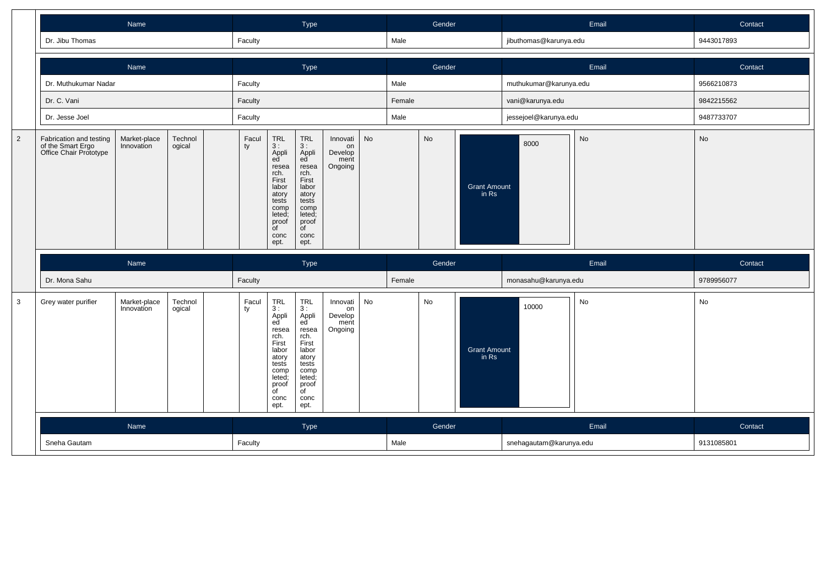|                |                                                                        |                            |                                                                                                                                             |                                                                                                                                                                                             | Type                                                                                                                                        |                                                                                                                                            |                                              |           | Gender                       |        |                       | Email                   | Contact |            |
|----------------|------------------------------------------------------------------------|----------------------------|---------------------------------------------------------------------------------------------------------------------------------------------|---------------------------------------------------------------------------------------------------------------------------------------------------------------------------------------------|---------------------------------------------------------------------------------------------------------------------------------------------|--------------------------------------------------------------------------------------------------------------------------------------------|----------------------------------------------|-----------|------------------------------|--------|-----------------------|-------------------------|---------|------------|
|                | Dr. Jibu Thomas                                                        |                            |                                                                                                                                             | Faculty                                                                                                                                                                                     |                                                                                                                                             |                                                                                                                                            |                                              |           | Male                         |        |                       | jibuthomas@karunya.edu  |         | 9443017893 |
|                |                                                                        | Name                       |                                                                                                                                             |                                                                                                                                                                                             |                                                                                                                                             | Type                                                                                                                                       |                                              |           |                              | Gender |                       |                         | Email   | Contact    |
|                | Dr. Muthukumar Nadar                                                   |                            |                                                                                                                                             | Faculty                                                                                                                                                                                     |                                                                                                                                             |                                                                                                                                            |                                              |           | Male                         |        |                       | muthukumar@karunya.edu  |         | 9566210873 |
|                | Dr. C. Vani                                                            |                            |                                                                                                                                             | Faculty                                                                                                                                                                                     |                                                                                                                                             |                                                                                                                                            |                                              |           | Female                       |        |                       | vani@karunya.edu        |         | 9842215562 |
|                | Dr. Jesse Joel                                                         |                            |                                                                                                                                             | Faculty                                                                                                                                                                                     |                                                                                                                                             |                                                                                                                                            |                                              |           | Male                         |        |                       | jessejoel@karunya.edu   |         | 9487733707 |
| $\overline{2}$ | Fabrication and testing<br>of the Smart Ergo<br>Office Chair Prototype | Facul<br>ty                | TRL<br>3 :<br>Appli<br>ed<br>resea<br>rch.<br>First<br>labor<br>atory<br>tests<br>comp<br>leted;<br>proof<br>$\overline{f}$<br>conc<br>ept. | $\begin{array}{c} \mathsf{TRL} \\ \mathsf{3:} \end{array}$<br>Appli<br>ed<br>resea<br>rch.<br>First<br>labor<br>atory<br>tests<br>comp<br>leted;<br>proof<br>$\overline{C}$<br>conc<br>ept. | Innovati<br>on<br>Develop<br>ment<br>Ongoing                                                                                                | No                                                                                                                                         |                                              | <b>No</b> | <b>Grant Amount</b><br>in Rs | 8000   | <b>No</b>             | No                      |         |            |
|                |                                                                        | Name                       |                                                                                                                                             |                                                                                                                                                                                             |                                                                                                                                             | Type                                                                                                                                       |                                              |           |                              | Gender |                       |                         | Email   | Contact    |
|                | Dr. Mona Sahu                                                          |                            |                                                                                                                                             | Faculty                                                                                                                                                                                     |                                                                                                                                             |                                                                                                                                            |                                              |           | Female                       |        |                       | monasahu@karunya.edu    |         | 9789956077 |
| $\mathbf{3}$   | Grey water purifier                                                    | Market-place<br>Innovation | Technol<br>ogical                                                                                                                           | Facul<br>ty                                                                                                                                                                                 | TRL<br>3 :<br>Appli<br>ed<br>resea<br>rch.<br>First<br>labor<br>atory<br>tests<br>comp<br>leted;<br>proof<br>$\overline{C}$<br>conc<br>ept. | TRL<br>3:<br>Appli<br>ed<br>resea<br>rch.<br>First<br>labor<br>atory<br>tests<br>comp<br>leted;<br>proof<br>$\overline{C}$<br>conc<br>ept. | Innovati<br>on<br>Develop<br>ment<br>Ongoing | No        |                              | No     | Grant Amount<br>in Rs | 10000                   | No      | No         |
|                |                                                                        | Name                       |                                                                                                                                             |                                                                                                                                                                                             |                                                                                                                                             | Type                                                                                                                                       |                                              |           |                              | Gender |                       |                         | Email   | Contact    |
|                | Sneha Gautam                                                           |                            |                                                                                                                                             | Faculty                                                                                                                                                                                     |                                                                                                                                             |                                                                                                                                            |                                              |           | Male                         |        |                       | snehagautam@karunya.edu |         | 9131085801 |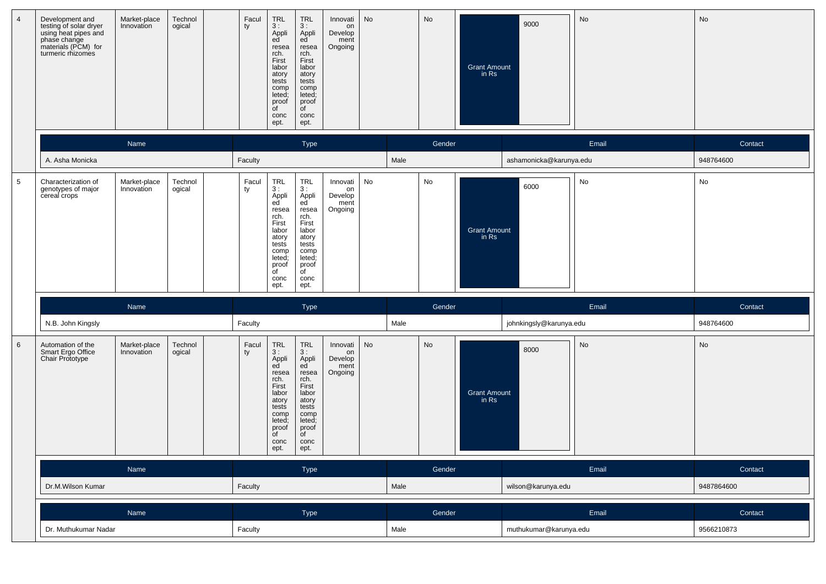| $\overline{4}$  | Development and<br>testing of solar dryer<br>using heat pipes and<br>phase change<br>materials (PCM) for<br>turmeric rhizomes | Market-place<br>Innovation | Technol<br>ogical | Facul<br>ty | $\begin{array}{c} \mathsf{TRL} \\ 3: \end{array}$<br>Appli<br>ed<br>resea<br>rch.<br>First<br>labor<br>atory<br>tests<br>comp<br>leted;<br>proof<br>of<br>conc<br>ept. | <b>TRL</b><br>3:<br>Appli<br>ed <sup>'</sup><br>resea<br>rch.<br>First<br>labor<br>atory<br>tests<br>comp<br>leted;<br>proof<br>of<br>conc<br>ept. | Innovati<br>on<br>Develop<br>ment<br>Ongoing | No |      | No     | <b>Grant Amount</b><br>in Rs | 9000                    | No    | No         |
|-----------------|-------------------------------------------------------------------------------------------------------------------------------|----------------------------|-------------------|-------------|------------------------------------------------------------------------------------------------------------------------------------------------------------------------|----------------------------------------------------------------------------------------------------------------------------------------------------|----------------------------------------------|----|------|--------|------------------------------|-------------------------|-------|------------|
|                 |                                                                                                                               | Name                       |                   |             |                                                                                                                                                                        | Type                                                                                                                                               |                                              |    |      | Gender |                              |                         | Email | Contact    |
|                 | A. Asha Monicka                                                                                                               |                            |                   | Faculty     |                                                                                                                                                                        |                                                                                                                                                    |                                              |    | Male |        |                              | ashamonicka@karunya.edu |       | 948764600  |
| $\sqrt{5}$      | Characterization of<br>genotypes of major<br>cereal crops                                                                     | Market-place<br>Innovation | Technol<br>ogical | Facul<br>ty | TRL<br>3:<br>Appli<br>ed<br>resea<br>rch.<br>First<br>labor<br>atory<br>tests<br>comp<br>leted;<br>proof<br>$\overline{C}$                                             | <b>TRL</b><br>3:<br>Appli<br>ed <sup>®</sup><br>resea<br>rch.<br>First<br>labor<br>atory<br>tests<br>comp<br>leted;<br>proof<br>$\overline{C}$     | Innovati<br>on<br>Develop<br>ment<br>Ongoing | No |      | No     | <b>Grant Amount</b><br>in Rs | 6000                    | No    | No         |
|                 |                                                                                                                               |                            |                   |             | conc<br>ept.                                                                                                                                                           | conc<br>ept.                                                                                                                                       |                                              |    |      |        |                              |                         |       |            |
|                 |                                                                                                                               | Name                       |                   |             |                                                                                                                                                                        | Type                                                                                                                                               |                                              |    |      | Gender |                              |                         | Email | Contact    |
|                 | N.B. John Kingsly                                                                                                             |                            |                   | Faculty     |                                                                                                                                                                        |                                                                                                                                                    |                                              |    | Male |        |                              | johnkingsly@karunya.edu |       | 948764600  |
| $6\phantom{1}6$ | Automation of the<br>Smart Ergo Office<br>Chair Prototype                                                                     | Market-place<br>Innovation | Technol<br>ogical | Facul<br>ty | $\ensuremath{\mathsf{TRL}}$<br>3:<br>Appli<br>ed<br>resea<br>rch.<br>First<br>labor<br>atory<br>tests<br>comp<br>leted;<br>proof<br>$\overline{C}$<br>conc<br>ept.     | <b>TRL</b><br>3:<br>Appli<br>ed<br>resea<br>rch.<br>First<br>labor<br>atory<br>tests<br>comp<br>leted;<br>proof<br>$\overline{C}$<br>conc<br>ept.  | Innovati<br>on<br>Develop<br>ment<br>Ongoing | No |      | No     | <b>Grant Amount</b><br>in Rs | 8000                    | No    | No         |
|                 |                                                                                                                               | Name                       |                   |             |                                                                                                                                                                        | Type                                                                                                                                               |                                              |    |      | Gender |                              |                         | Email | Contact    |
|                 | Dr.M.Wilson Kumar                                                                                                             |                            |                   | Faculty     |                                                                                                                                                                        |                                                                                                                                                    |                                              |    | Male |        |                              | wilson@karunya.edu      |       | 9487864600 |
|                 |                                                                                                                               | Name                       |                   |             |                                                                                                                                                                        | Type                                                                                                                                               |                                              |    |      | Gender |                              |                         | Email | Contact    |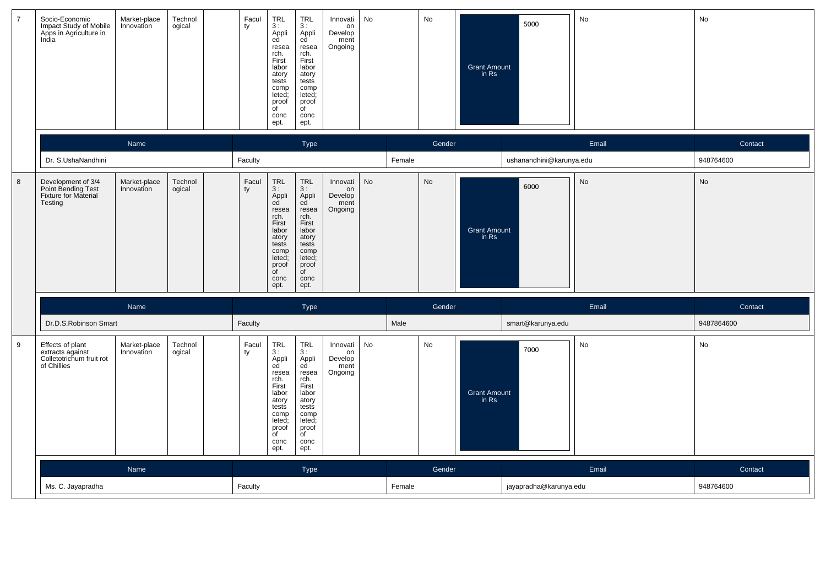| $\overline{7}$ | Socio-Economic<br>Impact Study of Mobile<br>Apps in Agriculture in<br>India     | Market-place<br>Innovation | Technol<br>ogical | Facul<br>ty | TRL<br>3:<br>Appli<br>ed<br>resea<br>rch.<br>First<br>labor<br>atory<br>tests<br>comp<br>leted;<br>proof<br>of<br>conc<br>ept.                    | <b>TRL</b><br>3:<br>Appli<br>ed<br>resea<br>rch.<br>First<br>labor<br>atory<br>tests<br>comp<br>leted;<br>proof<br>of<br>conc<br>ept.      | Innovati<br>on<br>Develop<br>ment<br>Ongoing | No        |        | No     | <b>Grant Amount</b><br>in Rs | 5000                     | No        | No         |
|----------------|---------------------------------------------------------------------------------|----------------------------|-------------------|-------------|---------------------------------------------------------------------------------------------------------------------------------------------------|--------------------------------------------------------------------------------------------------------------------------------------------|----------------------------------------------|-----------|--------|--------|------------------------------|--------------------------|-----------|------------|
|                |                                                                                 | Name                       |                   |             |                                                                                                                                                   | Type                                                                                                                                       |                                              |           |        | Gender |                              |                          | Email     | Contact    |
|                | Dr. S.UshaNandhini                                                              |                            |                   | Faculty     |                                                                                                                                                   |                                                                                                                                            |                                              |           | Female |        |                              | ushanandhini@karunya.edu |           | 948764600  |
| $\,$ 8 $\,$    | Development of 3/4<br>Point Bending Test<br>Fixture for Material<br>Testing     | Market-place<br>Innovation | Technol<br>ogical | Facul<br>ty | <b>TRL</b><br>3:<br>Appli<br>ed<br>resea<br>rch.<br>First<br>labor<br>atory<br>tests<br>comp<br>leted:<br>proof<br>$\overline{C}$<br>conc<br>ept. | TRL<br>3:<br>Appli<br>ed<br>resea<br>rch.<br>First<br>labor<br>atory<br>tests<br>comp<br>leted;<br>proof<br>$\overline{C}$<br>conc<br>ept. | Innovati<br>on<br>Develop<br>ment<br>Ongoing | <b>No</b> |        | No     | <b>Grant Amount</b><br>in Rs | 6000                     | No        | No         |
|                |                                                                                 | Name                       |                   |             |                                                                                                                                                   | Type                                                                                                                                       |                                              |           |        | Gender |                              |                          | Email     | Contact    |
|                | Dr.D.S.Robinson Smart                                                           |                            |                   | Faculty     |                                                                                                                                                   |                                                                                                                                            |                                              |           | Male   |        |                              | smart@karunya.edu        |           | 9487864600 |
| 9              | Effects of plant<br>extracts against<br>Colletotrichum fruit rot<br>of Chillies | Market-place<br>Innovation | Technol<br>ogical | Facul<br>ty | TRL<br>3:<br>Appli<br>ed<br>resea<br>rch.<br>First<br>labor<br>atory<br>tests<br>comp<br>leted;<br>proof<br>of<br>conc<br>ept.                    | <b>TRL</b><br>3:<br>Appli<br>ed<br>resea<br>rch.<br>First<br>labor<br>atory<br>tests<br>comp<br>leted;<br>proof<br>of<br>conc<br>ept.      | Innovati<br>on<br>Develop<br>ment<br>Ongoing | No        |        | No     | <b>Grant Amount</b><br>in Rs | 7000                     | No        | No         |
|                |                                                                                 | Name                       |                   |             |                                                                                                                                                   | <b>Type</b>                                                                                                                                |                                              |           |        | Gender |                              |                          | Email     | Contact    |
|                | Ms. C. Jayapradha                                                               |                            | Faculty           |             |                                                                                                                                                   |                                                                                                                                            |                                              | Female    |        |        | jayapradha@karunya.edu       |                          | 948764600 |            |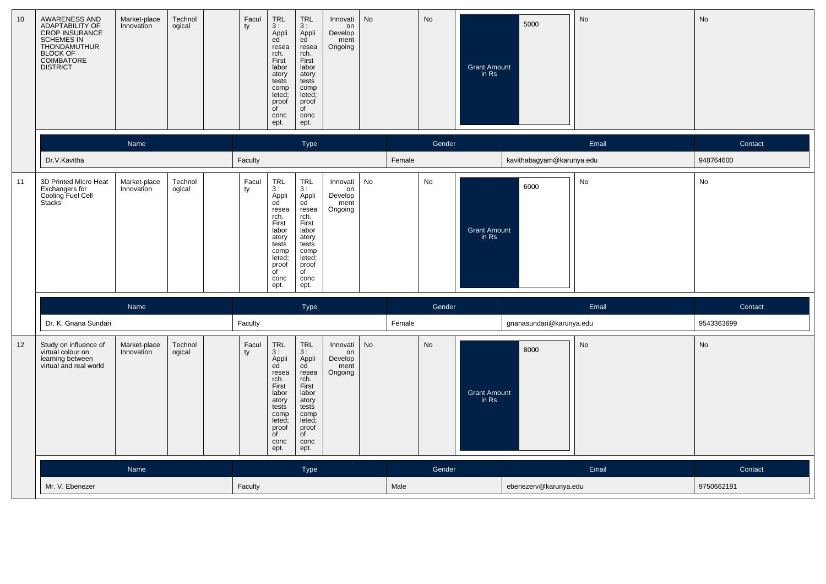| 10 | AWARENESS AND<br>ADAPTABILITY OF<br>CROP INSURANCE<br>SCHEMES IN<br>THONDAMUTHUR<br><b>BLOCK OF</b><br><b>COIMBATORE</b><br><b>DISTRICT</b> | Market-place<br>Innovation | Technol<br>ogical | Facul<br>ty | <b>TRL</b><br>3:<br>Appli<br>ed<br>resea<br>rch.<br>First<br>labor<br>atory<br>tests<br>comp<br>leted;<br>proof<br>$\overline{f}$<br>conc<br>ept.   | <b>TRL</b><br>3:<br>Appli<br>ed<br>resea<br>rch.<br>First<br>labor<br>atory<br>tests<br>comp<br>leted;<br>proof<br>$\overline{C}$<br>conc<br>ept.      | Innovati<br>on<br>Develop<br>ment<br>Ongoing | No        |        | <b>No</b> | <b>Grant Amount</b><br>in Rs | 5000                      | No    | No         |
|----|---------------------------------------------------------------------------------------------------------------------------------------------|----------------------------|-------------------|-------------|-----------------------------------------------------------------------------------------------------------------------------------------------------|--------------------------------------------------------------------------------------------------------------------------------------------------------|----------------------------------------------|-----------|--------|-----------|------------------------------|---------------------------|-------|------------|
|    |                                                                                                                                             | Name                       |                   |             |                                                                                                                                                     | Type                                                                                                                                                   |                                              |           |        | Gender    |                              |                           | Email | Contact    |
|    | Dr.V.Kavitha                                                                                                                                |                            |                   | Faculty     |                                                                                                                                                     |                                                                                                                                                        |                                              |           | Female |           |                              | kavithabagyam@karunya.edu |       | 948764600  |
| 11 | 3D Printed Micro Heat<br>Exchangers for<br>Cooling Fuel Cell<br>Stacks                                                                      | Market-place<br>Innovation | Technol<br>ogical | Facul<br>ty | TRL<br>3:<br>Appli<br>ed<br>resea<br>rch.<br>First<br>labor<br>atory<br>tests<br>comp<br>leted;<br>proof<br>$\overline{\mathsf{d}}$<br>conc<br>ept. | <b>TRL</b><br>3:<br>Appli<br>ed<br>resea<br>rch.<br>First<br>labor<br>atory<br>tests<br>comp<br>leted;<br>proof<br>$\overline{C}$<br>conc<br>ept.      | Innovati<br>on<br>Develop<br>ment<br>Ongoing | No        |        | No        | <b>Grant Amount</b><br>in Rs | 6000                      | No    | No         |
|    |                                                                                                                                             | Name                       |                   |             |                                                                                                                                                     | Type                                                                                                                                                   |                                              |           |        | Gender    |                              |                           | Email | Contact    |
|    | Dr. K. Gnana Sundari                                                                                                                        |                            |                   | Faculty     |                                                                                                                                                     |                                                                                                                                                        |                                              |           | Female |           |                              | gnanasundari@karunya.edu  |       | 9543363699 |
| 12 | Study on influence of<br>virtual colour on<br>learning between<br>virtual and real world                                                    | Market-place<br>Innovation | Technol<br>ogical | Facul<br>ty | TRL<br>3:<br>Appli<br>ed<br>resea<br>rch.<br>First<br>labor<br>atory<br>tests<br>comp<br>leted;<br>proof<br>of<br>conc<br>ept.                      | $\ensuremath{\mathsf{TRL}}$<br>3:<br>Appli<br>ed<br>resea<br>rch.<br>First<br>labor<br>atory<br>tests<br>comp<br>leted;<br>proof<br>of<br>conc<br>ept. | Innovati<br>on<br>Develop<br>ment<br>Ongoing | <b>No</b> |        | <b>No</b> | <b>Grant Amount</b><br>in Rs | 8000                      | No    | No         |
|    |                                                                                                                                             | Name                       |                   |             |                                                                                                                                                     | <b>Type</b>                                                                                                                                            |                                              |           |        | Gender    |                              |                           | Email | Contact    |
|    | Mr. V. Ebenezer                                                                                                                             |                            |                   | Faculty     |                                                                                                                                                     |                                                                                                                                                        |                                              |           | Male   |           |                              | ebenezerv@karunya.edu     |       | 9750662191 |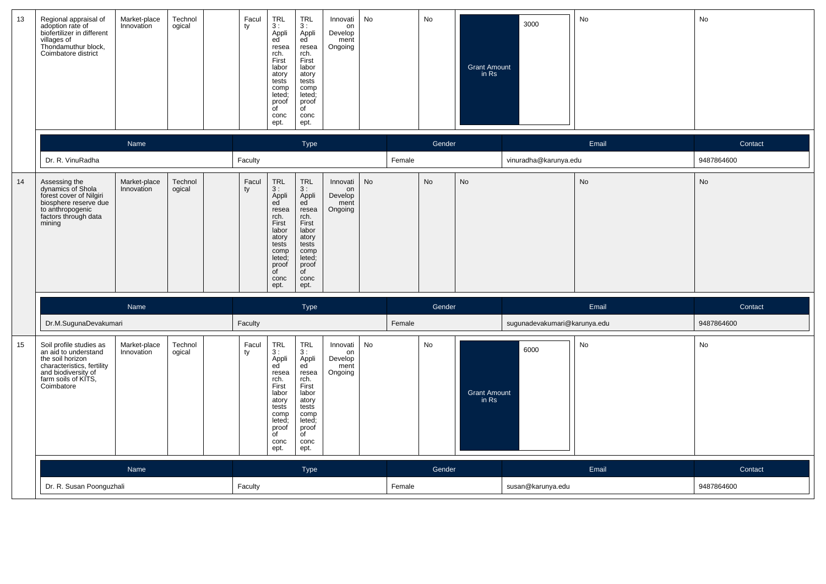| 13 | Regional appraisal of<br>adoption rate of<br>biofertilizer in different<br>villages of<br>Thondamuthur block,<br>Coimbatore district                          | Market-place<br>Innovation | Technol<br>ogical | Facul<br>ty | <b>TRL</b><br>3:<br>Appli<br>ed<br>resea<br>rch.<br>First<br>labor<br>atory<br>tests<br>comp<br>leted;<br>proof<br>$\overline{f}$<br>conc<br>ept. | <b>TRL</b><br>3:<br>Appli<br>ed <sup>'</sup><br>resea<br>rch.<br>First<br>labor<br>atory<br>tests<br>comp<br>leted;<br>proof<br>$\overline{f}$<br>conc<br>ept. | Innovati<br>on<br>Develop<br>ment<br>Ongoing | No        |        | No        | <b>Grant Amount</b><br>in Rs | 3000                         | No        | No         |
|----|---------------------------------------------------------------------------------------------------------------------------------------------------------------|----------------------------|-------------------|-------------|---------------------------------------------------------------------------------------------------------------------------------------------------|----------------------------------------------------------------------------------------------------------------------------------------------------------------|----------------------------------------------|-----------|--------|-----------|------------------------------|------------------------------|-----------|------------|
|    |                                                                                                                                                               | Name                       |                   |             |                                                                                                                                                   | Type                                                                                                                                                           |                                              |           |        | Gender    |                              |                              | Email     | Contact    |
|    | Dr. R. VinuRadha                                                                                                                                              |                            |                   | Faculty     |                                                                                                                                                   |                                                                                                                                                                |                                              |           | Female |           |                              | vinuradha@karunya.edu        |           | 9487864600 |
| 14 | Assessing the<br>dynamics of Shola<br>forest cover of Nilgiri<br>biosphere reserve due<br>to anthropogenic<br>factors through data<br>mining                  | Market-place<br>Innovation | Technol<br>ogical | Facul<br>ty | <b>TRL</b><br>3:<br>Appli<br>ed<br>resea<br>rch.<br>First<br>labor<br>atory<br>tests<br>comp<br>leted;<br>proof<br>$\overline{C}$<br>conc<br>ept. | <b>TRL</b><br>3:<br>Appli<br>ed<br>resea<br>rch.<br>First<br>labor<br>atory<br>tests<br>comp<br>leted;<br>proof<br>$\overline{C}$<br>conc<br>ept.              | Innovati<br>on<br>Develop<br>ment<br>Ongoing | <b>No</b> |        | <b>No</b> | <b>No</b>                    |                              | <b>No</b> | No         |
|    |                                                                                                                                                               | Name                       |                   |             |                                                                                                                                                   | Type                                                                                                                                                           |                                              |           |        | Gender    |                              |                              | Email     | Contact    |
|    | Dr.M.SugunaDevakumari                                                                                                                                         |                            |                   | Faculty     |                                                                                                                                                   |                                                                                                                                                                |                                              |           | Female |           |                              | sugunadevakumari@karunya.edu |           | 9487864600 |
| 15 | Soil profile studies as<br>an aid to understand<br>the soil horizon<br>characteristics, fertility<br>and biodiversity of<br>farm soils of KITS,<br>Coimbatore | Market-place<br>Innovation | Technol<br>ogical | Facul<br>ty | <b>TRL</b><br>3:<br>Appli<br>ed<br>resea<br>rch.<br>First<br>labor<br>atory<br>tests<br>comp<br>leted;<br>proof<br>of<br>conc<br>ept.             | <b>TRL</b><br>3:<br>Appli<br>ed<br>resea<br>rch.<br>First<br>labor<br>atory<br>tests<br>comp<br>leted;<br>proof<br>of<br>conc<br>ept.                          | Innovati<br>on<br>Develop<br>ment<br>Ongoing | No        |        | No        | <b>Grant Amount</b><br>in Rs | 6000                         | No        | No         |
|    |                                                                                                                                                               | Name                       |                   |             |                                                                                                                                                   | <b>Type</b>                                                                                                                                                    |                                              |           |        | Gender    |                              |                              | Email     | Contact    |
|    | Dr. R. Susan Poonguzhali                                                                                                                                      |                            |                   | Faculty     |                                                                                                                                                   |                                                                                                                                                                |                                              |           | Female |           |                              | susan@karunya.edu            |           | 9487864600 |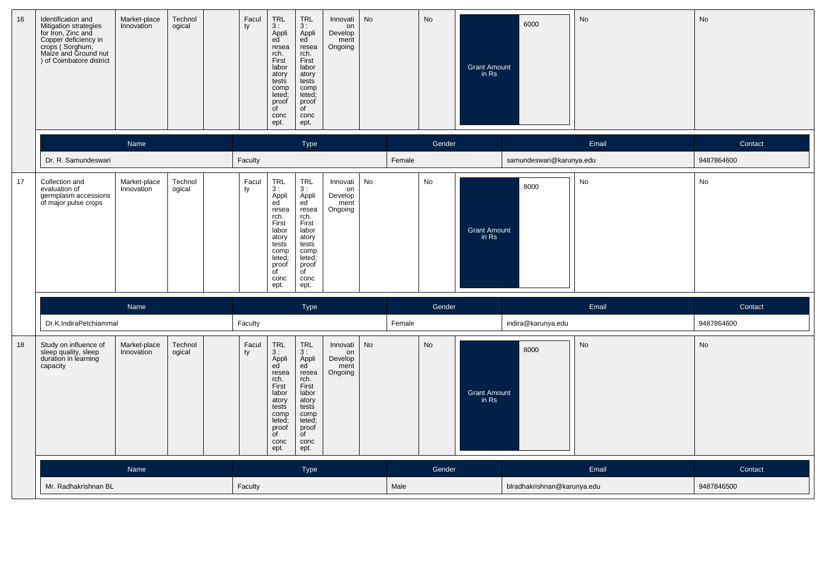| 16 | Identification and<br>Mitigation strategies<br>for Iron, Zinc and<br>Copper deficiency in<br>crops (Sorghum,<br>Maize and Ground nut<br>) of Coimbatore district | Market-place<br>Innovation | Technol<br>ogical | Facul<br>ty | $TRL$<br>3:<br>Appli<br>ed<br>resea<br>rch.<br>First<br>labor<br>atory<br>tests<br>comp<br>leted;<br>proof<br>$\overline{C}$<br>conc<br>ept.      | <b>TRL</b><br>3:<br>Appli<br>ed <sup>'</sup><br>resea<br>rch.<br>First<br>labor<br>atory<br>tests<br>comp<br>leted;<br>proof<br>of<br>conc<br>ept.          | Innovati<br>on<br>Develop<br>ment<br>Ongoing | No        |        | No        | <b>Grant Amount</b><br>in Rs | 6000                        | No    | No         |
|----|------------------------------------------------------------------------------------------------------------------------------------------------------------------|----------------------------|-------------------|-------------|---------------------------------------------------------------------------------------------------------------------------------------------------|-------------------------------------------------------------------------------------------------------------------------------------------------------------|----------------------------------------------|-----------|--------|-----------|------------------------------|-----------------------------|-------|------------|
|    |                                                                                                                                                                  | Name                       |                   |             |                                                                                                                                                   | <b>Type</b>                                                                                                                                                 |                                              |           |        | Gender    |                              |                             | Email | Contact    |
|    | Dr. R. Samundeswari                                                                                                                                              |                            |                   | Faculty     |                                                                                                                                                   |                                                                                                                                                             |                                              |           | Female |           |                              | samundeswari@karunya.edu    |       | 9487864600 |
| 17 | Collection and<br>evaluation of<br>germplasm accessions<br>of major pulse crops                                                                                  | Market-place<br>Innovation | Technol<br>ogical | Facul<br>ty | <b>TRL</b><br>3:<br>Appli<br>ed<br>resea<br>rch.<br>First<br>labor<br>atory<br>tests<br>comp<br>leted;<br>proof<br>$\overline{C}$<br>conc<br>ept. | <b>TRL</b><br>3:<br>Appli<br>ed<br>resea<br>rch.<br>First<br>labor<br>atory<br>tests<br>comp<br>leted;<br>proof<br>$\overline{\mathsf{of}}$<br>conc<br>ept. | Innovati<br>on<br>Develop<br>ment<br>Ongoing | No        |        | No        | <b>Grant Amount</b><br>in Rs | 8000                        | No    | No         |
|    |                                                                                                                                                                  | Name                       |                   |             |                                                                                                                                                   | <b>Type</b>                                                                                                                                                 |                                              |           |        | Gender    |                              |                             | Email | Contact    |
|    | Dr.K.IndiraPetchiammal                                                                                                                                           |                            |                   | Faculty     |                                                                                                                                                   |                                                                                                                                                             |                                              |           | Female |           |                              | indira@karunya.edu          |       | 9487864600 |
| 18 | Study on influence of<br>sleep quality, sleep<br>duration in learning<br>capacity                                                                                | Market-place<br>Innovation | Technol<br>ogical | Facul<br>ty | <b>TRL</b><br>3:<br>Appli<br>ed<br>resea<br>rch.<br>First<br>labor<br>atory<br>tests<br>comp<br>leted;<br>proof<br>of<br>conc<br>ept.             | <b>TRL</b><br>3:<br>Appli<br>ed<br>resea<br>rch.<br>First<br>labor<br>atory<br>tests<br>comp<br>leted;<br>proof<br>of<br>conc<br>ept.                       | Innovati<br>on<br>Develop<br>ment<br>Ongoing | <b>No</b> |        | <b>No</b> | <b>Grant Amount</b><br>in Rs | 8000                        | No    | No         |
|    |                                                                                                                                                                  | Name                       |                   |             |                                                                                                                                                   | <b>Type</b>                                                                                                                                                 |                                              |           |        | Gender    |                              |                             | Email | Contact    |
|    | Mr. Radhakrishnan BL                                                                                                                                             |                            |                   | Faculty     |                                                                                                                                                   |                                                                                                                                                             |                                              |           | Male   |           |                              | blradhakrishnan@karunya.edu |       | 9487846500 |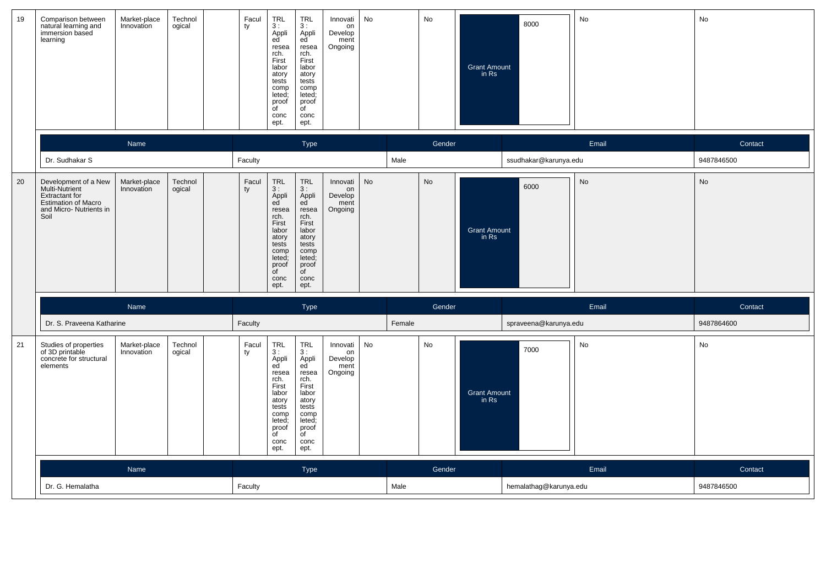| 19 | Comparison between<br>natural learning and<br>immersion based<br>learning                                                        | Market-place<br>Innovation | Technol<br>ogical | Facul<br>ty | TRL<br>3:<br>Appli<br>ed<br>resea<br>rch.<br>First<br>labor<br>atory<br>tests<br>comp<br>leted;<br>proof<br>$\overline{f}$<br>conc<br>ept.                 | <b>TRL</b><br>3:<br>Appli<br>ed<br>resea<br>rch.<br>First<br>labor<br>atory<br>tests<br>comp<br>leted;<br>proof<br>$\overline{C}$<br>conc<br>ept. | Innovati<br>on<br>Develop<br>ment<br>Ongoing | No        |        | No        | <b>Grant Amount</b><br>in Rs | 8000                   | No    | No         |
|----|----------------------------------------------------------------------------------------------------------------------------------|----------------------------|-------------------|-------------|------------------------------------------------------------------------------------------------------------------------------------------------------------|---------------------------------------------------------------------------------------------------------------------------------------------------|----------------------------------------------|-----------|--------|-----------|------------------------------|------------------------|-------|------------|
|    |                                                                                                                                  | Name                       |                   |             |                                                                                                                                                            | Type                                                                                                                                              |                                              |           |        | Gender    |                              |                        | Email | Contact    |
|    | Dr. Sudhakar S                                                                                                                   |                            |                   | Faculty     |                                                                                                                                                            |                                                                                                                                                   |                                              |           | Male   |           |                              | ssudhakar@karunya.edu  |       | 9487846500 |
| 20 | Development of a New<br>Multi-Nutrient<br><b>Extractant for</b><br><b>Estimation of Macro</b><br>and Micro- Nutrients in<br>Soil | Market-place<br>Innovation | Technol<br>ogical | Facul<br>ty | <b>TRL</b><br>3:<br>Appli<br>ed<br>resea<br>rch.<br>First<br>labor<br>atory<br>tests<br>comp<br>leted;<br>proof<br>$\overline{\mathsf{d}}$<br>conc<br>ept. | <b>TRL</b><br>3:<br>Appli<br>ed<br>resea<br>rch.<br>First<br>labor<br>atory<br>tests<br>comp<br>leted;<br>proof<br>of<br>conc<br>ept.             | Innovati<br>on<br>Develop<br>ment<br>Ongoing | <b>No</b> |        | <b>No</b> | <b>Grant Amount</b><br>in Rs | 6000                   | No    | <b>No</b>  |
|    |                                                                                                                                  | Name                       |                   |             |                                                                                                                                                            | Type                                                                                                                                              |                                              |           |        | Gender    |                              |                        | Email | Contact    |
|    | Dr. S. Praveena Katharine                                                                                                        |                            |                   | Faculty     |                                                                                                                                                            |                                                                                                                                                   |                                              |           | Female |           |                              | spraveena@karunya.edu  |       | 9487864600 |
| 21 | Studies of properties<br>of 3D printable<br>concrete for structural<br>elements                                                  | Market-place<br>Innovation | Technol<br>ogical | Facul<br>ty | TRL<br>3:<br>Appli<br>ed<br>resea<br>rch.<br>First<br>labor<br>atory<br>tests<br>comp<br>leted;<br>proof<br>of<br>conc<br>ept.                             | <b>TRL</b><br>3:<br>Appli<br>ed<br>resea<br>rch.<br>First<br>labor<br>atory<br>tests<br>comp<br>leted;<br>proof<br>of<br>conc<br>ept.             | Innovati<br>on<br>Develop<br>ment<br>Ongoing | No        |        | No        | <b>Grant Amount</b><br>in Rs | 7000                   | No    | No         |
|    |                                                                                                                                  | Name                       |                   |             |                                                                                                                                                            | <b>Type</b>                                                                                                                                       |                                              |           |        | Gender    |                              |                        | Email | Contact    |
|    | Dr. G. Hemalatha                                                                                                                 |                            |                   | Faculty     |                                                                                                                                                            |                                                                                                                                                   |                                              |           | Male   |           |                              | hemalathag@karunya.edu |       | 9487846500 |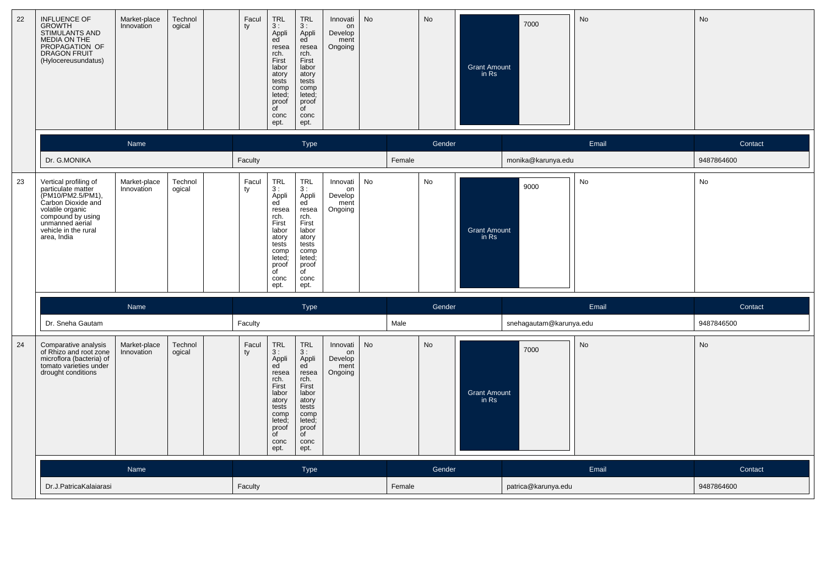| 22 | INFLUENCE OF<br><b>GROWTH</b><br><b>STIMULANTS AND</b><br>MEDIA ON THE<br>PROPAGATION OF<br><b>DRAGON FRUIT</b><br>(Hylocereusundatus)                                                    | Market-place<br>Innovation | Technol<br>ogical | Facul<br>ty | <b>TRL</b><br>3:<br>Appli<br>ed<br>resea<br>rch.<br>First<br>labor<br>atory<br>tests<br>comp<br>leted;<br>proof<br>of<br>conc<br>ept.       | <b>TRL</b><br>3:<br>Appli<br>ed<br>resea<br>rch.<br>First<br>labor<br>atory<br>tests<br>comp<br>leted;<br>proof<br>$\overline{C}$<br>conc<br>ept. | Innovati<br>on<br>Develop<br>ment<br>Ongoing | <b>No</b> |        | No        | <b>Grant Amount</b><br>in Rs | 7000                    | No    | No         |
|----|-------------------------------------------------------------------------------------------------------------------------------------------------------------------------------------------|----------------------------|-------------------|-------------|---------------------------------------------------------------------------------------------------------------------------------------------|---------------------------------------------------------------------------------------------------------------------------------------------------|----------------------------------------------|-----------|--------|-----------|------------------------------|-------------------------|-------|------------|
|    |                                                                                                                                                                                           | Name                       |                   |             |                                                                                                                                             | <b>Type</b>                                                                                                                                       |                                              |           |        | Gender    |                              |                         | Email | Contact    |
|    | Dr. G.MONIKA                                                                                                                                                                              |                            |                   | Faculty     |                                                                                                                                             |                                                                                                                                                   |                                              |           | Female |           |                              | monika@karunya.edu      |       | 9487864600 |
| 23 | Vertical profiling of<br>particulate matter<br>(PM10/PM2.5/PM1),<br>Carbon Dioxide and<br>volatile organic<br>compound by using<br>unmanned aerial<br>vehicle in the rural<br>area, India | Market-place<br>Innovation | Technol<br>ogical | Facul<br>ty | TRL<br>3:<br>Appli<br>ed<br>resea<br>rch.<br>First<br>labor<br>atory<br>tests<br>comp<br>leted;<br>proof<br>of<br>conc<br>ept.              | <b>TRL</b><br>3:<br>Appli<br>ed<br>resea<br>rch.<br>First<br>labor<br>atory<br>tests<br>comp<br>leted;<br>proof<br>of<br>conc<br>ept.             | Innovati<br>on<br>Develop<br>ment<br>Ongoing | <b>No</b> |        | No        | <b>Grant Amount</b><br>in Rs | 9000                    | No    | No         |
|    |                                                                                                                                                                                           | Name                       |                   |             |                                                                                                                                             | Type                                                                                                                                              |                                              |           |        | Gender    |                              |                         | Email | Contact    |
|    | Dr. Sneha Gautam                                                                                                                                                                          |                            |                   | Faculty     |                                                                                                                                             |                                                                                                                                                   |                                              |           | Male   |           |                              | snehagautam@karunya.edu |       | 9487846500 |
| 24 | Comparative analysis<br>of Rhizo and root zone<br>microflora (bacteria) of<br>tomato varieties under<br>drought conditions                                                                | Market-place<br>Innovation | Technol<br>ogical | Facul<br>ty | <b>TRL</b><br>3:<br>Appli<br>ed<br>resea<br>rch.<br>First<br>labor<br>atory<br>tests<br>comp<br>leted<br>proof<br><b>of</b><br>conc<br>ept. | <b>TRL</b><br>3:<br>Appli<br>ed<br>resea<br>rch.<br>First<br>labor<br>atory<br>tests<br>comp<br>leted;<br>proof<br>of<br>conc<br>ept.             | Innovati<br>on<br>Develop<br>ment<br>Ongoing | <b>No</b> |        | <b>No</b> | <b>Grant Amount</b><br>in Rs | 7000                    | No    | No         |
|    |                                                                                                                                                                                           | Name                       |                   |             |                                                                                                                                             | <b>Type</b>                                                                                                                                       |                                              |           |        | Gender    |                              |                         | Email | Contact    |
|    | Dr.J.PatricaKalaiarasi                                                                                                                                                                    |                            |                   | Faculty     |                                                                                                                                             |                                                                                                                                                   |                                              |           | Female |           |                              | patrica@karunya.edu     |       | 9487864600 |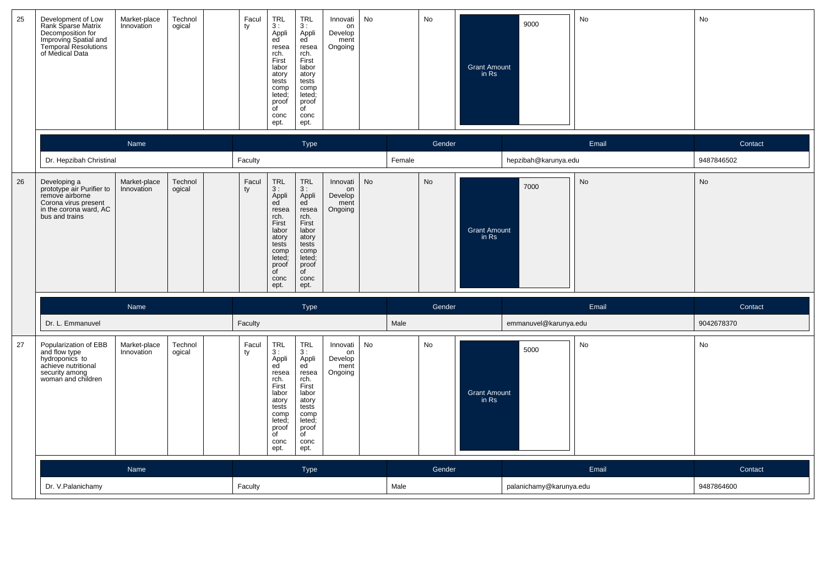| 25 | Development of Low<br>Rank Sparse Matrix<br>Decomposition for<br>Improving Spatial and<br>Temporal Resolutions<br>of Medical Data | Market-place<br>Innovation | Technol<br>ogical | Facul<br>ty | $TRL$<br>3:<br>Appli<br>ed<br>resea<br>rch.<br>First<br>labor<br>atory<br>tests<br>comp<br>leted;<br>proof<br>of<br>conc<br>ept.      | <b>TRL</b><br>3:<br>Appli<br>ed<br>resea<br>rch.<br>First<br>labor<br>atory<br>tests<br>comp<br>leted;<br>proof<br>$\mathsf{d}$<br>conc<br>ept. | Innovati<br>on<br>Develop<br>ment<br>Ongoing | No |        | No     | <b>Grant Amount</b><br>in Rs | 9000                    | No        | No         |
|----|-----------------------------------------------------------------------------------------------------------------------------------|----------------------------|-------------------|-------------|---------------------------------------------------------------------------------------------------------------------------------------|-------------------------------------------------------------------------------------------------------------------------------------------------|----------------------------------------------|----|--------|--------|------------------------------|-------------------------|-----------|------------|
|    |                                                                                                                                   | Name                       |                   |             |                                                                                                                                       | Type                                                                                                                                            |                                              |    |        | Gender |                              |                         | Email     | Contact    |
|    | Dr. Hepzibah Christinal                                                                                                           |                            |                   | Faculty     |                                                                                                                                       |                                                                                                                                                 |                                              |    | Female |        |                              | hepzibah@karunya.edu    |           | 9487846502 |
| 26 | Developing a<br>prototype air Purifier to<br>remove airborne<br>Corona virus present<br>in the corona ward, AC<br>bus and trains  | Market-place<br>Innovation | Technol<br>ogical | Facul<br>ty | <b>TRL</b><br>3:<br>Appli<br>ed<br>resea<br>rch.<br>First<br>labor<br>atory<br>tests<br>comp<br>leted;<br>proof<br>of<br>conc<br>ept. | <b>TRL</b><br>3:<br>Appli<br>ed<br>resea<br>rch.<br>First<br>labor<br>atory<br>tests<br>comp<br>leted;<br>proof<br>of<br>conc<br>ept.           | Innovati<br>on<br>Develop<br>ment<br>Ongoing | No |        | No     | <b>Grant Amount</b><br>in Rs | 7000                    | <b>No</b> | <b>No</b>  |
|    |                                                                                                                                   | Name                       |                   |             |                                                                                                                                       | <b>Type</b>                                                                                                                                     |                                              |    |        | Gender |                              |                         | Email     | Contact    |
|    | Dr. L. Emmanuvel                                                                                                                  |                            |                   | Faculty     |                                                                                                                                       |                                                                                                                                                 |                                              |    | Male   |        |                              | emmanuvel@karunya.edu   |           | 9042678370 |
| 27 | Popularization of EBB<br>and flow type<br>hydroponics to<br>achieve nutritional<br>security among<br>woman and children           | Market-place<br>Innovation | Technol<br>ogical | Facul<br>ty | <b>TRL</b><br>3:<br>Appli<br>ed<br>resea<br>rch.<br>First<br>labor<br>atory<br>tests<br>comp<br>leted:<br>proof<br>of<br>conc<br>ept. | <b>TRL</b><br>3:<br>Appli<br>ed<br>resea<br>rch.<br>First<br>labor<br>atory<br>tests<br>comp<br>leted;<br>proof<br>of<br>conc<br>ept.           | Innovati<br>on<br>Develop<br>ment<br>Ongoing | No |        | No     | <b>Grant Amount</b><br>in Rs | 5000                    | No        | No         |
|    |                                                                                                                                   | Name                       |                   |             |                                                                                                                                       | <b>Type</b>                                                                                                                                     |                                              |    |        | Gender |                              |                         | Email     | Contact    |
|    | Dr. V.Palanichamy                                                                                                                 |                            |                   | Faculty     |                                                                                                                                       |                                                                                                                                                 |                                              |    | Male   |        |                              | palanichamy@karunya.edu |           | 9487864600 |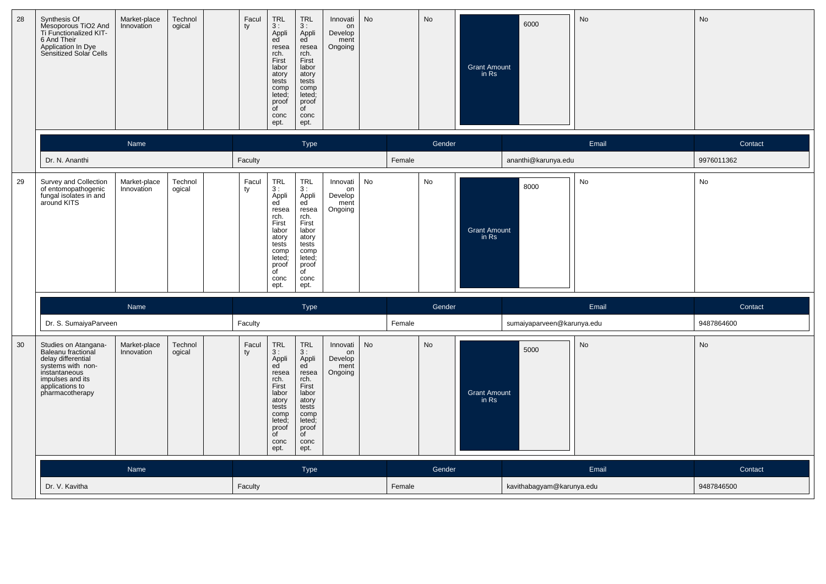| 28 | Synthesis Of<br>Mesoporous TiO2 And<br>Ti Functionalized KIT-<br>6 And Their<br>Application In Dye<br>Sensitized Solar Cells                                     | Market-place<br>Innovation | Technol<br>ogical | Facul<br>ty | TRL<br>3:<br>Appli<br>ed<br>resea<br>rch.<br>First<br>labor<br>atory<br>tests<br>comp<br>leted;<br>proof<br>$\overline{C}$<br>conc<br>ept.        | <b>TRL</b><br>3:<br>Appli<br>ed <sup>'</sup><br>resea<br>rch.<br>First<br>labor<br>atory<br>tests<br>comp<br>leted;<br>proof<br>of<br>conc<br>ept. | Innovati<br>on<br>Develop<br>ment<br>Ongoing | <b>No</b> |        | No     | <b>Grant Amount</b><br>in Rs | 6000                       | <b>No</b> | No         |
|----|------------------------------------------------------------------------------------------------------------------------------------------------------------------|----------------------------|-------------------|-------------|---------------------------------------------------------------------------------------------------------------------------------------------------|----------------------------------------------------------------------------------------------------------------------------------------------------|----------------------------------------------|-----------|--------|--------|------------------------------|----------------------------|-----------|------------|
|    |                                                                                                                                                                  | Name                       |                   |             |                                                                                                                                                   | <b>Type</b>                                                                                                                                        |                                              |           |        | Gender |                              |                            | Email     | Contact    |
|    | Dr. N. Ananthi                                                                                                                                                   |                            |                   | Faculty     |                                                                                                                                                   |                                                                                                                                                    |                                              |           | Female |        |                              | ananthi@karunya.edu        |           | 9976011362 |
| 29 | Survey and Collection<br>of entomopathogenic<br>fungal isolates in and<br>around KITS                                                                            | Market-place<br>Innovation | Technol<br>ogical | Facul<br>ty | <b>TRL</b><br>3:<br>Appli<br>ed<br>resea<br>rch.<br>First<br>labor<br>atory<br>tests<br>comp<br>leted;<br>proof<br>$\overline{C}$<br>conc<br>ept. | <b>TRL</b><br>3:<br>Appli<br>ed<br>resea<br>rch.<br>First<br>labor<br>atory<br>tests<br>comp<br>leted;<br>proof<br>$\overline{C}$<br>conc<br>ept.  | Innovati<br>on<br>Develop<br>ment<br>Ongoing | No        |        | No     | <b>Grant Amount</b><br>in Rs | 8000                       | No        | No         |
|    |                                                                                                                                                                  | Name                       |                   |             |                                                                                                                                                   | <b>Type</b>                                                                                                                                        |                                              |           |        | Gender |                              |                            | Email     | Contact    |
|    | Dr. S. SumaiyaParveen                                                                                                                                            |                            |                   | Faculty     |                                                                                                                                                   |                                                                                                                                                    |                                              |           | Female |        |                              | sumaiyaparveen@karunya.edu |           | 9487864600 |
| 30 | Studies on Atangana-<br>Baleanu fractional<br>delay differential<br>systems with non-<br>instantaneous<br>impulses and its<br>applications to<br>pharmacotherapy | Market-place<br>Innovation | Technol<br>ogical | Facul<br>ty | <b>TRL</b><br>3:<br>Appli<br>ed<br>resea<br>rch.<br>First<br>labor<br>atory<br>tests<br>comp<br>leted;<br>proof<br>of<br>conc<br>ept.             | <b>TRL</b><br>3:<br>Appli<br>ed<br>resea<br>rch.<br>First<br>labor<br>atory<br>tests<br>comp<br>leted;<br>proof<br>of<br>conc<br>ept.              | Innovati<br>on<br>Develop<br>ment<br>Ongoing | <b>No</b> |        | No     | <b>Grant Amount</b><br>in Rs | 5000                       | No        | No         |
|    |                                                                                                                                                                  | Name                       |                   |             |                                                                                                                                                   | <b>Type</b>                                                                                                                                        |                                              |           |        | Gender |                              |                            | Email     | Contact    |
|    | Dr. V. Kavitha                                                                                                                                                   |                            |                   | Faculty     |                                                                                                                                                   |                                                                                                                                                    |                                              |           | Female |        |                              | kavithabagyam@karunya.edu  |           | 9487846500 |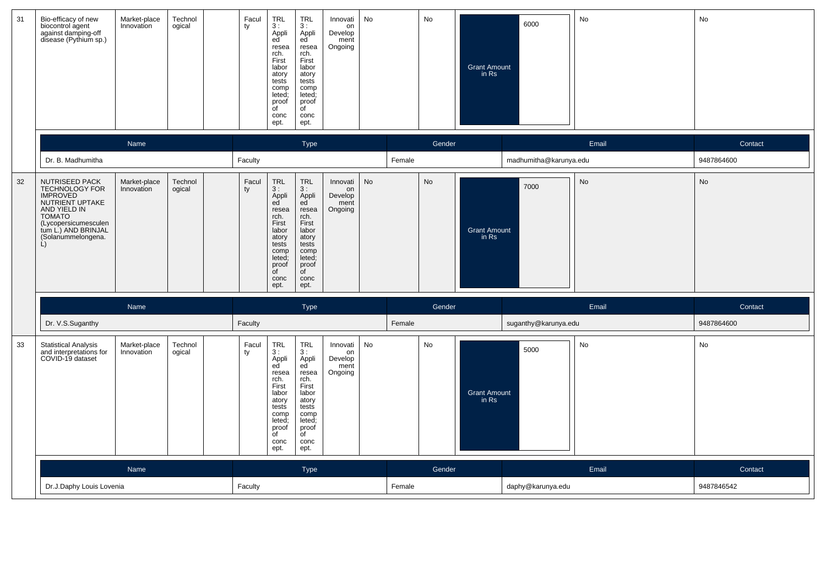| 31 | Bio-efficacy of new<br>biocontrol agent<br>against damping-off<br>disease (Pythium sp.)                                                                                             | Market-place<br>Innovation | Technol<br>ogical | Facul<br>ty | TRL<br>3:<br>Appli<br>ed<br>resea<br>rch.<br>First<br>labor<br>atory<br>tests<br>comp<br>leted;<br>proof<br>$\overline{C}$<br>conc<br>ept. | <b>TRL</b><br>3:<br>Appli<br>ed<br>resea<br>rch.<br>First<br>labor<br>atory<br>tests<br>comp<br>leted;<br>proof<br>$\overline{f}$<br>conc<br>ept. | Innovati<br>on<br>Develop<br>ment<br>Ongoing | No        |        | No        | <b>Grant Amount</b><br>in Rs | 6000                   | No        | No         |
|----|-------------------------------------------------------------------------------------------------------------------------------------------------------------------------------------|----------------------------|-------------------|-------------|--------------------------------------------------------------------------------------------------------------------------------------------|---------------------------------------------------------------------------------------------------------------------------------------------------|----------------------------------------------|-----------|--------|-----------|------------------------------|------------------------|-----------|------------|
|    |                                                                                                                                                                                     | Name                       |                   |             |                                                                                                                                            | Type                                                                                                                                              |                                              |           |        | Gender    |                              |                        | Email     | Contact    |
|    | Dr. B. Madhumitha                                                                                                                                                                   |                            |                   | Faculty     |                                                                                                                                            |                                                                                                                                                   |                                              |           | Female |           |                              | madhumitha@karunya.edu |           | 9487864600 |
| 32 | NUTRISEED PACK<br>TECHNOLOGY FOR<br><b>IMPROVED</b><br>NUTRIENT UPTAKE<br>AND YIELD IN<br><b>TOMATO</b><br>(Lycopersicumesculen<br>tum L.) AND BRINJAL<br>(Solanummelongena.<br>Ĺ). | Market-place<br>Innovation | Technol<br>ogical | Facul<br>ty | <b>TRL</b><br>3:<br>Appli<br>ed<br>resea<br>rch.<br>First<br>labor<br>atory<br>tests<br>comp<br>leted;<br>proof<br>of<br>conc<br>ept.      | <b>TRL</b><br>3:<br>Appli<br>ed<br>resea<br>rch.<br>First<br>labor<br>atory<br>tests<br>comp<br>leted;<br>proof<br>$\overline{C}$<br>conc<br>ept. | Innovati<br>on<br>Develop<br>ment<br>Ongoing | <b>No</b> |        | <b>No</b> | <b>Grant Amount</b><br>in Rs | 7000                   | <b>No</b> | No         |
|    |                                                                                                                                                                                     | Name                       |                   |             |                                                                                                                                            | Type                                                                                                                                              |                                              |           |        | Gender    |                              |                        | Email     | Contact    |
|    | Dr. V.S.Suganthy                                                                                                                                                                    |                            |                   | Faculty     |                                                                                                                                            |                                                                                                                                                   |                                              |           | Female |           |                              | suganthy@karunya.edu   |           | 9487864600 |
| 33 | <b>Statistical Analysis</b><br>and interpretations for<br>COVID-19 dataset                                                                                                          | Market-place<br>Innovation | Technol<br>ogical | Facul<br>ty | <b>TRL</b><br>3:<br>Appli<br>ed<br>resea<br>rch.<br>First<br>labor<br>atory<br>tests<br>comp<br>leted;<br>proof<br>of<br>conc<br>ept.      | <b>TRL</b><br>3:<br>Appli<br>ed<br>resea<br>rch.<br>First<br>labor<br>atory<br>tests<br>comp<br>leted;<br>proof<br>of<br>conc<br>ept.             | Innovati<br>on<br>Develop<br>ment<br>Ongoing | <b>No</b> |        | No        | <b>Grant Amount</b><br>in Rs | 5000                   | No        | No         |
|    |                                                                                                                                                                                     | Name                       |                   |             |                                                                                                                                            | <b>Type</b>                                                                                                                                       |                                              |           |        | Gender    |                              |                        | Email     | Contact    |
|    | Dr.J.Daphy Louis Lovenia                                                                                                                                                            |                            |                   | Faculty     |                                                                                                                                            |                                                                                                                                                   |                                              |           | Female |           |                              | daphy@karunya.edu      |           | 9487846542 |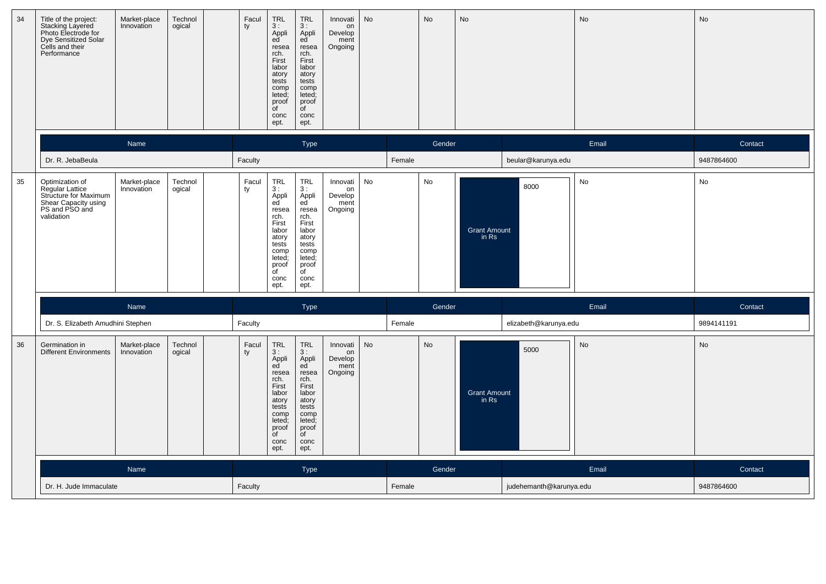| 34 | Title of the project:<br>Stacking Layered<br>Photo Electrode for<br>Dye Sensitized Solar<br>Cells and their<br>Performance | Market-place<br>Innovation | Technol<br>ogical | Facul<br>ty | <b>TRL</b><br>3:<br>Appli<br>ed<br>resea<br>rch.<br>First<br>labor<br>atory<br>tests<br>comp<br>leted;<br>proof<br>of<br>conc<br>ept.             | <b>TRL</b><br>3:<br>Appli<br>ed<br>resea<br>rch.<br>First<br>labor<br>atory<br>tests<br>comp<br>leted;<br>proof<br>$\overline{C}$<br>conc<br>ept.      | Innovati<br>on<br>Develop<br>ment<br>Ongoing | No        |        | No     | <b>No</b>                    |                         | No    | No         |
|----|----------------------------------------------------------------------------------------------------------------------------|----------------------------|-------------------|-------------|---------------------------------------------------------------------------------------------------------------------------------------------------|--------------------------------------------------------------------------------------------------------------------------------------------------------|----------------------------------------------|-----------|--------|--------|------------------------------|-------------------------|-------|------------|
|    |                                                                                                                            | Name                       |                   |             |                                                                                                                                                   | Type                                                                                                                                                   |                                              |           |        | Gender |                              |                         | Email | Contact    |
|    | Dr. R. JebaBeula                                                                                                           |                            |                   | Faculty     |                                                                                                                                                   |                                                                                                                                                        |                                              |           | Female |        |                              | beular@karunya.edu      |       | 9487864600 |
| 35 | Optimization of<br>Regular Lattice<br>Structure for Maximum<br>Shear Capacity using<br>PS and PSO and<br>validation        | Market-place<br>Innovation | Technol<br>ogical | Facul<br>ty | <b>TRL</b><br>3:<br>Appli<br>ed<br>resea<br>rch.<br>First<br>labor<br>atory<br>tests<br>comp<br>leted;<br>proof<br>$\overline{f}$<br>conc<br>ept. | <b>TRL</b><br>3:<br>Appli<br>ed<br>resea<br>rch.<br>First<br>labor<br>atory<br>tests<br>comp<br>leted;<br>proof<br>$\overline{C}$<br>conc<br>ept.      | Innovati<br>on<br>Develop<br>ment<br>Ongoing | No        |        | No     | <b>Grant Amount</b><br>in Rs | 8000                    | No    | No         |
|    |                                                                                                                            | Name                       |                   |             |                                                                                                                                                   | Type                                                                                                                                                   |                                              |           |        | Gender |                              |                         | Email | Contact    |
|    | Dr. S. Elizabeth Amudhini Stephen                                                                                          |                            |                   | Faculty     |                                                                                                                                                   |                                                                                                                                                        |                                              |           | Female |        |                              | elizabeth@karunya.edu   |       | 9894141191 |
| 36 | Germination in<br><b>Different Environments</b>                                                                            | Market-place<br>Innovation | Technol<br>ogical | Facul<br>ty | <b>TRL</b><br>3:<br>Appli<br>ed<br>resea<br>rch.<br>First<br>labor<br>atory<br>tests<br>comp<br>leted;<br>proof<br>$\overline{f}$<br>conc<br>ept. | $\ensuremath{\mathsf{TRL}}$<br>3:<br>Appli<br>ed<br>resea<br>rch.<br>First<br>labor<br>atory<br>tests<br>comp<br>leted;<br>proof<br>of<br>conc<br>ept. | Innovati<br>on<br>Develop<br>ment<br>Ongoing | <b>No</b> |        | No     | <b>Grant Amount</b><br>in Rs | 5000                    | No    | No         |
|    |                                                                                                                            | Name                       |                   |             |                                                                                                                                                   | <b>Type</b>                                                                                                                                            |                                              |           |        | Gender |                              |                         | Email | Contact    |
|    | Dr. H. Jude Immaculate                                                                                                     |                            |                   | Faculty     |                                                                                                                                                   |                                                                                                                                                        |                                              |           | Female |        |                              | judehemanth@karunya.edu |       | 9487864600 |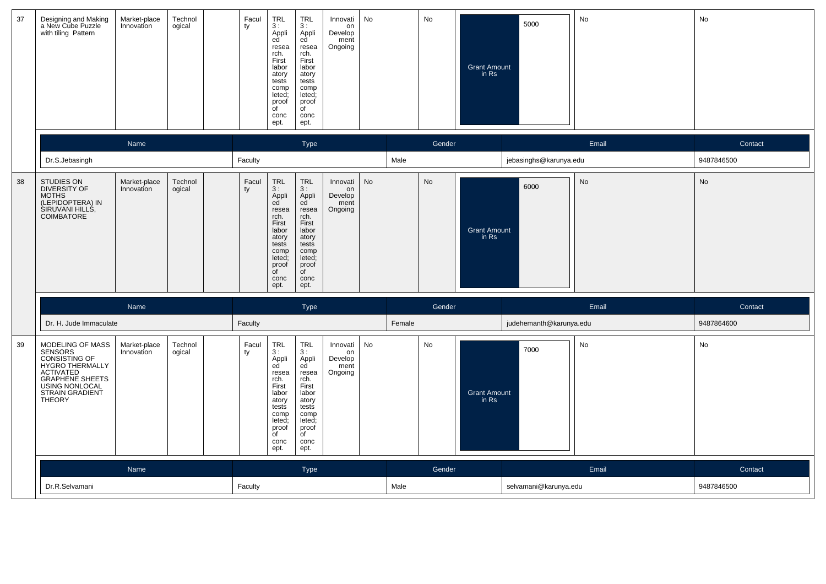| 37 | Designing and Making<br>a New Cube Puzzle<br>with tiling Pattern                                                                                                           | Market-place<br>Innovation | Technol<br>ogical | Facul<br>ty | <b>TRL</b><br>3:<br>Appli<br>ed<br>resea<br>rch.<br>First<br>labor<br>atory<br>tests<br>comp<br>leted;<br>proof<br>$\overline{f}$<br>conc<br>ept. | <b>TRL</b><br>3:<br>Appli<br>ed<br>resea<br>rch.<br>First<br>labor<br>atory<br>tests<br>comp<br>leted;<br>proof<br>$\overline{f}$<br>conc<br>ept.                  | Innovati<br>on<br>Develop<br>ment<br>Ongoing | No        |        | No     | <b>Grant Amount</b><br>in Rs | 5000                    | No    | No         |
|----|----------------------------------------------------------------------------------------------------------------------------------------------------------------------------|----------------------------|-------------------|-------------|---------------------------------------------------------------------------------------------------------------------------------------------------|--------------------------------------------------------------------------------------------------------------------------------------------------------------------|----------------------------------------------|-----------|--------|--------|------------------------------|-------------------------|-------|------------|
|    |                                                                                                                                                                            | Name                       |                   |             |                                                                                                                                                   | Type                                                                                                                                                               |                                              |           |        | Gender |                              |                         | Email | Contact    |
|    | Dr.S.Jebasingh                                                                                                                                                             |                            |                   | Faculty     |                                                                                                                                                   |                                                                                                                                                                    |                                              |           | Male   |        |                              | jebasinghs@karunya.edu  |       | 9487846500 |
| 38 | STUDIES ON<br><b>DIVERSITY OF</b><br><b>MOTHS</b><br>(LEPIDOPTERA) IN<br>SIRUVANI HILLS,<br>COIMBATORE                                                                     | Market-place<br>Innovation | Technol<br>ogical | Facul<br>ty | <b>TRL</b><br>3:<br>Appli<br>ed<br>resea<br>rch.<br>First<br>labor<br>atory<br>tests<br>comp<br>leted;<br>proof<br>of<br>conc<br>ept.             | $\ensuremath{\mathsf{TRL}}$<br>3:<br>Appli<br>ed<br>resea<br>rch.<br>First<br>labor<br>atory<br>tests<br>comp<br>leted;<br>proof<br>$\overline{C}$<br>conc<br>ept. | Innovati<br>on<br>Develop<br>ment<br>Ongoing | <b>No</b> |        | No     | <b>Grant Amount</b><br>in Rs | 6000                    | No    | No         |
|    |                                                                                                                                                                            | Name                       |                   |             |                                                                                                                                                   | <b>Type</b>                                                                                                                                                        |                                              |           |        | Gender |                              |                         | Email | Contact    |
|    | Dr. H. Jude Immaculate                                                                                                                                                     |                            |                   | Faculty     |                                                                                                                                                   |                                                                                                                                                                    |                                              |           | Female |        |                              | judehemanth@karunya.edu |       | 9487864600 |
| 39 | MODELING OF MASS<br><b>SENSORS</b><br>CONSISTING OF<br>HYGRO THERMALLY<br><b>ACTIVATED</b><br>GRAPHENE SHEETS<br>USING NONLOCAL<br><b>STRAIN GRADIENT</b><br><b>THEORY</b> | Market-place<br>Innovation | Technol<br>ogical | Facul<br>ty | <b>TRL</b><br>3:<br>Appli<br>ed<br>resea<br>rch.<br>First<br>labor<br>atory<br>tests<br>comp<br>leted;<br>proof<br>of<br>conc<br>ept.             | <b>TRL</b><br>3:<br>Appli<br>ed<br>resea<br>rch.<br>First<br>labor<br>atory<br>tests<br>comp<br>leted;<br>proof<br>of<br>conc<br>ept.                              | Innovati<br>on<br>Develop<br>ment<br>Ongoing | <b>No</b> |        | No     | <b>Grant Amount</b><br>in Rs | 7000                    | No    | No         |
|    |                                                                                                                                                                            | <b>Name</b>                |                   |             |                                                                                                                                                   | <b>Type</b>                                                                                                                                                        |                                              |           |        | Gender |                              |                         | Email | Contact    |
|    | Dr.R.Selvamani                                                                                                                                                             |                            |                   | Faculty     |                                                                                                                                                   |                                                                                                                                                                    |                                              |           | Male   |        |                              | selvamani@karunya.edu   |       | 9487846500 |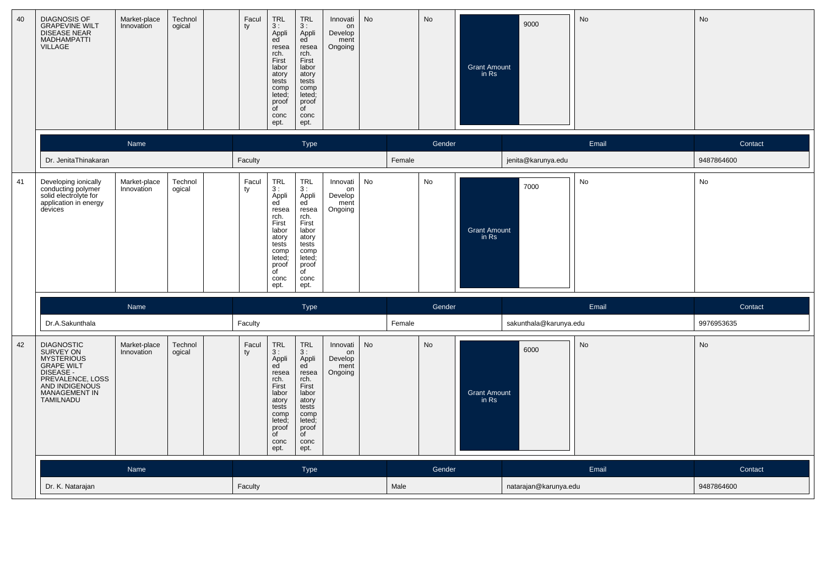| 40 | <b>DIAGNOSIS OF</b><br><b>GRAPEVINE WILT</b><br>DISEASE NEAR<br>MADHAMPATTI<br><b>VILLAGE</b>                                                                           | Market-place<br>Innovation | Technol<br>ogical | Facul<br>ty | <b>TRL</b><br>3:<br>Appli<br>ed<br>resea<br>rch.<br>First<br>labor<br>atory<br>tests<br>comp<br>leted;<br>proof<br>of<br>conc<br>ept.             | <b>TRL</b><br>3:<br>Appli<br>ed<br>resea<br>rch.<br>First<br>labor<br>atory<br>tests<br>comp<br>leted;<br>proof<br>$\overline{C}$<br>conc<br>ept. | Innovati<br>on<br>Develop<br>ment<br>Ongoing | No        |        | No     | <b>Grant Amount</b><br>in Rs | 9000                   | No    | No         |
|----|-------------------------------------------------------------------------------------------------------------------------------------------------------------------------|----------------------------|-------------------|-------------|---------------------------------------------------------------------------------------------------------------------------------------------------|---------------------------------------------------------------------------------------------------------------------------------------------------|----------------------------------------------|-----------|--------|--------|------------------------------|------------------------|-------|------------|
|    |                                                                                                                                                                         | Name                       |                   |             |                                                                                                                                                   | Type                                                                                                                                              |                                              |           |        | Gender |                              |                        | Email | Contact    |
|    | Dr. JenitaThinakaran                                                                                                                                                    |                            |                   | Faculty     |                                                                                                                                                   |                                                                                                                                                   |                                              |           | Female |        |                              | jenita@karunya.edu     |       | 9487864600 |
| 41 | Developing ionically<br>conducting polymer<br>solid electrolyte for<br>application in energy<br>devices                                                                 | Market-place<br>Innovation | Technol<br>ogical | Facul<br>ty | <b>TRL</b><br>3:<br>Appli<br>ed<br>resea<br>rch.<br>First<br>labor<br>atory<br>tests<br>comp<br>leted;<br>proof<br>$\overline{f}$<br>conc<br>ept. | <b>TRL</b><br>3:<br>Appli<br>ed<br>resea<br>rch.<br>First<br>labor<br>atory<br>tests<br>comp<br>leted;<br>proof<br>$\overline{C}$<br>conc<br>ept. | Innovati<br>on<br>Develop<br>ment<br>Ongoing | No        |        | No     | <b>Grant Amount</b><br>in Rs | 7000                   | No    | No         |
|    |                                                                                                                                                                         | Name                       |                   |             |                                                                                                                                                   | <b>Type</b>                                                                                                                                       |                                              |           |        | Gender |                              |                        | Email | Contact    |
|    | Dr.A.Sakunthala                                                                                                                                                         |                            |                   | Faculty     |                                                                                                                                                   |                                                                                                                                                   |                                              |           | Female |        |                              | sakunthala@karunya.edu |       | 9976953635 |
| 42 | <b>DIAGNOSTIC</b><br>SURVEY ON<br><b>MYSTERIOUS</b><br><b>GRAPE WILT</b><br>DISEASE -<br>PREVALENCE, LOSS<br>AND INDIGENOUS<br><b>MANAGEMENT IN</b><br><b>TAMILNADU</b> | Market-place<br>Innovation | Technol<br>ogical | Facul<br>ty | TRL<br>3:<br>Appli<br>ed<br>resea<br>rch.<br>First<br>labor<br>atory<br>tests<br>comp<br>leted;<br>proof<br>$\overline{f}$<br>conc<br>ept.        | TRL<br>3:<br>Appli<br>ed<br>resea<br>rch.<br>First<br>labor<br>atory<br>tests<br>comp<br>leted:<br>proof<br>of<br>conc<br>ept.                    | Innovati<br>on<br>Develop<br>ment<br>Ongoing | <b>No</b> |        | No     | <b>Grant Amount</b><br>in Rs | 6000                   | No    | No         |
|    |                                                                                                                                                                         | Name                       |                   |             |                                                                                                                                                   | <b>Type</b>                                                                                                                                       |                                              |           |        | Gender |                              |                        | Email | Contact    |
|    | Dr. K. Natarajan                                                                                                                                                        |                            |                   | Faculty     |                                                                                                                                                   |                                                                                                                                                   |                                              |           | Male   |        |                              | natarajan@karunya.edu  |       | 9487864600 |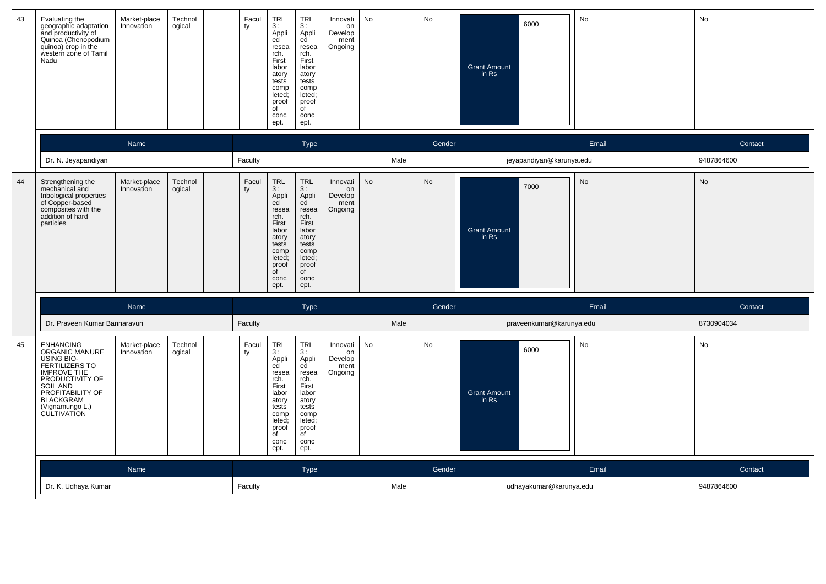| 43 | Evaluating the<br>geographic adaptation<br>and productivity of<br>Quinoa (Chenopodium<br>quinoa) crop in the<br>western zone of Tamil<br>Nadu                                                            | Market-place<br>Innovation | Technol<br>ogical | Facul<br>ty | $TRL$<br>3:<br>Appli<br>ed<br>resea<br>rch.<br>First<br>labor<br>atory<br>tests<br>comp<br>leted;<br>proof<br>of<br>conc<br>ept.      | <b>TRL</b><br>3:<br>Appli<br>ed<br>resea<br>rch.<br>First<br>labor<br>atory<br>tests<br>comp<br>leted;<br>proof<br>$\mathsf{d}$<br>conc<br>ept. | Innovati<br>on<br>Develop<br>ment<br>Ongoing | No |      | No     | <b>Grant Amount</b><br>in Rs | 6000                     | No        | No         |
|----|----------------------------------------------------------------------------------------------------------------------------------------------------------------------------------------------------------|----------------------------|-------------------|-------------|---------------------------------------------------------------------------------------------------------------------------------------|-------------------------------------------------------------------------------------------------------------------------------------------------|----------------------------------------------|----|------|--------|------------------------------|--------------------------|-----------|------------|
|    |                                                                                                                                                                                                          | Name                       |                   |             |                                                                                                                                       | <b>Type</b>                                                                                                                                     |                                              |    |      | Gender |                              |                          | Email     | Contact    |
|    | Dr. N. Jeyapandiyan                                                                                                                                                                                      |                            |                   | Faculty     |                                                                                                                                       |                                                                                                                                                 |                                              |    | Male |        |                              | jeyapandiyan@karunya.edu |           | 9487864600 |
| 44 | Strengthening the<br>mechanical and<br>tribological properties<br>of Copper-based<br>composites with the<br>addition of hard<br>particles                                                                | Market-place<br>Innovation | Technol<br>ogical | Facul<br>ty | <b>TRL</b><br>3:<br>Appli<br>ed<br>resea<br>rch.<br>First<br>labor<br>atory<br>tests<br>comp<br>leted;<br>proof<br>of<br>conc<br>ept. | <b>TRL</b><br>3:<br>Appli<br>ed<br>resea<br>rch.<br>First<br>labor<br>atory<br>tests<br>comp<br>leted;<br>proof<br>of<br>conc<br>ept.           | Innovati<br>on<br>Develop<br>ment<br>Ongoing | No |      | No     | <b>Grant Amount</b><br>in Rs | 7000                     | <b>No</b> | <b>No</b>  |
|    |                                                                                                                                                                                                          | Name                       |                   |             |                                                                                                                                       | <b>Type</b>                                                                                                                                     |                                              |    |      | Gender |                              |                          | Email     | Contact    |
|    | Dr. Praveen Kumar Bannaravuri                                                                                                                                                                            |                            |                   | Faculty     |                                                                                                                                       |                                                                                                                                                 |                                              |    | Male |        |                              | praveenkumar@karunya.edu |           | 8730904034 |
| 45 | <b>ENHANCING</b><br>ORGANIC MANURE<br>USING BIO-<br>FERTILIZERS TO<br><b>IMPROVE THE</b><br>PRODUCTIVITY OF<br>SOIL AND<br>PROFITABILITY OF<br><b>BLACKGRAM</b><br>(Vignamungo L.)<br><b>CULTIVATION</b> | Market-place<br>Innovation | Technol<br>ogical | Facul<br>ty | <b>TRL</b><br>3:<br>Appli<br>ed<br>resea<br>rch.<br>First<br>labor<br>atory<br>tests<br>comp<br>leted:<br>proof<br>of<br>conc<br>ept. | <b>TRL</b><br>3:<br>Appli<br>ed<br>resea<br>rch.<br>First<br>labor<br>atory<br>tests<br>comp<br>leted;<br>proof<br>of<br>conc<br>ept.           | Innovati<br>on<br>Develop<br>ment<br>Ongoing | No |      | No     | <b>Grant Amount</b><br>in Rs | 6000                     | No        | No         |
|    |                                                                                                                                                                                                          | Name                       |                   |             |                                                                                                                                       | <b>Type</b>                                                                                                                                     |                                              |    |      | Gender |                              |                          | Email     | Contact    |
|    | Dr. K. Udhaya Kumar                                                                                                                                                                                      |                            |                   | Faculty     |                                                                                                                                       |                                                                                                                                                 |                                              |    | Male |        |                              | udhayakumar@karunya.edu  |           | 9487864600 |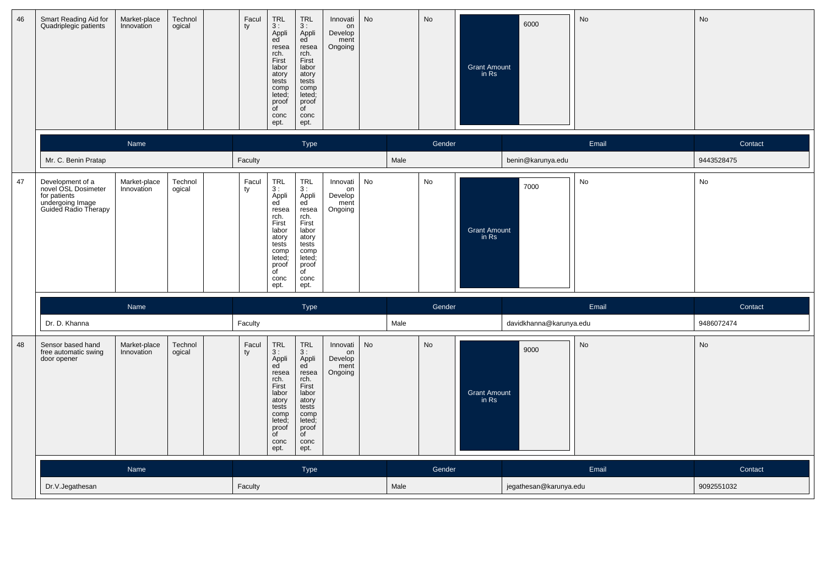| 46 | Smart Reading Aid for<br>Quadriplegic patients                                                      | Market-place<br>Innovation | Technol<br>ogical | Facul<br>ty | <b>TRL</b><br>3:<br>Appli<br>ed<br>resea<br>rch.<br>First<br>labor<br>atory<br>tests<br>comp<br>leted;<br>proof<br>of<br>conc<br>ept. | <b>TRL</b><br>3:<br>Appli<br>ed<br>resea<br>rch.<br>First<br>labor<br>atory<br>tests<br>comp<br>leted;<br>proof<br>$\overline{C}$<br>conc<br>ept. | Innovati<br>on<br>Develop<br>ment<br>Ongoing | No        |      | <b>No</b> | <b>Grant Amount</b><br>in Rs | 6000                    | No    | No         |
|----|-----------------------------------------------------------------------------------------------------|----------------------------|-------------------|-------------|---------------------------------------------------------------------------------------------------------------------------------------|---------------------------------------------------------------------------------------------------------------------------------------------------|----------------------------------------------|-----------|------|-----------|------------------------------|-------------------------|-------|------------|
|    |                                                                                                     | Name                       |                   |             |                                                                                                                                       | Type                                                                                                                                              |                                              |           |      | Gender    |                              |                         | Email | Contact    |
|    | Mr. C. Benin Pratap                                                                                 |                            |                   | Faculty     |                                                                                                                                       |                                                                                                                                                   |                                              |           | Male |           |                              | benin@karunya.edu       |       | 9443528475 |
| 47 | Development of a<br>novel OSL Dosimeter<br>for patients<br>undergoing Image<br>Guided Radio Therapy | Market-place<br>Innovation | Technol<br>ogical | Facul<br>ty | <b>TRL</b><br>3:<br>Appli<br>ed<br>resea<br>rch.<br>First<br>labor<br>atory<br>tests<br>comp<br>leted;<br>proof<br>of<br>conc<br>ept. | <b>TRL</b><br>3:<br>Appli<br>ed<br>resea<br>rch.<br>First<br>labor<br>atory<br>tests<br>comp<br>leted;<br>proof<br>$\overline{C}$<br>conc<br>ept. | Innovati<br>on<br>Develop<br>ment<br>Ongoing | No        |      | No        | <b>Grant Amount</b><br>in Rs | 7000                    | No    | No         |
|    |                                                                                                     | Name                       |                   |             |                                                                                                                                       | <b>Type</b>                                                                                                                                       |                                              |           |      | Gender    |                              |                         | Email | Contact    |
|    | Dr. D. Khanna                                                                                       |                            |                   | Faculty     |                                                                                                                                       |                                                                                                                                                   |                                              |           | Male |           |                              | davidkhanna@karunya.edu |       | 9486072474 |
| 48 | Sensor based hand<br>free automatic swing<br>door opener                                            | Market-place<br>Innovation | Technol<br>ogical | Facul<br>ty | TRL<br>3:<br>Appli<br>ed<br>resea<br>rch.<br>First<br>labor<br>atory<br>tests<br>comp<br>leted;<br>proof<br>of<br>conc<br>ept.        | TRL<br>3:<br>Appli<br>ed<br>resea<br>rch.<br>First<br>labor<br>atory<br>tests<br>comp<br>leted;<br>proof<br>of<br>conc<br>ept.                    | Innovati<br>on<br>Develop<br>ment<br>Ongoing | <b>No</b> |      | <b>No</b> | <b>Grant Amount</b><br>in Rs | 9000                    | No    | No         |
|    |                                                                                                     | Name                       |                   |             |                                                                                                                                       | <b>Type</b>                                                                                                                                       |                                              |           |      | Gender    |                              |                         | Email | Contact    |
|    | Dr.V.Jegathesan                                                                                     |                            |                   | Faculty     |                                                                                                                                       |                                                                                                                                                   |                                              |           | Male |           |                              | jegathesan@karunya.edu  |       | 9092551032 |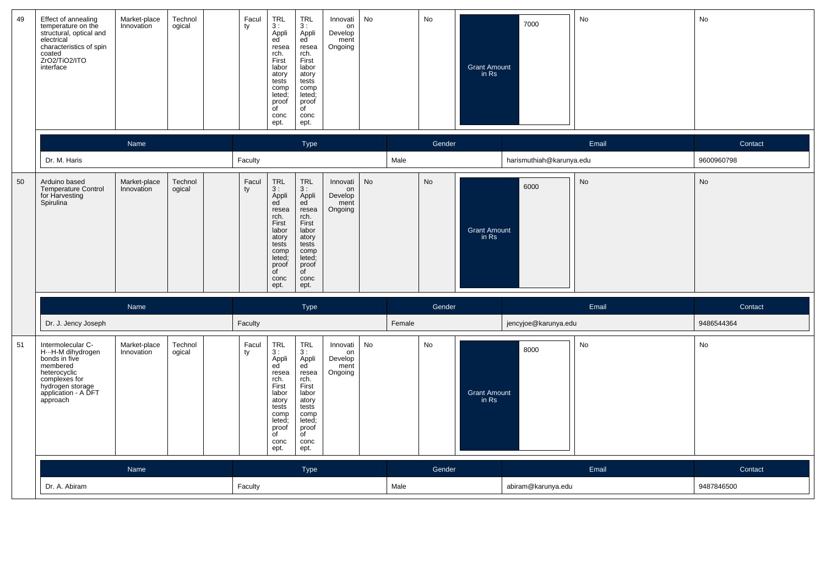| 49 | Effect of annealing<br>temperature on the<br>structural, optical and<br>electrical<br>characteristics of spin<br>coated<br>ZrO2/TiO2/ITO<br>interface          | Market-place<br>Innovation | Technol<br>ogical | Facul<br>ty | <b>TRL</b><br>3:<br>Appli<br>ed<br>resea<br>rch.<br>First<br>labor<br>atory<br>tests<br>comp<br>leted;<br>proof<br>$\overline{C}$<br>conc<br>ept. | <b>TRL</b><br>3:<br>Appli<br>ed<br>resea<br>rch.<br>First<br>labor<br>atory<br>tests<br>comp<br>leted;<br>proof<br>$\overline{C}$<br>conc<br>ept. | Innovati<br>on<br>Develop<br>ment<br>Ongoing | No        |        | No        | <b>Grant Amount</b><br>in Rs | 7000                     | No    | No         |
|----|----------------------------------------------------------------------------------------------------------------------------------------------------------------|----------------------------|-------------------|-------------|---------------------------------------------------------------------------------------------------------------------------------------------------|---------------------------------------------------------------------------------------------------------------------------------------------------|----------------------------------------------|-----------|--------|-----------|------------------------------|--------------------------|-------|------------|
|    |                                                                                                                                                                | Name                       |                   |             |                                                                                                                                                   | Type                                                                                                                                              |                                              |           |        | Gender    |                              |                          | Email | Contact    |
|    | Dr. M. Haris                                                                                                                                                   |                            |                   | Faculty     |                                                                                                                                                   |                                                                                                                                                   |                                              |           | Male   |           |                              | harismuthiah@karunya.edu |       | 9600960798 |
| 50 | Arduino based<br><b>Temperature Control</b><br>for Harvesting<br>Spirulina                                                                                     | Market-place<br>Innovation | Technol<br>ogical | Facul<br>ty | <b>TRL</b><br>3:<br>Appli<br>ed<br>resea<br>rch.<br>First<br>labor<br>atory<br>tests<br>comp<br>leted;<br>proof<br>$\overline{C}$<br>conc<br>ept. | <b>TRL</b><br>3:<br>Appli<br>ed<br>resea<br>rch.<br>First<br>labor<br>atory<br>tests<br>comp<br>leted;<br>proof<br>$\overline{C}$<br>conc<br>ept. | Innovati<br>on<br>Develop<br>ment<br>Ongoing | <b>No</b> |        | <b>No</b> | <b>Grant Amount</b><br>in Rs | 6000                     | No    | <b>No</b>  |
|    |                                                                                                                                                                | Name                       |                   |             |                                                                                                                                                   | Type                                                                                                                                              |                                              |           |        | Gender    |                              |                          | Email | Contact    |
|    | Dr. J. Jency Joseph                                                                                                                                            |                            |                   | Faculty     |                                                                                                                                                   |                                                                                                                                                   |                                              |           | Female |           |                              | jencyjoe@karunya.edu     |       | 9486544364 |
| 51 | Intermolecular C-<br>H ··· H-M dihydrogen<br>bonds in five<br>membered<br>heterocyclic<br>complexes for<br>hydrogen storage<br>application - A DFT<br>approach | Market-place<br>Innovation | Technol<br>ogical | Facul<br>ty | <b>TRL</b><br>3:<br>Appli<br>ed<br>resea<br>rch.<br>First<br>labor<br>atory<br>tests<br>comp<br>leted;<br>proof<br>of<br>conc<br>ept.             | <b>TRL</b><br>3:<br>Appli<br>ed<br>resea<br>rch.<br>First<br>labor<br>atory<br>tests<br>comp<br>leted;<br>proof<br>of<br>conc<br>ept.             | Innovati<br>on<br>Develop<br>ment<br>Ongoing | No        |        | No        | <b>Grant Amount</b><br>in Rs | 8000                     | No    | No         |
|    |                                                                                                                                                                | Name                       |                   |             |                                                                                                                                                   | <b>Type</b>                                                                                                                                       |                                              |           |        | Gender    |                              |                          | Email | Contact    |
|    | Dr. A. Abiram                                                                                                                                                  |                            |                   | Faculty     |                                                                                                                                                   |                                                                                                                                                   |                                              |           | Male   |           |                              | abiram@karunya.edu       |       | 9487846500 |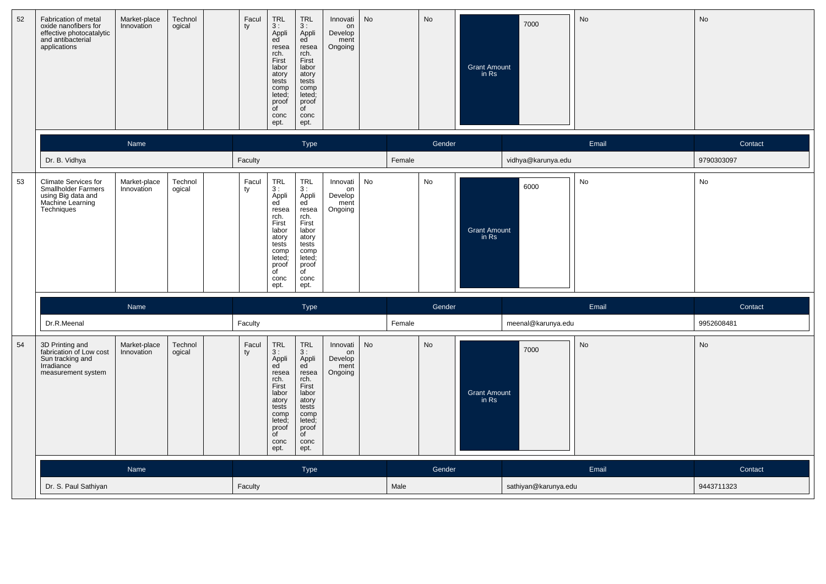| 52 | Fabrication of metal<br>oxide nanofibers for<br>effective photocatalytic<br>and antibacterial<br>applications | Market-place<br>Innovation | Technol<br>ogical | Facul<br>ty | TRL<br>3:<br>Appli<br>ed<br>resea<br>rch.<br>First<br>labor<br>atory<br>tests<br>comp<br>leted;<br>proof<br>of<br>conc<br>ept.             | <b>TRL</b><br>3:<br>Appli<br>ed<br>resea<br>rch.<br>First<br>labor<br>atory<br>tests<br>comp<br>leted;<br>proof<br>$\overline{C}$<br>conc<br>ept. | Innovati<br>on<br>Develop<br>ment<br>Ongoing | No |        | No     | <b>Grant Amount</b><br>in Rs | 7000                 | No    | No         |
|----|---------------------------------------------------------------------------------------------------------------|----------------------------|-------------------|-------------|--------------------------------------------------------------------------------------------------------------------------------------------|---------------------------------------------------------------------------------------------------------------------------------------------------|----------------------------------------------|----|--------|--------|------------------------------|----------------------|-------|------------|
|    |                                                                                                               | Name                       |                   |             |                                                                                                                                            | Type                                                                                                                                              |                                              |    |        | Gender |                              |                      | Email | Contact    |
|    | Dr. B. Vidhya                                                                                                 |                            |                   | Faculty     |                                                                                                                                            |                                                                                                                                                   |                                              |    | Female |        |                              | vidhya@karunya.edu   |       | 9790303097 |
| 53 | Climate Services for<br><b>Smallholder Farmers</b><br>using Big data and<br>Machine Learning<br>Techniques    | Market-place<br>Innovation | Technol<br>ogical | Facul<br>ty | TRL<br>3:<br>Appli<br>ed<br>resea<br>rch.<br>First<br>labor<br>atory<br>tests<br>comp<br>leted;<br>proof<br>$\overline{C}$<br>conc<br>ept. | TRL<br>3:<br>Appli<br>ed<br>resea<br>rch.<br>First<br>labor<br>atory<br>tests<br>comp<br>leted;<br>proof<br>of<br>conc<br>ept.                    | Innovati<br>on<br>Develop<br>ment<br>Ongoing | No |        | No     | <b>Grant Amount</b><br>in Rs | 6000                 | No    | No         |
|    |                                                                                                               | Name                       |                   |             |                                                                                                                                            | Type                                                                                                                                              |                                              |    |        | Gender |                              |                      | Email | Contact    |
|    | Dr.R.Meenal                                                                                                   |                            |                   | Faculty     |                                                                                                                                            |                                                                                                                                                   |                                              |    | Female |        |                              | meenal@karunya.edu   |       | 9952608481 |
| 54 | 3D Printing and<br>fabrication of Low cost<br>Sun tracking and<br>Irradiance<br>measurement system            | Market-place<br>Innovation | Technol<br>ogical | Facul<br>ty | TRL<br>3:<br>Appli<br>ed<br>resea<br>rch.<br>First<br>labor<br>atory<br>tests<br>comp<br>leted<br>proof<br>$\overline{C}$<br>conc<br>ept.  | <b>TRL</b><br>3:<br>Appli<br>ed<br>resea<br>rch.<br>First<br>labor<br>atory<br>tests<br>comp<br>leted;<br>proof<br>of<br>conc<br>ept.             | Innovati<br>on<br>Develop<br>ment<br>Ongoing | No |        | No     | <b>Grant Amount</b><br>in Rs | 7000                 | No    | No         |
|    |                                                                                                               | Name                       |                   |             |                                                                                                                                            | Type                                                                                                                                              |                                              |    |        | Gender |                              |                      | Email | Contact    |
|    | Dr. S. Paul Sathiyan                                                                                          |                            |                   | Faculty     |                                                                                                                                            |                                                                                                                                                   |                                              |    | Male   |        |                              | sathiyan@karunya.edu |       | 9443711323 |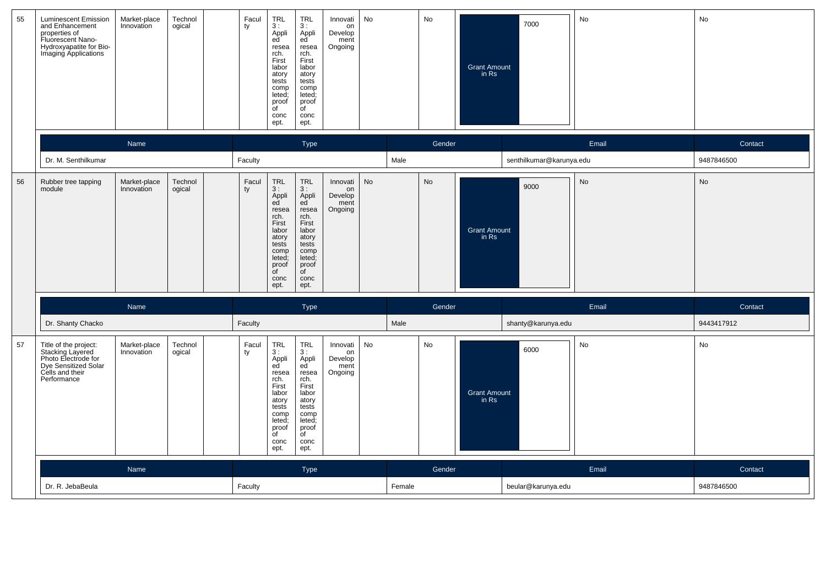| 55 | <b>Luminescent Emission</b><br>and Enhancement<br>properties of<br>Fluorescent Nano-<br>Hydroxyapatite for Bio-<br>Imaging Applications           | Market-place<br>Innovation | Technol<br>ogical | Facul<br>ty | <b>TRL</b><br>3:<br>Appli<br>ed<br>resea<br>rch.<br>First<br>labor<br>atory<br>tests<br>comp<br>leted;<br>proof<br>$\overline{C}$<br>conc<br>ept. | <b>TRL</b><br>3:<br>Appli<br>ed <sup>'</sup><br>resea<br>rch.<br>First<br>labor<br>atory<br>tests<br>comp<br>leted;<br>proof<br>of<br>conc<br>ept. | Innovati<br>on<br>Develop<br>ment<br>Ongoing | No        |        | No     | <b>Grant Amount</b><br>in Rs | 7000                     | No        | No         |
|----|---------------------------------------------------------------------------------------------------------------------------------------------------|----------------------------|-------------------|-------------|---------------------------------------------------------------------------------------------------------------------------------------------------|----------------------------------------------------------------------------------------------------------------------------------------------------|----------------------------------------------|-----------|--------|--------|------------------------------|--------------------------|-----------|------------|
|    |                                                                                                                                                   | Name                       |                   |             |                                                                                                                                                   | Type                                                                                                                                               |                                              |           |        | Gender |                              |                          | Email     | Contact    |
|    | Dr. M. Senthilkumar                                                                                                                               |                            |                   | Faculty     |                                                                                                                                                   |                                                                                                                                                    |                                              |           | Male   |        |                              | senthilkumar@karunya.edu |           | 9487846500 |
| 56 | Rubber tree tapping<br>module                                                                                                                     | Market-place<br>Innovation | Technol<br>ogical | Facul<br>ty | <b>TRL</b><br>3:<br>Appli<br>ed<br>resea<br>rch.<br>First<br>labor<br>atory<br>tests<br>comp<br>leted;<br>proof<br>$\overline{C}$<br>conc<br>ept. | TRL<br>3:<br>Appli<br>ed<br>resea<br>rch.<br>First<br>labor<br>atory<br>tests<br>comp<br>leted;<br>proof<br>$\overline{C}$<br>conc<br>ept.         | Innovati<br>on<br>Develop<br>ment<br>Ongoing | <b>No</b> |        | No     | <b>Grant Amount</b><br>in Rs | 9000                     | <b>No</b> | <b>No</b>  |
|    |                                                                                                                                                   | Name                       |                   |             |                                                                                                                                                   | Type                                                                                                                                               |                                              |           |        | Gender |                              |                          | Email     | Contact    |
|    | Dr. Shanty Chacko                                                                                                                                 |                            |                   | Faculty     |                                                                                                                                                   |                                                                                                                                                    |                                              |           | Male   |        |                              | shanty@karunya.edu       |           | 9443417912 |
| 57 | Title of the project:<br>The of the project.<br>Stacking Layered<br>Photo Electrode for<br>Dye Sensitized Solar<br>Cells and their<br>Performance | Market-place<br>Innovation | Technol<br>ogical | Facul<br>ty | <b>TRL</b><br>3:<br>Appli<br>ed<br>resea<br>rch.<br>First<br>labor<br>atory<br>tests<br>comp<br>leted;<br>proof<br>of<br>conc<br>ept.             | <b>TRL</b><br>3:<br>Appli<br>ed<br>resea<br>rch.<br>First<br>labor<br>atory<br>tests<br>comp<br>leted;<br>proof<br>of<br>conc<br>ept.              | Innovati<br>on<br>Develop<br>ment<br>Ongoing | No        |        | No     | <b>Grant Amount</b><br>in Rs | 6000                     | No        | No         |
|    |                                                                                                                                                   | <b>Name</b>                |                   |             |                                                                                                                                                   | <b>Type</b>                                                                                                                                        |                                              |           |        | Gender |                              |                          | Email     | Contact    |
|    | Dr. R. JebaBeula                                                                                                                                  |                            |                   | Faculty     |                                                                                                                                                   |                                                                                                                                                    |                                              |           | Female |        |                              | beular@karunya.edu       |           | 9487846500 |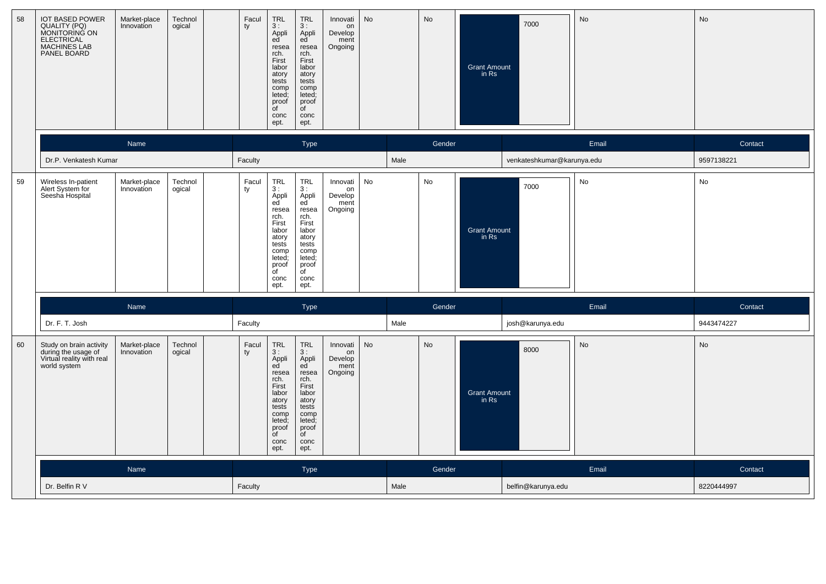| 58 | <b>IOT BASED POWER</b><br>QUALITY (PQ)<br>MONITORING ON<br><b>ELECTRICAL</b><br><b>MACHINES LAB</b><br>PANEL BOARD | Market-place<br>Innovation | Technol<br>ogical | Facul<br>ty | $TRL$<br>3 :<br>Appli<br>ed<br>resea<br>rch.<br>First<br>labor<br>atory<br>tests<br>comp<br>leted;<br>proof<br>of<br>conc<br>ept.                                                  | <b>TRL</b><br>3:<br>Appli<br>ed<br>resea<br>rch.<br>First<br>labor<br>atory<br>tests<br>comp<br>leted;<br>proof<br>of<br>conc<br>ept.                                              | Innovati<br>on<br>Develop<br>ment<br>Ongoing | No        |      | <b>No</b> | <b>Grant Amount</b><br>in Rs | 7000                       | No    | No         |
|----|--------------------------------------------------------------------------------------------------------------------|----------------------------|-------------------|-------------|------------------------------------------------------------------------------------------------------------------------------------------------------------------------------------|------------------------------------------------------------------------------------------------------------------------------------------------------------------------------------|----------------------------------------------|-----------|------|-----------|------------------------------|----------------------------|-------|------------|
|    |                                                                                                                    | Name                       |                   |             |                                                                                                                                                                                    | <b>Type</b>                                                                                                                                                                        |                                              |           |      | Gender    |                              |                            | Email | Contact    |
|    | Dr.P. Venkatesh Kumar                                                                                              |                            |                   | Faculty     |                                                                                                                                                                                    |                                                                                                                                                                                    |                                              |           | Male |           |                              | venkateshkumar@karunya.edu |       | 9597138221 |
| 59 | Wireless In-patient<br>Alert System for<br>Seesha Hospital                                                         | Market-place<br>Innovation | Technol<br>ogical | Facul<br>ty | $\begin{array}{c} \mathsf{TRL} \\ 3: \end{array}$<br>Appli<br>ed<br>resea<br>rch.<br>First<br>labor<br>atory<br>tests<br>comp<br>leted;<br>proof<br>$\overline{f}$<br>conc<br>ept. | $\begin{array}{c} \mathsf{TRL} \\ 3: \end{array}$<br>Appli<br>ed<br>resea<br>rch.<br>First<br>labor<br>atory<br>tests<br>comp<br>leted;<br>proof<br>$\overline{C}$<br>conc<br>ept. | Innovati<br>on<br>Develop<br>ment<br>Ongoing | No        |      | No        | <b>Grant Amount</b><br>in Rs | 7000                       | No    | No         |
|    |                                                                                                                    | Name                       |                   |             |                                                                                                                                                                                    | Type                                                                                                                                                                               |                                              |           |      | Gender    |                              |                            | Email | Contact    |
|    | Dr. F. T. Josh                                                                                                     |                            |                   | Faculty     |                                                                                                                                                                                    |                                                                                                                                                                                    |                                              |           | Male |           |                              | josh@karunya.edu           |       | 9443474227 |
| 60 | Study on brain activity<br>during the usage of<br>Virtual reality with real<br>world system                        | Market-place<br>Innovation | Technol<br>ogical | Facul<br>ty | $\ensuremath{\mathsf{TRL}}$<br>3:<br>Appli<br>ed<br>resea<br>rch.<br>First<br>labor<br>atory<br>tests<br>comp<br>leted;<br>proof<br>of<br>conc<br>ept.                             | TRL<br>3:<br>Appli<br>ed<br>resea<br>rch.<br>First<br>labor<br>atory<br>tests<br>comp<br>leted;<br>proof<br>of<br>conc<br>ept.                                                     | Innovati<br>on<br>Develop<br>ment<br>Ongoing | <b>No</b> |      | No        | <b>Grant Amount</b><br>in Rs | 8000                       | No    | No         |
|    |                                                                                                                    | Name                       |                   |             |                                                                                                                                                                                    | <b>Type</b>                                                                                                                                                                        |                                              |           |      | Gender    |                              |                            | Email | Contact    |
|    | Dr. Belfin R V                                                                                                     |                            |                   | Faculty     |                                                                                                                                                                                    |                                                                                                                                                                                    |                                              |           | Male |           |                              | belfin@karunya.edu         |       | 8220444997 |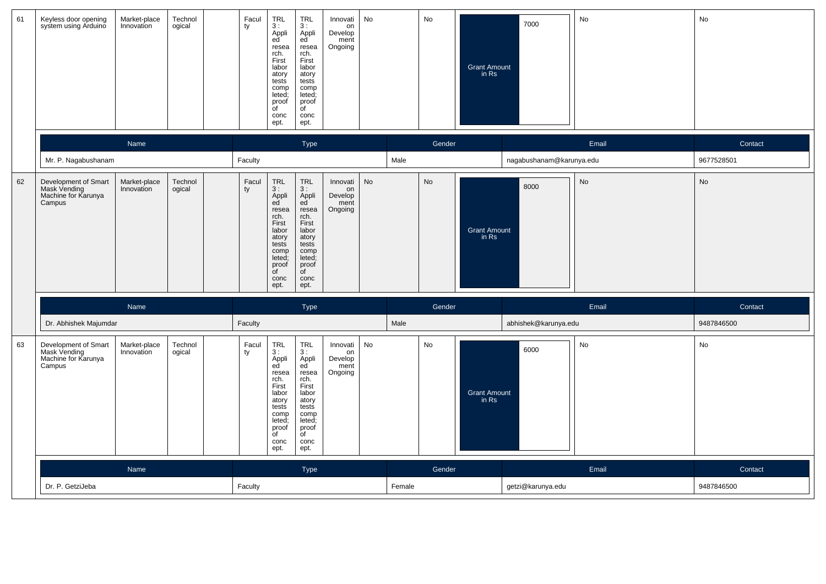| 61 | Keyless door opening<br>system using Arduino                                          | Market-place<br>Innovation | Technol<br>ogical | Facul<br>ty | TRL<br>3:<br>Appli<br>ed<br>resea<br>rch.<br>First<br>labor<br>atory<br>tests<br>comp<br>leted;<br>proof<br>of<br>conc<br>ept.             | <b>TRL</b><br>3:<br>Appli<br>ed<br>resea<br>rch.<br>First<br>labor<br>atory<br>tests<br>comp<br>leted;<br>proof<br>of<br>conc<br>ept.      | Innovati<br>on<br>Develop<br>ment<br>Ongoing | No |        | No     | <b>Grant Amount</b><br>in Rs | 7000                     | No        | No         |
|----|---------------------------------------------------------------------------------------|----------------------------|-------------------|-------------|--------------------------------------------------------------------------------------------------------------------------------------------|--------------------------------------------------------------------------------------------------------------------------------------------|----------------------------------------------|----|--------|--------|------------------------------|--------------------------|-----------|------------|
|    |                                                                                       | Name                       |                   |             |                                                                                                                                            | Type                                                                                                                                       |                                              |    |        | Gender |                              |                          | Email     | Contact    |
|    | Mr. P. Nagabushanam                                                                   |                            |                   | Faculty     |                                                                                                                                            |                                                                                                                                            |                                              |    | Male   |        |                              | nagabushanam@karunya.edu |           | 9677528501 |
| 62 | Development of Smart<br>Mask Vending<br>Machine for Karunya<br>Campus                 | Market-place<br>Innovation | Technol<br>ogical | Facul<br>ty | <b>TRL</b><br>3:<br>Appli<br>ed<br>resea<br>rch.<br>First<br>labor<br>atory<br>tests<br>comp<br>leted;<br>proof<br>of<br>conc<br>ept.      | TRL<br>3:<br>Appli<br>ed<br>resea<br>rch.<br>First<br>labor<br>atory<br>tests<br>comp<br>leted;<br>proof<br>$\overline{C}$<br>conc<br>ept. | Innovati<br>on<br>Develop<br>ment<br>Ongoing | No |        | No     | <b>Grant Amount</b><br>in Rs | 8000                     | <b>No</b> | No         |
|    |                                                                                       | Name                       |                   |             |                                                                                                                                            | Type                                                                                                                                       |                                              |    |        | Gender |                              |                          | Email     | Contact    |
|    | Dr. Abhishek Majumdar                                                                 |                            |                   | Faculty     |                                                                                                                                            |                                                                                                                                            |                                              |    | Male   |        |                              | abhishek@karunya.edu     |           | 9487846500 |
| 63 | Development of Smart<br>Mask Vending<br>Mask Vending<br>Machine for Karunya<br>Campus | Market-place<br>Innovation | Technol<br>ogical | Facul<br>ty | TRL<br>3:<br>Appli<br>ed<br>resea<br>rch.<br>First<br>labor<br>atory<br>tests<br>comp<br>leted;<br>proof<br>$\overline{C}$<br>conc<br>ept. | TRL<br>3:<br>Appli<br>ed<br>resea<br>rch.<br>First<br>labor<br>atory<br>tests<br>comp<br>leted;<br>proof<br>of<br>conc<br>ept.             | Innovati<br>on<br>Develop<br>ment<br>Ongoing | No |        | No     | <b>Grant Amount</b><br>in Rs | 6000                     | No        | No         |
|    |                                                                                       | Name                       |                   |             |                                                                                                                                            | Type                                                                                                                                       |                                              |    |        | Gender |                              |                          | Email     | Contact    |
|    | Dr. P. GetziJeba                                                                      |                            |                   | Faculty     |                                                                                                                                            |                                                                                                                                            |                                              |    | Female |        |                              | getzi@karunya.edu        |           | 9487846500 |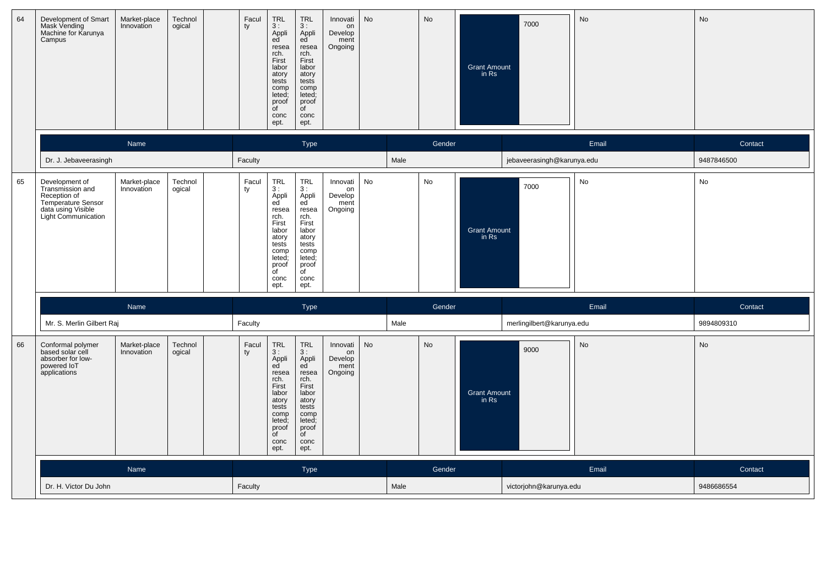| 64 | Development of Smart<br>Mask Vending<br>Machine for Karunya<br>Campus                                                        | Market-place<br>Innovation | Technol<br>ogical | Facul<br>ty | TRL<br>3:<br>Appli<br>ed<br>resea<br>rch.<br>First<br>labor<br>atory<br>tests<br>comp<br>leted;<br>proof<br>of<br>conc<br>ept.                    | <b>TRL</b><br>3:<br>Appli<br>ed<br>resea<br>rch.<br>First<br>labor<br>atory<br>tests<br>comp<br>leted;<br>proof<br>of<br>conc<br>ept.             | Innovati<br>on<br>Develop<br>ment<br>Ongoing | No        |      | No        | <b>Grant Amount</b><br>in Rs | 7000                       | No    | No         |
|----|------------------------------------------------------------------------------------------------------------------------------|----------------------------|-------------------|-------------|---------------------------------------------------------------------------------------------------------------------------------------------------|---------------------------------------------------------------------------------------------------------------------------------------------------|----------------------------------------------|-----------|------|-----------|------------------------------|----------------------------|-------|------------|
|    |                                                                                                                              | Name                       |                   |             |                                                                                                                                                   | Type                                                                                                                                              |                                              |           |      | Gender    |                              |                            | Email | Contact    |
|    | Dr. J. Jebaveerasingh                                                                                                        |                            |                   | Faculty     |                                                                                                                                                   |                                                                                                                                                   |                                              |           | Male |           |                              | jebaveerasingh@karunya.edu |       | 9487846500 |
| 65 | Development of<br>Transmission and<br>Reception of<br>Temperature Sensor<br>data using Visible<br><b>Light Communication</b> | Market-place<br>Innovation | Technol<br>ogical | Facul<br>ty | <b>TRL</b><br>3:<br>Appli<br>ed<br>resea<br>rch.<br>First<br>labor<br>atory<br>tests<br>comp<br>leted;<br>proof<br>$\overline{C}$<br>conc<br>ept. | <b>TRL</b><br>3:<br>Appli<br>ed<br>resea<br>rch.<br>First<br>labor<br>atory<br>tests<br>comp<br>leted;<br>proof<br>$\overline{C}$<br>conc<br>ept. | Innovati<br>on<br>Develop<br>ment<br>Ongoing | No        |      | No        | <b>Grant Amount</b><br>in Rs | 7000                       | No    | No         |
|    |                                                                                                                              | Name                       |                   |             |                                                                                                                                                   | Type                                                                                                                                              |                                              |           |      | Gender    |                              |                            | Email | Contact    |
|    | Mr. S. Merlin Gilbert Raj                                                                                                    |                            |                   | Faculty     |                                                                                                                                                   |                                                                                                                                                   |                                              |           | Male |           |                              | merlingilbert@karunya.edu  |       | 9894809310 |
| 66 | Conformal polymer<br>based solar cell<br>absorber for low-<br>powered IoT<br>applications                                    | Market-place<br>Innovation | Technol<br>ogical | Facul<br>ty | <b>TRL</b><br>3:<br>Appli<br>ed<br>resea<br>rch.<br>First<br>labor<br>atory<br>tests<br>comp<br>leted;<br>proof<br>of<br>conc<br>ept.             | <b>TRL</b><br>3:<br>Appli<br>ed<br>resea<br>rch.<br>First<br>labor<br>atory<br>tests<br>comp<br>leted;<br>proof<br>of<br>conc<br>ept.             | Innovati<br>on<br>Develop<br>ment<br>Ongoing | <b>No</b> |      | <b>No</b> | <b>Grant Amount</b><br>in Rs | 9000                       | No    | No         |
|    |                                                                                                                              | Name                       |                   |             |                                                                                                                                                   | <b>Type</b>                                                                                                                                       |                                              |           |      | Gender    |                              |                            | Email | Contact    |
|    | Dr. H. Victor Du John                                                                                                        |                            |                   | Faculty     |                                                                                                                                                   |                                                                                                                                                   |                                              |           | Male |           |                              | victorjohn@karunya.edu     |       | 9486686554 |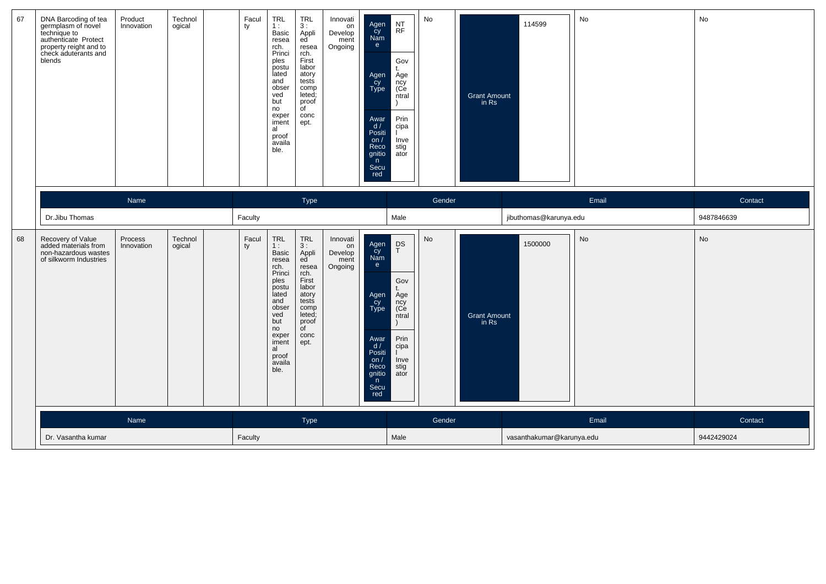| 67 | DNA Barcoding of tea<br>germplasm of novel<br>technique to<br>authenticate Protect<br>property reight and to<br>check aduterants and<br>blends | Product<br>Innovation | Technol<br>ogical | Facul<br>ty | TRL<br>1:<br>Basic<br>resea<br>rch.<br>Princi<br>ples<br>postu<br>lated<br>and<br>obser<br>ved<br>but<br>no<br>exper<br>iment<br>al<br>proof<br>availa<br>ble. | <b>TRL</b><br>3:<br>Appli<br>ed<br>resea<br>rch.<br>First<br>labor<br>atory<br>tests<br>comp<br>leted;<br>proof<br>$\overline{C}$<br>conc<br>ept.                  | Innovati<br>on<br>Develop<br>ment<br>Ongoing | Agen<br>Cy<br>Nam<br>e<br>Agen<br>Cy<br>Type<br>Awar<br>d /<br>Positi<br>on $/$<br>Reco<br>gnitio<br>n<br>Secu<br>red | $\sf{NT}$<br><b>RF</b><br>Gov<br>$^{\dagger}$<br>Age<br>ncy<br>(Ce<br>ntral<br>Prin<br>cipa<br>Inve<br>stig<br>ator | No     | Grant Amount<br>in Rs        | 114599                    | No    | No         |
|----|------------------------------------------------------------------------------------------------------------------------------------------------|-----------------------|-------------------|-------------|----------------------------------------------------------------------------------------------------------------------------------------------------------------|--------------------------------------------------------------------------------------------------------------------------------------------------------------------|----------------------------------------------|-----------------------------------------------------------------------------------------------------------------------|---------------------------------------------------------------------------------------------------------------------|--------|------------------------------|---------------------------|-------|------------|
|    |                                                                                                                                                | Name                  |                   |             |                                                                                                                                                                | Type                                                                                                                                                               |                                              |                                                                                                                       |                                                                                                                     | Gender |                              |                           | Email | Contact    |
|    | Dr.Jibu Thomas                                                                                                                                 |                       |                   | Faculty     |                                                                                                                                                                |                                                                                                                                                                    |                                              |                                                                                                                       | Male                                                                                                                |        |                              | jibuthomas@karunya.edu    |       | 9487846639 |
| 68 | Recovery of Value<br>added materials from<br>non-hazardous wastes<br>of silkworm Industries                                                    | Process<br>Innovation | Technol<br>ogical | Facul<br>ty | TRL<br>1:<br>Basic<br>resea<br>rch.<br>Princi<br>ples<br>postu<br>lated<br>and<br>obser<br>ved<br>but<br>no<br>exper<br>iment<br>al<br>proof<br>availa<br>ble. | $\ensuremath{\mathsf{TRL}}$<br>3:<br>Appli<br>ed<br>resea<br>rch.<br>First<br>labor<br>atory<br>tests<br>comp<br>leted;<br>proof<br>$\overline{C}$<br>conc<br>ept. | Innovati<br>on<br>Develop<br>ment<br>Ongoing | Agen<br>Cy<br>Nam<br>e<br>Agen<br>Cy<br>Type<br>Awar<br>d/<br>Positi<br>on $/$<br>Reco<br>gnitio<br>n<br>Secu<br>red  | $_{T}^{\text{DS}}$<br>Gov<br>Age<br>ncy<br>(Ce<br>ntral<br>Prin<br>cipa<br>Inve<br>stig<br>ator                     | No     | <b>Grant Amount</b><br>in Rs | 1500000                   | No    | No         |
|    |                                                                                                                                                | Name                  |                   |             |                                                                                                                                                                | Type                                                                                                                                                               |                                              |                                                                                                                       |                                                                                                                     | Gender |                              |                           | Email | Contact    |
|    | Dr. Vasantha kumar                                                                                                                             |                       |                   | Faculty     |                                                                                                                                                                |                                                                                                                                                                    |                                              |                                                                                                                       | Male                                                                                                                |        |                              | vasanthakumar@karunya.edu |       | 9442429024 |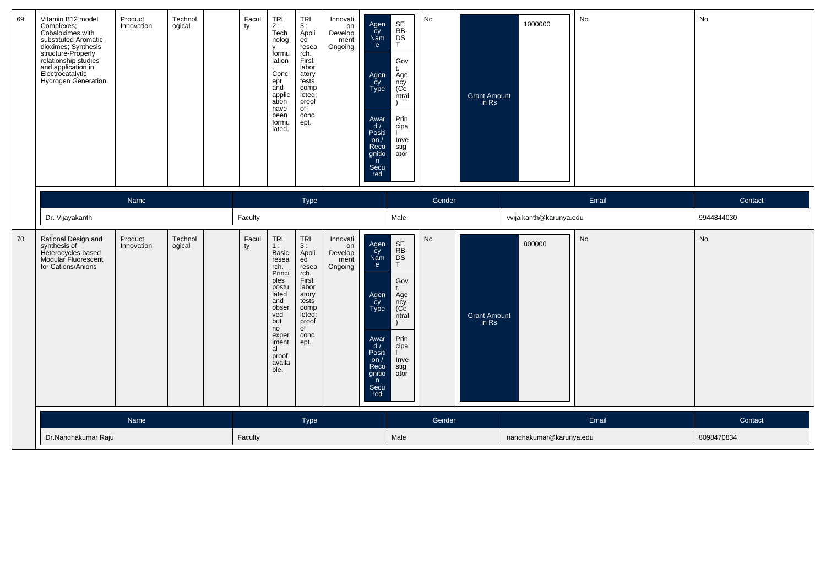| 69 | Vitamin B12 model<br>Complexes;<br>Cobaloximes with<br>substituted Aromatic<br>substituted Architecture<br>structure-Properly<br>structure-Properly<br>and application in<br>Electrocatalytic<br>Hydrogen Generation. | Product<br>Innovation | Technol<br>ogical | Facul<br>ty | TRL<br>2 :<br>Tech<br>nolog<br>V<br>formu<br>lation<br>Conc<br>ept<br>and<br>applic<br>ation<br>have<br>been<br>formu<br>lated.                                | <b>TRL</b><br>3:<br>Appli<br>ed<br>resea<br>rch.<br>First<br>labor<br>atory<br>tests<br>comp<br>leted;<br>proof<br>$\overline{C}$<br>conc<br>ept. | Innovati<br>on<br>Develop<br>ment<br>Ongoing | Agen<br>cy<br>Nam<br>$\mathbf{e}$<br>Agen<br>-cy<br>Type<br>Awar<br>d/<br>Positi<br>on $/$<br>Reco<br>gnitio<br>n<br>Secu<br>red | SE<br>RB-<br>DS<br>T<br>Gov<br>t.<br>Age<br>ncy<br>(Ce<br>ntral<br>$\lambda$<br>Prin<br>cipa<br>Inve<br>stig<br>ator | No     | <b>Grant Amount</b><br>in $Rs$ | 1000000                 | No    | No         |
|----|-----------------------------------------------------------------------------------------------------------------------------------------------------------------------------------------------------------------------|-----------------------|-------------------|-------------|----------------------------------------------------------------------------------------------------------------------------------------------------------------|---------------------------------------------------------------------------------------------------------------------------------------------------|----------------------------------------------|----------------------------------------------------------------------------------------------------------------------------------|----------------------------------------------------------------------------------------------------------------------|--------|--------------------------------|-------------------------|-------|------------|
|    |                                                                                                                                                                                                                       | Name                  |                   |             |                                                                                                                                                                | Type                                                                                                                                              |                                              |                                                                                                                                  |                                                                                                                      | Gender |                                |                         | Email | Contact    |
|    | Dr. Vijayakanth                                                                                                                                                                                                       |                       |                   | Faculty     |                                                                                                                                                                |                                                                                                                                                   |                                              |                                                                                                                                  | Male                                                                                                                 |        |                                | vvijaikanth@karunya.edu |       | 9944844030 |
| 70 | Rational Design and<br>synthesis of<br>Heterocycles based<br>Modular Fluorescent<br>for Cations/Anions                                                                                                                | Product<br>Innovation | Technol<br>ogical | Facul<br>ty | TRL<br>1:<br>Basic<br>resea<br>rch.<br>Princi<br>ples<br>postu<br>lated<br>and<br>obser<br>ved<br>but<br>no<br>exper<br>iment<br>al<br>proof<br>availa<br>ble. | TRL<br>3:<br>Appli<br>ed<br>resea<br>rch.<br>First<br>labor<br>atory<br>tests<br>comp<br>leted;<br>proof<br>$\overline{C}$<br>conc<br>ept.        | Innovati<br>on<br>Develop<br>ment<br>Ongoing | Agen<br>čy<br>Nam<br>e<br>Agen<br>cy<br>Type<br>Awar<br>d/<br>Positi<br>on $/$<br>Reco<br>gnitio<br>n<br>Secu<br>red             | SE<br>RB-<br>DS<br>T<br>Gov<br>Age<br>ncy<br>(Ce<br>ntral<br>Prin<br>cipa<br>Inve<br>stig<br>ator                    | No     | <b>Grant Amount</b><br>in Rs   | 800000                  | No    | No         |
|    |                                                                                                                                                                                                                       | Name                  |                   |             |                                                                                                                                                                | Type                                                                                                                                              |                                              |                                                                                                                                  |                                                                                                                      | Gender |                                |                         | Email | Contact    |
|    | Dr.Nandhakumar Raju                                                                                                                                                                                                   |                       |                   | Faculty     |                                                                                                                                                                |                                                                                                                                                   |                                              |                                                                                                                                  | Male                                                                                                                 |        |                                | nandhakumar@karunya.edu |       | 8098470834 |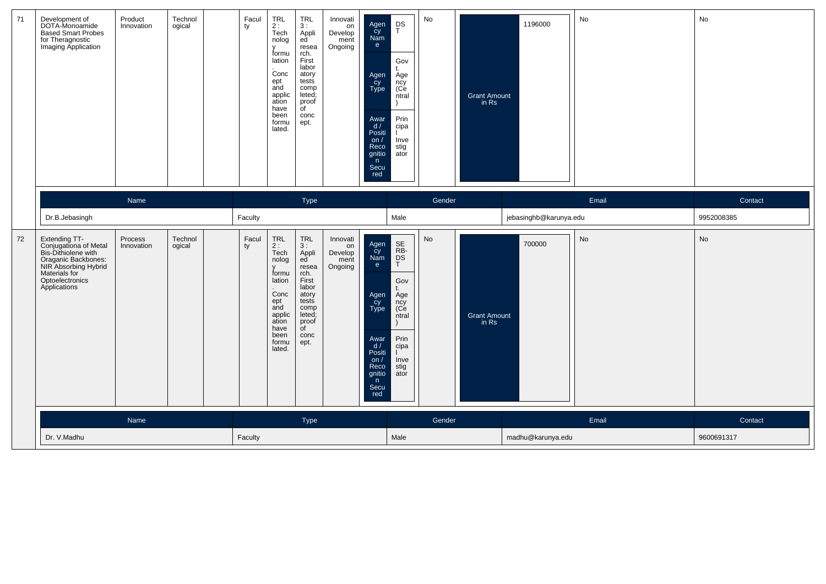| 71 | Development of<br>DOTA-Monoamide<br>Based Smart Probes<br>for Theragnostic<br>Imaging Application                                                                | Product<br>Innovation | Technol<br>ogical | Facul<br>ty | TRL<br>2 :<br>Tech<br>nolog<br>V<br>formu<br>lation<br>Conc<br>ept<br>and<br>applic<br>ation<br>have<br>been<br>formu<br>lated. | TRL<br>3:<br>Appli<br>ed<br>resea<br>rch.<br>First<br>labor<br>atory<br>tests<br>comp<br>leted;<br>proof<br>$\overline{C}$<br>conc<br>ept.        | Innovati<br>on<br>Develop<br>ment<br>Ongoing | $_{\rm T}^{\rm DS}$<br>Agen<br>cy<br>Nam<br>e<br>Gov<br>t.<br>Agen<br>Cy<br>Type<br>Age<br>ncy<br>(Ce<br>ntral<br>Prin<br>Awar<br>d /<br>cipa<br>Positi<br>on $/$<br>Inve<br>Reco<br>stig<br>gnitio<br>ator<br>n<br>Secu<br>red  | No     | <b>Grant Amount</b><br>in Rs | 1196000                | No    | No         |
|----|------------------------------------------------------------------------------------------------------------------------------------------------------------------|-----------------------|-------------------|-------------|---------------------------------------------------------------------------------------------------------------------------------|---------------------------------------------------------------------------------------------------------------------------------------------------|----------------------------------------------|----------------------------------------------------------------------------------------------------------------------------------------------------------------------------------------------------------------------------------|--------|------------------------------|------------------------|-------|------------|
|    |                                                                                                                                                                  | Name                  |                   |             |                                                                                                                                 | Type                                                                                                                                              |                                              |                                                                                                                                                                                                                                  | Gender |                              |                        | Email | Contact    |
|    | Dr.B.Jebasingh                                                                                                                                                   |                       |                   | Faculty     |                                                                                                                                 |                                                                                                                                                   |                                              | Male                                                                                                                                                                                                                             |        |                              | jebasinghb@karunya.edu |       | 9952008385 |
| 72 | Extending TT-<br>Conjugationa of Metal<br>Bis-Dithiolene with<br>Oraganic Backbones:<br>NIR Absorbing Hybrid<br>Materials for<br>Optoelectronics<br>Applications | Process<br>Innovation | Technol<br>ogical | Facul<br>ty | TRL<br>$2:$ Tech<br>nolog<br>formu<br>lation<br>Conc<br>ept<br>and<br>applic<br>ation<br>have<br>been<br>formu<br>lated.        | <b>TRL</b><br>3:<br>Appli<br>ed<br>resea<br>rch.<br>First<br>labor<br>atory<br>tests<br>comp<br>leted;<br>proof<br>$\overline{C}$<br>conc<br>ept. | Innovati<br>on<br>Develop<br>ment<br>Ongoing | SE<br>RB-<br>DS<br>T<br>Agen<br>cy<br>Nam<br>e<br>Gov<br>t.<br>Agen<br>cy<br>Type<br>Age<br>ncy<br>(Ce<br>ntral<br>Prin<br>Awar<br>d /<br>cipa<br>Positi<br>on $/$<br>Inve<br>Reco<br>stig<br>gnitio<br>ator<br>n<br>Secu<br>red | No     | <b>Grant Amount</b><br>in Rs | 700000                 | No    | No         |
|    |                                                                                                                                                                  | Name                  |                   |             |                                                                                                                                 | Type                                                                                                                                              |                                              |                                                                                                                                                                                                                                  | Gender |                              |                        | Email | Contact    |
|    | Dr. V.Madhu                                                                                                                                                      |                       |                   | Faculty     |                                                                                                                                 |                                                                                                                                                   |                                              | Male                                                                                                                                                                                                                             |        |                              | madhu@karunya.edu      |       | 9600691317 |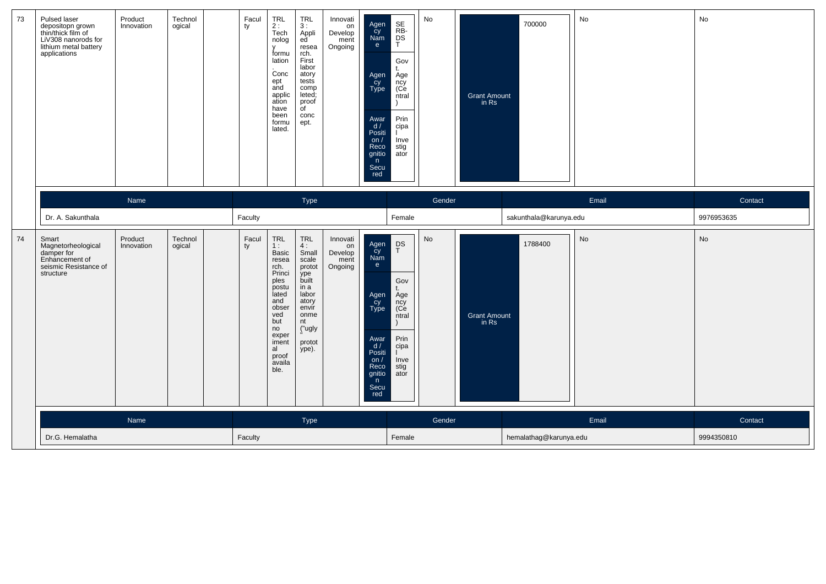| 73 | Pulsed laser<br>depositopn grown<br>thin/thick film of<br>LiV308 nanorods for<br>lithium metal battery<br>applications | Product<br>Innovation | Technol<br>ogical | Facul<br>ty | TRL<br>2 :<br>Tech<br>nolog<br>$\mathsf{v}$<br>formu<br>lation<br>Conc<br>ept<br>and<br>applic<br>ation<br>have<br>been<br>formu<br>lated.                     | <b>TRL</b><br>3:<br>Appli<br>ed<br>resea<br>rch.<br>First<br>labor<br>atory<br>tests<br>comp<br>leted;<br>proof<br>$\overline{C}$<br>conc<br>ept. | Innovati<br>on<br>Develop<br>ment<br>Ongoing | SE<br>RB-<br>DS<br>T<br>Agen<br>Cy<br>Nam<br>e<br>Gov<br>$^{\dagger}$<br>Agen<br>Cy<br>Type<br>Age<br>ncy<br>(Ce<br>ntral<br>Prin<br>Awar<br>d /<br>cipa<br>Positi<br>on $/$<br>Inve<br>Reco<br>stig<br>gnitio<br>ator<br>n<br>Secu<br>red | No     | Grant Amount<br>in Rs        | 700000                 | No    | No         |
|----|------------------------------------------------------------------------------------------------------------------------|-----------------------|-------------------|-------------|----------------------------------------------------------------------------------------------------------------------------------------------------------------|---------------------------------------------------------------------------------------------------------------------------------------------------|----------------------------------------------|--------------------------------------------------------------------------------------------------------------------------------------------------------------------------------------------------------------------------------------------|--------|------------------------------|------------------------|-------|------------|
|    |                                                                                                                        | Name                  |                   |             |                                                                                                                                                                | Type                                                                                                                                              |                                              |                                                                                                                                                                                                                                            | Gender |                              |                        | Email | Contact    |
|    | Dr. A. Sakunthala                                                                                                      |                       |                   | Faculty     |                                                                                                                                                                |                                                                                                                                                   |                                              | Female                                                                                                                                                                                                                                     |        |                              | sakunthala@karunya.edu |       | 9976953635 |
| 74 | Smart<br>Magnetorheological<br>damper for<br>Enhancement of<br>seismic Resistance of<br>structure                      | Product<br>Innovation | Technol<br>ogical | Facul<br>ty | TRL<br>1:<br>Basic<br>resea<br>rch.<br>Princi<br>ples<br>postu<br>lated<br>and<br>obser<br>ved<br>but<br>no<br>exper<br>iment<br>al<br>proof<br>availa<br>ble. | TRL<br>4:<br>Small<br>scale<br>protot<br>ype<br>built<br>in a<br>labor<br>atory<br>envir<br>onme<br>nt<br>("ugly<br>protot<br>ype).               | Innovati<br>on<br>Develop<br>ment<br>Ongoing | $_{T}^{\text{DS}}$<br>Agen<br>Cy<br>Nam<br>e<br>Gov<br>Agen<br>Cy<br>Type<br>Age<br>ncy<br>(Ce<br>ntral<br>Prin<br>Awar<br>d/<br>cipa<br>Positi<br>Inve<br>on $/$<br>stig<br>Reco<br>ator<br>gnitio<br>n<br>Secu<br>red                    | No     | <b>Grant Amount</b><br>in Rs | 1788400                | No    | No         |
|    |                                                                                                                        | Name                  |                   |             |                                                                                                                                                                | Type                                                                                                                                              |                                              |                                                                                                                                                                                                                                            | Gender |                              |                        | Email | Contact    |
|    | Dr.G. Hemalatha                                                                                                        |                       |                   | Faculty     |                                                                                                                                                                |                                                                                                                                                   |                                              | Female                                                                                                                                                                                                                                     |        |                              | hemalathag@karunya.edu |       | 9994350810 |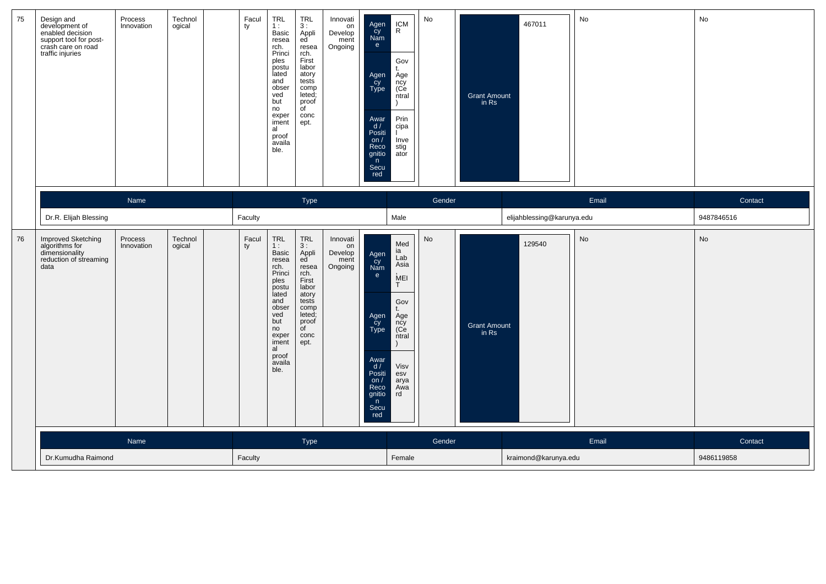| 75 | Design and<br>development of<br>enabled decision<br>support tool for post-<br>crash care on road<br>traffic injuries | Process<br>Innovation | Technol<br>ogical | Facul<br>ty | TRL<br>1:<br>Basic<br>resea<br>rch.<br>Princi<br>ples<br>postu<br>lated<br>and<br>obser<br>ved<br>but<br>no<br>exper<br>iment<br>al<br>proof<br>availa<br>ble. | <b>TRL</b><br>3:<br>Appli<br>ed<br>resea<br>rch.<br>First<br>labor<br>atory<br>tests<br>comp<br>leted;<br>proof<br>of<br>conc<br>ept.             | Innovati<br>$\overline{on}$<br>Develop<br>ment<br>Ongoing | Agen<br>Cy<br>Nam<br>e.<br>Agen<br>Cy<br>Type<br>Awar<br>d/<br>Positi<br>on $/$<br>Reco<br>gnitio<br>n<br>Secu<br>red | $\textsf{ICM}\xspace$<br>$\mathsf{R}$<br>Gov<br>Age<br>nčy<br>(Ce<br>ntral<br>Prin<br>cipa<br>Inve<br>stig<br>ator | No     | <b>Grant Amount</b><br>in Rs | 467011                     | No        | No         |
|----|----------------------------------------------------------------------------------------------------------------------|-----------------------|-------------------|-------------|----------------------------------------------------------------------------------------------------------------------------------------------------------------|---------------------------------------------------------------------------------------------------------------------------------------------------|-----------------------------------------------------------|-----------------------------------------------------------------------------------------------------------------------|--------------------------------------------------------------------------------------------------------------------|--------|------------------------------|----------------------------|-----------|------------|
|    |                                                                                                                      | Name                  |                   |             |                                                                                                                                                                | Type                                                                                                                                              |                                                           |                                                                                                                       |                                                                                                                    | Gender |                              |                            | Email     | Contact    |
|    | Dr.R. Elijah Blessing                                                                                                |                       |                   | Faculty     |                                                                                                                                                                |                                                                                                                                                   |                                                           |                                                                                                                       | Male                                                                                                               |        |                              | elijahblessing@karunya.edu |           | 9487846516 |
| 76 | Improved Sketching<br>algorithms for<br>dimensionality<br>reduction of streaming<br>data                             | Process<br>Innovation | Technol<br>ogical | Facul<br>ty | TRL<br>1:<br>Basic<br>resea<br>rch.<br>Princi<br>ples<br>postu<br>lated<br>and<br>obser<br>ved<br>but<br>no<br>exper<br>iment<br>al<br>proof<br>availa<br>ble. | <b>TRL</b><br>3:<br>Appli<br>ed<br>resea<br>rch.<br>First<br>labor<br>atory<br>tests<br>comp<br>leted;<br>proof<br>$\overline{C}$<br>conc<br>ept. | Innovati<br>on<br>Develop<br>ment<br>Ongoing              | Agen<br>cy<br>Nam<br>e<br>Agen<br>cy<br>Type<br>Awar<br>d /<br>Positi<br>on $/$<br>Reco<br>gnitio<br>n<br>Secu<br>red | Med<br>ia<br>Lab<br>Asia<br>MEI<br>T<br>Gov<br>Age<br>ncy<br>(Ce<br>ntral<br>Visv<br>esv<br>arya<br>Awa<br>rd      | No     | <b>Grant Amount</b><br>in Rs | 129540                     | <b>No</b> | No         |
|    |                                                                                                                      | Name                  |                   |             |                                                                                                                                                                | Type                                                                                                                                              |                                                           |                                                                                                                       |                                                                                                                    | Gender |                              |                            | Email     | Contact    |
|    | Dr.Kumudha Raimond                                                                                                   |                       |                   | Faculty     |                                                                                                                                                                |                                                                                                                                                   |                                                           |                                                                                                                       | Female                                                                                                             |        |                              | kraimond@karunya.edu       |           | 9486119858 |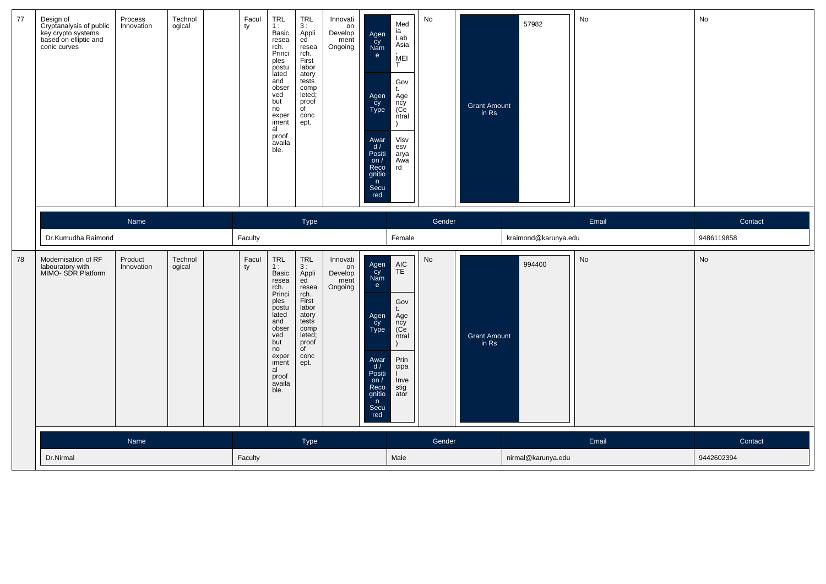| 77 | Design of<br>Exploration<br>Reversion systems<br>hased on elliptic and<br>conic curves | Process<br>Innovation | Technol<br>ogical | Facul<br>ty | <b>TRL</b><br>1:<br>Basic<br>resea<br>rch.<br>Princi<br>ples<br>postu<br>lated<br>and<br>obser<br>ved<br>but<br>no<br>exper<br>iment<br>al<br>proof<br>availa<br>ble.                  | <b>TRL</b><br>3:<br>Appli<br>ed<br>resea<br>rch.<br>First<br>labor<br>atory<br>tests<br>comp<br>leted;<br>proof<br>$\overline{C}$<br>conc<br>ept.                              | Innovati<br>on<br>Develop<br>ment<br>Ongoing | Agen<br>Cy<br>Nam<br>e<br>Agen<br>Cy<br>Type<br>Awar<br>d/<br>Positi<br>on/<br>Reco<br>gnitio<br>n<br>Secu<br>red            | Med<br>ia<br>Lab<br>Asia<br>MEI<br>T<br>Gov<br>t.<br>Age<br>ncy<br>(Ce<br>ntral<br>Visv<br>esv<br>arya<br>Awa<br>rd | No     | Grant Amount<br>in Rs        | 57982                | No    | No         |
|----|----------------------------------------------------------------------------------------|-----------------------|-------------------|-------------|----------------------------------------------------------------------------------------------------------------------------------------------------------------------------------------|--------------------------------------------------------------------------------------------------------------------------------------------------------------------------------|----------------------------------------------|------------------------------------------------------------------------------------------------------------------------------|---------------------------------------------------------------------------------------------------------------------|--------|------------------------------|----------------------|-------|------------|
|    |                                                                                        | Name                  |                   |             |                                                                                                                                                                                        | Type                                                                                                                                                                           |                                              |                                                                                                                              |                                                                                                                     | Gender |                              |                      | Email | Contact    |
|    | Dr.Kumudha Raimond                                                                     |                       |                   | Faculty     |                                                                                                                                                                                        |                                                                                                                                                                                |                                              |                                                                                                                              | Female                                                                                                              |        |                              | kraimond@karunya.edu |       | 9486119858 |
| 78 | Modernisation of RF<br>labouratory with<br>MIMO- SDR Platform                          | Product<br>Innovation | Technol<br>ogical | Facul<br>ty | $\ensuremath{\mathsf{TRL}}$<br>1:<br>Basic<br>resea<br>rch.<br>Princi<br>ples<br>postu<br>lated<br>and<br>obser<br>ved<br>but<br>no<br>exper<br>iment<br>al<br>proof<br>availa<br>ble. | $\begin{array}{c}\nTRL \\ 3: \\ B\n\end{array}$<br>Appli<br>ed<br>resea<br>rch.<br>First<br>labor<br>atory<br>tests<br>comp<br>leted;<br>proof<br>$\mathsf{d}$<br>conc<br>ept. | Innovati<br>on<br>Develop<br>ment<br>Ongoing | Agen<br>cy<br>Nam<br>e<br>Agen<br>cy<br>Type<br>Awar<br>$\frac{d}{d}$<br>Positi<br>on/<br>Reco<br>gnitio<br>n<br>Secu<br>red | $AIC$<br>TE<br>Gov<br>t.<br>Age<br>ncy<br>(Ce<br>ntral<br>Prin<br>cipa<br>Inve<br>stig<br>ator                      | No     | <b>Grant Amount</b><br>in Rs | 994400               | No    | No         |
|    |                                                                                        | Name                  |                   |             |                                                                                                                                                                                        | <b>Type</b>                                                                                                                                                                    |                                              |                                                                                                                              |                                                                                                                     | Gender |                              |                      | Email | Contact    |
|    | Dr.Nirmal                                                                              |                       |                   | Faculty     |                                                                                                                                                                                        |                                                                                                                                                                                |                                              |                                                                                                                              | Male                                                                                                                |        |                              | nirmal@karunya.edu   |       | 9442602394 |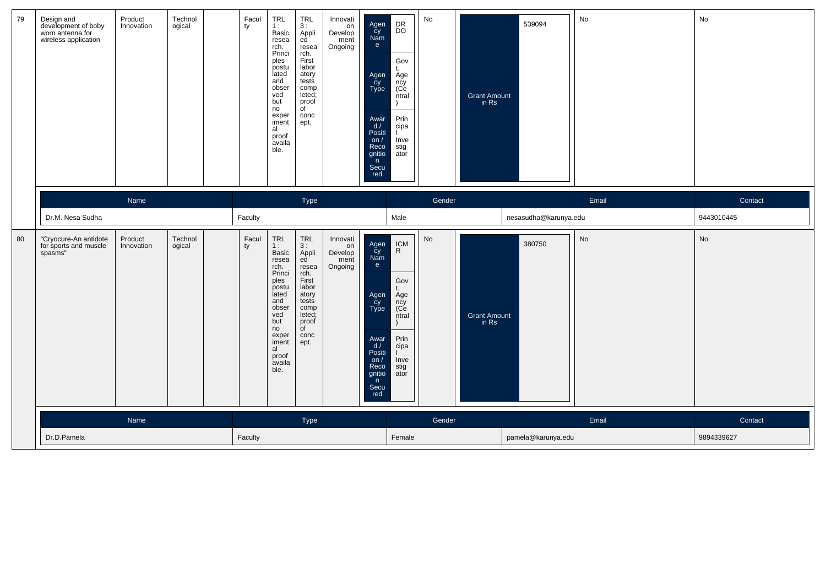| 79 | Design and<br>development of boby<br>worn antenna for<br>wireless application | Product<br>Innovation | Technol<br>ogical | Facul<br>ty | TRL<br>1:<br>Basic<br>resea<br>rch.<br>Princi<br>ples<br>postu<br>lated<br>and<br>obser<br>ved<br>but<br>no<br>exper<br>iment<br>al<br>proof<br>availa<br>ble.                         | <b>TRL</b><br>3:<br>Appli<br>ed<br>resea<br>rch.<br>First<br>labor<br>atory<br>tests<br>comp<br>leted;<br>proof<br>$\overline{C}$<br>conc<br>ept. | Innovati<br>on<br>Develop<br>ment<br>Ongoing | Agen<br>Cy<br>Nam<br>e<br>Agen<br>Cy<br>Type<br>Awar<br>d/<br>Positi<br>on $/$<br>Reco<br>gnitio<br>n<br>Secu<br>red | $_{\rm{DO}}^{\rm{DR}}$<br>Gov<br>t.<br>Age<br>ncy<br>(Ce<br>ntral<br>$\lambda$<br>Prin<br>cipa<br>Inve<br>stig<br>ator   | No     | <b>Grant Amount</b><br>in Rs | 539094                | No    | No         |
|----|-------------------------------------------------------------------------------|-----------------------|-------------------|-------------|----------------------------------------------------------------------------------------------------------------------------------------------------------------------------------------|---------------------------------------------------------------------------------------------------------------------------------------------------|----------------------------------------------|----------------------------------------------------------------------------------------------------------------------|--------------------------------------------------------------------------------------------------------------------------|--------|------------------------------|-----------------------|-------|------------|
|    |                                                                               | Name                  |                   |             |                                                                                                                                                                                        | Type                                                                                                                                              |                                              |                                                                                                                      |                                                                                                                          | Gender |                              |                       | Email | Contact    |
|    | Dr.M. Nesa Sudha                                                              |                       |                   | Faculty     |                                                                                                                                                                                        |                                                                                                                                                   |                                              |                                                                                                                      | Male                                                                                                                     |        |                              | nesasudha@karunya.edu |       | 9443010445 |
| 80 | "Cryocure-An antidote<br>for sports and muscle<br>spasms"                     | Product<br>Innovation | Technol<br>ogical | Facul<br>ty | $\ensuremath{\mathsf{TRL}}$<br>1:<br>Basic<br>resea<br>rch.<br>Princi<br>ples<br>postu<br>lated<br>and<br>obser<br>yed<br>but<br>no<br>exper<br>iment<br>al<br>proof<br>availa<br>ble. | <b>TRL</b><br>3:<br>Appli<br>ed<br>resea<br>rch.<br>First<br>labor<br>atory<br>tests<br>comp<br>leted;<br>proof<br>of<br>conc<br>ept.             | Innovati<br>on<br>Develop<br>ment<br>Ongoing | Agen<br>cy<br>Nam<br>e<br>Agen<br>cy<br>Type<br>Awar<br>d/<br>Positi<br>on $/$<br>Reco<br>gnitio<br>n<br>Secu<br>red | $\underset{\mathsf{R}}{\mathsf{ICM}}$<br>Gov<br>t.<br>Age<br>ncy<br>(Ce<br>ntral<br>Prin<br>cipa<br>Inve<br>stig<br>ator | No     | <b>Grant Amount</b><br>in Rs | 380750                | No    | No         |
|    |                                                                               | Name                  |                   |             |                                                                                                                                                                                        | Type                                                                                                                                              |                                              |                                                                                                                      |                                                                                                                          | Gender |                              |                       | Email | Contact    |
|    | Dr.D.Pamela                                                                   |                       |                   | Faculty     |                                                                                                                                                                                        |                                                                                                                                                   |                                              |                                                                                                                      | Female                                                                                                                   |        |                              | pamela@karunya.edu    |       | 9894339627 |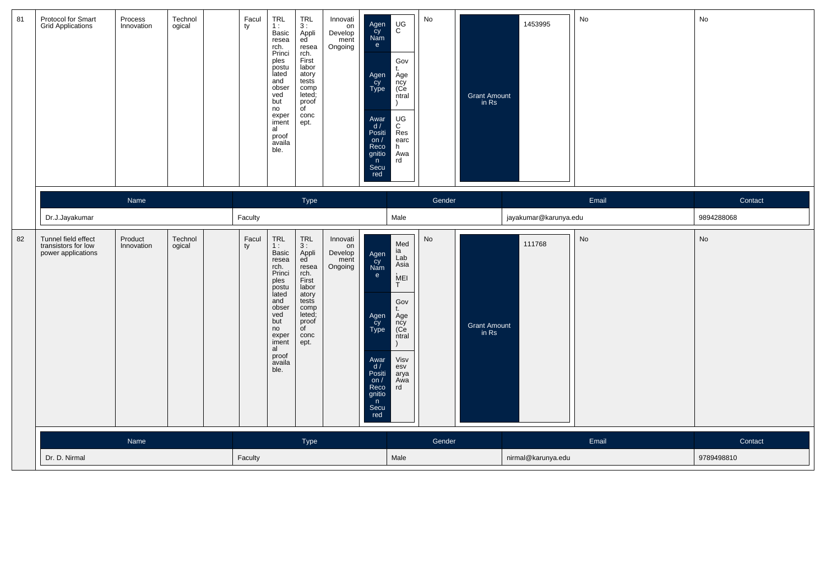| 81 | Protocol for Smart<br>Grid Applications                          | Process<br>Innovation | Technol<br>ogical | Facul<br>ty | $TRL$<br>1:<br>Basic<br>resea<br>rch.<br>Princi<br>ples<br>postu<br>lated<br>and<br>obser<br>ved<br>but<br>no<br>exper<br>iment<br>al<br>proof<br>availa<br>ble. | <b>TRL</b><br>3:<br>Appli<br>ed<br>resea<br>rch.<br>First<br>labor<br>atory<br>tests<br>comp<br>leted;<br>proof<br>$\overline{\mathsf{d}}$<br>conc<br>ept. | Innovati<br>$\frac{1}{2}$<br>Develop<br>ment<br>Ongoing | Agen<br>Cy<br>Nam<br>e<br>Agen<br>Cy<br>Type<br>Awar<br>d/<br>Positi<br>on /<br>Reco<br>gnitio<br>n<br>Secu<br>red      | $_{\rm C}^{\rm UG}$<br>Gov<br>t.<br>Age<br>ncy<br>(Ce<br>ntral<br>$_{\rm C}^{\rm UG}$<br>Res<br>earc<br>h<br>Awa<br>rd                       | No        | Grant Amount<br>in Rs        | 1453995               | No                           | No         |
|----|------------------------------------------------------------------|-----------------------|-------------------|-------------|------------------------------------------------------------------------------------------------------------------------------------------------------------------|------------------------------------------------------------------------------------------------------------------------------------------------------------|---------------------------------------------------------|-------------------------------------------------------------------------------------------------------------------------|----------------------------------------------------------------------------------------------------------------------------------------------|-----------|------------------------------|-----------------------|------------------------------|------------|
|    |                                                                  | Name                  |                   |             |                                                                                                                                                                  | Type                                                                                                                                                       |                                                         |                                                                                                                         |                                                                                                                                              | Gender    |                              |                       | Email                        | Contact    |
|    | Dr.J.Jayakumar                                                   |                       |                   | Faculty     |                                                                                                                                                                  |                                                                                                                                                            |                                                         |                                                                                                                         | Male                                                                                                                                         |           |                              | jayakumar@karunya.edu |                              | 9894288068 |
| 82 | Tunnel field effect<br>transistors for low<br>power applications | Product<br>Innovation | Technol<br>ogical | Facul<br>ty | TRL<br>1:<br>Basic<br>resea<br>rch.<br>Princi<br>ples<br>postu<br>lated<br>and<br>obser<br>ved<br>but<br>no<br>exper<br>iment<br>al<br>proof<br>availa<br>ble.   | <b>TRL</b><br>3:<br>Appli<br>ed<br>resea<br>rch.<br>First<br>labor<br>atory<br>tests<br>comp<br>leted;<br>proof<br>$\overline{f}$<br>conc<br>ept.          | Innovati<br>on<br>Develop<br>ment<br>Ongoing            | Agen<br>čy<br>Nam<br>e<br>Agen<br>Cy<br>Type<br>Awar<br>d/<br>Positi<br>$\frac{on}{Reco}$<br>gnitio<br>n<br>Secu<br>red | Med<br>ia<br>$\overline{\mathsf{Lab}}$<br>Asia<br>MEI<br>T<br>Gov<br>t.<br>Age<br>ncy<br>(Ce<br>$n$ tral<br>Visv<br>esv<br>arya<br>Awa<br>rd | <b>No</b> | <b>Grant Amount</b><br>in Rs | 111768                | $\operatorname{\mathsf{No}}$ | No         |
|    |                                                                  | Name                  |                   |             |                                                                                                                                                                  | Type                                                                                                                                                       |                                                         |                                                                                                                         |                                                                                                                                              | Gender    |                              |                       | Email                        | Contact    |
|    | Dr. D. Nirmal                                                    |                       |                   | Faculty     |                                                                                                                                                                  |                                                                                                                                                            |                                                         |                                                                                                                         | Male                                                                                                                                         |           |                              | nirmal@karunya.edu    |                              | 9789498810 |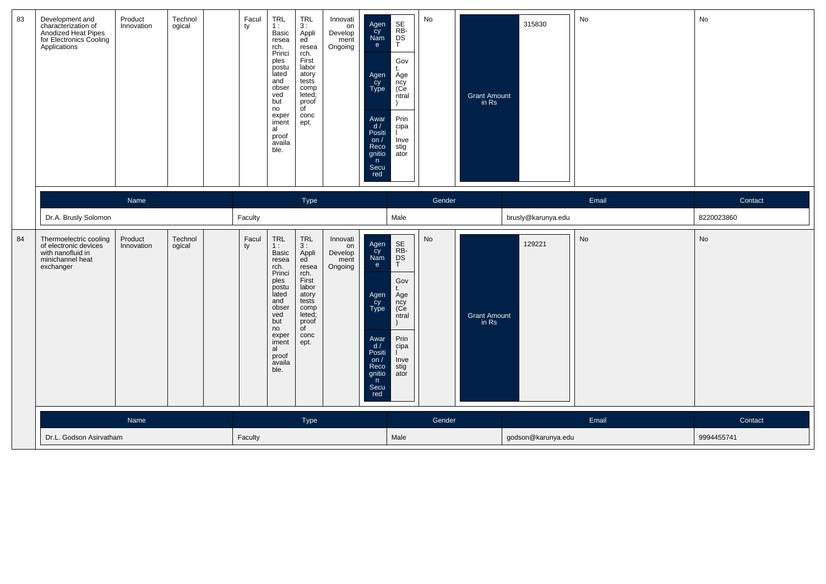| 83 | Development and<br>characterization of<br>Anodized Heat Pipes<br>for Electronics Cooling<br>Applications | Product<br>Innovation | Technol<br>ogical | Facul<br>ty | TRL<br>1:<br>Basic<br>resea<br>rch.<br>Princi<br>ples<br>postu<br>lated<br>and<br>obser<br>ved<br>but<br>no<br>exper<br>iment<br>al<br>proof<br>availa<br>ble.        | TRL<br>3:<br>Appli<br>ed<br>resea<br>rch.<br>First<br>labor<br>atory<br>tests<br>comp<br>leted;<br>proof<br>$\overline{C}$<br>conc<br>ept. | Innovati<br>on<br>Develop<br>ment<br>Ongoing | Agen<br>Cy<br>Nam<br>e<br>Agen<br>Cy<br>Type<br>Awar<br>d/<br>Positi<br>on $/$<br>Reco<br>gnitio<br>n<br>Secu<br>red | SE<br>RB<br>DS<br>T<br>Gov<br>$^{\dagger}$<br>Age<br>ncy<br>(Ce<br>ntral<br>Prin<br>cipa<br>Inve<br>stig<br>ator | No     | <b>Grant Amount</b><br>in Rs | 315830             | No    | No         |
|----|----------------------------------------------------------------------------------------------------------|-----------------------|-------------------|-------------|-----------------------------------------------------------------------------------------------------------------------------------------------------------------------|--------------------------------------------------------------------------------------------------------------------------------------------|----------------------------------------------|----------------------------------------------------------------------------------------------------------------------|------------------------------------------------------------------------------------------------------------------|--------|------------------------------|--------------------|-------|------------|
|    |                                                                                                          | Name                  |                   |             |                                                                                                                                                                       | Type                                                                                                                                       |                                              |                                                                                                                      |                                                                                                                  | Gender |                              |                    | Email | Contact    |
|    | Dr.A. Brusly Solomon                                                                                     |                       |                   | Faculty     |                                                                                                                                                                       |                                                                                                                                            |                                              |                                                                                                                      | Male                                                                                                             |        |                              | brusly@karunya.edu |       | 8220023860 |
| 84 | Thermoelectric cooling<br>of electronic devices<br>with nanofluid in<br>minichannel heat<br>exchanger    | Product<br>Innovation | Technol<br>ogical | Facul<br>ty | TRL<br>1:<br><b>Basic</b><br>resea<br>rch.<br>Princi<br>ples<br>postu<br>lated<br>and<br>obser<br>ved<br>but<br>no<br>exper<br>iment<br>al<br>proof<br>availa<br>ble. | TRL<br>3:<br>Appli<br>ed<br>resea<br>rch.<br>First<br>labor<br>atory<br>tests<br>comp<br>leted;<br>proof<br>of<br>conc<br>ept.             | Innovati<br>on<br>Develop<br>ment<br>Ongoing | Agen<br>Cy<br>Nam<br>e<br>Agen<br>cy<br>Type<br>Awar<br>d /<br>Positi<br>on/<br>Reco<br>gnitio<br>n<br>Secu<br>red   | SE<br>RB-<br>DS<br>T<br>Gov<br>Age<br>ncy<br>(Ce<br>ntral<br>Prin<br>cipa<br>Inve<br>stig<br>ator                | No     | <b>Grant Amount</b><br>in Rs | 129221             | No    | No         |
|    |                                                                                                          | Name                  |                   |             |                                                                                                                                                                       | Type                                                                                                                                       |                                              |                                                                                                                      |                                                                                                                  | Gender |                              |                    | Email | Contact    |
|    | Dr.L. Godson Asirvatham                                                                                  |                       |                   | Faculty     |                                                                                                                                                                       |                                                                                                                                            |                                              |                                                                                                                      | Male                                                                                                             |        |                              | godson@karunya.edu |       | 9994455741 |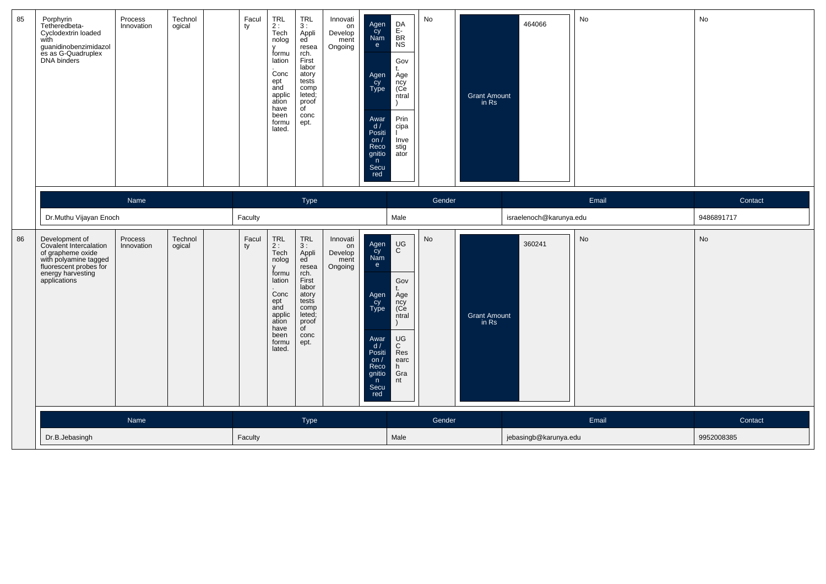| 85 | Porphyrin<br>Tetheredbeta-<br>Cyclodextrin loaded<br>with<br>guanidinobenzimidazol<br>es as G-Quadruplex<br>DNA binders                               | Process<br>Innovation | Technol<br>ogical | Facul<br>TRL<br>2 :<br>Tech<br>ty<br>nolog<br>v<br>Conc<br>ept<br>and<br>ation<br>have<br>been<br>lated. | <b>TRL</b><br>3:<br>Appli<br>ed<br>resea<br>formu<br>rch.<br>First<br>lation<br>labor<br>atory<br>tests<br>comp<br>applic<br>leted;<br>proof<br>$\overline{C}$<br>conc<br>formu<br>ept. | Innovati<br>on<br>Develop<br>ment<br>Ongoing | DA<br>Agen<br>Cy<br>Nam<br>$rac{E}{BR}$<br>NS<br>e.<br>Gov<br>t.<br>Age<br>ncy<br>(Ce<br>Agen<br>Cy<br>Type<br>ntral<br>Υ<br>Prin<br>Awar<br>d/<br>cipa<br>Positi<br>Inve<br>on $/$<br>stig<br>Reco<br>gnitio<br>ator<br>n<br>Secu<br>red      | No<br><b>Grant Amount</b><br>in Rs | 464066                  | No    | No         |
|----|-------------------------------------------------------------------------------------------------------------------------------------------------------|-----------------------|-------------------|----------------------------------------------------------------------------------------------------------|-----------------------------------------------------------------------------------------------------------------------------------------------------------------------------------------|----------------------------------------------|------------------------------------------------------------------------------------------------------------------------------------------------------------------------------------------------------------------------------------------------|------------------------------------|-------------------------|-------|------------|
|    |                                                                                                                                                       | Name                  |                   |                                                                                                          | Type                                                                                                                                                                                    |                                              |                                                                                                                                                                                                                                                | Gender                             |                         | Email | Contact    |
|    | Dr.Muthu Vijayan Enoch                                                                                                                                |                       |                   | Faculty                                                                                                  |                                                                                                                                                                                         |                                              | Male                                                                                                                                                                                                                                           |                                    | israelenoch@karunya.edu |       | 9486891717 |
| 86 | Development of<br>Covalent Intercalation<br>of grapheme oxide<br>with polyamine tagged<br>fluorescent probes for<br>energy harvesting<br>applications | Process<br>Innovation | Technol<br>ogical | TRL<br>Facul<br>$2:$<br>Tech<br>ty<br>Conc<br>ept<br>and<br>ation<br>have<br>been<br>lated.              | <b>TRL</b><br>3:<br>Appli<br>nolog<br>ed<br>resea<br>formu<br>rch.<br>First<br>lation<br>labor<br>atory<br>tests<br>comp<br>leted;<br>applic<br>proof<br>of<br>conc<br>formu<br>ept.    | Innovati<br>on<br>Develop<br>ment<br>Ongoing | $_{\rm C}^{\rm UG}$<br>Agen<br>cy<br>Nam<br>e<br>Gov<br>t.<br>Agen<br>Age<br>cy<br>Type<br>ncy<br>(Ce<br>ntral<br>UG<br>Awar<br>$\mathsf{C}$<br>d /<br>Res<br>Positi<br>earc<br>on $/$<br>Reco<br>h<br>Gra<br>gnitio<br>n<br>nt<br>Secu<br>red | No<br><b>Grant Amount</b><br>in Rs | 360241                  | No    | No         |
|    |                                                                                                                                                       | Name                  |                   |                                                                                                          | Type                                                                                                                                                                                    |                                              |                                                                                                                                                                                                                                                | Gender                             |                         | Email | Contact    |
|    | Dr.B.Jebasingh                                                                                                                                        |                       |                   | Faculty                                                                                                  |                                                                                                                                                                                         |                                              | Male                                                                                                                                                                                                                                           |                                    | jebasingb@karunya.edu   |       | 9952008385 |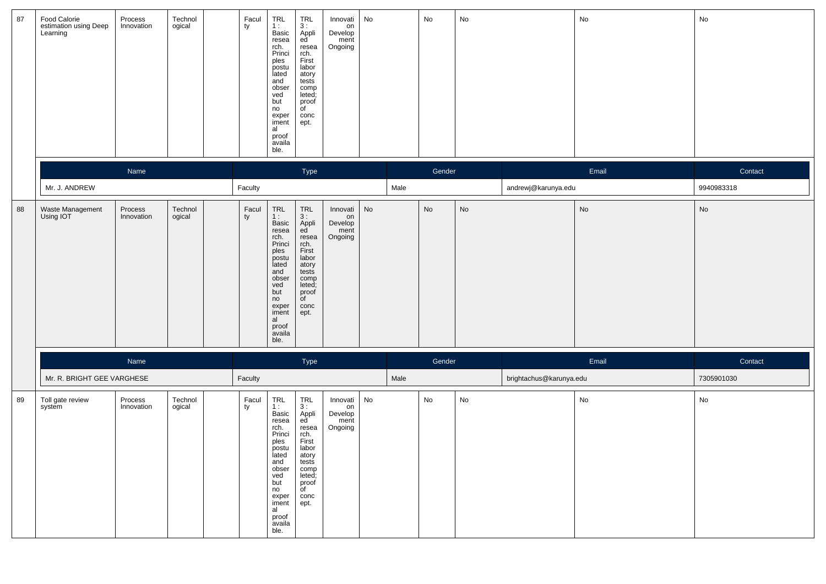| 87 | Food Calorie<br>estimation using Deep<br>Learning | Process<br>Innovation | Technol<br>ogical | Facul<br>ty | TRL<br>1:<br>Basic<br>resea<br>rch.<br>Princi<br>ples<br>postu<br>lated<br>and<br>obser<br>ved<br>but<br>no<br>exper<br>iment<br>al<br>proof<br>availa<br>ble.                                                  | TRL<br>3:<br>Appli<br>ed<br>resea<br>rch.<br>First<br>labor<br>atory<br>tests<br>comp<br>leted;<br>proof<br>of<br>conc<br>ept.            | Innovati<br>on<br>Develop<br>ment<br>Ongoing | No |      | No     | $\operatorname{\mathsf{No}}$ |                         | No                           | No                           |
|----|---------------------------------------------------|-----------------------|-------------------|-------------|-----------------------------------------------------------------------------------------------------------------------------------------------------------------------------------------------------------------|-------------------------------------------------------------------------------------------------------------------------------------------|----------------------------------------------|----|------|--------|------------------------------|-------------------------|------------------------------|------------------------------|
|    |                                                   | Name                  |                   |             |                                                                                                                                                                                                                 | Type                                                                                                                                      |                                              |    |      | Gender |                              |                         | Email                        | Contact                      |
|    | Mr. J. ANDREW                                     |                       |                   | Faculty     |                                                                                                                                                                                                                 |                                                                                                                                           |                                              |    | Male |        |                              | andrewj@karunya.edu     |                              | 9940983318                   |
| 88 | Waste Management<br>Using IOT                     | Process<br>Innovation | Technol<br>ogical | Facul<br>ty | TRL<br>1:<br>Basic<br>resea<br>rch.<br>Princi<br>ples<br>postu<br>lated<br>and<br>obser<br>ved<br>but<br>no<br>exper<br>iment<br>al<br>proof<br>availa<br>ble.                                                  | TRL<br>$3:$ Appli<br>ed<br>resea<br>rch.<br>First<br>labor<br>atory<br>tests<br>comp<br>leted;<br>proof<br>$\overline{C}$<br>conc<br>ept. | Innovati<br>on<br>Develop<br>ment<br>Ongoing | No |      | No     | $\operatorname{\mathsf{No}}$ |                         | $\operatorname{\mathsf{No}}$ | $\operatorname{\mathsf{No}}$ |
|    |                                                   | Name                  |                   |             |                                                                                                                                                                                                                 | Type                                                                                                                                      |                                              |    |      | Gender |                              |                         | Email                        | Contact                      |
|    | Mr. R. BRIGHT GEE VARGHESE                        |                       |                   | Faculty     |                                                                                                                                                                                                                 |                                                                                                                                           |                                              |    | Male |        |                              | brightachus@karunya.edu |                              | 7305901030                   |
| 89 | Toll gate review<br>system                        | Process<br>Innovation | Technol<br>ogical | Facul<br>ty | $\begin{array}{c} \mathsf{TRL} \\ \mathsf{1:} \end{array}$<br>Basic<br>resea<br>rch.<br>Princi<br>ples<br>postu<br>lated<br>and<br>obser<br>ved<br>but<br>no<br>exper<br>iment<br>al<br>proof<br>availa<br>ble. | $TRL$<br>3 :<br>Appli<br>ed<br>resea<br>rch.<br>First<br>labor<br>atory<br>tests<br>comp<br>leted;<br>proof<br>of<br>conc<br>ept.         | Innovati<br>on<br>Develop<br>ment<br>Ongoing | No |      | No     | $\operatorname{\mathsf{No}}$ |                         | No                           | No                           |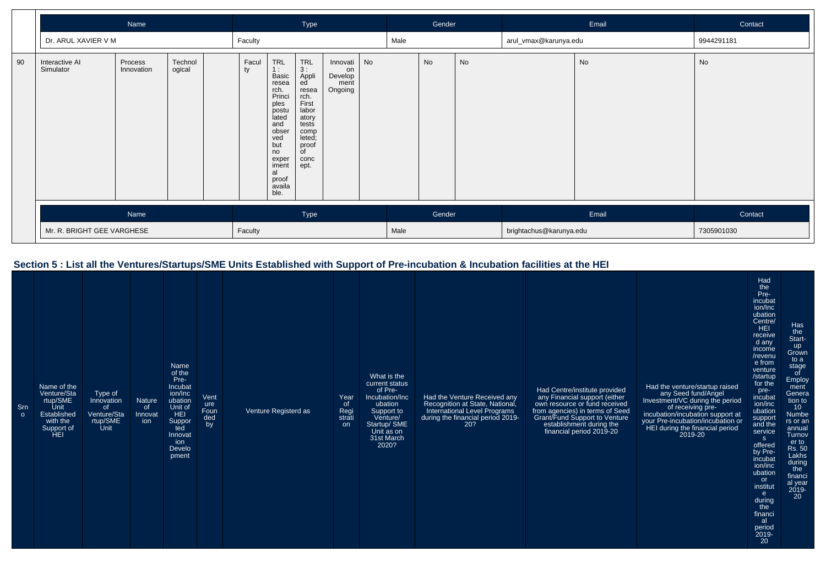|    | Name                        |                       |                   |             | Type                                                                                                                                                                  |                                                                                                                                       |                                                 | Gender |      |         | Email | Contact                 |    |            |
|----|-----------------------------|-----------------------|-------------------|-------------|-----------------------------------------------------------------------------------------------------------------------------------------------------------------------|---------------------------------------------------------------------------------------------------------------------------------------|-------------------------------------------------|--------|------|---------|-------|-------------------------|----|------------|
|    | Dr. ARUL XAVIER V M         |                       |                   | Faculty     |                                                                                                                                                                       |                                                                                                                                       |                                                 |        | Male |         |       | arul_vmax@karunya.edu   |    | 9944291181 |
| 90 | Interactive AI<br>Simulator | Process<br>Innovation | Technol<br>ogical | Facul<br>ty | <b>TRL</b><br>1:<br>Basic<br>resea<br>rch.<br>Princi<br>ples<br>postu<br>lated<br>and<br>obser<br>ved<br>but<br>no<br>exper<br>iment<br>al<br>proof<br>availa<br>ble. | <b>TRL</b><br>3:<br>Appli<br>ed<br>resea<br>rch.<br>First<br>labor<br>atory<br>tests<br>comp<br>leted;<br>proof<br>of<br>conc<br>ept. | Innovati No<br>on<br>Develop<br>ment<br>Ongoing |        |      | No      | No    |                         | No | No         |
|    | Name                        |                       |                   | Type        |                                                                                                                                                                       | Gender                                                                                                                                |                                                 | Email  |      | Contact |       |                         |    |            |
|    | Mr. R. BRIGHT GEE VARGHESE  |                       |                   | Faculty     |                                                                                                                                                                       |                                                                                                                                       |                                                 |        | Male |         |       | brightachus@karunya.edu |    | 7305901030 |

## **Section 5 : List all the Ventures/Startups/SME Units Established with Support of Pre-incubation & Incubation facilities at the HEI**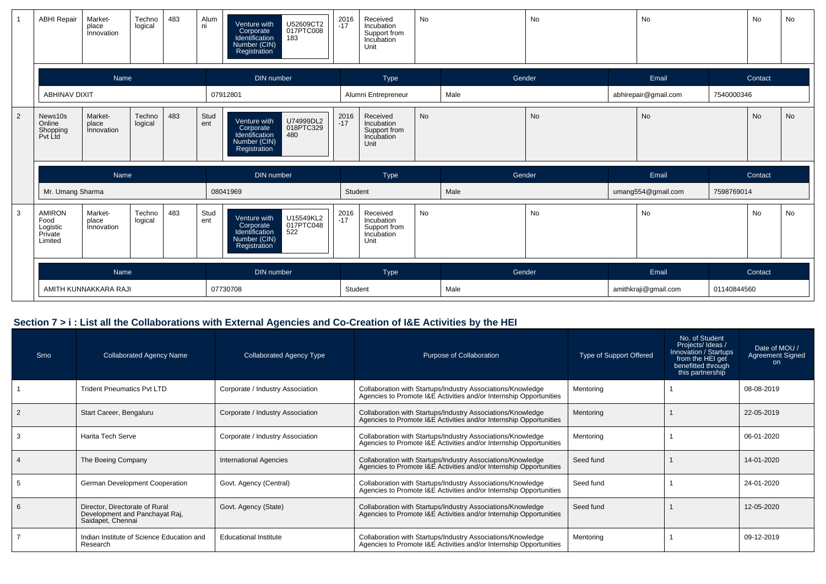|   | <b>ABHI Repair</b>                                      | Market-<br>place<br>Innovation        | Techno<br>logical | 483 | Alum<br>ni  | U52609CT2<br>017PTC008<br>Venture with<br>Corporate<br>Identification<br>183<br>Number (CIN)<br>Registration | 2016<br>-17 | Received<br>Incubation<br>Support from<br>Incubation<br>Unit | <b>No</b> |        | <b>No</b> | No                   |             | No      | No        |
|---|---------------------------------------------------------|---------------------------------------|-------------------|-----|-------------|--------------------------------------------------------------------------------------------------------------|-------------|--------------------------------------------------------------|-----------|--------|-----------|----------------------|-------------|---------|-----------|
|   |                                                         | Name                                  |                   |     |             | DIN number                                                                                                   |             | Type                                                         |           | Gender |           | Email                |             | Contact |           |
|   | <b>ABHINAV DIXIT</b>                                    |                                       |                   |     |             | 07912801                                                                                                     |             | Alumni Entrepreneur                                          |           | Male   |           | abhirepair@gmail.com | 7540000346  |         |           |
| 2 | News10s<br>Online<br>Shopping<br>Pvt Ltd                | Market-<br>place<br><i>innovation</i> | Techno<br>logical | 483 | Stud<br>ent | U74999DL2<br>Venture with<br>018PTC329<br>Corporate<br>Identification<br>480<br>Number (CIN)<br>Registration | $2016 - 17$ | Received<br>Incubation<br>Support from<br>Incubation<br>Unit | <b>No</b> |        | <b>No</b> | No                   |             | No      | <b>No</b> |
|   |                                                         | Name                                  |                   |     |             | DIN number                                                                                                   |             | Type                                                         |           | Gender |           | Email                |             | Contact |           |
|   | Mr. Umang Sharma                                        |                                       |                   |     |             | 08041969                                                                                                     |             | Student                                                      |           | Male   |           | umang554@gmail.com   | 7598769014  |         |           |
| 3 | <b>AMIRON</b><br>Food<br>Logistic<br>Private<br>Limited | Market-<br>place<br>Innovation        | Techno<br>logical | 483 | Stud<br>ent | U15549KL2<br>Venture with<br>017PTC048<br>Corporate<br>Identification<br>522<br>Number (CIN)<br>Registration | $2016 - 17$ | Received<br>Incubation<br>Support from<br>Incubation<br>Unit | <b>No</b> |        | <b>No</b> | <b>No</b>            |             | No      | <b>No</b> |
|   |                                                         | Name                                  |                   |     |             | <b>DIN</b> number                                                                                            |             | Type                                                         |           | Gender |           | Email                |             | Contact |           |
|   |                                                         | AMITH KUNNAKKARA RAJI                 |                   |     |             | 07730708                                                                                                     |             | Student                                                      |           | Male   |           | amithkraji@gmail.com | 01140844560 |         |           |

## **Section 7 > i : List all the Collaborations with External Agencies and Co-Creation of I&E Activities by the HEI**

| <b>Srno</b> | <b>Collaborated Agency Name</b>                                                       | <b>Collaborated Agency Type</b>  | Purpose of Collaboration                                                                                                          | Type of Support Offered | No. of Student<br>Projects/Ideas/<br>Innovation / Startups<br>from the HEI get<br>benefitted through<br>this partnership | Date of MOU /<br><b>Agreement Signed</b><br><sub>on</sub> |
|-------------|---------------------------------------------------------------------------------------|----------------------------------|-----------------------------------------------------------------------------------------------------------------------------------|-------------------------|--------------------------------------------------------------------------------------------------------------------------|-----------------------------------------------------------|
|             | <b>Trident Pneumatics Pvt LTD</b>                                                     | Corporate / Industry Association | Collaboration with Startups/Industry Associations/Knowledge<br>Agencies to Promote I&E Activities and/or Internship Opportunities | Mentoring               |                                                                                                                          | 08-08-2019                                                |
|             | Start Career, Bengaluru                                                               | Corporate / Industry Association | Collaboration with Startups/Industry Associations/Knowledge<br>Agencies to Promote I&E Activities and/or Internship Opportunities | Mentoring               |                                                                                                                          | 22-05-2019                                                |
|             | <b>Harita Tech Serve</b>                                                              | Corporate / Industry Association | Collaboration with Startups/Industry Associations/Knowledge<br>Agencies to Promote I&E Activities and/or Internship Opportunities | Mentoring               |                                                                                                                          | 06-01-2020                                                |
|             | The Boeing Company                                                                    | <b>International Agencies</b>    | Collaboration with Startups/Industry Associations/Knowledge<br>Agencies to Promote I&E Activities and/or Internship Opportunities | Seed fund               |                                                                                                                          | 14-01-2020                                                |
|             | German Development Cooperation                                                        | Govt. Agency (Central)           | Collaboration with Startups/Industry Associations/Knowledge<br>Agencies to Promote I&E Activities and/or Internship Opportunities | Seed fund               |                                                                                                                          | 24-01-2020                                                |
|             | Director, Directorate of Rural<br>Development and Panchayat Raj,<br>Saidapet, Chennai | Govt. Agency (State)             | Collaboration with Startups/Industry Associations/Knowledge<br>Agencies to Promote I&E Activities and/or Internship Opportunities | Seed fund               |                                                                                                                          | 12-05-2020                                                |
|             | Indian Institute of Science Education and<br>Research                                 | <b>Educational Institute</b>     | Collaboration with Startups/Industry Associations/Knowledge<br>Agencies to Promote I&E Activities and/or Internship Opportunities | Mentoring               |                                                                                                                          | 09-12-2019                                                |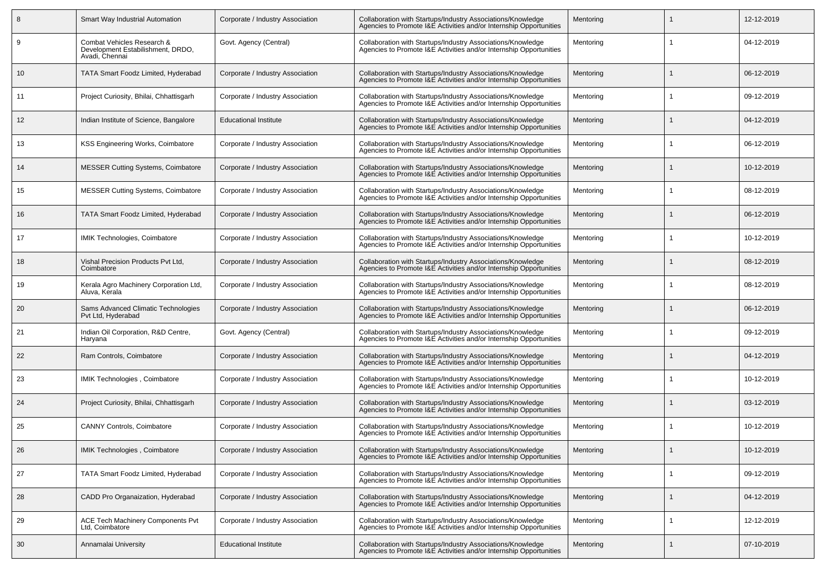|    | Smart Way Industrial Automation                                                   | Corporate / Industry Association | Collaboration with Startups/Industry Associations/Knowledge<br>Agencies to Promote I&E Activities and/or Internship Opportunities | Mentoring |   | 12-12-2019 |
|----|-----------------------------------------------------------------------------------|----------------------------------|-----------------------------------------------------------------------------------------------------------------------------------|-----------|---|------------|
| 9  | Combat Vehicles Research &<br>Development Estabilishment, DRDO,<br>Avadi, Chennai | Govt. Agency (Central)           | Collaboration with Startups/Industry Associations/Knowledge<br>Agencies to Promote I&E Activities and/or Internship Opportunities | Mentoring |   | 04-12-2019 |
| 10 | TATA Smart Foodz Limited, Hyderabad                                               | Corporate / Industry Association | Collaboration with Startups/Industry Associations/Knowledge<br>Agencies to Promote I&E Activities and/or Internship Opportunities | Mentoring |   | 06-12-2019 |
| 11 | Project Curiosity, Bhilai, Chhattisgarh                                           | Corporate / Industry Association | Collaboration with Startups/Industry Associations/Knowledge<br>Agencies to Promote I&E Activities and/or Internship Opportunities | Mentoring |   | 09-12-2019 |
| 12 | Indian Institute of Science, Bangalore                                            | <b>Educational Institute</b>     | Collaboration with Startups/Industry Associations/Knowledge<br>Agencies to Promote I&E Activities and/or Internship Opportunities | Mentoring |   | 04-12-2019 |
| 13 | KSS Engineering Works, Coimbatore                                                 | Corporate / Industry Association | Collaboration with Startups/Industry Associations/Knowledge<br>Agencies to Promote I&E Activities and/or Internship Opportunities | Mentorina |   | 06-12-2019 |
| 14 | <b>MESSER Cutting Systems, Coimbatore</b>                                         | Corporate / Industry Association | Collaboration with Startups/Industry Associations/Knowledge<br>Agencies to Promote I&E Activities and/or Internship Opportunities | Mentoring |   | 10-12-2019 |
| 15 | <b>MESSER Cutting Systems, Coimbatore</b>                                         | Corporate / Industry Association | Collaboration with Startups/Industry Associations/Knowledge<br>Agencies to Promote I&E Activities and/or Internship Opportunities | Mentoring |   | 08-12-2019 |
| 16 | TATA Smart Foodz Limited, Hyderabad                                               | Corporate / Industry Association | Collaboration with Startups/Industry Associations/Knowledge<br>Agencies to Promote I&E Activities and/or Internship Opportunities | Mentoring |   | 06-12-2019 |
| 17 | <b>IMIK Technologies, Coimbatore</b>                                              | Corporate / Industry Association | Collaboration with Startups/Industry Associations/Knowledge<br>Agencies to Promote I&E Activities and/or Internship Opportunities | Mentorina |   | 10-12-2019 |
| 18 | Vishal Precision Products Pvt Ltd,<br>Coimbatore                                  | Corporate / Industry Association | Collaboration with Startups/Industry Associations/Knowledge<br>Agencies to Promote I&E Activities and/or Internship Opportunities | Mentoring |   | 08-12-2019 |
| 19 | Kerala Agro Machinery Corporation Ltd,<br>Aluva. Kerala                           | Corporate / Industry Association | Collaboration with Startups/Industry Associations/Knowledge<br>Agencies to Promote I&E Activities and/or Internship Opportunities | Mentorina |   | 08-12-2019 |
| 20 | Sams Advanced Climatic Technologies<br>Pvt Ltd, Hyderabad                         | Corporate / Industry Association | Collaboration with Startups/Industry Associations/Knowledge<br>Agencies to Promote I&E Activities and/or Internship Opportunities | Mentoring |   | 06-12-2019 |
| 21 | Indian Oil Corporation, R&D Centre,<br>Haryana                                    | Govt. Agency (Central)           | Collaboration with Startups/Industry Associations/Knowledge<br>Agencies to Promote I&E Activities and/or Internship Opportunities | Mentoring |   | 09-12-2019 |
| 22 | Ram Controls, Coimbatore                                                          | Corporate / Industry Association | Collaboration with Startups/Industry Associations/Knowledge<br>Agencies to Promote I&E Activities and/or Internship Opportunities | Mentoring |   | 04-12-2019 |
| 23 | IMIK Technologies, Coimbatore                                                     | Corporate / Industry Association | Collaboration with Startups/Industry Associations/Knowledge<br>Agencies to Promote I&E Activities and/or Internship Opportunities | Mentoring |   | 10-12-2019 |
| 24 | Project Curiosity, Bhilai, Chhattisgarh                                           | Corporate / Industry Association | Collaboration with Startups/Industry Associations/Knowledge<br>Agencies to Promote I&E Activities and/or Internship Opportunities | Mentoring |   | 03-12-2019 |
| 25 | <b>CANNY Controls, Coimbatore</b>                                                 | Corporate / Industry Association | Collaboration with Startups/Industry Associations/Knowledge<br>Agencies to Promote I&E Activities and/or Internship Opportunities | Mentorina |   | 10-12-2019 |
| 26 | IMIK Technologies, Coimbatore                                                     | Corporate / Industry Association | Collaboration with Startups/Industry Associations/Knowledge<br>Agencies to Promote I&E Activities and/or Internship Opportunities | Mentoring |   | 10-12-2019 |
| 27 | TATA Smart Foodz Limited, Hyderabad                                               | Corporate / Industry Association | Collaboration with Startups/Industry Associations/Knowledge<br>Agencies to Promote I&E Activities and/or Internship Opportunities | Mentoring | 1 | 09-12-2019 |
| 28 | CADD Pro Organaization, Hyderabad                                                 | Corporate / Industry Association | Collaboration with Startups/Industry Associations/Knowledge<br>Agencies to Promote I&E Activities and/or Internship Opportunities | Mentoring |   | 04-12-2019 |
| 29 | <b>ACE Tech Machinery Components Pvt</b><br>Ltd, Coimbatore                       | Corporate / Industry Association | Collaboration with Startups/Industry Associations/Knowledge<br>Agencies to Promote I&E Activities and/or Internship Opportunities | Mentoring | 1 | 12-12-2019 |
| 30 | Annamalai University                                                              | <b>Educational Institute</b>     | Collaboration with Startups/Industry Associations/Knowledge<br>Agencies to Promote I&E Activities and/or Internship Opportunities | Mentoring |   | 07-10-2019 |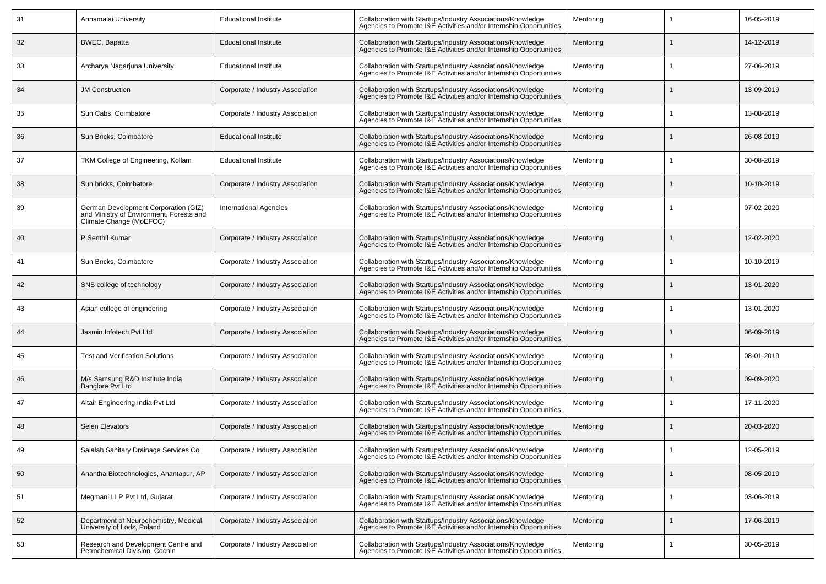| 31 | Annamalai University                                                                                        | <b>Educational Institute</b>     | Collaboration with Startups/Industry Associations/Knowledge<br>Agencies to Promote I&E Activities and/or Internship Opportunities | Mentoring | 16-05-2019 |
|----|-------------------------------------------------------------------------------------------------------------|----------------------------------|-----------------------------------------------------------------------------------------------------------------------------------|-----------|------------|
| 32 | <b>BWEC, Bapatta</b>                                                                                        | <b>Educational Institute</b>     | Collaboration with Startups/Industry Associations/Knowledge<br>Agencies to Promote I&E Activities and/or Internship Opportunities | Mentoring | 14-12-2019 |
| 33 | Archarya Nagarjuna University                                                                               | <b>Educational Institute</b>     | Collaboration with Startups/Industry Associations/Knowledge<br>Agencies to Promote I&E Activities and/or Internship Opportunities | Mentorina | 27-06-2019 |
| 34 | <b>JM Construction</b>                                                                                      | Corporate / Industry Association | Collaboration with Startups/Industry Associations/Knowledge<br>Agencies to Promote I&E Activities and/or Internship Opportunities | Mentoring | 13-09-2019 |
| 35 | Sun Cabs, Coimbatore                                                                                        | Corporate / Industry Association | Collaboration with Startups/Industry Associations/Knowledge<br>Agencies to Promote I&E Activities and/or Internship Opportunities | Mentorina | 13-08-2019 |
| 36 | Sun Bricks, Coimbatore                                                                                      | <b>Educational Institute</b>     | Collaboration with Startups/Industry Associations/Knowledge<br>Agencies to Promote I&E Activities and/or Internship Opportunities | Mentoring | 26-08-2019 |
| 37 | TKM College of Engineering, Kollam                                                                          | <b>Educational Institute</b>     | Collaboration with Startups/Industry Associations/Knowledge<br>Agencies to Promote I&E Activities and/or Internship Opportunities | Mentoring | 30-08-2019 |
| 38 | Sun bricks, Coimbatore                                                                                      | Corporate / Industry Association | Collaboration with Startups/Industry Associations/Knowledge<br>Agencies to Promote I&E Activities and/or Internship Opportunities | Mentoring | 10-10-2019 |
| 39 | German Development Corporation (GIZ)<br>and Ministry of Environment, Forests and<br>Climate Change (MoEFCC) | <b>International Agencies</b>    | Collaboration with Startups/Industry Associations/Knowledge<br>Agencies to Promote I&E Activities and/or Internship Opportunities | Mentoring | 07-02-2020 |
| 40 | P.Senthil Kumar                                                                                             | Corporate / Industry Association | Collaboration with Startups/Industry Associations/Knowledge<br>Agencies to Promote I&E Activities and/or Internship Opportunities | Mentoring | 12-02-2020 |
| 41 | Sun Bricks, Coimbatore                                                                                      | Corporate / Industry Association | Collaboration with Startups/Industry Associations/Knowledge<br>Agencies to Promote I&E Activities and/or Internship Opportunities | Mentoring | 10-10-2019 |
| 42 | SNS college of technology                                                                                   | Corporate / Industry Association | Collaboration with Startups/Industry Associations/Knowledge<br>Agencies to Promote I&E Activities and/or Internship Opportunities | Mentoring | 13-01-2020 |
| 43 | Asian college of engineering                                                                                | Corporate / Industry Association | Collaboration with Startups/Industry Associations/Knowledge<br>Agencies to Promote I&E Activities and/or Internship Opportunities | Mentoring | 13-01-2020 |
| 44 | Jasmin Infotech Pvt Ltd                                                                                     | Corporate / Industry Association | Collaboration with Startups/Industry Associations/Knowledge<br>Agencies to Promote I&E Activities and/or Internship Opportunities | Mentoring | 06-09-2019 |
| 45 | <b>Test and Verification Solutions</b>                                                                      | Corporate / Industry Association | Collaboration with Startups/Industry Associations/Knowledge<br>Agencies to Promote I&E Activities and/or Internship Opportunities | Mentoring | 08-01-2019 |
| 46 | M/s Samsung R&D Institute India<br>Banglore Pvt Ltd                                                         | Corporate / Industry Association | Collaboration with Startups/Industry Associations/Knowledge<br>Agencies to Promote I&E Activities and/or Internship Opportunities | Mentoring | 09-09-2020 |
| 47 | Altair Engineering India Pvt Ltd                                                                            | Corporate / Industry Association | Collaboration with Startups/Industry Associations/Knowledge<br>Agencies to Promote I&E Activities and/or Internship Opportunities | Mentoring | 17-11-2020 |
| 48 | Selen Elevators                                                                                             | Corporate / Industry Association | Collaboration with Startups/Industry Associations/Knowledge<br>Agencies to Promote I&E Activities and/or Internship Opportunities | Mentoring | 20-03-2020 |
| 49 | Salalah Sanitary Drainage Services Co                                                                       | Corporate / Industry Association | Collaboration with Startups/Industry Associations/Knowledge<br>Agencies to Promote I&E Activities and/or Internship Opportunities | Mentoring | 12-05-2019 |
| 50 | Anantha Biotechnologies, Anantapur, AP                                                                      | Corporate / Industry Association | Collaboration with Startups/Industry Associations/Knowledge<br>Agencies to Promote I&E Activities and/or Internship Opportunities | Mentoring | 08-05-2019 |
| 51 | Megmani LLP Pvt Ltd, Gujarat                                                                                | Corporate / Industry Association | Collaboration with Startups/Industry Associations/Knowledge<br>Agencies to Promote I&E Activities and/or Internship Opportunities | Mentoring | 03-06-2019 |
| 52 | Department of Neurochemistry, Medical<br>University of Lodz, Poland                                         | Corporate / Industry Association | Collaboration with Startups/Industry Associations/Knowledge<br>Agencies to Promote I&E Activities and/or Internship Opportunities | Mentoring | 17-06-2019 |
| 53 | Research and Development Centre and<br>Petrochemical Division. Cochin                                       | Corporate / Industry Association | Collaboration with Startups/Industry Associations/Knowledge<br>Agencies to Promote I&E Activities and/or Internship Opportunities | Mentoring | 30-05-2019 |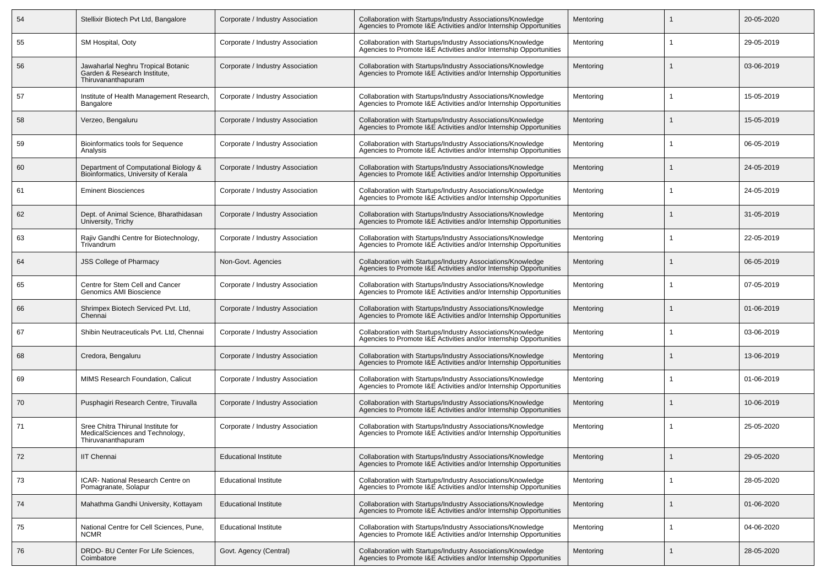| 54 | Stellixir Biotech Pvt Ltd, Bangalore                                                        | Corporate / Industry Association | Collaboration with Startups/Industry Associations/Knowledge<br>Agencies to Promote I&E Activities and/or Internship Opportunities | Mentoring | 20-05-2020 |
|----|---------------------------------------------------------------------------------------------|----------------------------------|-----------------------------------------------------------------------------------------------------------------------------------|-----------|------------|
| 55 | SM Hospital, Ooty                                                                           | Corporate / Industry Association | Collaboration with Startups/Industry Associations/Knowledge<br>Agencies to Promote I&E Activities and/or Internship Opportunities | Mentoring | 29-05-2019 |
| 56 | Jawaharlal Neghru Tropical Botanic<br>Garden & Research Institute,<br>Thiruvananthapuram    | Corporate / Industry Association | Collaboration with Startups/Industry Associations/Knowledge<br>Agencies to Promote I&E Activities and/or Internship Opportunities | Mentoring | 03-06-2019 |
| 57 | Institute of Health Management Research,<br>Bangalore                                       | Corporate / Industry Association | Collaboration with Startups/Industry Associations/Knowledge<br>Agencies to Promote I&E Activities and/or Internship Opportunities | Mentoring | 15-05-2019 |
| 58 | Verzeo, Bengaluru                                                                           | Corporate / Industry Association | Collaboration with Startups/Industry Associations/Knowledge<br>Agencies to Promote I&E Activities and/or Internship Opportunities | Mentoring | 15-05-2019 |
| 59 | <b>Bioinformatics tools for Sequence</b><br>Analysis                                        | Corporate / Industry Association | Collaboration with Startups/Industry Associations/Knowledge<br>Agencies to Promote I&E Activities and/or Internship Opportunities | Mentoring | 06-05-2019 |
| 60 | Department of Computational Biology &<br>Bioinformatics, University of Kerala               | Corporate / Industry Association | Collaboration with Startups/Industry Associations/Knowledge<br>Agencies to Promote I&E Activities and/or Internship Opportunities | Mentoring | 24-05-2019 |
| 61 | <b>Eminent Biosciences</b>                                                                  | Corporate / Industry Association | Collaboration with Startups/Industry Associations/Knowledge<br>Agencies to Promote I&E Activities and/or Internship Opportunities | Mentoring | 24-05-2019 |
| 62 | Dept. of Animal Science, Bharathidasan<br>University, Trichy                                | Corporate / Industry Association | Collaboration with Startups/Industry Associations/Knowledge<br>Agencies to Promote I&E Activities and/or Internship Opportunities | Mentoring | 31-05-2019 |
| 63 | Rajiv Gandhi Centre for Biotechnology,<br>Trivandrum                                        | Corporate / Industry Association | Collaboration with Startups/Industry Associations/Knowledge<br>Agencies to Promote I&E Activities and/or Internship Opportunities | Mentoring | 22-05-2019 |
| 64 | <b>JSS College of Pharmacy</b>                                                              | Non-Govt. Agencies               | Collaboration with Startups/Industry Associations/Knowledge<br>Agencies to Promote I&E Activities and/or Internship Opportunities | Mentoring | 06-05-2019 |
| 65 | Centre for Stem Cell and Cancer<br>Genomics AMI Bioscience                                  | Corporate / Industry Association | Collaboration with Startups/Industry Associations/Knowledge<br>Agencies to Promote I&E Activities and/or Internship Opportunities | Mentoring | 07-05-2019 |
| 66 | Shrimpex Biotech Serviced Pvt. Ltd,<br>Chennai                                              | Corporate / Industry Association | Collaboration with Startups/Industry Associations/Knowledge<br>Agencies to Promote I&E Activities and/or Internship Opportunities | Mentoring | 01-06-2019 |
| 67 | Shibin Neutraceuticals Pvt. Ltd, Chennai                                                    | Corporate / Industry Association | Collaboration with Startups/Industry Associations/Knowledge<br>Agencies to Promote I&E Activities and/or Internship Opportunities | Mentoring | 03-06-2019 |
| 68 | Credora, Bengaluru                                                                          | Corporate / Industry Association | Collaboration with Startups/Industry Associations/Knowledge<br>Agencies to Promote I&E Activities and/or Internship Opportunities | Mentoring | 13-06-2019 |
| 69 | MIMS Research Foundation, Calicut                                                           | Corporate / Industry Association | Collaboration with Startups/Industry Associations/Knowledge<br>Agencies to Promote I&E Activities and/or Internship Opportunities | Mentoring | 01-06-2019 |
| 70 | Pusphagiri Research Centre, Tiruvalla                                                       | Corporate / Industry Association | Collaboration with Startups/Industry Associations/Knowledge<br>Agencies to Promote I&E Activities and/or Internship Opportunities | Mentoring | 10-06-2019 |
| 71 | Sree Chitra Thirunal Institute for<br>MedicalSciences and Technology,<br>Thiruvananthapuram | Corporate / Industry Association | Collaboration with Startups/Industry Associations/Knowledge<br>Agencies to Promote I&E Activities and/or Internship Opportunities | Mentoring | 25-05-2020 |
| 72 | <b>IIT Chennai</b>                                                                          | <b>Educational Institute</b>     | Collaboration with Startups/Industry Associations/Knowledge<br>Agencies to Promote I&E Activities and/or Internship Opportunities | Mentoring | 29-05-2020 |
| 73 | ICAR- National Research Centre on<br>Pomagranate, Solapur                                   | <b>Educational Institute</b>     | Collaboration with Startups/Industry Associations/Knowledge<br>Agencies to Promote I&E Activities and/or Internship Opportunities | Mentoring | 28-05-2020 |
| 74 | Mahathma Gandhi University, Kottayam                                                        | <b>Educational Institute</b>     | Collaboration with Startups/Industry Associations/Knowledge<br>Agencies to Promote I&E Activities and/or Internship Opportunities | Mentoring | 01-06-2020 |
| 75 | National Centre for Cell Sciences, Pune,<br><b>NCMR</b>                                     | <b>Educational Institute</b>     | Collaboration with Startups/Industry Associations/Knowledge<br>Agencies to Promote I&E Activities and/or Internship Opportunities | Mentoring | 04-06-2020 |
| 76 | DRDO- BU Center For Life Sciences,<br>Coimbatore                                            | Govt. Agency (Central)           | Collaboration with Startups/Industry Associations/Knowledge<br>Agencies to Promote I&E Activities and/or Internship Opportunities | Mentoring | 28-05-2020 |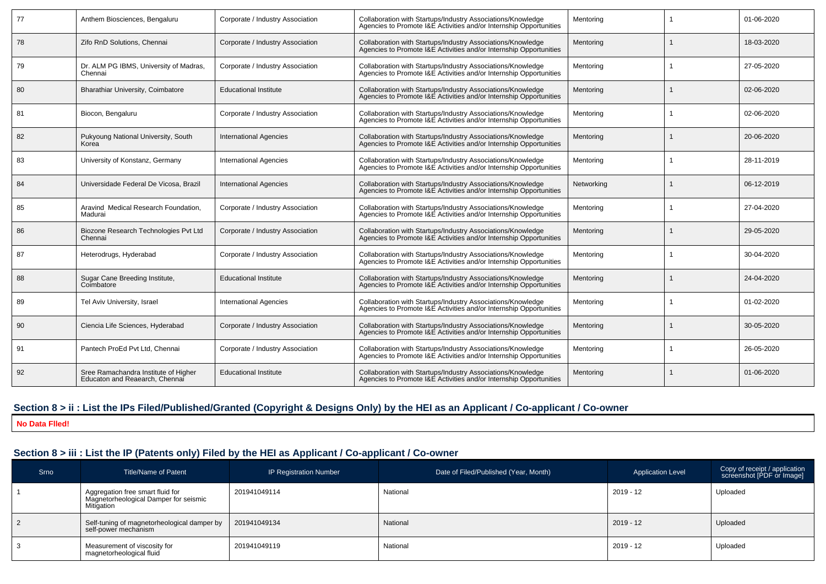| 77 | Anthem Biosciences, Bengaluru                                          | Corporate / Industry Association | Collaboration with Startups/Industry Associations/Knowledge<br>Agencies to Promote I&E Activities and/or Internship Opportunities | Mentoring  |                | 01-06-2020 |
|----|------------------------------------------------------------------------|----------------------------------|-----------------------------------------------------------------------------------------------------------------------------------|------------|----------------|------------|
| 78 | Zifo RnD Solutions, Chennai                                            | Corporate / Industry Association | Collaboration with Startups/Industry Associations/Knowledge<br>Agencies to Promote I&E Activities and/or Internship Opportunities | Mentoring  |                | 18-03-2020 |
| 79 | Dr. ALM PG IBMS, University of Madras,<br>Chennai                      | Corporate / Industry Association | Collaboration with Startups/Industry Associations/Knowledge<br>Agencies to Promote I&E Activities and/or Internship Opportunities | Mentorina  |                | 27-05-2020 |
| 80 | Bharathiar University, Coimbatore                                      | <b>Educational Institute</b>     | Collaboration with Startups/Industry Associations/Knowledge<br>Agencies to Promote I&E Activities and/or Internship Opportunities | Mentoring  |                | 02-06-2020 |
| 81 | Biocon, Bengaluru                                                      | Corporate / Industry Association | Collaboration with Startups/Industry Associations/Knowledge<br>Agencies to Promote I&E Activities and/or Internship Opportunities | Mentorina  | $\overline{1}$ | 02-06-2020 |
| 82 | Pukyoung National University, South<br>Korea                           | <b>International Agencies</b>    | Collaboration with Startups/Industry Associations/Knowledge<br>Agencies to Promote I&E Activities and/or Internship Opportunities | Mentorina  |                | 20-06-2020 |
| 83 | University of Konstanz, Germany                                        | <b>International Agencies</b>    | Collaboration with Startups/Industry Associations/Knowledge<br>Agencies to Promote I&E Activities and/or Internship Opportunities | Mentoring  |                | 28-11-2019 |
| 84 | Universidade Federal De Vicosa, Brazil                                 | <b>International Agencies</b>    | Collaboration with Startups/Industry Associations/Knowledge<br>Agencies to Promote I&E Activities and/or Internship Opportunities | Networkina |                | 06-12-2019 |
| 85 | Aravind Medical Research Foundation,<br>Madurai                        | Corporate / Industry Association | Collaboration with Startups/Industry Associations/Knowledge<br>Agencies to Promote I&E Activities and/or Internship Opportunities | Mentoring  |                | 27-04-2020 |
| 86 | Biozone Research Technologies Pvt Ltd<br>Chennai                       | Corporate / Industry Association | Collaboration with Startups/Industry Associations/Knowledge<br>Agencies to Promote I&E Activities and/or Internship Opportunities | Mentoring  |                | 29-05-2020 |
| 87 | Heterodrugs, Hyderabad                                                 | Corporate / Industry Association | Collaboration with Startups/Industry Associations/Knowledge<br>Agencies to Promote I&E Activities and/or Internship Opportunities | Mentoring  |                | 30-04-2020 |
| 88 | Sugar Cane Breeding Institute,<br>Coimbatore                           | <b>Educational Institute</b>     | Collaboration with Startups/Industry Associations/Knowledge<br>Agencies to Promote I&E Activities and/or Internship Opportunities | Mentoring  |                | 24-04-2020 |
| 89 | Tel Aviv University, Israel                                            | <b>International Agencies</b>    | Collaboration with Startups/Industry Associations/Knowledge<br>Agencies to Promote I&E Activities and/or Internship Opportunities | Mentorina  | -1             | 01-02-2020 |
| 90 | Ciencia Life Sciences, Hyderabad                                       | Corporate / Industry Association | Collaboration with Startups/Industry Associations/Knowledge<br>Agencies to Promote I&E Activities and/or Internship Opportunities | Mentoring  |                | 30-05-2020 |
| 91 | Pantech ProEd Pvt Ltd. Chennai                                         | Corporate / Industry Association | Collaboration with Startups/Industry Associations/Knowledge<br>Agencies to Promote I&E Activities and/or Internship Opportunities | Mentoring  | -1             | 26-05-2020 |
| 92 | Sree Ramachandra Institute of Higher<br>Educaton and Reaearch, Chennai | <b>Educational Institute</b>     | Collaboration with Startups/Industry Associations/Knowledge<br>Agencies to Promote I&E Activities and/or Internship Opportunities | Mentoring  |                | 01-06-2020 |

## **Section 8 > ii : List the IPs Filed/Published/Granted (Copyright & Designs Only) by the HEI as an Applicant / Co-applicant / Co-owner**

**No Data Flled!**

## **Section 8 > iii : List the IP (Patents only) Filed by the HEI as Applicant / Co-applicant / Co-owner**

| Srno | <b>Title/Name of Patent</b>                                                             | <b>IP Registration Number</b> | Date of Filed/Published (Year, Month) | <b>Application Level</b> | Copy of receipt / application<br>screenshot [PDF or Image] |
|------|-----------------------------------------------------------------------------------------|-------------------------------|---------------------------------------|--------------------------|------------------------------------------------------------|
|      | Aggregation free smart fluid for<br>Magnetorheological Damper for seismic<br>Mitigation | 201941049114                  | National                              | $2019 - 12$              | Uploaded                                                   |
|      | Self-tuning of magnetorheological damper by<br>self-power mechanism                     | 201941049134                  | National                              | $2019 - 12$              | Uploaded                                                   |
|      | Measurement of viscosity for<br>magnetorheological fluid                                | 201941049119                  | National                              | $2019 - 12$              | Uploaded                                                   |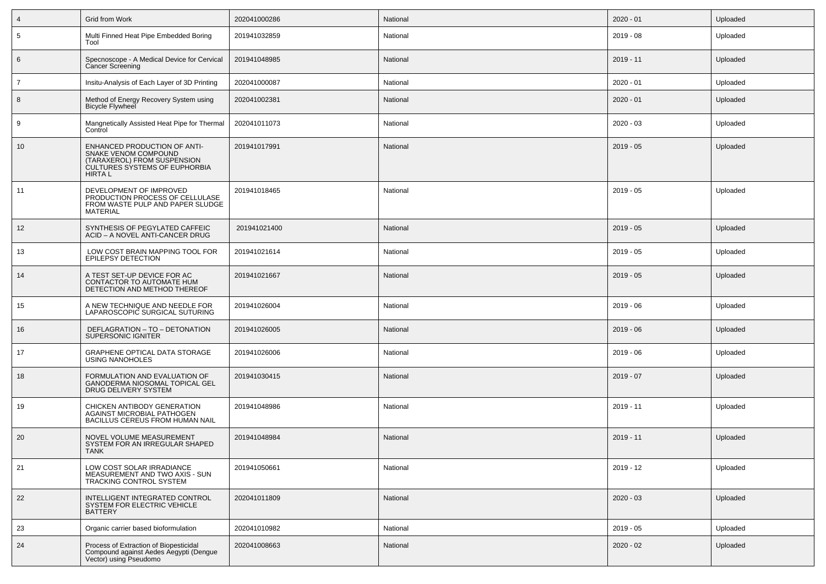| $\overline{4}$  | Grid from Work                                                                                                                               | 202041000286 | National | $2020 - 01$ | Uploaded |
|-----------------|----------------------------------------------------------------------------------------------------------------------------------------------|--------------|----------|-------------|----------|
| $5\phantom{.0}$ | Multi Finned Heat Pipe Embedded Boring<br>Tool                                                                                               | 201941032859 | National | 2019 - 08   | Uploaded |
| $6\phantom{.}6$ | Specnoscope - A Medical Device for Cervical<br><b>Cancer Screening</b>                                                                       | 201941048985 | National | 2019 - 11   | Uploaded |
| $\overline{7}$  | Insitu-Analysis of Each Layer of 3D Printing                                                                                                 | 202041000087 | National | $2020 - 01$ | Uploaded |
| 8               | Method of Energy Recovery System using<br><b>Bicycle Flywheel</b>                                                                            | 202041002381 | National | $2020 - 01$ | Uploaded |
| 9               | Mangnetically Assisted Heat Pipe for Thermal<br>Control                                                                                      | 202041011073 | National | $2020 - 03$ | Uploaded |
| 10              | ENHANCED PRODUCTION OF ANTI-<br>SNAKE VENOM COMPOUND<br>(TARAXEROL) FROM SUSPENSION<br><b>CULTURES SYSTEMS OF EUPHORBIA</b><br><b>HIRTAL</b> | 201941017991 | National | $2019 - 05$ | Uploaded |
| 11              | DEVELOPMENT OF IMPROVED<br>PRODUCTION PROCESS OF CELLULASE<br>FROM WASTE PULP AND PAPER SLUDGE<br><b>MATERIAL</b>                            | 201941018465 | National | $2019 - 05$ | Uploaded |
| 12              | SYNTHESIS OF PEGYLATED CAFFEIC<br>ACID - A NOVEL ANTI-CANCER DRUG                                                                            | 201941021400 | National | $2019 - 05$ | Uploaded |
| 13              | LOW COST BRAIN MAPPING TOOL FOR<br>EPILEPSY DETECTION                                                                                        | 201941021614 | National | $2019 - 05$ | Uploaded |
| 14              | A TEST SET-UP DEVICE FOR AC<br>CONTACTOR TO AUTOMATE HUM<br>DETECTION AND METHOD THEREOF                                                     | 201941021667 | National | $2019 - 05$ | Uploaded |
| 15              | A NEW TECHNIQUE AND NEEDLE FOR<br>LAPAROSCOPIC SURGICAL SUTURING                                                                             | 201941026004 | National | 2019 - 06   | Uploaded |
| 16              | DEFLAGRATION - TO - DETONATION<br>SUPERSONIC IGNITER                                                                                         | 201941026005 | National | $2019 - 06$ | Uploaded |
| 17              | <b>GRAPHENE OPTICAL DATA STORAGE</b><br><b>USING NANOHOLES</b>                                                                               | 201941026006 | National | 2019 - 06   | Uploaded |
| 18              | FORMULATION AND EVALUATION OF<br>GANODERMA NIOSOMAL TOPICAL GEL<br>DRUG DELIVERY SYSTEM                                                      | 201941030415 | National | $2019 - 07$ | Uploaded |
| 19              | CHICKEN ANTIBODY GENERATION<br>AGAINST MICROBIAL PATHOGEN<br>BACILLUS CEREUS FROM HUMAN NAIL                                                 | 201941048986 | National | $2019 - 11$ | Uploaded |
| 20              | NOVEL VOLUME MEASUREMENT<br>SYSTEM FOR AN IRREGULAR SHAPED<br>TANK                                                                           | 201941048984 | National | 2019 - 11   | Uploaded |
| 21              | LOW COST SOLAR IRRADIANCE<br>MEASUREMENT AND TWO AXIS - SUN<br>TRACKING CONTROL SYSTEM                                                       | 201941050661 | National | 2019 - 12   | Uploaded |
| 22              | INTELLIGENT INTEGRATED CONTROL<br>SYSTEM FOR ELECTRIC VEHICLE<br><b>BATTERY</b>                                                              | 202041011809 | National | $2020 - 03$ | Uploaded |
| 23              | Organic carrier based bioformulation                                                                                                         | 202041010982 | National | $2019 - 05$ | Uploaded |
| 24              | Process of Extraction of Biopesticidal<br>Compound against Aedes Aegypti (Dengue<br>Vector) using Pseudomo                                   | 202041008663 | National | $2020 - 02$ | Uploaded |